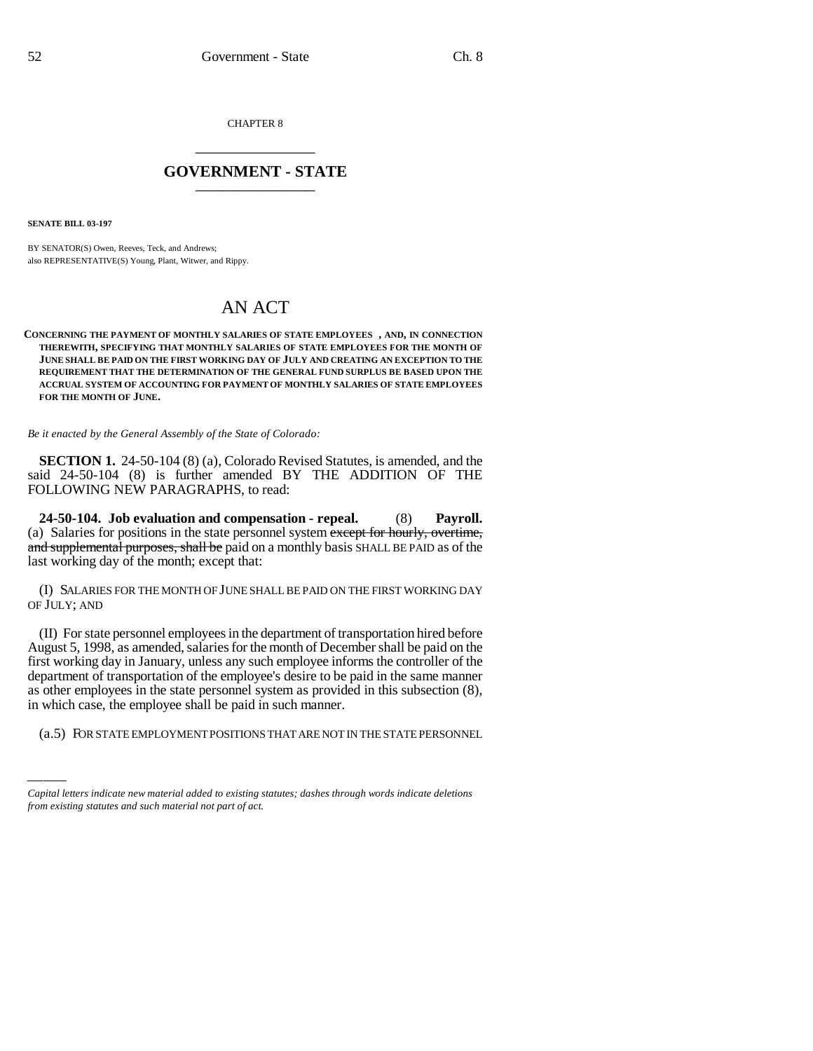CHAPTER 8 \_\_\_\_\_\_\_\_\_\_\_\_\_\_\_

# **GOVERNMENT - STATE** \_\_\_\_\_\_\_\_\_\_\_\_\_\_\_

**SENATE BILL 03-197**

BY SENATOR(S) Owen, Reeves, Teck, and Andrews; also REPRESENTATIVE(S) Young, Plant, Witwer, and Rippy.

# AN ACT

#### **CONCERNING THE PAYMENT OF MONTHLY SALARIES OF STATE EMPLOYEES , AND, IN CONNECTION THEREWITH, SPECIFYING THAT MONTHLY SALARIES OF STATE EMPLOYEES FOR THE MONTH OF JUNE SHALL BE PAID ON THE FIRST WORKING DAY OF JULY AND CREATING AN EXCEPTION TO THE REQUIREMENT THAT THE DETERMINATION OF THE GENERAL FUND SURPLUS BE BASED UPON THE ACCRUAL SYSTEM OF ACCOUNTING FOR PAYMENT OF MONTHLY SALARIES OF STATE EMPLOYEES FOR THE MONTH OF JUNE.**

*Be it enacted by the General Assembly of the State of Colorado:*

**SECTION 1.** 24-50-104 (8) (a), Colorado Revised Statutes, is amended, and the said 24-50-104 (8) is further amended BY THE ADDITION OF THE FOLLOWING NEW PARAGRAPHS, to read:

**24-50-104. Job evaluation and compensation - repeal.** (8) **Payroll.** (a) Salaries for positions in the state personnel system except for hourly, overtime, and supplemental purposes, shall be paid on a monthly basis SHALL BE PAID as of the last working day of the month; except that:

(I) SALARIES FOR THE MONTH OF JUNE SHALL BE PAID ON THE FIRST WORKING DAY OF JULY; AND

(II) For state personnel employees in the department of transportation hired before August 5, 1998, as amended, salaries for the month of December shall be paid on the first working day in January, unless any such employee informs the controller of the department of transportation of the employee's desire to be paid in the same manner as other employees in the state personnel system as provided in this subsection (8), in which case, the employee shall be paid in such manner.

(a.5) FOR STATE EMPLOYMENT POSITIONS THAT ARE NOT IN THE STATE PERSONNEL

*Capital letters indicate new material added to existing statutes; dashes through words indicate deletions from existing statutes and such material not part of act.*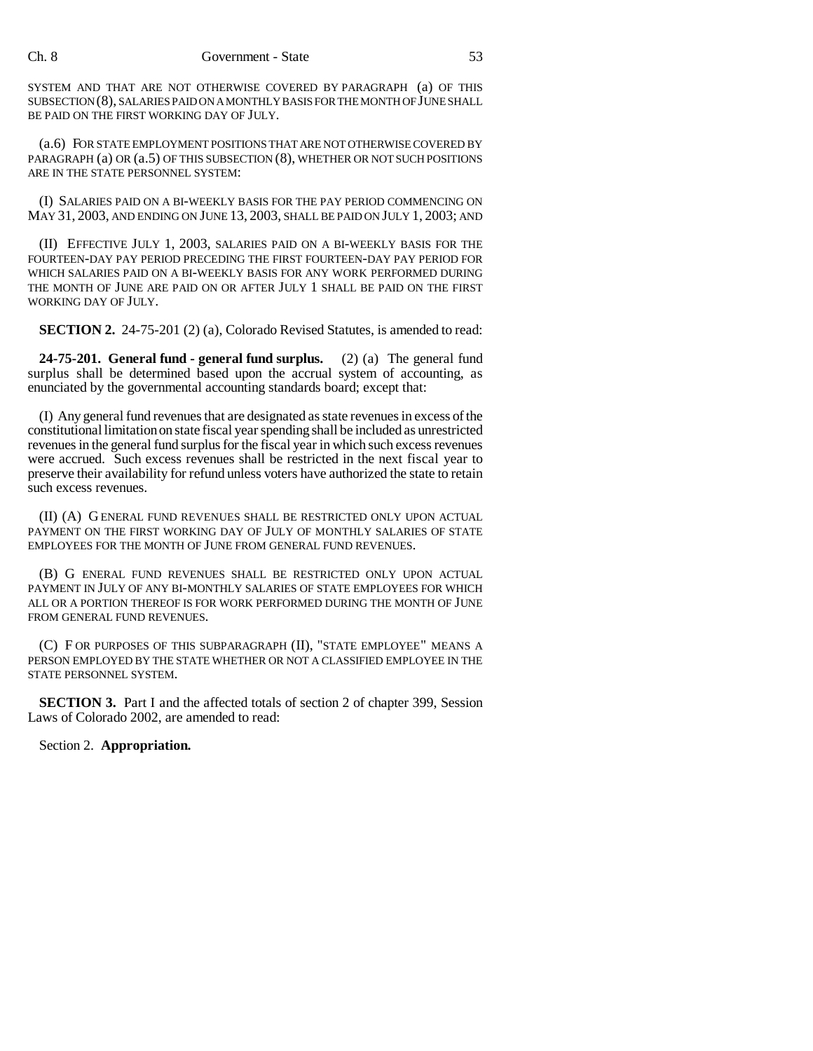SYSTEM AND THAT ARE NOT OTHERWISE COVERED BY PARAGRAPH (a) OF THIS SUBSECTION (8), SALARIES PAID ON A MONTHLY BASIS FOR THE MONTH OF JUNE SHALL BE PAID ON THE FIRST WORKING DAY OF JULY.

(a.6) FOR STATE EMPLOYMENT POSITIONS THAT ARE NOT OTHERWISE COVERED BY PARAGRAPH (a) OR (a.5) OF THIS SUBSECTION (8), WHETHER OR NOT SUCH POSITIONS ARE IN THE STATE PERSONNEL SYSTEM:

(I) SALARIES PAID ON A BI-WEEKLY BASIS FOR THE PAY PERIOD COMMENCING ON MAY 31, 2003, AND ENDING ON JUNE 13, 2003, SHALL BE PAID ON JULY 1, 2003; AND

(II) EFFECTIVE JULY 1, 2003, SALARIES PAID ON A BI-WEEKLY BASIS FOR THE FOURTEEN-DAY PAY PERIOD PRECEDING THE FIRST FOURTEEN-DAY PAY PERIOD FOR WHICH SALARIES PAID ON A BI-WEEKLY BASIS FOR ANY WORK PERFORMED DURING THE MONTH OF JUNE ARE PAID ON OR AFTER JULY 1 SHALL BE PAID ON THE FIRST WORKING DAY OF JULY.

**SECTION 2.** 24-75-201 (2) (a), Colorado Revised Statutes, is amended to read:

**24-75-201. General fund - general fund surplus.** (2) (a) The general fund surplus shall be determined based upon the accrual system of accounting, as enunciated by the governmental accounting standards board; except that:

(I) Any general fund revenues that are designated as state revenues in excess of the constitutional limitation on state fiscal year spending shall be included as unrestricted revenues in the general fund surplus for the fiscal year in which such excess revenues were accrued. Such excess revenues shall be restricted in the next fiscal year to preserve their availability for refund unless voters have authorized the state to retain such excess revenues.

(II) (A) GENERAL FUND REVENUES SHALL BE RESTRICTED ONLY UPON ACTUAL PAYMENT ON THE FIRST WORKING DAY OF JULY OF MONTHLY SALARIES OF STATE EMPLOYEES FOR THE MONTH OF JUNE FROM GENERAL FUND REVENUES.

(B) G ENERAL FUND REVENUES SHALL BE RESTRICTED ONLY UPON ACTUAL PAYMENT IN JULY OF ANY BI-MONTHLY SALARIES OF STATE EMPLOYEES FOR WHICH ALL OR A PORTION THEREOF IS FOR WORK PERFORMED DURING THE MONTH OF JUNE FROM GENERAL FUND REVENUES.

(C) F OR PURPOSES OF THIS SUBPARAGRAPH (II), "STATE EMPLOYEE" MEANS A PERSON EMPLOYED BY THE STATE WHETHER OR NOT A CLASSIFIED EMPLOYEE IN THE STATE PERSONNEL SYSTEM.

**SECTION 3.** Part I and the affected totals of section 2 of chapter 399, Session Laws of Colorado 2002, are amended to read:

Section 2. **Appropriation.**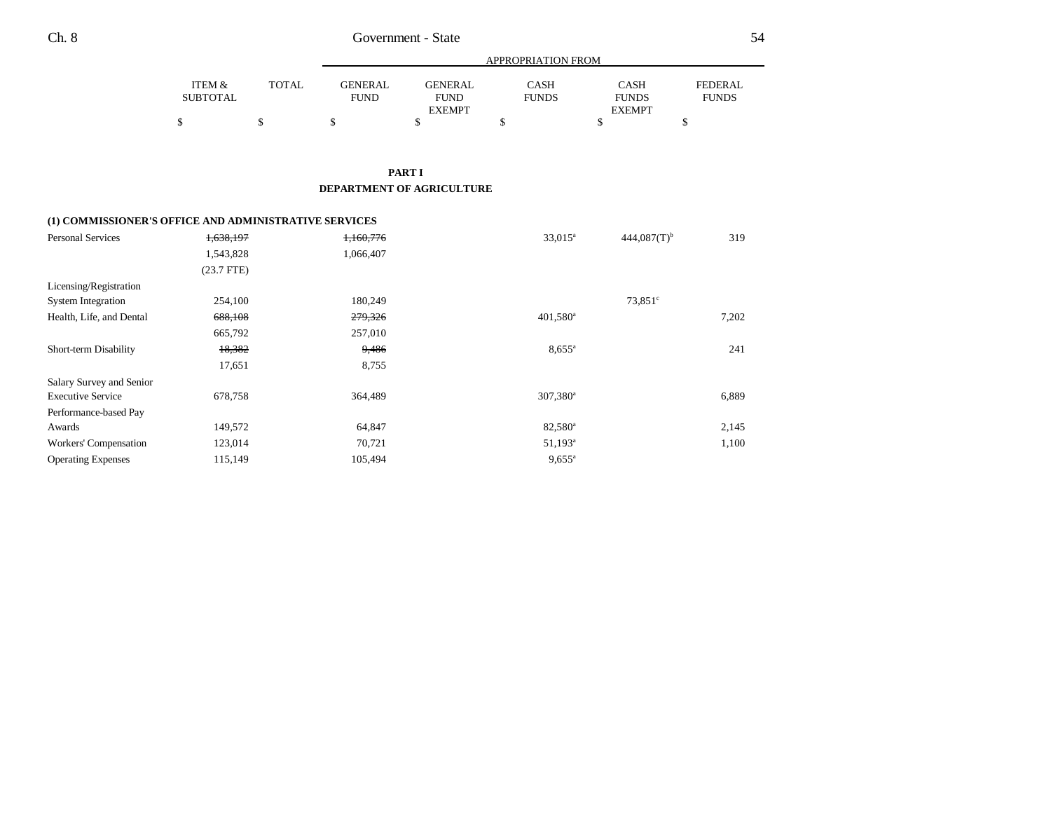|          | APPROPRIATION FROM |             |                |              |               |                |  |  |
|----------|--------------------|-------------|----------------|--------------|---------------|----------------|--|--|
| ITEM &   | TOTAL              | GENERAL     | <b>GENERAL</b> | <b>CASH</b>  | <b>CASH</b>   | <b>FEDERAL</b> |  |  |
| SUBTOTAL |                    | <b>FUND</b> | <b>FUND</b>    | <b>FUNDS</b> | <b>FUNDS</b>  | <b>FUNDS</b>   |  |  |
|          |                    |             | <b>EXEMPT</b>  |              | <b>EXEMPT</b> |                |  |  |
|          |                    |             |                |              |               |                |  |  |

**PART I DEPARTMENT OF AGRICULTURE**

## **(1) COMMISSIONER'S OFFICE AND ADMINISTRATIVE SERVICES**

| <b>Personal Services</b>  | 1,638,197    | 1,160,776 | $33,015^{\rm a}$    | $444,087(T)$ <sup>b</sup> | 319   |
|---------------------------|--------------|-----------|---------------------|---------------------------|-------|
|                           | 1,543,828    | 1,066,407 |                     |                           |       |
|                           | $(23.7$ FTE) |           |                     |                           |       |
| Licensing/Registration    |              |           |                     |                           |       |
| <b>System Integration</b> | 254,100      | 180,249   |                     | $73.851^{\circ}$          |       |
| Health, Life, and Dental  | 688,108      | 279,326   | $401,580^{\circ}$   |                           | 7,202 |
|                           | 665,792      | 257,010   |                     |                           |       |
| Short-term Disability     | 18,382       | 9,486     | $8,655^{\circ}$     |                           | 241   |
|                           | 17,651       | 8,755     |                     |                           |       |
| Salary Survey and Senior  |              |           |                     |                           |       |
| <b>Executive Service</b>  | 678,758      | 364,489   | $307,380^{\circ}$   |                           | 6,889 |
| Performance-based Pay     |              |           |                     |                           |       |
| Awards                    | 149,572      | 64,847    | 82,580 <sup>a</sup> |                           | 2,145 |
| Workers' Compensation     | 123,014      | 70,721    | $51,193^{\rm a}$    |                           | 1,100 |
| <b>Operating Expenses</b> | 115,149      | 105,494   | $9,655^{\circ}$     |                           |       |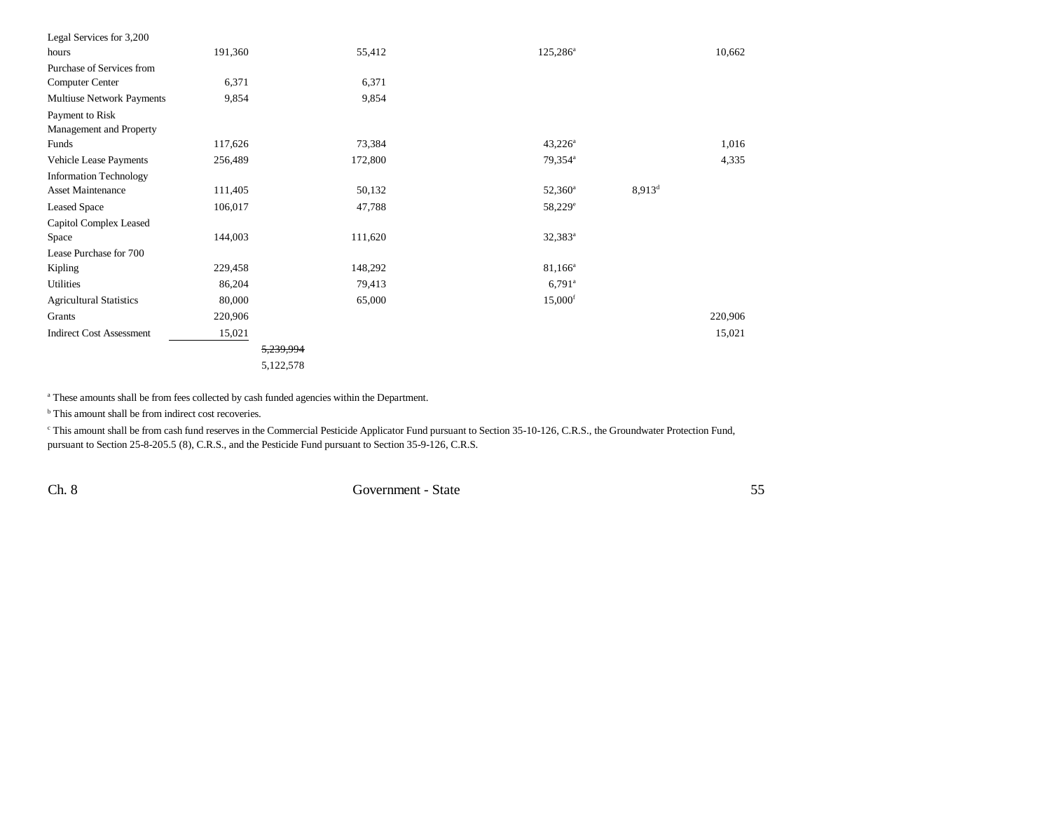| Legal Services for 3,200        |           |         |                       |           |         |
|---------------------------------|-----------|---------|-----------------------|-----------|---------|
| hours                           | 191,360   | 55,412  | $125,286^{\circ}$     |           | 10,662  |
| Purchase of Services from       |           |         |                       |           |         |
| Computer Center                 | 6,371     | 6,371   |                       |           |         |
| Multiuse Network Payments       | 9,854     | 9,854   |                       |           |         |
| Payment to Risk                 |           |         |                       |           |         |
| Management and Property         |           |         |                       |           |         |
| Funds                           | 117,626   | 73,384  | $43,226^a$            |           | 1,016   |
| Vehicle Lease Payments          | 256,489   | 172,800 | 79,354 <sup>a</sup>   |           | 4,335   |
| <b>Information Technology</b>   |           |         |                       |           |         |
| <b>Asset Maintenance</b>        | 111,405   | 50,132  | $52,360^{\circ}$      | $8,913^d$ |         |
| <b>Leased Space</b>             | 106,017   | 47,788  | 58,229 <sup>e</sup>   |           |         |
| Capitol Complex Leased          |           |         |                       |           |         |
| Space                           | 144,003   | 111,620 | $32,383^a$            |           |         |
| Lease Purchase for 700          |           |         |                       |           |         |
| Kipling                         | 229,458   | 148,292 | $81,166^a$            |           |         |
| Utilities                       | 86,204    | 79,413  | $6,791$ <sup>a</sup>  |           |         |
| <b>Agricultural Statistics</b>  | 80,000    | 65,000  | $15,000$ <sup>f</sup> |           |         |
| Grants                          | 220,906   |         |                       |           | 220,906 |
| <b>Indirect Cost Assessment</b> | 15,021    |         |                       |           | 15,021  |
|                                 | 5,239,994 |         |                       |           |         |
|                                 | 5,122,578 |         |                       |           |         |

<sup>a</sup> These amounts shall be from fees collected by cash funded agencies within the Department.

<sup>b</sup> This amount shall be from indirect cost recoveries.

<sup>c</sup> This amount shall be from cash fund reserves in the Commercial Pesticide Applicator Fund pursuant to Section 35-10-126, C.R.S., the Groundwater Protection Fund, pursuant to Section 25-8-205.5 (8), C.R.S., and the Pesticide Fund pursuant to Section 35-9-126, C.R.S.

Ch. 8 Government - State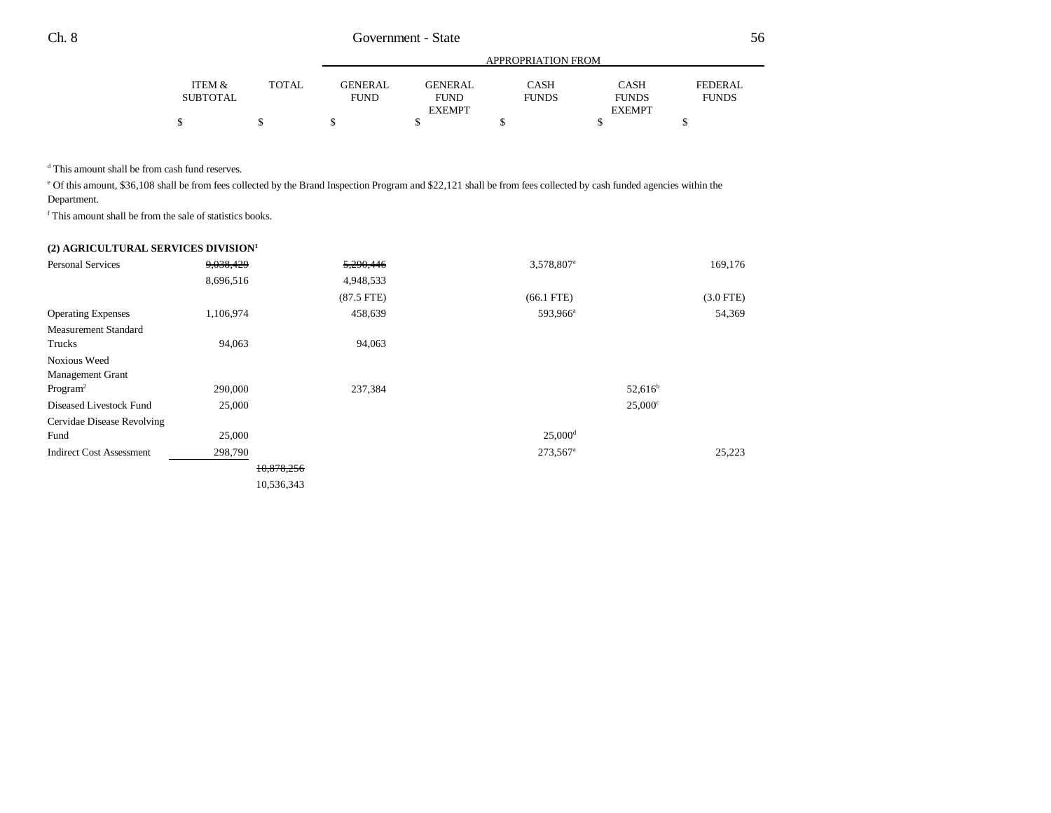|          |              | APPROPRIATION FROM |                              |              |                               |              |  |  |  |
|----------|--------------|--------------------|------------------------------|--------------|-------------------------------|--------------|--|--|--|
| ITEM &   | <b>TOTAL</b> | <b>GENERAL</b>     | <b>GENERAL</b>               | CASH         | <b>CASH</b>                   | FEDERAL      |  |  |  |
| SUBTOTAL |              | <b>FUND</b>        | <b>FUND</b><br><b>EXEMPT</b> | <b>FUNDS</b> | <b>FUNDS</b><br><b>EXEMPT</b> | <b>FUNDS</b> |  |  |  |
|          |              |                    |                              |              |                               |              |  |  |  |

d This amount shall be from cash fund reserves.

e Of this amount, \$36,108 shall be from fees collected by the Brand Inspection Program and \$22,121 shall be from fees collected by cash funded agencies within the Department.

f This amount shall be from the sale of statistics books.

## **(2) AGRICULTURAL SERVICES DIVISION<sup>1</sup>**

| <b>Personal Services</b>        | 9,038,429  | 5,290,446    | 3,578,807 <sup>a</sup> | 169,176        |
|---------------------------------|------------|--------------|------------------------|----------------|
|                                 | 8,696,516  | 4,948,533    |                        |                |
|                                 |            | $(87.5$ FTE) | $(66.1$ FTE)           | $(3.0$ FTE)    |
| <b>Operating Expenses</b>       | 1,106,974  | 458,639      | 593,966 <sup>a</sup>   | 54,369         |
| <b>Measurement Standard</b>     |            |              |                        |                |
| Trucks                          | 94,063     | 94,063       |                        |                |
| <b>Noxious Weed</b>             |            |              |                        |                |
| Management Grant                |            |              |                        |                |
| Program <sup>2</sup>            | 290,000    | 237,384      |                        | $52,616^b$     |
| Diseased Livestock Fund         | 25,000     |              |                        | $25,000^\circ$ |
| Cervidae Disease Revolving      |            |              |                        |                |
| Fund                            | 25,000     |              | $25,000^{\rm d}$       |                |
| <b>Indirect Cost Assessment</b> | 298,790    |              | 273,567 <sup>a</sup>   | 25,223         |
|                                 | 10,878,256 |              |                        |                |
|                                 | 10,536,343 |              |                        |                |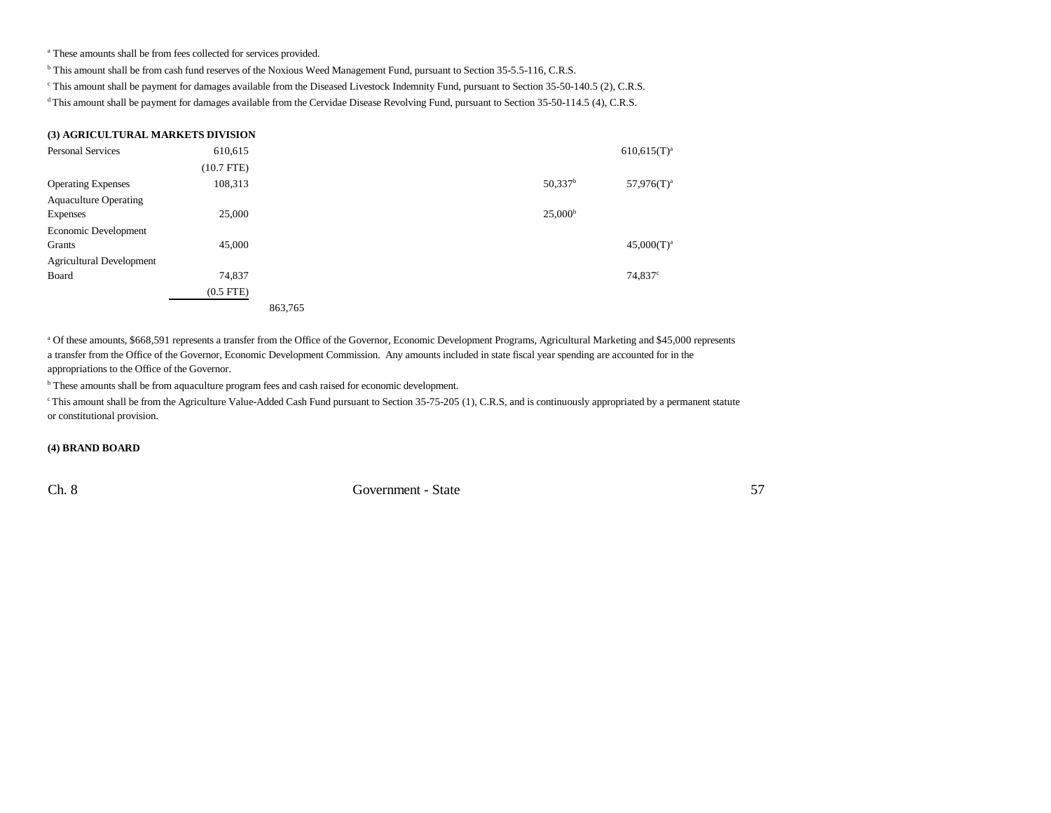a These amounts shall be from fees collected for services provided.

b This amount shall be from cash fund reserves of the Noxious Weed Management Fund, pursuant to Section 35-5.5-116, C.R.S.

c This amount shall be payment for damages available from the Diseased Livestock Indemnity Fund, pursuant to Section 35-50-140.5 (2), C.R.S.

<sup>d</sup> This amount shall be payment for damages available from the Cervidae Disease Revolving Fund, pursuant to Section 35-50-114.5 (4), C.R.S.

## **(3) AGRICULTURAL MARKETS DIVISION**

| <b>Personal Services</b>        | 610,615        |         |  |                       | $610,615(T)^a$  |
|---------------------------------|----------------|---------|--|-----------------------|-----------------|
|                                 | $(10.7$ FTE)   |         |  |                       |                 |
| <b>Operating Expenses</b>       | 108,313        |         |  | $50,337$ <sup>b</sup> | $57,976(T)^a$   |
| <b>Aquaculture Operating</b>    |                |         |  |                       |                 |
| <b>Expenses</b>                 | 25,000         |         |  | $25,000^{\rm b}$      |                 |
| Economic Development            |                |         |  |                       |                 |
| Grants                          | 45,000         |         |  |                       | $45,000(T)^{a}$ |
| <b>Agricultural Development</b> |                |         |  |                       |                 |
| Board                           | 74,837         |         |  |                       | $74,837^c$      |
|                                 | $(0.5$ FTE $)$ |         |  |                       |                 |
|                                 |                | 863,765 |  |                       |                 |

a Of these amounts, \$668,591 represents a transfer from the Office of the Governor, Economic Development Programs, Agricultural Marketing and \$45,000 represents a transfer from the Office of the Governor, Economic Development Commission. Any amounts included in state fiscal year spending are accounted for in the appropriations to the Office of the Governor.

**b** These amounts shall be from aquaculture program fees and cash raised for economic development.

<sup>c</sup> This amount shall be from the Agriculture Value-Added Cash Fund pursuant to Section 35-75-205 (1), C.R.S, and is continuously appropriated by a permanent statute or constitutional provision.

#### **(4) BRAND BOARD**

Ch. 8 Government - State 57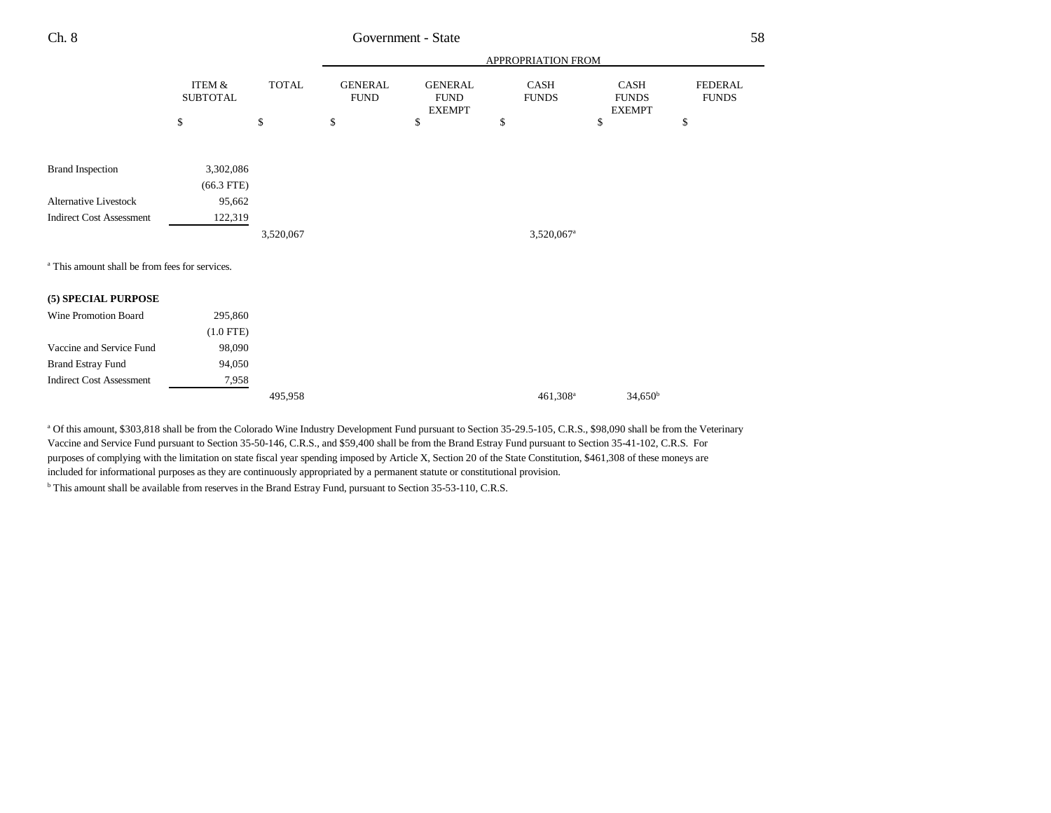# Government - State

|                                                           |                           |              | APPROPRIATION FROM            |                                                |                             |                                              |                                |  |
|-----------------------------------------------------------|---------------------------|--------------|-------------------------------|------------------------------------------------|-----------------------------|----------------------------------------------|--------------------------------|--|
|                                                           | ITEM &<br><b>SUBTOTAL</b> | <b>TOTAL</b> | <b>GENERAL</b><br><b>FUND</b> | <b>GENERAL</b><br><b>FUND</b><br><b>EXEMPT</b> | <b>CASH</b><br><b>FUNDS</b> | <b>CASH</b><br><b>FUNDS</b><br><b>EXEMPT</b> | <b>FEDERAL</b><br><b>FUNDS</b> |  |
|                                                           | \$                        | \$           | $\mathbb{S}$                  | \$                                             | \$                          | \$                                           | \$                             |  |
| <b>Brand Inspection</b>                                   | 3,302,086                 |              |                               |                                                |                             |                                              |                                |  |
|                                                           | $(66.3$ FTE)              |              |                               |                                                |                             |                                              |                                |  |
| <b>Alternative Livestock</b>                              | 95,662                    |              |                               |                                                |                             |                                              |                                |  |
| <b>Indirect Cost Assessment</b>                           | 122,319                   |              |                               |                                                |                             |                                              |                                |  |
|                                                           |                           | 3,520,067    |                               |                                                | 3,520,067 <sup>a</sup>      |                                              |                                |  |
| <sup>a</sup> This amount shall be from fees for services. |                           |              |                               |                                                |                             |                                              |                                |  |
| (5) SPECIAL PURPOSE                                       |                           |              |                               |                                                |                             |                                              |                                |  |
| Wine Promotion Board                                      | 295,860                   |              |                               |                                                |                             |                                              |                                |  |
|                                                           | $(1.0$ FTE)               |              |                               |                                                |                             |                                              |                                |  |
| Vaccine and Service Fund                                  | 98,090                    |              |                               |                                                |                             |                                              |                                |  |
| <b>Brand Estray Fund</b>                                  | 94,050                    |              |                               |                                                |                             |                                              |                                |  |
| <b>Indirect Cost Assessment</b>                           | 7,958                     |              |                               |                                                |                             |                                              |                                |  |
|                                                           |                           | 495,958      |                               |                                                | 461,308 <sup>a</sup>        | $34,650^{\rm b}$                             |                                |  |

a Of this amount, \$303,818 shall be from the Colorado Wine Industry Development Fund pursuant to Section 35-29.5-105, C.R.S., \$98,090 shall be from the Veterinary Vaccine and Service Fund pursuant to Section 35-50-146, C.R.S., and \$59,400 shall be from the Brand Estray Fund pursuant to Section 35-41-102, C.R.S. For purposes of complying with the limitation on state fiscal year spending imposed by Article X, Section 20 of the State Constitution, \$461,308 of these moneys are included for informational purposes as they are continuously appropriated by a permanent statute or constitutional provision.

b This amount shall be available from reserves in the Brand Estray Fund, pursuant to Section 35-53-110, C.R.S.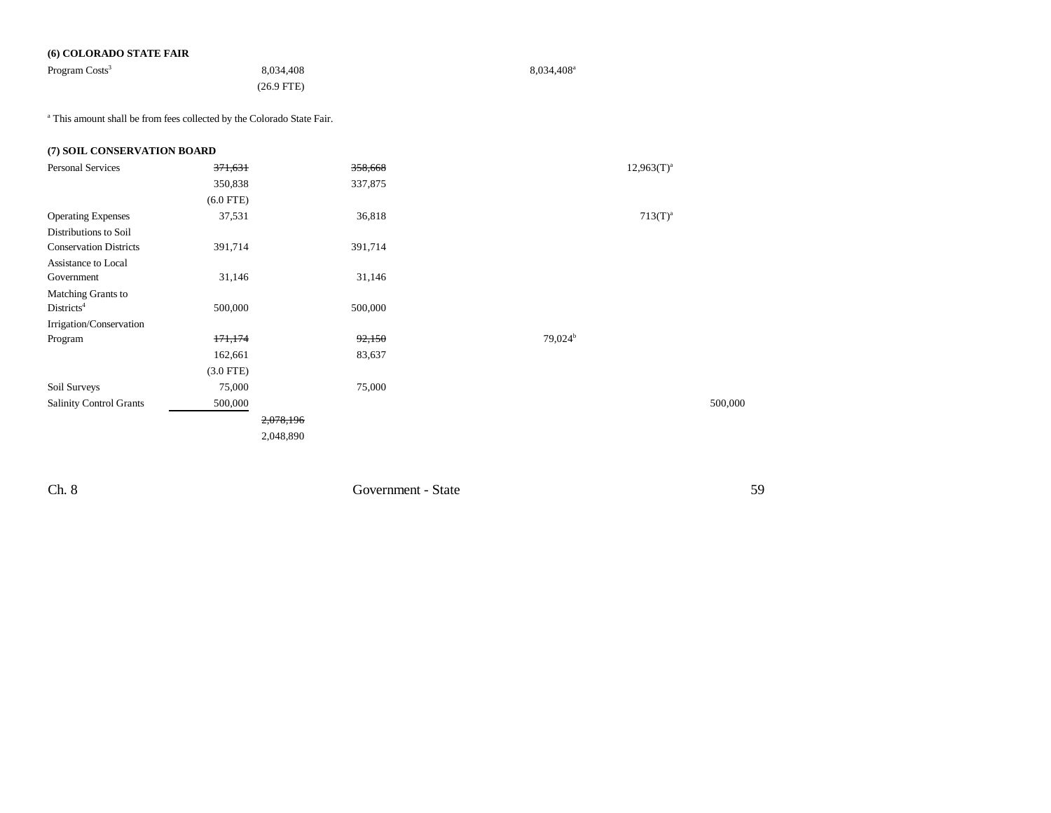## **(6) COLORADO STATE FAIR**

| Program Costs <sup>3</sup> | 8.034.408    | $8,034,408$ <sup>a</sup> |
|----------------------------|--------------|--------------------------|
|                            | $(26.9$ FTE) |                          |

a This amount shall be from fees collected by the Colorado State Fair.

| (7) SOIL CONSERVATION BOARD    |                    |           |        |                     |                 |         |
|--------------------------------|--------------------|-----------|--------|---------------------|-----------------|---------|
| <b>Personal Services</b>       | <del>371,631</del> | 358,668   |        |                     | $12,963(T)^{a}$ |         |
|                                | 350,838            | 337,875   |        |                     |                 |         |
|                                | $(6.0$ FTE)        |           |        |                     |                 |         |
| <b>Operating Expenses</b>      | 37,531             |           | 36,818 |                     | $713(T)^{a}$    |         |
| Distributions to Soil          |                    |           |        |                     |                 |         |
| <b>Conservation Districts</b>  | 391,714            | 391,714   |        |                     |                 |         |
| Assistance to Local            |                    |           |        |                     |                 |         |
| Government                     | 31,146             |           | 31,146 |                     |                 |         |
| Matching Grants to             |                    |           |        |                     |                 |         |
| Distributions <sup>4</sup>     | 500,000            | 500,000   |        |                     |                 |         |
| Irrigation/Conservation        |                    |           |        |                     |                 |         |
| Program                        | 171,174            |           | 92,150 | 79,024 <sup>b</sup> |                 |         |
|                                | 162,661            |           | 83,637 |                     |                 |         |
|                                | $(3.0$ FTE)        |           |        |                     |                 |         |
| Soil Surveys                   | 75,000             |           | 75,000 |                     |                 |         |
| <b>Salinity Control Grants</b> | 500,000            |           |        |                     |                 | 500,000 |
|                                |                    | 2,078,196 |        |                     |                 |         |
|                                |                    | 2,048,890 |        |                     |                 |         |
|                                |                    |           |        |                     |                 |         |

Ch. 8 Government - State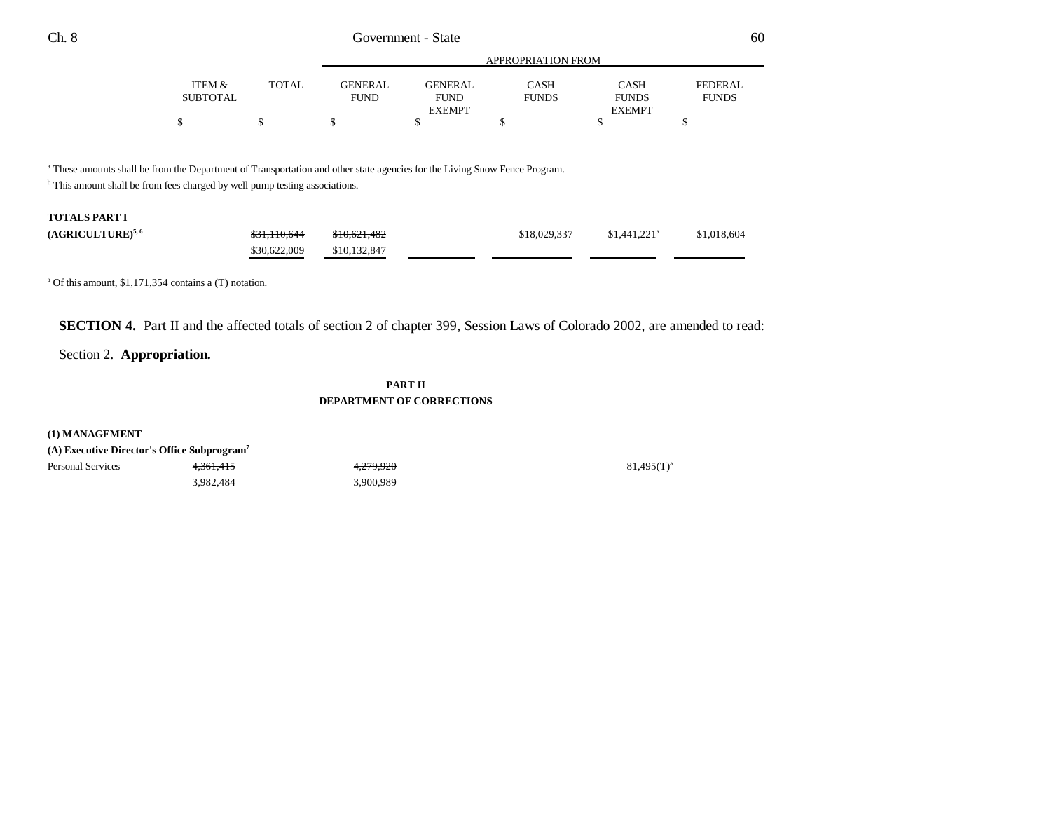|                 | APPROPRIATION FROM |                |                |              |               |              |  |  |  |  |
|-----------------|--------------------|----------------|----------------|--------------|---------------|--------------|--|--|--|--|
| ITEM &          | <b>TOTAL</b>       | <b>GENERAL</b> | <b>GENERAL</b> | CASH         | <b>CASH</b>   | FEDERAL      |  |  |  |  |
| <b>SUBTOTAL</b> |                    | <b>FUND</b>    | <b>FUND</b>    | <b>FUNDS</b> | <b>FUNDS</b>  | <b>FUNDS</b> |  |  |  |  |
|                 |                    |                | <b>EXEMPT</b>  |              | <b>EXEMPT</b> |              |  |  |  |  |
|                 |                    |                |                |              |               |              |  |  |  |  |

a These amounts shall be from the Department of Transportation and other state agencies for the Living Snow Fence Program.

<sup>b</sup> This amount shall be from fees charged by well pump testing associations.

# **TOTALS PART I**

| (AGRICULTURE) <sup>5,6</sup> | \$31,110,644 | \$10,621,482 | \$18,029,337 | $$1.441.221$ <sup>a</sup> | \$1,018,604 |
|------------------------------|--------------|--------------|--------------|---------------------------|-------------|
|                              | \$30,622,009 | \$10,132,847 |              |                           |             |

a Of this amount, \$1,171,354 contains a (T) notation.

**SECTION 4.** Part II and the affected totals of section 2 of chapter 399, Session Laws of Colorado 2002, are amended to read:

# Section 2. **Appropriation.**

## **PART IIDEPARTMENT OF CORRECTIONS**

**(1) MANAGEMENT (A) Executive Director's Office Subprogram7**

| (A) Executive Director's Office Subprogram' |           |           |               |
|---------------------------------------------|-----------|-----------|---------------|
| Personal Services                           | 4.361.415 | 4.279.920 | $81,495(T)^3$ |
|                                             | 3,982,484 | 3,900,989 |               |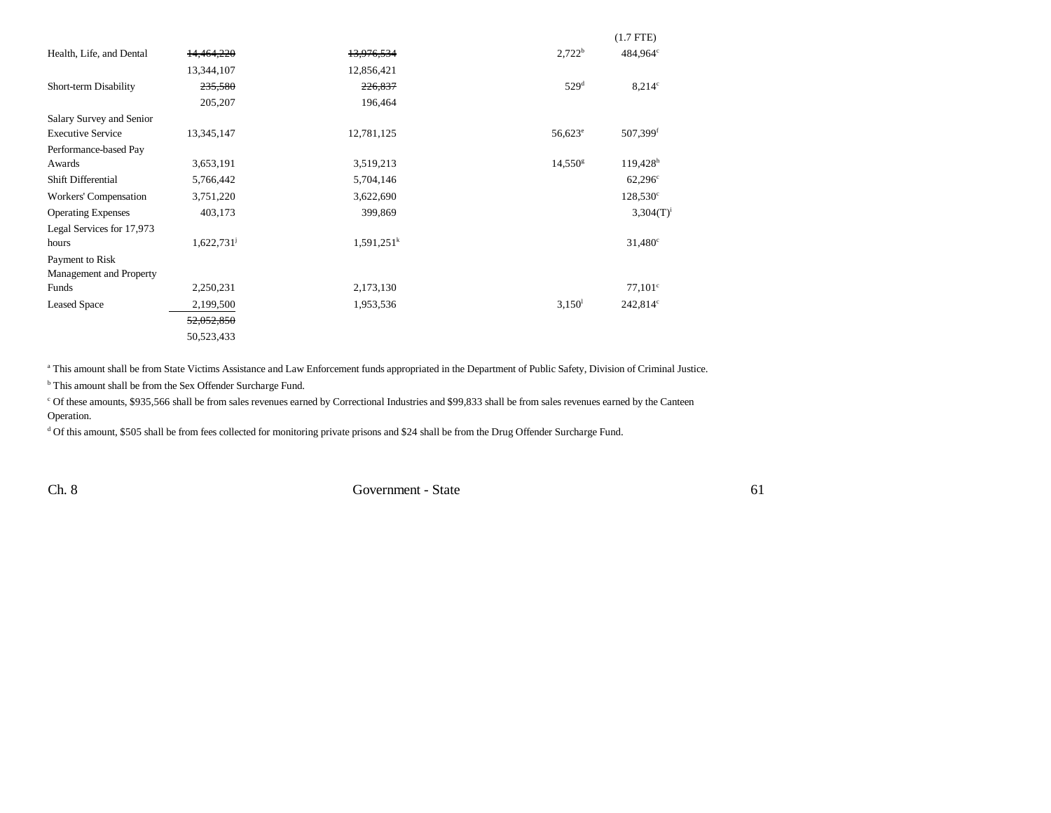|                           |                          |               |                    | $(1.7$ FTE)            |
|---------------------------|--------------------------|---------------|--------------------|------------------------|
| Health, Life, and Dental  | 14,464,220               | 13,976,534    | $2,722^b$          | 484,964°               |
|                           | 13,344,107               | 12,856,421    |                    |                        |
| Short-term Disability     | 235,580                  | 226,837       | 529 <sup>d</sup>   | $8,214$ °              |
|                           | 205,207                  | 196,464       |                    |                        |
| Salary Survey and Senior  |                          |               |                    |                        |
| <b>Executive Service</b>  | 13,345,147               | 12,781,125    | $56,623^e$         | 507,399 <sup>f</sup>   |
| Performance-based Pay     |                          |               |                    |                        |
| Awards                    | 3,653,191                | 3,519,213     | $14,550^{\rm g}$   | $119,428$ <sup>h</sup> |
| <b>Shift Differential</b> | 5,766,442                | 5,704,146     |                    | $62,296^{\circ}$       |
| Workers' Compensation     | 3,751,220                | 3,622,690     |                    | $128,530^{\circ}$      |
| <b>Operating Expenses</b> | 403,173                  | 399,869       |                    | $3,304(T)^{i}$         |
| Legal Services for 17,973 |                          |               |                    |                        |
| hours                     | $1,622,731$ <sup>j</sup> | $1,591,251^k$ |                    | $31,480^{\circ}$       |
| Payment to Risk           |                          |               |                    |                        |
| Management and Property   |                          |               |                    |                        |
| Funds                     | 2,250,231                | 2,173,130     |                    | $77,101^{\circ}$       |
| <b>Leased Space</b>       | 2,199,500                | 1,953,536     | 3,150 <sup>1</sup> | $242,814^{\circ}$      |
|                           | 52,052,850               |               |                    |                        |
|                           | 50,523,433               |               |                    |                        |

<sup>a</sup> This amount shall be from State Victims Assistance and Law Enforcement funds appropriated in the Department of Public Safety, Division of Criminal Justice.

b This amount shall be from the Sex Offender Surcharge Fund.

c Of these amounts, \$935,566 shall be from sales revenues earned by Correctional Industries and \$99,833 shall be from sales revenues earned by the Canteen Operation.

<sup>d</sup> Of this amount, \$505 shall be from fees collected for monitoring private prisons and \$24 shall be from the Drug Offender Surcharge Fund.

Ch. 8 Government - State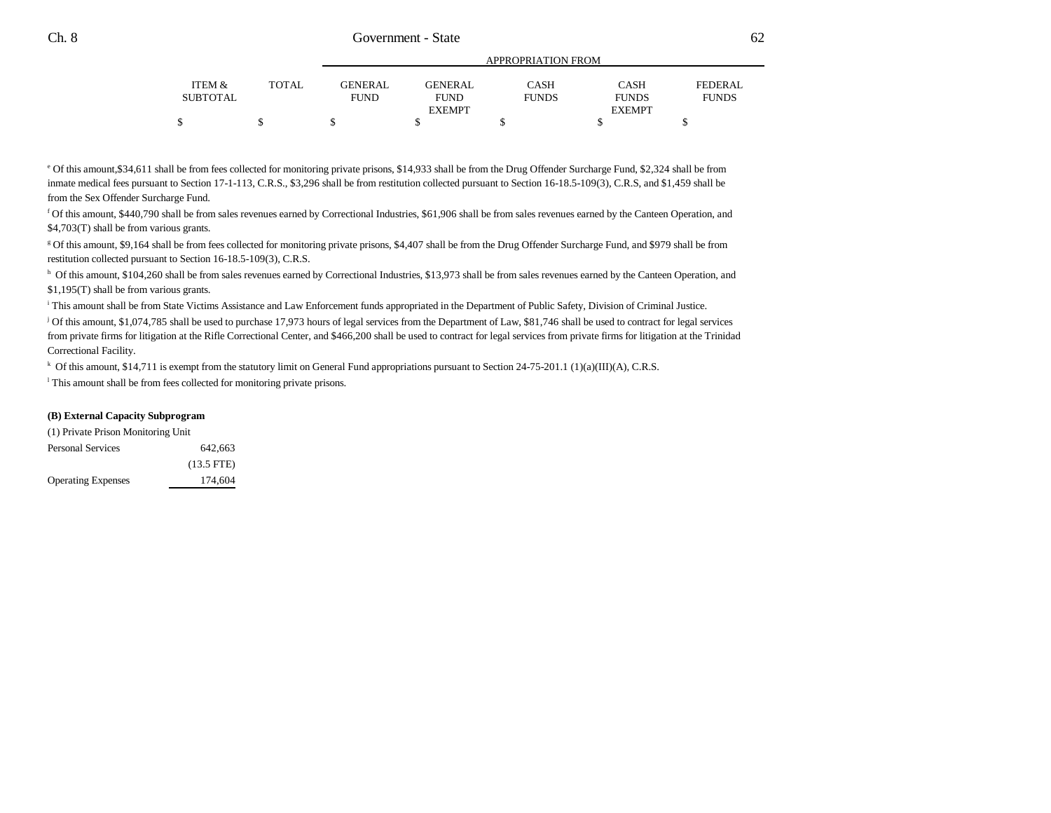|          |       |                |                | APPROPRIATION FROM |               |              |
|----------|-------|----------------|----------------|--------------------|---------------|--------------|
| ITEM &   | TOTAL | <b>GENERAL</b> | <b>GENERAL</b> | CASH               | <b>CASH</b>   | FEDERAL      |
| SUBTOTAL |       | <b>FUND</b>    | <b>FUND</b>    | <b>FUNDS</b>       | <b>FUNDS</b>  | <b>FUNDS</b> |
|          |       |                | <b>EXEMPT</b>  |                    | <b>EXEMPT</b> |              |
|          |       |                |                |                    |               |              |

APPROPRIATION FROM

e Of this amount,\$34,611 shall be from fees collected for monitoring private prisons, \$14,933 shall be from the Drug Offender Surcharge Fund, \$2,324 shall be from inmate medical fees pursuant to Section 17-1-113, C.R.S., \$3,296 shall be from restitution collected pursuant to Section 16-18.5-109(3), C.R.S, and \$1,459 shall be from the Sex Offender Surcharge Fund.

f Of this amount, \$440,790 shall be from sales revenues earned by Correctional Industries, \$61,906 shall be from sales revenues earned by the Canteen Operation, and \$4,703(T) shall be from various grants.

g Of this amount, \$9,164 shall be from fees collected for monitoring private prisons, \$4,407 shall be from the Drug Offender Surcharge Fund, and \$979 shall be from restitution collected pursuant to Section 16-18.5-109(3), C.R.S.

h Of this amount, \$104,260 shall be from sales revenues earned by Correctional Industries, \$13,973 shall be from sales revenues earned by the Canteen Operation, and \$1,195(T) shall be from various grants.

i This amount shall be from State Victims Assistance and Law Enforcement funds appropriated in the Department of Public Safety, Division of Criminal Justice.

j Of this amount, \$1,074,785 shall be used to purchase 17,973 hours of legal services from the Department of Law, \$81,746 shall be used to contract for legal services from private firms for litigation at the Rifle Correctional Center, and \$466,200 shall be used to contract for legal services from private firms for litigation at the Trinidad Correctional Facility.

k Of this amount, \$14,711 is exempt from the statutory limit on General Fund appropriations pursuant to Section 24-75-201.1 (1)(a)(III)(A), C.R.S.

l This amount shall be from fees collected for monitoring private prisons.

#### **(B) External Capacity Subprogram**

| (1) Private Prison Monitoring Unit |              |
|------------------------------------|--------------|
| <b>Personal Services</b>           | 642.663      |
|                                    | $(13.5$ FTE) |
| <b>Operating Expenses</b>          | 174,604      |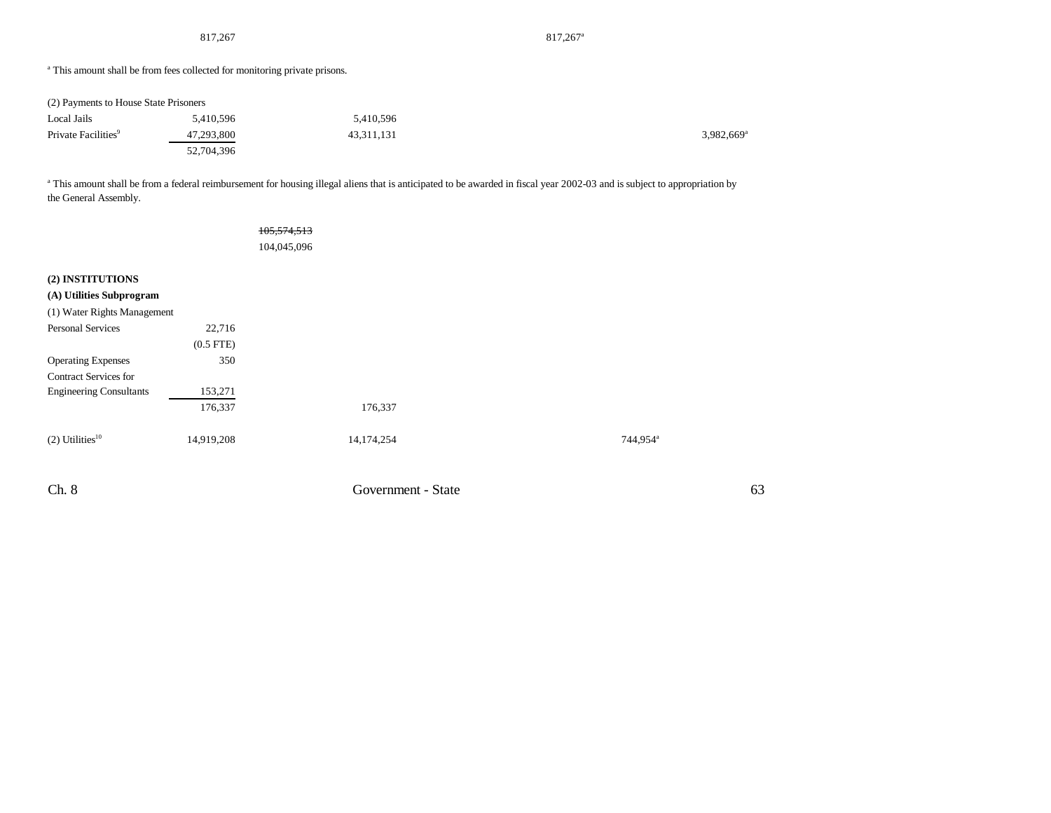817,267<sup>a</sup> 817,267<sup>a</sup>

<sup>a</sup> This amount shall be from fees collected for monitoring private prisons.

| (2) Payments to House State Prisoners |            |            |                          |
|---------------------------------------|------------|------------|--------------------------|
| Local Jails                           | 5.410.596  | 5.410.596  |                          |
| Private Facilities <sup>9</sup>       | 47,293,800 | 43.311.131 | $3,982,669$ <sup>a</sup> |
|                                       | 52,704,396 |            |                          |

<sup>a</sup> This amount shall be from a federal reimbursement for housing illegal aliens that is anticipated to be awarded in fiscal year 2002-03 and is subject to appropriation by the General Assembly.

|                                |                | 105, 574, 513 |                    |                      |
|--------------------------------|----------------|---------------|--------------------|----------------------|
|                                |                |               |                    |                      |
|                                |                | 104,045,096   |                    |                      |
|                                |                |               |                    |                      |
| (2) INSTITUTIONS               |                |               |                    |                      |
| (A) Utilities Subprogram       |                |               |                    |                      |
| (1) Water Rights Management    |                |               |                    |                      |
| Personal Services              | 22,716         |               |                    |                      |
|                                | $(0.5$ FTE $)$ |               |                    |                      |
| <b>Operating Expenses</b>      | 350            |               |                    |                      |
| <b>Contract Services for</b>   |                |               |                    |                      |
| <b>Engineering Consultants</b> | 153,271        |               |                    |                      |
|                                | 176,337        |               | 176,337            |                      |
| $(2)$ Utilities <sup>10</sup>  | 14,919,208     |               | 14,174,254         | 744,954 <sup>a</sup> |
| Ch. 8                          |                |               | Government - State | 63                   |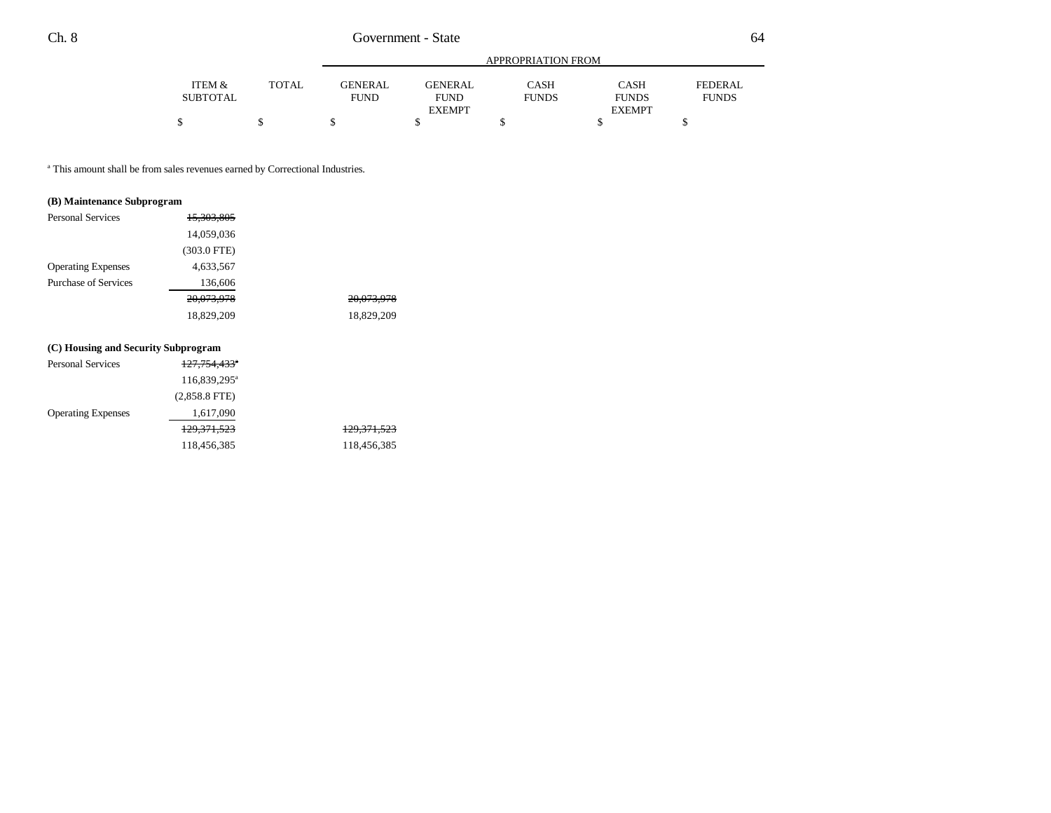|          |              |             |               | APPROPRIATION FROM |               |              |
|----------|--------------|-------------|---------------|--------------------|---------------|--------------|
| ITEM &   | <b>TOTAL</b> | GENERAL     | GENERAL       | CASH               | <b>CASH</b>   | FEDERAL      |
| SUBTOTAL |              | <b>FUND</b> | <b>FUND</b>   | <b>FUNDS</b>       | <b>FUNDS</b>  | <b>FUNDS</b> |
|          |              |             | <b>EXEMPT</b> |                    | <b>EXEMPT</b> |              |
|          |              |             |               |                    |               |              |

a This amount shall be from sales revenues earned by Correctional Industries.

## **(B) Maintenance Subprogram**

| <b>Personal Services</b>    | 15,303,805    |            |
|-----------------------------|---------------|------------|
|                             | 14,059,036    |            |
|                             | $(303.0$ FTE) |            |
| <b>Operating Expenses</b>   | 4,633,567     |            |
| <b>Purchase of Services</b> | 136,606       |            |
|                             | 20,073,978    | 20,073,978 |
|                             | 18,829,209    | 18,829,209 |

## **(C) Housing and Security Subprogram**

| <b>Personal Services</b>  | 127,754,433 <sup>°</sup> |                        |
|---------------------------|--------------------------|------------------------|
|                           | 116,839,295 <sup>a</sup> |                        |
|                           | $(2,858.8$ FTE)          |                        |
| <b>Operating Expenses</b> | 1,617,090                |                        |
|                           | <del>129,371,523</del>   | <del>129,371,523</del> |
|                           | 118,456,385              | 118,456,385            |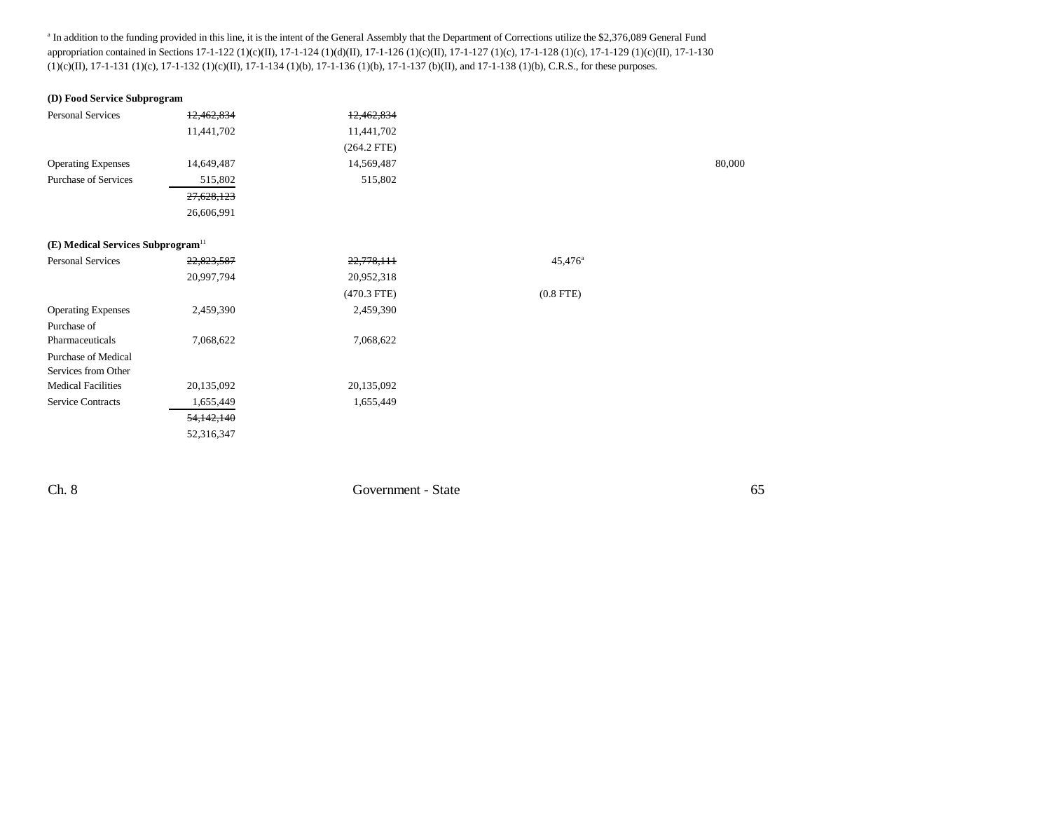<sup>a</sup> In addition to the funding provided in this line, it is the intent of the General Assembly that the Department of Corrections utilize the \$2,376,089 General Fund appropriation contained in Sections 17-1-122 (1)(c)(II), 17-1-124 (1)(d)(II), 17-1-126 (1)(c)(II), 17-1-127 (1)(c), 17-1-128 (1)(c), 17-1-129 (1)(c)(II), 17-1-130 (1)(c)(II), 17-1-131 (1)(c), 17-1-132 (1)(c)(II), 17-1-134 (1)(b), 17-1-136 (1)(b), 17-1-137 (b)(II), and 17-1-138 (1)(b), C.R.S., for these purposes.

## **(D) Food Service Subprogram**

| Personal Services                             | 12,462,834 | 12,462,834    |                  |        |
|-----------------------------------------------|------------|---------------|------------------|--------|
|                                               | 11,441,702 | 11,441,702    |                  |        |
|                                               |            | $(264.2$ FTE) |                  |        |
| <b>Operating Expenses</b>                     | 14,649,487 | 14,569,487    |                  | 80,000 |
| <b>Purchase of Services</b>                   | 515,802    | 515,802       |                  |        |
|                                               | 27,628,123 |               |                  |        |
|                                               | 26,606,991 |               |                  |        |
|                                               |            |               |                  |        |
| (E) Medical Services Subprogram <sup>11</sup> |            |               |                  |        |
| Personal Services                             | 22,823,587 | 22,778,111    | $45,476^{\circ}$ |        |
|                                               | 20,997,794 | 20,952,318    |                  |        |
|                                               |            | $(470.3$ FTE) | $(0.8$ FTE)      |        |
| <b>Operating Expenses</b>                     | 2,459,390  | 2,459,390     |                  |        |
| Purchase of                                   |            |               |                  |        |
| Pharmaceuticals                               | 7,068,622  | 7,068,622     |                  |        |
| Purchase of Medical                           |            |               |                  |        |
| Services from Other                           |            |               |                  |        |
| <b>Medical Facilities</b>                     | 20,135,092 | 20,135,092    |                  |        |
| <b>Service Contracts</b>                      | 1,655,449  | 1,655,449     |                  |        |
|                                               | 54,142,140 |               |                  |        |
|                                               | 52,316,347 |               |                  |        |

Ch. 8 Government - State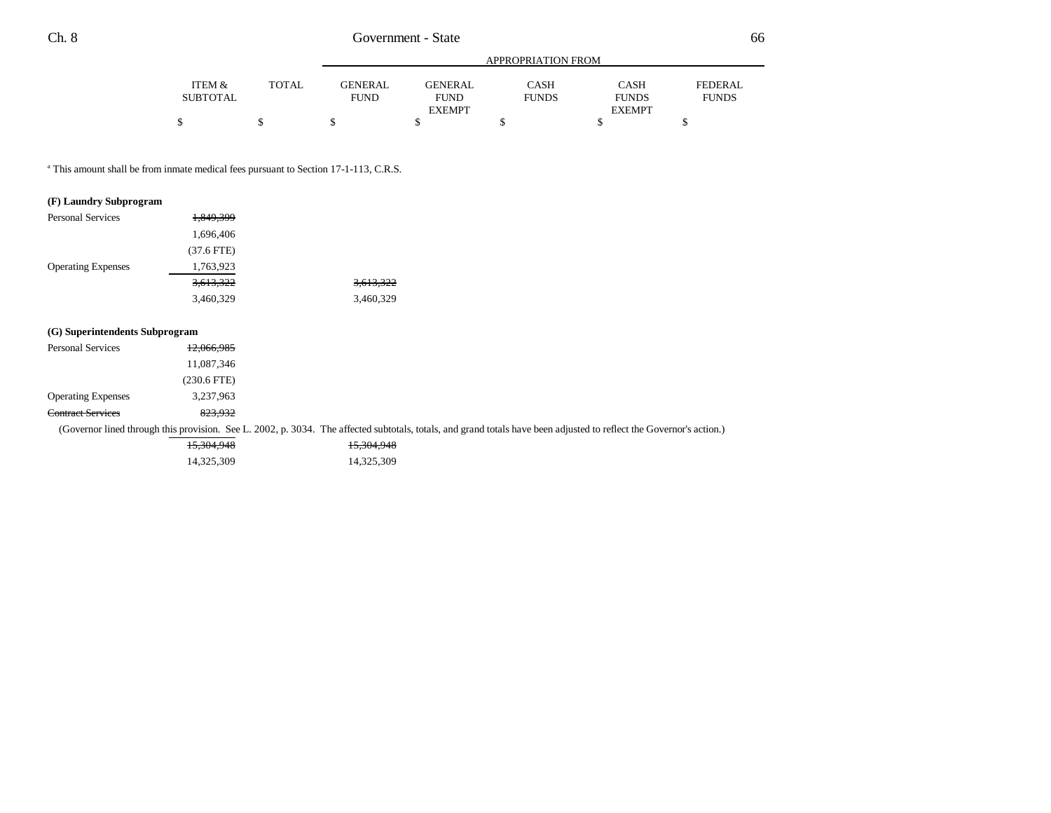|          |              |                |                | APPROPRIATION FROM |               |              |
|----------|--------------|----------------|----------------|--------------------|---------------|--------------|
| ITEM &   | <b>TOTAL</b> | <b>GENERAL</b> | <b>GENERAL</b> | CASH               | <b>CASH</b>   | FEDERAL      |
| SUBTOTAL |              | <b>FUND</b>    | <b>FUND</b>    | <b>FUNDS</b>       | <b>FUNDS</b>  | <b>FUNDS</b> |
|          |              |                | <b>EXEMPT</b>  |                    | <b>EXEMPT</b> |              |
|          |              |                |                |                    |               |              |

<sup>a</sup> This amount shall be from inmate medical fees pursuant to Section 17-1-113, C.R.S.

#### **(F) Laundry Subprogram**

| <b>Personal Services</b>  | 1,849,399    |           |
|---------------------------|--------------|-----------|
|                           | 1,696,406    |           |
|                           | $(37.6$ FTE) |           |
| <b>Operating Expenses</b> | 1,763,923    |           |
|                           | 3,613,322    | 3,613,322 |
|                           | 3,460,329    | 3,460,329 |
|                           |              |           |

## **(G) Superintendents Subprogram** Personal Services 12,066,985 11,087,346 (230.6 FTE) Operating Expenses 3,237,963 Contract Services 823,932 (Governor lined through this provision. See L. 2002, p. 3034. The affected subtotals, totals, and grand totals have been adjusted to reflect the Governor's action.) 15,304,948 15,304,948

14,325,309 14,325,309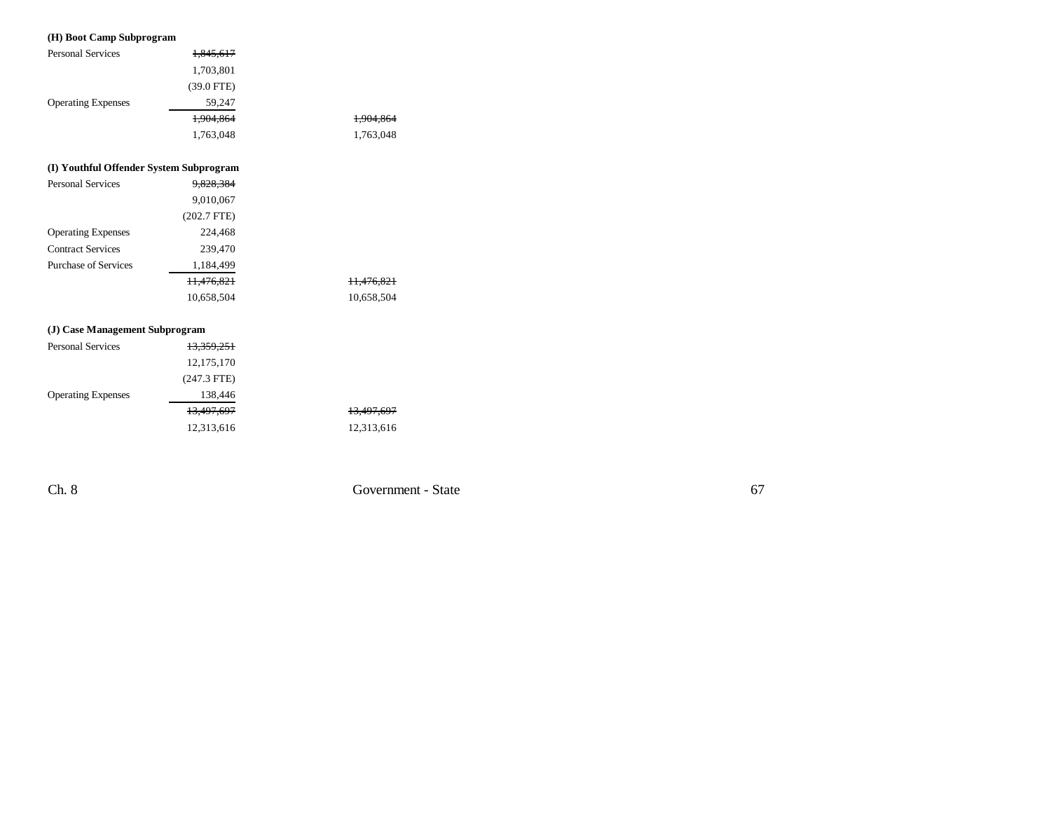## **(H) Boot Camp Subprogram**

| <b>Personal Services</b>                | <del>1,845,617</del>  |  |
|-----------------------------------------|-----------------------|--|
|                                         | 1,703,801             |  |
|                                         | $(39.0$ FTE)          |  |
| <b>Operating Expenses</b>               | 59,247                |  |
|                                         | 1,904,864             |  |
|                                         | 1,763,048             |  |
|                                         |                       |  |
| (I) Youthful Offender System Subprogram |                       |  |
| <b>Personal Services</b>                | 9,828,384             |  |
|                                         | 9,010,067             |  |
|                                         | $(202.7$ FTE)         |  |
| <b>Operating Expenses</b>               | 224,468               |  |
| <b>Contract Services</b>                | 239,470               |  |
| <b>Purchase of Services</b>             | 1,184,499             |  |
|                                         | 11,476,821            |  |
|                                         | 10,658,504            |  |
|                                         |                       |  |
| (J) Case Management Subprogram          |                       |  |
| <b>Personal Services</b>                | <del>13.359.251</del> |  |
|                                         |                       |  |

|                           | 12, 175, 170  |  |
|---------------------------|---------------|--|
|                           | $(247.3$ FTE) |  |
| <b>Operating Expenses</b> | 138,446       |  |
|                           | 13,497,697    |  |
|                           | 12,313,616    |  |

Ch. 8 Government - State

1,904,864 1,904,864 1,763,048 1,763,048

11,476,821 11,476,821 10,658,504 10,658,504

13,497,697 13,497,697 12,313,616 12,313,616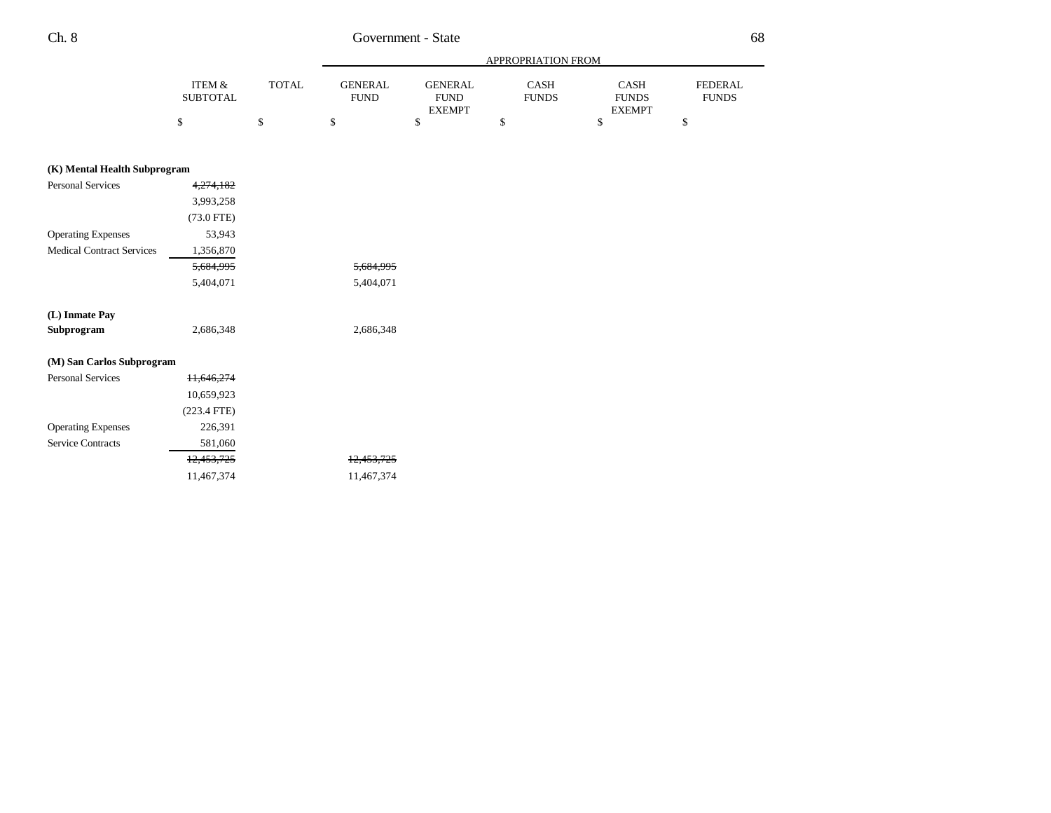Service Contracts 581,060

# Ch. 8 Government - State

|                                  |                                      |              | APPROPRIATION FROM            |                                                |                      |                                       |    |
|----------------------------------|--------------------------------------|--------------|-------------------------------|------------------------------------------------|----------------------|---------------------------------------|----|
|                                  | <b>ITEM &amp;</b><br><b>SUBTOTAL</b> | <b>TOTAL</b> | <b>GENERAL</b><br><b>FUND</b> | <b>GENERAL</b><br><b>FUND</b><br><b>EXEMPT</b> | CASH<br><b>FUNDS</b> | CASH<br><b>FUNDS</b><br><b>EXEMPT</b> |    |
|                                  | \$                                   | \$           | \$                            | \$                                             | \$                   | \$                                    | \$ |
| (K) Mental Health Subprogram     |                                      |              |                               |                                                |                      |                                       |    |
| <b>Personal Services</b>         | 4,274,182                            |              |                               |                                                |                      |                                       |    |
|                                  | 3,993,258                            |              |                               |                                                |                      |                                       |    |
|                                  | $(73.0$ FTE)                         |              |                               |                                                |                      |                                       |    |
| <b>Operating Expenses</b>        | 53,943                               |              |                               |                                                |                      |                                       |    |
| <b>Medical Contract Services</b> | 1,356,870                            |              |                               |                                                |                      |                                       |    |
|                                  | 5,684,995                            |              | 5,684,995                     |                                                |                      |                                       |    |
|                                  | 5,404,071                            |              | 5,404,071                     |                                                |                      |                                       |    |
| (L) Inmate Pay                   |                                      |              |                               |                                                |                      |                                       |    |
| Subprogram                       | 2,686,348                            |              | 2,686,348                     |                                                |                      |                                       |    |
| (M) San Carlos Subprogram        |                                      |              |                               |                                                |                      |                                       |    |
| <b>Personal Services</b>         | 11,646,274                           |              |                               |                                                |                      |                                       |    |
|                                  | 10,659,923                           |              |                               |                                                |                      |                                       |    |
|                                  | $(223.4$ FTE)                        |              |                               |                                                |                      |                                       |    |
| <b>Operating Expenses</b>        | 226,391                              |              |                               |                                                |                      |                                       |    |

12,453,725 12,453,725 11,467,374 11,467,374 FEDERALFUNDS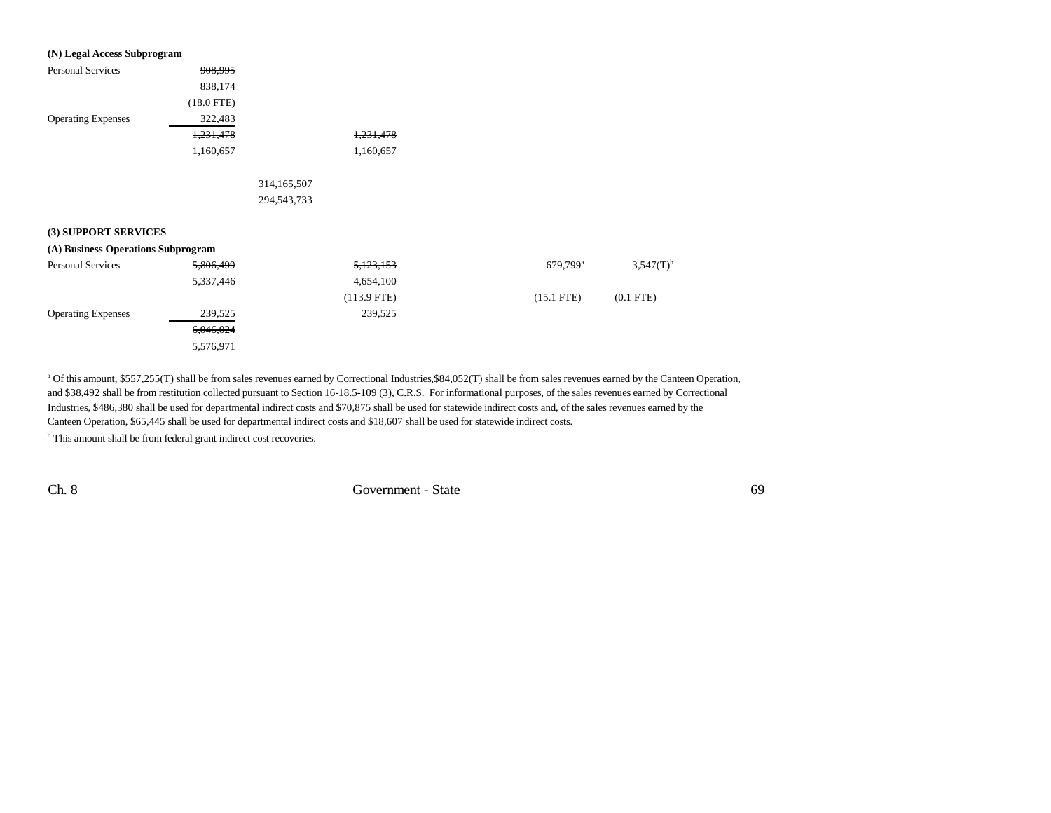| (N) Legal Access Subprogram        |              |               |               |                        |                         |
|------------------------------------|--------------|---------------|---------------|------------------------|-------------------------|
| <b>Personal Services</b>           | 908,995      |               |               |                        |                         |
|                                    | 838,174      |               |               |                        |                         |
|                                    | $(18.0$ FTE) |               |               |                        |                         |
| <b>Operating Expenses</b>          | 322,483      |               |               |                        |                         |
|                                    | 1,231,478    |               | 1,231,478     |                        |                         |
|                                    | 1,160,657    |               | 1,160,657     |                        |                         |
|                                    |              | 314, 165, 507 |               |                        |                         |
|                                    |              | 294,543,733   |               |                        |                         |
| (3) SUPPORT SERVICES               |              |               |               |                        |                         |
| (A) Business Operations Subprogram |              |               |               |                        |                         |
| <b>Personal Services</b>           | 5,806,499    |               | 5,123,153     | $679,799$ <sup>a</sup> | $3,547(T)$ <sup>b</sup> |
|                                    | 5,337,446    |               | 4,654,100     |                        |                         |
|                                    |              |               | $(113.9$ FTE) | $(15.1$ FTE)           | $(0.1$ FTE $)$          |
| <b>Operating Expenses</b>          | 239,525      |               | 239,525       |                        |                         |
|                                    | 6,046,024    |               |               |                        |                         |
|                                    | 5,576,971    |               |               |                        |                         |

<sup>a</sup> Of this amount, \$557,255(T) shall be from sales revenues earned by Correctional Industries, \$84,052(T) shall be from sales revenues earned by the Canteen Operation, and \$38,492 shall be from restitution collected pursuant to Section 16-18.5-109 (3), C.R.S. For informational purposes, of the sales revenues earned by Correctional Industries, \$486,380 shall be used for departmental indirect costs and \$70,875 shall be used for statewide indirect costs and, of the sales revenues earned by the Canteen Operation, \$65,445 shall be used for departmental indirect costs and \$18,607 shall be used for statewide indirect costs.

**b** This amount shall be from federal grant indirect cost recoveries.

Ch. 8 Government - State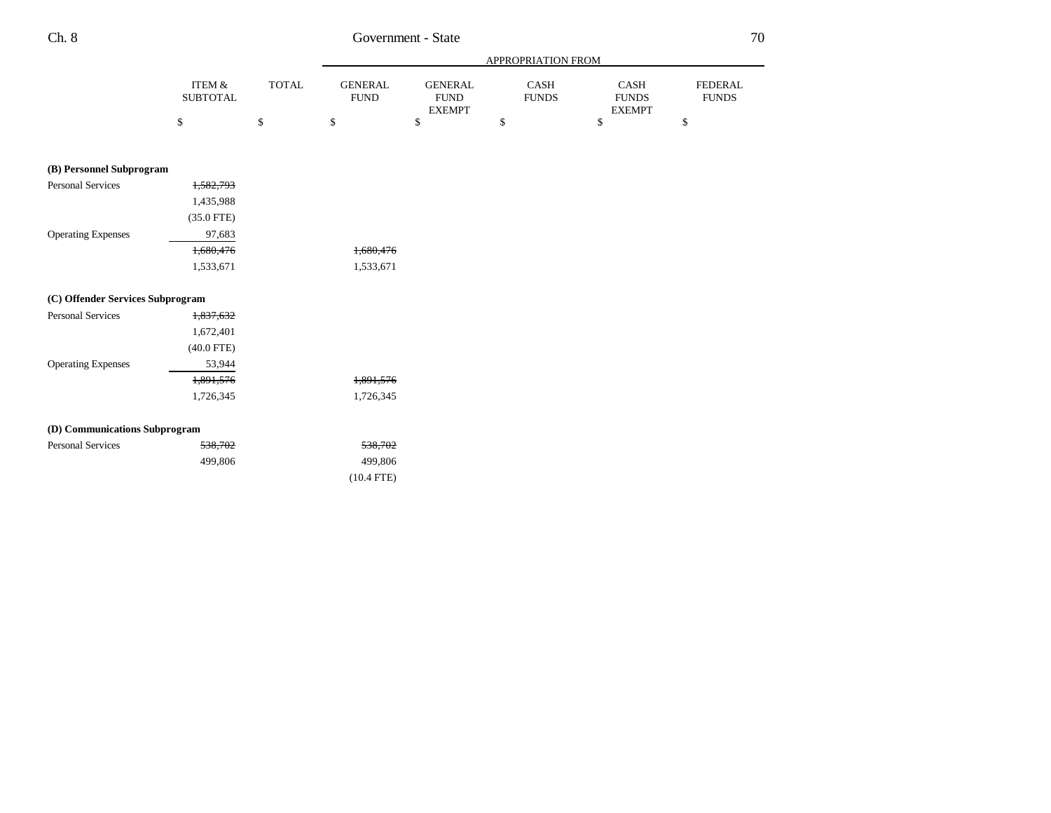|                                  |                           |              |                               |                                                 | APPROPRIATION FROM          |                                       |                                |
|----------------------------------|---------------------------|--------------|-------------------------------|-------------------------------------------------|-----------------------------|---------------------------------------|--------------------------------|
|                                  | ITEM &<br><b>SUBTOTAL</b> | <b>TOTAL</b> | <b>GENERAL</b><br><b>FUND</b> | <b>GENERAL</b><br>${\rm FUND}$<br><b>EXEMPT</b> | <b>CASH</b><br><b>FUNDS</b> | CASH<br><b>FUNDS</b><br><b>EXEMPT</b> | <b>FEDERAL</b><br><b>FUNDS</b> |
|                                  | \$                        | \$           | \$                            | \$                                              | \$                          | \$                                    | \$                             |
| (B) Personnel Subprogram         |                           |              |                               |                                                 |                             |                                       |                                |
| <b>Personal Services</b>         | 1,582,793                 |              |                               |                                                 |                             |                                       |                                |
|                                  | 1,435,988                 |              |                               |                                                 |                             |                                       |                                |
|                                  | $(35.0$ FTE)              |              |                               |                                                 |                             |                                       |                                |
| <b>Operating Expenses</b>        | 97,683                    |              |                               |                                                 |                             |                                       |                                |
|                                  | 1,680,476                 |              | 1,680,476                     |                                                 |                             |                                       |                                |
|                                  | 1,533,671                 |              | 1,533,671                     |                                                 |                             |                                       |                                |
| (C) Offender Services Subprogram |                           |              |                               |                                                 |                             |                                       |                                |
| <b>Personal Services</b>         | 1,837,632                 |              |                               |                                                 |                             |                                       |                                |
|                                  | 1,672,401                 |              |                               |                                                 |                             |                                       |                                |
|                                  | $(40.0$ FTE)              |              |                               |                                                 |                             |                                       |                                |
| <b>Operating Expenses</b>        | 53,944                    |              |                               |                                                 |                             |                                       |                                |
|                                  | 1,891,576                 |              | 1,891,576                     |                                                 |                             |                                       |                                |
|                                  | 1,726,345                 |              | 1,726,345                     |                                                 |                             |                                       |                                |
| (D) Communications Subprogram    |                           |              |                               |                                                 |                             |                                       |                                |
| <b>Personal Services</b>         | 538,702                   |              | 538,702                       |                                                 |                             |                                       |                                |
|                                  | 499,806                   |              | 499,806                       |                                                 |                             |                                       |                                |

(10.4 FTE)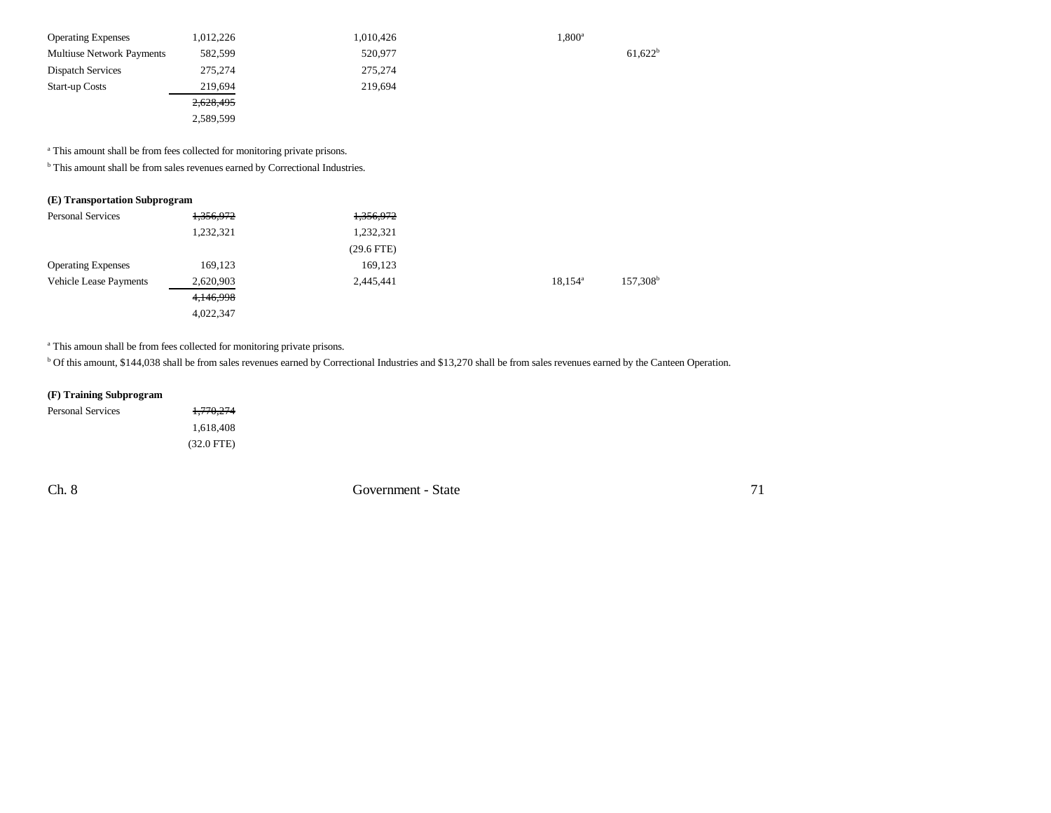| <b>Operating Expenses</b>        | 1,012,226 | 1,010,426 | $1,800^{\rm a}$       |
|----------------------------------|-----------|-----------|-----------------------|
| <b>Multiuse Network Payments</b> | 582,599   | 520,977   | $61,622$ <sup>t</sup> |
| <b>Dispatch Services</b>         | 275,274   | 275,274   |                       |
| <b>Start-up Costs</b>            | 219,694   | 219,694   |                       |
|                                  | 2,628,495 |           |                       |
|                                  | 2,589,599 |           |                       |

a This amount shall be from fees collected for monitoring private prisons.

b This amount shall be from sales revenues earned by Correctional Industries.

## **(E) Transportation Subprogram**

| <b>Personal Services</b>      | 1,356,972 | 1,356,972    |                  |                      |
|-------------------------------|-----------|--------------|------------------|----------------------|
|                               | 1,232,321 | 1,232,321    |                  |                      |
|                               |           | $(29.6$ FTE) |                  |                      |
| <b>Operating Expenses</b>     | 169,123   | 169,123      |                  |                      |
| <b>Vehicle Lease Payments</b> | 2,620,903 | 2,445,441    | $18.154^{\circ}$ | 157,308 <sup>b</sup> |
|                               | 4,146,998 |              |                  |                      |
|                               | 4,022,347 |              |                  |                      |

<sup>a</sup> This amoun shall be from fees collected for monitoring private prisons.

b Of this amount, \$144,038 shall be from sales revenues earned by Correctional Industries and \$13,270 shall be from sales revenues earned by the Canteen Operation.

## **(F) Training Subprogram**

| Personal Services | 1,770,274            |
|-------------------|----------------------|
|                   | 1.618.408            |
|                   | $(32.0 \text{ FTE})$ |

Ch. 8 Government - State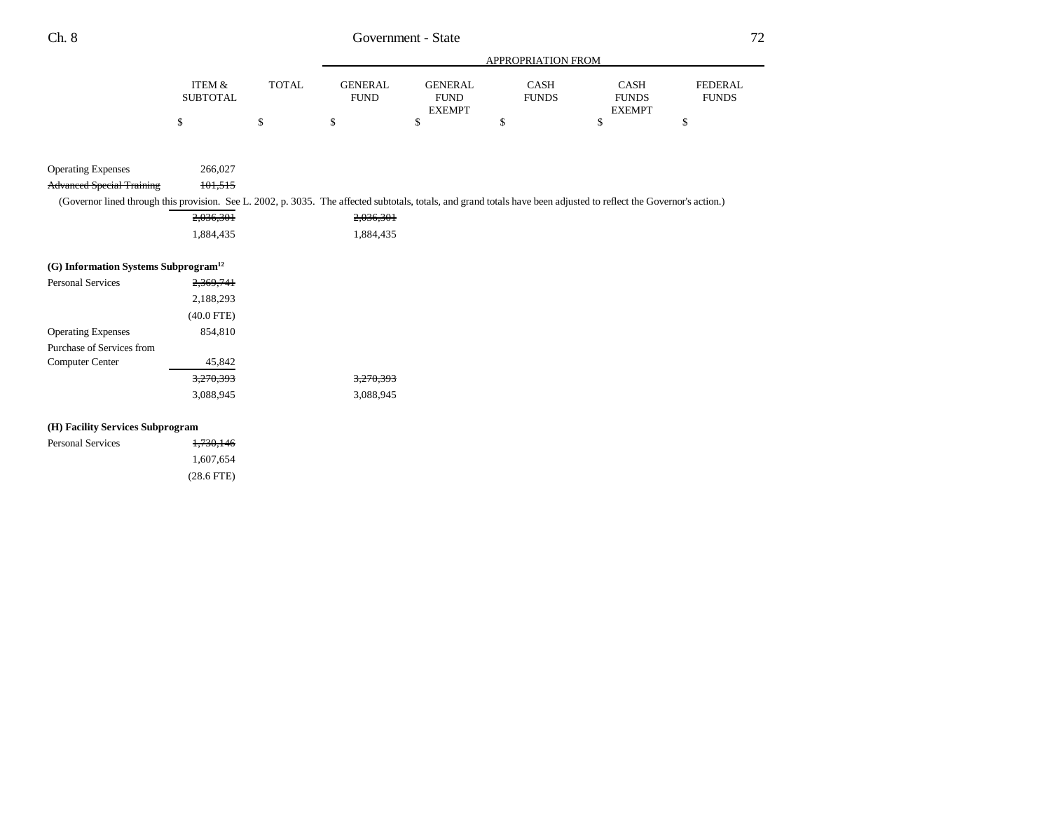|                           |       |                               | APPROPRIATION FROM     |                             |                             |                                |
|---------------------------|-------|-------------------------------|------------------------|-----------------------------|-----------------------------|--------------------------------|
| ITEM &<br><b>SUBTOTAL</b> | TOTAL | <b>GENERAL</b><br><b>FUND</b> | GENERAL<br><b>FUND</b> | <b>CASH</b><br><b>FUNDS</b> | <b>CASH</b><br><b>FUNDS</b> | <b>FEDERAL</b><br><b>FUNDS</b> |
|                           |       |                               | <b>EXEMPT</b>          |                             | <b>EXEMPT</b>               |                                |
|                           |       |                               |                        |                             |                             |                                |

| <b>Operating Expenses</b>        | 266,027 |                                                                                                                                                                      |
|----------------------------------|---------|----------------------------------------------------------------------------------------------------------------------------------------------------------------------|
| <b>Advanced Special Training</b> | 101.515 |                                                                                                                                                                      |
|                                  |         | (Governor lined through this provision. See L. 2002, p. 3035. The affected subtotals, totals, and grand totals have been adjusted to reflect the Governor's action.) |
|                                  |         |                                                                                                                                                                      |

| 2,036,301 | 2,036,301 |
|-----------|-----------|
| 1.884.435 | 1,884,435 |

## **(G) Information Systems Subprogram12**

| <b>Personal Services</b>  | 2.369.741    |                      |
|---------------------------|--------------|----------------------|
|                           | 2,188,293    |                      |
|                           | $(40.0$ FTE) |                      |
| <b>Operating Expenses</b> | 854,810      |                      |
| Purchase of Services from |              |                      |
| <b>Computer Center</b>    | 45,842       |                      |
|                           | 3.270.393    | <del>3,270,393</del> |
|                           | 3,088,945    | 3.088.945            |

## **(H) Facility Services Subprogram**

| Personal Services | 1,730,146    |
|-------------------|--------------|
|                   | 1.607.654    |
|                   | $(28.6$ FTE) |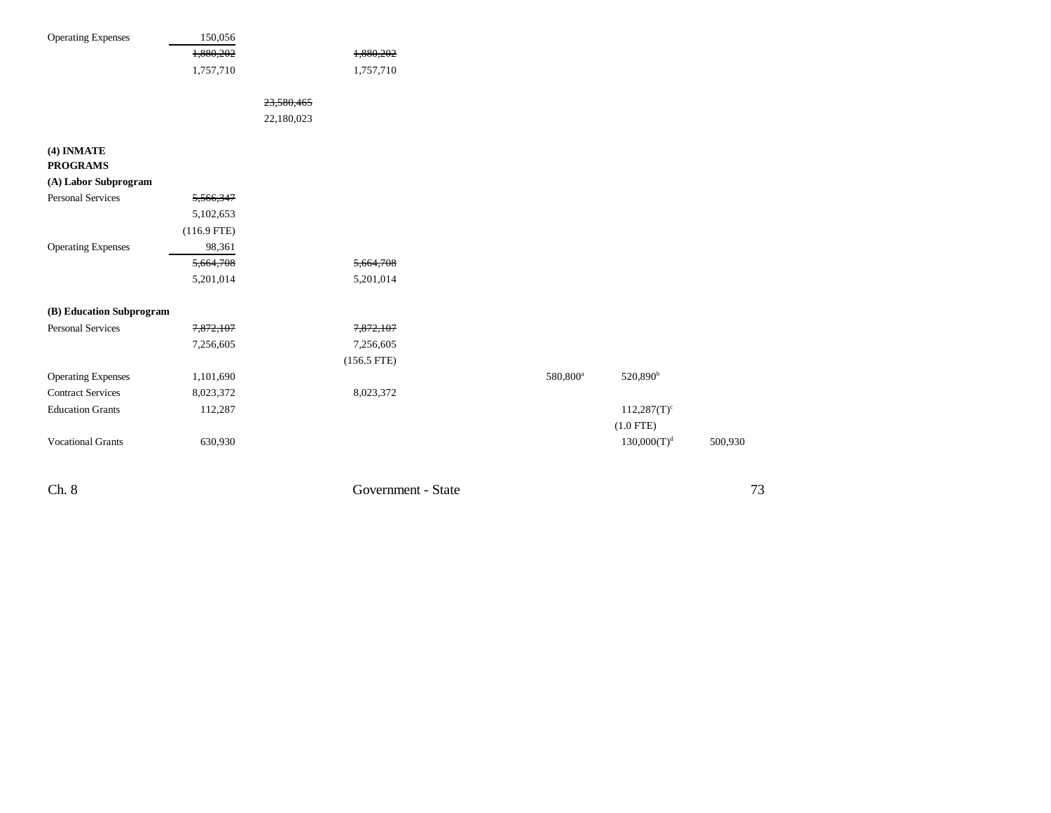| <b>Operating Expenses</b> | 150,056       |            |               |  |                      |                           |         |
|---------------------------|---------------|------------|---------------|--|----------------------|---------------------------|---------|
|                           | 1,880,202     |            | 1,880,202     |  |                      |                           |         |
|                           | 1,757,710     |            | 1,757,710     |  |                      |                           |         |
|                           |               |            |               |  |                      |                           |         |
|                           |               | 23,580,465 |               |  |                      |                           |         |
|                           |               | 22,180,023 |               |  |                      |                           |         |
|                           |               |            |               |  |                      |                           |         |
| (4) INMATE                |               |            |               |  |                      |                           |         |
| <b>PROGRAMS</b>           |               |            |               |  |                      |                           |         |
| (A) Labor Subprogram      |               |            |               |  |                      |                           |         |
| <b>Personal Services</b>  | 5,566,347     |            |               |  |                      |                           |         |
|                           | 5,102,653     |            |               |  |                      |                           |         |
|                           | $(116.9$ FTE) |            |               |  |                      |                           |         |
| <b>Operating Expenses</b> | 98,361        |            |               |  |                      |                           |         |
|                           | 5,664,708     |            | 5,664,708     |  |                      |                           |         |
|                           | 5,201,014     |            | 5,201,014     |  |                      |                           |         |
|                           |               |            |               |  |                      |                           |         |
| (B) Education Subprogram  |               |            |               |  |                      |                           |         |
| <b>Personal Services</b>  | 7,872,107     |            | 7,872,107     |  |                      |                           |         |
|                           | 7,256,605     |            | 7,256,605     |  |                      |                           |         |
|                           |               |            | $(156.5$ FTE) |  |                      |                           |         |
| <b>Operating Expenses</b> | 1,101,690     |            |               |  | 580,800 <sup>a</sup> | 520,890 <sup>b</sup>      |         |
| <b>Contract Services</b>  | 8,023,372     |            | 8,023,372     |  |                      |                           |         |
| <b>Education Grants</b>   | 112,287       |            |               |  |                      | $112,287(T)$ <sup>c</sup> |         |
|                           |               |            |               |  |                      | $(1.0$ FTE)               |         |
| <b>Vocational Grants</b>  | 630,930       |            |               |  |                      | $130,000(T)^d$            | 500,930 |
|                           |               |            |               |  |                      |                           |         |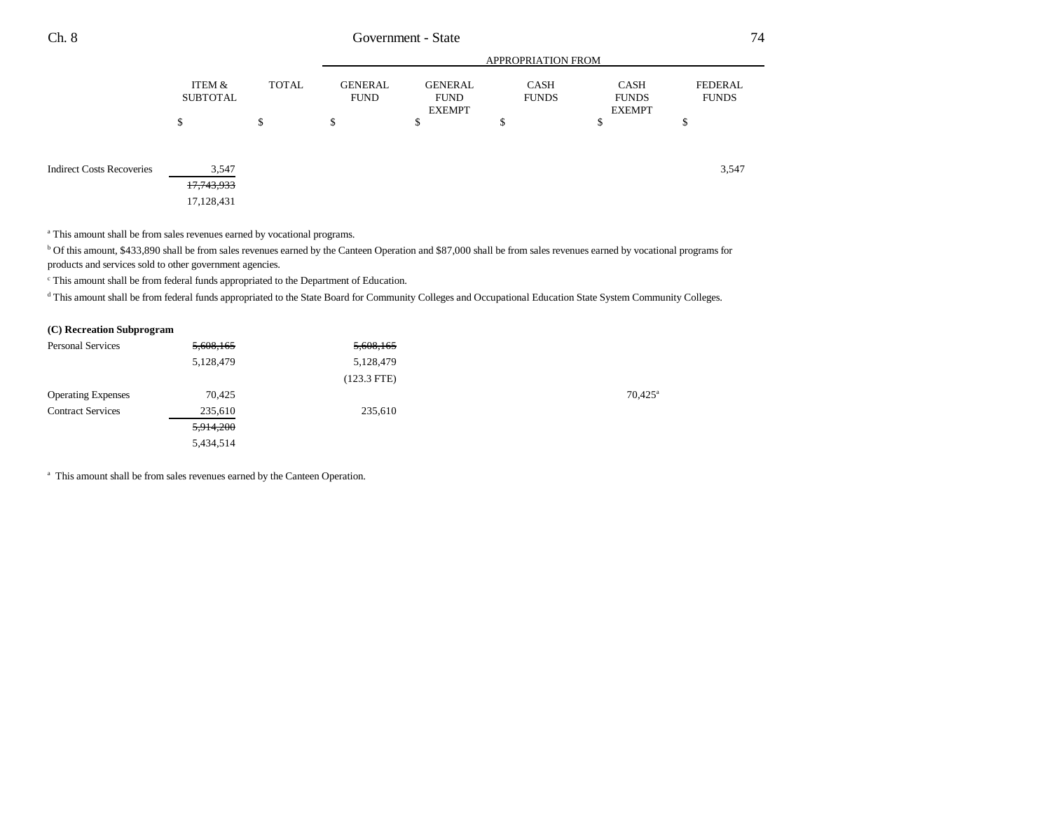|                                  |                                              |       | <b>APPROPRIATION FROM</b>     |                                                |                             |                                       |                         |  |
|----------------------------------|----------------------------------------------|-------|-------------------------------|------------------------------------------------|-----------------------------|---------------------------------------|-------------------------|--|
|                                  | ITEM &<br><b>SUBTOTAL</b>                    | TOTAL | <b>GENERAL</b><br><b>FUND</b> | <b>GENERAL</b><br><b>FUND</b><br><b>EXEMPT</b> | <b>CASH</b><br><b>FUNDS</b> | CASH<br><b>FUNDS</b><br><b>EXEMPT</b> | FEDERAL<br><b>FUNDS</b> |  |
|                                  | \$                                           | \$    | \$                            | \$                                             | ¢<br>Φ                      | \$                                    | \$                      |  |
| <b>Indirect Costs Recoveries</b> | 3,547<br><del>17,743,933</del><br>17,128,431 |       |                               |                                                |                             |                                       | 3,547                   |  |

a This amount shall be from sales revenues earned by vocational programs.

b Of this amount, \$433,890 shall be from sales revenues earned by the Canteen Operation and \$87,000 shall be from sales revenues earned by vocational programs for products and services sold to other government agencies.

 $\,^{\mathrm{c}}$  This amount shall be from federal funds appropriated to the Department of Education.

<sup>d</sup> This amount shall be from federal funds appropriated to the State Board for Community Colleges and Occupational Education State System Community Colleges.

| (C) Recreation Subprogram |  |
|---------------------------|--|
|---------------------------|--|

| <b>Personal Services</b>  | 5,608,165 | 5,608,165     |                       |
|---------------------------|-----------|---------------|-----------------------|
|                           | 5,128,479 | 5,128,479     |                       |
|                           |           | $(123.3$ FTE) |                       |
| <b>Operating Expenses</b> | 70,425    |               | $70,425$ <sup>a</sup> |
| <b>Contract Services</b>  | 235,610   | 235,610       |                       |
|                           | 5,914,200 |               |                       |
|                           | 5,434,514 |               |                       |
|                           |           |               |                       |

<sup>a</sup> This amount shall be from sales revenues earned by the Canteen Operation.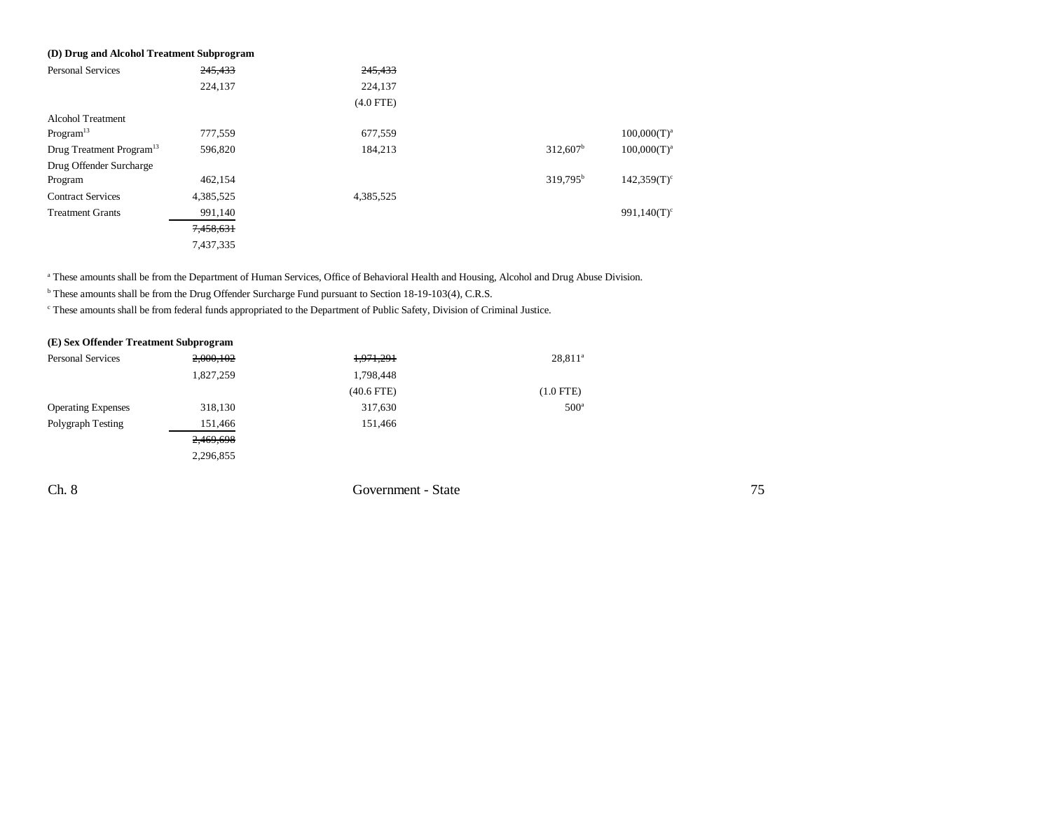| (D) Drug and Alcohol Treatment Subprogram |           |             |                        |                           |
|-------------------------------------------|-----------|-------------|------------------------|---------------------------|
| <b>Personal Services</b>                  | 245,433   | 245,433     |                        |                           |
|                                           | 224,137   | 224,137     |                        |                           |
|                                           |           | $(4.0$ FTE) |                        |                           |
| <b>Alcohol Treatment</b>                  |           |             |                        |                           |
| Program <sup>13</sup>                     | 777,559   | 677.559     |                        | $100,000(T)^{a}$          |
| Drug Treatment Program <sup>13</sup>      | 596,820   | 184,213     | $312,607$ <sup>b</sup> | $100,000(T)^a$            |
| Drug Offender Surcharge                   |           |             |                        |                           |
| Program                                   | 462,154   |             | $319,795^{\rm b}$      | $142.359(T)$ <sup>c</sup> |
| <b>Contract Services</b>                  | 4,385,525 | 4,385,525   |                        |                           |
| <b>Treatment Grants</b>                   | 991,140   |             |                        | 991,140 $(T)^c$           |
|                                           | 7,458,631 |             |                        |                           |
|                                           | 7,437,335 |             |                        |                           |

<sup>a</sup> These amounts shall be from the Department of Human Services, Office of Behavioral Health and Housing, Alcohol and Drug Abuse Division.

b These amounts shall be from the Drug Offender Surcharge Fund pursuant to Section 18-19-103(4), C.R.S.

c These amounts shall be from federal funds appropriated to the Department of Public Safety, Division of Criminal Justice.

| (E) Sex Offender Treatment Subprogram |           |                    |               |
|---------------------------------------|-----------|--------------------|---------------|
| <b>Personal Services</b>              | 2,000,102 | 1,971,291          | $28,811^a$    |
|                                       | 1,827,259 | 1,798,448          |               |
|                                       |           | $(40.6$ FTE)       | $(1.0$ FTE)   |
| <b>Operating Expenses</b>             | 318,130   | 317,630            | $500^{\circ}$ |
| Polygraph Testing                     | 151,466   | 151,466            |               |
|                                       | 2,469,698 |                    |               |
|                                       | 2,296,855 |                    |               |
|                                       |           |                    |               |
| Ch. 8                                 |           | Government - State |               |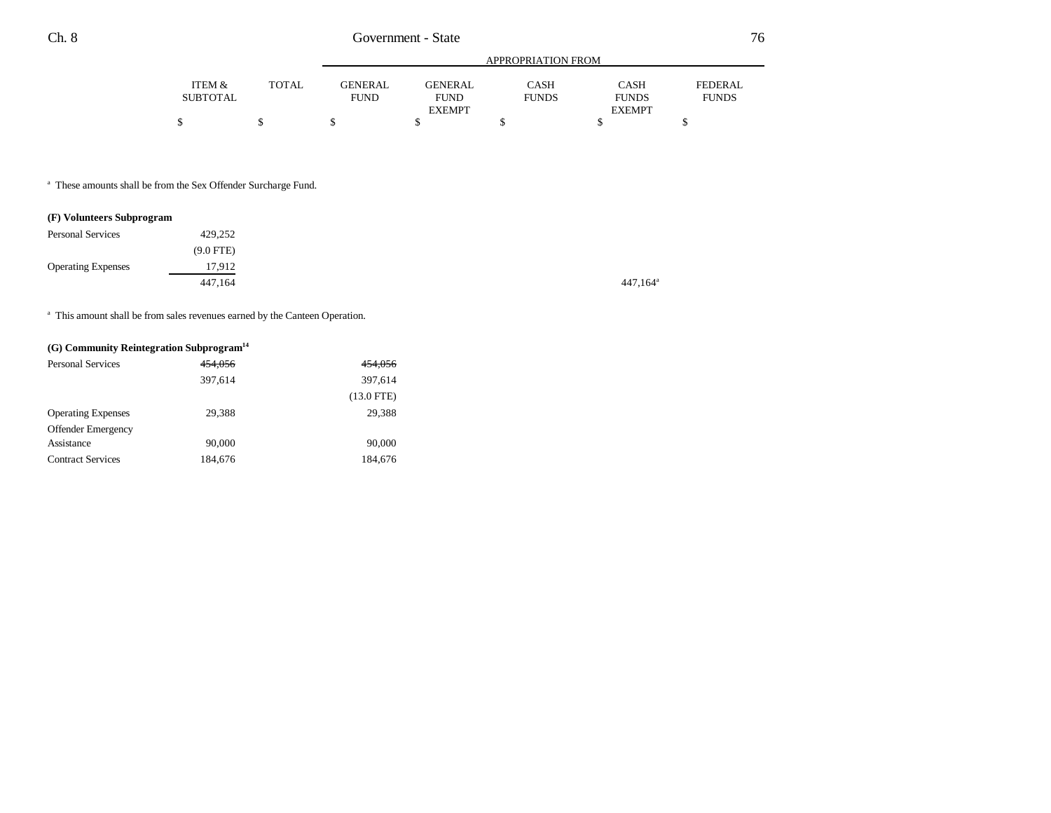|                 |        | APPROPRIATION FROM |                |              |               |              |  |  |
|-----------------|--------|--------------------|----------------|--------------|---------------|--------------|--|--|
| ITEM &          | TOTAL. | <b>GENERAL</b>     | <b>GENERAL</b> | CASH         | <b>CASH</b>   | FEDERAL      |  |  |
| <b>SUBTOTAL</b> |        | <b>FUND</b>        | <b>FUND</b>    | <b>FUNDS</b> | <b>FUNDS</b>  | <b>FUNDS</b> |  |  |
|                 |        |                    | <b>EXEMPT</b>  |              | <b>EXEMPT</b> |              |  |  |
|                 |        |                    |                |              |               |              |  |  |

a These amounts shall be from the Sex Offender Surcharge Fund.

## **(F) Volunteers Subprogram**

| <b>Personal Services</b>  | 429,252     |
|---------------------------|-------------|
|                           | $(9.0$ FTE) |
| <b>Operating Expenses</b> | 17,912      |
|                           | 447,164     |

<sup>a</sup> This amount shall be from sales revenues earned by the Canteen Operation.

## **(G) Community Reintegration Subprogram14**

| <b>Personal Services</b>  | 454,056 | 454,056      |
|---------------------------|---------|--------------|
|                           | 397,614 | 397,614      |
|                           |         | $(13.0$ FTE) |
| <b>Operating Expenses</b> | 29,388  | 29.388       |
| <b>Offender Emergency</b> |         |              |
| Assistance                | 90,000  | 90,000       |
| <b>Contract Services</b>  | 184,676 | 184,676      |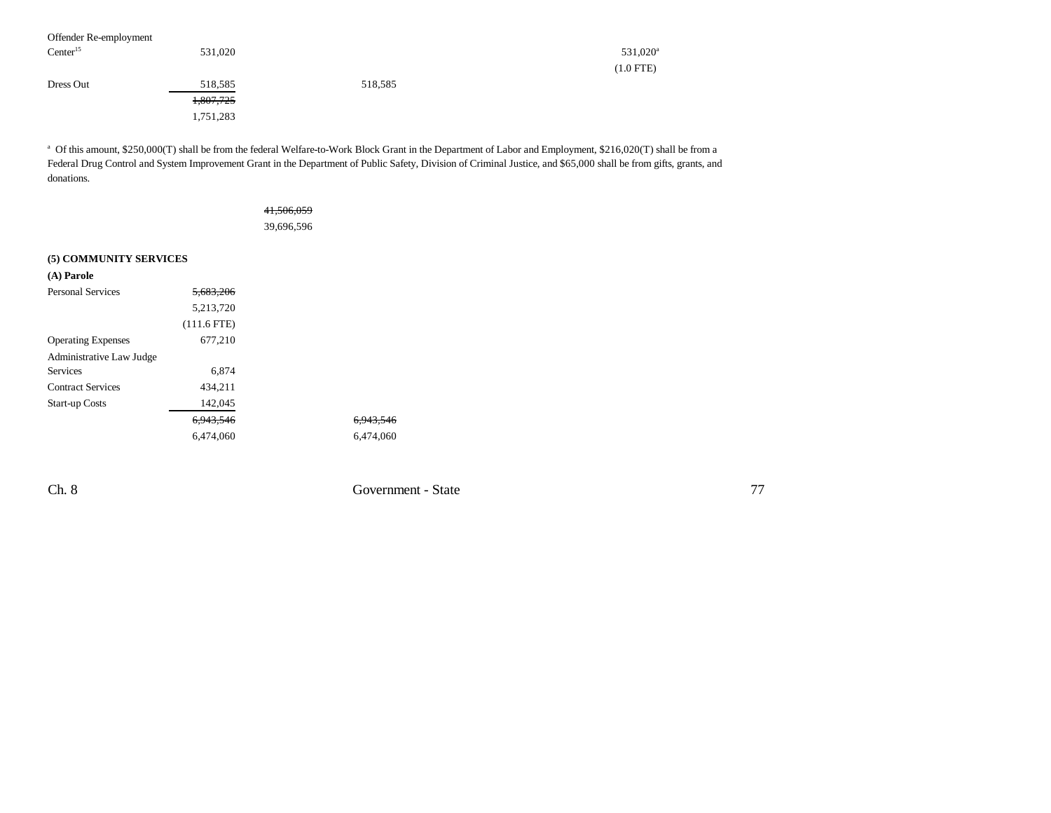| Offender Re-employment |                      |         |                      |
|------------------------|----------------------|---------|----------------------|
| Center <sup>15</sup>   | 531,020              |         | 531,020 <sup>a</sup> |
|                        |                      |         | $(1.0$ FTE)          |
| Dress Out              | 518,585              | 518,585 |                      |
|                        | <del>1,807,725</del> |         |                      |
|                        | 1,751,283            |         |                      |

<sup>a</sup> Of this amount, \$250,000(T) shall be from the federal Welfare-to-Work Block Grant in the Department of Labor and Employment, \$216,020(T) shall be from a Federal Drug Control and System Improvement Grant in the Department of Public Safety, Division of Criminal Justice, and \$65,000 shall be from gifts, grants, and donations.

| <del>41,506,059</del> |  |
|-----------------------|--|
| 39,696,596            |  |

## **(5) COMMUNITY SERVICES**

| (A) Parole                |                      |
|---------------------------|----------------------|
| <b>Personal Services</b>  | <del>5.683.206</del> |
|                           | 5,213,720            |
|                           | $(111.6$ FTE)        |
| <b>Operating Expenses</b> | 677,210              |
| Administrative Law Judge  |                      |
| <b>Services</b>           | 6.874                |
| <b>Contract Services</b>  | 434,211              |
| <b>Start-up Costs</b>     | 142,045              |
|                           | <del>6.943.546</del> |
|                           | 6,474,060            |

Ch. 8 Government - State

6,943,546 6,474,060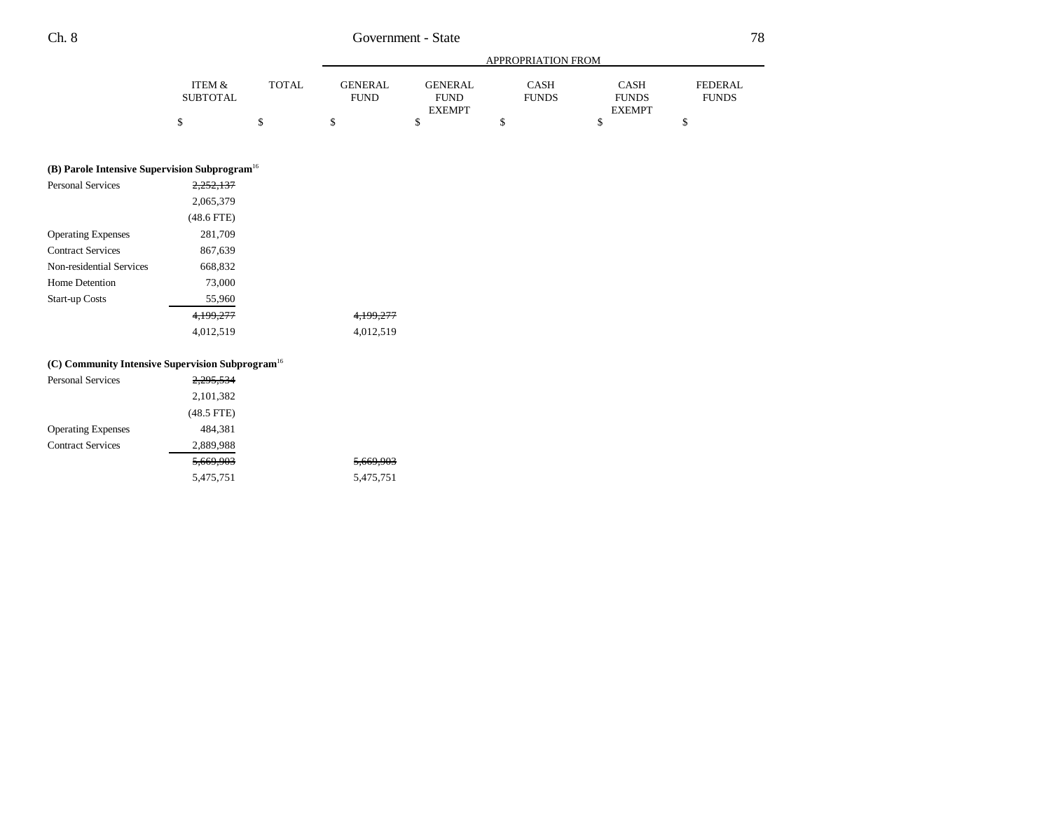|                                                              |                           |              | APPROPRIATION FROM            |                                                |                             |                                              |                                |
|--------------------------------------------------------------|---------------------------|--------------|-------------------------------|------------------------------------------------|-----------------------------|----------------------------------------------|--------------------------------|
|                                                              | ITEM &<br><b>SUBTOTAL</b> | <b>TOTAL</b> | <b>GENERAL</b><br><b>FUND</b> | <b>GENERAL</b><br><b>FUND</b><br><b>EXEMPT</b> | <b>CASH</b><br><b>FUNDS</b> | <b>CASH</b><br><b>FUNDS</b><br><b>EXEMPT</b> | <b>FEDERAL</b><br><b>FUNDS</b> |
|                                                              | \$                        | \$           | \$                            | \$                                             | \$                          | \$                                           | \$                             |
| (B) Parole Intensive Supervision Subprogram <sup>16</sup>    |                           |              |                               |                                                |                             |                                              |                                |
| <b>Personal Services</b>                                     | 2,252,137                 |              |                               |                                                |                             |                                              |                                |
|                                                              | 2,065,379                 |              |                               |                                                |                             |                                              |                                |
|                                                              | $(48.6$ FTE)              |              |                               |                                                |                             |                                              |                                |
| <b>Operating Expenses</b>                                    | 281,709                   |              |                               |                                                |                             |                                              |                                |
| <b>Contract Services</b>                                     | 867,639                   |              |                               |                                                |                             |                                              |                                |
| Non-residential Services                                     | 668,832                   |              |                               |                                                |                             |                                              |                                |
| Home Detention                                               | 73,000                    |              |                               |                                                |                             |                                              |                                |
| <b>Start-up Costs</b>                                        | 55,960                    |              |                               |                                                |                             |                                              |                                |
|                                                              | 4,199,277                 |              | 4,199,277                     |                                                |                             |                                              |                                |
|                                                              | 4,012,519                 |              | 4,012,519                     |                                                |                             |                                              |                                |
| (C) Community Intensive Supervision Subprogram <sup>16</sup> |                           |              |                               |                                                |                             |                                              |                                |
| <b>Personal Services</b>                                     | 2,295,534                 |              |                               |                                                |                             |                                              |                                |
|                                                              | 2,101,382                 |              |                               |                                                |                             |                                              |                                |
|                                                              | $(48.5$ FTE)              |              |                               |                                                |                             |                                              |                                |
| <b>Operating Expenses</b>                                    | 484,381                   |              |                               |                                                |                             |                                              |                                |
| <b>Contract Services</b>                                     | 2,889,988                 |              |                               |                                                |                             |                                              |                                |

5,669,903 5,669,903 5,475,751 5,475,751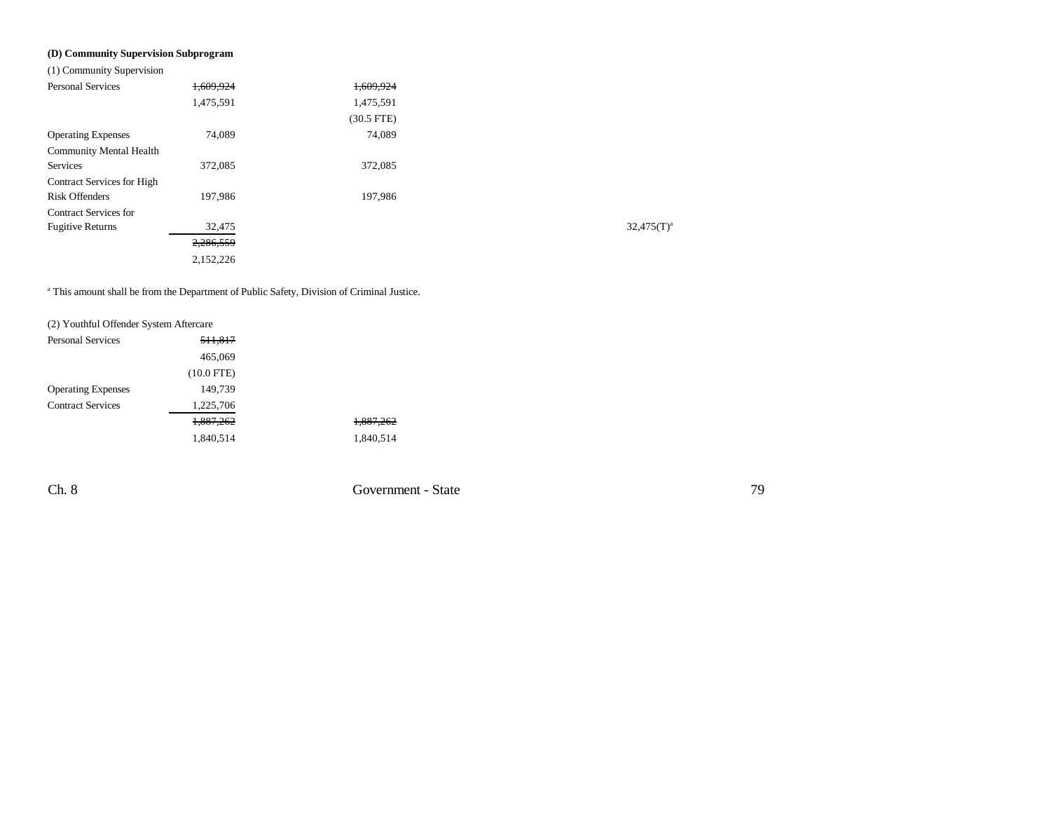## **(D) Community Supervision Subprogram**

(1) Community Supervision

| <b>Personal Services</b>       | 1,609,924 | 1,609,924    |                 |
|--------------------------------|-----------|--------------|-----------------|
|                                | 1,475,591 | 1,475,591    |                 |
|                                |           | $(30.5$ FTE) |                 |
| <b>Operating Expenses</b>      | 74,089    | 74,089       |                 |
| <b>Community Mental Health</b> |           |              |                 |
| Services                       | 372,085   | 372,085      |                 |
| Contract Services for High     |           |              |                 |
| <b>Risk Offenders</b>          | 197,986   | 197,986      |                 |
| <b>Contract Services for</b>   |           |              |                 |
| <b>Fugitive Returns</b>        | 32,475    |              | $32,475(T)^{3}$ |
|                                | 2,286,559 |              |                 |
|                                | 2,152,226 |              |                 |
|                                |           |              |                 |

a This amount shall be from the Department of Public Safety, Division of Criminal Justice.

| (2) Youthful Offender System Aftercare |              |                      |  |  |
|----------------------------------------|--------------|----------------------|--|--|
| <b>Personal Services</b>               | 511,817      |                      |  |  |
|                                        | 465,069      |                      |  |  |
|                                        | $(10.0$ FTE) |                      |  |  |
| <b>Operating Expenses</b>              | 149,739      |                      |  |  |
| <b>Contract Services</b>               | 1,225,706    |                      |  |  |
|                                        | 1,887,262    | <del>1,887,262</del> |  |  |
|                                        | 1,840,514    | 1,840,514            |  |  |
|                                        |              |                      |  |  |

Ch. 8 Government - State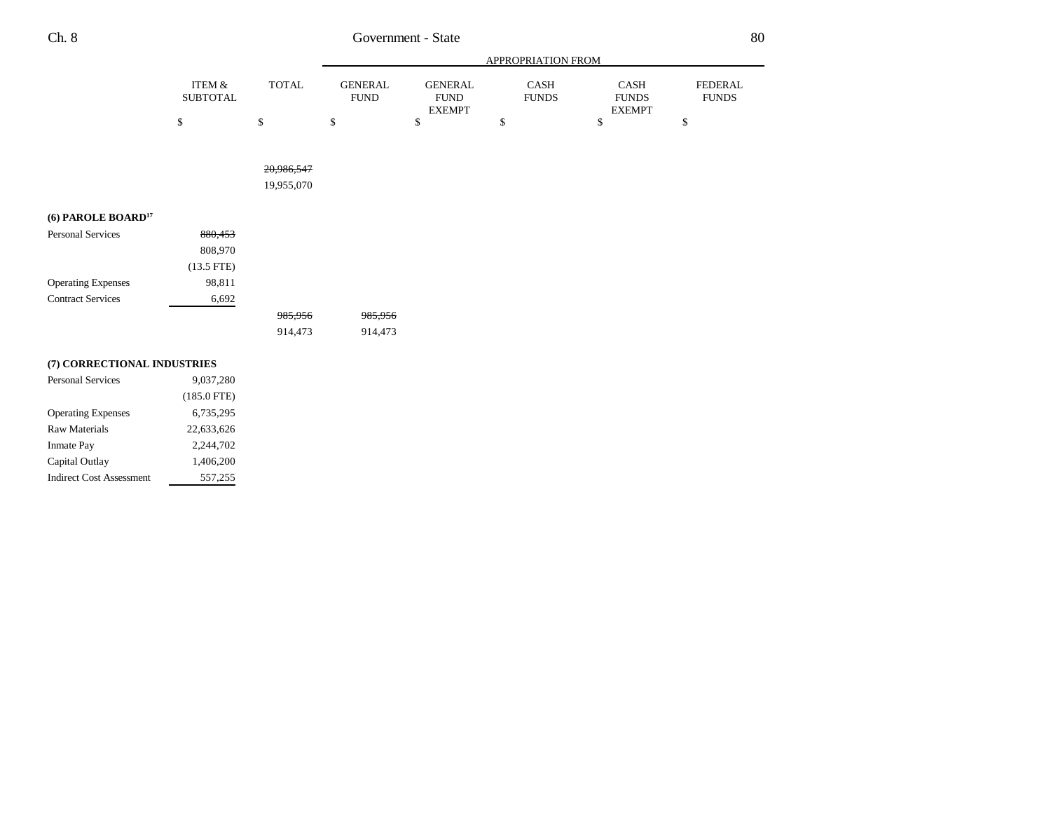|                                  |                           |              | APPROPRIATION FROM            |                                                |                             |                                              |                                |
|----------------------------------|---------------------------|--------------|-------------------------------|------------------------------------------------|-----------------------------|----------------------------------------------|--------------------------------|
|                                  | ITEM &<br><b>SUBTOTAL</b> | <b>TOTAL</b> | <b>GENERAL</b><br><b>FUND</b> | <b>GENERAL</b><br><b>FUND</b><br><b>EXEMPT</b> | <b>CASH</b><br><b>FUNDS</b> | <b>CASH</b><br><b>FUNDS</b><br><b>EXEMPT</b> | <b>FEDERAL</b><br><b>FUNDS</b> |
|                                  | \$                        | \$           | \$                            | \$                                             | \$                          | \$                                           | \$                             |
|                                  |                           |              |                               |                                                |                             |                                              |                                |
|                                  |                           | 20,986,547   |                               |                                                |                             |                                              |                                |
|                                  |                           | 19,955,070   |                               |                                                |                             |                                              |                                |
| $(6)$ PAROLE BOARD <sup>17</sup> |                           |              |                               |                                                |                             |                                              |                                |
| <b>Personal Services</b>         | 880,453                   |              |                               |                                                |                             |                                              |                                |
|                                  | 808,970                   |              |                               |                                                |                             |                                              |                                |
|                                  | $(13.5$ FTE)              |              |                               |                                                |                             |                                              |                                |

| <b>Operating Expenses</b> | 98.811 |         |         |
|---------------------------|--------|---------|---------|
| <b>Contract Services</b>  | 6.692  |         |         |
|                           |        | 985,956 | 985,956 |
|                           |        | 914.473 | 914,473 |

# **(7) CORRECTIONAL INDUSTRIES**

| <b>Personal Services</b>        | 9.037.280     |
|---------------------------------|---------------|
|                                 | $(185.0$ FTE) |
| <b>Operating Expenses</b>       | 6,735,295     |
| Raw Materials                   | 22.633.626    |
| <b>Inmate Pay</b>               | 2.244.702     |
| Capital Outlay                  | 1.406.200     |
| <b>Indirect Cost Assessment</b> | 557.255       |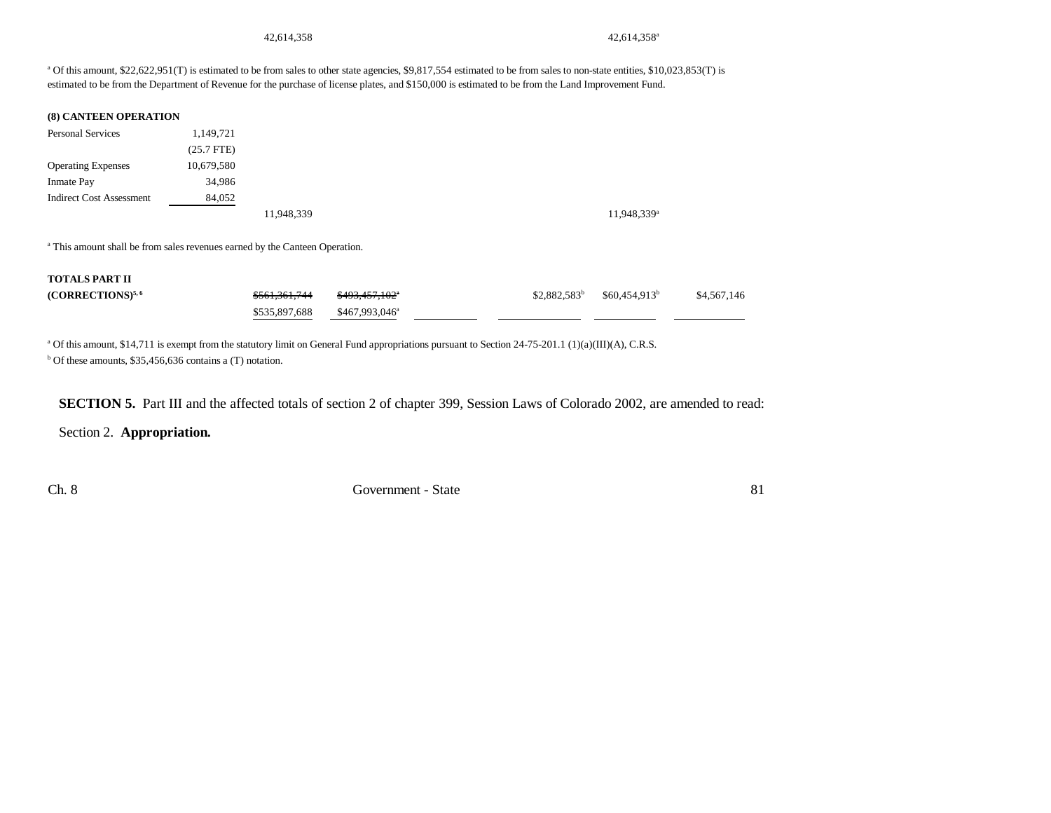42,614,358<sup>4</sup> 42,614,358<sup>a</sup>

<sup>a</sup> Of this amount, \$22,622,951(T) is estimated to be from sales to other state agencies, \$9,817,554 estimated to be from sales to non-state entities, \$10,023,853(T) is estimated to be from the Department of Revenue for the purchase of license plates, and \$150,000 is estimated to be from the Land Improvement Fund.

#### **(8) CANTEEN OPERATION**

| <b>Personal Services</b>        | 1,149,721    |            |  |
|---------------------------------|--------------|------------|--|
|                                 | $(25.7$ FTE) |            |  |
| <b>Operating Expenses</b>       | 10,679,580   |            |  |
| <b>Inmate Pay</b>               | 34,986       |            |  |
| <b>Indirect Cost Assessment</b> | 84,052       |            |  |
|                                 |              | 11,948,339 |  |

11,948,339<sup>a</sup>

a This amount shall be from sales revenues earned by the Canteen Operation.

#### **TOTALS PART II**

| $(CORRECTIONS)^{5,6}$ | \$561,361,744 | <del>\$493,457,102</del> ° |  | $$2,882,583^b$ $$60,454,913^b$ | \$4,567,146 |
|-----------------------|---------------|----------------------------|--|--------------------------------|-------------|
|                       | \$535.897.688 | \$467.993.046 <sup>a</sup> |  |                                |             |

<sup>a</sup> Of this amount, \$14,711 is exempt from the statutory limit on General Fund appropriations pursuant to Section 24-75-201.1 (1)(a)(III)(A), C.R.S.

 $b$  Of these amounts, \$35,456,636 contains a (T) notation.

**SECTION 5.** Part III and the affected totals of section 2 of chapter 399, Session Laws of Colorado 2002, are amended to read:

Section 2. **Appropriation.**

Ch. 8 Government - State 81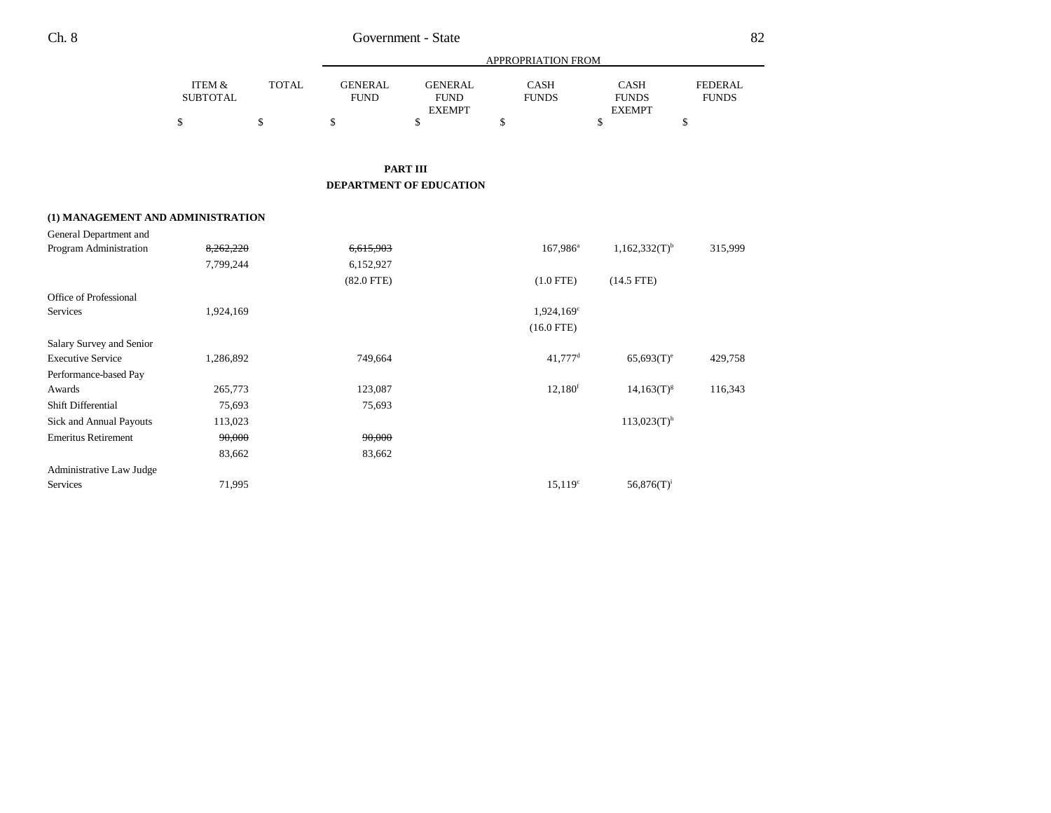|                           |              |                        | APPROPRIATION FROM     |                      |                      |                          |  |
|---------------------------|--------------|------------------------|------------------------|----------------------|----------------------|--------------------------|--|
| ITEM &<br><b>SUBTOTAL</b> | <b>TOTAL</b> | GENERAL<br><b>FUND</b> | GENERAL<br><b>FUND</b> | CASH<br><b>FUNDS</b> | CASH<br><b>FUNDS</b> | FEDERAL.<br><b>FUNDS</b> |  |
|                           |              |                        | <b>EXEMPT</b>          |                      | <b>EXEMPT</b>        |                          |  |
|                           |              |                        |                        |                      |                      |                          |  |

**PART III**

**DEPARTMENT OF EDUCATION**

#### **(1) MANAGEMENT AND ADMINISTRATION**

| General Department and     |           |              |                       |                             |         |
|----------------------------|-----------|--------------|-----------------------|-----------------------------|---------|
| Program Administration     | 8,262,220 | 6,615,903    | $167,986^{\rm a}$     | $1,162,332(T)$ <sup>b</sup> | 315,999 |
|                            | 7,799,244 | 6,152,927    |                       |                             |         |
|                            |           | $(82.0$ FTE) | $(1.0$ FTE)           | $(14.5$ FTE)                |         |
| Office of Professional     |           |              |                       |                             |         |
| Services                   | 1,924,169 |              | $1,924,169^c$         |                             |         |
|                            |           |              | $(16.0$ FTE)          |                             |         |
| Salary Survey and Senior   |           |              |                       |                             |         |
| <b>Executive Service</b>   | 1,286,892 | 749,664      | $41,777$ <sup>d</sup> | $65,693(T)^e$               | 429,758 |
| Performance-based Pay      |           |              |                       |                             |         |
| Awards                     | 265,773   | 123,087      | 12,180 <sup>f</sup>   | $14,163(T)^{g}$             | 116,343 |
| Shift Differential         | 75,693    | 75,693       |                       |                             |         |
| Sick and Annual Payouts    | 113,023   |              |                       | $113,023(T)$ <sup>h</sup>   |         |
| <b>Emeritus Retirement</b> | 90,000    | 90,000       |                       |                             |         |
|                            | 83,662    | 83,662       |                       |                             |         |
| Administrative Law Judge   |           |              |                       |                             |         |
| Services                   | 71,995    |              | $15,119^{\circ}$      | $56,876(T)^1$               |         |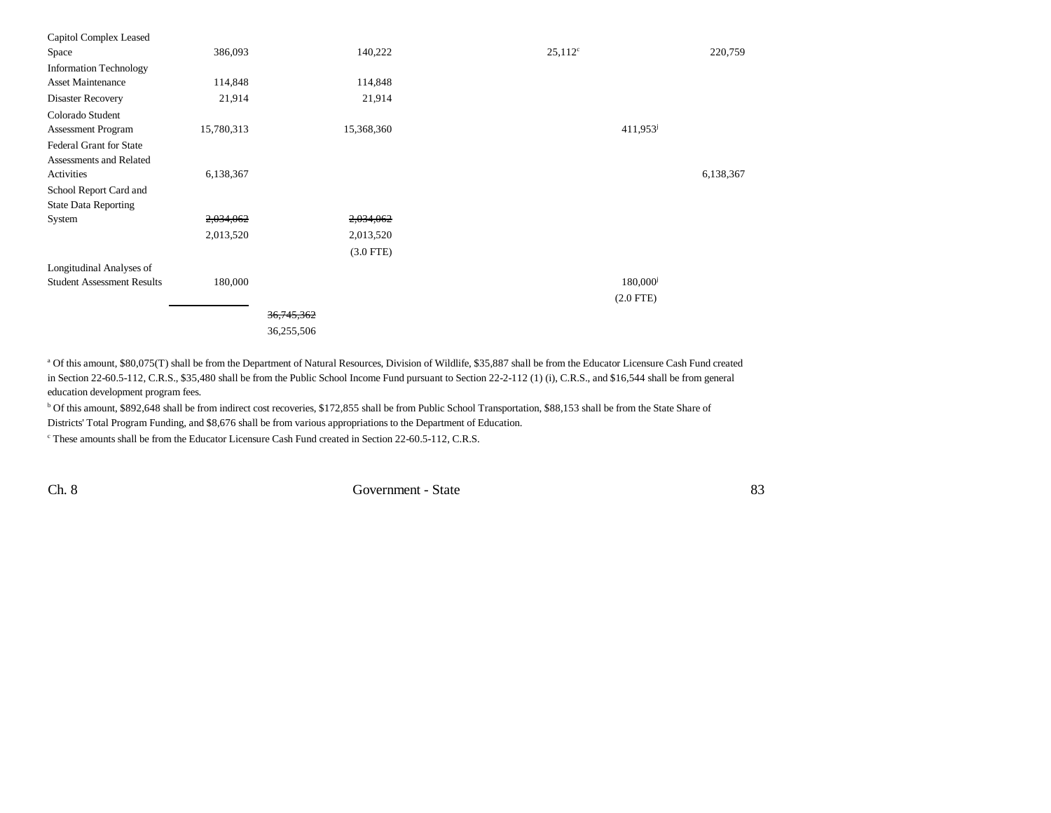| Capitol Complex Leased            |            |              |                      |           |
|-----------------------------------|------------|--------------|----------------------|-----------|
| Space                             | 386,093    | 140,222      | $25,112^c$           | 220,759   |
| <b>Information Technology</b>     |            |              |                      |           |
| <b>Asset Maintenance</b>          | 114,848    | 114,848      |                      |           |
| Disaster Recovery                 | 21,914     | 21,914       |                      |           |
| Colorado Student                  |            |              |                      |           |
| <b>Assessment Program</b>         | 15,780,313 | 15,368,360   | 411,953              |           |
| <b>Federal Grant for State</b>    |            |              |                      |           |
| Assessments and Related           |            |              |                      |           |
| Activities                        | 6,138,367  |              |                      | 6,138,367 |
| School Report Card and            |            |              |                      |           |
| <b>State Data Reporting</b>       |            |              |                      |           |
| System                            | 2,034,062  | 2,034,062    |                      |           |
|                                   | 2,013,520  | 2,013,520    |                      |           |
|                                   |            | $(3.0$ FTE)  |                      |           |
| Longitudinal Analyses of          |            |              |                      |           |
| <b>Student Assessment Results</b> | 180,000    |              | 180,000 <sup>j</sup> |           |
|                                   |            |              | $(2.0$ FTE)          |           |
|                                   |            | 36, 745, 362 |                      |           |
|                                   |            | 36,255,506   |                      |           |
|                                   |            |              |                      |           |

a Of this amount, \$80,075(T) shall be from the Department of Natural Resources, Division of Wildlife, \$35,887 shall be from the Educator Licensure Cash Fund created in Section 22-60.5-112, C.R.S., \$35,480 shall be from the Public School Income Fund pursuant to Section 22-2-112 (1) (i), C.R.S., and \$16,544 shall be from general education development program fees.

b Of this amount, \$892,648 shall be from indirect cost recoveries, \$172,855 shall be from Public School Transportation, \$88,153 shall be from the State Share of Districts' Total Program Funding, and \$8,676 shall be from various appropriations to the Department of Education.

c These amounts shall be from the Educator Licensure Cash Fund created in Section 22-60.5-112, C.R.S.

Ch. 8 Government - State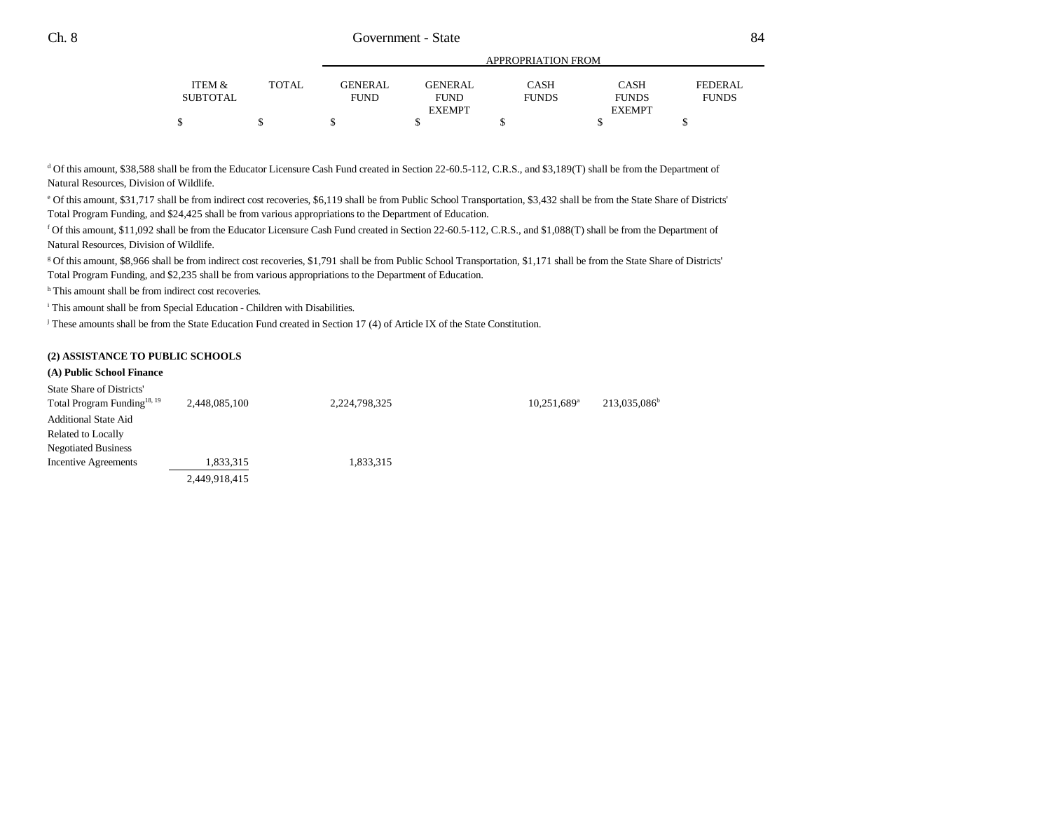|          |       | APPROPRIATION FROM |                |              |                               |                |  |
|----------|-------|--------------------|----------------|--------------|-------------------------------|----------------|--|
| ITEM &   | TOTAL | <b>GENERAL</b>     | <b>GENERAL</b> | <b>CASH</b>  | <b>CASH</b>                   | <b>FEDERAL</b> |  |
| SUBTOTAL |       | <b>FUND</b>        | <b>FUND</b>    | <b>FUNDS</b> | <b>FUNDS</b><br><b>EXEMPT</b> | <b>FUNDS</b>   |  |
|          |       |                    | <b>EXEMPT</b>  |              |                               |                |  |
|          | ٠D    |                    |                |              |                               |                |  |

<sup>d</sup> Of this amount, \$38,588 shall be from the Educator Licensure Cash Fund created in Section 22-60.5-112, C.R.S., and \$3,189(T) shall be from the Department of Natural Resources, Division of Wildlife.

e Of this amount, \$31,717 shall be from indirect cost recoveries, \$6,119 shall be from Public School Transportation, \$3,432 shall be from the State Share of Districts' Total Program Funding, and \$24,425 shall be from various appropriations to the Department of Education.

f Of this amount, \$11,092 shall be from the Educator Licensure Cash Fund created in Section 22-60.5-112, C.R.S., and \$1,088(T) shall be from the Department of Natural Resources, Division of Wildlife.

g Of this amount, \$8,966 shall be from indirect cost recoveries, \$1,791 shall be from Public School Transportation, \$1,171 shall be from the State Share of Districts' Total Program Funding, and \$2,235 shall be from various appropriations to the Department of Education.

<sup>h</sup> This amount shall be from indirect cost recoveries.

i This amount shall be from Special Education - Children with Disabilities.

j These amounts shall be from the State Education Fund created in Section 17 (4) of Article IX of the State Constitution.

# **(2) ASSISTANCE TO PUBLIC SCHOOLS**

# **(A) Public School Finance**

| State Share of Districts'               |               |               |                           |                          |
|-----------------------------------------|---------------|---------------|---------------------------|--------------------------|
| Total Program Funding <sup>18, 19</sup> | 2,448,085,100 | 2,224,798,325 | $10,251,689$ <sup>a</sup> | 213,035,086 <sup>b</sup> |
| <b>Additional State Aid</b>             |               |               |                           |                          |
| <b>Related to Locally</b>               |               |               |                           |                          |
| <b>Negotiated Business</b>              |               |               |                           |                          |
| Incentive Agreements                    | 1,833,315     | 1,833,315     |                           |                          |
|                                         | 2,449,918,415 |               |                           |                          |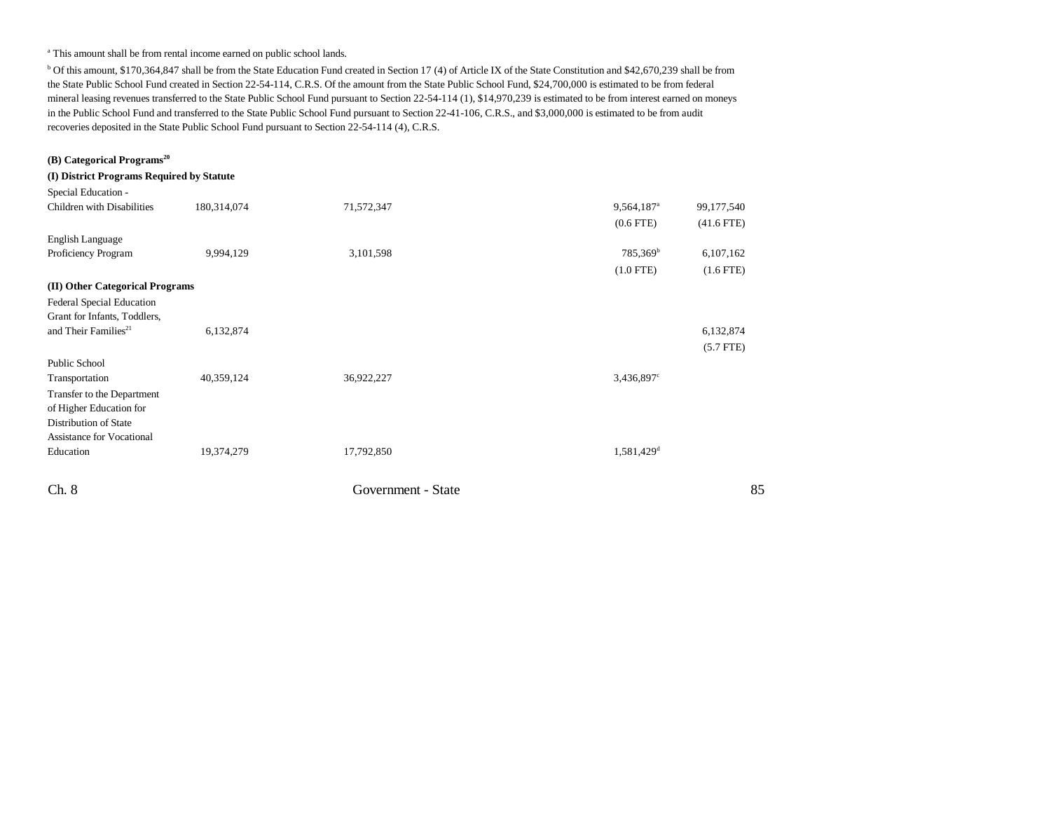#### <sup>a</sup> This amount shall be from rental income earned on public school lands.

b Of this amount, \$170,364,847 shall be from the State Education Fund created in Section 17 (4) of Article IX of the State Constitution and \$42,670,239 shall be from the State Public School Fund created in Section 22-54-114, C.R.S. Of the amount from the State Public School Fund, \$24,700,000 is estimated to be from federal mineral leasing revenues transferred to the State Public School Fund pursuant to Section 22-54-114 (1), \$14,970,239 is estimated to be from interest earned on moneys in the Public School Fund and transferred to the State Public School Fund pursuant to Section 22-41-106, C.R.S., and \$3,000,000 is estimated to be from audit recoveries deposited in the State Public School Fund pursuant to Section 22-54-114 (4), C.R.S.

# Ch. 8 Government - State 85 **(B) Categorical Programs20 (I) District Programs Required by Statute** Special Education - Children with Disabilitiess 180,314,074 71,572,347 99,564,187<sup>a</sup> 99,177,540 (0.6 FTE) (41.6 FTE) English Language Proficiency Program 9,994,129 3,101,598 785,369 785,369 6,107,162 (1.0 FTE) (1.6 FTE) **(II) Other Categorical Programs** Federal Special Education Grant for Infants, Toddlers, and Their Families<sup>21</sup> 6,132,874 6,132,874 6,132,874 6,132,874 6,132,874 6,132,874 6,132,874 6,132,874 6,132,874 (5.7 FTE) Public School Transportation  $40,359,124$   $36,922,227$   $3,436,897^{\circ}$ Transfer to the Department of Higher Education for Distribution of State Assistance for Vocational Education 19,374,279 17,792,850 1,581,429<sup>d</sup> 19,374,279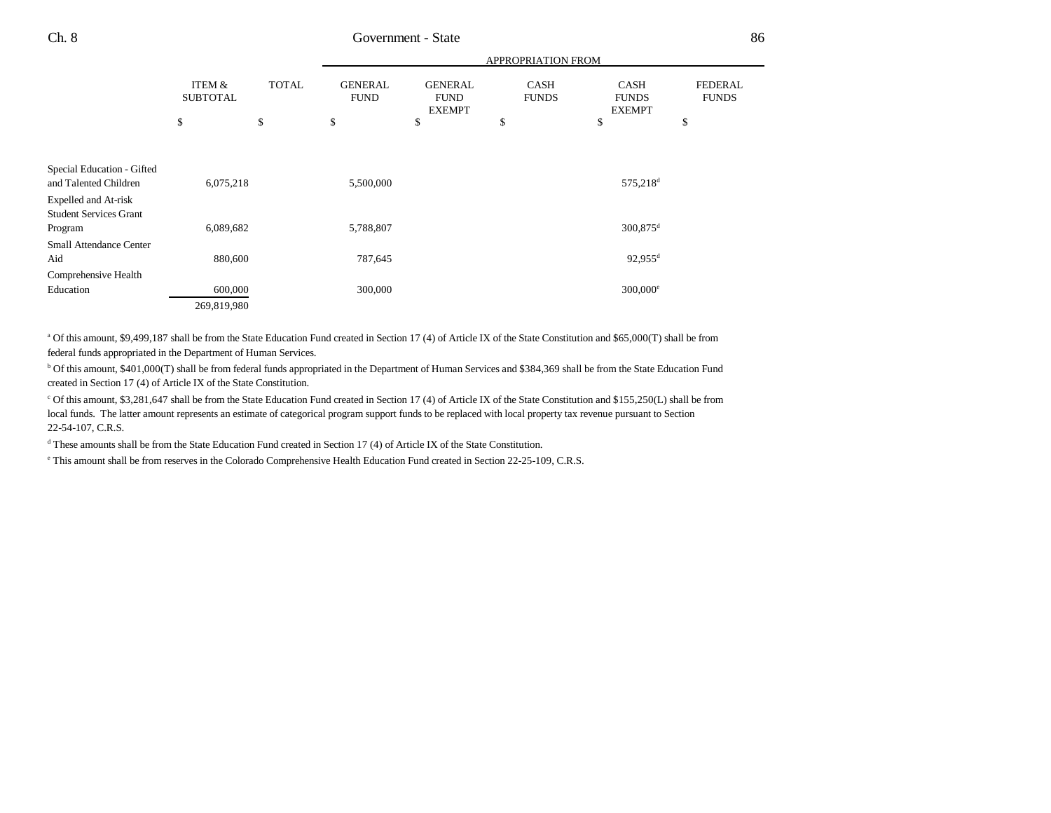|                                                              |                           |              | APPROPRIATION FROM            |                                                |                             |                                              |                                |  |
|--------------------------------------------------------------|---------------------------|--------------|-------------------------------|------------------------------------------------|-----------------------------|----------------------------------------------|--------------------------------|--|
|                                                              | ITEM &<br><b>SUBTOTAL</b> | <b>TOTAL</b> | <b>GENERAL</b><br><b>FUND</b> | <b>GENERAL</b><br><b>FUND</b><br><b>EXEMPT</b> | <b>CASH</b><br><b>FUNDS</b> | <b>CASH</b><br><b>FUNDS</b><br><b>EXEMPT</b> | <b>FEDERAL</b><br><b>FUNDS</b> |  |
|                                                              | \$                        | \$           | \$                            | \$                                             | \$                          | \$                                           | \$                             |  |
|                                                              |                           |              |                               |                                                |                             |                                              |                                |  |
| Special Education - Gifted<br>and Talented Children          | 6,075,218                 |              | 5,500,000                     |                                                |                             | 575,218 <sup>d</sup>                         |                                |  |
| <b>Expelled and At-risk</b><br><b>Student Services Grant</b> |                           |              |                               |                                                |                             |                                              |                                |  |
| Program<br><b>Small Attendance Center</b>                    | 6,089,682                 |              | 5,788,807                     |                                                |                             | 300,875 <sup>d</sup>                         |                                |  |
| Aid                                                          | 880,600                   |              | 787,645                       |                                                |                             | $92,955$ <sup>d</sup>                        |                                |  |
| Comprehensive Health<br>Education                            | 600,000<br>269,819,980    |              | 300,000                       |                                                |                             | $300,000^{\circ}$                            |                                |  |
|                                                              |                           |              |                               |                                                |                             |                                              |                                |  |

<sup>a</sup> Of this amount, \$9,499,187 shall be from the State Education Fund created in Section 17 (4) of Article IX of the State Constitution and \$65,000(T) shall be from federal funds appropriated in the Department of Human Services.

b Of this amount, \$401,000(T) shall be from federal funds appropriated in the Department of Human Services and \$384,369 shall be from the State Education Fund created in Section 17 (4) of Article IX of the State Constitution.

c Of this amount, \$3,281,647 shall be from the State Education Fund created in Section 17 (4) of Article IX of the State Constitution and \$155,250(L) shall be from local funds. The latter amount represents an estimate of categorical program support funds to be replaced with local property tax revenue pursuant to Section 22-54-107, C.R.S.

<sup>d</sup> These amounts shall be from the State Education Fund created in Section 17 (4) of Article IX of the State Constitution.

e This amount shall be from reserves in the Colorado Comprehensive Health Education Fund created in Section 22-25-109, C.R.S.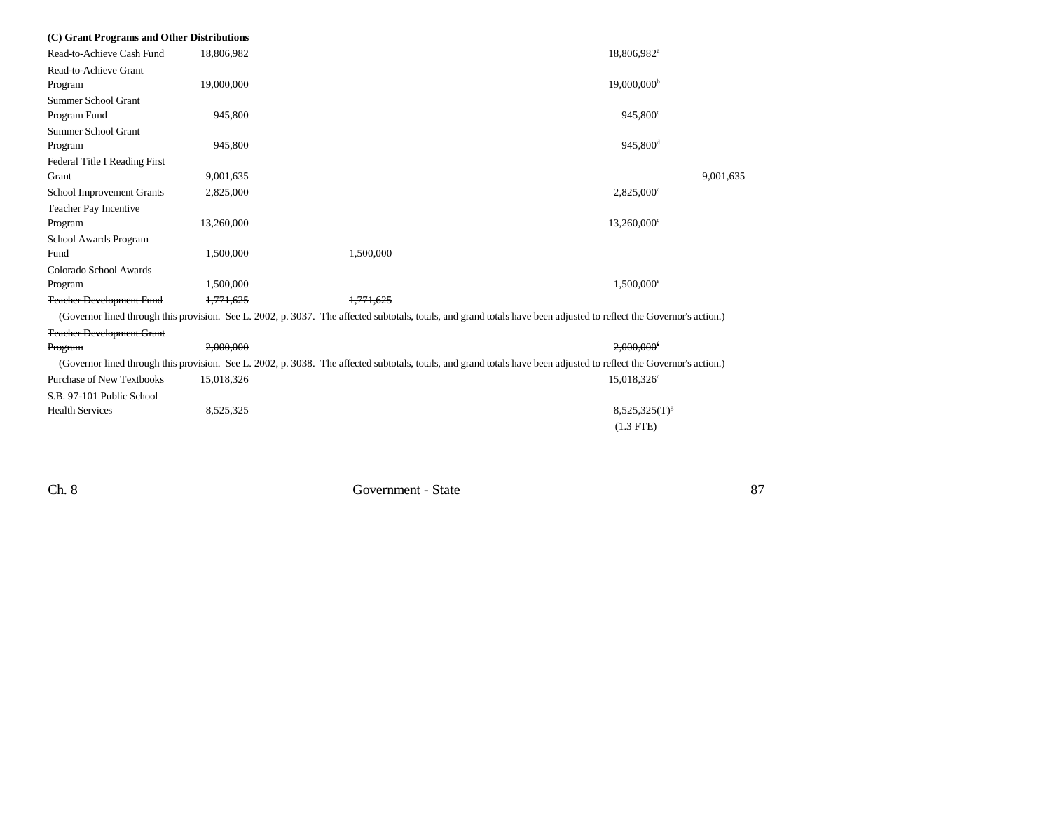| (C) Grant Programs and Other Distributions |            |                                                                                                                                                                      |                          |           |
|--------------------------------------------|------------|----------------------------------------------------------------------------------------------------------------------------------------------------------------------|--------------------------|-----------|
| Read-to-Achieve Cash Fund                  | 18,806,982 |                                                                                                                                                                      | 18,806,982 <sup>a</sup>  |           |
| Read-to-Achieve Grant                      |            |                                                                                                                                                                      |                          |           |
| Program                                    | 19,000,000 |                                                                                                                                                                      | $19,000,000^{\rm b}$     |           |
| Summer School Grant                        |            |                                                                                                                                                                      |                          |           |
| Program Fund                               | 945,800    |                                                                                                                                                                      | 945,800°                 |           |
| Summer School Grant                        |            |                                                                                                                                                                      |                          |           |
| Program                                    | 945,800    |                                                                                                                                                                      | 945,800 <sup>d</sup>     |           |
| Federal Title I Reading First              |            |                                                                                                                                                                      |                          |           |
| Grant                                      | 9,001,635  |                                                                                                                                                                      |                          | 9,001,635 |
| School Improvement Grants                  | 2,825,000  |                                                                                                                                                                      | $2,825,000^{\circ}$      |           |
| Teacher Pay Incentive                      |            |                                                                                                                                                                      |                          |           |
| Program                                    | 13,260,000 |                                                                                                                                                                      | 13,260,000 <sup>c</sup>  |           |
| School Awards Program                      |            |                                                                                                                                                                      |                          |           |
| Fund                                       | 1,500,000  | 1,500,000                                                                                                                                                            |                          |           |
| Colorado School Awards                     |            |                                                                                                                                                                      |                          |           |
| Program                                    | 1,500,000  |                                                                                                                                                                      | $1,500,000$ <sup>e</sup> |           |
| <b>Teacher Development Fund</b>            | 1,771,625  | 1.771.625                                                                                                                                                            |                          |           |
|                                            |            | (Governor lined through this provision. See L. 2002, p. 3037. The affected subtotals, totals, and grand totals have been adjusted to reflect the Governor's action.) |                          |           |
| <b>Teacher Development Grant</b>           |            |                                                                                                                                                                      |                          |           |
| Program                                    | 2,000,000  |                                                                                                                                                                      | $2,000,000$ <sup>f</sup> |           |
|                                            |            | (Governor lined through this provision. See L. 2002, p. 3038. The affected subtotals, totals, and grand totals have been adjusted to reflect the Governor's action.) |                          |           |
| <b>Purchase of New Textbooks</b>           | 15,018,326 |                                                                                                                                                                      | 15,018,326 <sup>c</sup>  |           |
| S.B. 97-101 Public School                  |            |                                                                                                                                                                      |                          |           |
| <b>Health Services</b>                     | 8,525,325  |                                                                                                                                                                      | $8,525,325(T)^{g}$       |           |
|                                            |            |                                                                                                                                                                      | $(1.3$ FTE)              |           |
|                                            |            |                                                                                                                                                                      |                          |           |

 $87\,$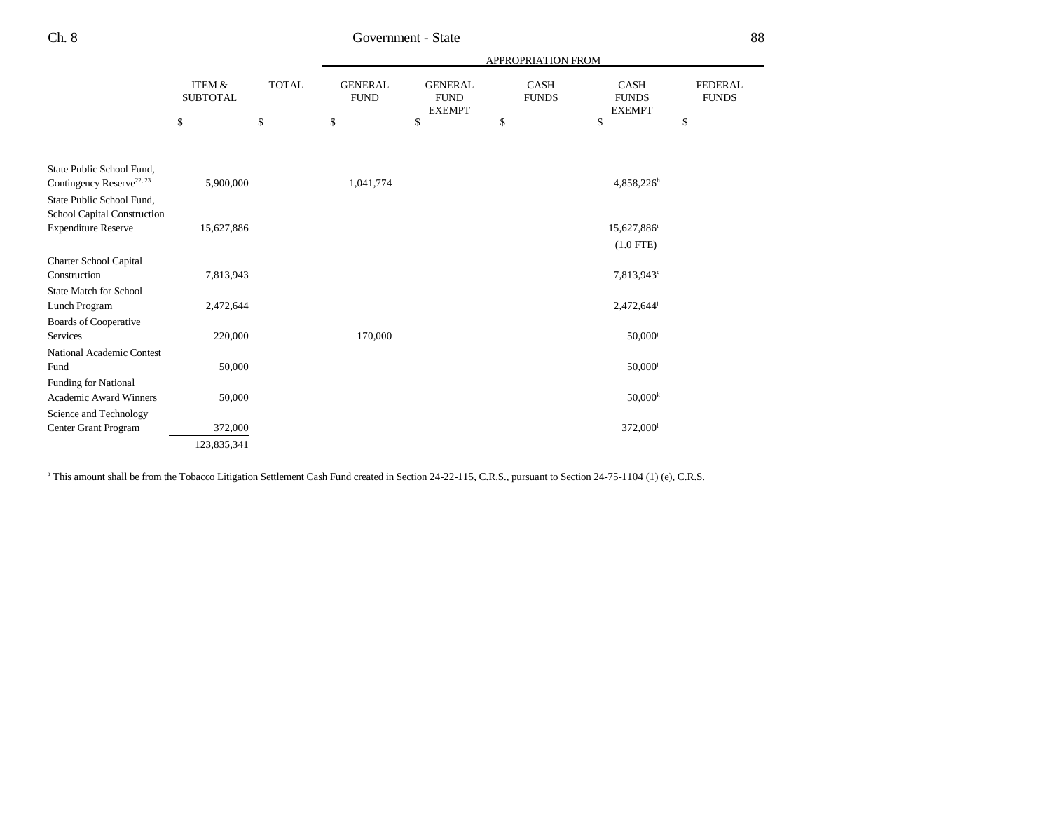|                                       |                              |              |                               |                                                | APPROPRIATION FROM          |                                              |                                |
|---------------------------------------|------------------------------|--------------|-------------------------------|------------------------------------------------|-----------------------------|----------------------------------------------|--------------------------------|
|                                       | ITEM $\&$<br><b>SUBTOTAL</b> | <b>TOTAL</b> | <b>GENERAL</b><br><b>FUND</b> | <b>GENERAL</b><br><b>FUND</b><br><b>EXEMPT</b> | <b>CASH</b><br><b>FUNDS</b> | <b>CASH</b><br><b>FUNDS</b><br><b>EXEMPT</b> | <b>FEDERAL</b><br><b>FUNDS</b> |
|                                       | \$                           | \$           | \$                            | \$                                             | \$                          | \$                                           | \$                             |
|                                       |                              |              |                               |                                                |                             |                                              |                                |
| State Public School Fund,             |                              |              |                               |                                                |                             |                                              |                                |
| Contingency Reserve <sup>22, 23</sup> | 5,900,000                    |              | 1,041,774                     |                                                |                             | $4,858,226^h$                                |                                |
| State Public School Fund,             |                              |              |                               |                                                |                             |                                              |                                |
| School Capital Construction           |                              |              |                               |                                                |                             |                                              |                                |
| <b>Expenditure Reserve</b>            | 15,627,886                   |              |                               |                                                |                             | 15,627,886 <sup>i</sup>                      |                                |
|                                       |                              |              |                               |                                                |                             | $(1.0$ FTE)                                  |                                |
| Charter School Capital                |                              |              |                               |                                                |                             |                                              |                                |
| Construction                          | 7,813,943                    |              |                               |                                                |                             | 7,813,943 <sup>c</sup>                       |                                |
| <b>State Match for School</b>         |                              |              |                               |                                                |                             |                                              |                                |
| Lunch Program                         | 2,472,644                    |              |                               |                                                |                             | 2,472,644                                    |                                |
| Boards of Cooperative                 |                              |              |                               |                                                |                             |                                              |                                |
| Services                              | 220,000                      |              | 170,000                       |                                                |                             | $50,000$ <sup>j</sup>                        |                                |
| <b>National Academic Contest</b>      |                              |              |                               |                                                |                             |                                              |                                |
| Fund                                  | 50,000                       |              |                               |                                                |                             | $50,000$ <sup>j</sup>                        |                                |
| Funding for National                  |                              |              |                               |                                                |                             |                                              |                                |
| <b>Academic Award Winners</b>         | 50,000                       |              |                               |                                                |                             | $50,000^k$                                   |                                |
| Science and Technology                |                              |              |                               |                                                |                             |                                              |                                |
| Center Grant Program                  | 372,000                      |              |                               |                                                |                             | 372,000 <sup>1</sup>                         |                                |
|                                       | 123,835,341                  |              |                               |                                                |                             |                                              |                                |

<sup>a</sup> This amount shall be from the Tobacco Litigation Settlement Cash Fund created in Section 24-22-115, C.R.S., pursuant to Section 24-75-1104 (1) (e), C.R.S.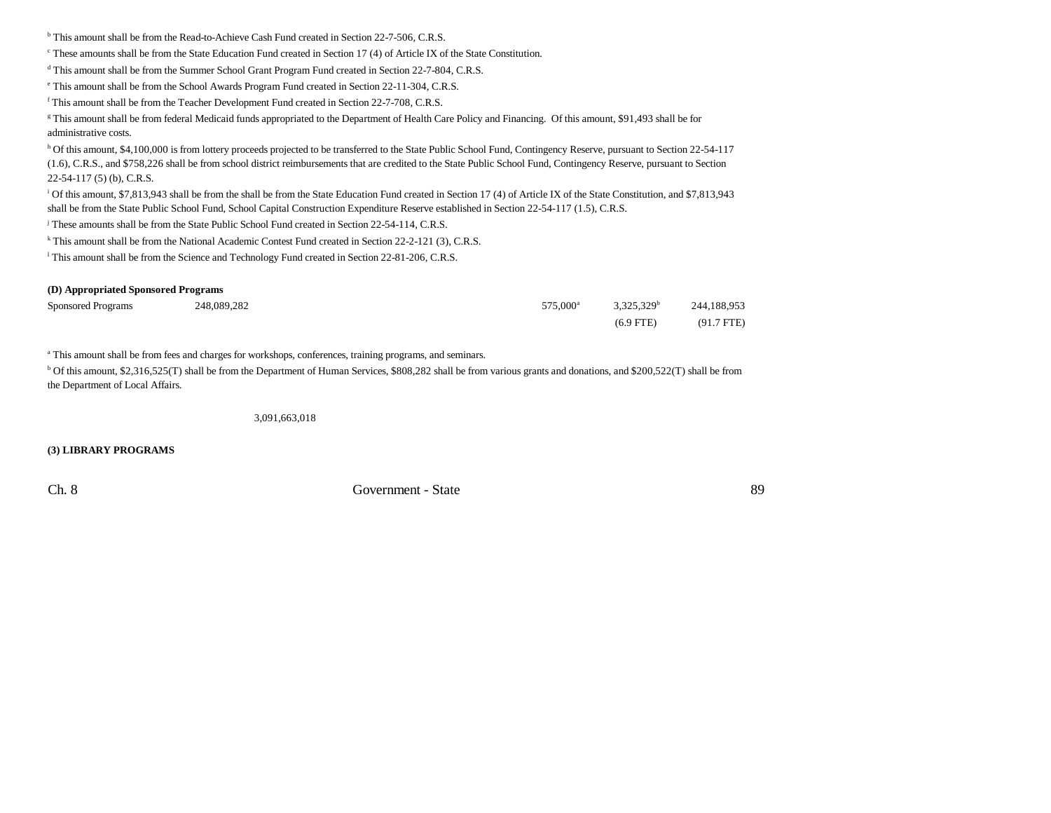<sup>b</sup> This amount shall be from the Read-to-Achieve Cash Fund created in Section 22-7-506, C.R.S.

c These amounts shall be from the State Education Fund created in Section 17 (4) of Article IX of the State Constitution.

<sup>d</sup> This amount shall be from the Summer School Grant Program Fund created in Section 22-7-804, C.R.S.

e This amount shall be from the School Awards Program Fund created in Section 22-11-304, C.R.S.

f This amount shall be from the Teacher Development Fund created in Section 22-7-708, C.R.S.

<sup>g</sup> This amount shall be from federal Medicaid funds appropriated to the Department of Health Care Policy and Financing. Of this amount, \$91,493 shall be for administrative costs.

h Of this amount, \$4,100,000 is from lottery proceeds projected to be transferred to the State Public School Fund, Contingency Reserve, pursuant to Section 22-54-117 (1.6), C.R.S., and \$758,226 shall be from school district reimbursements that are credited to the State Public School Fund, Contingency Reserve, pursuant to Section 22-54-117 (5) (b), C.R.S.

<sup>i</sup> Of this amount, \$7,813,943 shall be from the shall be from the State Education Fund created in Section 17 (4) of Article IX of the State Constitution, and \$7,813,943 shall be from the State Public School Fund, School Capital Construction Expenditure Reserve established in Section 22-54-117 (1.5), C.R.S.

<sup>j</sup> These amounts shall be from the State Public School Fund created in Section 22-54-114, C.R.S.

<sup>k</sup> This amount shall be from the National Academic Contest Fund created in Section 22-2-121 (3), C.R.S.

l This amount shall be from the Science and Technology Fund created in Section 22-81-206, C.R.S.

#### **(D) Appropriated Sponsored Programs**

| <b>Sponsored Programs</b> | 248.089.282 | 575.000 <sup>a</sup> | 3.325.329 <sup>b</sup> | 244,188,953  |
|---------------------------|-------------|----------------------|------------------------|--------------|
|                           |             |                      | $(6.9$ FTE)            | $(91.7$ FTE) |

a This amount shall be from fees and charges for workshops, conferences, training programs, and seminars.

b Of this amount, \$2,316,525(T) shall be from the Department of Human Services, \$808,282 shall be from various grants and donations, and \$200,522(T) shall be from the Department of Local Affairs.

3,091,663,018

**(3) LIBRARY PROGRAMS**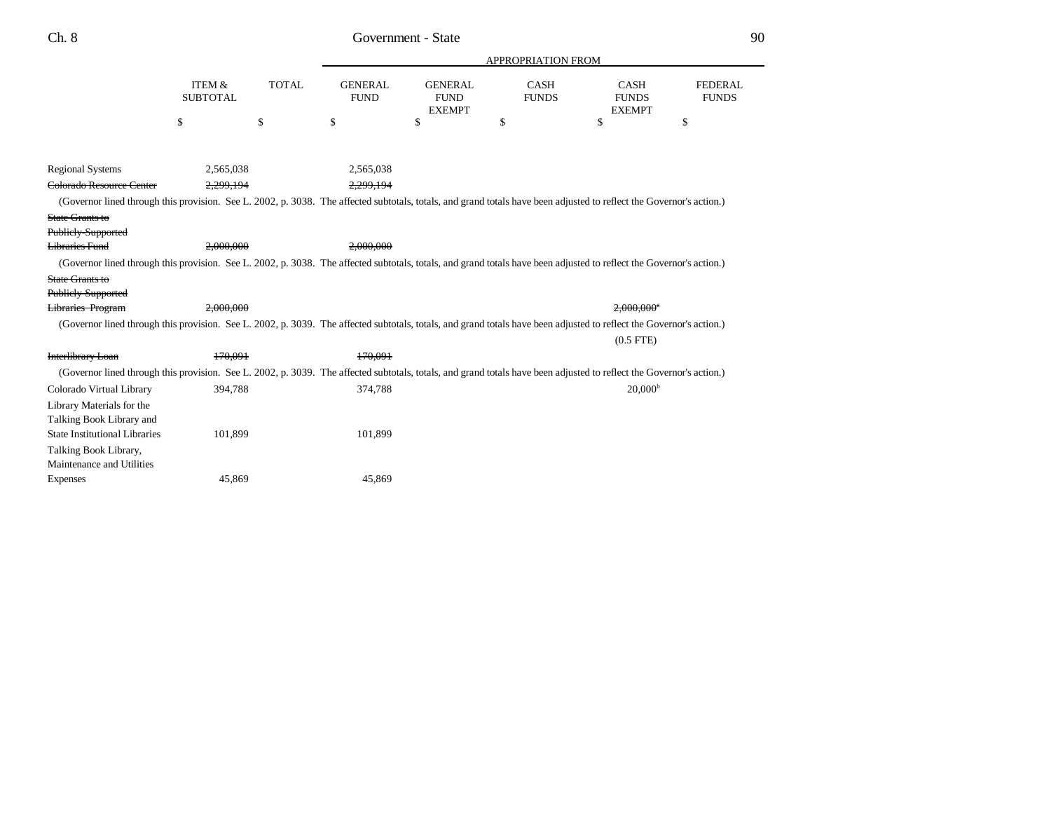|                                                                                                                                                                      |                                      |              |                               |                                                | <b>APPROPRIATION FROM</b>   |                                              |                                |
|----------------------------------------------------------------------------------------------------------------------------------------------------------------------|--------------------------------------|--------------|-------------------------------|------------------------------------------------|-----------------------------|----------------------------------------------|--------------------------------|
|                                                                                                                                                                      | <b>ITEM &amp;</b><br><b>SUBTOTAL</b> | <b>TOTAL</b> | <b>GENERAL</b><br><b>FUND</b> | <b>GENERAL</b><br><b>FUND</b><br><b>EXEMPT</b> | <b>CASH</b><br><b>FUNDS</b> | <b>CASH</b><br><b>FUNDS</b><br><b>EXEMPT</b> | <b>FEDERAL</b><br><b>FUNDS</b> |
|                                                                                                                                                                      | \$                                   | \$           | \$                            | \$                                             | \$                          | \$                                           | \$                             |
|                                                                                                                                                                      |                                      |              |                               |                                                |                             |                                              |                                |
| <b>Regional Systems</b>                                                                                                                                              | 2,565,038                            |              | 2,565,038                     |                                                |                             |                                              |                                |
| Colorado Resource Center                                                                                                                                             | 2,299,194                            |              | 2.299.194                     |                                                |                             |                                              |                                |
| (Governor lined through this provision. See L. 2002, p. 3038. The affected subtotals, totals, and grand totals have been adjusted to reflect the Governor's action.) |                                      |              |                               |                                                |                             |                                              |                                |
| State Grants to                                                                                                                                                      |                                      |              |                               |                                                |                             |                                              |                                |
| Publicly-Supported                                                                                                                                                   |                                      |              |                               |                                                |                             |                                              |                                |
| <b>Libraries Fund</b>                                                                                                                                                | 2.000.000                            |              | 2.000.000                     |                                                |                             |                                              |                                |
| (Governor lined through this provision. See L. 2002, p. 3038. The affected subtotals, totals, and grand totals have been adjusted to reflect the Governor's action.) |                                      |              |                               |                                                |                             |                                              |                                |
| State Grants to                                                                                                                                                      |                                      |              |                               |                                                |                             |                                              |                                |
| Publicly-Supported                                                                                                                                                   |                                      |              |                               |                                                |                             |                                              |                                |
| Libraries Program                                                                                                                                                    | 2.000.000                            |              |                               |                                                |                             | $2.000.000$ <sup>a</sup>                     |                                |
| (Governor lined through this provision. See L. 2002, p. 3039. The affected subtotals, totals, and grand totals have been adjusted to reflect the Governor's action.) |                                      |              |                               |                                                |                             |                                              |                                |
|                                                                                                                                                                      |                                      |              |                               |                                                |                             | $(0.5$ FTE $)$                               |                                |
| Interlibrary Loan                                                                                                                                                    | 170,091                              |              | 170.091                       |                                                |                             |                                              |                                |
| (Governor lined through this provision. See L. 2002, p. 3039. The affected subtotals, totals, and grand totals have been adjusted to reflect the Governor's action.) |                                      |              |                               |                                                |                             |                                              |                                |
| Colorado Virtual Library                                                                                                                                             | 394,788                              |              | 374,788                       |                                                |                             | 20,000 <sup>b</sup>                          |                                |
| Library Materials for the<br>Talking Book Library and                                                                                                                |                                      |              |                               |                                                |                             |                                              |                                |
| <b>State Institutional Libraries</b>                                                                                                                                 | 101,899                              |              | 101,899                       |                                                |                             |                                              |                                |
| Talking Book Library,                                                                                                                                                |                                      |              |                               |                                                |                             |                                              |                                |
| Maintenance and Utilities                                                                                                                                            |                                      |              |                               |                                                |                             |                                              |                                |
| <b>Expenses</b>                                                                                                                                                      | 45,869                               |              | 45,869                        |                                                |                             |                                              |                                |
|                                                                                                                                                                      |                                      |              |                               |                                                |                             |                                              |                                |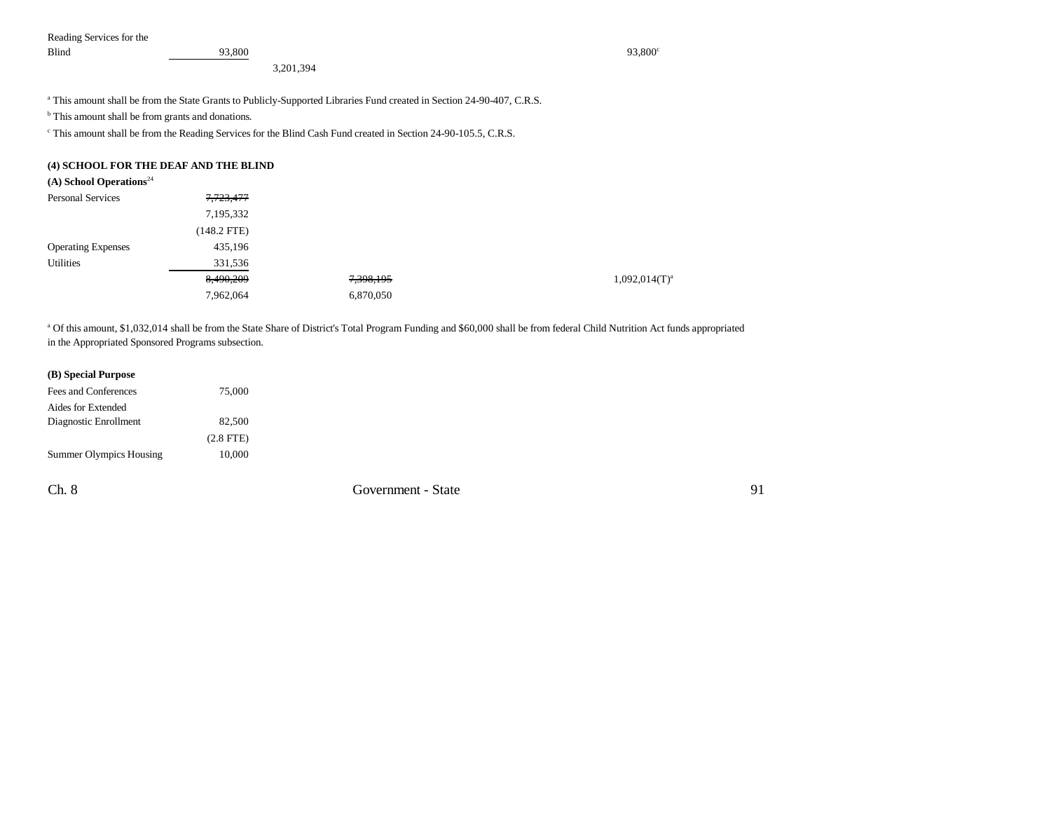Reading Services for the Blind  $93,800$  93,800

3,201,394

a This amount shall be from the State Grants to Publicly-Supported Libraries Fund created in Section 24-90-407, C.R.S.

<sup>b</sup> This amount shall be from grants and donations.

c This amount shall be from the Reading Services for the Blind Cash Fund created in Section 24-90-105.5, C.R.S.

#### **(4) SCHOOL FOR THE DEAF AND THE BLIND**

| (A) School Operations <sup>24</sup> |               |           |                    |
|-------------------------------------|---------------|-----------|--------------------|
| <b>Personal Services</b>            | 7,723,477     |           |                    |
|                                     | 7,195,332     |           |                    |
|                                     | $(148.2$ FTE) |           |                    |
| <b>Operating Expenses</b>           | 435,196       |           |                    |
| <b>Utilities</b>                    | 331,536       |           |                    |
|                                     | 8,490,209     | 7,398,195 | $1,092,014(T)^{a}$ |
|                                     | 7,962,064     | 6,870,050 |                    |

a Of this amount, \$1,032,014 shall be from the State Share of District's Total Program Funding and \$60,000 shall be from federal Child Nutrition Act funds appropriated in the Appropriated Sponsored Programs subsection.

| (B) Special Purpose     |                |
|-------------------------|----------------|
| Fees and Conferences    | 75,000         |
| Aides for Extended      |                |
| Diagnostic Enrollment   | 82,500         |
|                         | $(2.8$ FTE $)$ |
| Summer Olympics Housing | 10,000         |
|                         |                |

Ch. 8 Government - State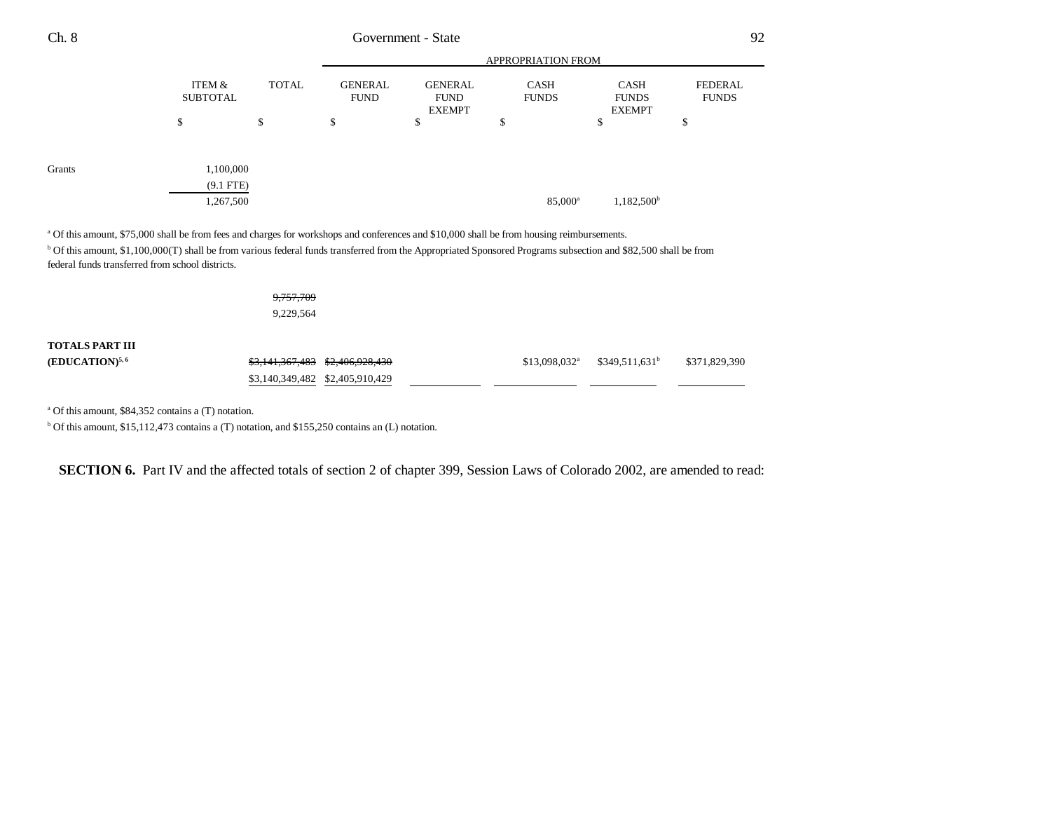| <b>FEDERAL</b><br><b>FUNDS</b> |
|--------------------------------|
|                                |
|                                |
|                                |
|                                |
|                                |
|                                |
|                                |

<sup>b</sup> Of this amount, \$1,100,000(T) shall be from various federal funds transferred from the Appropriated Sponsored Programs subsection and \$82,500 shall be from federal funds transferred from school districts.

|                        | <del>9,757,709</del>                                     |                            |                  |               |
|------------------------|----------------------------------------------------------|----------------------------|------------------|---------------|
|                        | 9,229,564                                                |                            |                  |               |
| <b>TOTALS PART III</b> |                                                          |                            |                  |               |
| $(EDUCATION)^{5,6}$    | <del>\$3,141,367,483</del><br><del>\$2,406,928,430</del> | $$13,098,032$ <sup>a</sup> | $$349,511,631^b$ | \$371,829,390 |
|                        | \$3,140,349,482 \$2,405,910,429                          |                            |                  |               |

a Of this amount, \$84,352 contains a (T) notation.

b Of this amount, \$15,112,473 contains a (T) notation, and \$155,250 contains an (L) notation.

**SECTION 6.** Part IV and the affected totals of section 2 of chapter 399, Session Laws of Colorado 2002, are amended to read: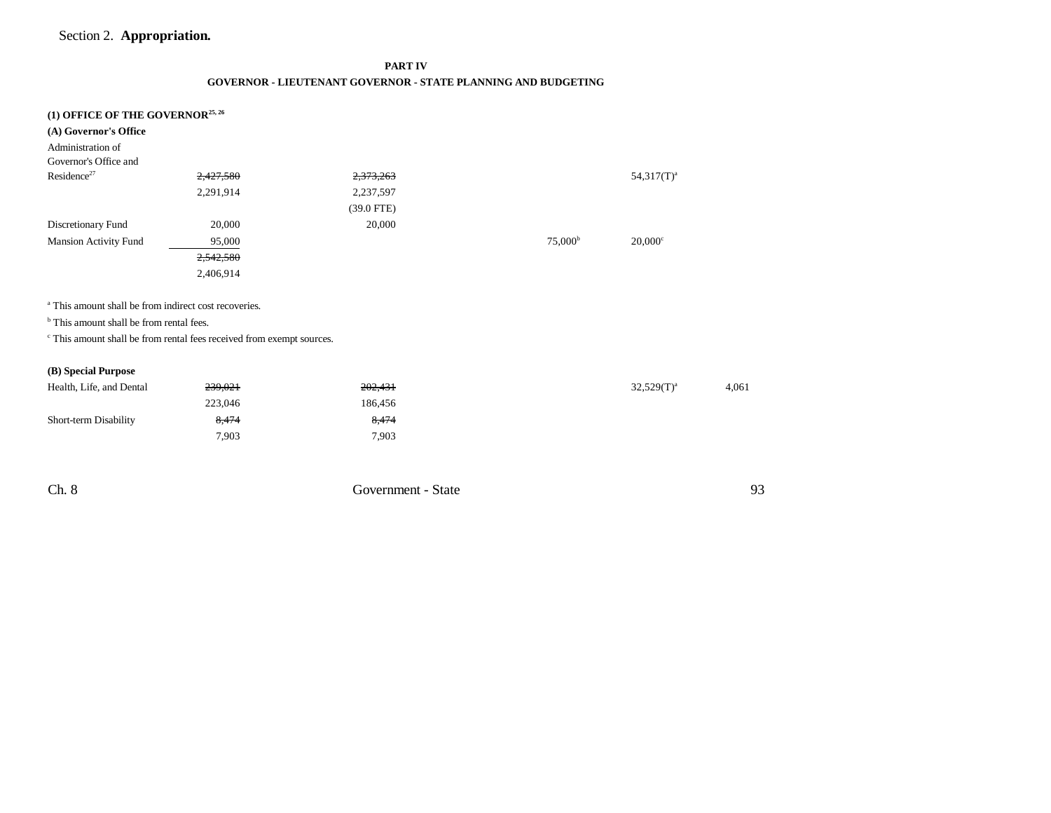## Section 2. **Appropriation.**

**PART IV**

#### **GOVERNOR - LIEUTENANT GOVERNOR - STATE PLANNING AND BUDGETING**

|  |  |  | (1) OFFICE OF THE GOVERNOR <sup>25, 26</sup> |
|--|--|--|----------------------------------------------|
|--|--|--|----------------------------------------------|

| (A) Governor's Office                                                            |           |              |                  |                       |       |
|----------------------------------------------------------------------------------|-----------|--------------|------------------|-----------------------|-------|
| Administration of                                                                |           |              |                  |                       |       |
| Governor's Office and                                                            |           |              |                  |                       |       |
| Residence <sup>27</sup>                                                          | 2,427,580 | 2,373,263    |                  | $54,317(T)^a$         |       |
|                                                                                  | 2,291,914 | 2,237,597    |                  |                       |       |
|                                                                                  |           | $(39.0$ FTE) |                  |                       |       |
| Discretionary Fund                                                               | 20,000    | 20,000       |                  |                       |       |
| <b>Mansion Activity Fund</b>                                                     | 95,000    |              | $75,000^{\rm b}$ | $20,000$ <sup>c</sup> |       |
|                                                                                  | 2,542,580 |              |                  |                       |       |
|                                                                                  | 2,406,914 |              |                  |                       |       |
|                                                                                  |           |              |                  |                       |       |
| <sup>a</sup> This amount shall be from indirect cost recoveries.                 |           |              |                  |                       |       |
| <sup>b</sup> This amount shall be from rental fees.                              |           |              |                  |                       |       |
| <sup>c</sup> This amount shall be from rental fees received from exempt sources. |           |              |                  |                       |       |
|                                                                                  |           |              |                  |                       |       |
| (B) Special Purpose                                                              |           |              |                  |                       |       |
| Health, Life, and Dental                                                         | 239,021   | 202,431      |                  | $32,529(T)^a$         | 4,061 |
|                                                                                  | 223,046   | 186,456      |                  |                       |       |
| Short-term Disability                                                            | 8,474     | 8,474        |                  |                       |       |
|                                                                                  | 7,903     | 7,903        |                  |                       |       |
|                                                                                  |           |              |                  |                       |       |
|                                                                                  |           |              |                  |                       |       |

Ch. 8 Government - State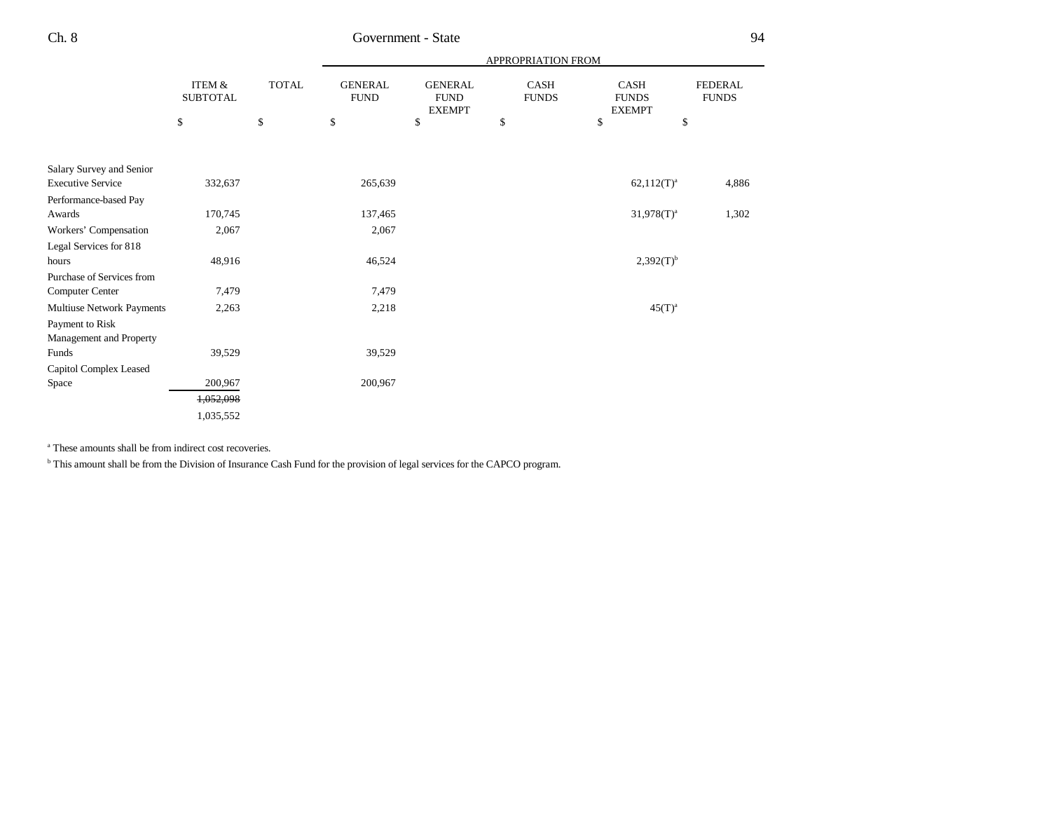|                                  |                                      |              |                               |                                                | APPROPRIATION FROM          |                                              |                                |
|----------------------------------|--------------------------------------|--------------|-------------------------------|------------------------------------------------|-----------------------------|----------------------------------------------|--------------------------------|
|                                  | <b>ITEM &amp;</b><br><b>SUBTOTAL</b> | <b>TOTAL</b> | <b>GENERAL</b><br><b>FUND</b> | <b>GENERAL</b><br><b>FUND</b><br><b>EXEMPT</b> | <b>CASH</b><br><b>FUNDS</b> | <b>CASH</b><br><b>FUNDS</b><br><b>EXEMPT</b> | <b>FEDERAL</b><br><b>FUNDS</b> |
|                                  | \$                                   | \$           | \$                            | \$                                             | \$                          | \$                                           | \$                             |
|                                  |                                      |              |                               |                                                |                             |                                              |                                |
| Salary Survey and Senior         |                                      |              |                               |                                                |                             |                                              |                                |
| <b>Executive Service</b>         | 332,637                              |              | 265,639                       |                                                |                             | $62,112(T)^{a}$                              | 4,886                          |
| Performance-based Pay            |                                      |              |                               |                                                |                             |                                              |                                |
| Awards                           | 170,745                              |              | 137,465                       |                                                |                             | $31,978(T)^{a}$                              | 1,302                          |
| Workers' Compensation            | 2,067                                |              | 2,067                         |                                                |                             |                                              |                                |
| Legal Services for 818           |                                      |              |                               |                                                |                             |                                              |                                |
| hours                            | 48,916                               |              | 46,524                        |                                                |                             | $2,392(T)^{b}$                               |                                |
| Purchase of Services from        |                                      |              |                               |                                                |                             |                                              |                                |
| Computer Center                  | 7,479                                |              | 7,479                         |                                                |                             |                                              |                                |
| Multiuse Network Payments        | 2,263                                |              | 2,218                         |                                                |                             | $45(T)^a$                                    |                                |
| Payment to Risk                  |                                      |              |                               |                                                |                             |                                              |                                |
| Management and Property<br>Funds | 39,529                               |              | 39,529                        |                                                |                             |                                              |                                |
|                                  |                                      |              |                               |                                                |                             |                                              |                                |
| Capitol Complex Leased<br>Space  | 200,967                              |              | 200,967                       |                                                |                             |                                              |                                |
|                                  |                                      |              |                               |                                                |                             |                                              |                                |
|                                  | 1,052,098                            |              |                               |                                                |                             |                                              |                                |
|                                  | 1,035,552                            |              |                               |                                                |                             |                                              |                                |

<sup>a</sup> These amounts shall be from indirect cost recoveries.

b This amount shall be from the Division of Insurance Cash Fund for the provision of legal services for the CAPCO program.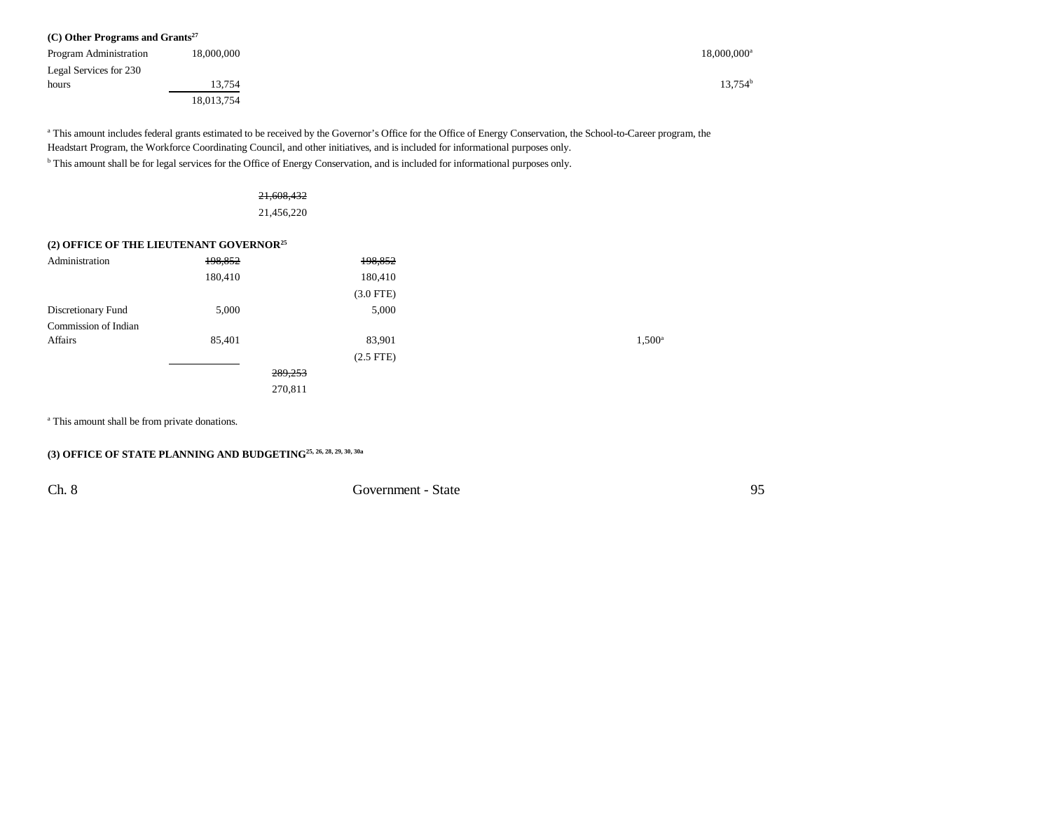| $(C)$ Other Programs and Grants <sup>27</sup> |            |                |  |
|-----------------------------------------------|------------|----------------|--|
| Program Administration                        | 18,000,000 | $18,000,000^a$ |  |
| Legal Services for 230                        |            |                |  |
| hours                                         | 13,754     | $13,754^b$     |  |
|                                               | 18,013,754 |                |  |

<sup>a</sup> This amount includes federal grants estimated to be received by the Governor's Office for the Office of Energy Conservation, the School-to-Career program, the Headstart Program, the Workforce Coordinating Council, and other initiatives, and is included for informational purposes only. b This amount shall be for legal services for the Office of Energy Conservation, and is included for informational purposes only.

| 21,608,432 |
|------------|

21,456,220

#### **(2) OFFICE OF THE LIEUTENANT GOVERNOR<sup>25</sup>**

| Administration       | 198,852 | 198,852     |                 |
|----------------------|---------|-------------|-----------------|
|                      | 180,410 | 180,410     |                 |
|                      |         | $(3.0$ FTE) |                 |
| Discretionary Fund   | 5,000   | 5,000       |                 |
| Commission of Indian |         |             |                 |
| Affairs              | 85,401  | 83,901      | $1,500^{\circ}$ |
|                      |         | $(2.5$ FTE) |                 |
|                      |         | 289,253     |                 |
|                      |         | 270,811     |                 |
|                      |         |             |                 |

<sup>a</sup> This amount shall be from private donations.

## **(3) OFFICE OF STATE PLANNING AND BUDGETING25, 26, 28, 29, 30, 30a**

Ch. 8 Government - State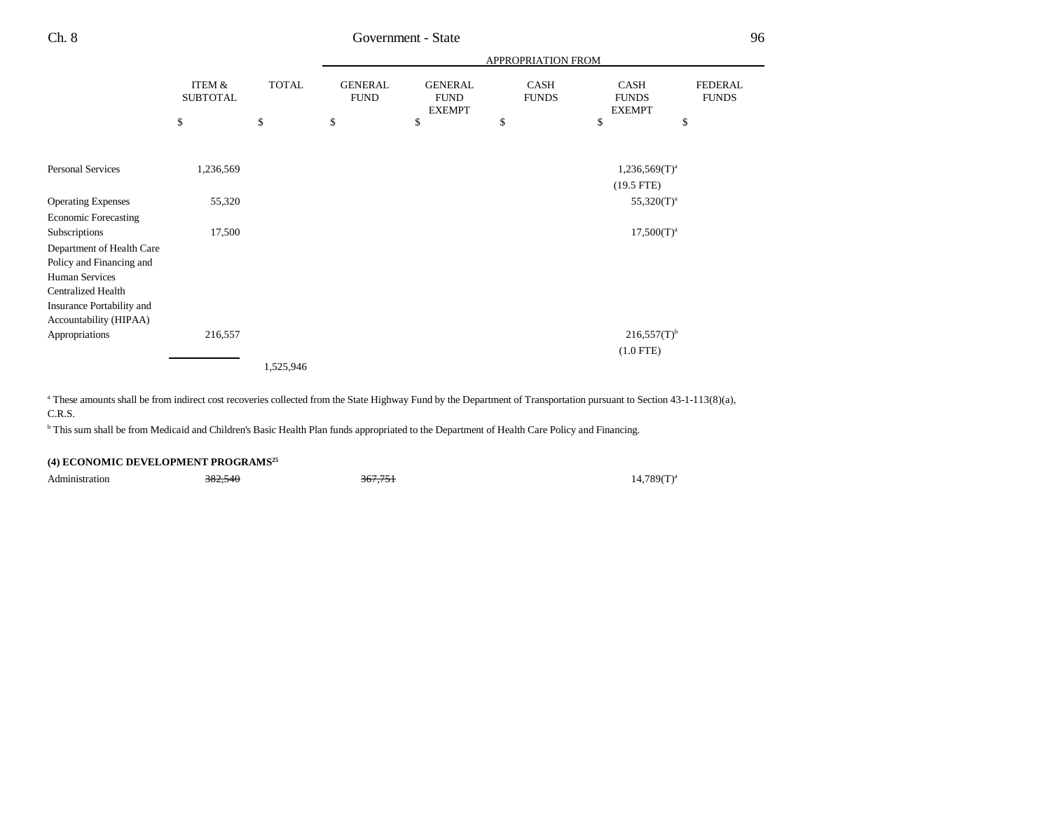|                                                     |                           |              |                               |                                                | APPROPRIATION FROM   |                                              |                                |
|-----------------------------------------------------|---------------------------|--------------|-------------------------------|------------------------------------------------|----------------------|----------------------------------------------|--------------------------------|
|                                                     | ITEM &<br><b>SUBTOTAL</b> | <b>TOTAL</b> | <b>GENERAL</b><br><b>FUND</b> | <b>GENERAL</b><br><b>FUND</b><br><b>EXEMPT</b> | CASH<br><b>FUNDS</b> | <b>CASH</b><br><b>FUNDS</b><br><b>EXEMPT</b> | <b>FEDERAL</b><br><b>FUNDS</b> |
|                                                     | \$                        | \$           | \$                            | \$                                             | \$                   | \$                                           | \$                             |
|                                                     |                           |              |                               |                                                |                      |                                              |                                |
| Personal Services                                   | 1,236,569                 |              |                               |                                                |                      | $1,236,569(T)^{a}$                           |                                |
|                                                     |                           |              |                               |                                                |                      | $(19.5$ FTE)                                 |                                |
| <b>Operating Expenses</b>                           | 55,320                    |              |                               |                                                |                      | $55,320(T)^a$                                |                                |
| <b>Economic Forecasting</b>                         |                           |              |                               |                                                |                      |                                              |                                |
| Subscriptions                                       | 17,500                    |              |                               |                                                |                      | $17,500(T)^{a}$                              |                                |
| Department of Health Care                           |                           |              |                               |                                                |                      |                                              |                                |
| Policy and Financing and                            |                           |              |                               |                                                |                      |                                              |                                |
| Human Services                                      |                           |              |                               |                                                |                      |                                              |                                |
| <b>Centralized Health</b>                           |                           |              |                               |                                                |                      |                                              |                                |
| Insurance Portability and<br>Accountability (HIPAA) |                           |              |                               |                                                |                      |                                              |                                |
| Appropriations                                      | 216,557                   |              |                               |                                                |                      | $216,557(T)$ <sup>b</sup>                    |                                |
|                                                     |                           |              |                               |                                                |                      | $(1.0$ FTE)                                  |                                |
|                                                     |                           | 1,525,946    |                               |                                                |                      |                                              |                                |

<sup>a</sup> These amounts shall be from indirect cost recoveries collected from the State Highway Fund by the Department of Transportation pursuant to Section 43-1-113(8)(a), C.R.S.

<sup>b</sup> This sum shall be from Medicaid and Children's Basic Health Plan funds appropriated to the Department of Health Care Policy and Financing.

#### **(4) ECONOMIC DEVELOPMENT PROGRAMS<sup>25</sup>**

Administration  $382,540$   $367,751$   $367,751$   $367,751$   $367,751$   $367,761$   $367,761$   $367,761$   $367,761$   $367,751$   $367,751$   $367,751$   $367,751$   $367,751$   $367,751$   $367,751$   $367,751$   $367,751$   $367,751$   $367,751$   $367,7$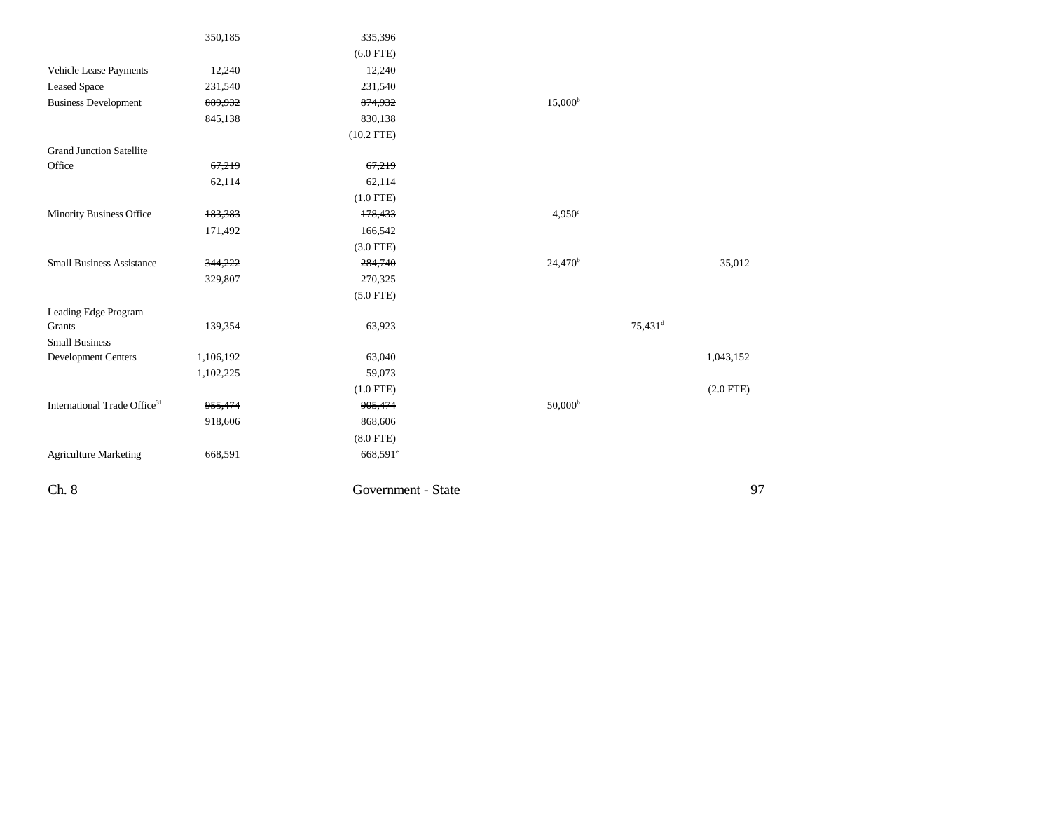|                                          | 350,185   | 335,396              |                     |                     |
|------------------------------------------|-----------|----------------------|---------------------|---------------------|
|                                          |           | $(6.0$ FTE)          |                     |                     |
| Vehicle Lease Payments                   | 12,240    | 12,240               |                     |                     |
| <b>Leased Space</b>                      | 231,540   | 231,540              |                     |                     |
| <b>Business Development</b>              | 889,932   | 874,932              | 15,000 <sup>b</sup> |                     |
|                                          | 845,138   | 830,138              |                     |                     |
|                                          |           | $(10.2$ FTE)         |                     |                     |
| <b>Grand Junction Satellite</b>          |           |                      |                     |                     |
| Office                                   | 67,219    | 67,219               |                     |                     |
|                                          | 62,114    | 62,114               |                     |                     |
|                                          |           | $(1.0$ FTE)          |                     |                     |
| <b>Minority Business Office</b>          | 183,383   | 178,433              | $4,950^\circ$       |                     |
|                                          | 171,492   | 166,542              |                     |                     |
|                                          |           | $(3.0$ FTE)          |                     |                     |
| <b>Small Business Assistance</b>         | 344,222   | 284,740              | $24,470^b$          | 35,012              |
|                                          | 329,807   | 270,325              |                     |                     |
|                                          |           | $(5.0$ FTE)          |                     |                     |
| Leading Edge Program                     |           |                      |                     |                     |
| Grants                                   | 139,354   | 63,923               |                     | 75,431 <sup>d</sup> |
| <b>Small Business</b>                    |           |                      |                     |                     |
| Development Centers                      | 1,106,192 | 63,040               |                     | 1,043,152           |
|                                          | 1,102,225 | 59,073               |                     |                     |
|                                          |           | $(1.0$ FTE)          |                     | $(2.0$ FTE)         |
| International Trade Office <sup>31</sup> | 955,474   | 905,474              | $50,000^{\rm b}$    |                     |
|                                          | 918,606   | 868,606              |                     |                     |
|                                          |           | $(8.0$ FTE)          |                     |                     |
| <b>Agriculture Marketing</b>             | 668,591   | 668,591 <sup>e</sup> |                     |                     |
|                                          |           |                      |                     |                     |
| Ch. 8                                    |           | Government - State   |                     | 97                  |
|                                          |           |                      |                     |                     |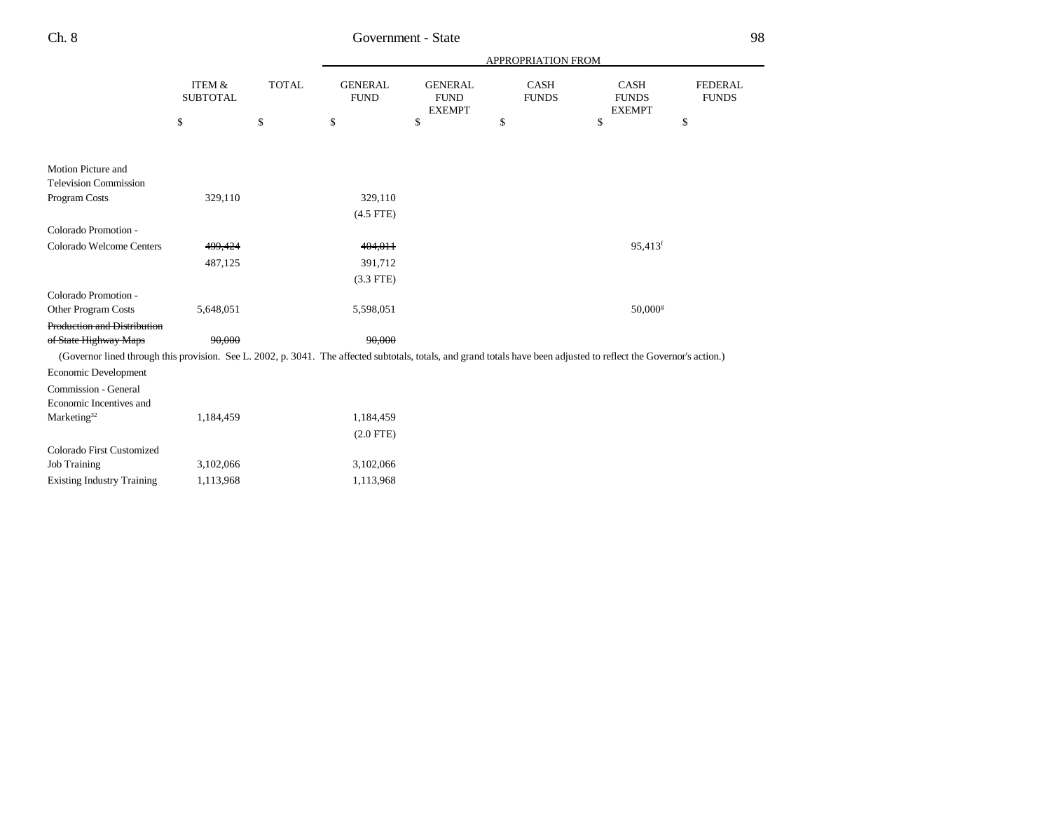|                                                                                                                                                                      |                           |              | APPROPRIATION FROM            |                                                |                      |                                              |                                |  |
|----------------------------------------------------------------------------------------------------------------------------------------------------------------------|---------------------------|--------------|-------------------------------|------------------------------------------------|----------------------|----------------------------------------------|--------------------------------|--|
|                                                                                                                                                                      | ITEM &<br><b>SUBTOTAL</b> | <b>TOTAL</b> | <b>GENERAL</b><br><b>FUND</b> | <b>GENERAL</b><br><b>FUND</b><br><b>EXEMPT</b> | CASH<br><b>FUNDS</b> | <b>CASH</b><br><b>FUNDS</b><br><b>EXEMPT</b> | <b>FEDERAL</b><br><b>FUNDS</b> |  |
|                                                                                                                                                                      | \$                        | \$           | \$                            | \$                                             | \$                   | \$                                           | \$                             |  |
| Motion Picture and                                                                                                                                                   |                           |              |                               |                                                |                      |                                              |                                |  |
| <b>Television Commission</b>                                                                                                                                         |                           |              |                               |                                                |                      |                                              |                                |  |
| Program Costs                                                                                                                                                        | 329,110                   |              | 329,110                       |                                                |                      |                                              |                                |  |
|                                                                                                                                                                      |                           |              | $(4.5$ FTE)                   |                                                |                      |                                              |                                |  |
| Colorado Promotion -                                                                                                                                                 |                           |              |                               |                                                |                      |                                              |                                |  |
| Colorado Welcome Centers                                                                                                                                             | 499,424                   |              | 404.011                       |                                                |                      | 95,413 <sup>f</sup>                          |                                |  |
|                                                                                                                                                                      | 487,125                   |              | 391,712                       |                                                |                      |                                              |                                |  |
|                                                                                                                                                                      |                           |              | $(3.3$ FTE)                   |                                                |                      |                                              |                                |  |
| Colorado Promotion -                                                                                                                                                 |                           |              |                               |                                                |                      |                                              |                                |  |
| Other Program Costs                                                                                                                                                  | 5,648,051                 |              | 5,598,051                     |                                                |                      | $50,000$ <sup>g</sup>                        |                                |  |
| <b>Production and Distribution</b>                                                                                                                                   |                           |              |                               |                                                |                      |                                              |                                |  |
| of State Highway Maps                                                                                                                                                | 90.000                    |              | 90.000                        |                                                |                      |                                              |                                |  |
| (Governor lined through this provision. See L. 2002, p. 3041. The affected subtotals, totals, and grand totals have been adjusted to reflect the Governor's action.) |                           |              |                               |                                                |                      |                                              |                                |  |
| Economic Development                                                                                                                                                 |                           |              |                               |                                                |                      |                                              |                                |  |
| Commission - General                                                                                                                                                 |                           |              |                               |                                                |                      |                                              |                                |  |
| Economic Incentives and                                                                                                                                              |                           |              |                               |                                                |                      |                                              |                                |  |
| Marketing <sup>32</sup>                                                                                                                                              | 1,184,459                 |              | 1,184,459                     |                                                |                      |                                              |                                |  |
|                                                                                                                                                                      |                           |              | $(2.0$ FTE)                   |                                                |                      |                                              |                                |  |
| Colorado First Customized                                                                                                                                            |                           |              |                               |                                                |                      |                                              |                                |  |
| <b>Job Training</b>                                                                                                                                                  | 3,102,066                 |              | 3,102,066                     |                                                |                      |                                              |                                |  |
| <b>Existing Industry Training</b>                                                                                                                                    | 1,113,968                 |              | 1,113,968                     |                                                |                      |                                              |                                |  |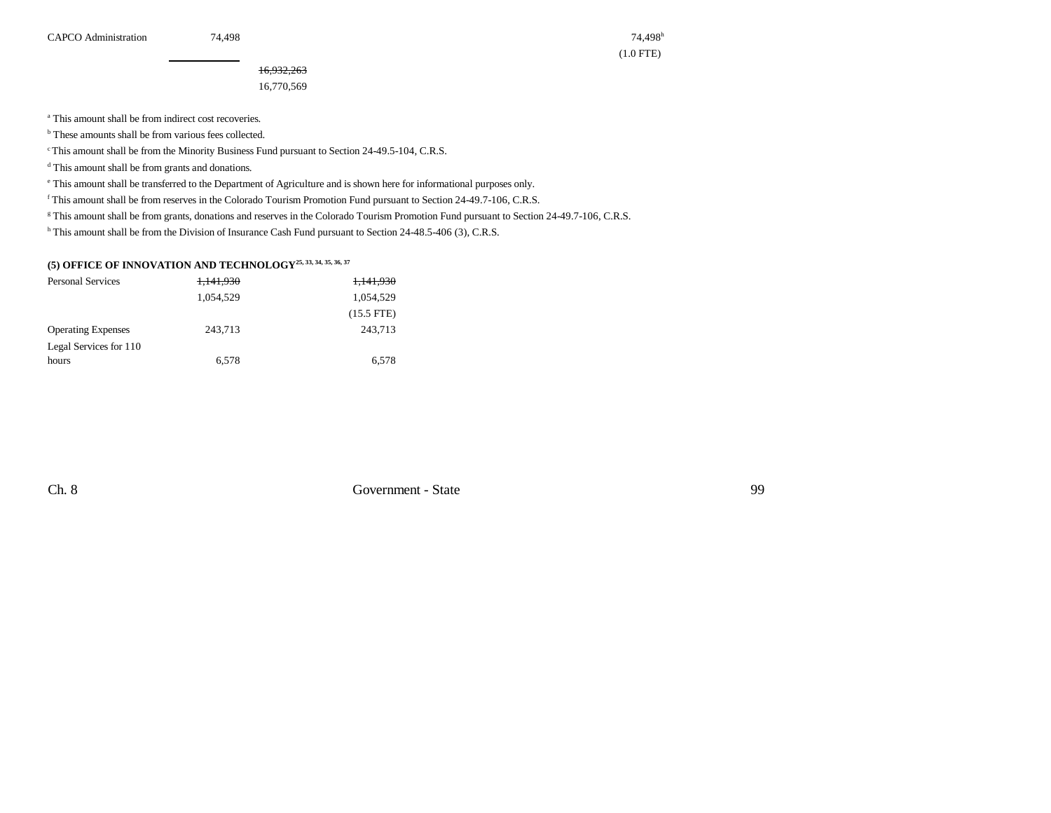(1.0 FTE)

16,932,263 16,770,569

<sup>a</sup> This amount shall be from indirect cost recoveries.

<sup>b</sup> These amounts shall be from various fees collected.

c This amount shall be from the Minority Business Fund pursuant to Section 24-49.5-104, C.R.S.

<sup>d</sup> This amount shall be from grants and donations.

e This amount shall be transferred to the Department of Agriculture and is shown here for informational purposes only.

f This amount shall be from reserves in the Colorado Tourism Promotion Fund pursuant to Section 24-49.7-106, C.R.S.

<sup>g</sup> This amount shall be from grants, donations and reserves in the Colorado Tourism Promotion Fund pursuant to Section 24-49.7-106, C.R.S.

h This amount shall be from the Division of Insurance Cash Fund pursuant to Section 24-48.5-406 (3), C.R.S.

#### **(5) OFFICE OF INNOVATION AND TECHNOLOGY25, 33, 34, 35, 36, 37**

| <b>Personal Services</b>  | 1,141,930 | 1,141,930    |
|---------------------------|-----------|--------------|
|                           | 1.054.529 | 1,054,529    |
|                           |           | $(15.5$ FTE) |
| <b>Operating Expenses</b> | 243.713   | 243.713      |
| Legal Services for 110    |           |              |
| hours                     | 6.578     | 6.578        |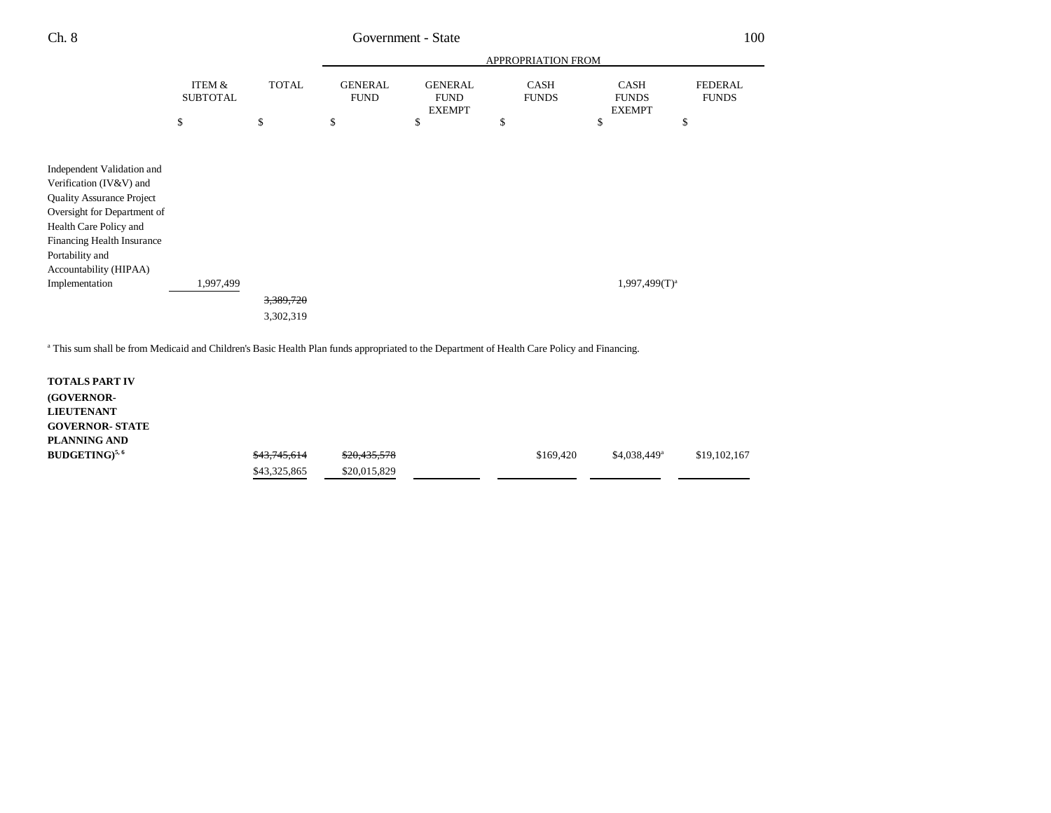| Ch. 8                                                                                                                                                                            |                           | 100          |                               |                                                |                      |                                              |                                |
|----------------------------------------------------------------------------------------------------------------------------------------------------------------------------------|---------------------------|--------------|-------------------------------|------------------------------------------------|----------------------|----------------------------------------------|--------------------------------|
|                                                                                                                                                                                  |                           |              | APPROPRIATION FROM            |                                                |                      |                                              |                                |
|                                                                                                                                                                                  | ITEM &<br><b>SUBTOTAL</b> | <b>TOTAL</b> | <b>GENERAL</b><br><b>FUND</b> | <b>GENERAL</b><br><b>FUND</b><br><b>EXEMPT</b> | CASH<br><b>FUNDS</b> | <b>CASH</b><br><b>FUNDS</b><br><b>EXEMPT</b> | <b>FEDERAL</b><br><b>FUNDS</b> |
|                                                                                                                                                                                  | \$                        | \$           | \$                            | \$                                             | \$                   | \$                                           | \$                             |
| Independent Validation and<br>Verification (IV&V) and<br><b>Quality Assurance Project</b><br>Oversight for Department of<br>Health Care Policy and<br>Financing Health Insurance |                           |              |                               |                                                |                      |                                              |                                |
| Portability and<br>Accountability (HIPAA)<br>Implementation                                                                                                                      | 1,997,499                 | 3,389,720    |                               |                                                |                      | $1,997,499(T)^{a}$                           |                                |
|                                                                                                                                                                                  |                           | 3,302,319    |                               |                                                |                      |                                              |                                |

<sup>a</sup> This sum shall be from Medicaid and Children's Basic Health Plan funds appropriated to the Department of Health Care Policy and Financing.

| <b>TOTALS PART IV</b>  |              |              |           |                |              |
|------------------------|--------------|--------------|-----------|----------------|--------------|
| <b>(GOVERNOR-</b>      |              |              |           |                |              |
| <b>LIEUTENANT</b>      |              |              |           |                |              |
| <b>GOVERNOR- STATE</b> |              |              |           |                |              |
| PLANNING AND           |              |              |           |                |              |
| $BUDGETING)^{5,6}$     | \$43,745,614 | \$20,435,578 | \$169,420 | $$4,038,449^a$ | \$19,102,167 |
|                        | \$43,325,865 | \$20,015,829 |           |                |              |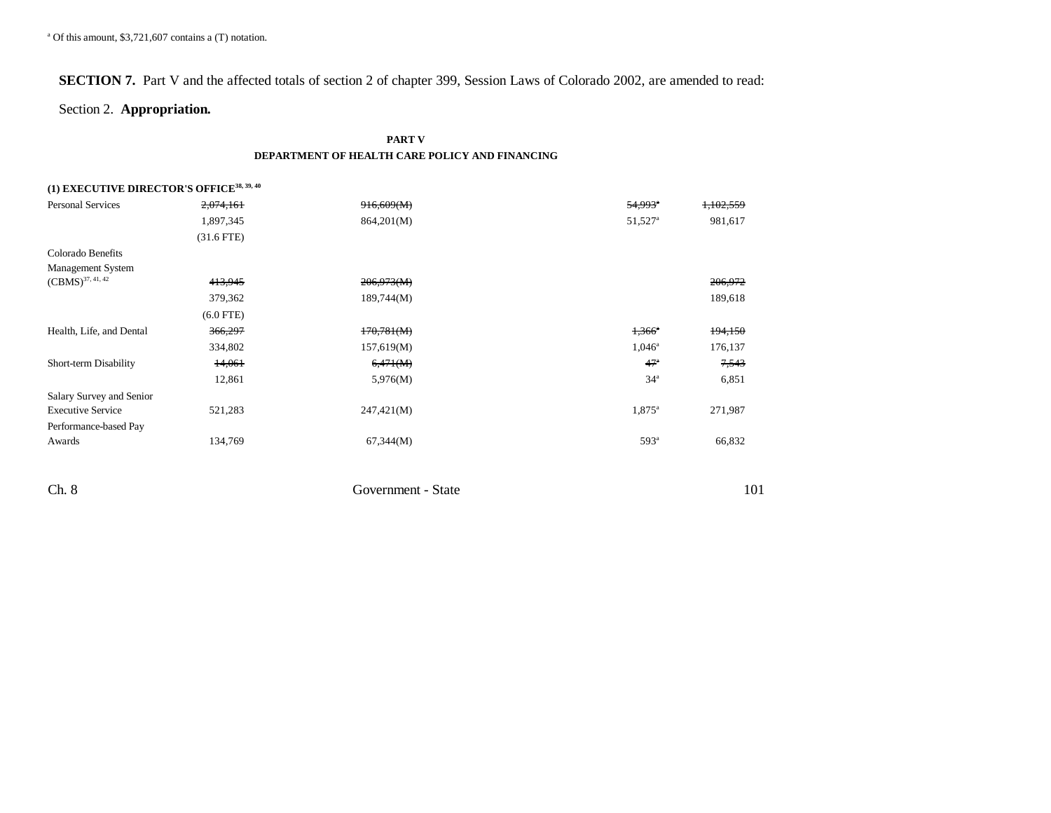## **SECTION 7.** Part V and the affected totals of section 2 of chapter 399, Session Laws of Colorado 2002, are amended to read:

### Section 2. **Appropriation.**

#### **PART V DEPARTMENT OF HEALTH CARE POLICY AND FINANCING**

| (1) EXECUTIVE DIRECTOR'S OFFICE <sup>38, 39, 40</sup> |              |            |                       |           |
|-------------------------------------------------------|--------------|------------|-----------------------|-----------|
| <b>Personal Services</b>                              | 2,074,161    | 916,609(M) | $54,993$ <sup>a</sup> | 1,102,559 |
|                                                       | 1,897,345    | 864,201(M) | 51,527 <sup>a</sup>   | 981,617   |
|                                                       | $(31.6$ FTE) |            |                       |           |
| Colorado Benefits                                     |              |            |                       |           |
| Management System                                     |              |            |                       |           |
| $(\mathrm{CBMS})^{37,\,41,\,42}$                      | 413,945      | 206,973(M) |                       | 206,972   |
|                                                       | 379,362      | 189,744(M) |                       | 189,618   |
|                                                       | $(6.0$ FTE)  |            |                       |           |
| Health, Life, and Dental                              | 366,297      | 170,781(M) | $1,366$ <sup>a</sup>  | 194,150   |
|                                                       | 334,802      | 157,619(M) | $1,046^{\circ}$       | 176,137   |
| Short-term Disability                                 | 14,061       | 6,471(M)   | 47 <sup>a</sup>       | 7,543     |
|                                                       | 12,861       | 5,976(M)   | 34 <sup>a</sup>       | 6,851     |
| Salary Survey and Senior                              |              |            |                       |           |
| <b>Executive Service</b>                              | 521,283      | 247,421(M) | 1,875 <sup>a</sup>    | 271,987   |
| Performance-based Pay                                 |              |            |                       |           |
| Awards                                                | 134,769      | 67,344(M)  | 593 <sup>a</sup>      | 66,832    |
|                                                       |              |            |                       |           |

| $Ch.$ δ<br>$ -$ | State<br>Government - | *∿<br>$\sim$ $\sim$ $\sim$ $\sim$ $\sim$ $\sim$ |
|-----------------|-----------------------|-------------------------------------------------|
|                 |                       |                                                 |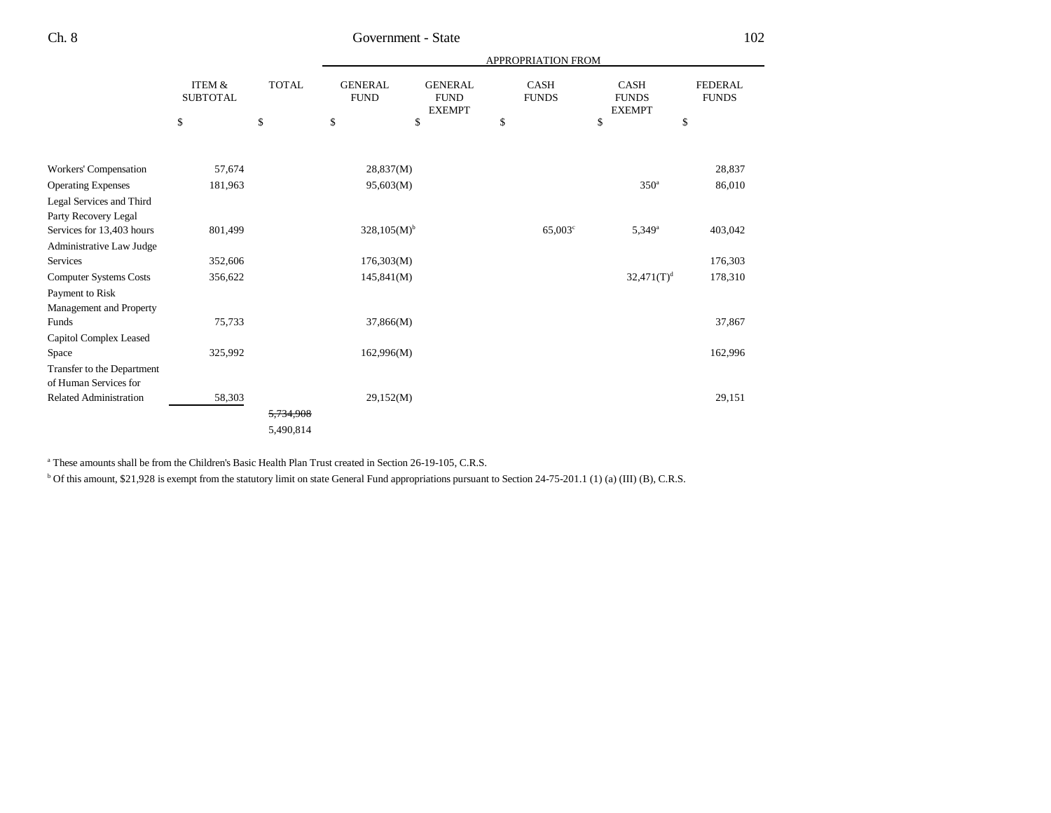|                               |                                      |              |                               |                                                | <b>APPROPRIATION FROM</b>   |                                              |                                |
|-------------------------------|--------------------------------------|--------------|-------------------------------|------------------------------------------------|-----------------------------|----------------------------------------------|--------------------------------|
|                               | <b>ITEM &amp;</b><br><b>SUBTOTAL</b> | <b>TOTAL</b> | <b>GENERAL</b><br><b>FUND</b> | <b>GENERAL</b><br><b>FUND</b><br><b>EXEMPT</b> | <b>CASH</b><br><b>FUNDS</b> | <b>CASH</b><br><b>FUNDS</b><br><b>EXEMPT</b> | <b>FEDERAL</b><br><b>FUNDS</b> |
|                               | \$                                   | \$           | \$                            | \$                                             | \$                          | \$                                           | \$                             |
|                               |                                      |              |                               |                                                |                             |                                              |                                |
| Workers' Compensation         | 57,674                               |              | 28,837(M)                     |                                                |                             |                                              | 28,837                         |
| <b>Operating Expenses</b>     | 181,963                              |              | 95,603(M)                     |                                                |                             | 350 <sup>a</sup>                             | 86,010                         |
| Legal Services and Third      |                                      |              |                               |                                                |                             |                                              |                                |
| Party Recovery Legal          |                                      |              |                               |                                                |                             |                                              |                                |
| Services for 13,403 hours     | 801,499                              |              | $328,105(M)^{b}$              |                                                | $65,003^{\circ}$            | $5,349^{\circ}$                              | 403,042                        |
| Administrative Law Judge      |                                      |              |                               |                                                |                             |                                              |                                |
| Services                      | 352,606                              |              | 176,303(M)                    |                                                |                             |                                              | 176,303                        |
| <b>Computer Systems Costs</b> | 356,622                              |              | 145,841(M)                    |                                                |                             | $32,471(T)^{d}$                              | 178,310                        |
| Payment to Risk               |                                      |              |                               |                                                |                             |                                              |                                |
| Management and Property       |                                      |              |                               |                                                |                             |                                              |                                |
| Funds                         | 75,733                               |              | 37,866(M)                     |                                                |                             |                                              | 37,867                         |
| Capitol Complex Leased        |                                      |              |                               |                                                |                             |                                              |                                |
| Space                         | 325,992                              |              | 162,996(M)                    |                                                |                             |                                              | 162,996                        |
| Transfer to the Department    |                                      |              |                               |                                                |                             |                                              |                                |
| of Human Services for         |                                      |              |                               |                                                |                             |                                              |                                |
| <b>Related Administration</b> | 58,303                               |              | 29,152(M)                     |                                                |                             |                                              | 29,151                         |
|                               |                                      | 5,734,908    |                               |                                                |                             |                                              |                                |
|                               |                                      | 5,490,814    |                               |                                                |                             |                                              |                                |

<sup>a</sup> These amounts shall be from the Children's Basic Health Plan Trust created in Section 26-19-105, C.R.S.

<sup>b</sup> Of this amount, \$21,928 is exempt from the statutory limit on state General Fund appropriations pursuant to Section 24-75-201.1 (1) (a) (III) (B), C.R.S.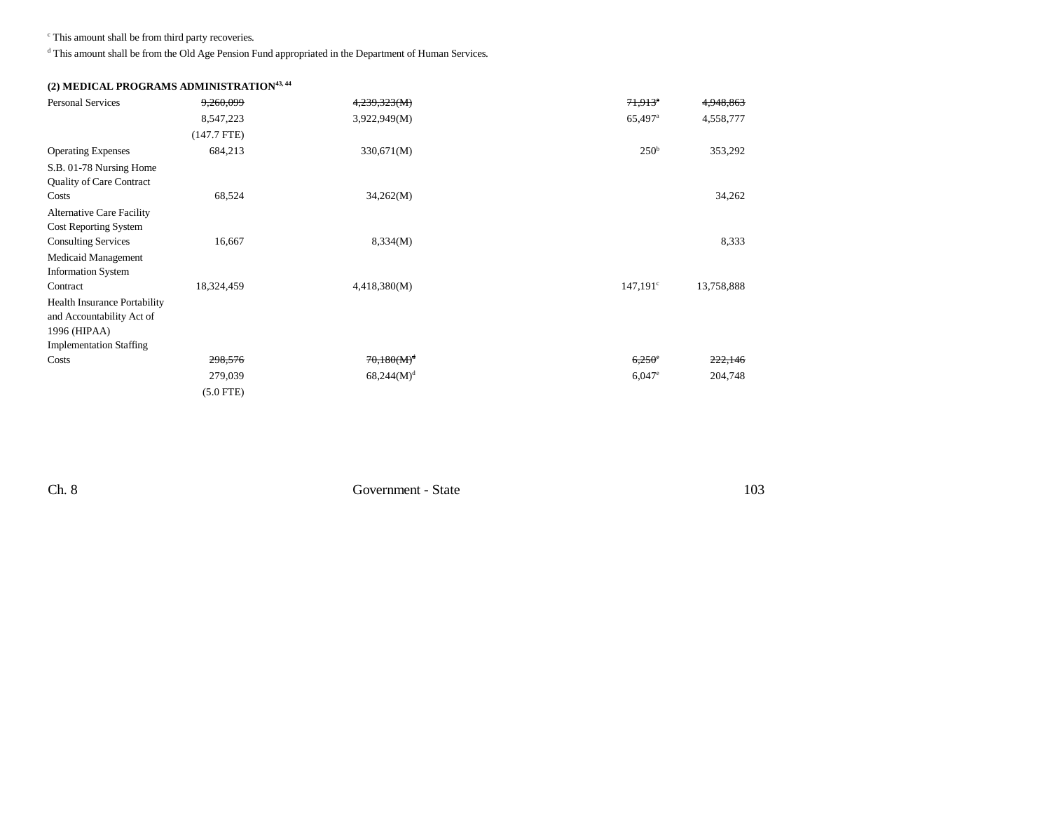c This amount shall be from third party recoveries.

d This amount shall be from the Old Age Pension Fund appropriated in the Department of Human Services.

### **(2) MEDICAL PROGRAMS ADMINISTRATION43, 44**

| <b>Personal Services</b>            | 9,260,099     | 4,239,323(M)  | $71.913$ <sup>*</sup> | 4,948,863  |
|-------------------------------------|---------------|---------------|-----------------------|------------|
|                                     | 8,547,223     | 3,922,949(M)  | 65,497 <sup>a</sup>   | 4,558,777  |
|                                     | $(147.7$ FTE) |               |                       |            |
| <b>Operating Expenses</b>           | 684,213       | 330,671(M)    | 250 <sup>b</sup>      | 353,292    |
| S.B. 01-78 Nursing Home             |               |               |                       |            |
| <b>Quality of Care Contract</b>     |               |               |                       |            |
| Costs                               | 68,524        | 34,262(M)     |                       | 34,262     |
| <b>Alternative Care Facility</b>    |               |               |                       |            |
| Cost Reporting System               |               |               |                       |            |
| <b>Consulting Services</b>          | 16,667        | 8,334(M)      |                       | 8,333      |
| Medicaid Management                 |               |               |                       |            |
| <b>Information System</b>           |               |               |                       |            |
| Contract                            | 18,324,459    | 4,418,380(M)  | $147,191^{\circ}$     | 13,758,888 |
| <b>Health Insurance Portability</b> |               |               |                       |            |
| and Accountability Act of           |               |               |                       |            |
| 1996 (HIPAA)                        |               |               |                       |            |
| <b>Implementation Staffing</b>      |               |               |                       |            |
| Costs                               | 298,576       | $70,180(M)^d$ | $6,250^\circ$         | 222,146    |
|                                     | 279,039       | $68,244(M)^d$ | $6,047$ <sup>e</sup>  | 204,748    |
|                                     | $(5.0$ FTE)   |               |                       |            |

Ch. 8 Government - State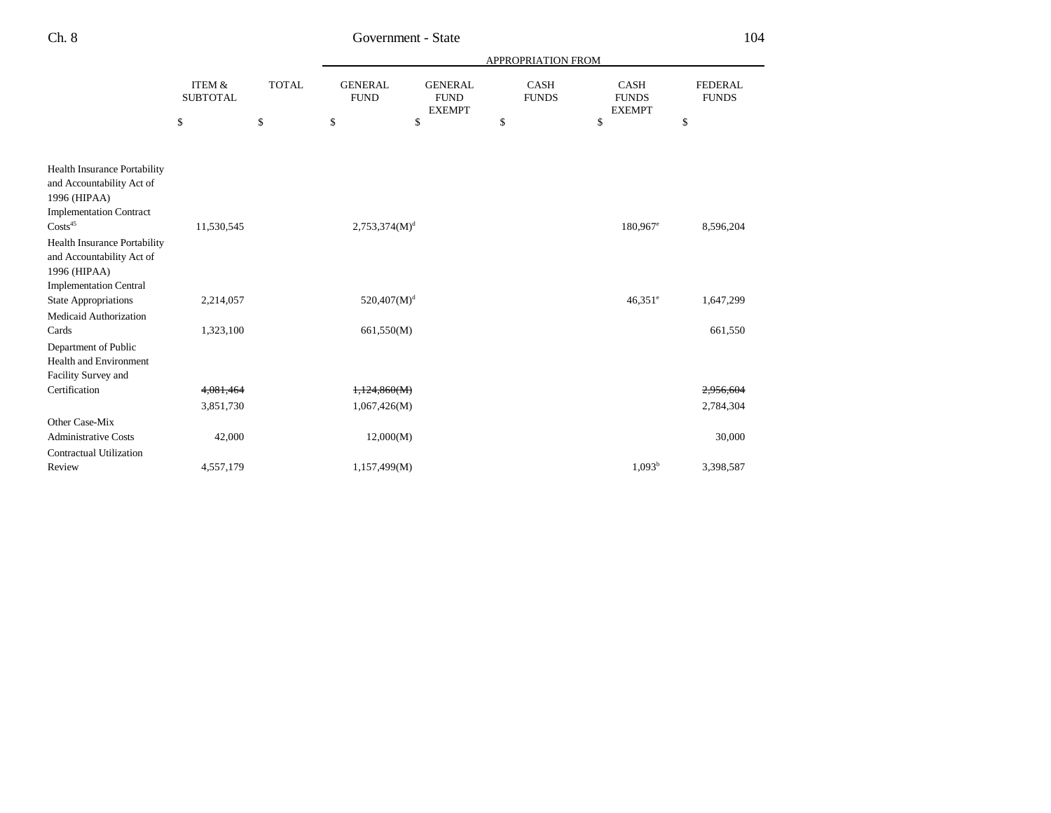|                                                                                                                    | <b>ITEM &amp;</b><br><b>SUBTOTAL</b> | <b>TOTAL</b> | APPROPRIATION FROM            |                                                |                             |                                              |                                |  |
|--------------------------------------------------------------------------------------------------------------------|--------------------------------------|--------------|-------------------------------|------------------------------------------------|-----------------------------|----------------------------------------------|--------------------------------|--|
|                                                                                                                    |                                      |              | <b>GENERAL</b><br><b>FUND</b> | <b>GENERAL</b><br><b>FUND</b><br><b>EXEMPT</b> | <b>CASH</b><br><b>FUNDS</b> | <b>CASH</b><br><b>FUNDS</b><br><b>EXEMPT</b> | <b>FEDERAL</b><br><b>FUNDS</b> |  |
|                                                                                                                    | \$                                   | \$           | \$                            | \$                                             | \$                          | \$                                           | \$                             |  |
|                                                                                                                    |                                      |              |                               |                                                |                             |                                              |                                |  |
| <b>Health Insurance Portability</b><br>and Accountability Act of<br>1996 (HIPAA)<br><b>Implementation Contract</b> |                                      |              |                               |                                                |                             |                                              |                                |  |
| $\text{Costs}^{45}$                                                                                                | 11,530,545                           |              | $2,753,374(M)^{d}$            |                                                |                             | $180,967$ <sup>e</sup>                       | 8,596,204                      |  |
| <b>Health Insurance Portability</b><br>and Accountability Act of<br>1996 (HIPAA)                                   |                                      |              |                               |                                                |                             |                                              |                                |  |
| <b>Implementation Central</b><br><b>State Appropriations</b>                                                       | 2,214,057                            |              | $520,407(M)^{d}$              |                                                |                             | $46.351$ <sup>e</sup>                        | 1,647,299                      |  |
| Medicaid Authorization                                                                                             |                                      |              |                               |                                                |                             |                                              |                                |  |
| Cards                                                                                                              | 1,323,100                            |              | 661,550(M)                    |                                                |                             |                                              | 661,550                        |  |
| Department of Public<br><b>Health and Environment</b><br>Facility Survey and                                       |                                      |              |                               |                                                |                             |                                              |                                |  |
| Certification                                                                                                      | 4,081,464                            |              | 1,124,860(M)                  |                                                |                             |                                              | 2,956,604                      |  |
|                                                                                                                    | 3,851,730                            |              | 1,067,426(M)                  |                                                |                             |                                              | 2,784,304                      |  |
| Other Case-Mix                                                                                                     |                                      |              |                               |                                                |                             |                                              |                                |  |
| <b>Administrative Costs</b>                                                                                        | 42,000                               |              | 12,000(M)                     |                                                |                             |                                              | 30,000                         |  |
| <b>Contractual Utilization</b><br>Review                                                                           | 4,557,179                            |              | 1,157,499(M)                  |                                                |                             | 1.093 <sup>b</sup>                           | 3,398,587                      |  |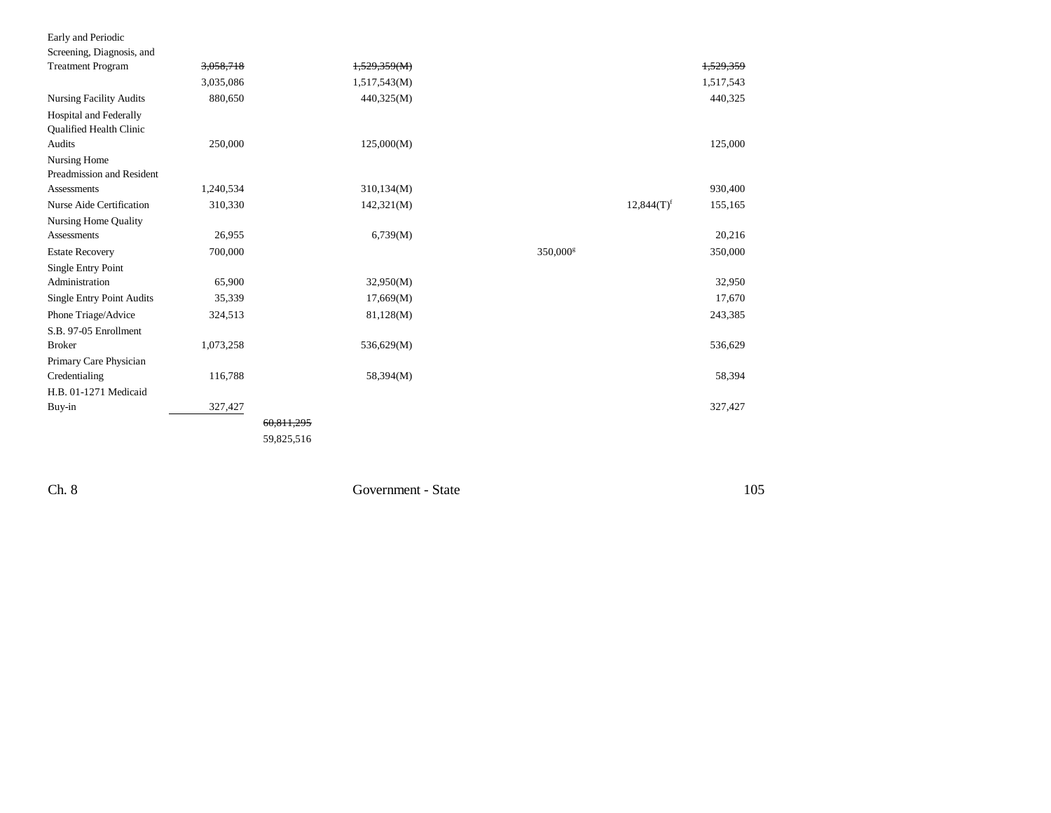| Early and Periodic             |           |              |                      |                          |           |
|--------------------------------|-----------|--------------|----------------------|--------------------------|-----------|
| Screening, Diagnosis, and      |           |              |                      |                          |           |
| <b>Treatment Program</b>       | 3,058,718 | 1,529,359(M) |                      |                          | 1,529,359 |
|                                | 3,035,086 | 1,517,543(M) |                      |                          | 1,517,543 |
| <b>Nursing Facility Audits</b> | 880,650   | 440,325(M)   |                      |                          | 440,325   |
| Hospital and Federally         |           |              |                      |                          |           |
| Qualified Health Clinic        |           |              |                      |                          |           |
| Audits                         | 250,000   | 125,000(M)   |                      |                          | 125,000   |
| Nursing Home                   |           |              |                      |                          |           |
| Preadmission and Resident      |           |              |                      |                          |           |
| <b>Assessments</b>             | 1,240,534 | 310,134(M)   |                      |                          | 930,400   |
| Nurse Aide Certification       | 310,330   | 142,321(M)   |                      | $12,844(T)$ <sup>f</sup> | 155,165   |
| Nursing Home Quality           |           |              |                      |                          |           |
| Assessments                    | 26,955    | 6,739(M)     |                      |                          | 20,216    |
| <b>Estate Recovery</b>         | 700,000   |              | 350,000 <sup>g</sup> |                          | 350,000   |
| <b>Single Entry Point</b>      |           |              |                      |                          |           |
| Administration                 | 65,900    | 32,950(M)    |                      |                          | 32,950    |
| Single Entry Point Audits      | 35,339    | 17,669(M)    |                      |                          | 17,670    |
| Phone Triage/Advice            | 324,513   | 81,128(M)    |                      |                          | 243,385   |
| S.B. 97-05 Enrollment          |           |              |                      |                          |           |
| <b>Broker</b>                  | 1,073,258 | 536,629(M)   |                      |                          | 536,629   |
| Primary Care Physician         |           |              |                      |                          |           |
| Credentialing                  | 116,788   | 58,394(M)    |                      |                          | 58,394    |
| H.B. 01-1271 Medicaid          |           |              |                      |                          |           |
| Buy-in                         | 327,427   |              |                      |                          | 327,427   |
|                                |           | 60,811,295   |                      |                          |           |
|                                |           | 59,825,516   |                      |                          |           |
|                                |           |              |                      |                          |           |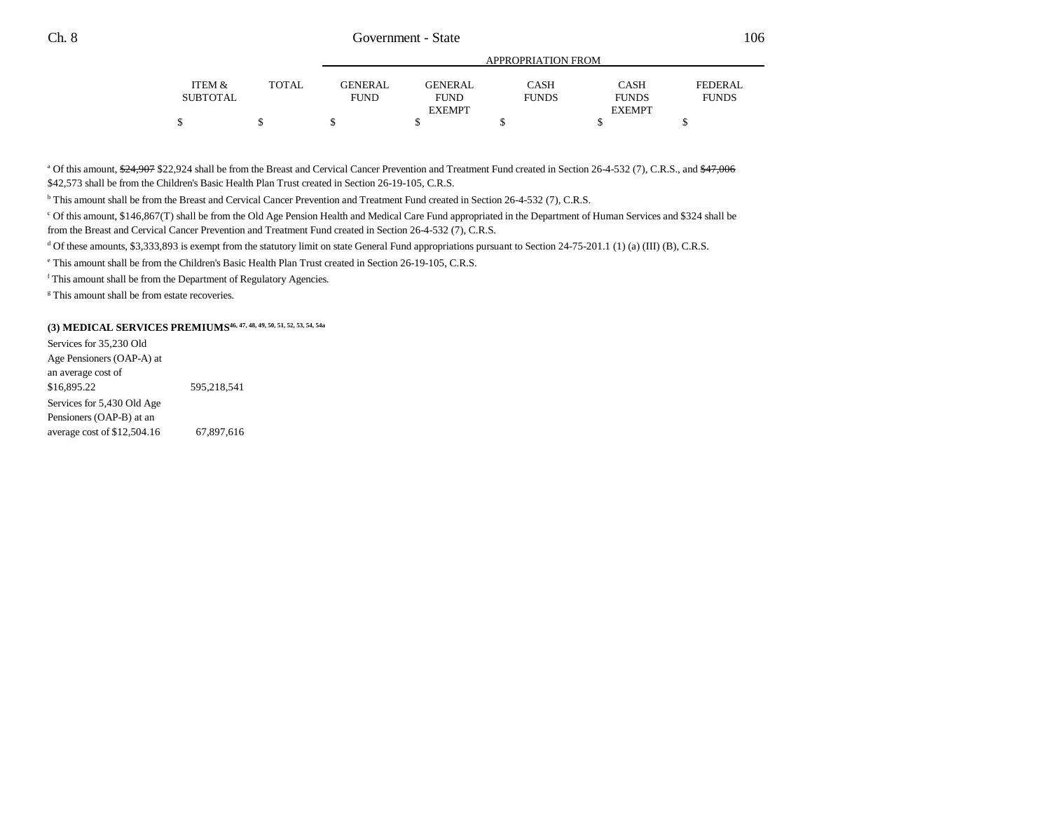|          |              |                |                | APPROPRIATION FROM |               |              |
|----------|--------------|----------------|----------------|--------------------|---------------|--------------|
| ITEM &   | <b>TOTAL</b> | <b>GENERAL</b> | <b>GENERAL</b> | <b>CASH</b>        | <b>CASH</b>   | FEDERAL      |
| SUBTOTAL |              | <b>FUND</b>    | <b>FUND</b>    | <b>FUNDS</b>       | <b>FUNDS</b>  | <b>FUNDS</b> |
|          |              |                | <b>EXEMPT</b>  |                    | <b>EXEMPT</b> |              |
|          |              |                |                |                    |               |              |

<sup>a</sup> Of this amount,  $\frac{624,907}{22,924}$  shall be from the Breast and Cervical Cancer Prevention and Treatment Fund created in Section 26-4-532 (7), C.R.S., and  $\frac{647,006}{200}$ \$42,573 shall be from the Children's Basic Health Plan Trust created in Section 26-19-105, C.R.S.

b This amount shall be from the Breast and Cervical Cancer Prevention and Treatment Fund created in Section 26-4-532 (7), C.R.S.

c Of this amount, \$146,867(T) shall be from the Old Age Pension Health and Medical Care Fund appropriated in the Department of Human Services and \$324 shall be from the Breast and Cervical Cancer Prevention and Treatment Fund created in Section 26-4-532 (7), C.R.S.

 $d$  Of these amounts, \$3,333,893 is exempt from the statutory limit on state General Fund appropriations pursuant to Section 24-75-201.1 (1) (a) (III) (B), C.R.S.

e This amount shall be from the Children's Basic Health Plan Trust created in Section 26-19-105, C.R.S.

f This amount shall be from the Department of Regulatory Agencies.

<sup>g</sup> This amount shall be from estate recoveries.

### **(3) MEDICAL SERVICES PREMIUMS46, 47, 48, 49, 50, 51, 52, 53, 54, 54a**

Services for 35,230 Old Age Pensioners (OAP-A) at an average cost of \$16,895.22 595,218,541 Services for 5,430 Old Age Pensioners (OAP-B) at an average cost of \$12,504.16 67,897,616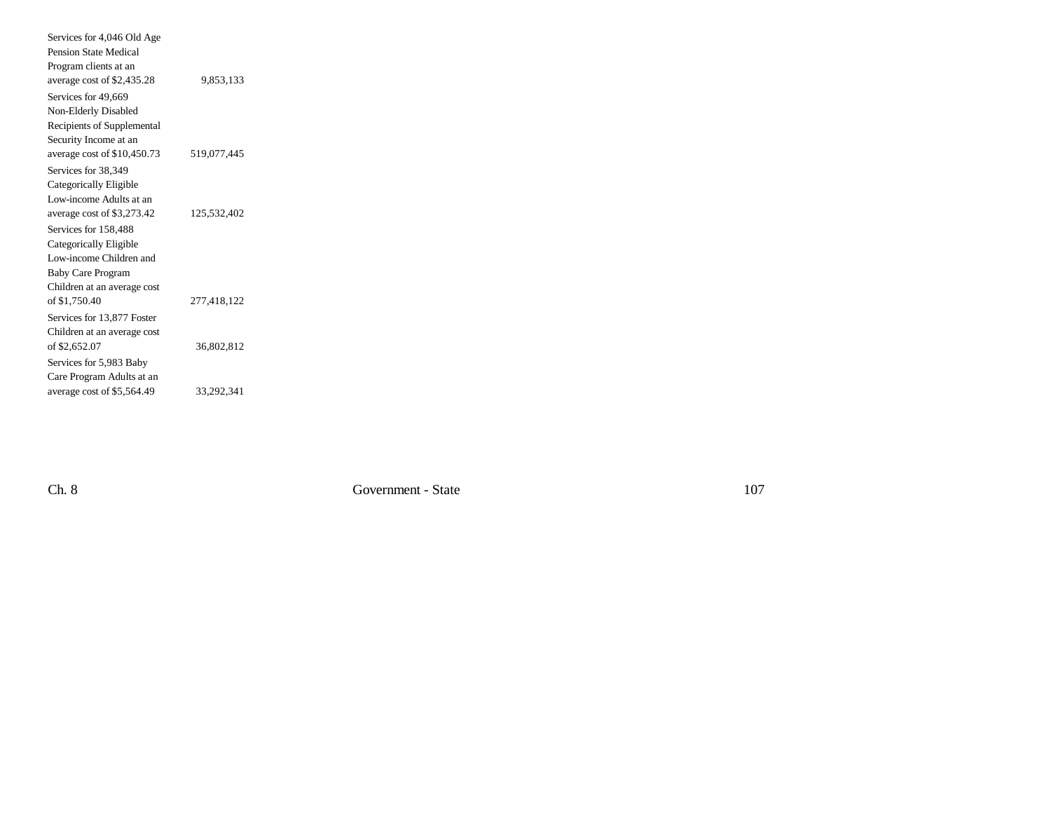| Services for 4,046 Old Age   |             |  |
|------------------------------|-------------|--|
| Pension State Medical        |             |  |
| Program clients at an        |             |  |
| average cost of \$2,435.28   | 9,853,133   |  |
| Services for 49,669          |             |  |
| Non-Elderly Disabled         |             |  |
| Recipients of Supplemental   |             |  |
| Security Income at an        |             |  |
| average cost of $$10,450.73$ | 519,077,445 |  |
| Services for 38.349          |             |  |
| Categorically Eligible       |             |  |
| Low-income Adults at an      |             |  |
| average cost of \$3,273.42   | 125,532,402 |  |
| Services for 158,488         |             |  |
| Categorically Eligible       |             |  |
| Low-income Children and      |             |  |
| <b>Baby Care Program</b>     |             |  |
| Children at an average cost  |             |  |
| of \$1,750.40                | 277,418,122 |  |
| Services for 13,877 Foster   |             |  |
| Children at an average cost  |             |  |
| of \$2,652.07                | 36,802,812  |  |
| Services for 5,983 Baby      |             |  |
| Care Program Adults at an    |             |  |
| average cost of \$5,564.49   | 33,292,341  |  |
|                              |             |  |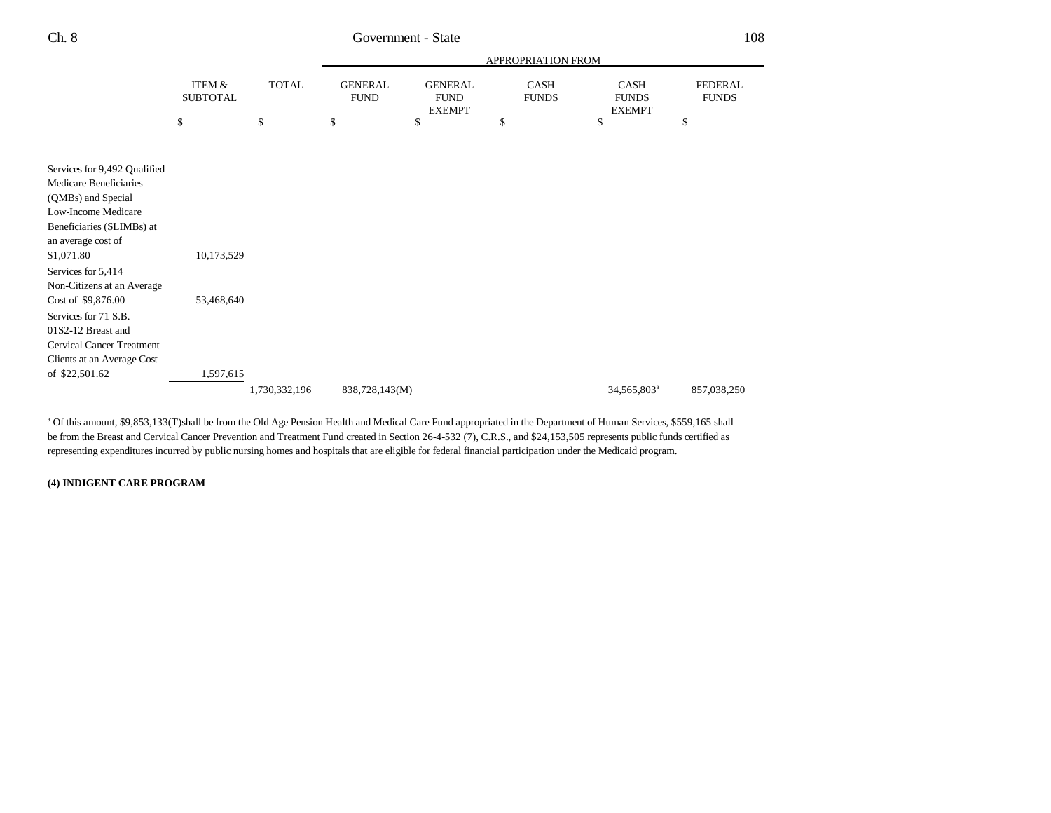|                                                  | ITEM &<br><b>SUBTOTAL</b> |               |                |                                                                                                         | APPROPRIATION FROM |                                              |                                |
|--------------------------------------------------|---------------------------|---------------|----------------|---------------------------------------------------------------------------------------------------------|--------------------|----------------------------------------------|--------------------------------|
|                                                  |                           | <b>TOTAL</b>  |                | <b>GENERAL</b><br><b>GENERAL</b><br>CASH<br><b>FUND</b><br><b>FUND</b><br><b>FUNDS</b><br><b>EXEMPT</b> |                    | <b>CASH</b><br><b>FUNDS</b><br><b>EXEMPT</b> | <b>FEDERAL</b><br><b>FUNDS</b> |
|                                                  | \$                        | \$            | \$             | \$                                                                                                      | \$                 | \$                                           | \$                             |
| Services for 9,492 Qualified                     |                           |               |                |                                                                                                         |                    |                                              |                                |
| Medicare Beneficiaries<br>(QMBs) and Special     |                           |               |                |                                                                                                         |                    |                                              |                                |
| Low-Income Medicare<br>Beneficiaries (SLIMBs) at |                           |               |                |                                                                                                         |                    |                                              |                                |
| an average cost of                               |                           |               |                |                                                                                                         |                    |                                              |                                |
| \$1,071.80<br>Services for 5,414                 | 10,173,529                |               |                |                                                                                                         |                    |                                              |                                |
| Non-Citizens at an Average<br>Cost of \$9,876.00 | 53,468,640                |               |                |                                                                                                         |                    |                                              |                                |
| Services for 71 S.B.<br>01S2-12 Breast and       |                           |               |                |                                                                                                         |                    |                                              |                                |
| <b>Cervical Cancer Treatment</b>                 |                           |               |                |                                                                                                         |                    |                                              |                                |
| Clients at an Average Cost<br>of \$22,501.62     | 1,597,615                 |               |                |                                                                                                         |                    |                                              |                                |
|                                                  |                           | 1,730,332,196 | 838,728,143(M) |                                                                                                         |                    | 34,565,803 <sup>a</sup>                      | 857,038,250                    |

a Of this amount, \$9,853,133(T)shall be from the Old Age Pension Health and Medical Care Fund appropriated in the Department of Human Services, \$559,165 shall be from the Breast and Cervical Cancer Prevention and Treatment Fund created in Section 26-4-532 (7), C.R.S., and \$24,153,505 represents public funds certified as representing expenditures incurred by public nursing homes and hospitals that are eligible for federal financial participation under the Medicaid program.

#### **(4) INDIGENT CARE PROGRAM**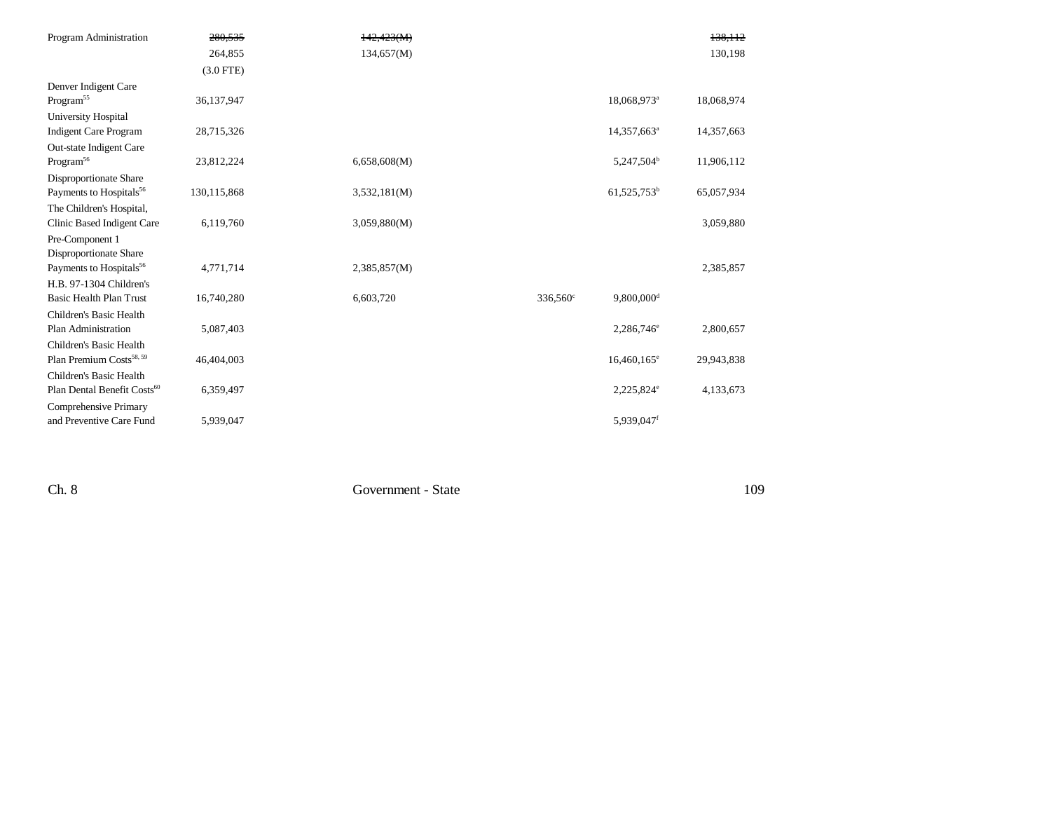| Program Administration                  | 280,535     | 142,423(M)   |                   |                          | 138,112    |
|-----------------------------------------|-------------|--------------|-------------------|--------------------------|------------|
|                                         | 264,855     | 134,657(M)   |                   |                          | 130,198    |
|                                         | $(3.0$ FTE) |              |                   |                          |            |
| Denver Indigent Care                    |             |              |                   |                          |            |
| Program <sup>55</sup>                   | 36,137,947  |              |                   | 18,068,973 <sup>a</sup>  | 18,068,974 |
| University Hospital                     |             |              |                   |                          |            |
| <b>Indigent Care Program</b>            | 28,715,326  |              |                   | 14,357,663 <sup>a</sup>  | 14,357,663 |
| Out-state Indigent Care                 |             |              |                   |                          |            |
| Program <sup>56</sup>                   | 23,812,224  | 6,658,608(M) |                   | 5,247,504 <sup>b</sup>   | 11,906,112 |
| Disproportionate Share                  |             |              |                   |                          |            |
| Payments to Hospitals <sup>56</sup>     | 130,115,868 | 3,532,181(M) |                   | $61,525,753^b$           | 65,057,934 |
| The Children's Hospital,                |             |              |                   |                          |            |
| Clinic Based Indigent Care              | 6,119,760   | 3,059,880(M) |                   |                          | 3,059,880  |
| Pre-Component 1                         |             |              |                   |                          |            |
| Disproportionate Share                  |             |              |                   |                          |            |
| Payments to Hospitals <sup>56</sup>     | 4,771,714   | 2,385,857(M) |                   |                          | 2,385,857  |
| H.B. 97-1304 Children's                 |             |              |                   |                          |            |
| <b>Basic Health Plan Trust</b>          | 16,740,280  | 6,603,720    | $336,560^{\circ}$ | $9,800,000$ <sup>d</sup> |            |
| Children's Basic Health                 |             |              |                   |                          |            |
| Plan Administration                     | 5,087,403   |              |                   | $2,286,746^{\circ}$      | 2,800,657  |
| Children's Basic Health                 |             |              |                   |                          |            |
| Plan Premium Costs <sup>58, 59</sup>    | 46,404,003  |              |                   | $16,460,165^{\circ}$     | 29,943,838 |
| Children's Basic Health                 |             |              |                   |                          |            |
| Plan Dental Benefit Costs <sup>60</sup> | 6,359,497   |              |                   | 2,225,824 <sup>e</sup>   | 4,133,673  |
| Comprehensive Primary                   |             |              |                   |                          |            |
| and Preventive Care Fund                | 5,939,047   |              |                   | 5,939,047f               |            |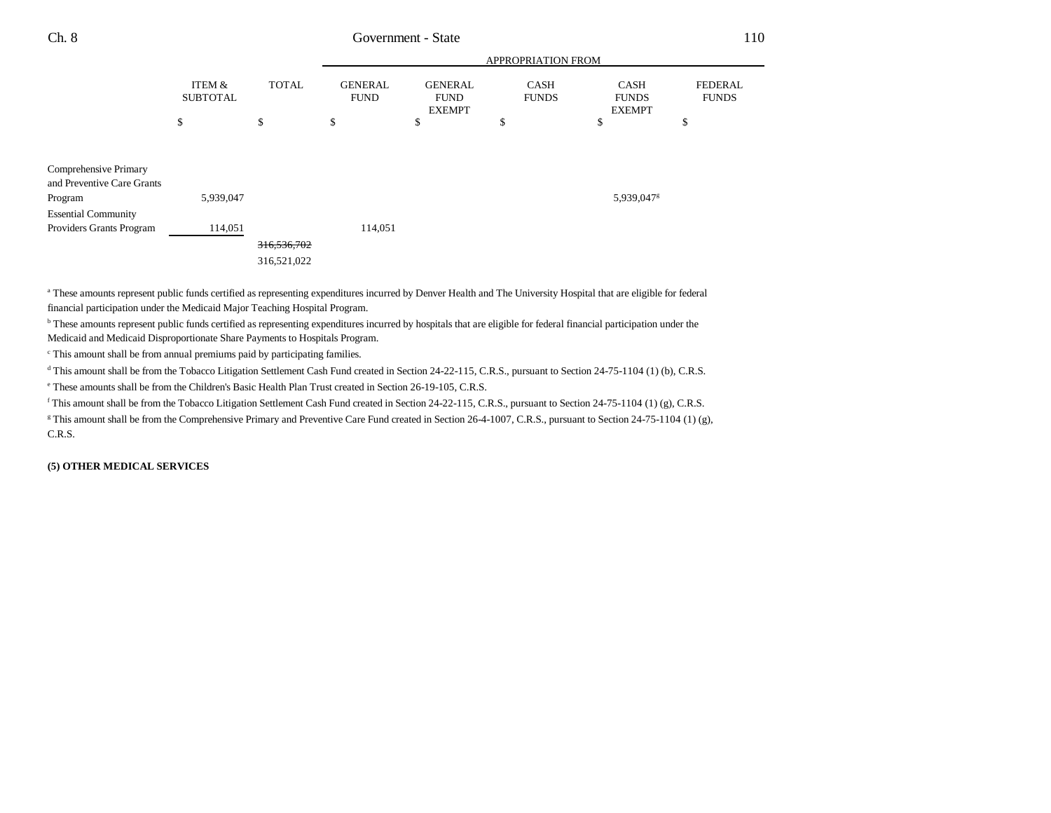|                                                                |                           |                            |                               |                                                | APPROPRIATION FROM          |                                              |                                |
|----------------------------------------------------------------|---------------------------|----------------------------|-------------------------------|------------------------------------------------|-----------------------------|----------------------------------------------|--------------------------------|
|                                                                | ITEM &<br><b>SUBTOTAL</b> | <b>TOTAL</b>               | <b>GENERAL</b><br><b>FUND</b> | <b>GENERAL</b><br><b>FUND</b><br><b>EXEMPT</b> | <b>CASH</b><br><b>FUNDS</b> | <b>CASH</b><br><b>FUNDS</b><br><b>EXEMPT</b> | <b>FEDERAL</b><br><b>FUNDS</b> |
|                                                                | \$                        | \$                         | \$                            | \$                                             | \$                          | \$                                           | \$                             |
| Comprehensive Primary<br>and Preventive Care Grants<br>Program | 5,939,047                 |                            |                               |                                                |                             | 5,939,047 <sup>g</sup>                       |                                |
| <b>Essential Community</b><br>Providers Grants Program         | 114,051                   |                            | 114,051                       |                                                |                             |                                              |                                |
|                                                                |                           | 316,536,702<br>316,521,022 |                               |                                                |                             |                                              |                                |

a These amounts represent public funds certified as representing expenditures incurred by Denver Health and The University Hospital that are eligible for federal financial participation under the Medicaid Major Teaching Hospital Program.

b These amounts represent public funds certified as representing expenditures incurred by hospitals that are eligible for federal financial participation under the Medicaid and Medicaid Disproportionate Share Payments to Hospitals Program.

c This amount shall be from annual premiums paid by participating families.

<sup>d</sup> This amount shall be from the Tobacco Litigation Settlement Cash Fund created in Section 24-22-115, C.R.S., pursuant to Section 24-75-1104 (1) (b), C.R.S.

e These amounts shall be from the Children's Basic Health Plan Trust created in Section 26-19-105, C.R.S.

f This amount shall be from the Tobacco Litigation Settlement Cash Fund created in Section 24-22-115, C.R.S., pursuant to Section 24-75-1104 (1) (g), C.R.S.

<sup>g</sup> This amount shall be from the Comprehensive Primary and Preventive Care Fund created in Section 26-4-1007, C.R.S., pursuant to Section 24-75-1104 (1) (g), C.R.S.

**(5) OTHER MEDICAL SERVICES**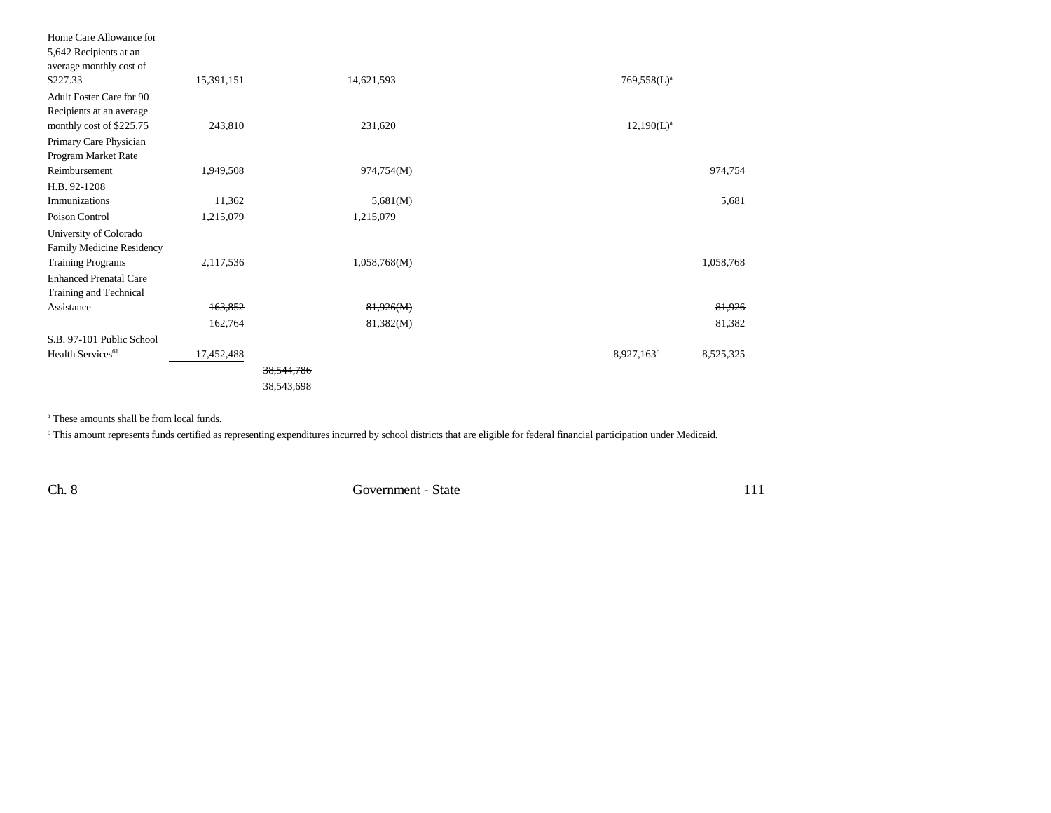| Home Care Allowance for         |            |            |              |                |           |
|---------------------------------|------------|------------|--------------|----------------|-----------|
| 5,642 Recipients at an          |            |            |              |                |           |
| average monthly cost of         |            |            |              |                |           |
| \$227.33                        | 15,391,151 |            | 14,621,593   | $769,558(L)^a$ |           |
| <b>Adult Foster Care for 90</b> |            |            |              |                |           |
| Recipients at an average        |            |            |              |                |           |
| monthly cost of \$225.75        | 243,810    |            | 231,620      | $12,190(L)^a$  |           |
| Primary Care Physician          |            |            |              |                |           |
| Program Market Rate             |            |            |              |                |           |
| Reimbursement                   | 1,949,508  |            | 974,754(M)   |                | 974,754   |
| H.B. 92-1208                    |            |            |              |                |           |
| Immunizations                   | 11,362     |            | 5,681(M)     |                | 5,681     |
| Poison Control                  | 1,215,079  |            | 1,215,079    |                |           |
| University of Colorado          |            |            |              |                |           |
| Family Medicine Residency       |            |            |              |                |           |
| <b>Training Programs</b>        | 2,117,536  |            | 1,058,768(M) |                | 1,058,768 |
| <b>Enhanced Prenatal Care</b>   |            |            |              |                |           |
| Training and Technical          |            |            |              |                |           |
| Assistance                      | 163,852    |            | 81,926(M)    |                | 81,926    |
|                                 | 162,764    |            | 81,382(M)    |                | 81,382    |
| S.B. 97-101 Public School       |            |            |              |                |           |
| Health Services <sup>61</sup>   | 17,452,488 |            |              | $8,927,163^b$  | 8,525,325 |
|                                 |            | 38,544,786 |              |                |           |
|                                 |            | 38,543,698 |              |                |           |

a These amounts shall be from local funds.

**b** This amount represents funds certified as representing expenditures incurred by school districts that are eligible for federal financial participation under Medicaid.

Ch. 8 Government - State

 $111\,$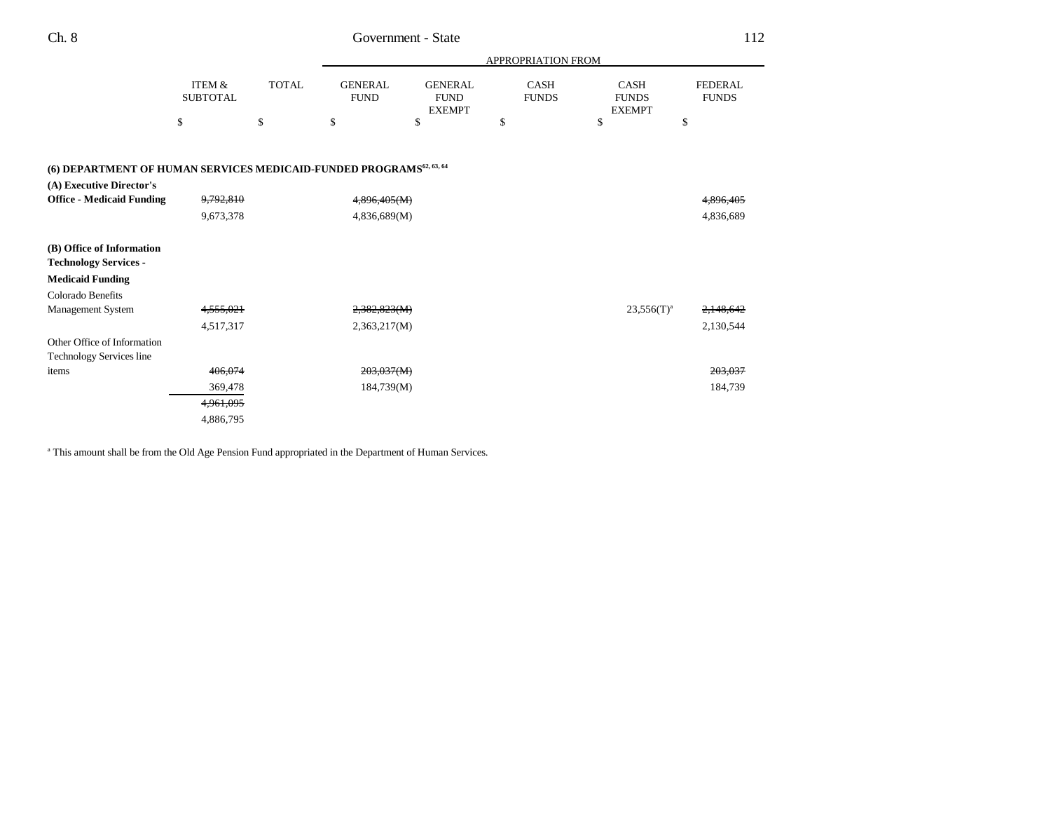|                                                                                 |                           |              |                               | APPROPRIATION FROM                             |                             |                                              |                                |  |  |
|---------------------------------------------------------------------------------|---------------------------|--------------|-------------------------------|------------------------------------------------|-----------------------------|----------------------------------------------|--------------------------------|--|--|
|                                                                                 | ITEM &<br><b>SUBTOTAL</b> | <b>TOTAL</b> | <b>GENERAL</b><br><b>FUND</b> | <b>GENERAL</b><br><b>FUND</b><br><b>EXEMPT</b> | <b>CASH</b><br><b>FUNDS</b> | <b>CASH</b><br><b>FUNDS</b><br><b>EXEMPT</b> | <b>FEDERAL</b><br><b>FUNDS</b> |  |  |
|                                                                                 | \$                        | \$           | \$                            | \$                                             | \$                          | \$                                           | \$                             |  |  |
| (6) DEPARTMENT OF HUMAN SERVICES MEDICAID-FUNDED PROGRAMS <sup>62, 63, 64</sup> |                           |              |                               |                                                |                             |                                              |                                |  |  |
| (A) Executive Director's                                                        |                           |              |                               |                                                |                             |                                              |                                |  |  |
| <b>Office - Medicaid Funding</b>                                                | 9,792,810                 |              | 4,896,405(M)                  |                                                |                             |                                              | <del>4.896.405</del>           |  |  |
|                                                                                 | 9,673,378                 |              | 4,836,689(M)                  |                                                |                             |                                              | 4,836,689                      |  |  |
| (B) Office of Information<br><b>Technology Services -</b>                       |                           |              |                               |                                                |                             |                                              |                                |  |  |
| <b>Medicaid Funding</b>                                                         |                           |              |                               |                                                |                             |                                              |                                |  |  |
| Colorado Benefits                                                               |                           |              |                               |                                                |                             |                                              |                                |  |  |
| Management System                                                               | 4,555,021                 |              | 2,382,823(M)                  |                                                |                             | $23,556(T)^a$                                | 2,148,642                      |  |  |
|                                                                                 | 4,517,317                 |              | 2,363,217(M)                  |                                                |                             |                                              | 2,130,544                      |  |  |
| Other Office of Information                                                     |                           |              |                               |                                                |                             |                                              |                                |  |  |
| <b>Technology Services line</b>                                                 |                           |              |                               |                                                |                             |                                              |                                |  |  |
| items                                                                           | 406,074                   |              | 203,037(M)                    |                                                |                             |                                              | 203,037                        |  |  |
|                                                                                 | 369,478                   |              | 184,739(M)                    |                                                |                             |                                              | 184,739                        |  |  |
|                                                                                 | 4,961,095                 |              |                               |                                                |                             |                                              |                                |  |  |
|                                                                                 | 4,886,795                 |              |                               |                                                |                             |                                              |                                |  |  |

<sup>a</sup> This amount shall be from the Old Age Pension Fund appropriated in the Department of Human Services.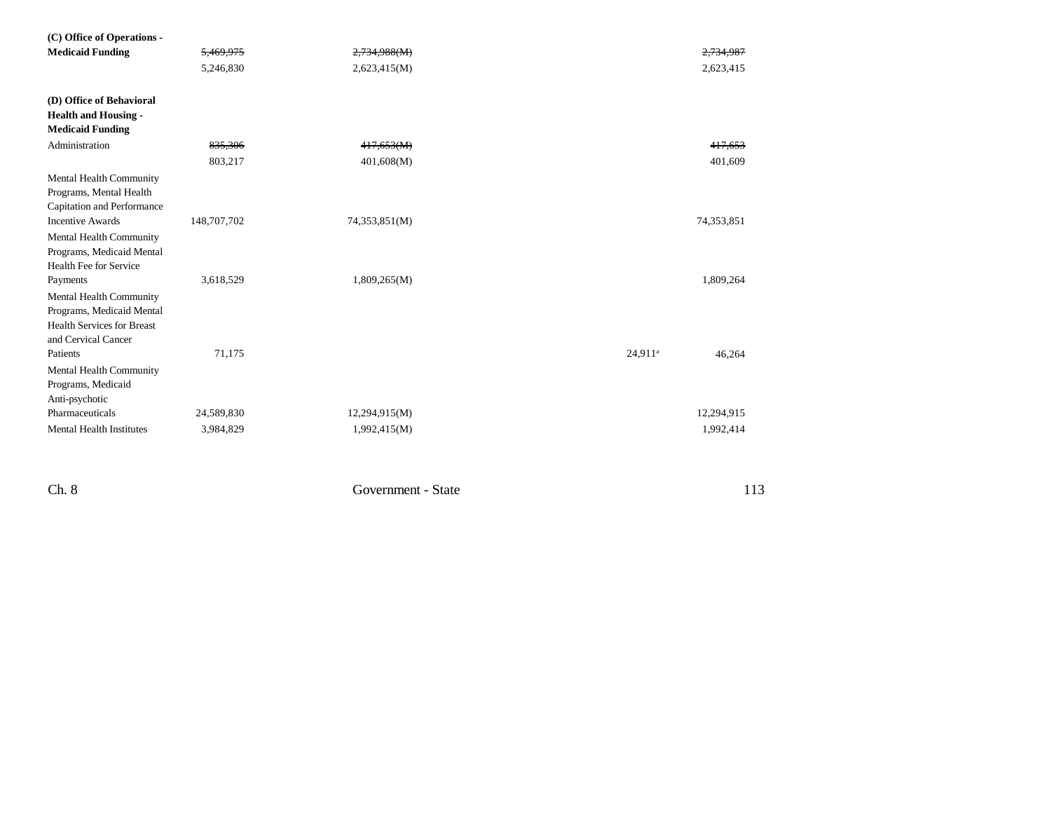| (C) Office of Operations -                                                                                       |             |               |                               |  |
|------------------------------------------------------------------------------------------------------------------|-------------|---------------|-------------------------------|--|
| <b>Medicaid Funding</b>                                                                                          | 5,469,975   | 2,734,988(M)  | 2,734,987                     |  |
|                                                                                                                  | 5,246,830   | 2,623,415(M)  | 2,623,415                     |  |
| (D) Office of Behavioral<br><b>Health and Housing -</b><br><b>Medicaid Funding</b>                               |             |               |                               |  |
| Administration                                                                                                   | 835,306     | 417,653(M)    | 417,653                       |  |
|                                                                                                                  | 803,217     | 401,608(M)    | 401,609                       |  |
| Mental Health Community<br>Programs, Mental Health<br>Capitation and Performance                                 |             |               |                               |  |
| <b>Incentive Awards</b>                                                                                          | 148,707,702 | 74,353,851(M) | 74,353,851                    |  |
| Mental Health Community<br>Programs, Medicaid Mental<br>Health Fee for Service                                   |             |               |                               |  |
| Payments                                                                                                         | 3,618,529   | 1,809,265(M)  | 1,809,264                     |  |
| Mental Health Community<br>Programs, Medicaid Mental<br><b>Health Services for Breast</b><br>and Cervical Cancer |             |               |                               |  |
| Patients                                                                                                         | 71,175      |               | 24,911 <sup>a</sup><br>46,264 |  |
| Mental Health Community<br>Programs, Medicaid<br>Anti-psychotic                                                  |             |               |                               |  |
| Pharmaceuticals                                                                                                  | 24,589,830  | 12,294,915(M) | 12,294,915                    |  |
| <b>Mental Health Institutes</b>                                                                                  | 3,984,829   | 1,992,415(M)  | 1,992,414                     |  |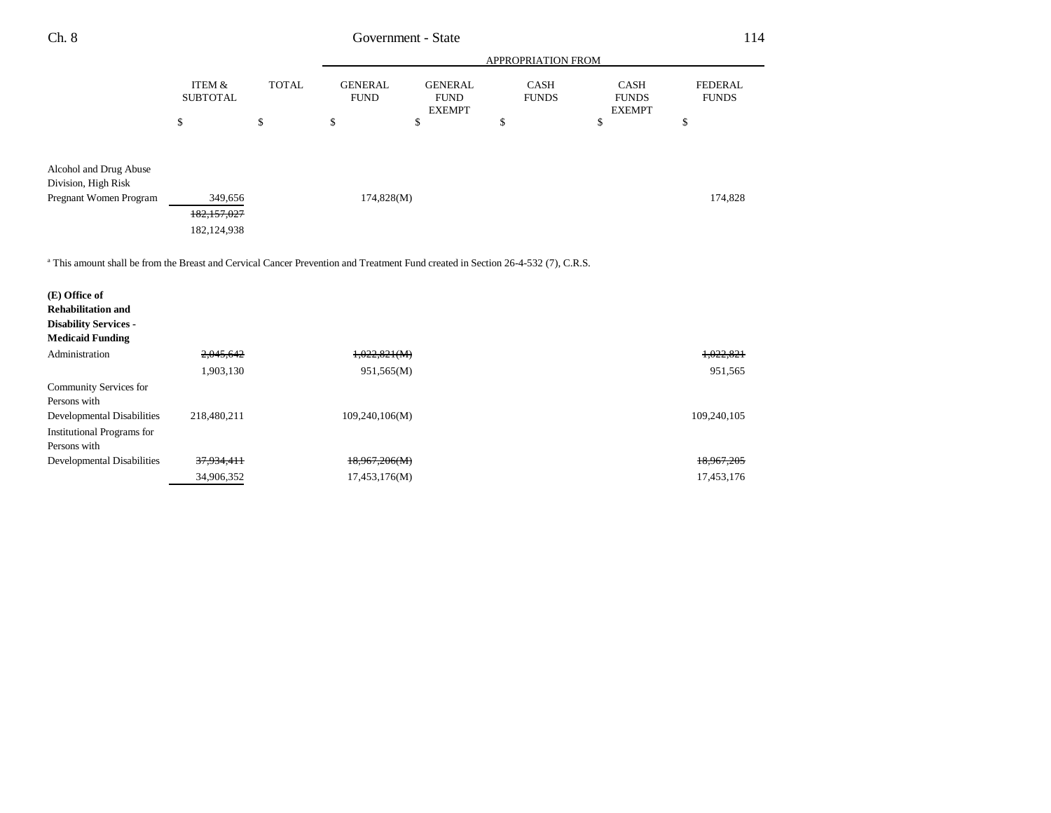| Ch. 8                                                                                                                                       |                                       |              |                               | Government - State                             |                             |                                              | 114                            |  |
|---------------------------------------------------------------------------------------------------------------------------------------------|---------------------------------------|--------------|-------------------------------|------------------------------------------------|-----------------------------|----------------------------------------------|--------------------------------|--|
|                                                                                                                                             |                                       |              |                               | APPROPRIATION FROM                             |                             |                                              |                                |  |
|                                                                                                                                             | <b>ITEM &amp;</b><br><b>SUBTOTAL</b>  | <b>TOTAL</b> | <b>GENERAL</b><br><b>FUND</b> | <b>GENERAL</b><br><b>FUND</b><br><b>EXEMPT</b> | <b>CASH</b><br><b>FUNDS</b> | <b>CASH</b><br><b>FUNDS</b><br><b>EXEMPT</b> | <b>FEDERAL</b><br><b>FUNDS</b> |  |
|                                                                                                                                             | \$                                    | \$           | \$                            | \$                                             | \$                          | \$                                           | \$                             |  |
| Alcohol and Drug Abuse<br>Division, High Risk                                                                                               |                                       |              |                               |                                                |                             |                                              |                                |  |
| Pregnant Women Program                                                                                                                      | 349,656<br>182,157,027<br>182,124,938 |              | 174,828(M)                    |                                                |                             |                                              | 174,828                        |  |
| <sup>a</sup> This amount shall be from the Breast and Cervical Cancer Prevention and Treatment Fund created in Section 26-4-532 (7), C.R.S. |                                       |              |                               |                                                |                             |                                              |                                |  |
| (E) Office of                                                                                                                               |                                       |              |                               |                                                |                             |                                              |                                |  |
| <b>Rehabilitation and</b>                                                                                                                   |                                       |              |                               |                                                |                             |                                              |                                |  |
| <b>Disability Services -</b><br><b>Medicaid Funding</b>                                                                                     |                                       |              |                               |                                                |                             |                                              |                                |  |
| Administration                                                                                                                              | 2,045,642                             |              | 1,022,821(M)                  |                                                |                             |                                              | 1,022,821                      |  |
|                                                                                                                                             | 1,903,130                             |              | 951,565(M)                    |                                                |                             |                                              | 951,565                        |  |
| Community Services for<br>Persons with                                                                                                      |                                       |              |                               |                                                |                             |                                              |                                |  |
| Developmental Disabilities                                                                                                                  | 218,480,211                           |              | 109,240,106(M)                |                                                |                             |                                              | 109,240,105                    |  |
| <b>Institutional Programs for</b><br>Persons with                                                                                           |                                       |              |                               |                                                |                             |                                              |                                |  |
| <b>Developmental Disabilities</b>                                                                                                           | 37,934,411                            |              | 18,967,206(M)                 |                                                |                             |                                              | 18,967,205                     |  |
|                                                                                                                                             | 34,906,352                            |              | 17,453,176(M)                 |                                                |                             |                                              | 17,453,176                     |  |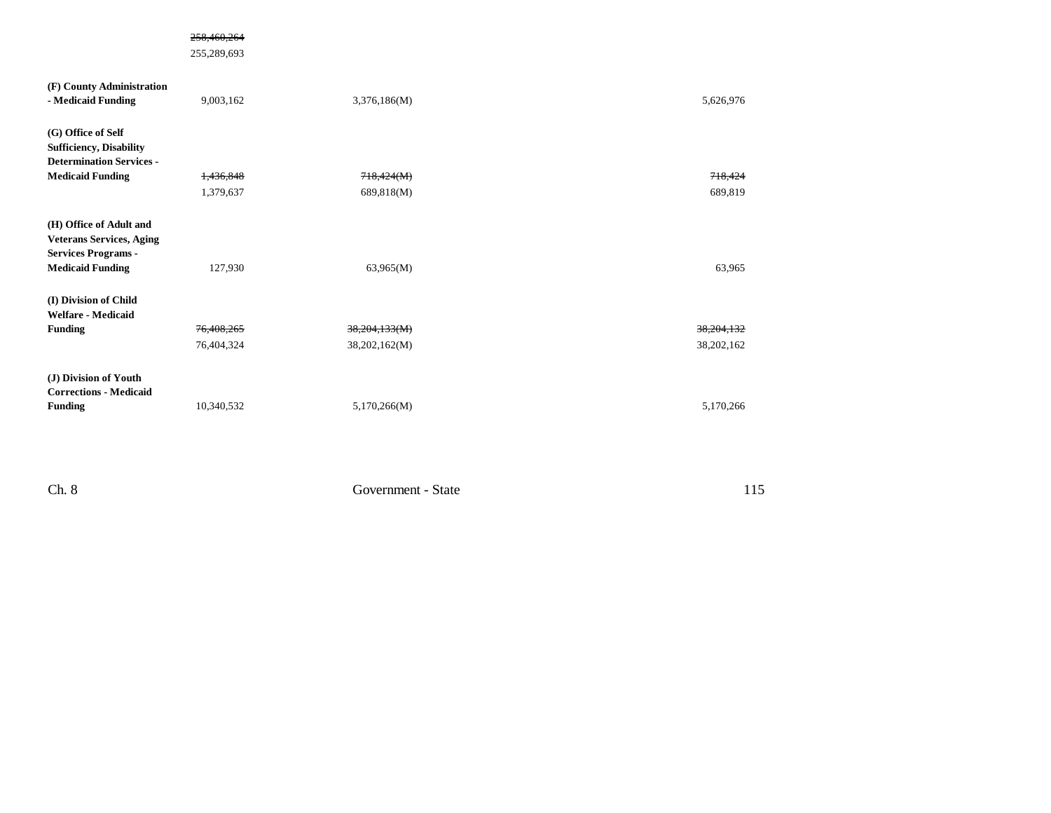#### 258,460,264

255,289,693

| (F) County Administration       |                      |               |            |
|---------------------------------|----------------------|---------------|------------|
| - Medicaid Funding              | 9,003,162            | 3,376,186(M)  | 5,626,976  |
| (G) Office of Self              |                      |               |            |
| <b>Sufficiency, Disability</b>  |                      |               |            |
| <b>Determination Services -</b> |                      |               |            |
| <b>Medicaid Funding</b>         | <del>1,436,848</del> | 718,424(M)    | 718,424    |
|                                 | 1,379,637            | 689,818(M)    | 689,819    |
| (H) Office of Adult and         |                      |               |            |
| <b>Veterans Services, Aging</b> |                      |               |            |
| <b>Services Programs -</b>      |                      |               |            |
| <b>Medicaid Funding</b>         | 127,930              | 63,965(M)     | 63,965     |
| (I) Division of Child           |                      |               |            |
| <b>Welfare - Medicaid</b>       |                      |               |            |
| <b>Funding</b>                  | 76,408,265           | 38,204,133(M) | 38,204,132 |
|                                 | 76,404,324           | 38,202,162(M) | 38,202,162 |
| (J) Division of Youth           |                      |               |            |
| <b>Corrections - Medicaid</b>   |                      |               |            |
| <b>Funding</b>                  | 10,340,532           | 5,170,266(M)  | 5,170,266  |

Ch. 8 Government - State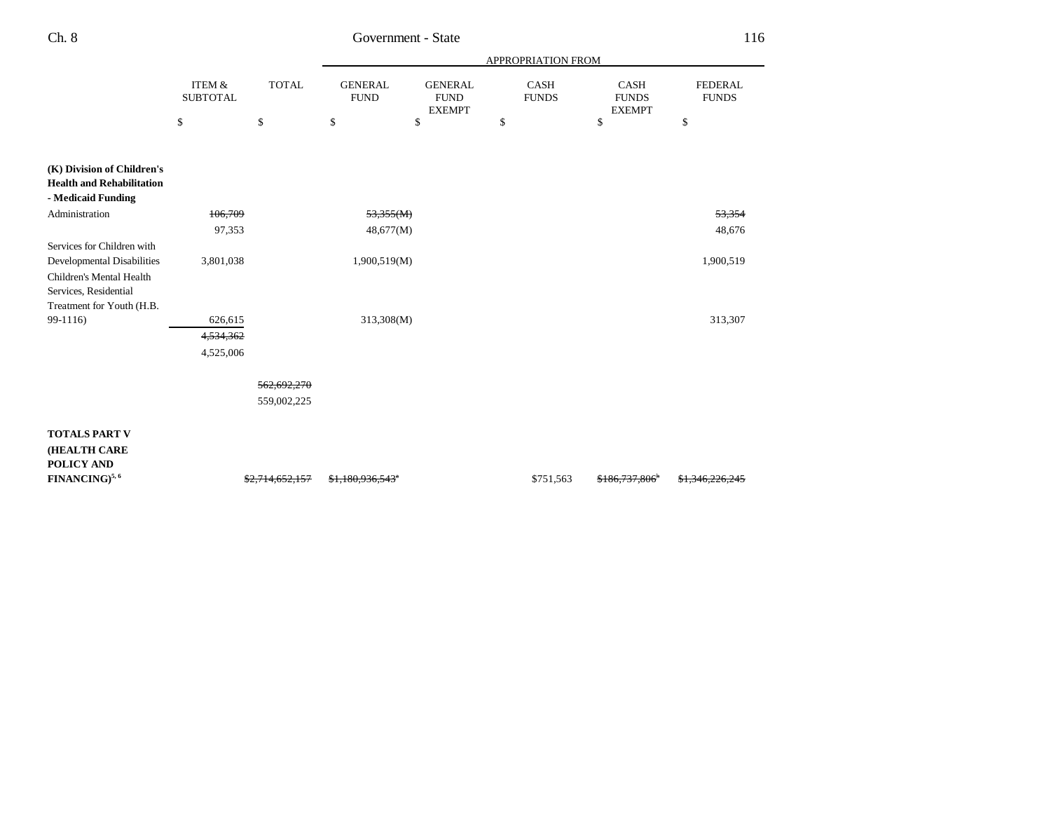|                                                                                      |                                      |                            | APPROPRIATION FROM            |                                                |                      |                                       |                                |  |
|--------------------------------------------------------------------------------------|--------------------------------------|----------------------------|-------------------------------|------------------------------------------------|----------------------|---------------------------------------|--------------------------------|--|
|                                                                                      | <b>ITEM &amp;</b><br><b>SUBTOTAL</b> | <b>TOTAL</b>               | <b>GENERAL</b><br><b>FUND</b> | <b>GENERAL</b><br><b>FUND</b><br><b>EXEMPT</b> | CASH<br><b>FUNDS</b> | CASH<br><b>FUNDS</b><br><b>EXEMPT</b> | <b>FEDERAL</b><br><b>FUNDS</b> |  |
|                                                                                      | \$                                   | \$                         | \$                            | \$                                             | \$                   | \$                                    | \$                             |  |
| (K) Division of Children's<br><b>Health and Rehabilitation</b><br>- Medicaid Funding |                                      |                            |                               |                                                |                      |                                       |                                |  |
| Administration                                                                       | 106,709                              |                            | 53,355(M)                     |                                                |                      |                                       | 53,354                         |  |
|                                                                                      | 97,353                               |                            | 48,677(M)                     |                                                |                      |                                       | 48,676                         |  |
| Services for Children with<br><b>Developmental Disabilities</b>                      | 3,801,038                            |                            | 1,900,519(M)                  |                                                |                      |                                       | 1,900,519                      |  |
| Children's Mental Health<br>Services, Residential<br>Treatment for Youth (H.B.       |                                      |                            |                               |                                                |                      |                                       |                                |  |
| 99-1116)                                                                             | 626,615                              |                            | 313,308(M)                    |                                                |                      |                                       | 313,307                        |  |
|                                                                                      | 4,534,362                            |                            |                               |                                                |                      |                                       |                                |  |
|                                                                                      | 4,525,006                            |                            |                               |                                                |                      |                                       |                                |  |
|                                                                                      |                                      | 562,692,270                |                               |                                                |                      |                                       |                                |  |
|                                                                                      |                                      | 559,002,225                |                               |                                                |                      |                                       |                                |  |
| <b>TOTALS PART V</b><br>(HEALTH CARE<br>POLICY AND                                   |                                      |                            |                               |                                                |                      |                                       |                                |  |
| <b>FINANCING)</b> <sup>5,6</sup>                                                     |                                      | <del>\$2,714,652,157</del> | \$1,180,936,543*              |                                                | \$751,563            | \$186,737,806                         | <del>\$1,346,226,245</del>     |  |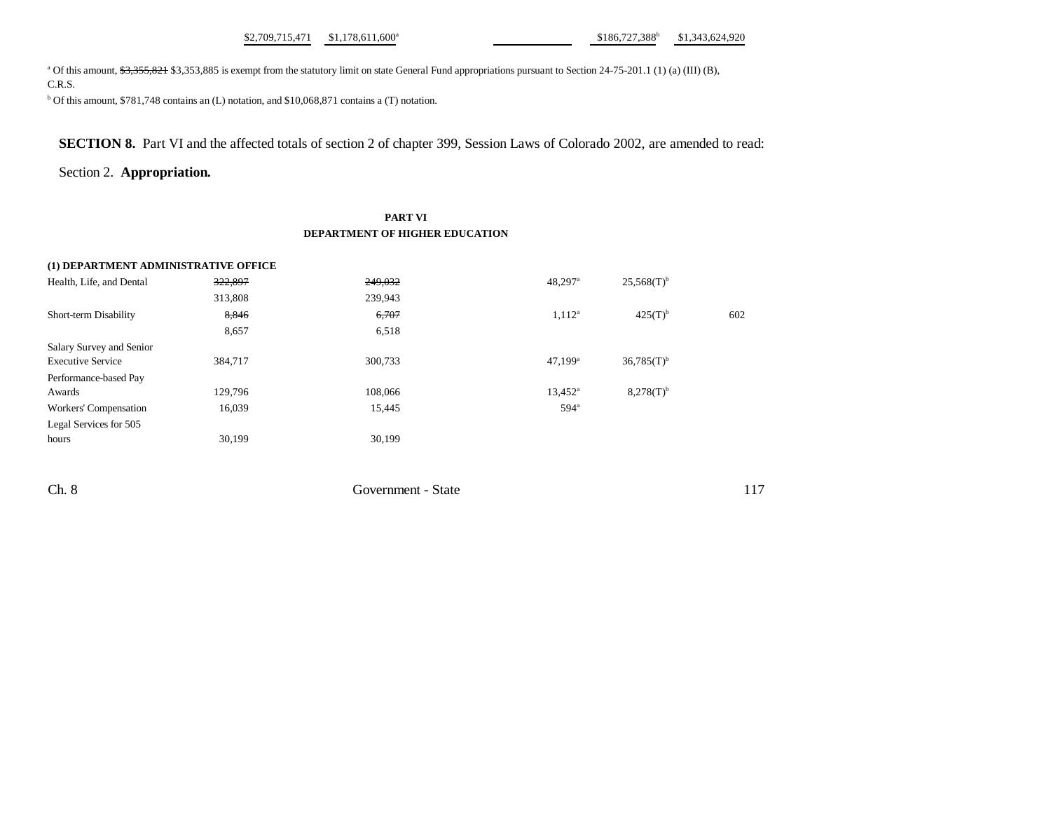$$1,709,715,471$   $$1,178,611,600^a$   $$186,727,388^b$   $$1,343,624,920$ 

<sup>a</sup> Of this amount, \$3,355,821 \$3,353,885 is exempt from the statutory limit on state General Fund appropriations pursuant to Section 24-75-201.1 (1) (a) (III) (B), C.R.S.

b Of this amount, \$781,748 contains an (L) notation, and \$10,068,871 contains a (T) notation.

**SECTION 8.** Part VI and the affected totals of section 2 of chapter 399, Session Laws of Colorado 2002, are amended to read:

#### Section 2. **Appropriation.**

#### **PART VI DEPARTMENT OF HIGHER EDUCATION**

## **(1) DEPARTMENT ADMINISTRATIVE OFFICE** Health, Life, and Dental  $\frac{322,897}{249,032}$   $\frac{249,032}{25,568(T)^6}$   $\frac{25,568(T)^6}{25,256(17)}$ 313,808 239,943 Short-term Disability 8,846 6,707 602 6,707 1,112<sup>a</sup> 425(T)<sup>b</sup> 602 8,657 6,518 Salary Survey and Senior Executive Service 384,717 300,733 47,199<sup>a</sup> 36,785(T)<sup>b</sup> Performance-based Pay Awards 278(T)b 129,796 108,066 108,066 13,452<sup>a</sup> 8,278(T)b Workers' Compensation 16,039 15,445 594<sup>a</sup> Legal Services for 505 hours 30,199 30,199 30,199

Ch. 8 Government - State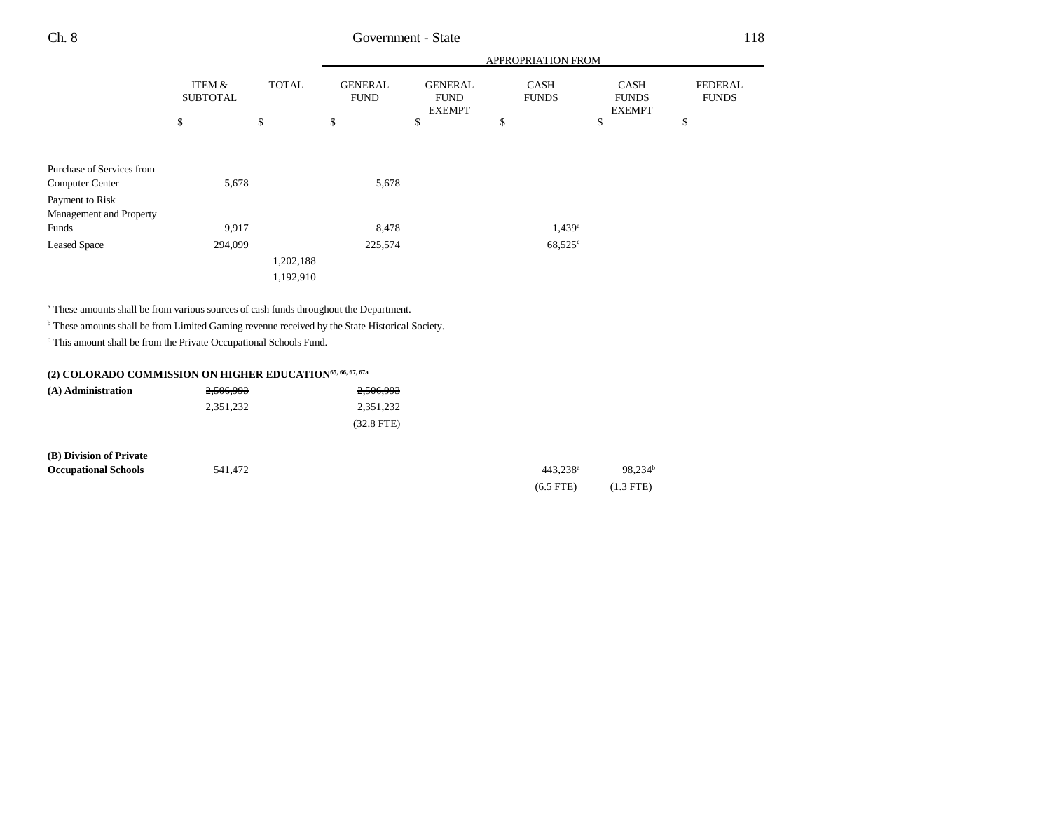|                           |                           |              | APPROPRIATION FROM            |                                                |                             |                                              |                                |
|---------------------------|---------------------------|--------------|-------------------------------|------------------------------------------------|-----------------------------|----------------------------------------------|--------------------------------|
|                           | ITEM &<br><b>SUBTOTAL</b> | <b>TOTAL</b> | <b>GENERAL</b><br><b>FUND</b> | <b>GENERAL</b><br><b>FUND</b><br><b>EXEMPT</b> | <b>CASH</b><br><b>FUNDS</b> | <b>CASH</b><br><b>FUNDS</b><br><b>EXEMPT</b> | <b>FEDERAL</b><br><b>FUNDS</b> |
|                           | \$                        | \$           | \$                            | \$                                             | \$                          | \$                                           | \$                             |
|                           |                           |              |                               |                                                |                             |                                              |                                |
| Purchase of Services from |                           |              |                               |                                                |                             |                                              |                                |
| <b>Computer Center</b>    | 5,678                     |              | 5,678                         |                                                |                             |                                              |                                |
| Payment to Risk           |                           |              |                               |                                                |                             |                                              |                                |
| Management and Property   |                           |              |                               |                                                |                             |                                              |                                |
| Funds                     | 9,917                     |              | 8,478                         |                                                | 1.439 <sup>a</sup>          |                                              |                                |
| <b>Leased Space</b>       | 294,099                   |              | 225,574                       |                                                | $68,525^{\circ}$            |                                              |                                |
|                           |                           | 1,202,188    |                               |                                                |                             |                                              |                                |
|                           |                           | 1,192,910    |                               |                                                |                             |                                              |                                |

a These amounts shall be from various sources of cash funds throughout the Department.

**b** These amounts shall be from Limited Gaming revenue received by the State Historical Society.

 $^\mathrm{c}$  This amount shall be from the Private Occupational Schools Fund.

## **(2) COLORADO COMMISSION ON HIGHER EDUCATION65, 66, 67, 67a**

| (A) Administration | 2,506,993 | 2,506,993    |
|--------------------|-----------|--------------|
|                    | 2.351.232 | 2.351.232    |
|                    |           | $(32.8$ FTE) |

| (B) Division of Private     |         |                      |                     |
|-----------------------------|---------|----------------------|---------------------|
| <b>Occupational Schools</b> | 541.472 | 443.238 <sup>a</sup> | 98.234 <sup>b</sup> |
|                             |         | $(6.5$ FTE)          | $(1.3$ FTE)         |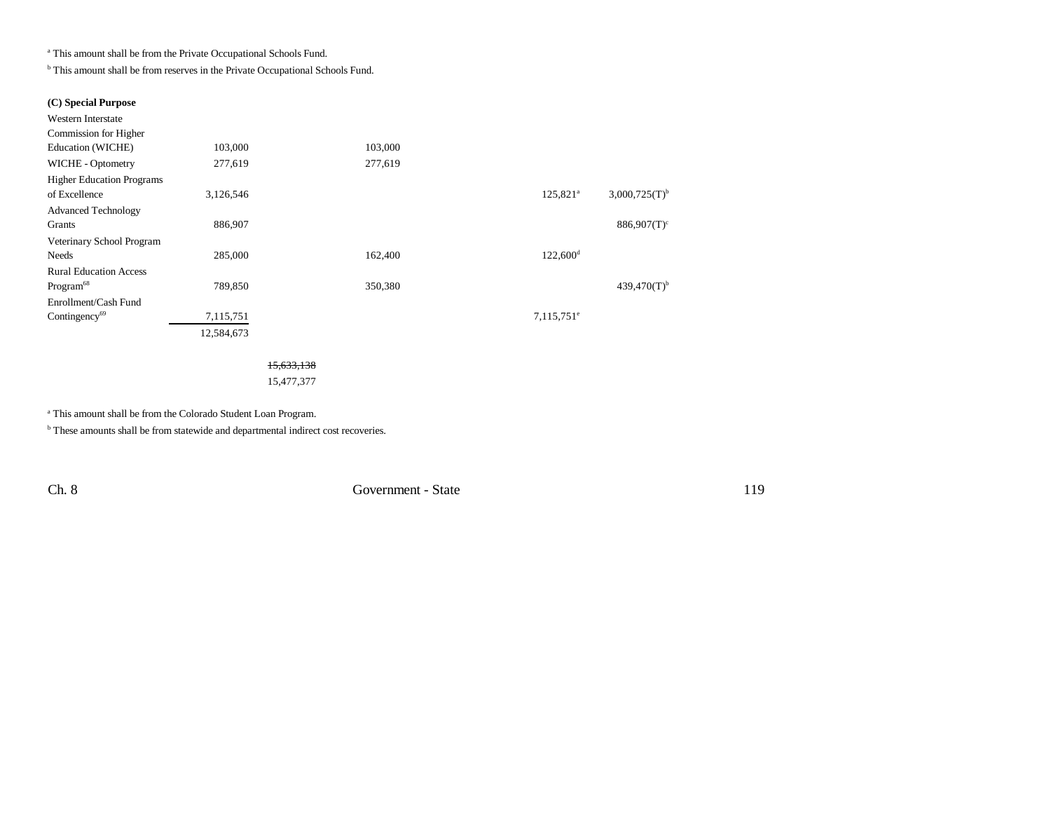a This amount shall be from the Private Occupational Schools Fund.

**b** This amount shall be from reserves in the Private Occupational Schools Fund.

#### **(C) Special Purpose**

| 103,000    | 103,000 |                        |                             |
|------------|---------|------------------------|-----------------------------|
| 277,619    | 277,619 |                        |                             |
|            |         |                        |                             |
| 3,126,546  |         | $125,821^{\circ}$      | $3,000,725(T)$ <sup>b</sup> |
|            |         |                        |                             |
| 886,907    |         |                        | $886,907(T)$ <sup>c</sup>   |
|            |         |                        |                             |
| 285,000    | 162,400 | $122,600$ <sup>d</sup> |                             |
|            |         |                        |                             |
| 789,850    | 350,380 |                        | $439,470(T)$ <sup>b</sup>   |
|            |         |                        |                             |
| 7,115,751  |         | $7,115,751^e$          |                             |
| 12,584,673 |         |                        |                             |
|            |         |                        |                             |

15,633,138 15,477,377

a This amount shall be from the Colorado Student Loan Program.

**b** These amounts shall be from statewide and departmental indirect cost recoveries.

Ch. 8 Government - State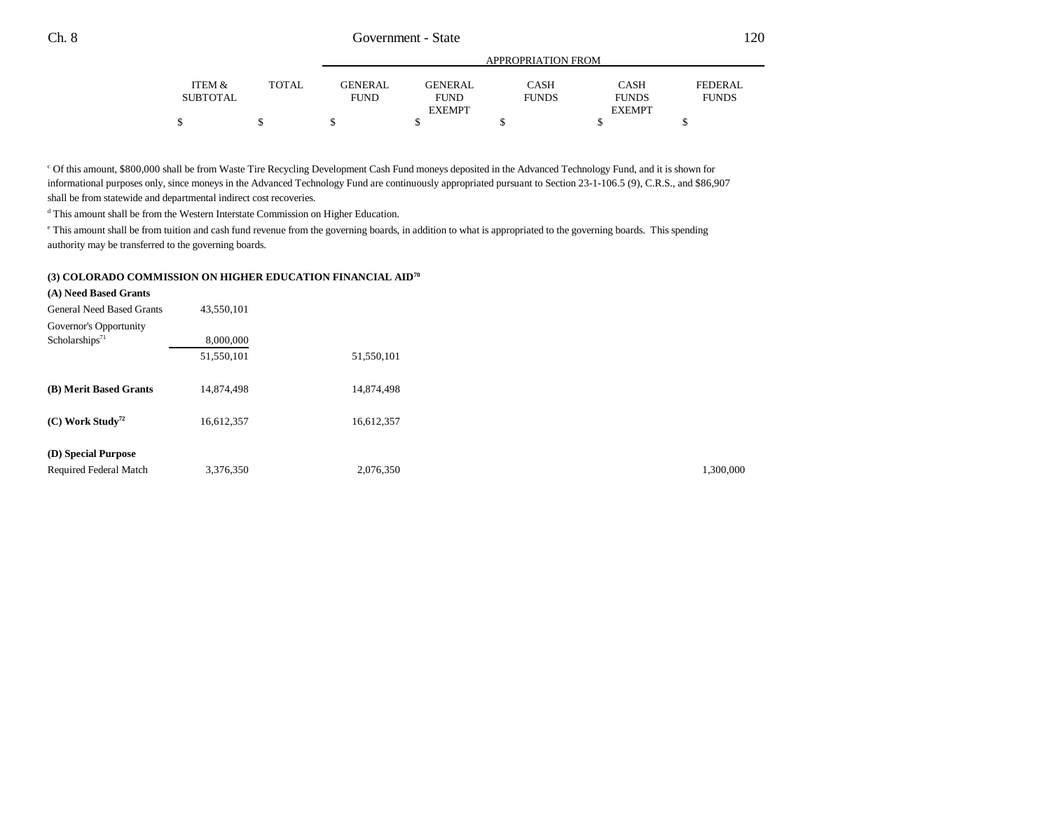|          |              | APPROPRIATION FROM |                |              |               |              |  |
|----------|--------------|--------------------|----------------|--------------|---------------|--------------|--|
| ITEM &   | <b>TOTAL</b> | GENERAL            | <b>GENERAL</b> | CASH         | <b>CASH</b>   | FEDERAL      |  |
| SUBTOTAL |              | <b>FUND</b>        | <b>FUND</b>    | <b>FUNDS</b> | <b>FUNDS</b>  | <b>FUNDS</b> |  |
|          |              |                    | <b>EXEMPT</b>  |              | <b>EXEMPT</b> |              |  |
|          | S            |                    |                |              |               |              |  |
|          |              |                    |                |              |               |              |  |

c Of this amount, \$800,000 shall be from Waste Tire Recycling Development Cash Fund moneys deposited in the Advanced Technology Fund, and it is shown for informational purposes only, since moneys in the Advanced Technology Fund are continuously appropriated pursuant to Section 23-1-106.5 (9), C.R.S., and \$86,907 shall be from statewide and departmental indirect cost recoveries.

 $^{\rm d}$  This amount shall be from the Western Interstate Commission on Higher Education.

e This amount shall be from tuition and cash fund revenue from the governing boards, in addition to what is appropriated to the governing boards. This spending authority may be transferred to the governing boards.

#### **(3) COLORADO COMMISSION ON HIGHER EDUCATION FINANCIAL AID70**

| (A) Need Based Grants            |            |            |           |
|----------------------------------|------------|------------|-----------|
| <b>General Need Based Grants</b> | 43,550,101 |            |           |
| Governor's Opportunity           |            |            |           |
| Scholarships <sup>71</sup>       | 8,000,000  |            |           |
|                                  | 51,550,101 | 51,550,101 |           |
|                                  |            |            |           |
| (B) Merit Based Grants           | 14,874,498 | 14,874,498 |           |
|                                  |            |            |           |
| $(C)$ Work Study <sup>72</sup>   | 16,612,357 | 16,612,357 |           |
| (D) Special Purpose              |            |            |           |
|                                  |            |            |           |
| Required Federal Match           | 3,376,350  | 2,076,350  | 1.300.000 |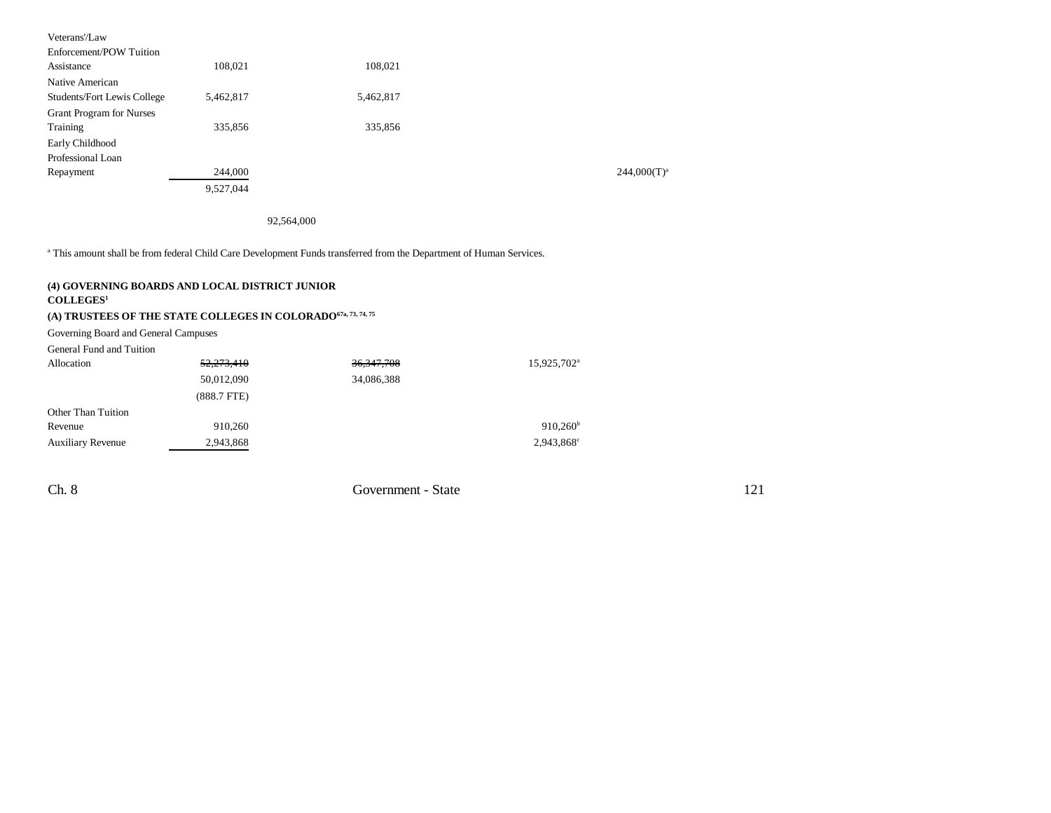| Veterans'/Law                      |           |           |                |
|------------------------------------|-----------|-----------|----------------|
| Enforcement/POW Tuition            |           |           |                |
| Assistance                         | 108,021   | 108,021   |                |
| Native American                    |           |           |                |
| <b>Students/Fort Lewis College</b> | 5,462,817 | 5,462,817 |                |
| <b>Grant Program for Nurses</b>    |           |           |                |
| Training                           | 335,856   | 335,856   |                |
| Early Childhood                    |           |           |                |
| Professional Loan                  |           |           |                |
| Repayment                          | 244,000   |           | $244,000(T)^a$ |
|                                    | 9,527,044 |           |                |

92,564,000

<sup>a</sup> This amount shall be from federal Child Care Development Funds transferred from the Department of Human Services.

#### **(4) GOVERNING BOARDS AND LOCAL DISTRICT JUNIOR COLLEGES<sup>1</sup>**

## **(A) TRUSTEES OF THE STATE COLLEGES IN COLORADO67a, 73, 74, 75**

Governing Board and General Campuses

General Fund and Tuition

| Allocation               | 52,273,410       | 36, 347, 708 | 15,925,702 <sup>a</sup> |
|--------------------------|------------------|--------------|-------------------------|
|                          | 50,012,090       | 34,086,388   |                         |
|                          | $(888.7$ FTE $)$ |              |                         |
| Other Than Tuition       |                  |              |                         |
| Revenue                  | 910.260          |              | $910,260^{\rm b}$       |
| <b>Auxiliary Revenue</b> | 2,943,868        |              | 2,943,868°              |

Ch. 8 Government - State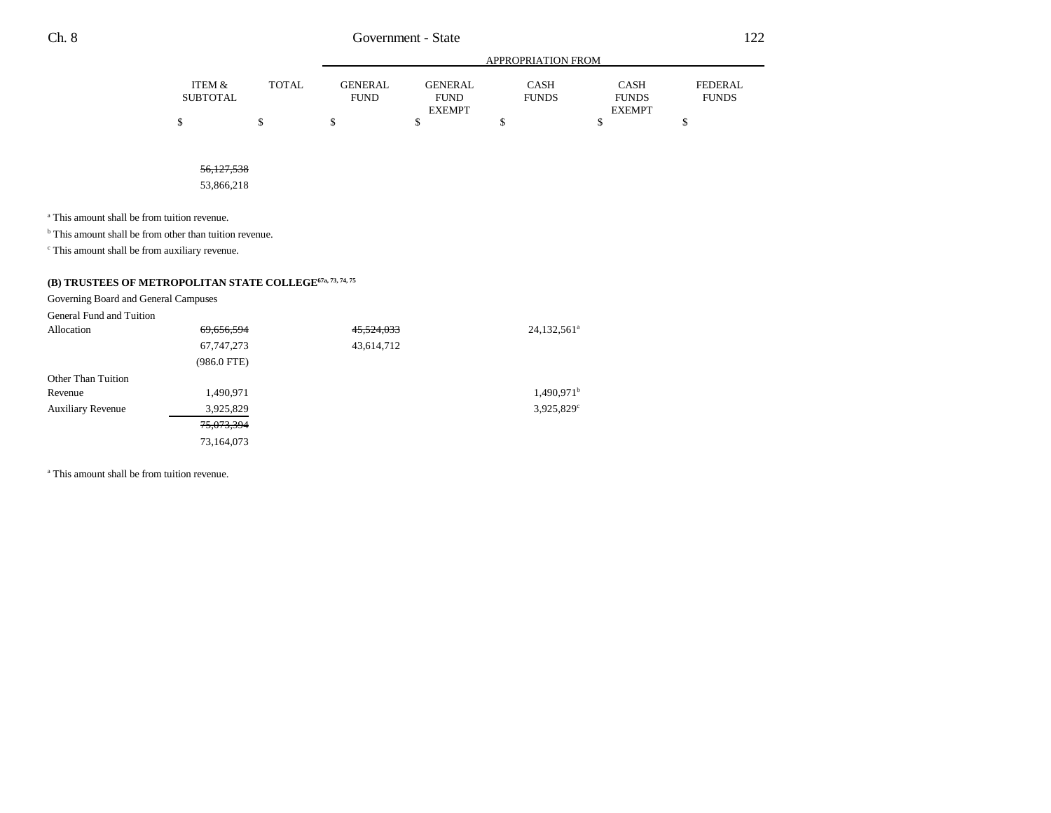|          |       | APPROPRIATION FROM |                |              |               |                |
|----------|-------|--------------------|----------------|--------------|---------------|----------------|
| ITEM &   | TOTAL | <b>GENERAL</b>     | <b>GENERAL</b> | CASH         | <b>CASH</b>   | <b>FEDERAL</b> |
| SUBTOTAL |       | <b>FUND</b>        | <b>FUND</b>    | <b>FUNDS</b> | <b>FUNDS</b>  | <b>FUNDS</b>   |
|          |       |                    | <b>EXEMPT</b>  |              | <b>EXEMPT</b> |                |
|          |       |                    |                |              |               |                |

56,127,538

53,866,218

<sup>a</sup> This amount shall be from tuition revenue.

<sup>b</sup> This amount shall be from other than tuition revenue.

c This amount shall be from auxiliary revenue.

## **(B) TRUSTEES OF METROPOLITAN STATE COLLEGE67a, 73, 74, 75**

Governing Board and General Campuses

| General Fund and Tuition |               |                       |                          |
|--------------------------|---------------|-----------------------|--------------------------|
| Allocation               | 69,656,594    | <del>45,524,033</del> | 24,132,561 <sup>a</sup>  |
|                          | 67, 747, 273  | 43,614,712            |                          |
|                          | $(986.0$ FTE) |                       |                          |
| Other Than Tuition       |               |                       |                          |
| Revenue                  | 1,490,971     |                       | $1,490.971$ <sup>b</sup> |
| <b>Auxiliary Revenue</b> | 3,925,829     |                       | 3,925,829°               |
|                          | 75,073,394    |                       |                          |
|                          | 73,164,073    |                       |                          |
|                          |               |                       |                          |

<sup>a</sup> This amount shall be from tuition revenue.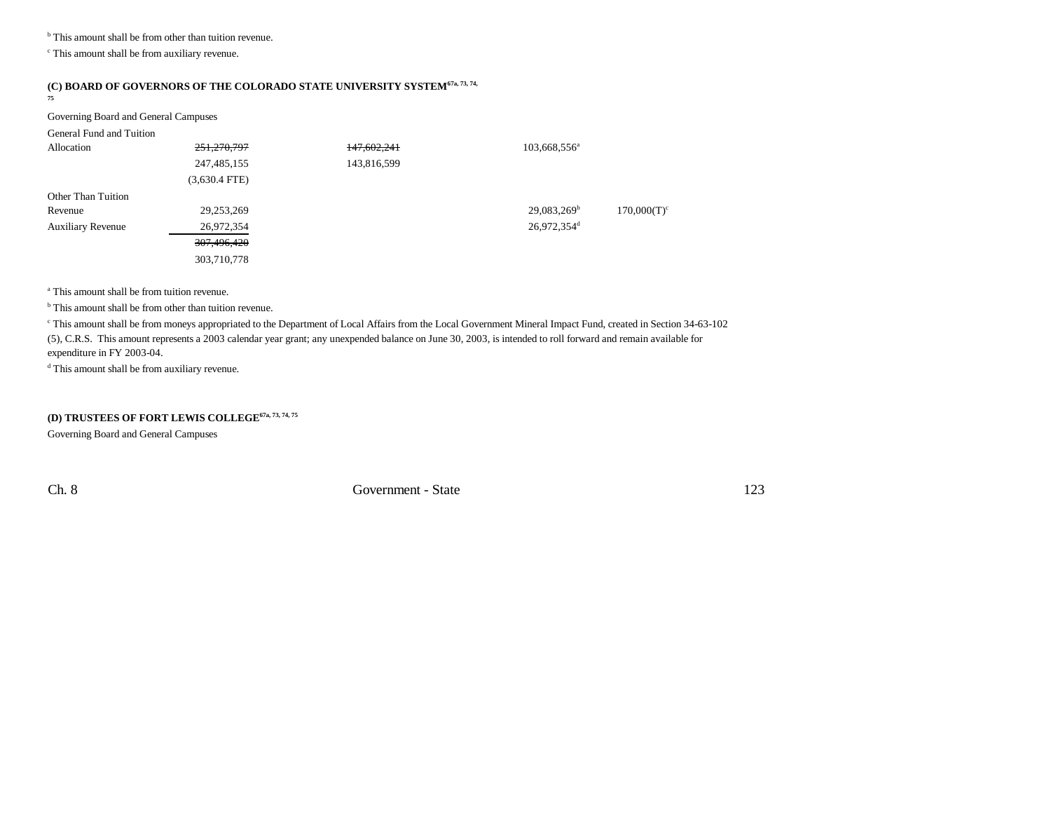<sup>b</sup> This amount shall be from other than tuition revenue.

 $\,^{\mathrm{c}}$  This amount shall be from auxiliary revenue.

#### **(C) BOARD OF GOVERNORS OF THE COLORADO STATE UNIVERSITY SYSTEM67a, 73, 74,**

**75**

#### Governing Board and General Campuses

| General Fund and Tuition |                 |             |                          |                |
|--------------------------|-----------------|-------------|--------------------------|----------------|
| Allocation               | 251,270,797     | 147,602,241 | 103,668,556 <sup>a</sup> |                |
|                          | 247, 485, 155   | 143,816,599 |                          |                |
|                          | $(3,630.4$ FTE) |             |                          |                |
| Other Than Tuition       |                 |             |                          |                |
| Revenue                  | 29,253,269      |             | $29,083,269^{\rm b}$     | $170,000(T)^c$ |
| <b>Auxiliary Revenue</b> | 26,972,354      |             | 26,972,354 <sup>d</sup>  |                |
|                          | 307,496,420     |             |                          |                |
|                          | 303,710,778     |             |                          |                |

a This amount shall be from tuition revenue.

<sup>b</sup> This amount shall be from other than tuition revenue.

<sup>c</sup> This amount shall be from moneys appropriated to the Department of Local Affairs from the Local Government Mineral Impact Fund, created in Section 34-63-102 (5), C.R.S. This amount represents a 2003 calendar year grant; any unexpended balance on June 30, 2003, is intended to roll forward and remain available for expenditure in FY 2003-04.

<sup>d</sup> This amount shall be from auxiliary revenue.

#### **(D) TRUSTEES OF FORT LEWIS COLLEGE67a, 73, 74, 75**

Governing Board and General Campuses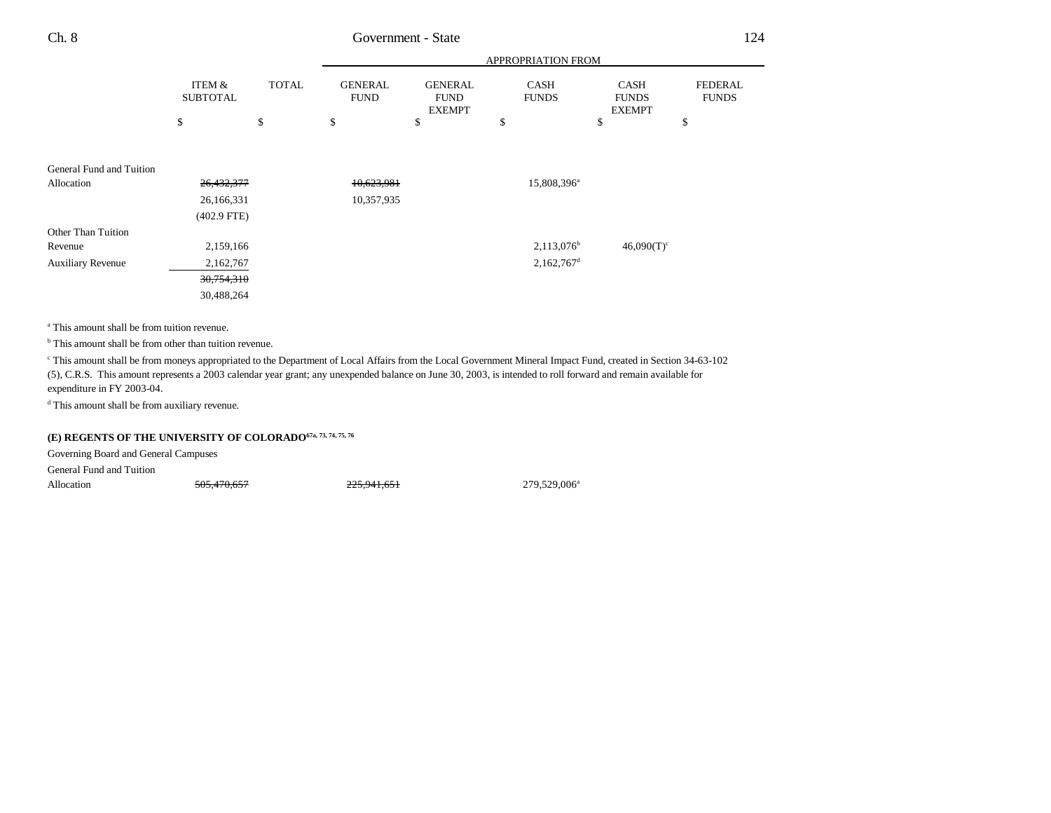|                          |                           |              |                               | APPROPRIATION FROM                             |                             |                                              |                                |  |  |
|--------------------------|---------------------------|--------------|-------------------------------|------------------------------------------------|-----------------------------|----------------------------------------------|--------------------------------|--|--|
|                          | ITEM &<br><b>SUBTOTAL</b> | <b>TOTAL</b> | <b>GENERAL</b><br><b>FUND</b> | <b>GENERAL</b><br><b>FUND</b><br><b>EXEMPT</b> | <b>CASH</b><br><b>FUNDS</b> | <b>CASH</b><br><b>FUNDS</b><br><b>EXEMPT</b> | <b>FEDERAL</b><br><b>FUNDS</b> |  |  |
|                          | \$                        | \$           | \$                            | \$                                             | \$                          | \$                                           | \$                             |  |  |
|                          |                           |              |                               |                                                |                             |                                              |                                |  |  |
| General Fund and Tuition |                           |              |                               |                                                |                             |                                              |                                |  |  |
| Allocation               | 26,432,377                |              | 10,623,981                    |                                                | 15,808,396 <sup>a</sup>     |                                              |                                |  |  |
|                          | 26,166,331                |              | 10,357,935                    |                                                |                             |                                              |                                |  |  |
|                          | $(402.9$ FTE)             |              |                               |                                                |                             |                                              |                                |  |  |
| Other Than Tuition       |                           |              |                               |                                                |                             |                                              |                                |  |  |
| Revenue                  | 2,159,166                 |              |                               |                                                | $2,113,076^b$               | $46,090(T)^c$                                |                                |  |  |
| Auxiliary Revenue        | 2,162,767                 |              |                               |                                                | $2,162,767$ <sup>d</sup>    |                                              |                                |  |  |
|                          | 30,754,310                |              |                               |                                                |                             |                                              |                                |  |  |
|                          | 30,488,264                |              |                               |                                                |                             |                                              |                                |  |  |

<sup>a</sup> This amount shall be from tuition revenue.

<sup>b</sup> This amount shall be from other than tuition revenue.

c This amount shall be from moneys appropriated to the Department of Local Affairs from the Local Government Mineral Impact Fund, created in Section 34-63-102 (5), C.R.S. This amount represents a 2003 calendar year grant; any unexpended balance on June 30, 2003, is intended to roll forward and remain available for expenditure in FY 2003-04.

d This amount shall be from auxiliary revenue.

# **(E) REGENTS OF THE UNIVERSITY OF COLORADO67a, 73, 74, 75, 76**

Governing Board and General Campuses

General Fund and Tuition

Allocation 505,470,657 225,941,651 225,941,651 279,529,006<sup>a</sup>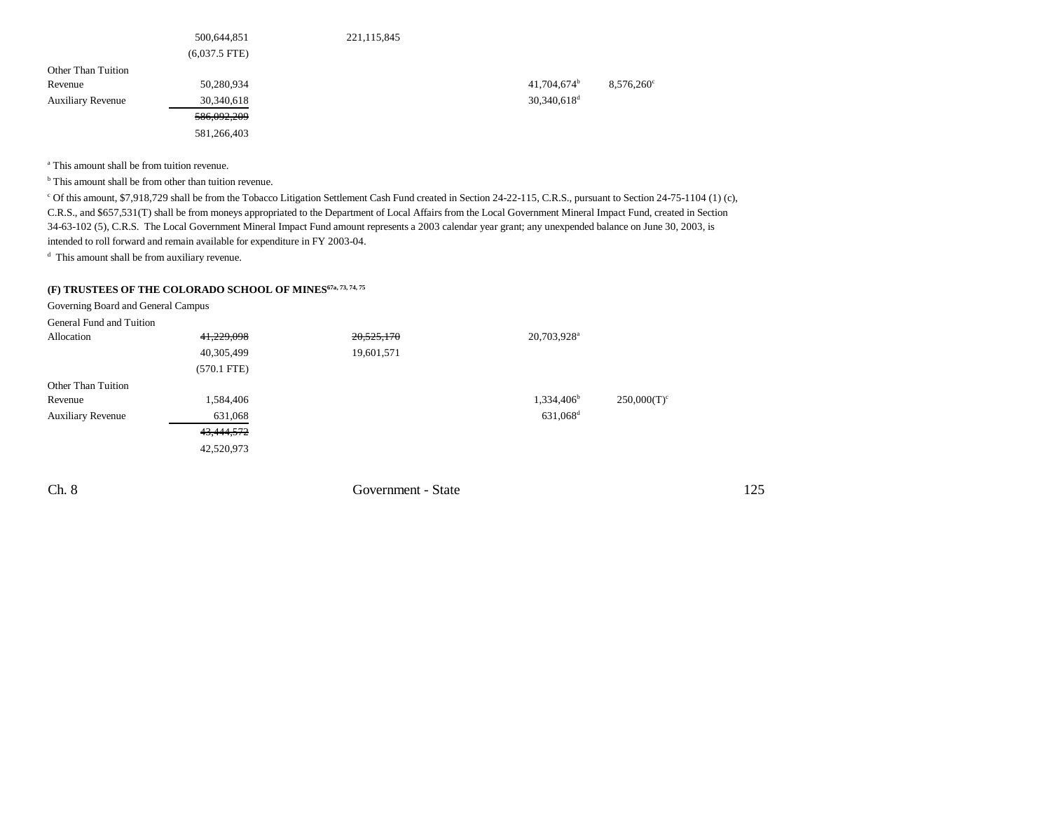|                          | 500,644,851     | 221,115,845 |                           |                     |
|--------------------------|-----------------|-------------|---------------------------|---------------------|
|                          | $(6,037.5$ FTE) |             |                           |                     |
| Other Than Tuition       |                 |             |                           |                     |
| Revenue                  | 50,280,934      |             | $41,704,674^b$            | $8,576,260^{\circ}$ |
| <b>Auxiliary Revenue</b> | 30,340,618      |             | $30,340,618$ <sup>d</sup> |                     |
|                          | 586,092,209     |             |                           |                     |
|                          | 581,266,403     |             |                           |                     |

<sup>a</sup> This amount shall be from tuition revenue.

<sup>b</sup> This amount shall be from other than tuition revenue.

c Of this amount, \$7,918,729 shall be from the Tobacco Litigation Settlement Cash Fund created in Section 24-22-115, C.R.S., pursuant to Section 24-75-1104 (1) (c), C.R.S., and \$657,531(T) shall be from moneys appropriated to the Department of Local Affairs from the Local Government Mineral Impact Fund, created in Section 34-63-102 (5), C.R.S. The Local Government Mineral Impact Fund amount represents a 2003 calendar year grant; any unexpended balance on June 30, 2003, is intended to roll forward and remain available for expenditure in FY 2003-04.

d This amount shall be from auxiliary revenue.

## **(F) TRUSTEES OF THE COLORADO SCHOOL OF MINES67a, 73, 74, 75**

Governing Board and General Campus

General Fund and Tuition

| Allocation               | 41,229,098    | 20,525,170 | 20,703,928 <sup>a</sup> |                |
|--------------------------|---------------|------------|-------------------------|----------------|
|                          | 40,305,499    | 19,601,571 |                         |                |
|                          | $(570.1$ FTE) |            |                         |                |
| Other Than Tuition       |               |            |                         |                |
| Revenue                  | 1,584,406     |            | 1,334,406 <sup>b</sup>  | $250,000(T)^c$ |
| <b>Auxiliary Revenue</b> | 631,068       |            | 631,068 <sup>d</sup>    |                |
|                          | 43,444,572    |            |                         |                |
|                          | 42,520,973    |            |                         |                |

Ch. 8 Government - State 125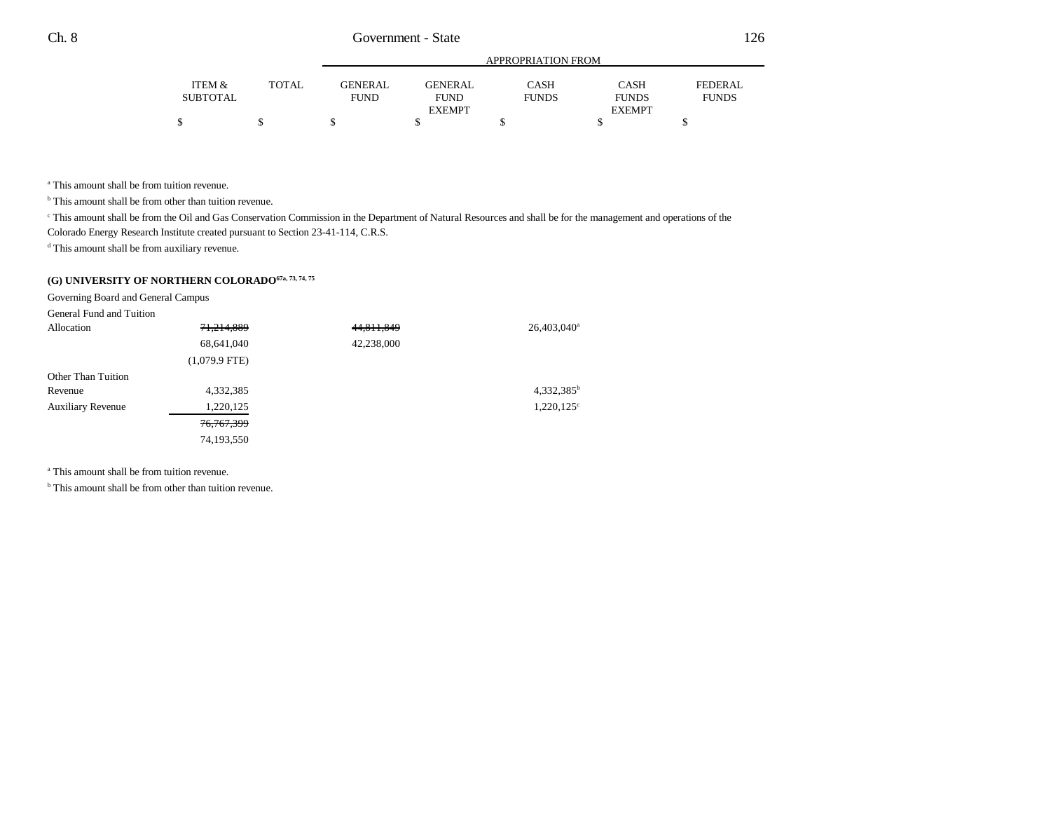|          |              |                |               | APPROPRIATION FROM |               |              |
|----------|--------------|----------------|---------------|--------------------|---------------|--------------|
| ITEM &   | <b>TOTAL</b> | <b>GENERAL</b> | GENERAL       | CASH               | <b>CASH</b>   | FEDERAL      |
| SUBTOTAL |              | <b>FUND</b>    | <b>FUND</b>   | <b>FUNDS</b>       | <b>FUNDS</b>  | <b>FUNDS</b> |
|          |              |                | <b>EXEMPT</b> |                    | <b>EXEMPT</b> |              |
|          |              |                |               |                    |               |              |

<sup>a</sup> This amount shall be from tuition revenue.

<sup>b</sup> This amount shall be from other than tuition revenue.

<sup>c</sup> This amount shall be from the Oil and Gas Conservation Commission in the Department of Natural Resources and shall be for the management and operations of the

Colorado Energy Research Institute created pursuant to Section 23-41-114, C.R.S.

d This amount shall be from auxiliary revenue.

# **(G) UNIVERSITY OF NORTHERN COLORADO67a, 73, 74, 75**

Governing Board and General Campus

General Fund and Tuition

| Allocation               | 71,214,889      | 44,811,849 | $26,403,040^a$         |
|--------------------------|-----------------|------------|------------------------|
|                          | 68,641,040      | 42,238,000 |                        |
|                          | $(1,079.9$ FTE) |            |                        |
| Other Than Tuition       |                 |            |                        |
| Revenue                  | 4,332,385       |            | 4,332,385 <sup>b</sup> |
| <b>Auxiliary Revenue</b> | 1,220,125       |            | $1,220,125^{\circ}$    |
|                          | 76, 767, 399    |            |                        |
|                          | 74,193,550      |            |                        |

<sup>a</sup> This amount shall be from tuition revenue.

<sup>b</sup> This amount shall be from other than tuition revenue.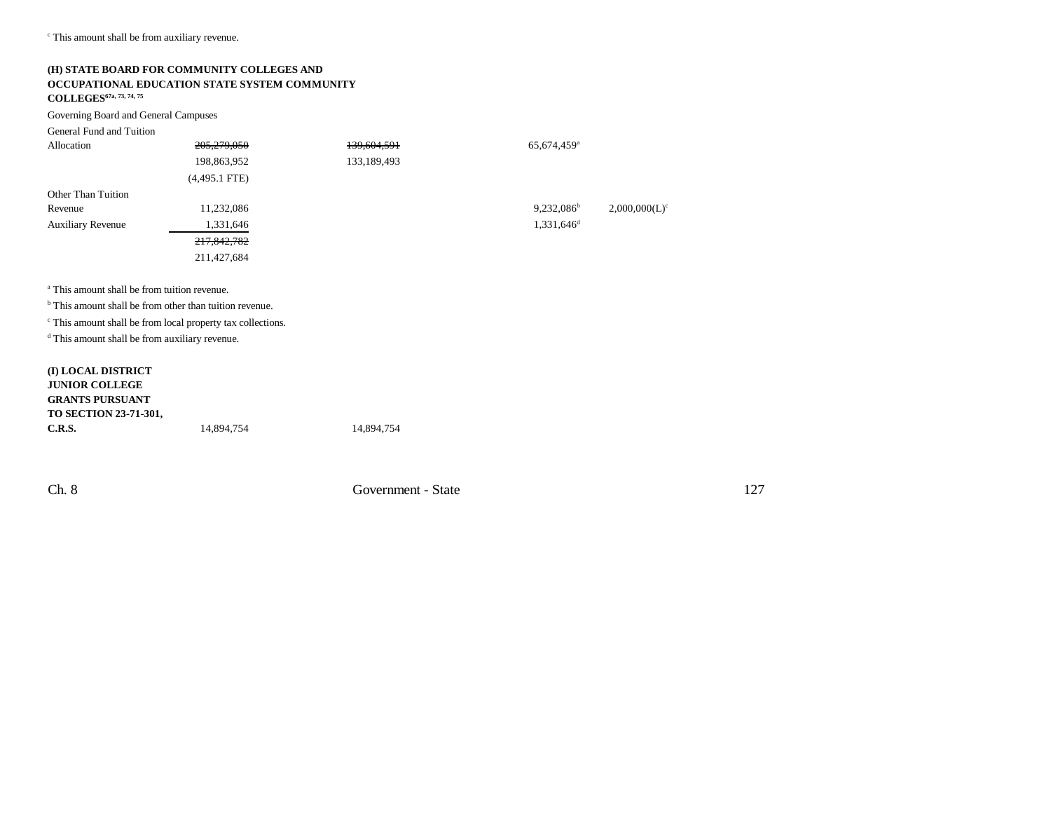c This amount shall be from auxiliary revenue.

## **(H) STATE BOARD FOR COMMUNITY COLLEGES AND OCCUPATIONAL EDUCATION STATE SYSTEM COMMUNITY**

**COLLEGES67a, 73, 74, 75**

Governing Board and General Campuses

| General Fund and Tuition |                 |             |                           |                  |
|--------------------------|-----------------|-------------|---------------------------|------------------|
| Allocation               | 205,279,050     | 139,604,591 | $65,674,459$ <sup>a</sup> |                  |
|                          | 198,863,952     | 133,189,493 |                           |                  |
|                          | $(4,495.1$ FTE) |             |                           |                  |
| Other Than Tuition       |                 |             |                           |                  |
| Revenue                  | 11,232,086      |             | $9,232,086^b$             | $2,000,000(L)^c$ |
| <b>Auxiliary Revenue</b> | 1,331,646       |             | $1,331,646$ <sup>d</sup>  |                  |
|                          | 217,842,782     |             |                           |                  |
|                          | 211,427,684     |             |                           |                  |
|                          |                 |             |                           |                  |
|                          |                 |             |                           |                  |

<sup>a</sup> This amount shall be from tuition revenue.

<sup>b</sup> This amount shall be from other than tuition revenue.

c This amount shall be from local property tax collections.

d This amount shall be from auxiliary revenue.

#### **(I) LOCAL DISTRICT JUNIOR COLLEGE GRANTS PURSUANTTO SECTION 23-71-301, C.R.S.**14,894,754 14,894,754

Ch. 8 Government - State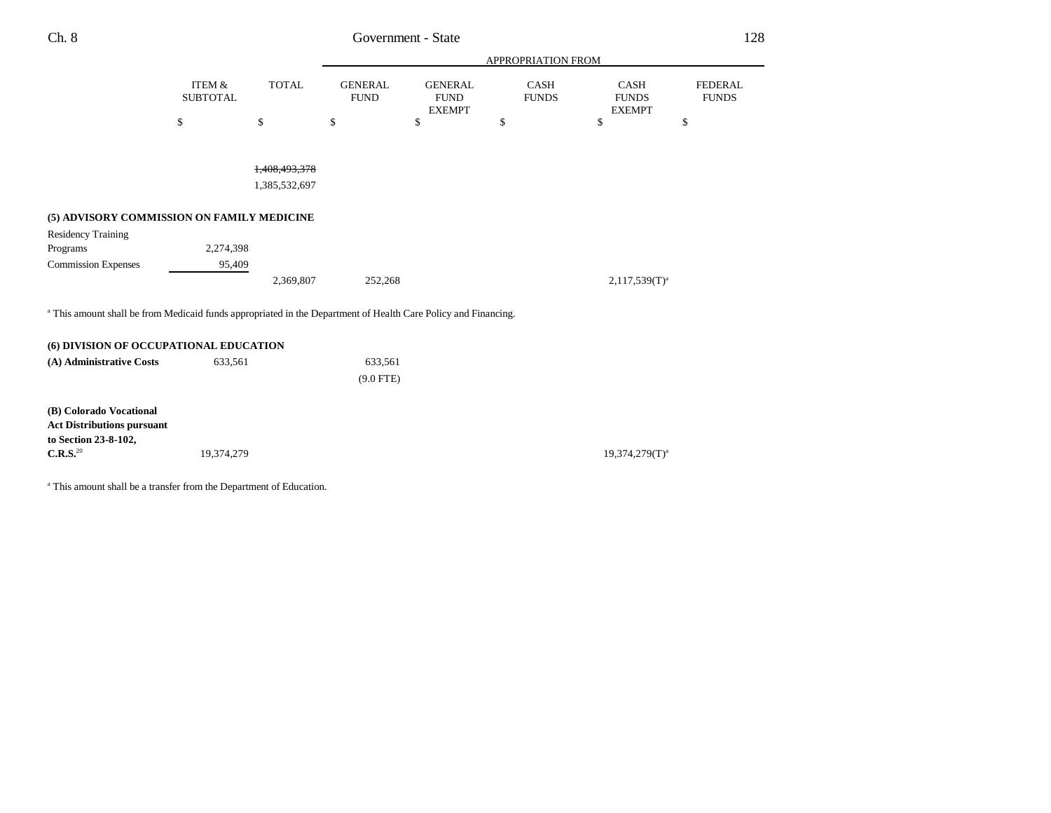| Ch. 8<br>____ | Government - State<br>$\begin{array}{cccccccccccccc} \multicolumn{4}{c}{} & \multicolumn{4}{c}{} & \multicolumn{4}{c}{} & \multicolumn{4}{c}{} & \multicolumn{4}{c}{} & \multicolumn{4}{c}{} & \multicolumn{4}{c}{} & \multicolumn{4}{c}{} & \multicolumn{4}{c}{} & \multicolumn{4}{c}{} & \multicolumn{4}{c}{} & \multicolumn{4}{c}{} & \multicolumn{4}{c}{} & \multicolumn{4}{c}{} & \multicolumn{4}{c}{} & \multicolumn{4}{c}{} & \multicolumn{4}{c}{} & \multicolumn{4}{c}{} & \multicolumn{4}{c}{} & \$<br>. | $\bigcap$<br>$\overline{\phantom{a}}$<br>$\sim$ |
|---------------|-------------------------------------------------------------------------------------------------------------------------------------------------------------------------------------------------------------------------------------------------------------------------------------------------------------------------------------------------------------------------------------------------------------------------------------------------------------------------------------------------------------------|-------------------------------------------------|
|               |                                                                                                                                                                                                                                                                                                                                                                                                                                                                                                                   |                                                 |

|                                                                                                                           |                                      |                                           | APPROPRIATION FROM            |                                                |                             |                                              |                                |
|---------------------------------------------------------------------------------------------------------------------------|--------------------------------------|-------------------------------------------|-------------------------------|------------------------------------------------|-----------------------------|----------------------------------------------|--------------------------------|
|                                                                                                                           | <b>ITEM &amp;</b><br><b>SUBTOTAL</b> | <b>TOTAL</b>                              | <b>GENERAL</b><br><b>FUND</b> | <b>GENERAL</b><br><b>FUND</b><br><b>EXEMPT</b> | <b>CASH</b><br><b>FUNDS</b> | <b>CASH</b><br><b>FUNDS</b><br><b>EXEMPT</b> | <b>FEDERAL</b><br><b>FUNDS</b> |
|                                                                                                                           | \$                                   | \$                                        | \$                            | \$                                             | \$                          | \$                                           | \$                             |
|                                                                                                                           |                                      |                                           |                               |                                                |                             |                                              |                                |
|                                                                                                                           |                                      | <del>1,408,493,378</del><br>1,385,532,697 |                               |                                                |                             |                                              |                                |
| (5) ADVISORY COMMISSION ON FAMILY MEDICINE                                                                                |                                      |                                           |                               |                                                |                             |                                              |                                |
| <b>Residency Training</b>                                                                                                 |                                      |                                           |                               |                                                |                             |                                              |                                |
| Programs                                                                                                                  | 2,274,398                            |                                           |                               |                                                |                             |                                              |                                |
| <b>Commission Expenses</b>                                                                                                | 95,409                               |                                           |                               |                                                |                             |                                              |                                |
|                                                                                                                           |                                      | 2,369,807                                 | 252,268                       |                                                |                             | $2,117,539(T)^{a}$                           |                                |
| <sup>a</sup> This amount shall be from Medicaid funds appropriated in the Department of Health Care Policy and Financing. |                                      |                                           |                               |                                                |                             |                                              |                                |
| (6) DIVISION OF OCCUPATIONAL EDUCATION                                                                                    |                                      |                                           |                               |                                                |                             |                                              |                                |
| (A) Administrative Costs                                                                                                  | 633,561                              |                                           | 633,561                       |                                                |                             |                                              |                                |
|                                                                                                                           |                                      |                                           | $(9.0$ FTE)                   |                                                |                             |                                              |                                |
| (B) Colorado Vocational<br><b>Act Distributions pursuant</b><br>to Section 23-8-102,                                      |                                      |                                           |                               |                                                |                             |                                              |                                |
| $\mathbf{C.R.S.}^{20}$                                                                                                    | 19,374,279                           |                                           |                               |                                                |                             | $19,374,279(T)^a$                            |                                |

a This amount shall be a transfer from the Department of Education.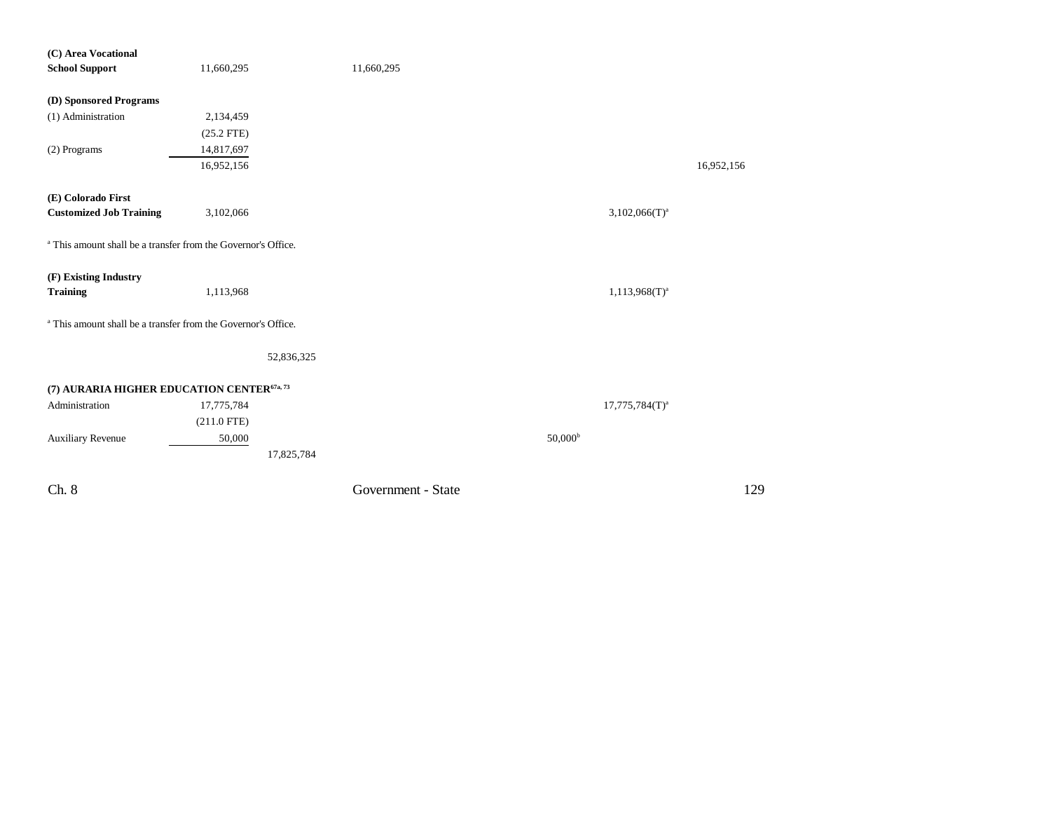| (C) Area Vocational                                                      |               |                    |                     |            |
|--------------------------------------------------------------------------|---------------|--------------------|---------------------|------------|
| <b>School Support</b>                                                    | 11,660,295    | 11,660,295         |                     |            |
|                                                                          |               |                    |                     |            |
| (D) Sponsored Programs                                                   |               |                    |                     |            |
| (1) Administration                                                       | 2,134,459     |                    |                     |            |
|                                                                          | $(25.2$ FTE)  |                    |                     |            |
| (2) Programs                                                             | 14,817,697    |                    |                     |            |
|                                                                          | 16,952,156    |                    |                     | 16,952,156 |
| (E) Colorado First                                                       |               |                    |                     |            |
| <b>Customized Job Training</b>                                           | 3,102,066     |                    | $3,102,066(T)^a$    |            |
| <sup>a</sup> This amount shall be a transfer from the Governor's Office. |               |                    |                     |            |
| (F) Existing Industry                                                    |               |                    |                     |            |
| <b>Training</b>                                                          | 1,113,968     |                    | $1,113,968(T)^{a}$  |            |
| <sup>a</sup> This amount shall be a transfer from the Governor's Office. |               |                    |                     |            |
|                                                                          | 52,836,325    |                    |                     |            |
| (7) AURARIA HIGHER EDUCATION CENTER <sup>67a, 73</sup>                   |               |                    |                     |            |
| Administration                                                           | 17,775,784    |                    | $17,775,784(T)^a$   |            |
|                                                                          | $(211.0$ FTE) |                    |                     |            |
|                                                                          |               |                    | 50,000 <sup>b</sup> |            |
| <b>Auxiliary Revenue</b>                                                 | 50,000        |                    |                     |            |
|                                                                          | 17,825,784    |                    |                     |            |
| Ch. 8                                                                    |               | Government - State |                     | 129        |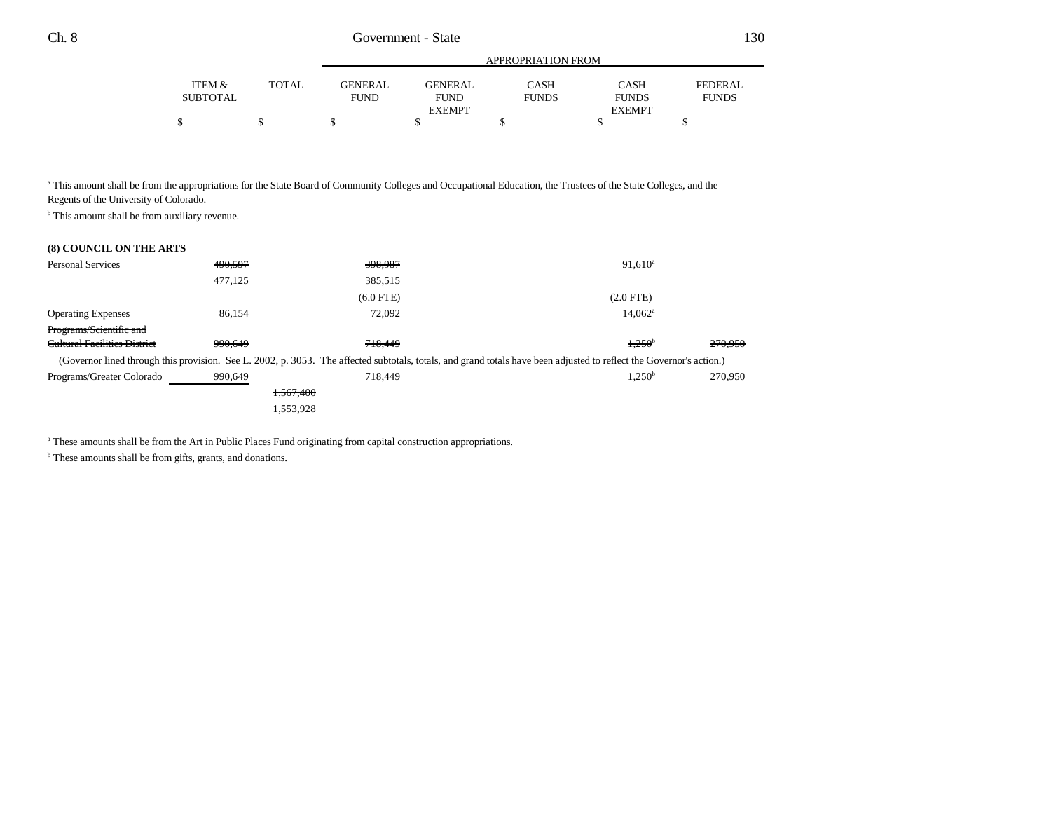|          |              |                |                | APPROPRIATION FROM |               |              |
|----------|--------------|----------------|----------------|--------------------|---------------|--------------|
| ITEM &   | <b>TOTAL</b> | <b>GENERAL</b> | <b>GENERAL</b> | CASH               | <b>CASH</b>   | FEDERAL      |
| SUBTOTAL |              | <b>FUND</b>    | <b>FUND</b>    | <b>FUNDS</b>       | <b>FUNDS</b>  | <b>FUNDS</b> |
|          |              |                | <b>EXEMPT</b>  |                    | <b>EXEMPT</b> |              |
|          |              |                |                |                    |               |              |

a This amount shall be from the appropriations for the State Board of Community Colleges and Occupational Education, the Trustees of the State Colleges, and the Regents of the University of Colorado.

<sup>b</sup> This amount shall be from auxiliary revenue.

| <b>Personal Services</b>            | 490,597 | 398,987     | $91,610^a$                                                                                                                                                           |         |
|-------------------------------------|---------|-------------|----------------------------------------------------------------------------------------------------------------------------------------------------------------------|---------|
|                                     | 477,125 | 385,515     |                                                                                                                                                                      |         |
|                                     |         | $(6.0$ FTE) | $(2.0$ FTE $)$                                                                                                                                                       |         |
| <b>Operating Expenses</b>           | 86,154  | 72,092      | $14,062^{\circ}$                                                                                                                                                     |         |
| Programs/Scientific and             |         |             |                                                                                                                                                                      |         |
| <b>Cultural Facilities District</b> | 990.649 | 718,449     | 4,250 <sup>b</sup>                                                                                                                                                   | 270,950 |
|                                     |         |             | (Governor lined through this provision. See L. 2002, p. 3053. The affected subtotals, totals, and grand totals have been adjusted to reflect the Governor's action.) |         |
| Programs/Greater Colorado           | 990,649 | 718,449     | $1,250^{\rm b}$                                                                                                                                                      | 270,950 |
|                                     |         | 1,567,400   |                                                                                                                                                                      |         |
|                                     |         | 1,553,928   |                                                                                                                                                                      |         |
|                                     |         |             |                                                                                                                                                                      |         |

<sup>a</sup> These amounts shall be from the Art in Public Places Fund originating from capital construction appropriations.

<sup>b</sup> These amounts shall be from gifts, grants, and donations.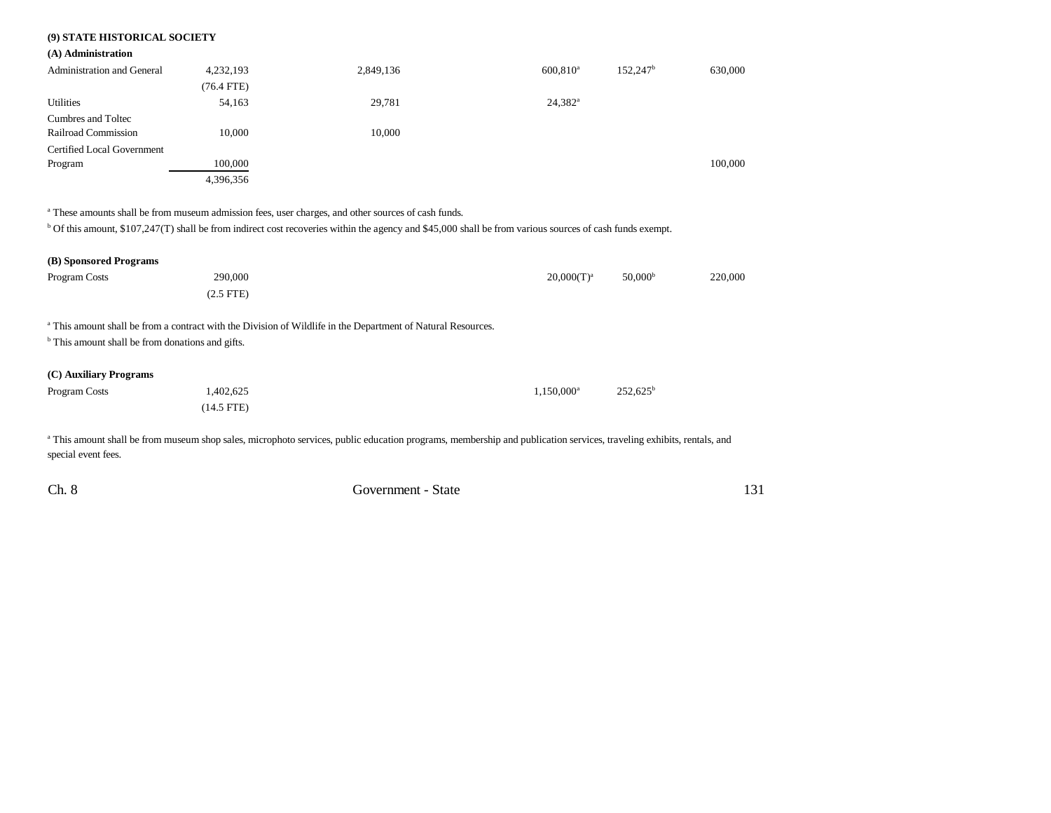## **(9) STATE HISTORICAL SOCIETY**

#### **(A) Administration**

| <b>Administration and General</b> | 4,232,193  | 2,849,136 | $600.810$ <sup>a</sup> | 152.247 <sup>b</sup> | 630,000 |
|-----------------------------------|------------|-----------|------------------------|----------------------|---------|
|                                   | (76.4 FTE) |           |                        |                      |         |
| Utilities                         | 54,163     | 29,781    | $24,382^{\rm a}$       |                      |         |
| Cumbres and Toltec                |            |           |                        |                      |         |
| Railroad Commission               | 10.000     | 10.000    |                        |                      |         |
| Certified Local Government        |            |           |                        |                      |         |
| Program                           | 100,000    |           |                        |                      | 100,000 |
|                                   | 4,396,356  |           |                        |                      |         |

<sup>a</sup> These amounts shall be from museum admission fees, user charges, and other sources of cash funds.

<sup>b</sup> Of this amount, \$107,247(T) shall be from indirect cost recoveries within the agency and \$45,000 shall be from various sources of cash funds exempt.

| (B) Sponsored Programs                                      |                                                                                                                         |                     |                     |         |
|-------------------------------------------------------------|-------------------------------------------------------------------------------------------------------------------------|---------------------|---------------------|---------|
| Program Costs                                               | 290,000                                                                                                                 | $20,000(T)^a$       | 50,000 <sup>b</sup> | 220,000 |
|                                                             | $(2.5$ FTE $)$                                                                                                          |                     |                     |         |
|                                                             | <sup>a</sup> This amount shall be from a contract with the Division of Wildlife in the Department of Natural Resources. |                     |                     |         |
| <sup>b</sup> This amount shall be from donations and gifts. |                                                                                                                         |                     |                     |         |
| (C) Auxiliary Programs                                      |                                                                                                                         |                     |                     |         |
| Program Costs                                               | 1,402,625                                                                                                               | $1,150,000^{\rm a}$ | $252,625^{\rm b}$   |         |
|                                                             | $(14.5$ FTE)                                                                                                            |                     |                     |         |
|                                                             |                                                                                                                         |                     |                     |         |

<sup>a</sup> This amount shall be from museum shop sales, microphoto services, public education programs, membership and publication services, traveling exhibits, rentals, and special event fees.

| Ch. 8<br>Government - State |  |
|-----------------------------|--|
|-----------------------------|--|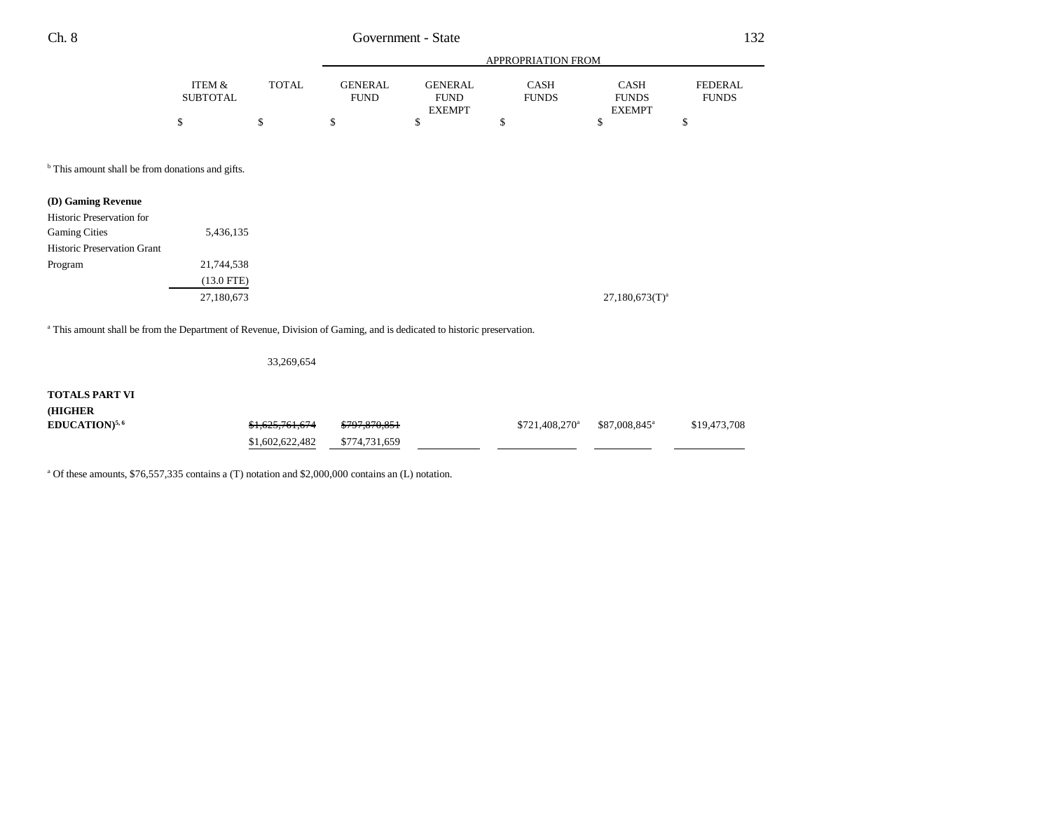|          |              | APPROPRIATION FROM |                              |              |                               |              |  |
|----------|--------------|--------------------|------------------------------|--------------|-------------------------------|--------------|--|
| ITEM &   | <b>TOTAL</b> | GENERAL            | GENERAL                      | CASH         | <b>CASH</b>                   | FEDERAL      |  |
| SUBTOTAL |              | <b>FUND</b>        | <b>FUND</b><br><b>EXEMPT</b> | <b>FUNDS</b> | <b>FUNDS</b><br><b>EXEMPT</b> | <b>FUNDS</b> |  |
|          |              |                    |                              |              |                               |              |  |

<sup>b</sup> This amount shall be from donations and gifts.

| (D) Gaming Revenue                 |              |
|------------------------------------|--------------|
| Historic Preservation for          |              |
| <b>Gaming Cities</b>               | 5,436,135    |
| <b>Historic Preservation Grant</b> |              |
| Program                            | 21,744,538   |
|                                    | $(13.0$ FTE) |
|                                    | 27,180,673   |

a This amount shall be from the Department of Revenue, Division of Gaming, and is dedicated to historic preservation.

33,269,654

## **TOTALS PART VI (HIGHER EDUCATION)<sup>5,6</sup>** \$1,625,761,674 \$797,870,851 \$721,408,270<sup>a</sup> \$87,008,845<sup>a</sup> \$19,473,708 \$1,602,622,482 \$774,731,659

<sup>a</sup> Of these amounts, \$76,557,335 contains a (T) notation and \$2,000,000 contains an (L) notation.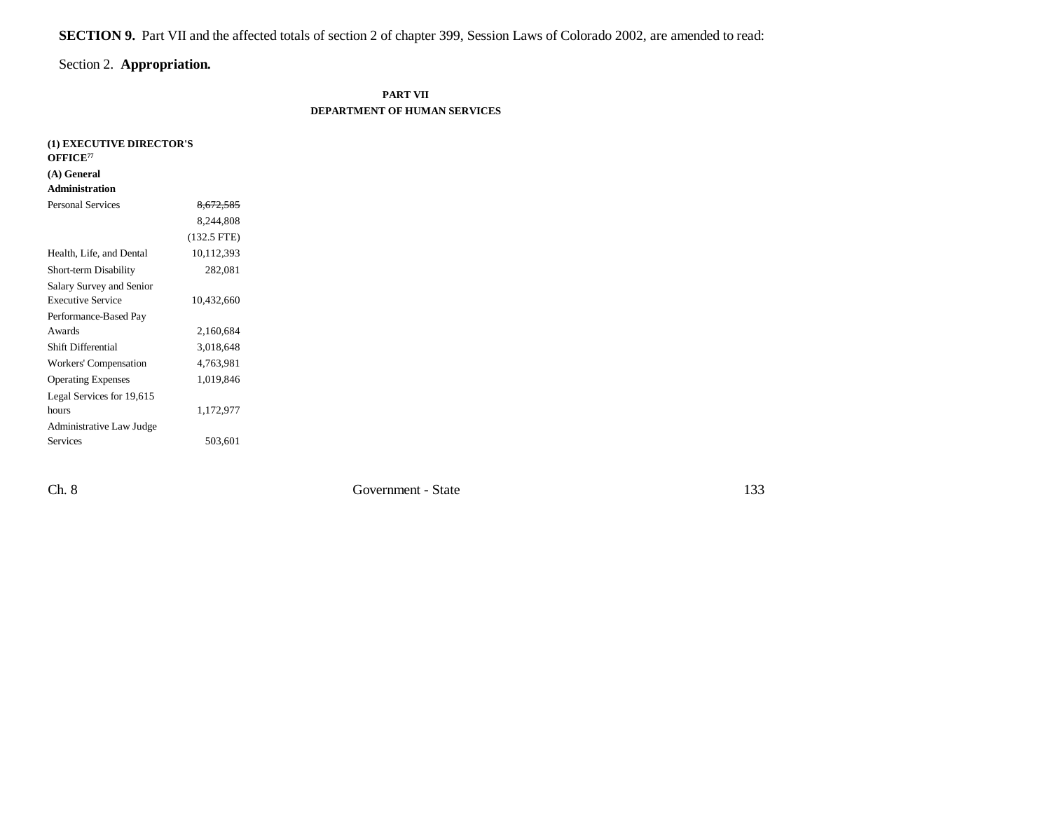**SECTION 9.** Part VII and the affected totals of section 2 of chapter 399, Session Laws of Colorado 2002, are amended to read:

# Section 2. **Appropriation.**

## **PART VII DEPARTMENT OF HUMAN SERVICES**

| (1) EXECUTIVE DIRECTOR'S<br>OFFICE <sup>77</sup> |               |
|--------------------------------------------------|---------------|
| (A) General                                      |               |
| <b>Administration</b>                            |               |
| <b>Personal Services</b>                         | 8,672,585     |
|                                                  | 8,244,808     |
|                                                  | $(132.5$ FTE) |
| Health, Life, and Dental                         | 10,112,393    |
| Short-term Disability                            | 282,081       |
| Salary Survey and Senior                         |               |
| <b>Executive Service</b>                         | 10,432,660    |
| Performance-Based Pay                            |               |
| Awards                                           | 2,160,684     |
| Shift Differential                               | 3,018,648     |
| Workers' Compensation                            | 4,763,981     |
| <b>Operating Expenses</b>                        | 1,019,846     |
| Legal Services for 19,615                        |               |
| hours                                            | 1,172,977     |
| Administrative Law Judge                         |               |
| <b>Services</b>                                  | 503,601       |

Ch. 8 Government - State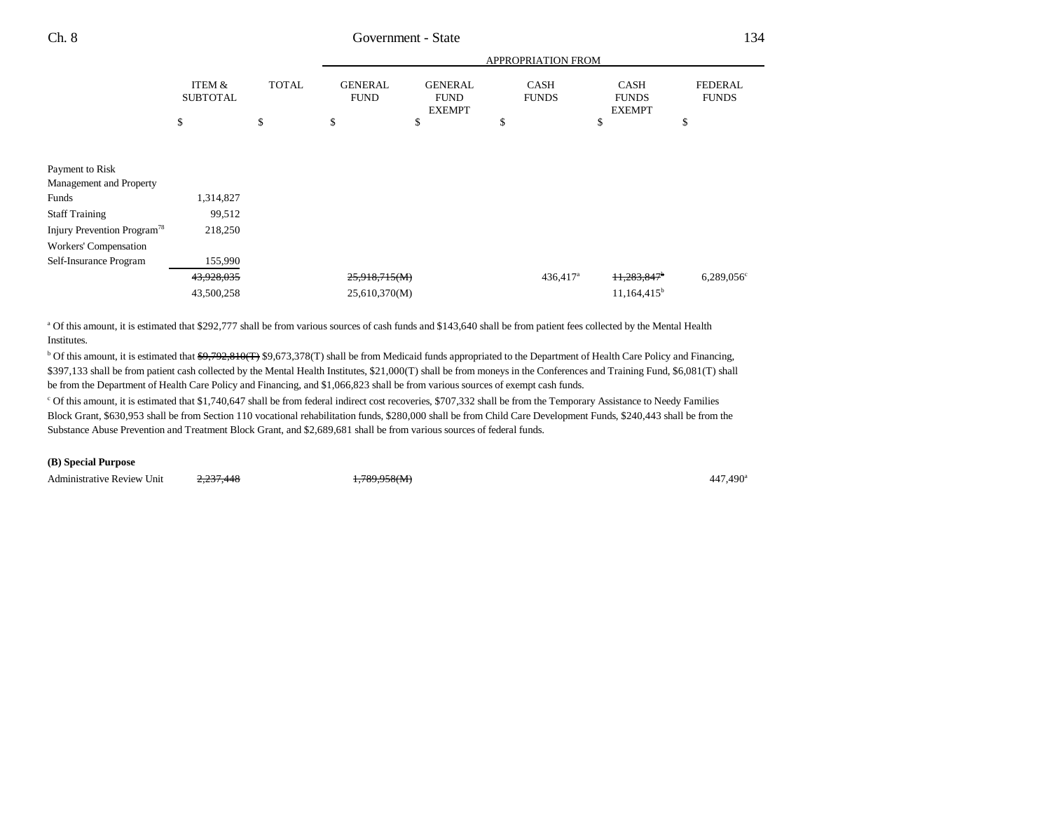|                                         |                           |              | APPROPRIATION FROM            |                                                |                             |                                              |                                |  |
|-----------------------------------------|---------------------------|--------------|-------------------------------|------------------------------------------------|-----------------------------|----------------------------------------------|--------------------------------|--|
|                                         | ITEM &<br><b>SUBTOTAL</b> | <b>TOTAL</b> | <b>GENERAL</b><br><b>FUND</b> | <b>GENERAL</b><br><b>FUND</b><br><b>EXEMPT</b> | <b>CASH</b><br><b>FUNDS</b> | <b>CASH</b><br><b>FUNDS</b><br><b>EXEMPT</b> | <b>FEDERAL</b><br><b>FUNDS</b> |  |
|                                         | \$                        | \$           | \$                            | \$                                             | \$                          | \$                                           | \$                             |  |
|                                         |                           |              |                               |                                                |                             |                                              |                                |  |
| Payment to Risk                         |                           |              |                               |                                                |                             |                                              |                                |  |
| Management and Property                 |                           |              |                               |                                                |                             |                                              |                                |  |
| Funds                                   | 1,314,827                 |              |                               |                                                |                             |                                              |                                |  |
| <b>Staff Training</b>                   | 99,512                    |              |                               |                                                |                             |                                              |                                |  |
| Injury Prevention Program <sup>78</sup> | 218,250                   |              |                               |                                                |                             |                                              |                                |  |
| Workers' Compensation                   |                           |              |                               |                                                |                             |                                              |                                |  |
| Self-Insurance Program                  | 155,990                   |              |                               |                                                |                             |                                              |                                |  |
|                                         | 43,928,035                |              | 25,918,715(M)                 |                                                | 436,417 <sup>a</sup>        | 11,283,847 <sup>b</sup>                      | $6,289,056$ <sup>c</sup>       |  |
|                                         | 43,500,258                |              | 25,610,370(M)                 |                                                |                             | $11,164,415^b$                               |                                |  |
|                                         |                           |              |                               |                                                |                             |                                              |                                |  |

<sup>a</sup> Of this amount, it is estimated that \$292,777 shall be from various sources of cash funds and \$143,640 shall be from patient fees collected by the Mental Health Institutes.

<sup>b</sup> Of this amount, it is estimated that  $\frac{69,792,810(T)}{9,673,378(T)}$  shall be from Medicaid funds appropriated to the Department of Health Care Policy and Financing, \$397,133 shall be from patient cash collected by the Mental Health Institutes, \$21,000(T) shall be from moneys in the Conferences and Training Fund, \$6,081(T) shall be from the Department of Health Care Policy and Financing, and \$1,066,823 shall be from various sources of exempt cash funds.

c Of this amount, it is estimated that \$1,740,647 shall be from federal indirect cost recoveries, \$707,332 shall be from the Temporary Assistance to Needy Families Block Grant, \$630,953 shall be from Section 110 vocational rehabilitation funds, \$280,000 shall be from Child Care Development Funds, \$240,443 shall be from the Substance Abuse Prevention and Treatment Block Grant, and \$2,689,681 shall be from various sources of federal funds.

#### **(B) Special Purpose**

Administrative Review Unit 2,237,448 1,789,958(M) 447,490<sup>a</sup>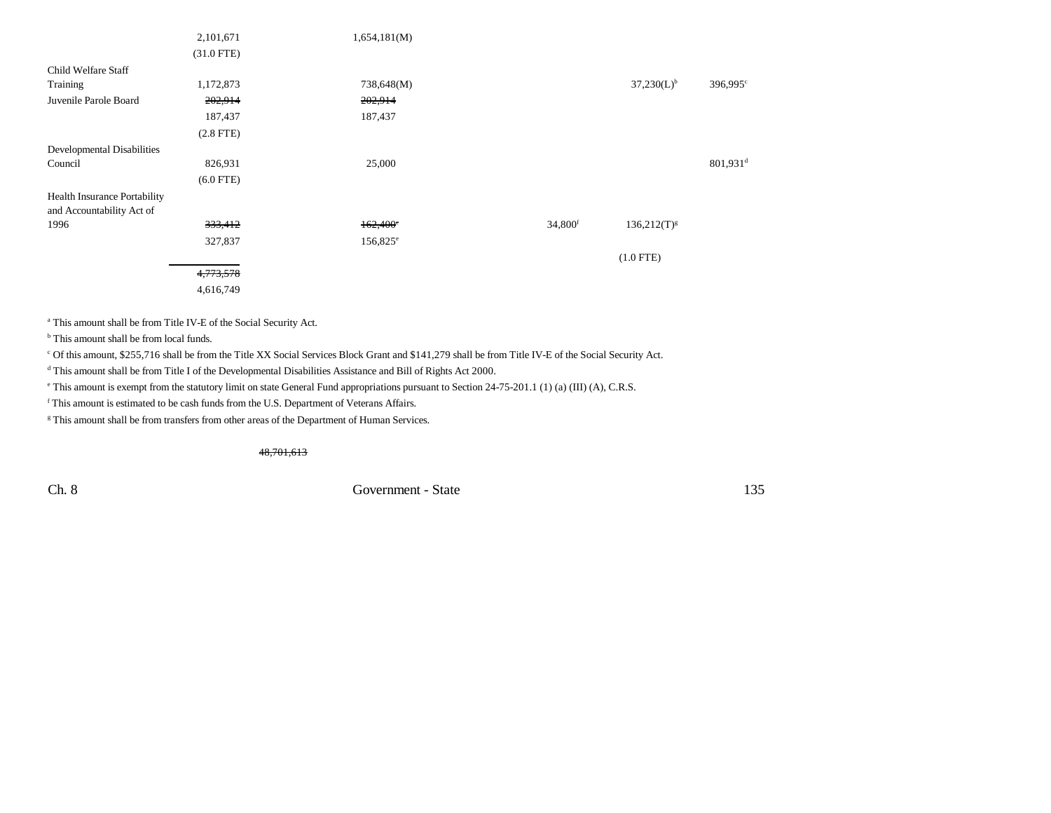|                              | 2,101,671    | 1,654,181(M)      |                     |                  |                        |
|------------------------------|--------------|-------------------|---------------------|------------------|------------------------|
|                              | $(31.0$ FTE) |                   |                     |                  |                        |
| Child Welfare Staff          |              |                   |                     |                  |                        |
| Training                     | 1,172,873    | 738,648(M)        |                     | $37,230(L)^{b}$  | 396,995 <sup>c</sup>   |
| Juvenile Parole Board        | 202,914      | 202,914           |                     |                  |                        |
|                              | 187,437      | 187,437           |                     |                  |                        |
|                              | $(2.8$ FTE)  |                   |                     |                  |                        |
| Developmental Disabilities   |              |                   |                     |                  |                        |
| Council                      | 826,931      | 25,000            |                     |                  | $801,931$ <sup>d</sup> |
|                              | $(6.0$ FTE)  |                   |                     |                  |                        |
| Health Insurance Portability |              |                   |                     |                  |                        |
| and Accountability Act of    |              |                   |                     |                  |                        |
| 1996                         | 333,412      | $162,400^{\circ}$ | 34,800 <sup>f</sup> | $136,212(T)^{g}$ |                        |
|                              | 327,837      | $156,825^{\circ}$ |                     |                  |                        |
|                              |              |                   |                     | $(1.0$ FTE)      |                        |
|                              | 4,773,578    |                   |                     |                  |                        |
|                              | 4,616,749    |                   |                     |                  |                        |

a This amount shall be from Title IV-E of the Social Security Act.

<sup>b</sup> This amount shall be from local funds.

c Of this amount, \$255,716 shall be from the Title XX Social Services Block Grant and \$141,279 shall be from Title IV-E of the Social Security Act.

d This amount shall be from Title I of the Developmental Disabilities Assistance and Bill of Rights Act 2000.

e This amount is exempt from the statutory limit on state General Fund appropriations pursuant to Section 24-75-201.1 (1) (a) (III) (A), C.R.S.

f This amount is estimated to be cash funds from the U.S. Department of Veterans Affairs.

<sup>g</sup> This amount shall be from transfers from other areas of the Department of Human Services.

48,701,613

Ch. 8 Government - State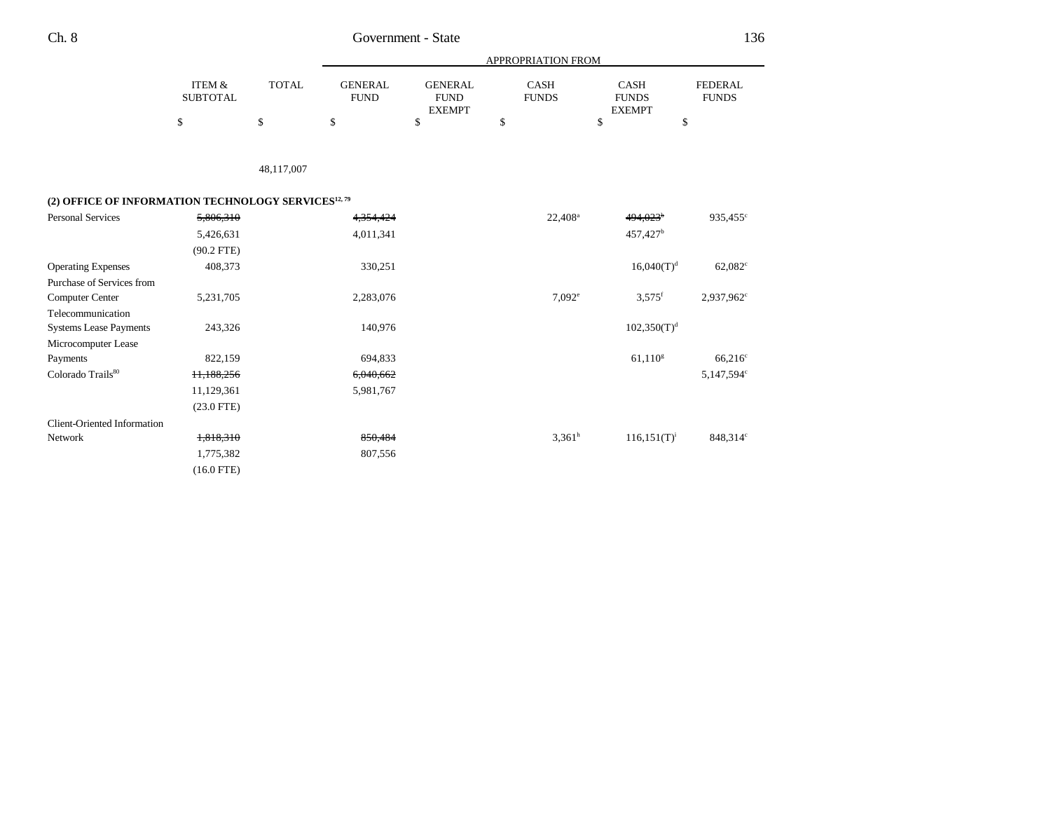| Ch. 8 | Government - State |
|-------|--------------------|
|       |                    |

|                                                                 |                                      |              | <b>APPROPRIATION FROM</b>     |                                                |                      |                                              |                                |  |  |
|-----------------------------------------------------------------|--------------------------------------|--------------|-------------------------------|------------------------------------------------|----------------------|----------------------------------------------|--------------------------------|--|--|
|                                                                 | <b>ITEM &amp;</b><br><b>SUBTOTAL</b> | <b>TOTAL</b> | <b>GENERAL</b><br><b>FUND</b> | <b>GENERAL</b><br><b>FUND</b><br><b>EXEMPT</b> | CASH<br><b>FUNDS</b> | <b>CASH</b><br><b>FUNDS</b><br><b>EXEMPT</b> | <b>FEDERAL</b><br><b>FUNDS</b> |  |  |
|                                                                 | \$                                   | $\mathbb{S}$ | \$                            | \$                                             | \$                   | \$<br>\$                                     |                                |  |  |
|                                                                 |                                      |              |                               |                                                |                      |                                              |                                |  |  |
|                                                                 |                                      | 48,117,007   |                               |                                                |                      |                                              |                                |  |  |
| (2) OFFICE OF INFORMATION TECHNOLOGY SERVICES <sup>12, 79</sup> |                                      |              |                               |                                                |                      |                                              |                                |  |  |
| <b>Personal Services</b>                                        | 5,806,310                            |              | 4,354,424                     |                                                | 22,408 <sup>a</sup>  | 494,023 <sup>b</sup>                         | 935,455 <sup>c</sup>           |  |  |
|                                                                 | 5,426,631                            |              | 4,011,341                     |                                                |                      | 457,427 <sup>b</sup>                         |                                |  |  |
|                                                                 | $(90.2$ FTE)                         |              |                               |                                                |                      |                                              |                                |  |  |
| <b>Operating Expenses</b>                                       | 408,373                              |              | 330,251                       |                                                |                      | $16,040(T)^d$                                | $62,082^{\circ}$               |  |  |
| Purchase of Services from                                       |                                      |              |                               |                                                |                      |                                              |                                |  |  |
| Computer Center                                                 | 5,231,705                            |              | 2,283,076                     |                                                | 7.092e               | $3,575$ <sup>f</sup>                         | 2,937,962 <sup>c</sup>         |  |  |
| Telecommunication                                               |                                      |              |                               |                                                |                      |                                              |                                |  |  |
| <b>Systems Lease Payments</b>                                   | 243,326                              |              | 140,976                       |                                                |                      | $102,350(T)^{d}$                             |                                |  |  |
| Microcomputer Lease                                             |                                      |              |                               |                                                |                      |                                              |                                |  |  |
| Payments                                                        | 822,159                              |              | 694,833                       |                                                |                      | $61,110$ <sup>g</sup>                        | $66,216^{\circ}$               |  |  |
| Colorado Trails <sup>80</sup>                                   | 11,188,256                           |              | 6,040,662                     |                                                |                      |                                              | 5,147,594°                     |  |  |
|                                                                 | 11,129,361                           |              | 5,981,767                     |                                                |                      |                                              |                                |  |  |
|                                                                 | $(23.0$ FTE)                         |              |                               |                                                |                      |                                              |                                |  |  |
| <b>Client-Oriented Information</b>                              |                                      |              |                               |                                                |                      |                                              |                                |  |  |
| <b>Network</b>                                                  | 1,818,310                            |              | 850,484                       |                                                | $3,361^h$            | $116, 151(T)^{i}$                            | 848,314°                       |  |  |
|                                                                 | 1,775,382                            |              | 807,556                       |                                                |                      |                                              |                                |  |  |
|                                                                 | $(16.0$ FTE)                         |              |                               |                                                |                      |                                              |                                |  |  |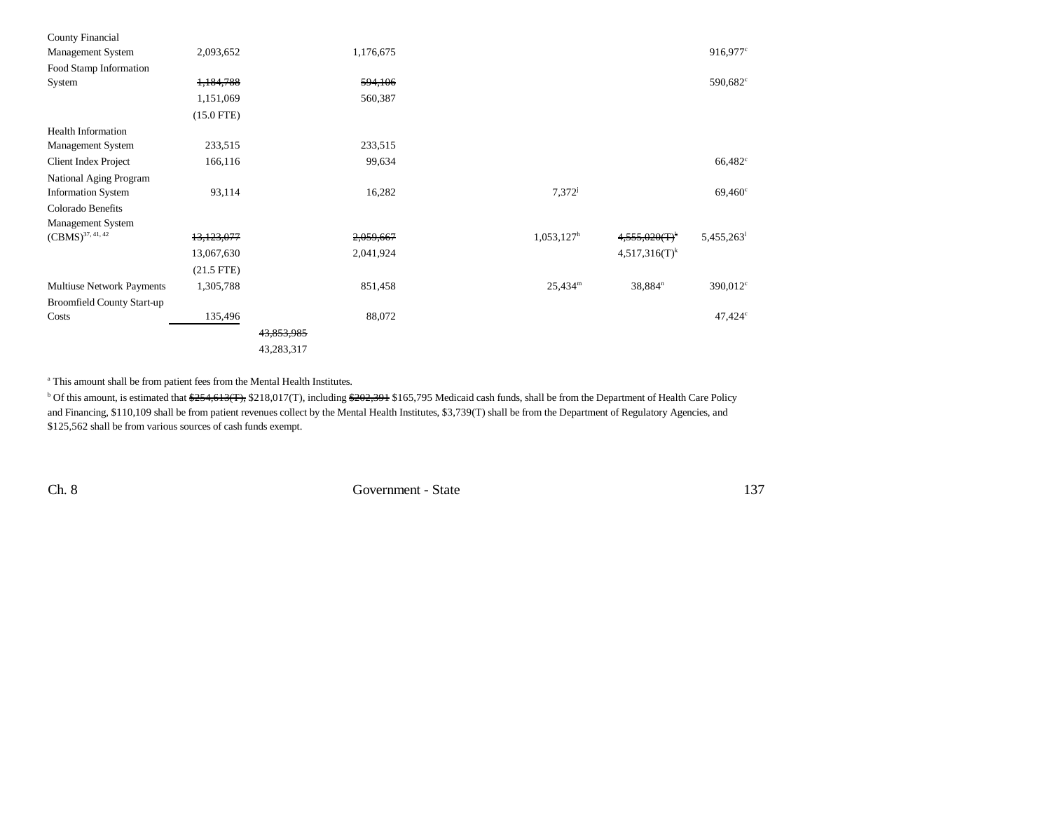| County Financial                  |              |            |           |                  |                       |                      |
|-----------------------------------|--------------|------------|-----------|------------------|-----------------------|----------------------|
| Management System                 | 2,093,652    |            | 1,176,675 |                  |                       | 916,977 <sup>c</sup> |
| Food Stamp Information            |              |            |           |                  |                       |                      |
| System                            | 1,184,788    |            | 594,106   |                  |                       | $590,682^{\circ}$    |
|                                   | 1,151,069    |            | 560,387   |                  |                       |                      |
|                                   | $(15.0$ FTE) |            |           |                  |                       |                      |
| <b>Health Information</b>         |              |            |           |                  |                       |                      |
| Management System                 | 233,515      |            | 233,515   |                  |                       |                      |
| <b>Client Index Project</b>       | 166,116      |            | 99,634    |                  |                       | 66,482 <sup>c</sup>  |
| National Aging Program            |              |            |           |                  |                       |                      |
| <b>Information System</b>         | 93,114       |            | 16,282    | $7,372^{j}$      |                       | $69,460^{\circ}$     |
| Colorado Benefits                 |              |            |           |                  |                       |                      |
| Management System                 |              |            |           |                  |                       |                      |
| $(CBMS)^{37, 41, 42}$             | 13,123,077   |            | 2,059,667 | $1,053,127^h$    | $4,555,020(T)^k$      | 5,455,263            |
|                                   | 13,067,630   |            | 2,041,924 |                  | $4,517,316(T)^k$      |                      |
|                                   | $(21.5$ FTE) |            |           |                  |                       |                      |
| Multiuse Network Payments         | 1,305,788    |            | 851,458   | $25,434^{\rm m}$ | $38,884$ <sup>n</sup> | $390,012^{\circ}$    |
| <b>Broomfield County Start-up</b> |              |            |           |                  |                       |                      |
| Costs                             | 135,496      |            | 88,072    |                  |                       | $47,424^{\circ}$     |
|                                   |              | 43,853,985 |           |                  |                       |                      |
|                                   |              | 43,283,317 |           |                  |                       |                      |

<sup>a</sup> This amount shall be from patient fees from the Mental Health Institutes.

<sup>b</sup> Of this amount, is estimated that \$254,613(T), \$218,017(T), including \$202,391 \$165,795 Medicaid cash funds, shall be from the Department of Health Care Policy and Financing, \$110,109 shall be from patient revenues collect by the Mental Health Institutes, \$3,739(T) shall be from the Department of Regulatory Agencies, and \$125,562 shall be from various sources of cash funds exempt.

Ch. 8 Government - State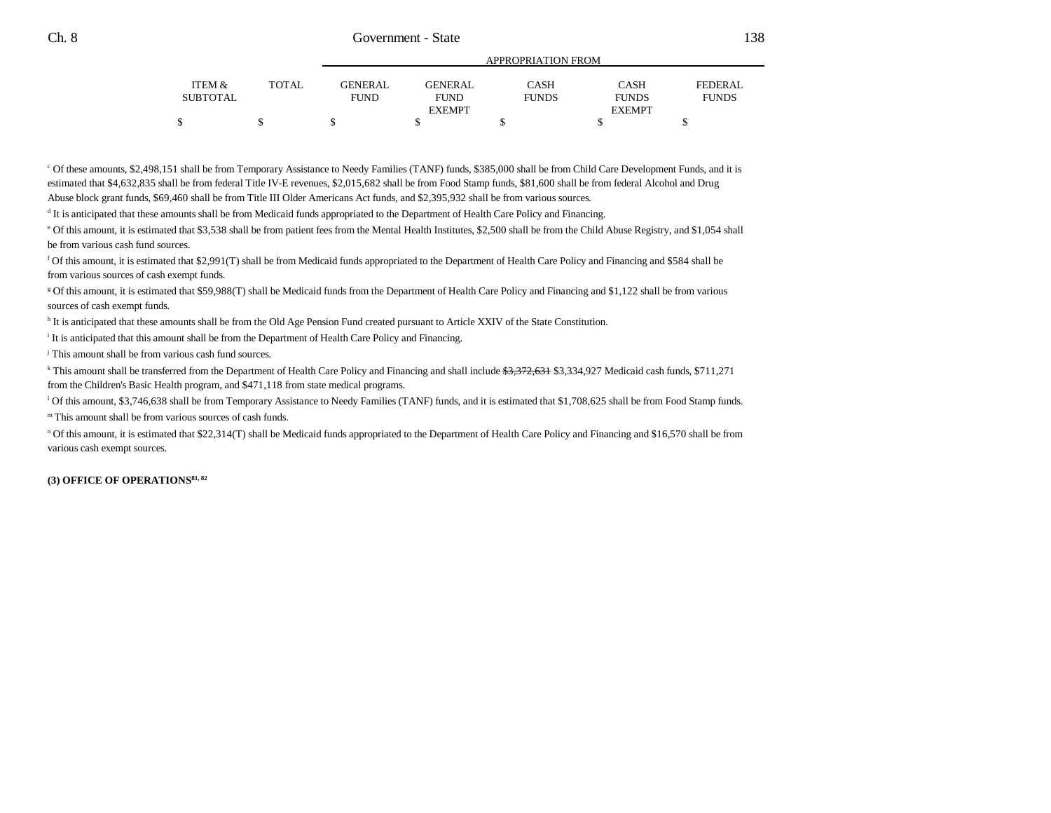|          |       | APPROPRIATION FROM |                |              |               |              |  |  |
|----------|-------|--------------------|----------------|--------------|---------------|--------------|--|--|
| ITEM &   | TOTAL | <b>GENERAL</b>     | <b>GENERAL</b> | <b>CASH</b>  | <b>CASH</b>   | FEDERAL      |  |  |
| SUBTOTAL |       | <b>FUND</b>        | <b>FUND</b>    | <b>FUNDS</b> | <b>FUNDS</b>  | <b>FUNDS</b> |  |  |
|          |       |                    | <b>EXEMPT</b>  |              | <b>EXEMPT</b> |              |  |  |
|          |       |                    |                |              |               |              |  |  |

c Of these amounts, \$2,498,151 shall be from Temporary Assistance to Needy Families (TANF) funds, \$385,000 shall be from Child Care Development Funds, and it is estimated that \$4,632,835 shall be from federal Title IV-E revenues, \$2,015,682 shall be from Food Stamp funds, \$81,600 shall be from federal Alcohol and Drug Abuse block grant funds, \$69,460 shall be from Title III Older Americans Act funds, and \$2,395,932 shall be from various sources.

d It is anticipated that these amounts shall be from Medicaid funds appropriated to the Department of Health Care Policy and Financing.

e Of this amount, it is estimated that \$3,538 shall be from patient fees from the Mental Health Institutes, \$2,500 shall be from the Child Abuse Registry, and \$1,054 shall be from various cash fund sources.

f Of this amount, it is estimated that \$2,991(T) shall be from Medicaid funds appropriated to the Department of Health Care Policy and Financing and \$584 shall be from various sources of cash exempt funds.

g Of this amount, it is estimated that \$59,988(T) shall be Medicaid funds from the Department of Health Care Policy and Financing and \$1,122 shall be from various sources of cash exempt funds.

h It is anticipated that these amounts shall be from the Old Age Pension Fund created pursuant to Article XXIV of the State Constitution.

i It is anticipated that this amount shall be from the Department of Health Care Policy and Financing.

j This amount shall be from various cash fund sources.

<sup>k</sup> This amount shall be transferred from the Department of Health Care Policy and Financing and shall include \$3,372,631 \$3,334,927 Medicaid cash funds, \$711,271 from the Children's Basic Health program, and \$471,118 from state medical programs.

l Of this amount, \$3,746,638 shall be from Temporary Assistance to Needy Families (TANF) funds, and it is estimated that \$1,708,625 shall be from Food Stamp funds.

m This amount shall be from various sources of cash funds.

n Of this amount, it is estimated that \$22,314(T) shall be Medicaid funds appropriated to the Department of Health Care Policy and Financing and \$16,570 shall be from various cash exempt sources.

**(3) OFFICE OF OPERATIONS81, 82**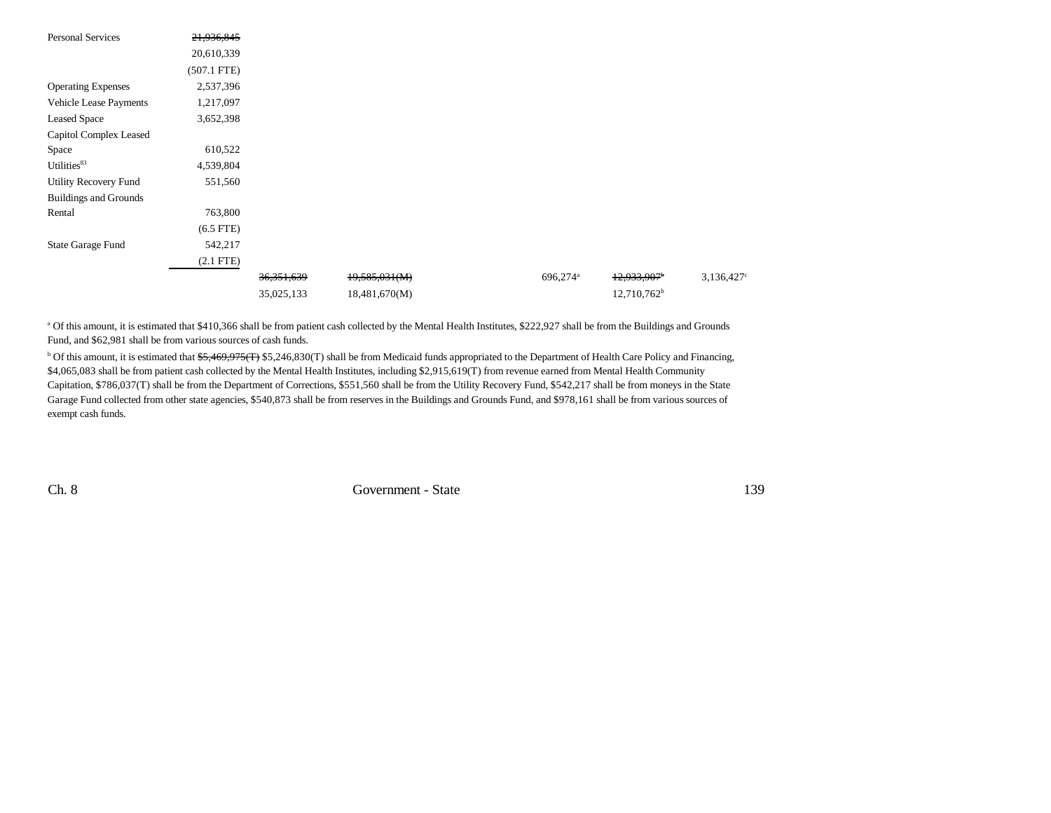| <b>Personal Services</b>     | 21,936,845     |              |               |                      |                           |                     |
|------------------------------|----------------|--------------|---------------|----------------------|---------------------------|---------------------|
|                              | 20,610,339     |              |               |                      |                           |                     |
|                              | $(507.1$ FTE)  |              |               |                      |                           |                     |
| <b>Operating Expenses</b>    | 2,537,396      |              |               |                      |                           |                     |
| Vehicle Lease Payments       | 1,217,097      |              |               |                      |                           |                     |
| <b>Leased Space</b>          | 3,652,398      |              |               |                      |                           |                     |
| Capitol Complex Leased       |                |              |               |                      |                           |                     |
| Space                        | 610,522        |              |               |                      |                           |                     |
| Utilities83                  | 4,539,804      |              |               |                      |                           |                     |
| <b>Utility Recovery Fund</b> | 551,560        |              |               |                      |                           |                     |
| <b>Buildings and Grounds</b> |                |              |               |                      |                           |                     |
| Rental                       | 763,800        |              |               |                      |                           |                     |
|                              | $(6.5$ FTE $)$ |              |               |                      |                           |                     |
| <b>State Garage Fund</b>     | 542,217        |              |               |                      |                           |                     |
|                              | $(2.1$ FTE)    |              |               |                      |                           |                     |
|                              |                | 36, 351, 639 | 19,585,031(M) | 696,274 <sup>a</sup> | $12,933,907$ <sup>b</sup> | $3,136,427^{\circ}$ |
|                              |                | 35,025,133   | 18,481,670(M) |                      | 12,710,762 <sup>b</sup>   |                     |

<sup>a</sup> Of this amount, it is estimated that \$410,366 shall be from patient cash collected by the Mental Health Institutes, \$222,927 shall be from the Buildings and Grounds Fund, and \$62,981 shall be from various sources of cash funds.

 $b$  Of this amount, it is estimated that  $\frac{65,469,975(\text{F})}{5,246,830(\text{T})}$  shall be from Medicaid funds appropriated to the Department of Health Care Policy and Financing, \$4,065,083 shall be from patient cash collected by the Mental Health Institutes, including \$2,915,619(T) from revenue earned from Mental Health Community Capitation, \$786,037(T) shall be from the Department of Corrections, \$551,560 shall be from the Utility Recovery Fund, \$542,217 shall be from moneys in the State Garage Fund collected from other state agencies, \$540,873 shall be from reserves in the Buildings and Grounds Fund, and \$978,161 shall be from various sources of exempt cash funds.

Ch. 8 Government - State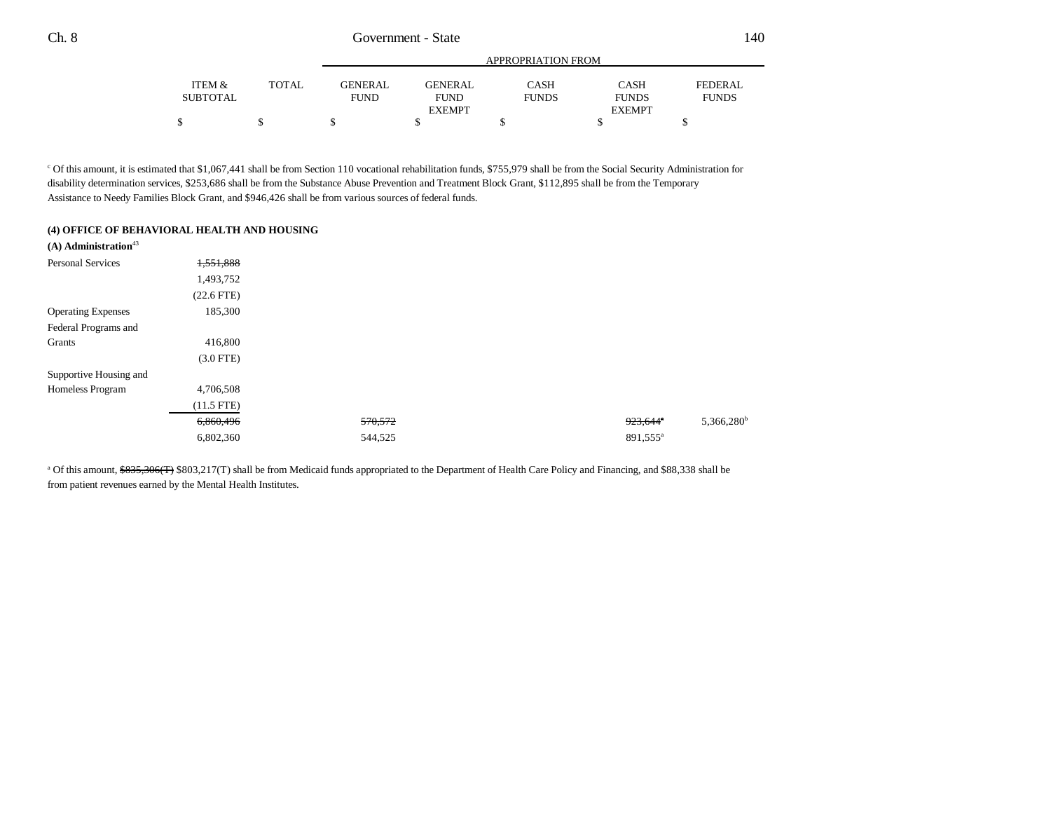|          |              |                |                | APPROPRIATION FROM |               |                |
|----------|--------------|----------------|----------------|--------------------|---------------|----------------|
| ITEM &   | <b>TOTAL</b> | <b>GENERAL</b> | <b>GENERAL</b> | CASH               | <b>CASH</b>   | <b>FEDERAL</b> |
| SUBTOTAL |              | <b>FUND</b>    | <b>FUND</b>    | <b>FUNDS</b>       | <b>FUNDS</b>  | <b>FUNDS</b>   |
|          |              |                | <b>EXEMPT</b>  |                    | <b>EXEMPT</b> |                |
|          |              |                |                |                    |               |                |

<sup>c</sup> Of this amount, it is estimated that \$1,067,441 shall be from Section 110 vocational rehabilitation funds, \$755,979 shall be from the Social Security Administration for disability determination services, \$253,686 shall be from the Substance Abuse Prevention and Treatment Block Grant, \$112,895 shall be from the Temporary Assistance to Needy Families Block Grant, and \$946,426 shall be from various sources of federal funds.

#### **(4) OFFICE OF BEHAVIORAL HEALTH AND HOUSING**

| $(A)$ Administration <sup>43</sup> |                 |         |                           |
|------------------------------------|-----------------|---------|---------------------------|
| <b>Personal Services</b>           | 1,551,888       |         |                           |
|                                    | 1,493,752       |         |                           |
|                                    | $(22.6$ FTE $)$ |         |                           |
| <b>Operating Expenses</b>          | 185,300         |         |                           |
| Federal Programs and               |                 |         |                           |
| Grants                             | 416,800         |         |                           |
|                                    | $(3.0$ FTE)     |         |                           |
| Supportive Housing and             |                 |         |                           |
| Homeless Program                   | 4,706,508       |         |                           |
|                                    | $(11.5$ FTE)    |         |                           |
|                                    | 6,860,496       | 570,572 | $5,366,280^b$<br>923,644° |
|                                    | 6,802,360       | 544,525 | 891,555 <sup>a</sup>      |

<sup>a</sup> Of this amount, \$835,306(T) \$803,217(T) shall be from Medicaid funds appropriated to the Department of Health Care Policy and Financing, and \$88,338 shall be from patient revenues earned by the Mental Health Institutes.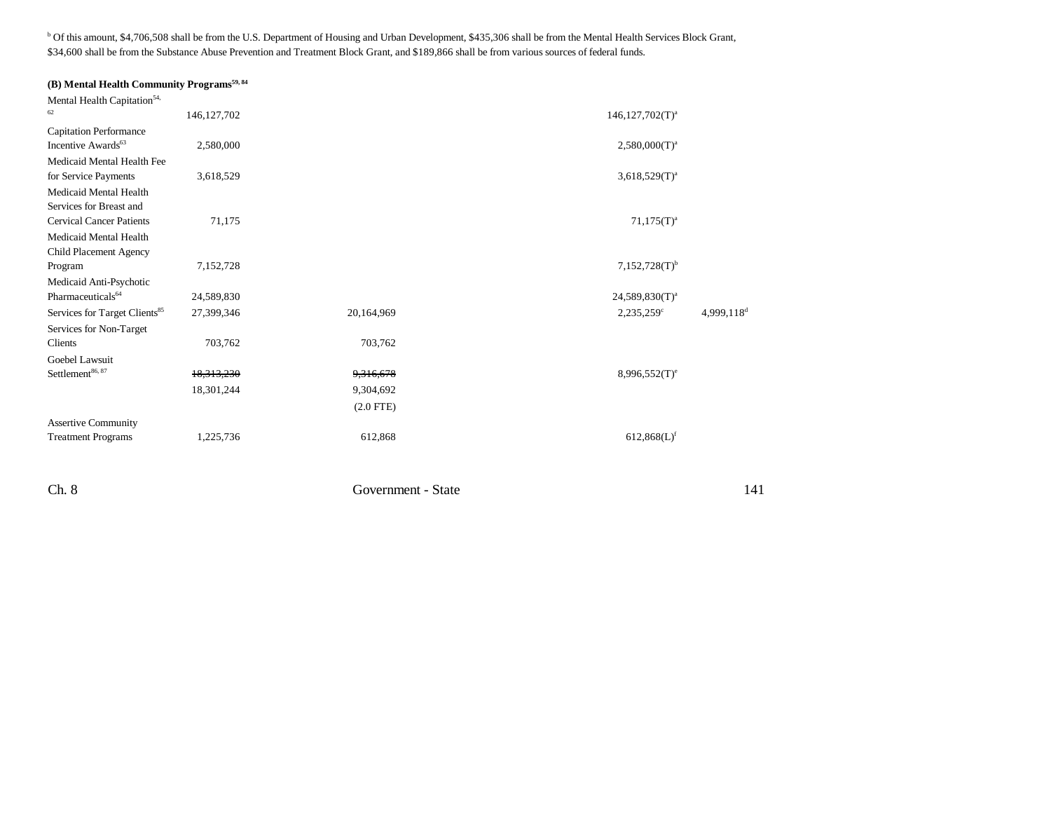b Of this amount, \$4,706,508 shall be from the U.S. Department of Housing and Urban Development, \$435,306 shall be from the Mental Health Services Block Grant, \$34,600 shall be from the Substance Abuse Prevention and Treatment Block Grant, and \$189,866 shall be from various sources of federal funds.

## **(B) Mental Health Community Programs**<sup>59, 84</sup>

| Mental Health Capitation <sup>54,</sup>   |               |             |                             |                          |
|-------------------------------------------|---------------|-------------|-----------------------------|--------------------------|
| 62                                        | 146, 127, 702 |             | $146, 127, 702(T)^a$        |                          |
| <b>Capitation Performance</b>             |               |             |                             |                          |
| Incentive Awards <sup>63</sup>            | 2,580,000     |             | $2,580,000(T)^{a}$          |                          |
| Medicaid Mental Health Fee                |               |             |                             |                          |
| for Service Payments                      | 3,618,529     |             | $3,618,529(T)^{a}$          |                          |
| Medicaid Mental Health                    |               |             |                             |                          |
| Services for Breast and                   |               |             |                             |                          |
| <b>Cervical Cancer Patients</b>           | 71,175        |             | $71,175(T)^{a}$             |                          |
| Medicaid Mental Health                    |               |             |                             |                          |
| Child Placement Agency                    |               |             |                             |                          |
| Program                                   | 7,152,728     |             | $7,152,728(T)$ <sup>b</sup> |                          |
| Medicaid Anti-Psychotic                   |               |             |                             |                          |
| Pharmaceuticals <sup>64</sup>             | 24,589,830    |             | $24,589,830(T)^{a}$         |                          |
| Services for Target Clients <sup>85</sup> | 27,399,346    | 20,164,969  | $2,235,259^{\circ}$         | $4,999,118$ <sup>d</sup> |
| Services for Non-Target                   |               |             |                             |                          |
| Clients                                   | 703,762       | 703,762     |                             |                          |
| Goebel Lawsuit                            |               |             |                             |                          |
| Settlement <sup>86, 87</sup>              | 18,313,230    | 9,316,678   | $8,996,552(T)^e$            |                          |
|                                           | 18,301,244    | 9,304,692   |                             |                          |
|                                           |               | $(2.0$ FTE) |                             |                          |
| <b>Assertive Community</b>                |               |             |                             |                          |
| <b>Treatment Programs</b>                 | 1,225,736     | 612,868     | $612,868(L)$ <sup>f</sup>   |                          |

Ch. 8 Government - State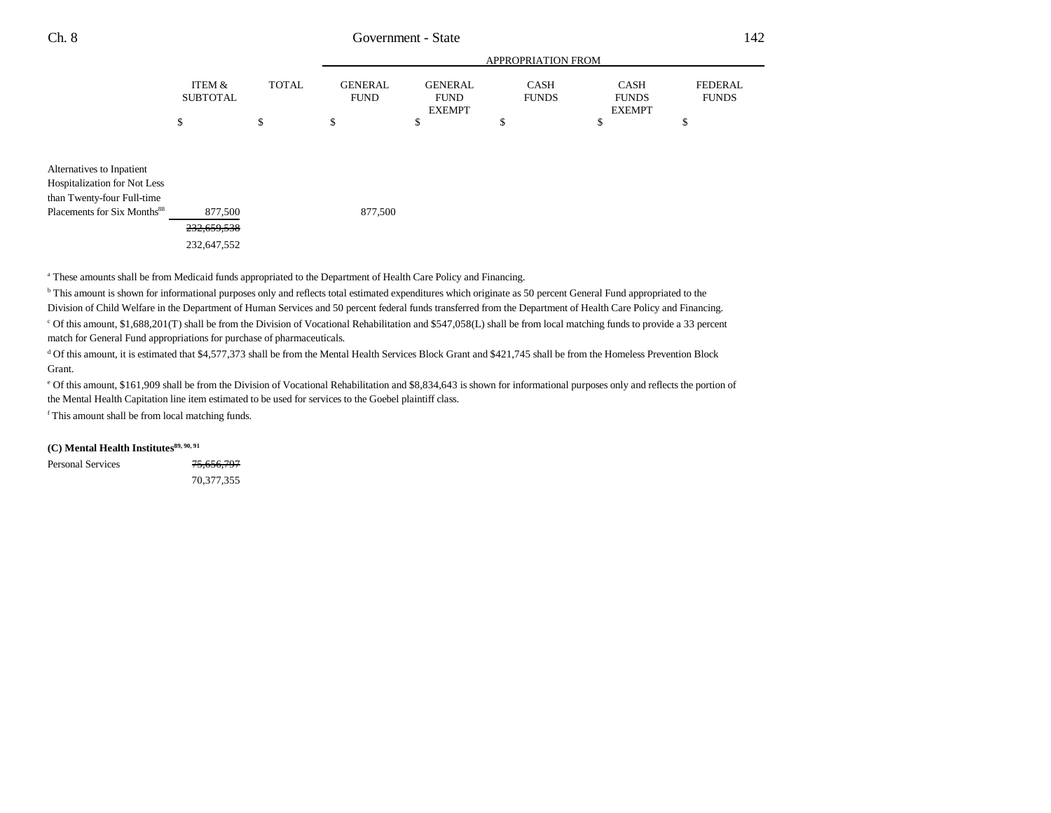|                           |                                               |                               | APPROPRIATION FROM          |                             |                         |
|---------------------------|-----------------------------------------------|-------------------------------|-----------------------------|-----------------------------|-------------------------|
| ITEM &<br><b>SUBTOTAL</b> | <b>TOTAL</b><br><b>GENERAL</b><br><b>FUND</b> | <b>GENERAL</b><br><b>FUND</b> | <b>CASH</b><br><b>FUNDS</b> | <b>CASH</b><br><b>FUNDS</b> | FEDERAL<br><b>FUNDS</b> |
|                           |                                               | <b>EXEMPT</b>                 |                             | <b>EXEMPT</b>               | ¢<br>ъ                  |
|                           |                                               |                               |                             |                             |                         |

Alternatives to Inpatient Hospitalization for Not Less than Twenty-four Full-time Placements for Six Months<sup>88</sup> 877,500 877,500 232,659,538 232,647,552

<sup>a</sup> These amounts shall be from Medicaid funds appropriated to the Department of Health Care Policy and Financing.

<sup>b</sup> This amount is shown for informational purposes only and reflects total estimated expenditures which originate as 50 percent General Fund appropriated to the Division of Child Welfare in the Department of Human Services and 50 percent federal funds transferred from the Department of Health Care Policy and Financing. c Of this amount, \$1,688,201(T) shall be from the Division of Vocational Rehabilitation and \$547,058(L) shall be from local matching funds to provide a 33 percent match for General Fund appropriations for purchase of pharmaceuticals.

d Of this amount, it is estimated that \$4,577,373 shall be from the Mental Health Services Block Grant and \$421,745 shall be from the Homeless Prevention Block Grant.

e Of this amount, \$161,909 shall be from the Division of Vocational Rehabilitation and \$8,834,643 is shown for informational purposes only and reflects the portion of the Mental Health Capitation line item estimated to be used for services to the Goebel plaintiff class.

f This amount shall be from local matching funds.

### **(C) Mental Health Institutes89, 90, 91**

Personal Services 75,656,797 70,377,355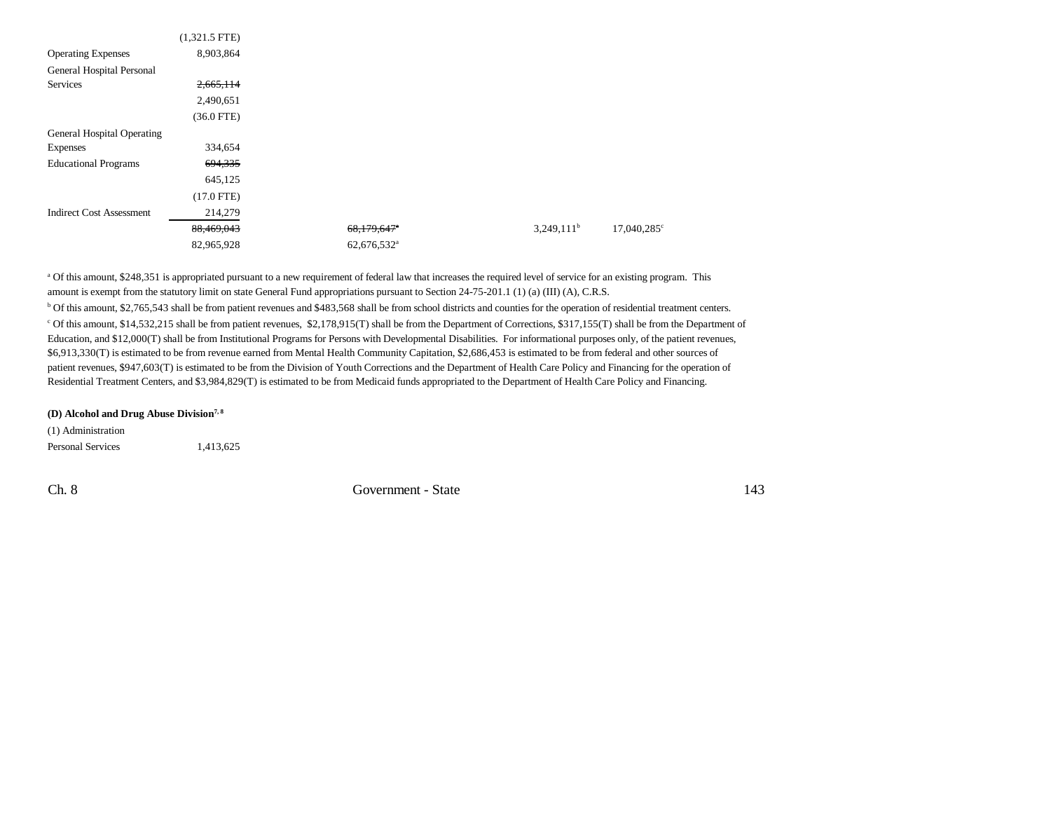|                                 | $(1,321.5$ FTE) |                           |               |                      |
|---------------------------------|-----------------|---------------------------|---------------|----------------------|
| <b>Operating Expenses</b>       | 8,903,864       |                           |               |                      |
| General Hospital Personal       |                 |                           |               |                      |
| Services                        | 2,665,114       |                           |               |                      |
|                                 | 2,490,651       |                           |               |                      |
|                                 | $(36.0$ FTE)    |                           |               |                      |
| General Hospital Operating      |                 |                           |               |                      |
| Expenses                        | 334,654         |                           |               |                      |
| <b>Educational Programs</b>     | 694, 335        |                           |               |                      |
|                                 | 645,125         |                           |               |                      |
|                                 | $(17.0$ FTE)    |                           |               |                      |
| <b>Indirect Cost Assessment</b> | 214,279         |                           |               |                      |
|                                 | 88,469,043      | $68,179,647$ <sup>*</sup> | $3,249,111^b$ | $17,040,285^{\circ}$ |
|                                 | 82,965,928      | 62,676,532 <sup>a</sup>   |               |                      |

a Of this amount, \$248,351 is appropriated pursuant to a new requirement of federal law that increases the required level of service for an existing program. This amount is exempt from the statutory limit on state General Fund appropriations pursuant to Section 24-75-201.1 (1) (a) (III) (A), C.R.S. b Of this amount, \$2,765,543 shall be from patient revenues and \$483,568 shall be from school districts and counties for the operation of residential treatment centers. c Of this amount, \$14,532,215 shall be from patient revenues, \$2,178,915(T) shall be from the Department of Corrections, \$317,155(T) shall be from the Department of Education, and \$12,000(T) shall be from Institutional Programs for Persons with Developmental Disabilities. For informational purposes only, of the patient revenues, \$6,913,330(T) is estimated to be from revenue earned from Mental Health Community Capitation, \$2,686,453 is estimated to be from federal and other sources of patient revenues, \$947,603(T) is estimated to be from the Division of Youth Corrections and the Department of Health Care Policy and Financing for the operation of Residential Treatment Centers, and \$3,984,829(T) is estimated to be from Medicaid funds appropriated to the Department of Health Care Policy and Financing.

#### **(D) Alcohol and Drug Abuse Division7, 8**

(1) Administration Personal Services 1,413,625

Ch. 8 Government - State 143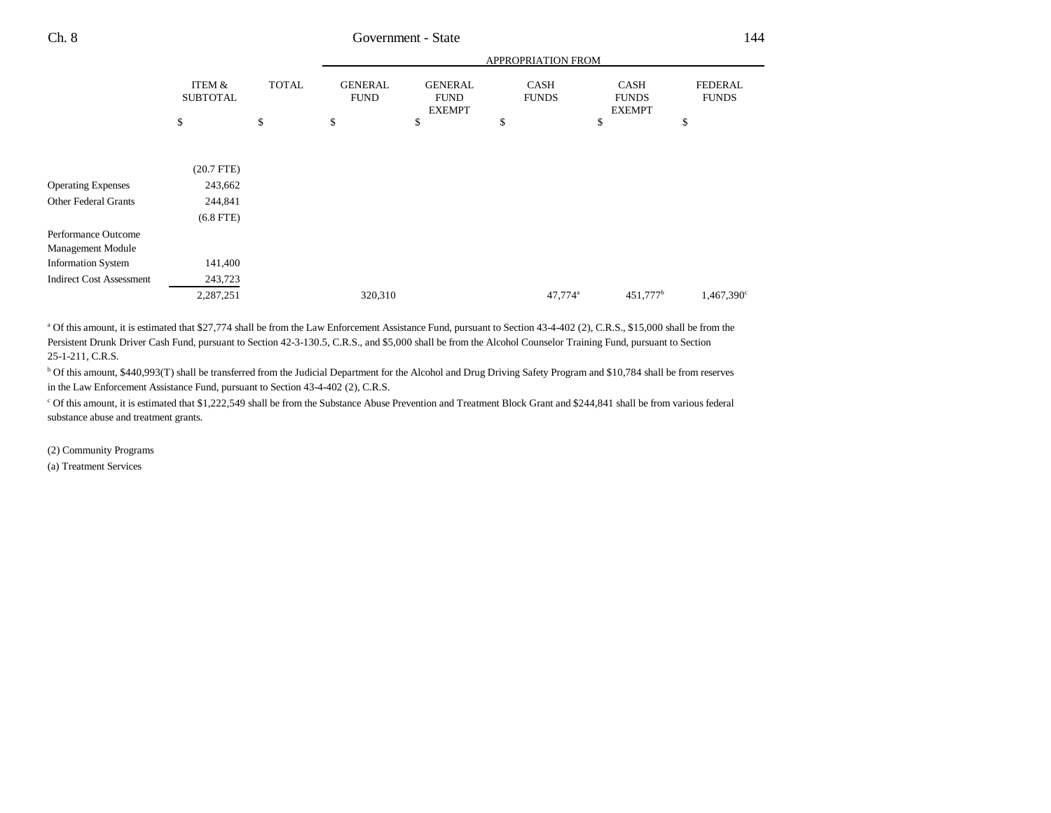|                                 |                                      |              |                               |                                                | APPROPRIATION FROM          |                                              |                                |
|---------------------------------|--------------------------------------|--------------|-------------------------------|------------------------------------------------|-----------------------------|----------------------------------------------|--------------------------------|
|                                 | <b>ITEM &amp;</b><br><b>SUBTOTAL</b> | <b>TOTAL</b> | <b>GENERAL</b><br><b>FUND</b> | <b>GENERAL</b><br><b>FUND</b><br><b>EXEMPT</b> | <b>CASH</b><br><b>FUNDS</b> | <b>CASH</b><br><b>FUNDS</b><br><b>EXEMPT</b> | <b>FEDERAL</b><br><b>FUNDS</b> |
|                                 | \$                                   | \$           | \$                            | \$                                             | \$                          | \$                                           | \$                             |
|                                 |                                      |              |                               |                                                |                             |                                              |                                |
|                                 | $(20.7$ FTE)                         |              |                               |                                                |                             |                                              |                                |
| <b>Operating Expenses</b>       | 243,662                              |              |                               |                                                |                             |                                              |                                |
| Other Federal Grants            | 244,841                              |              |                               |                                                |                             |                                              |                                |
|                                 | $(6.8$ FTE)                          |              |                               |                                                |                             |                                              |                                |
| Performance Outcome             |                                      |              |                               |                                                |                             |                                              |                                |
| Management Module               |                                      |              |                               |                                                |                             |                                              |                                |
| <b>Information System</b>       | 141,400                              |              |                               |                                                |                             |                                              |                                |
| <b>Indirect Cost Assessment</b> | 243,723                              |              |                               |                                                |                             |                                              |                                |
|                                 | 2,287,251                            |              | 320,310                       |                                                | 47,774 <sup>a</sup>         | $451,777$ <sup>b</sup>                       | 1,467,390 <sup>c</sup>         |
|                                 |                                      |              |                               |                                                |                             |                                              |                                |

<sup>a</sup> Of this amount, it is estimated that \$27,774 shall be from the Law Enforcement Assistance Fund, pursuant to Section 43-4-402 (2), C.R.S., \$15,000 shall be from the Persistent Drunk Driver Cash Fund, pursuant to Section 42-3-130.5, C.R.S., and \$5,000 shall be from the Alcohol Counselor Training Fund, pursuant to Section 25-1-211, C.R.S.

b Of this amount, \$440,993(T) shall be transferred from the Judicial Department for the Alcohol and Drug Driving Safety Program and \$10,784 shall be from reserves in the Law Enforcement Assistance Fund, pursuant to Section 43-4-402 (2), C.R.S.

c Of this amount, it is estimated that \$1,222,549 shall be from the Substance Abuse Prevention and Treatment Block Grant and \$244,841 shall be from various federal substance abuse and treatment grants.

(2) Community Programs

(a) Treatment Services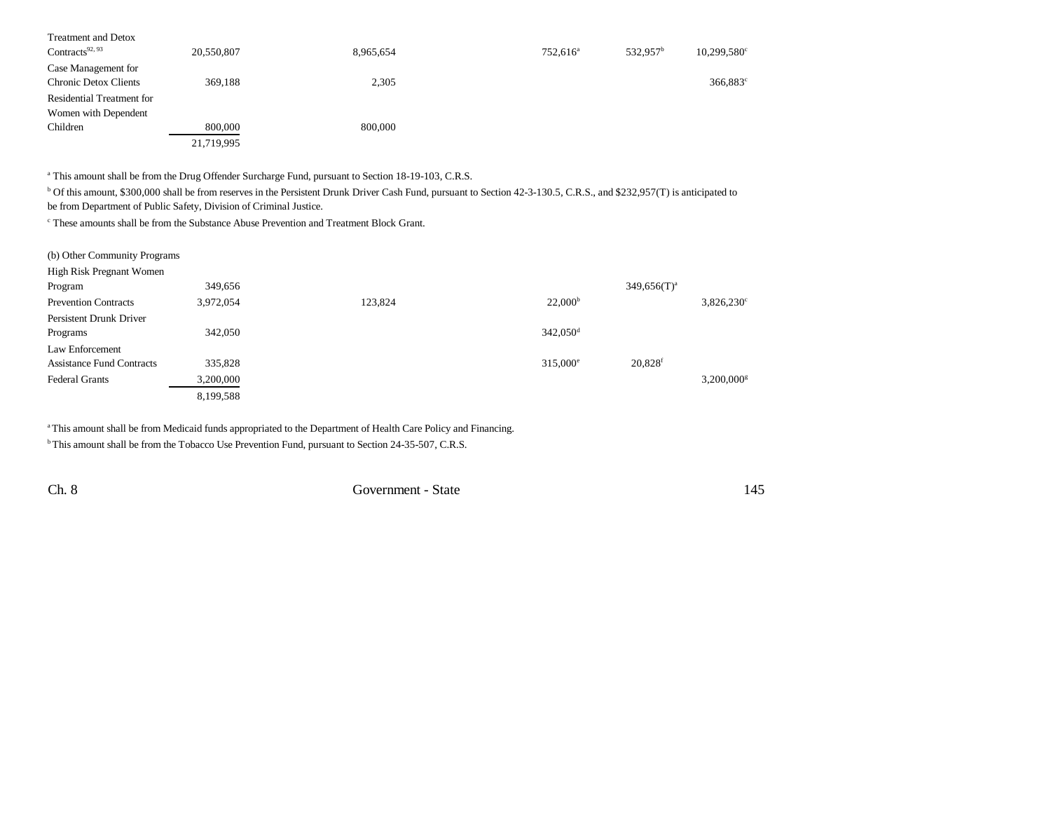| <b>Treatment and Detox</b>   |            |           |                      |                      |                      |
|------------------------------|------------|-----------|----------------------|----------------------|----------------------|
| Contracts <sup>92, 93</sup>  | 20,550,807 | 8,965,654 | 752.616 <sup>a</sup> | 532.957 <sup>b</sup> | $10,299,580^{\circ}$ |
| Case Management for          |            |           |                      |                      |                      |
| <b>Chronic Detox Clients</b> | 369,188    | 2,305     |                      |                      | 366,883 <sup>c</sup> |
| Residential Treatment for    |            |           |                      |                      |                      |
| Women with Dependent         |            |           |                      |                      |                      |
| Children                     | 800,000    | 800,000   |                      |                      |                      |
|                              | 21,719,995 |           |                      |                      |                      |

<sup>a</sup> This amount shall be from the Drug Offender Surcharge Fund, pursuant to Section 18-19-103, C.R.S.

<sup>b</sup> Of this amount, \$300,000 shall be from reserves in the Persistent Drunk Driver Cash Fund, pursuant to Section 42-3-130.5, C.R.S., and \$232,957(T) is anticipated to be from Department of Public Safety, Division of Criminal Justice.

c These amounts shall be from the Substance Abuse Prevention and Treatment Block Grant.

| (b) Other Community Programs     |           |         |                      |                          |  |
|----------------------------------|-----------|---------|----------------------|--------------------------|--|
| High Risk Pregnant Women         |           |         |                      |                          |  |
| Program                          | 349,656   |         |                      | $349,656(T)^a$           |  |
| <b>Prevention Contracts</b>      | 3,972,054 | 123,824 | 22,000 <sup>b</sup>  | $3,826,230^{\circ}$      |  |
| Persistent Drunk Driver          |           |         |                      |                          |  |
| Programs                         | 342,050   |         | 342,050 <sup>d</sup> |                          |  |
| Law Enforcement                  |           |         |                      |                          |  |
| <b>Assistance Fund Contracts</b> | 335,828   |         | $315.000^{\circ}$    | $20,828$ <sup>f</sup>    |  |
| <b>Federal Grants</b>            | 3,200,000 |         |                      | $3,200,000$ <sup>g</sup> |  |
|                                  | 8,199,588 |         |                      |                          |  |

a This amount shall be from Medicaid funds appropriated to the Department of Health Care Policy and Financing.

<sup>b</sup> This amount shall be from the Tobacco Use Prevention Fund, pursuant to Section 24-35-507, C.R.S.

Ch. 8 Government - State 145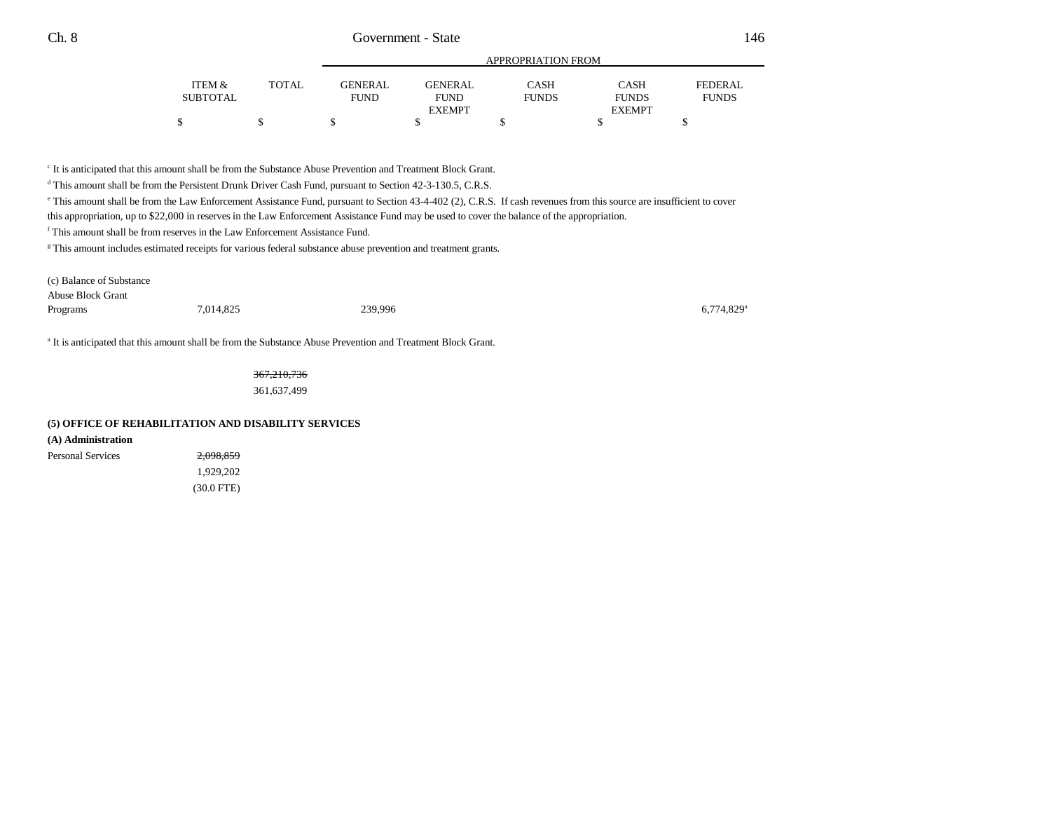|          |              |                |                | APPROPRIATION FROM |               |              |
|----------|--------------|----------------|----------------|--------------------|---------------|--------------|
| ITEM &   | <b>TOTAL</b> | <b>GENERAL</b> | <b>GENERAL</b> | CASH               | <b>CASH</b>   | FEDERAL      |
| SUBTOTAL |              | <b>FUND</b>    | <b>FUND</b>    | <b>FUNDS</b>       | <b>FUNDS</b>  | <b>FUNDS</b> |
|          |              |                | <b>EXEMPT</b>  |                    | <b>EXEMPT</b> |              |
|          |              |                |                |                    |               |              |

c It is anticipated that this amount shall be from the Substance Abuse Prevention and Treatment Block Grant.

<sup>d</sup> This amount shall be from the Persistent Drunk Driver Cash Fund, pursuant to Section 42-3-130.5, C.R.S.

e This amount shall be from the Law Enforcement Assistance Fund, pursuant to Section 43-4-402 (2), C.R.S. If cash revenues from this source are insufficient to cover

this appropriation, up to \$22,000 in reserves in the Law Enforcement Assistance Fund may be used to cover the balance of the appropriation.

f This amount shall be from reserves in the Law Enforcement Assistance Fund.

<sup>g</sup> This amount includes estimated receipts for various federal substance abuse prevention and treatment grants.

| (c) Balance of Substance |           |         |                          |
|--------------------------|-----------|---------|--------------------------|
| Abuse Block Grant        |           |         |                          |
| Programs                 | 7,014,825 | 239,996 | $6,774,829$ <sup>*</sup> |

a It is anticipated that this amount shall be from the Substance Abuse Prevention and Treatment Block Grant.

367,210,736 361,637,499

#### **(5) OFFICE OF REHABILITATION AND DISABILITY SERVICES**

**(A) Administration**

Personal Services 2,098,859 1,929,202 (30.0 FTE)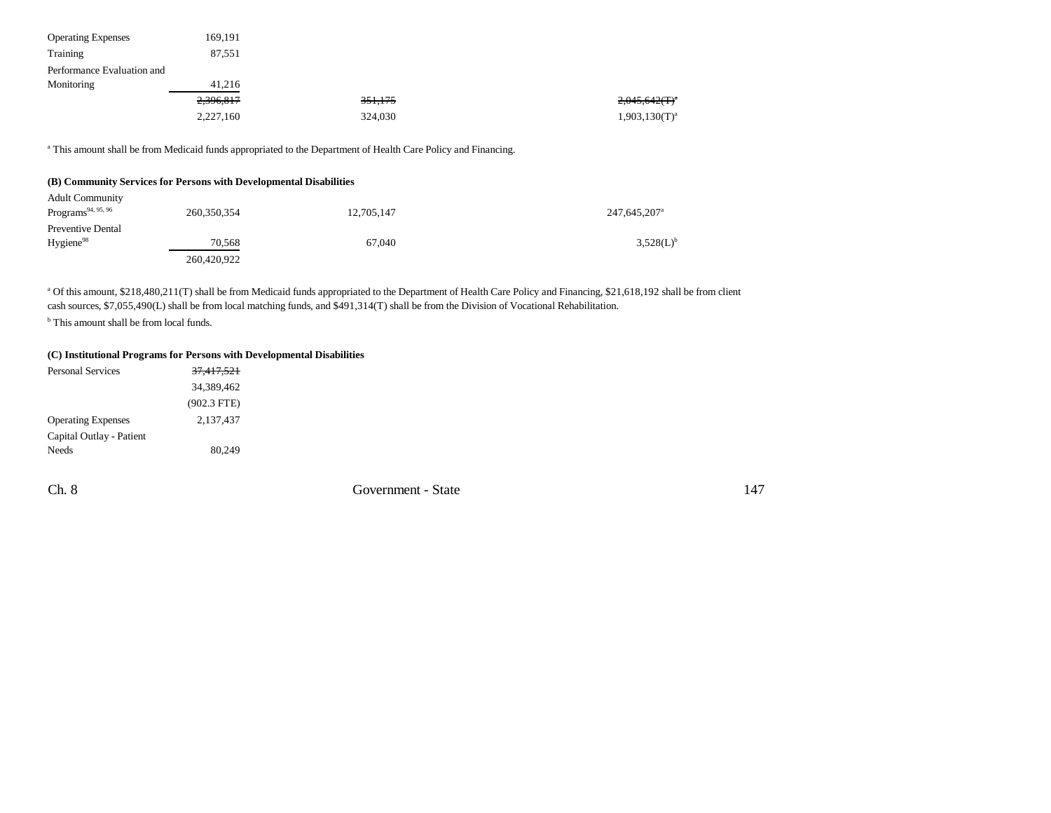| <b>Operating Expenses</b>  | 169.191   |                    |                    |
|----------------------------|-----------|--------------------|--------------------|
| Training                   | 87,551    |                    |                    |
| Performance Evaluation and |           |                    |                    |
| Monitoring                 | 41.216    |                    |                    |
|                            | 2,396,817 | <del>351,175</del> | $2,045,642(T)^{a}$ |
|                            | 2,227,160 | 324,030            | $1,903,130(T)^{a}$ |

a This amount shall be from Medicaid funds appropriated to the Department of Health Care Policy and Financing.

### **(B) Community Services for Persons with Developmental Disabilities**

| <b>Adult Community</b><br>Programs <sup>94, 95, 96</sup> | 260,350,354           | 12,705,147 | 247,645,207 <sup>a</sup> |
|----------------------------------------------------------|-----------------------|------------|--------------------------|
| Preventive Dental                                        |                       |            |                          |
| Hygiene <sup>98</sup>                                    | 70.568<br>260,420,922 | 67.040     | 3.528(L) <sup>b</sup>    |

<sup>a</sup> Of this amount, \$218,480,211(T) shall be from Medicaid funds appropriated to the Department of Health Care Policy and Financing, \$21,618,192 shall be from client cash sources, \$7,055,490(L) shall be from local matching funds, and \$491,314(T) shall be from the Division of Vocational Rehabilitation.

<sup>b</sup> This amount shall be from local funds.

#### **(C) Institutional Programs for Persons with Developmental Disabilities**

| <b>Personal Services</b>  | <del>37,417,521</del> |
|---------------------------|-----------------------|
|                           | 34,389,462            |
|                           | $(902.3$ FTE)         |
| <b>Operating Expenses</b> | 2,137,437             |
| Capital Outlay - Patient  |                       |
| <b>Needs</b>              | 80.249                |

Ch. 8 Government - State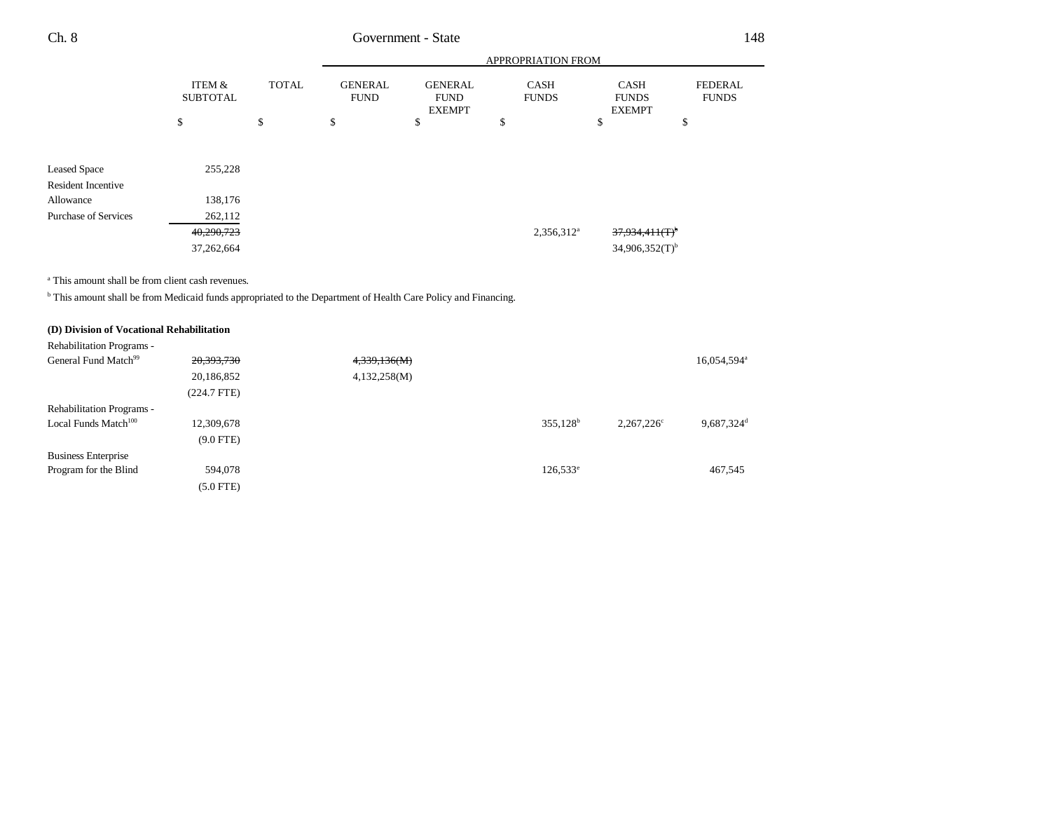|                                                                                                                           |                                      |              | APPROPRIATION FROM            |                                                |    |                             |                                       |                                |
|---------------------------------------------------------------------------------------------------------------------------|--------------------------------------|--------------|-------------------------------|------------------------------------------------|----|-----------------------------|---------------------------------------|--------------------------------|
|                                                                                                                           | <b>ITEM &amp;</b><br><b>SUBTOTAL</b> | <b>TOTAL</b> | <b>GENERAL</b><br><b>FUND</b> | <b>GENERAL</b><br><b>FUND</b><br><b>EXEMPT</b> |    | <b>CASH</b><br><b>FUNDS</b> | CASH<br><b>FUNDS</b><br><b>EXEMPT</b> | <b>FEDERAL</b><br><b>FUNDS</b> |
|                                                                                                                           | \$                                   | \$           | \$                            | \$                                             | \$ |                             | $\mathbb{S}$                          | \$                             |
|                                                                                                                           |                                      |              |                               |                                                |    |                             |                                       |                                |
| <b>Leased Space</b>                                                                                                       | 255,228                              |              |                               |                                                |    |                             |                                       |                                |
| <b>Resident Incentive</b>                                                                                                 |                                      |              |                               |                                                |    |                             |                                       |                                |
| Allowance                                                                                                                 | 138,176                              |              |                               |                                                |    |                             |                                       |                                |
| <b>Purchase of Services</b>                                                                                               | 262,112                              |              |                               |                                                |    |                             |                                       |                                |
|                                                                                                                           | 40,290,723                           |              |                               |                                                |    | $2,356,312^a$               | <del>37,934,411(T)</del>              |                                |
|                                                                                                                           | 37,262,664                           |              |                               |                                                |    |                             | $34,906,352(T)$ <sup>b</sup>          |                                |
|                                                                                                                           |                                      |              |                               |                                                |    |                             |                                       |                                |
| <sup>a</sup> This amount shall be from client cash revenues.                                                              |                                      |              |                               |                                                |    |                             |                                       |                                |
| <sup>b</sup> This amount shall be from Medicaid funds appropriated to the Department of Health Care Policy and Financing. |                                      |              |                               |                                                |    |                             |                                       |                                |
|                                                                                                                           |                                      |              |                               |                                                |    |                             |                                       |                                |
| (D) Division of Vocational Rehabilitation                                                                                 |                                      |              |                               |                                                |    |                             |                                       |                                |
| Rehabilitation Programs -                                                                                                 |                                      |              |                               |                                                |    |                             |                                       |                                |
| General Fund Match <sup>99</sup>                                                                                          | 20,393,730                           |              | 4,339,136(M)                  |                                                |    |                             |                                       | 16,054,594 <sup>a</sup>        |
|                                                                                                                           | 20,186,852                           |              | 4,132,258(M)                  |                                                |    |                             |                                       |                                |
|                                                                                                                           | $(224.7$ FTE)                        |              |                               |                                                |    |                             |                                       |                                |
| Rehabilitation Programs -                                                                                                 |                                      |              |                               |                                                |    |                             |                                       |                                |
| Local Funds Match <sup>100</sup>                                                                                          | 12,309,678                           |              |                               |                                                |    | $355,128^b$                 | $2,267,226^{\circ}$                   | 9,687,324 <sup>d</sup>         |
|                                                                                                                           | $(9.0$ FTE)                          |              |                               |                                                |    |                             |                                       |                                |
| <b>Business Enterprise</b>                                                                                                |                                      |              |                               |                                                |    |                             |                                       |                                |
| Program for the Blind                                                                                                     | 594,078                              |              |                               |                                                |    | $126,533^{\circ}$           |                                       | 467,545                        |
|                                                                                                                           | $(5.0$ FTE)                          |              |                               |                                                |    |                             |                                       |                                |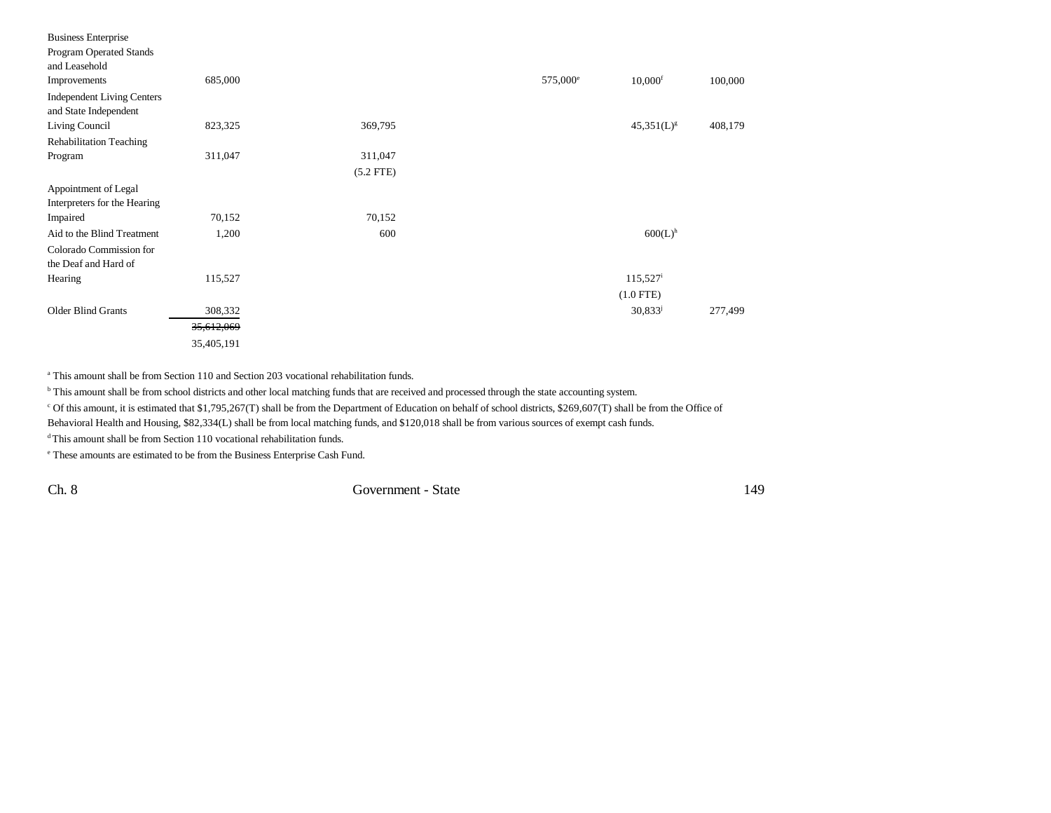| 685,000    |             | 575,000 <sup>e</sup> | $10,000$ <sup>f</sup> | 100,000 |
|------------|-------------|----------------------|-----------------------|---------|
|            |             |                      |                       |         |
|            |             |                      |                       |         |
| 823,325    | 369,795     |                      | $45,351(L)^{g}$       | 408,179 |
|            |             |                      |                       |         |
| 311,047    | 311,047     |                      |                       |         |
|            | $(5.2$ FTE) |                      |                       |         |
|            |             |                      |                       |         |
|            |             |                      |                       |         |
| 70,152     | 70,152      |                      |                       |         |
| 1,200      | 600         |                      | $600(L)$ <sup>h</sup> |         |
|            |             |                      |                       |         |
|            |             |                      |                       |         |
| 115,527    |             |                      | $115,527^{\rm i}$     |         |
|            |             |                      | $(1.0$ FTE)           |         |
| 308,332    |             |                      | $30,833^{j}$          | 277,499 |
| 35,612,069 |             |                      |                       |         |
| 35,405,191 |             |                      |                       |         |
|            |             |                      |                       |         |

a This amount shall be from Section 110 and Section 203 vocational rehabilitation funds.

<sup>b</sup> This amount shall be from school districts and other local matching funds that are received and processed through the state accounting system.

c Of this amount, it is estimated that \$1,795,267(T) shall be from the Department of Education on behalf of school districts, \$269,607(T) shall be from the Office of

Behavioral Health and Housing, \$82,334(L) shall be from local matching funds, and \$120,018 shall be from various sources of exempt cash funds.

<sup>d</sup> This amount shall be from Section 110 vocational rehabilitation funds.

e These amounts are estimated to be from the Business Enterprise Cash Fund.

Ch. 8 Government - State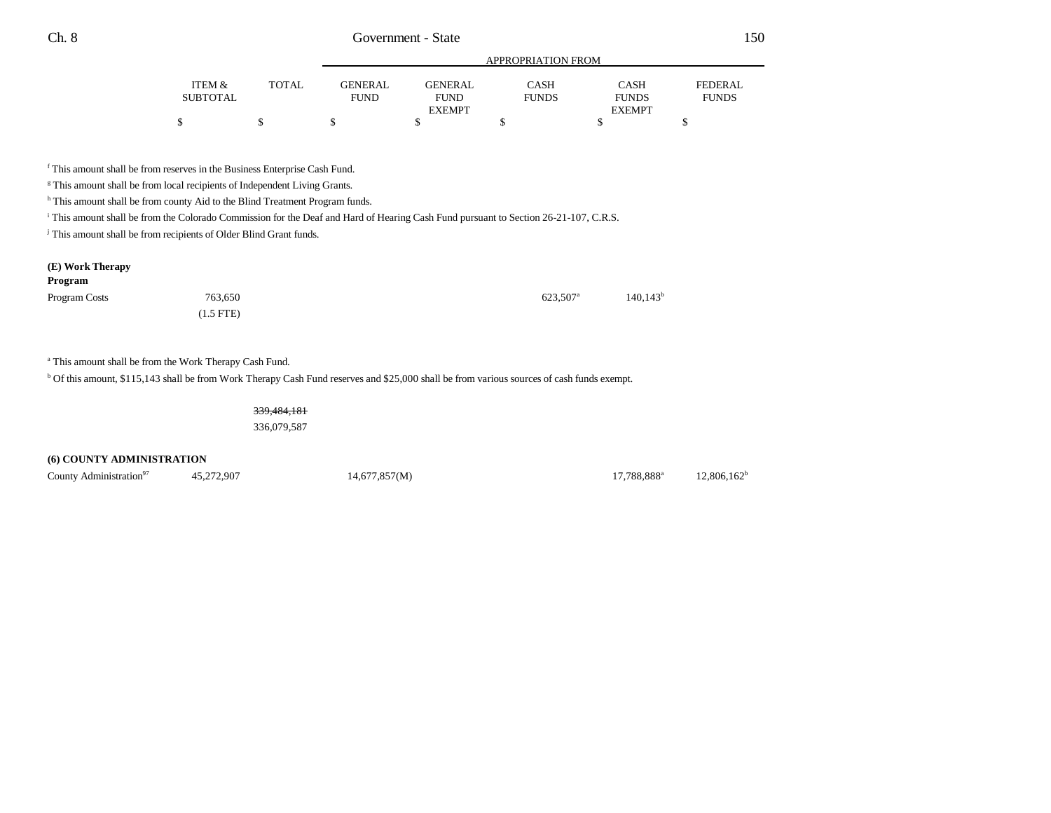|          |              |             | APPROPRIATION FROM |              |               |              |  |  |
|----------|--------------|-------------|--------------------|--------------|---------------|--------------|--|--|
| ITEM &   | <b>TOTAL</b> | GENERAL     | <b>GENERAL</b>     | CASH         | <b>CASH</b>   | FEDERAL      |  |  |
| SUBTOTAL |              | <b>FUND</b> | <b>FUND</b>        | <b>FUNDS</b> | <b>FUNDS</b>  | <b>FUNDS</b> |  |  |
|          |              |             | <b>EXEMPT</b>      |              | <b>EXEMPT</b> |              |  |  |
|          |              |             |                    |              |               |              |  |  |

f This amount shall be from reserves in the Business Enterprise Cash Fund.

<sup>g</sup> This amount shall be from local recipients of Independent Living Grants.

h This amount shall be from county Aid to the Blind Treatment Program funds.

<sup>i</sup> This amount shall be from the Colorado Commission for the Deaf and Hard of Hearing Cash Fund pursuant to Section 26-21-107, C.R.S.

<sup>j</sup> This amount shall be from recipients of Older Blind Grant funds.

#### **(E) Work Therapy**

| Program       |             |                      |                        |
|---------------|-------------|----------------------|------------------------|
| Program Costs | 763,650     | 623.507 <sup>a</sup> | $140.143$ <sup>t</sup> |
|               | $(1.5$ FTE) |                      |                        |

a This amount shall be from the Work Therapy Cash Fund.

b Of this amount, \$115,143 shall be from Work Therapy Cash Fund reserves and \$25,000 shall be from various sources of cash funds exempt.

339,484,181

336,079,587

### **(6) COUNTY ADMINISTRATION**

County Administration<sup>97</sup> 45,272,907 14,677,857(M) 17,788,888<sup>a</sup> 12,806,162<sup>b</sup>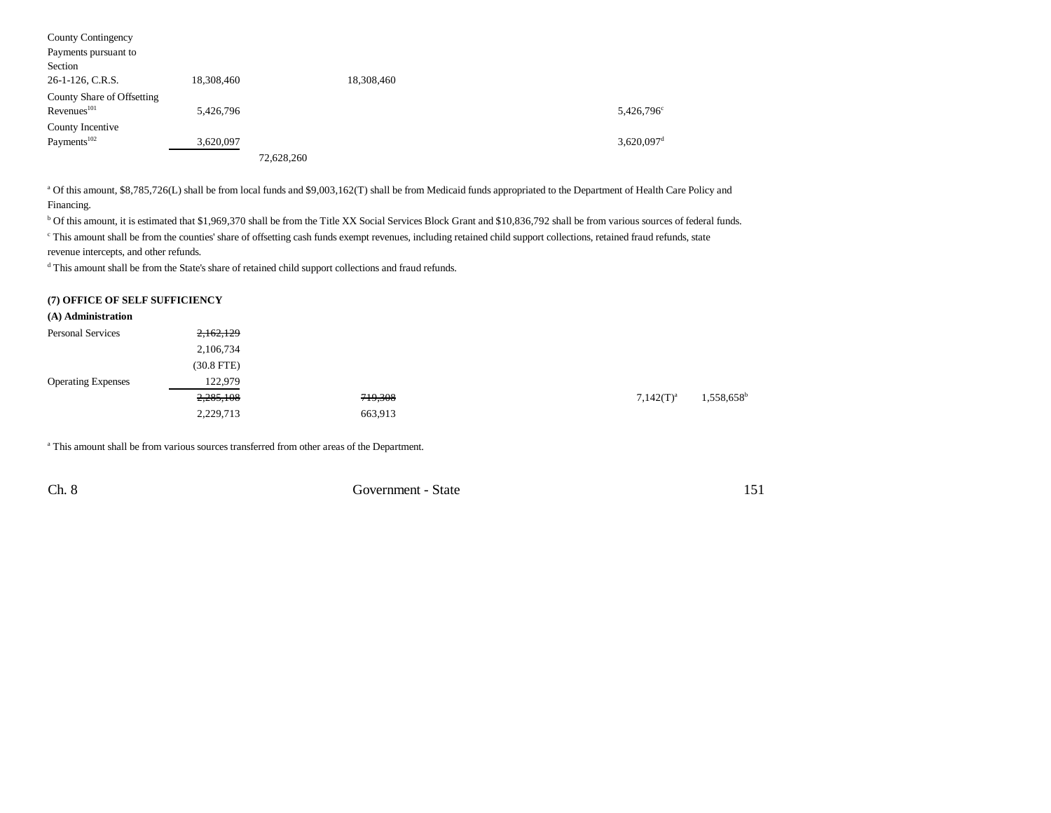| County Contingency         |            |            |            |                          |
|----------------------------|------------|------------|------------|--------------------------|
| Payments pursuant to       |            |            |            |                          |
| Section                    |            |            |            |                          |
| 26-1-126, C.R.S.           | 18,308,460 |            | 18,308,460 |                          |
| County Share of Offsetting |            |            |            |                          |
| Revenues <sup>101</sup>    | 5,426,796  |            |            | 5,426,796 <sup>c</sup>   |
| County Incentive           |            |            |            |                          |
| Payments <sup>102</sup>    | 3,620,097  |            |            | $3,620,097$ <sup>d</sup> |
|                            |            | 72,628,260 |            |                          |

<sup>a</sup> Of this amount, \$8,785,726(L) shall be from local funds and \$9,003,162(T) shall be from Medicaid funds appropriated to the Department of Health Care Policy and Financing.

b Of this amount, it is estimated that \$1,969,370 shall be from the Title XX Social Services Block Grant and \$10,836,792 shall be from various sources of federal funds. c This amount shall be from the counties' share of offsetting cash funds exempt revenues, including retained child support collections, retained fraud refunds, state revenue intercepts, and other refunds.

d This amount shall be from the State's share of retained child support collections and fraud refunds.

### **(7) OFFICE OF SELF SUFFICIENCY**

| (A) Administration        |              |         |              |                          |
|---------------------------|--------------|---------|--------------|--------------------------|
| <b>Personal Services</b>  | 2,162,129    |         |              |                          |
|                           | 2,106,734    |         |              |                          |
|                           | $(30.8$ FTE) |         |              |                          |
| <b>Operating Expenses</b> | 122,979      |         |              |                          |
|                           | 2,285,108    | 719,308 | $7,142(T)^a$ | $1,558,658$ <sup>t</sup> |
|                           | 2,229,713    | 663,913 |              |                          |

a This amount shall be from various sources transferred from other areas of the Department.

Ch. 8 Government - State 151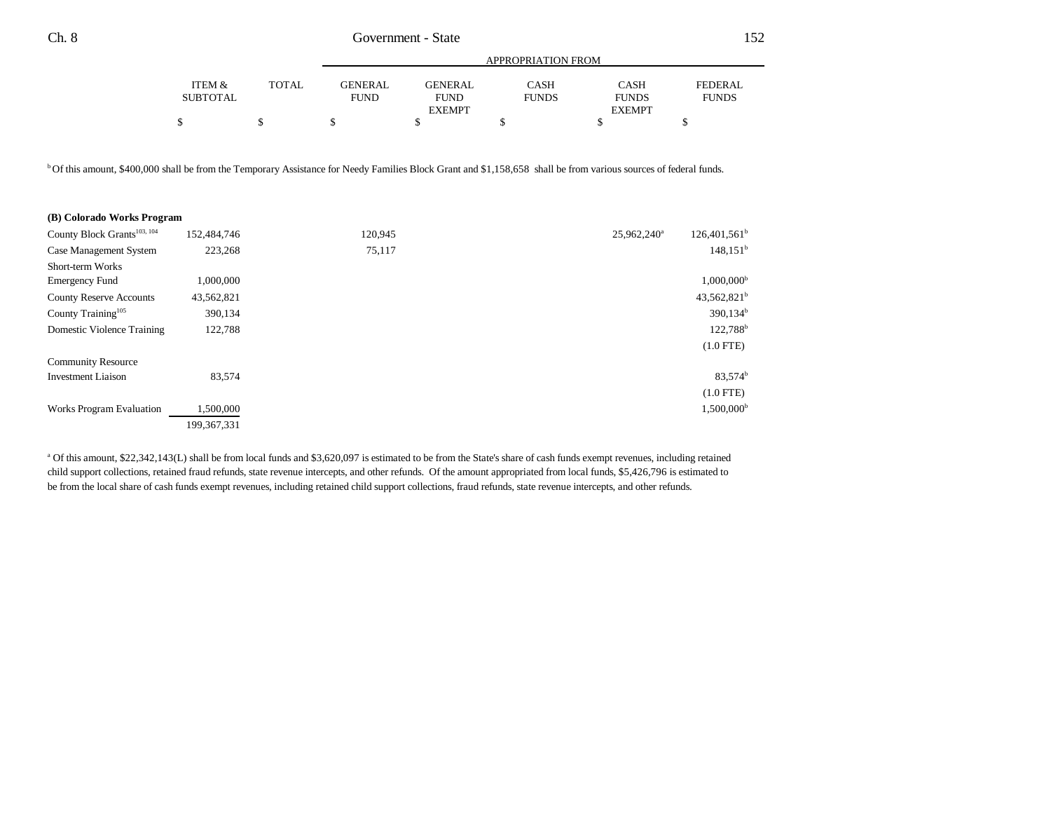|                 |              | APPROPRIATION FROM |                |              |               |              |  |
|-----------------|--------------|--------------------|----------------|--------------|---------------|--------------|--|
| ITEM &          | <b>TOTAL</b> | <b>GENERAL</b>     | <b>GENERAL</b> | CASH         | <b>CASH</b>   | FEDERAL      |  |
| <b>SUBTOTAL</b> |              | <b>FUND</b>        | <b>FUND</b>    | <b>FUNDS</b> | <b>FUNDS</b>  | <b>FUNDS</b> |  |
|                 |              |                    | <b>EXEMPT</b>  |              | <b>EXEMPT</b> |              |  |
|                 |              |                    |                |              |               |              |  |

b Of this amount, \$400,000 shall be from the Temporary Assistance for Needy Families Block Grant and \$1,158,658 shall be from various sources of federal funds.

| (B) Colorado Works Program              |             |         |                                            |
|-----------------------------------------|-------------|---------|--------------------------------------------|
| County Block Grants <sup>103, 104</sup> | 152,484,746 | 120,945 | $126,401,561^b$<br>25,962,240 <sup>a</sup> |
| Case Management System                  | 223,268     | 75,117  | 148.151 <sup>b</sup>                       |
| <b>Short-term Works</b>                 |             |         |                                            |
| <b>Emergency Fund</b>                   | 1,000,000   |         | $1,000,000^{\rm b}$                        |
| <b>County Reserve Accounts</b>          | 43,562,821  |         | $43,562,821^b$                             |
| County Training <sup>105</sup>          | 390,134     |         | $390,134^b$                                |
| Domestic Violence Training              | 122,788     |         | 122,788 <sup>b</sup>                       |
|                                         |             |         | $(1.0$ FTE)                                |
| <b>Community Resource</b>               |             |         |                                            |
| <b>Investment Liaison</b>               | 83,574      |         | 83,574 <sup>b</sup>                        |
|                                         |             |         | $(1.0$ FTE)                                |
| <b>Works Program Evaluation</b>         | 1,500,000   |         | $1,500,000^{\rm b}$                        |
|                                         | 199.367.331 |         |                                            |

<sup>a</sup> Of this amount, \$22,342,143(L) shall be from local funds and \$3,620,097 is estimated to be from the State's share of cash funds exempt revenues, including retained child support collections, retained fraud refunds, state revenue intercepts, and other refunds. Of the amount appropriated from local funds, \$5,426,796 is estimated to be from the local share of cash funds exempt revenues, including retained child support collections, fraud refunds, state revenue intercepts, and other refunds.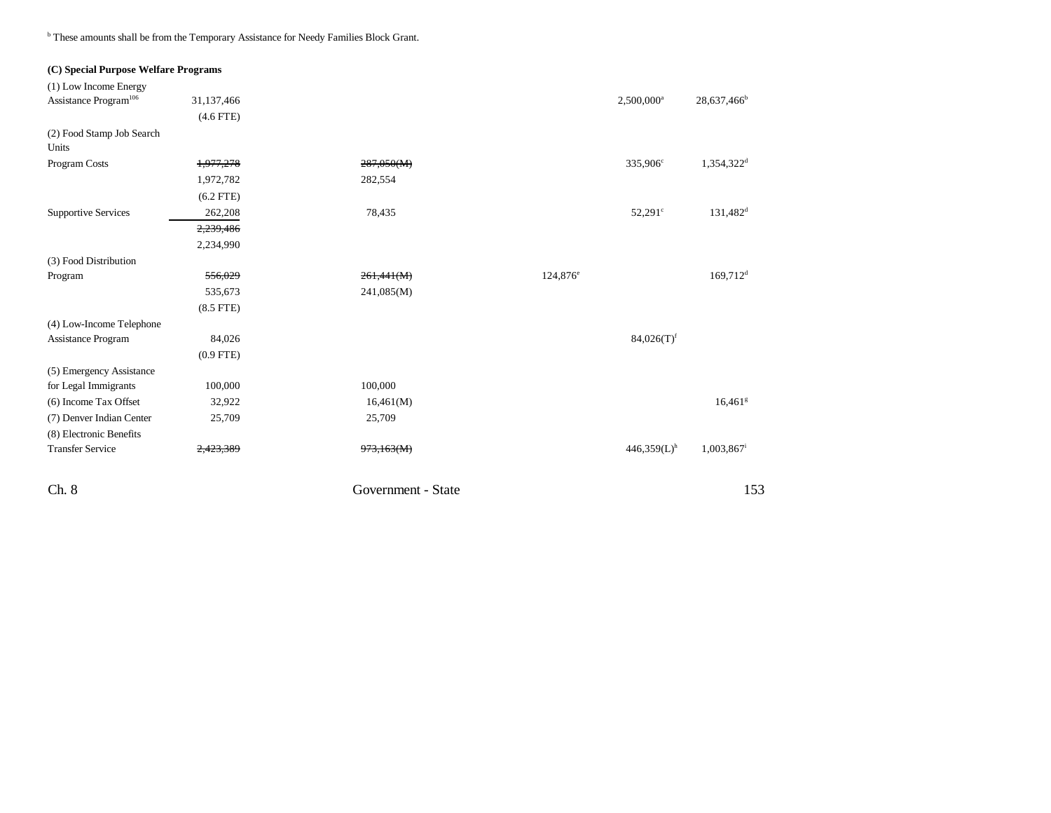**b** These amounts shall be from the Temporary Assistance for Needy Families Block Grant.

| (C) Special Purpose Welfare Programs |             |                       |             |                           |                          |
|--------------------------------------|-------------|-----------------------|-------------|---------------------------|--------------------------|
| (1) Low Income Energy                |             |                       |             |                           |                          |
| Assistance Program <sup>106</sup>    | 31,137,466  |                       |             | 2,500,000 <sup>a</sup>    | 28,637,466 <sup>b</sup>  |
|                                      | $(4.6$ FTE) |                       |             |                           |                          |
| (2) Food Stamp Job Search<br>Units   |             |                       |             |                           |                          |
| Program Costs                        | 1,977,278   | 287,050(M)            |             | 335,906 <sup>c</sup>      | 1,354,322 <sup>d</sup>   |
|                                      | 1,972,782   | 282,554               |             |                           |                          |
|                                      | $(6.2$ FTE) |                       |             |                           |                          |
| <b>Supportive Services</b>           | 262,208     | 78,435                |             | 52,291 <sup>c</sup>       | $131,482$ <sup>d</sup>   |
|                                      | 2,239,486   |                       |             |                           |                          |
|                                      | 2,234,990   |                       |             |                           |                          |
| (3) Food Distribution                |             |                       |             |                           |                          |
| Program                              | 556,029     | 261,441(M)            | $124,876^e$ |                           | $169,712$ <sup>d</sup>   |
|                                      | 535,673     | 241,085(M)            |             |                           |                          |
|                                      | $(8.5$ FTE) |                       |             |                           |                          |
| (4) Low-Income Telephone             |             |                       |             |                           |                          |
| Assistance Program                   | 84,026      |                       |             | $84,026(T)$ <sup>f</sup>  |                          |
|                                      | $(0.9$ FTE) |                       |             |                           |                          |
| (5) Emergency Assistance             |             |                       |             |                           |                          |
| for Legal Immigrants                 | 100,000     | 100,000               |             |                           |                          |
| (6) Income Tax Offset                | 32,922      | 16,461(M)             |             |                           | $16,461$ <sup>g</sup>    |
| (7) Denver Indian Center             | 25,709      | 25,709                |             |                           |                          |
| (8) Electronic Benefits              |             |                       |             |                           |                          |
| <b>Transfer Service</b>              | 2,423,389   | <del>973,163(M)</del> |             | $446,359(L)$ <sup>h</sup> | $1,003,867$ <sup>i</sup> |
| Ch. 8                                |             | Government - State    |             |                           | 153                      |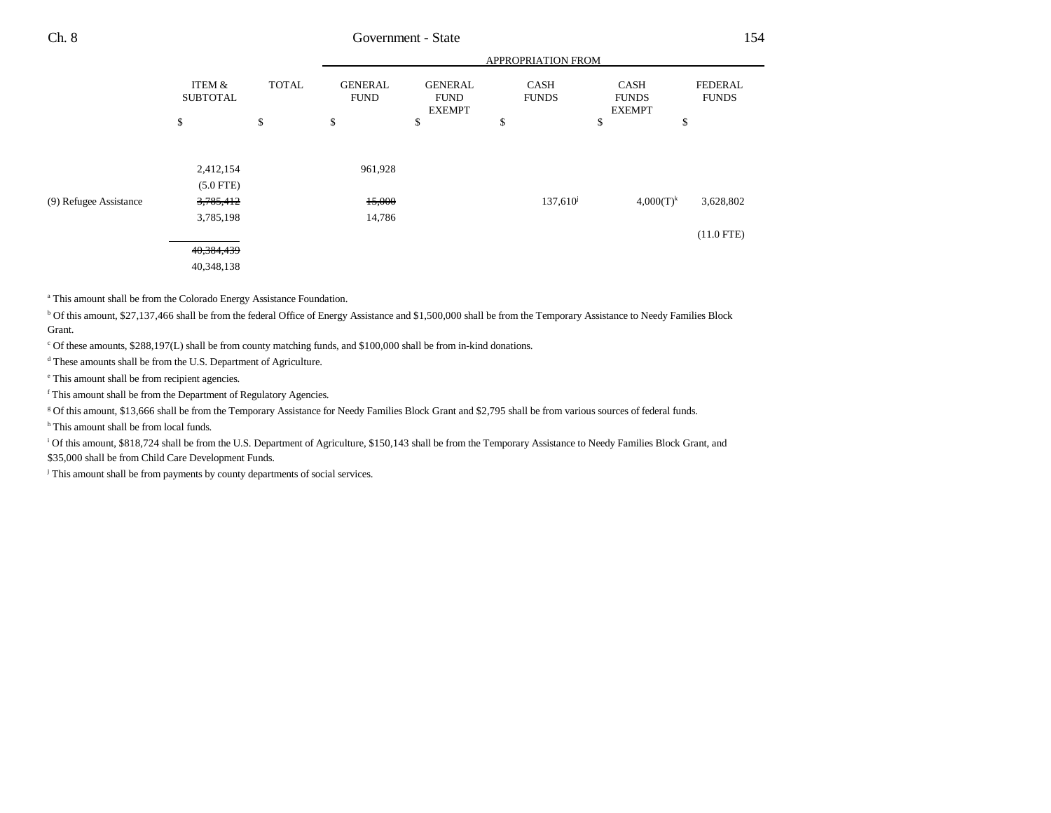|                        |                           |              |                               |                                                | APPROPRIATION FROM          |                                              |                         |
|------------------------|---------------------------|--------------|-------------------------------|------------------------------------------------|-----------------------------|----------------------------------------------|-------------------------|
|                        | ITEM &<br><b>SUBTOTAL</b> | <b>TOTAL</b> | <b>GENERAL</b><br><b>FUND</b> | <b>GENERAL</b><br><b>FUND</b><br><b>EXEMPT</b> | <b>CASH</b><br><b>FUNDS</b> | <b>CASH</b><br><b>FUNDS</b><br><b>EXEMPT</b> | FEDERAL<br><b>FUNDS</b> |
|                        | \$                        | \$           | \$                            | \$                                             | \$                          | \$                                           | \$                      |
|                        |                           |              |                               |                                                |                             |                                              |                         |
|                        | 2,412,154                 |              | 961,928                       |                                                |                             |                                              |                         |
|                        | $(5.0$ FTE)               |              |                               |                                                |                             |                                              |                         |
| (9) Refugee Assistance | 3,785,412                 |              | 15,000                        |                                                | $137,610^{\circ}$           | $4,000(T)^k$                                 | 3,628,802               |
|                        | 3,785,198                 |              | 14,786                        |                                                |                             |                                              |                         |
|                        |                           |              |                               |                                                |                             |                                              | $(11.0$ FTE)            |
|                        | 40,384,439                |              |                               |                                                |                             |                                              |                         |
|                        | 40,348,138                |              |                               |                                                |                             |                                              |                         |
|                        |                           |              |                               |                                                |                             |                                              |                         |

<sup>a</sup> This amount shall be from the Colorado Energy Assistance Foundation.

b Of this amount, \$27,137,466 shall be from the federal Office of Energy Assistance and \$1,500,000 shall be from the Temporary Assistance to Needy Families Block Grant.

c Of these amounts, \$288,197(L) shall be from county matching funds, and \$100,000 shall be from in-kind donations.

d These amounts shall be from the U.S. Department of Agriculture.

e This amount shall be from recipient agencies.

f This amount shall be from the Department of Regulatory Agencies.

g Of this amount, \$13,666 shall be from the Temporary Assistance for Needy Families Block Grant and \$2,795 shall be from various sources of federal funds.

<sup>h</sup> This amount shall be from local funds.

<sup>i</sup> Of this amount, \$818,724 shall be from the U.S. Department of Agriculture, \$150,143 shall be from the Temporary Assistance to Needy Families Block Grant, and \$35,000 shall be from Child Care Development Funds.

<sup>j</sup> This amount shall be from payments by county departments of social services.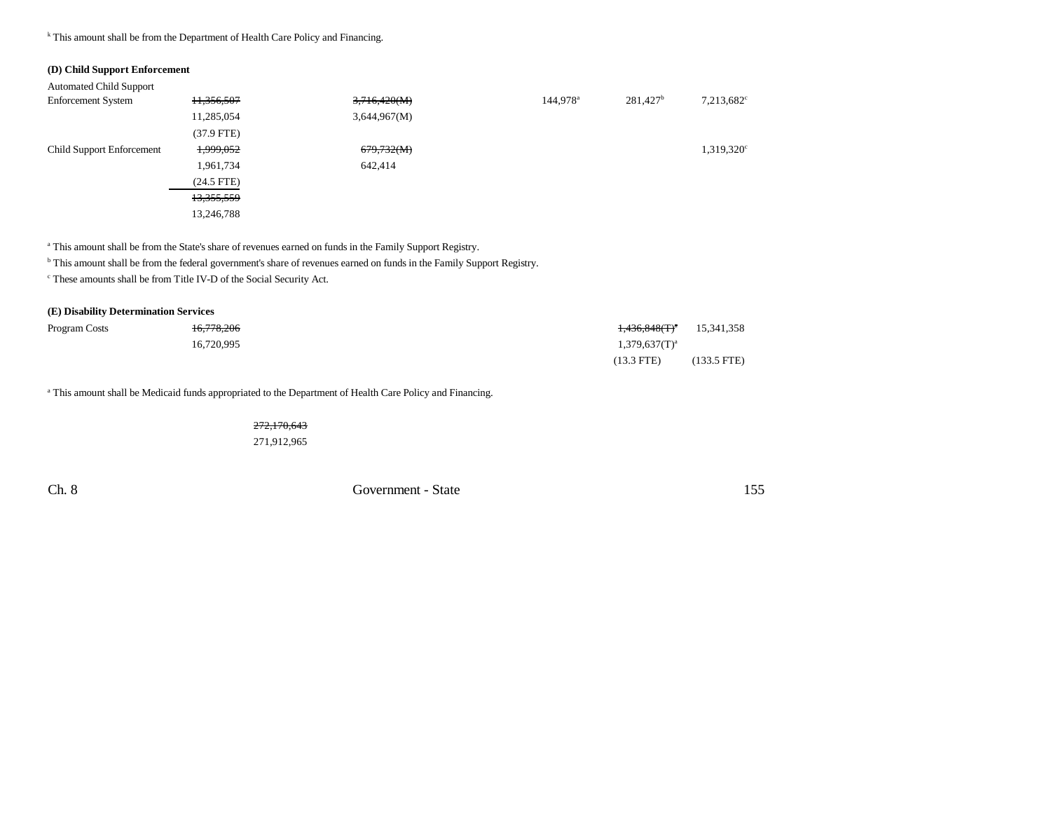### <sup>k</sup> This amount shall be from the Department of Health Care Policy and Financing.

## **(D) Child Support Enforcement**

| <b>Enforcement System</b>        | 11,356,507   | 3,716,420(M) | 144,978 <sup>a</sup> | $281,427^b$ | $7,213,682^{\circ}$ |
|----------------------------------|--------------|--------------|----------------------|-------------|---------------------|
|                                  | 11,285,054   | 3,644,967(M) |                      |             |                     |
|                                  | $(37.9$ FTE) |              |                      |             |                     |
| <b>Child Support Enforcement</b> | 1,999,052    | 679,732(M)   |                      |             | $1,319,320^{\circ}$ |
|                                  | 1,961,734    | 642,414      |                      |             |                     |
|                                  | $(24.5$ FTE) |              |                      |             |                     |
|                                  | 13,355,559   |              |                      |             |                     |
|                                  | 13,246,788   |              |                      |             |                     |

<sup>a</sup> This amount shall be from the State's share of revenues earned on funds in the Family Support Registry.

<sup>b</sup> This amount shall be from the federal government's share of revenues earned on funds in the Family Support Registry.

c These amounts shall be from Title IV-D of the Social Security Act.

| (E) Disability Determination Services |            |                    |               |
|---------------------------------------|------------|--------------------|---------------|
| Program Costs                         | 16,778,206 | $1,436,848(T)^a$   | 15,341,358    |
|                                       | 16.720.995 | $1,379,637(T)^{a}$ |               |
|                                       |            | $(13.3$ FTE)       | $(133.5$ FTE) |

<sup>a</sup> This amount shall be Medicaid funds appropriated to the Department of Health Care Policy and Financing.

272,170,643 271,912,965

Ch. 8 Government - State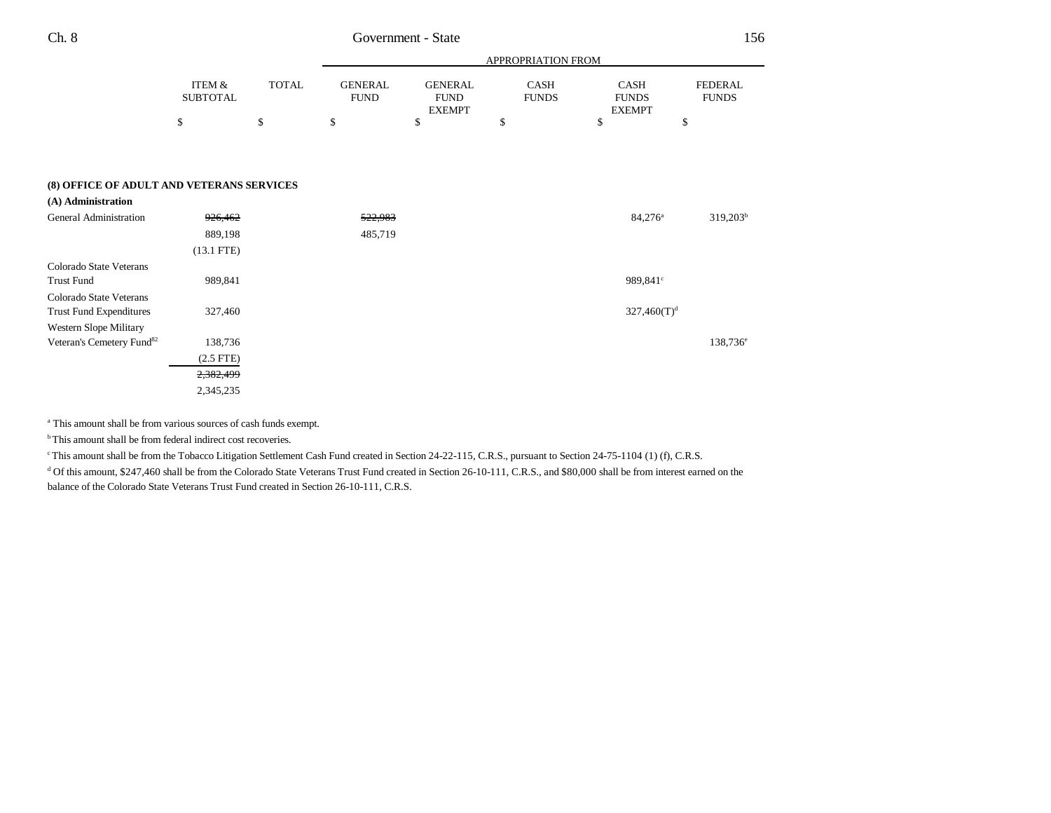|                                           |                                      |    | APPROPRIATION FROM |                               |    |                         |                                       |                                |
|-------------------------------------------|--------------------------------------|----|--------------------|-------------------------------|----|-------------------------|---------------------------------------|--------------------------------|
|                                           | <b>ITEM &amp;</b><br><b>SUBTOTAL</b> |    | <b>TOTAL</b>       | <b>GENERAL</b><br><b>FUND</b> |    | CASH<br><b>FUNDS</b>    | CASH<br><b>FUNDS</b><br><b>EXEMPT</b> | <b>FEDERAL</b><br><b>FUNDS</b> |
|                                           | \$                                   | \$ | \$                 | \$                            | \$ | \$                      | \$                                    |                                |
|                                           |                                      |    |                    |                               |    |                         |                                       |                                |
|                                           |                                      |    |                    |                               |    |                         |                                       |                                |
| (8) OFFICE OF ADULT AND VETERANS SERVICES |                                      |    |                    |                               |    |                         |                                       |                                |
| (A) Administration                        |                                      |    |                    |                               |    |                         |                                       |                                |
| General Administration                    | 926,462                              |    | 522,983            |                               |    | $84,276^{\circ}$        | $319,203^b$                           |                                |
|                                           | 889,198                              |    | 485,719            |                               |    |                         |                                       |                                |
|                                           | $(13.1$ FTE)                         |    |                    |                               |    |                         |                                       |                                |
| Colorado State Veterans                   |                                      |    |                    |                               |    |                         |                                       |                                |
| <b>Trust Fund</b>                         | 989,841                              |    |                    |                               |    | 989,841°                |                                       |                                |
| Colorado State Veterans                   |                                      |    |                    |                               |    |                         |                                       |                                |
| <b>Trust Fund Expenditures</b>            | 327,460                              |    |                    |                               |    | 327,460(T) <sup>d</sup> |                                       |                                |
| Western Slope Military                    |                                      |    |                    |                               |    |                         |                                       |                                |
| Veteran's Cemetery Fund <sup>82</sup>     | 138,736                              |    |                    |                               |    |                         | 138,736 <sup>e</sup>                  |                                |
|                                           | $(2.5$ FTE)                          |    |                    |                               |    |                         |                                       |                                |
|                                           | 2,382,499                            |    |                    |                               |    |                         |                                       |                                |
|                                           | 2,345,235                            |    |                    |                               |    |                         |                                       |                                |

a This amount shall be from various sources of cash funds exempt.

<sup>b</sup> This amount shall be from federal indirect cost recoveries.

<sup>e</sup> This amount shall be from the Tobacco Litigation Settlement Cash Fund created in Section 24-22-115, C.R.S., pursuant to Section 24-75-1104 (1) (f), C.R.S.

d Of this amount, \$247,460 shall be from the Colorado State Veterans Trust Fund created in Section 26-10-111, C.R.S., and \$80,000 shall be from interest earned on the balance of the Colorado State Veterans Trust Fund created in Section 26-10-111, C.R.S.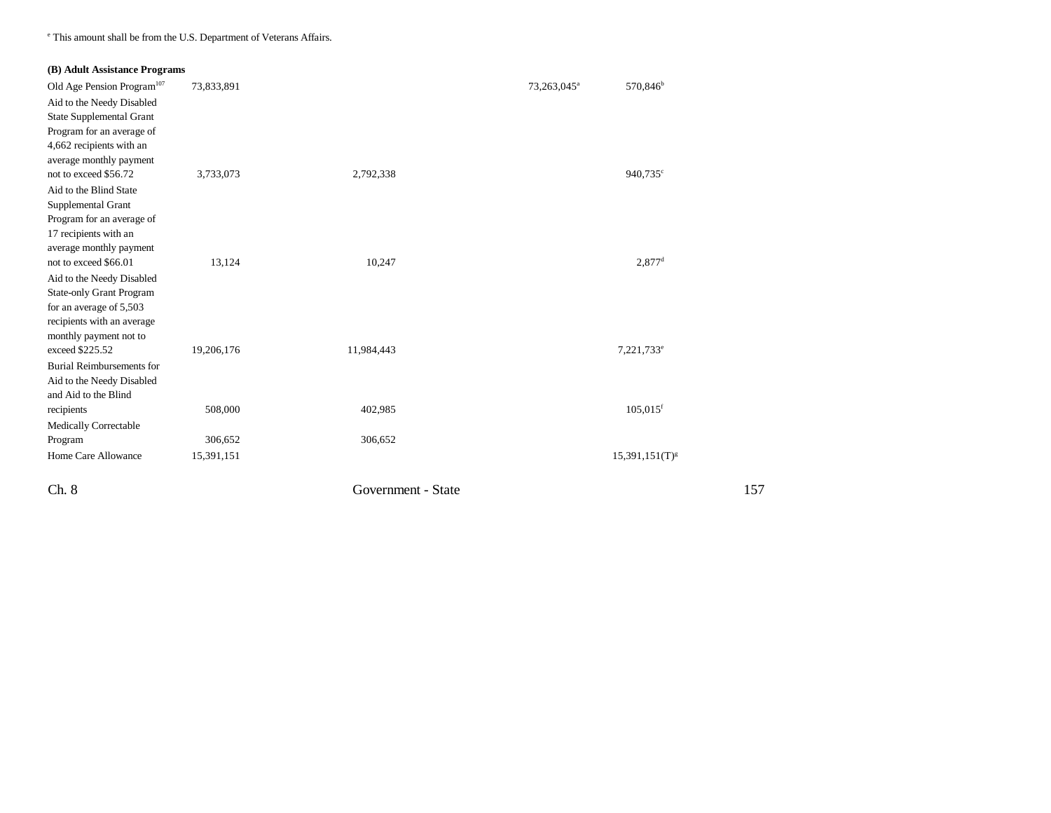e This amount shall be from the U.S. Department of Veterans Affairs.

|  | (B) Adult Assistance Programs |  |
|--|-------------------------------|--|
|  |                               |  |

| Ch. 8                                                                                                                                                  |            | Government - State |                         |                        |
|--------------------------------------------------------------------------------------------------------------------------------------------------------|------------|--------------------|-------------------------|------------------------|
| Home Care Allowance                                                                                                                                    | 15,391,151 |                    |                         | $15,391,151(T)^{g}$    |
| Program                                                                                                                                                | 306,652    | 306,652            |                         |                        |
| Medically Correctable                                                                                                                                  |            |                    |                         |                        |
| Aid to the Needy Disabled<br>and Aid to the Blind<br>recipients                                                                                        | 508,000    | 402,985            |                         | $105,015$ <sup>f</sup> |
| <b>Burial Reimbursements for</b>                                                                                                                       |            |                    |                         |                        |
| <b>State-only Grant Program</b><br>for an average of 5,503<br>recipients with an average<br>monthly payment not to<br>exceed \$225.52                  | 19,206,176 | 11,984,443         |                         | 7,221,733 <sup>e</sup> |
| not to exceed \$66.01<br>Aid to the Needy Disabled                                                                                                     | 13,124     | 10,247             |                         | $2,877$ <sup>d</sup>   |
| not to exceed \$56.72<br>Aid to the Blind State<br>Supplemental Grant<br>Program for an average of<br>17 recipients with an<br>average monthly payment | 3,733,073  | 2,792,338          |                         | 940,735 <sup>c</sup>   |
| Aid to the Needy Disabled<br><b>State Supplemental Grant</b><br>Program for an average of<br>4,662 recipients with an<br>average monthly payment       |            |                    |                         |                        |
| $\sim$ , require report there is a operation<br>Old Age Pension Program <sup>107</sup>                                                                 | 73,833,891 |                    | 73,263,045 <sup>a</sup> | 570,846 <sup>b</sup>   |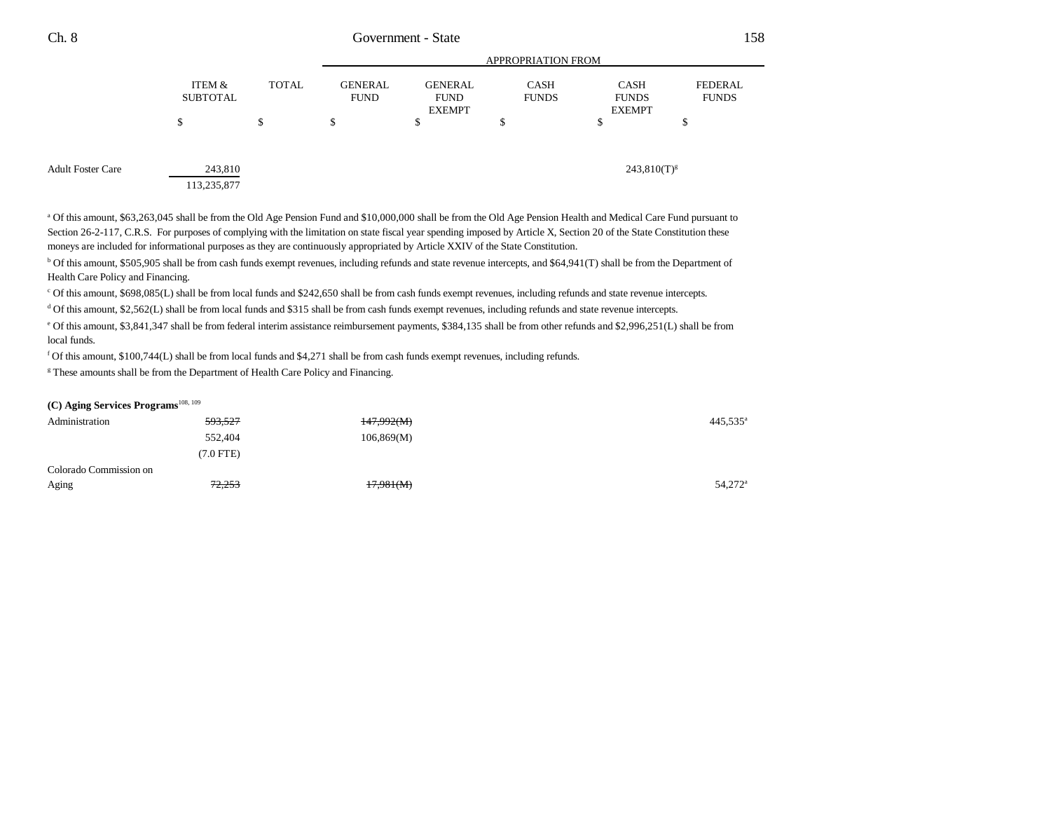|                   |                           |              |                               |                                                | <b>APPROPRIATION FROM</b>   |                                              |                                |  |
|-------------------|---------------------------|--------------|-------------------------------|------------------------------------------------|-----------------------------|----------------------------------------------|--------------------------------|--|
|                   | ITEM &<br><b>SUBTOTAL</b> | <b>TOTAL</b> | <b>GENERAL</b><br><b>FUND</b> | <b>GENERAL</b><br><b>FUND</b><br><b>EXEMPT</b> | <b>CASH</b><br><b>FUNDS</b> | <b>CASH</b><br><b>FUNDS</b><br><b>EXEMPT</b> | <b>FEDERAL</b><br><b>FUNDS</b> |  |
|                   | S                         | \$           | S                             | -S                                             | Ф                           | \$                                           | D                              |  |
| Adult Foster Care | 243,810                   |              |                               |                                                |                             | $243,810(T)^{g}$                             |                                |  |
|                   | 113,235,877               |              |                               |                                                |                             |                                              |                                |  |

a Of this amount, \$63,263,045 shall be from the Old Age Pension Fund and \$10,000,000 shall be from the Old Age Pension Health and Medical Care Fund pursuant to Section 26-2-117, C.R.S. For purposes of complying with the limitation on state fiscal year spending imposed by Article X, Section 20 of the State Constitution these moneys are included for informational purposes as they are continuously appropriated by Article XXIV of the State Constitution.

b Of this amount, \$505,905 shall be from cash funds exempt revenues, including refunds and state revenue intercepts, and \$64,941(T) shall be from the Department of Health Care Policy and Financing.

c Of this amount, \$698,085(L) shall be from local funds and \$242,650 shall be from cash funds exempt revenues, including refunds and state revenue intercepts.

d Of this amount, \$2,562(L) shall be from local funds and \$315 shall be from cash funds exempt revenues, including refunds and state revenue intercepts.

e Of this amount, \$3,841,347 shall be from federal interim assistance reimbursement payments, \$384,135 shall be from other refunds and \$2,996,251(L) shall be from local funds.

f Of this amount, \$100,744(L) shall be from local funds and \$4,271 shall be from cash funds exempt revenues, including refunds.

<sup>g</sup> These amounts shall be from the Department of Health Care Policy and Financing.

#### **(C) Aging Services Programs**108, 109

| Administration         | 593,527   | 147,992(M) | 445,535 <sup>a</sup> |
|------------------------|-----------|------------|----------------------|
|                        | 552,404   | 106,869(M) |                      |
|                        | (7.0 FTE) |            |                      |
| Colorado Commission on |           |            |                      |
| Aging                  | 72,253    | 17,981(M)  | 54,272 <sup>a</sup>  |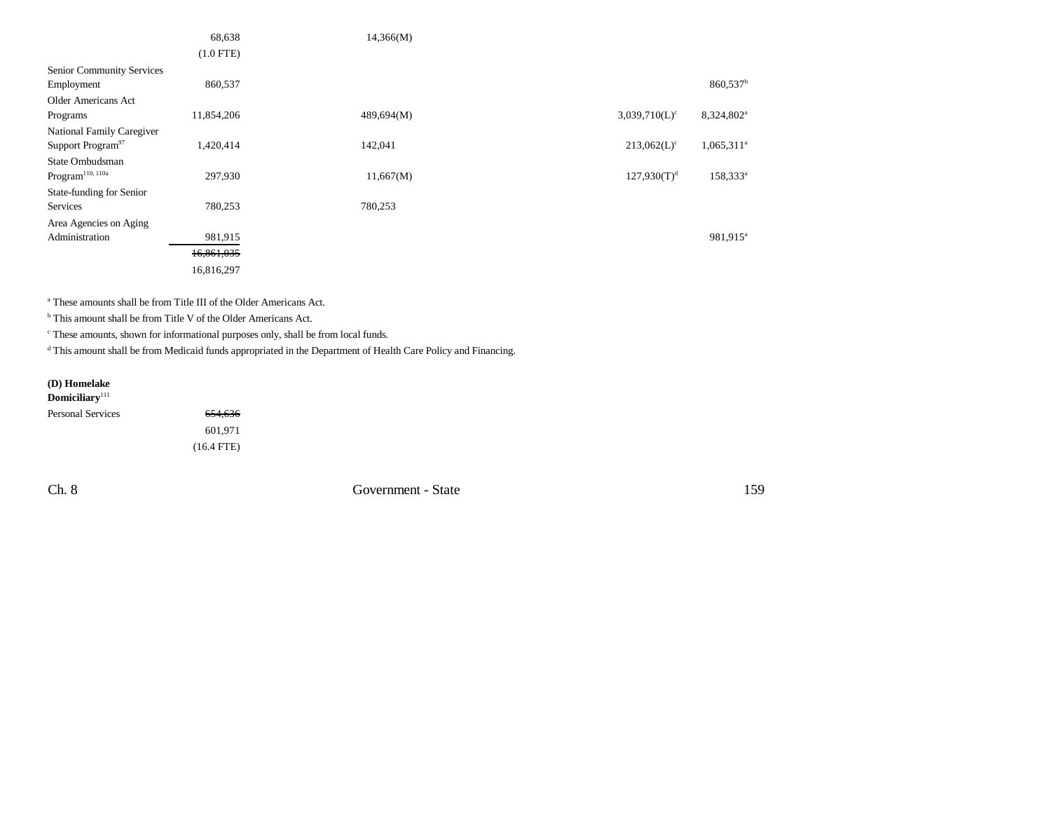|                               | 68,638      | 14,366(M)  |                             |                        |
|-------------------------------|-------------|------------|-----------------------------|------------------------|
|                               | $(1.0$ FTE) |            |                             |                        |
| Senior Community Services     |             |            |                             |                        |
| Employment                    | 860,537     |            |                             | $860,537^b$            |
| Older Americans Act           |             |            |                             |                        |
| Programs                      | 11,854,206  | 489,694(M) | $3,039,710(L)$ <sup>c</sup> | 8,324,802 <sup>a</sup> |
| National Family Caregiver     |             |            |                             |                        |
| Support Program <sup>97</sup> | 1,420,414   | 142,041    | $213,062(L)$ <sup>c</sup>   | $1,065,311^a$          |
| State Ombudsman               |             |            |                             |                        |
| $\rm{Program}^{110,\,110a}$   | 297,930     | 11,667(M)  | $127,930(T)^{d}$            | $158,333^a$            |
| State-funding for Senior      |             |            |                             |                        |
| Services                      | 780,253     | 780,253    |                             |                        |
| Area Agencies on Aging        |             |            |                             |                        |
| Administration                | 981,915     |            |                             | 981,915 <sup>a</sup>   |
|                               | 16,861,035  |            |                             |                        |
|                               | 16,816,297  |            |                             |                        |

a These amounts shall be from Title III of the Older Americans Act.

<sup>b</sup> This amount shall be from Title V of the Older Americans Act.

c These amounts, shown for informational purposes only, shall be from local funds.

d This amount shall be from Medicaid funds appropriated in the Department of Health Care Policy and Financing.

# **(D) Homelake**

# **Domiciliary**<sup>111</sup>

| Personal Services | 654,636      |
|-------------------|--------------|
|                   | 601.971      |
|                   | $(16.4$ FTE) |

Ch. 8 Government - State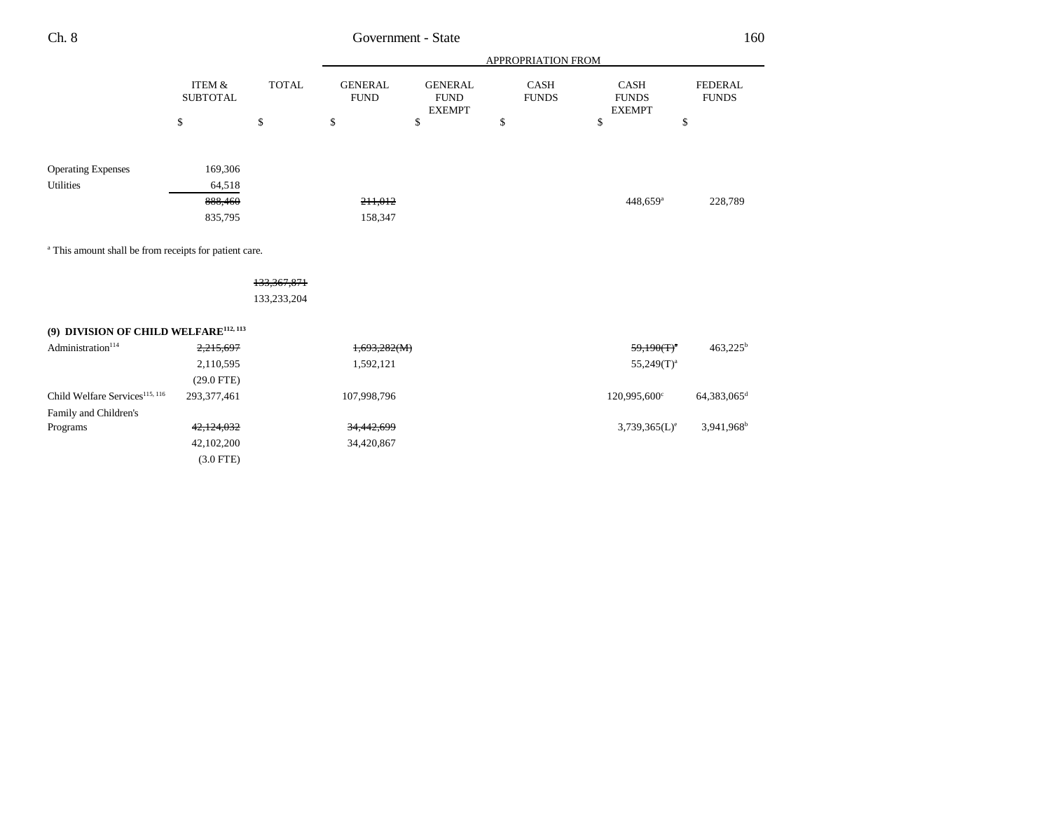| ×<br>I<br>. .<br>v | ×<br>۰. |
|--------------------|---------|
|--------------------|---------|

# Government - State

|                           |                           |              | APPROPRIATION FROM            |                                                |                             |                                              |                                |
|---------------------------|---------------------------|--------------|-------------------------------|------------------------------------------------|-----------------------------|----------------------------------------------|--------------------------------|
|                           | ITEM &<br><b>SUBTOTAL</b> | <b>TOTAL</b> | <b>GENERAL</b><br><b>FUND</b> | <b>GENERAL</b><br><b>FUND</b><br><b>EXEMPT</b> | <b>CASH</b><br><b>FUNDS</b> | <b>CASH</b><br><b>FUNDS</b><br><b>EXEMPT</b> | <b>FEDERAL</b><br><b>FUNDS</b> |
|                           | \$                        | \$           | \$                            | \$                                             | \$                          | \$                                           | \$                             |
|                           |                           |              |                               |                                                |                             |                                              |                                |
| <b>Operating Expenses</b> | 169,306                   |              |                               |                                                |                             |                                              |                                |
| Utilities                 | 64,518                    |              |                               |                                                |                             |                                              |                                |
|                           | 888,460                   |              | 211,012                       |                                                |                             | $448,659$ <sup>a</sup>                       | 228,789                        |
|                           | 835,795                   |              | 158,347                       |                                                |                             |                                              |                                |
|                           |                           |              |                               |                                                |                             |                                              |                                |

a This amount shall be from receipts for patient care.

## 133,367,871

133,233,204

## **(9) DIVISION OF CHILD WELFARE112, 113**

| Administration <sup>114</sup>              | 2,215,697    | 1,693,282(M) | $59,190(T)^n$    | $463,225^{\rm b}$        |
|--------------------------------------------|--------------|--------------|------------------|--------------------------|
|                                            | 2,110,595    | 1,592,121    | $55,249(T)^a$    |                          |
|                                            | $(29.0$ FTE) |              |                  |                          |
| Child Welfare Services <sup>115, 116</sup> | 293.377.461  | 107,998,796  | 120,995,600°     | 64,383,065 <sup>d</sup>  |
| Family and Children's                      |              |              |                  |                          |
| Programs                                   | 42,124,032   | 34,442,699   | $3,739,365(L)^e$ | $3,941,968$ <sup>b</sup> |
|                                            | 42,102,200   | 34,420,867   |                  |                          |
|                                            | $(3.0$ FTE)  |              |                  |                          |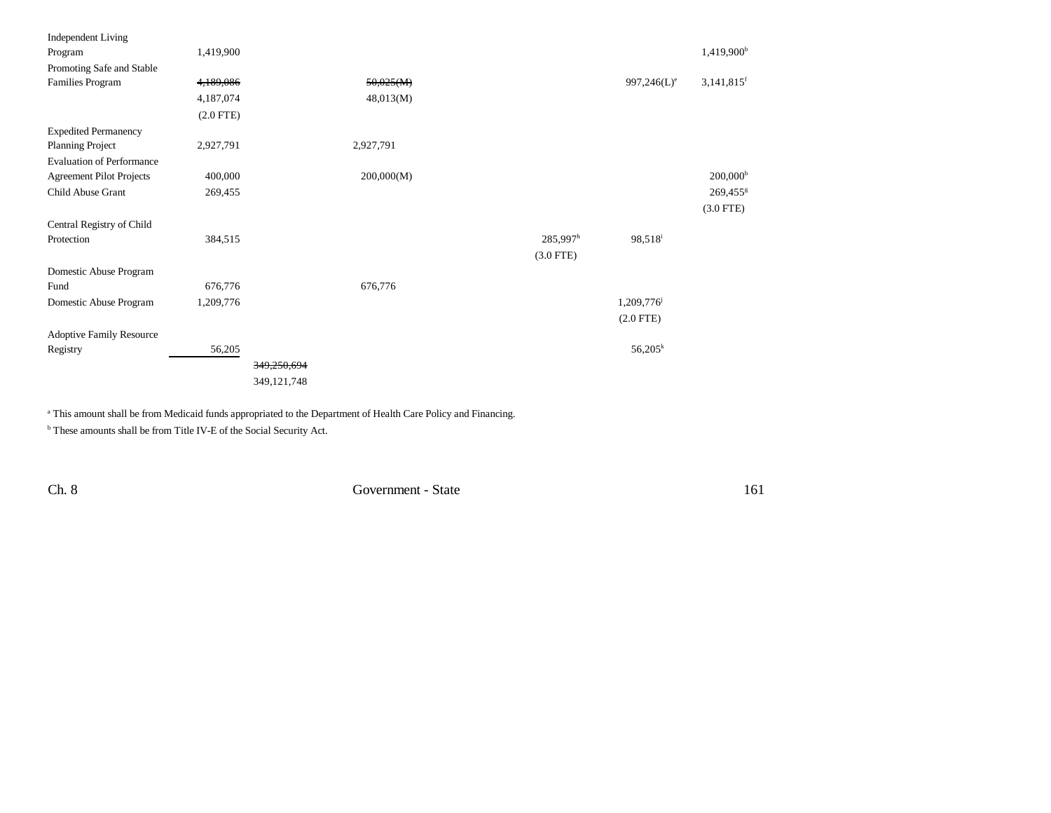| <b>Independent Living</b>        |             |             |            |                        |                     |                          |
|----------------------------------|-------------|-------------|------------|------------------------|---------------------|--------------------------|
| Program                          | 1,419,900   |             |            |                        |                     | 1,419,900 <sup>b</sup>   |
| Promoting Safe and Stable        |             |             |            |                        |                     |                          |
| Families Program                 | 4,189,086   |             | 50,025(M)  |                        | $997,246(L)^e$      | $3,141,815$ <sup>f</sup> |
|                                  | 4,187,074   |             | 48,013(M)  |                        |                     |                          |
|                                  | $(2.0$ FTE) |             |            |                        |                     |                          |
| <b>Expedited Permanency</b>      |             |             |            |                        |                     |                          |
| Planning Project                 | 2,927,791   |             | 2,927,791  |                        |                     |                          |
| <b>Evaluation of Performance</b> |             |             |            |                        |                     |                          |
| <b>Agreement Pilot Projects</b>  | 400,000     |             | 200,000(M) |                        |                     | $200,000^{\rm b}$        |
| Child Abuse Grant                | 269,455     |             |            |                        |                     | 269,455 <sup>g</sup>     |
|                                  |             |             |            |                        |                     | $(3.0$ FTE)              |
| Central Registry of Child        |             |             |            |                        |                     |                          |
| Protection                       | 384,515     |             |            | $285,997$ <sup>h</sup> | 98,518 <sup>i</sup> |                          |
|                                  |             |             |            | $(3.0$ FTE)            |                     |                          |
| Domestic Abuse Program           |             |             |            |                        |                     |                          |
| Fund                             | 676,776     |             | 676,776    |                        |                     |                          |
| Domestic Abuse Program           | 1,209,776   |             |            |                        | 1,209,776           |                          |
|                                  |             |             |            |                        | $(2.0$ FTE)         |                          |
| <b>Adoptive Family Resource</b>  |             |             |            |                        |                     |                          |
| Registry                         | 56,205      |             |            |                        | $56,205^k$          |                          |
|                                  |             | 349,250,694 |            |                        |                     |                          |
|                                  |             | 349,121,748 |            |                        |                     |                          |
|                                  |             |             |            |                        |                     |                          |

<sup>a</sup> This amount shall be from Medicaid funds appropriated to the Department of Health Care Policy and Financing.

 $^{\rm b}$  These amounts shall be from Title IV-E of the Social Security Act.

Ch. 8 Government - State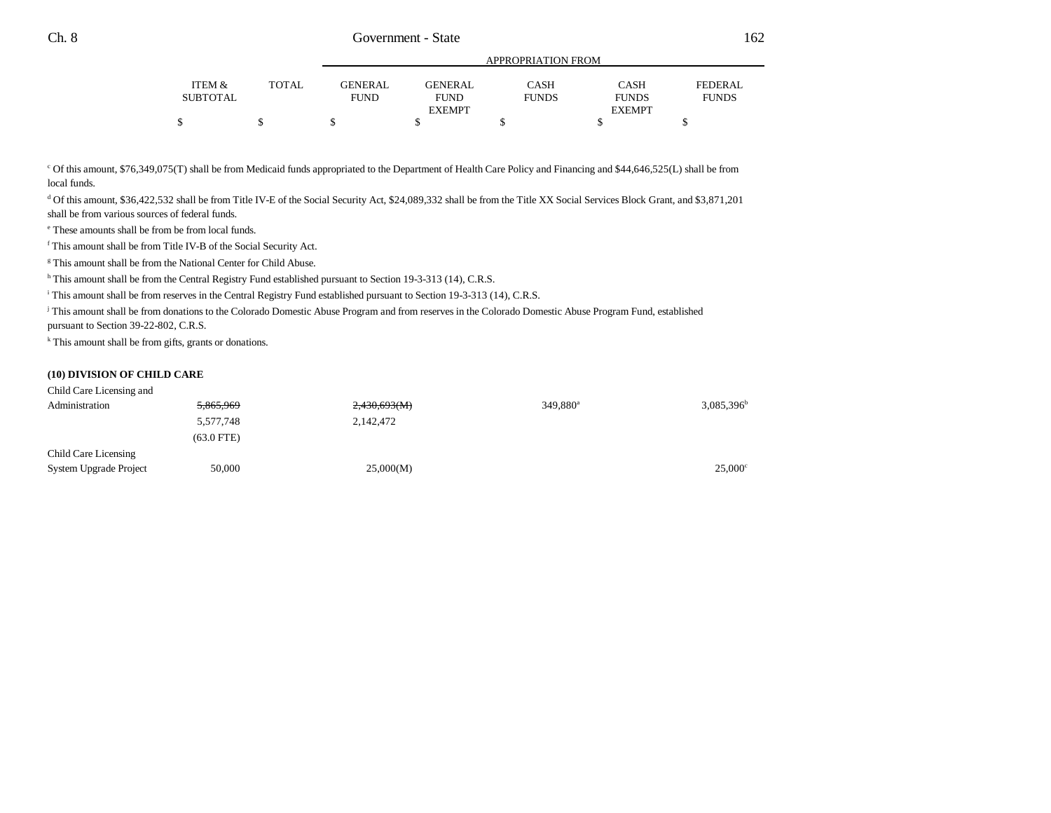|          |       |                | APPROPRIATION FROM |              |               |              |
|----------|-------|----------------|--------------------|--------------|---------------|--------------|
| ITEM &   | TOTAL | <b>GENERAL</b> | <b>GENERAL</b>     | CASH         | CASH          | FEDERAL      |
| SUBTOTAL |       | <b>FUND</b>    | <b>FUND</b>        | <b>FUNDS</b> | <b>FUNDS</b>  | <b>FUNDS</b> |
|          |       |                | <b>EXEMPT</b>      |              | <b>EXEMPT</b> |              |
|          |       |                |                    |              |               |              |

c Of this amount, \$76,349,075(T) shall be from Medicaid funds appropriated to the Department of Health Care Policy and Financing and \$44,646,525(L) shall be from local funds.

d Of this amount, \$36,422,532 shall be from Title IV-E of the Social Security Act, \$24,089,332 shall be from the Title XX Social Services Block Grant, and \$3,871,201 shall be from various sources of federal funds.

e These amounts shall be from be from local funds.

f This amount shall be from Title IV-B of the Social Security Act.

<sup>g</sup> This amount shall be from the National Center for Child Abuse.

h This amount shall be from the Central Registry Fund established pursuant to Section 19-3-313 (14), C.R.S.

i This amount shall be from reserves in the Central Registry Fund established pursuant to Section 19-3-313 (14), C.R.S.

j This amount shall be from donations to the Colorado Domestic Abuse Program and from reserves in the Colorado Domestic Abuse Program Fund, established pursuant to Section 39-22-802, C.R.S.

k This amount shall be from gifts, grants or donations.

#### **(10) DIVISION OF CHILD CARE**

| Child Care Licensing and |              |              |                      |                  |
|--------------------------|--------------|--------------|----------------------|------------------|
| Administration           | 5,865,969    | 2,430,693(M) | 349,880 <sup>a</sup> | $3,085,396^b$    |
|                          | 5,577,748    | 2,142,472    |                      |                  |
|                          | $(63.0$ FTE) |              |                      |                  |
| Child Care Licensing     |              |              |                      |                  |
| System Upgrade Project   | 50,000       | 25,000(M)    |                      | $25,000^{\circ}$ |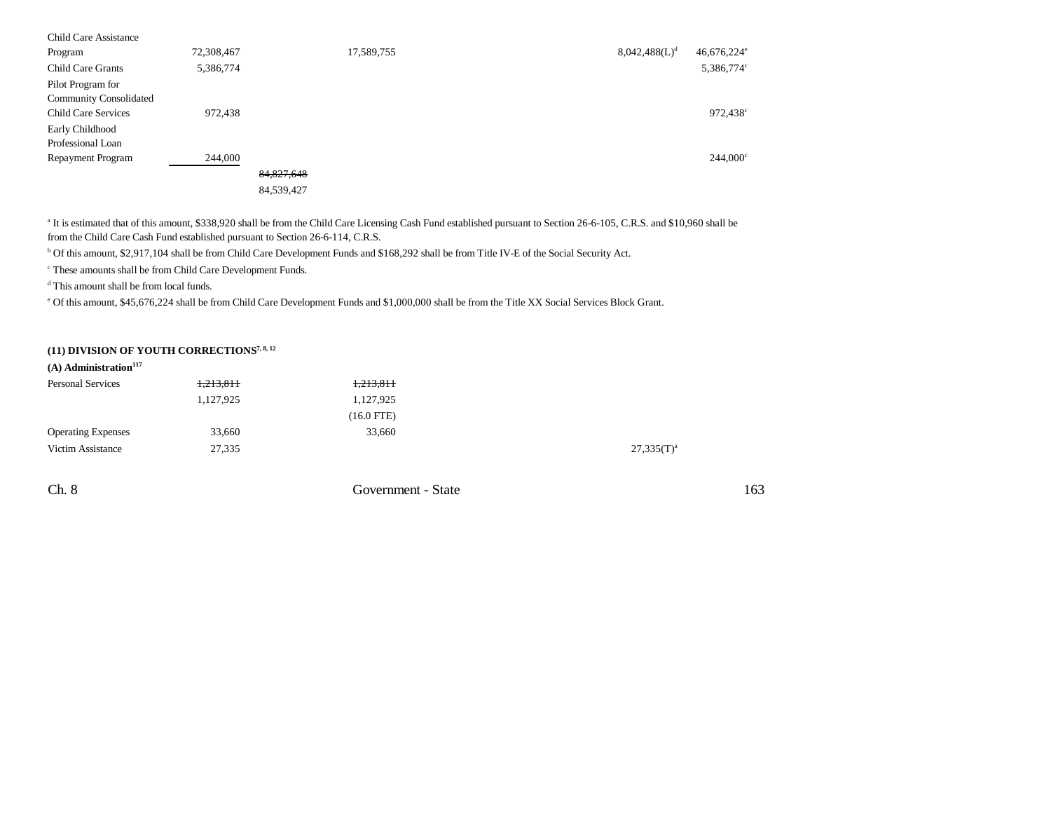| <b>Child Care Assistance</b>  |            |            |            |  |                           |                           |
|-------------------------------|------------|------------|------------|--|---------------------------|---------------------------|
| Program                       | 72,308,467 |            | 17,589,755 |  | 8,042,488(L) <sup>d</sup> | $46,676,224$ <sup>e</sup> |
| Child Care Grants             | 5,386,774  |            |            |  |                           | 5,386,774°                |
| Pilot Program for             |            |            |            |  |                           |                           |
| <b>Community Consolidated</b> |            |            |            |  |                           |                           |
| Child Care Services           | 972,438    |            |            |  |                           | 972,438 <sup>c</sup>      |
| Early Childhood               |            |            |            |  |                           |                           |
| Professional Loan             |            |            |            |  |                           |                           |
| <b>Repayment Program</b>      | 244,000    |            |            |  |                           | $244,000^{\circ}$         |
|                               |            | 84,827,648 |            |  |                           |                           |
|                               |            | 84,539,427 |            |  |                           |                           |

<sup>a</sup> It is estimated that of this amount, \$338,920 shall be from the Child Care Licensing Cash Fund established pursuant to Section 26-6-105, C.R.S. and \$10,960 shall be from the Child Care Cash Fund established pursuant to Section 26-6-114, C.R.S.

b Of this amount, \$2,917,104 shall be from Child Care Development Funds and \$168,292 shall be from Title IV-E of the Social Security Act.

c These amounts shall be from Child Care Development Funds.

d This amount shall be from local funds.

e Of this amount, \$45,676,224 shall be from Child Care Development Funds and \$1,000,000 shall be from the Title XX Social Services Block Grant.

## **(11) DIVISION OF YOUTH CORRECTIONS7, 8, 12**

| $(A)$ Administration <sup>117</sup> |           |              |               |
|-------------------------------------|-----------|--------------|---------------|
| <b>Personal Services</b>            | 1,213,811 | 1,213,811    |               |
|                                     | 1,127,925 | 1,127,925    |               |
|                                     |           | $(16.0$ FTE) |               |
| <b>Operating Expenses</b>           | 33,660    | 33,660       |               |
| Victim Assistance                   | 27,335    |              | $27,335(T)^a$ |
|                                     |           |              |               |

Ch. 8 Government - State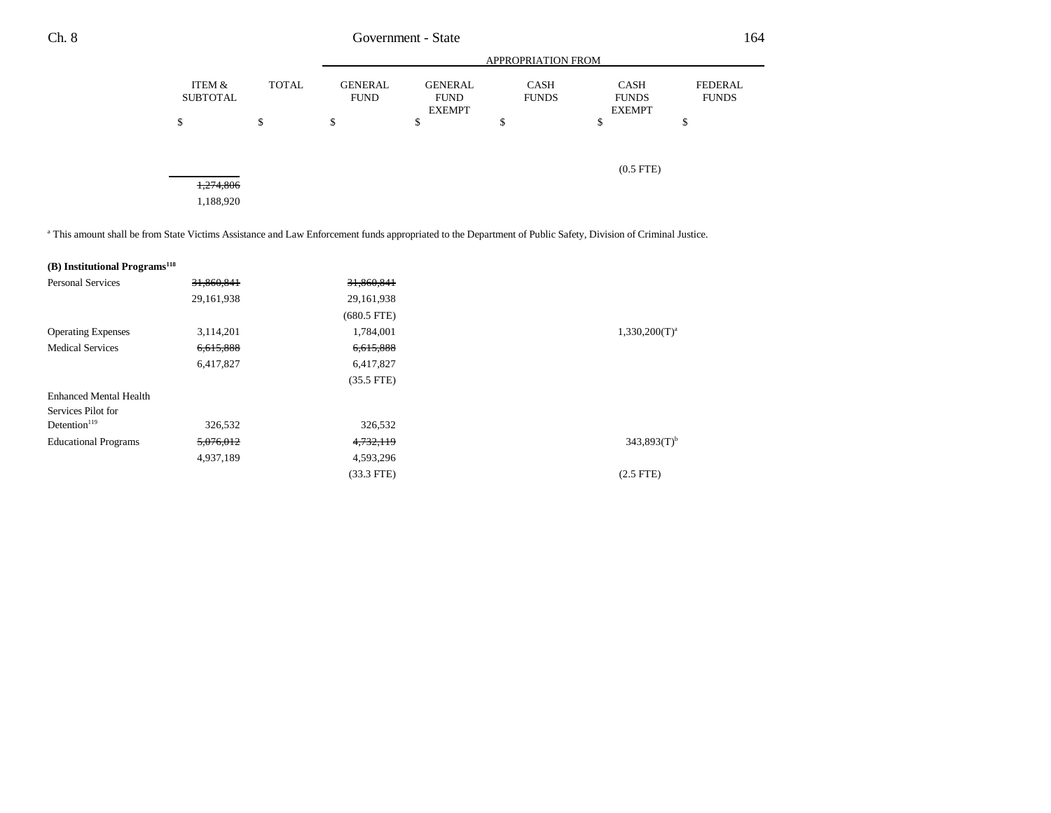|                           |              |                               | <b>APPROPRIATION FROM</b>                      |                             |                                              |                                |  |  |
|---------------------------|--------------|-------------------------------|------------------------------------------------|-----------------------------|----------------------------------------------|--------------------------------|--|--|
| ITEM &<br><b>SUBTOTAL</b> | <b>TOTAL</b> | <b>GENERAL</b><br><b>FUND</b> | <b>GENERAL</b><br><b>FUND</b><br><b>EXEMPT</b> | <b>CASH</b><br><b>FUNDS</b> | <b>CASH</b><br><b>FUNDS</b><br><b>EXEMPT</b> | <b>FEDERAL</b><br><b>FUNDS</b> |  |  |
| ሖ<br>Ф                    | Φ<br>Φ       | ¢<br>Φ                        | \$                                             | \$                          | \$                                           | \$                             |  |  |
| 1,274,806                 |              |                               |                                                |                             | $(0.5$ FTE $)$                               |                                |  |  |
| 1,188,920                 |              |                               |                                                |                             |                                              |                                |  |  |

a This amount shall be from State Victims Assistance and Law Enforcement funds appropriated to the Department of Public Safety, Division of Criminal Justice.

| (B) Institutional Programs <sup>118</sup> |            |               |                           |
|-------------------------------------------|------------|---------------|---------------------------|
| <b>Personal Services</b>                  | 31,860,841 | 31,860,841    |                           |
|                                           | 29,161,938 | 29, 161, 938  |                           |
|                                           |            | $(680.5$ FTE) |                           |
| <b>Operating Expenses</b>                 | 3,114,201  | 1,784,001     | $1,330,200(T)^a$          |
| <b>Medical Services</b>                   | 6,615,888  | 6,615,888     |                           |
|                                           | 6,417,827  | 6,417,827     |                           |
|                                           |            | $(35.5$ FTE)  |                           |
| <b>Enhanced Mental Health</b>             |            |               |                           |
| Services Pilot for                        |            |               |                           |
| Detention $119$                           | 326,532    | 326,532       |                           |
| <b>Educational Programs</b>               | 5,076,012  | 4,732,119     | $343.893(T)$ <sup>b</sup> |
|                                           | 4,937,189  | 4,593,296     |                           |
|                                           |            | $(33.3$ FTE)  | $(2.5$ FTE)               |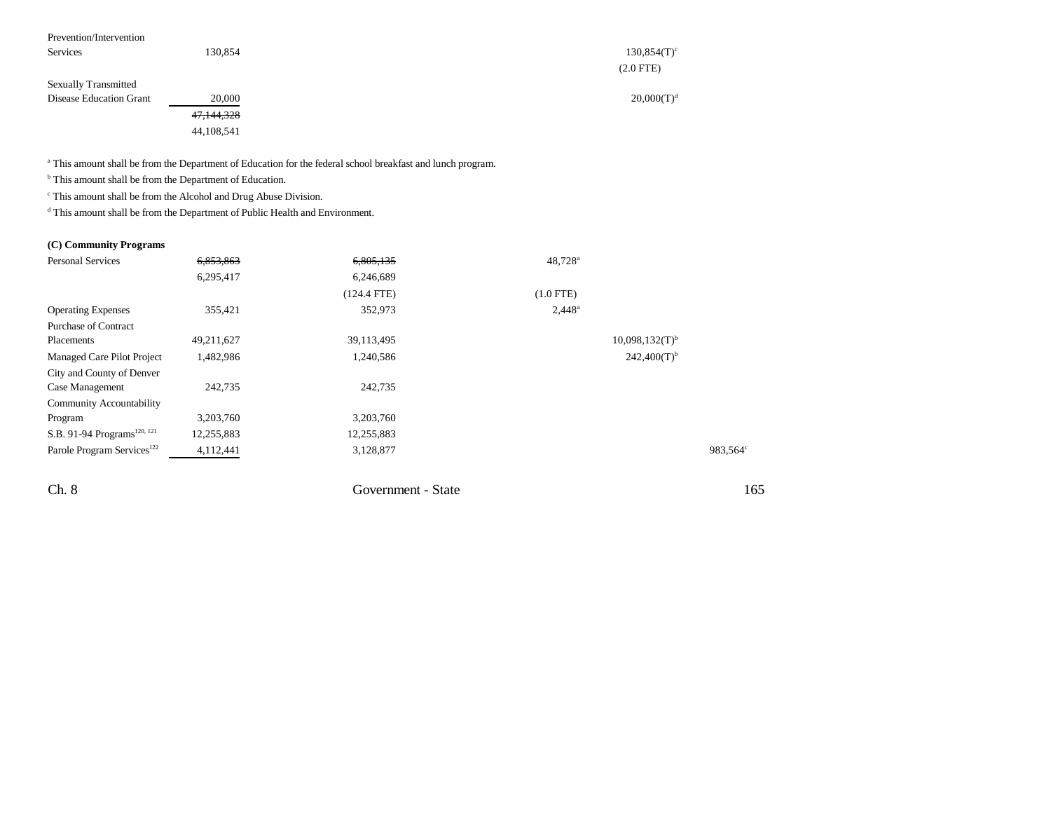| Prevention/Intervention        |            |                |
|--------------------------------|------------|----------------|
| Services                       | 130,854    | $130,854(T)^c$ |
|                                |            | $(2.0$ FTE $)$ |
| <b>Sexually Transmitted</b>    |            |                |
| <b>Disease Education Grant</b> | 20,000     | $20,000(T)^d$  |
|                                | 47,144,328 |                |
|                                | 44,108,541 |                |

a This amount shall be from the Department of Education for the federal school breakfast and lunch program.

<sup>b</sup> This amount shall be from the Department of Education.

 $\,^{\mathrm{c}}$  This amount shall be from the Alcohol and Drug Abuse Division.

 $^{\text{d}}$  This amount shall be from the Department of Public Health and Environment.

### **(C) Community Programs**

| <b>Personal Services</b>                | 6,853,863  | 6,805,135     | $48,728^{\rm a}$             |                      |
|-----------------------------------------|------------|---------------|------------------------------|----------------------|
|                                         | 6,295,417  | 6,246,689     |                              |                      |
|                                         |            | $(124.4$ FTE) | $(1.0$ FTE)                  |                      |
| <b>Operating Expenses</b>               | 355,421    | 352,973       | $2,448^{\circ}$              |                      |
| <b>Purchase of Contract</b>             |            |               |                              |                      |
| Placements                              | 49,211,627 | 39,113,495    | $10,098,132(T)$ <sup>b</sup> |                      |
| Managed Care Pilot Project              | 1,482,986  | 1,240,586     | $242,400(T)$ <sup>b</sup>    |                      |
| City and County of Denver               |            |               |                              |                      |
| Case Management                         | 242,735    | 242,735       |                              |                      |
| Community Accountability                |            |               |                              |                      |
| Program                                 | 3,203,760  | 3,203,760     |                              |                      |
| S.B. 91-94 Programs <sup>120, 121</sup> | 12,255,883 | 12,255,883    |                              |                      |
| Parole Program Services <sup>122</sup>  | 4,112,441  | 3,128,877     |                              | 983,564 <sup>c</sup> |
|                                         |            |               |                              |                      |
|                                         |            |               |                              |                      |

Ch. 8 Government - State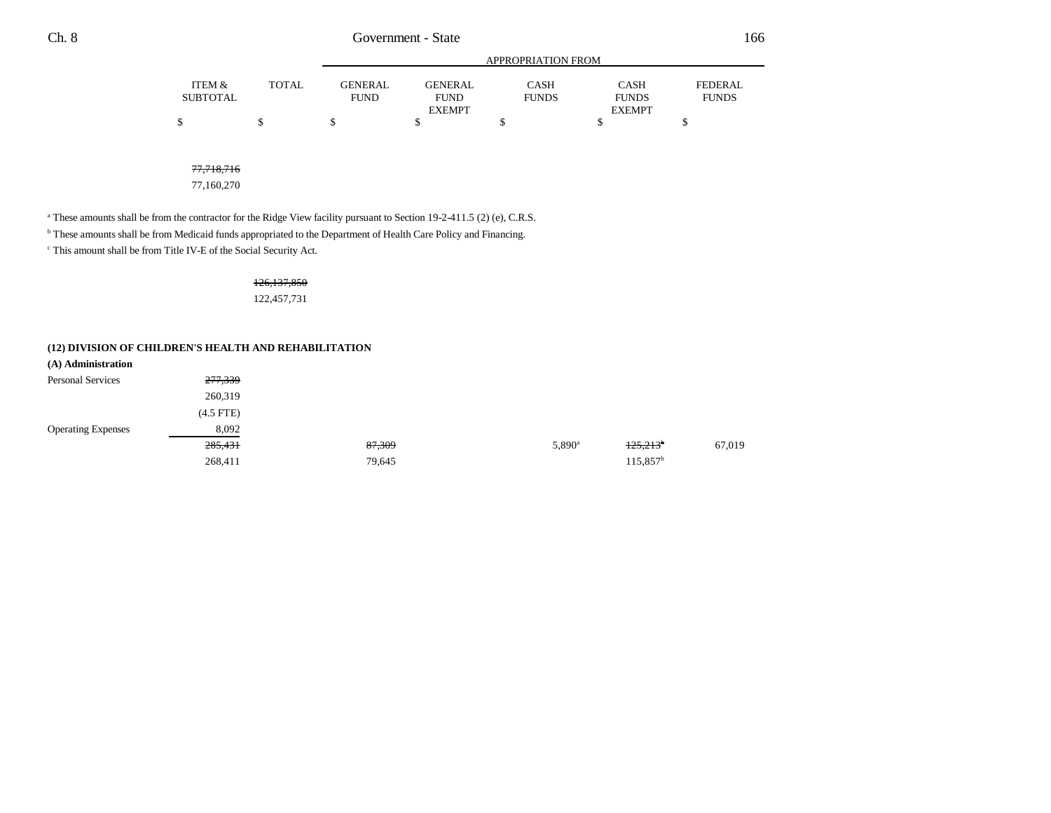|                 |        | APPROPRIATION FROM |                |              |               |              |
|-----------------|--------|--------------------|----------------|--------------|---------------|--------------|
| ITEM &          | TOTAL. | <b>GENERAL</b>     | <b>GENERAL</b> | CASH         | <b>CASH</b>   | FEDERAL      |
| <b>SUBTOTAL</b> |        | FUND               | <b>FUND</b>    | <b>FUNDS</b> | <b>FUNDS</b>  | <b>FUNDS</b> |
|                 |        |                    | <b>EXEMPT</b>  |              | <b>EXEMPT</b> |              |
|                 |        |                    |                |              |               |              |

77,718,716

77,160,270

<sup>a</sup> These amounts shall be from the contractor for the Ridge View facility pursuant to Section 19-2-411.5 (2) (e), C.R.S.

b These amounts shall be from Medicaid funds appropriated to the Department of Health Care Policy and Financing.

c This amount shall be from Title IV-E of the Social Security Act.

## 126,137,850

122,457,731

|  | (12) DIVISION OF CHILDREN'S HEALTH AND REHABILITATION |
|--|-------------------------------------------------------|
|--|-------------------------------------------------------|

| (A) Administration        |             |        |                 |                        |        |
|---------------------------|-------------|--------|-----------------|------------------------|--------|
| Personal Services         | 277,339     |        |                 |                        |        |
|                           | 260,319     |        |                 |                        |        |
|                           | $(4.5$ FTE) |        |                 |                        |        |
| <b>Operating Expenses</b> | 8,092       |        |                 |                        |        |
|                           | 285,431     | 87,309 | $5,890^{\rm a}$ | $+25,213$ <sup>b</sup> | 67,019 |
|                           | 268,411     | 79,645 |                 | $115,857^{\rm b}$      |        |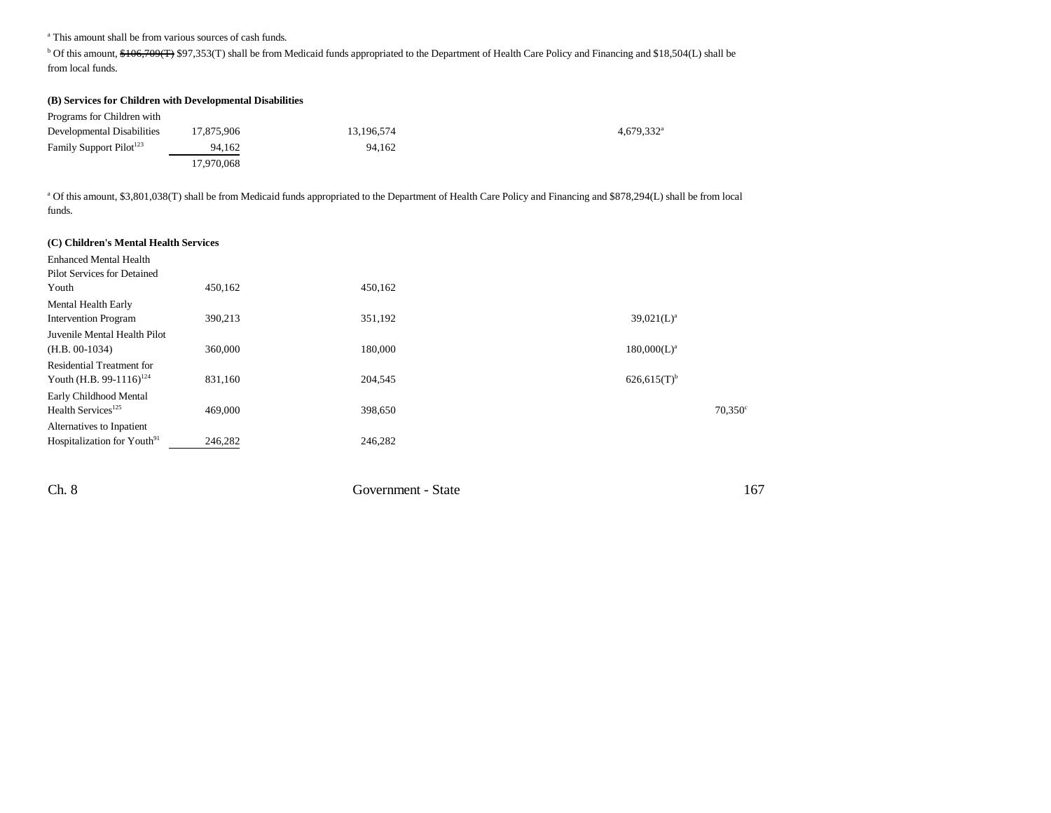<sup>a</sup> This amount shall be from various sources of cash funds.

<sup>b</sup> Of this amount, \$106,709(T) \$97,353(T) shall be from Medicaid funds appropriated to the Department of Health Care Policy and Financing and \$18,504(L) shall be from local funds.

| (B) Services for Children with Developmental Disabilities |            |            |                        |
|-----------------------------------------------------------|------------|------------|------------------------|
| Programs for Children with                                |            |            |                        |
| Developmental Disabilities                                | 17.875.906 | 13.196.574 | 4.679.332 <sup>a</sup> |
| Family Support Pilot <sup>123</sup>                       | 94.162     | 94.162     |                        |
|                                                           | 17.970.068 |            |                        |

a Of this amount, \$3,801,038(T) shall be from Medicaid funds appropriated to the Department of Health Care Policy and Financing and \$878,294(L) shall be from local funds.

| (C) Children's Mental Health Services   |         |         |                           |  |  |
|-----------------------------------------|---------|---------|---------------------------|--|--|
| <b>Enhanced Mental Health</b>           |         |         |                           |  |  |
| Pilot Services for Detained             |         |         |                           |  |  |
| Youth                                   | 450,162 | 450,162 |                           |  |  |
| Mental Health Early                     |         |         |                           |  |  |
| <b>Intervention Program</b>             | 390,213 | 351,192 | $39,021(L)^a$             |  |  |
| Juvenile Mental Health Pilot            |         |         |                           |  |  |
| $(H.B. 00-1034)$                        | 360,000 | 180,000 | 180,000(L) <sup>a</sup>   |  |  |
| <b>Residential Treatment for</b>        |         |         |                           |  |  |
| Youth (H.B. 99-1116) <sup>124</sup>     | 831,160 | 204,545 | $626,615(T)$ <sup>b</sup> |  |  |
| Early Childhood Mental                  |         |         |                           |  |  |
| Health Services <sup>125</sup>          | 469,000 | 398,650 | $70,350^{\circ}$          |  |  |
| Alternatives to Inpatient               |         |         |                           |  |  |
| Hospitalization for Youth <sup>91</sup> | 246,282 | 246,282 |                           |  |  |
|                                         |         |         |                           |  |  |

Ch. 8 Government - State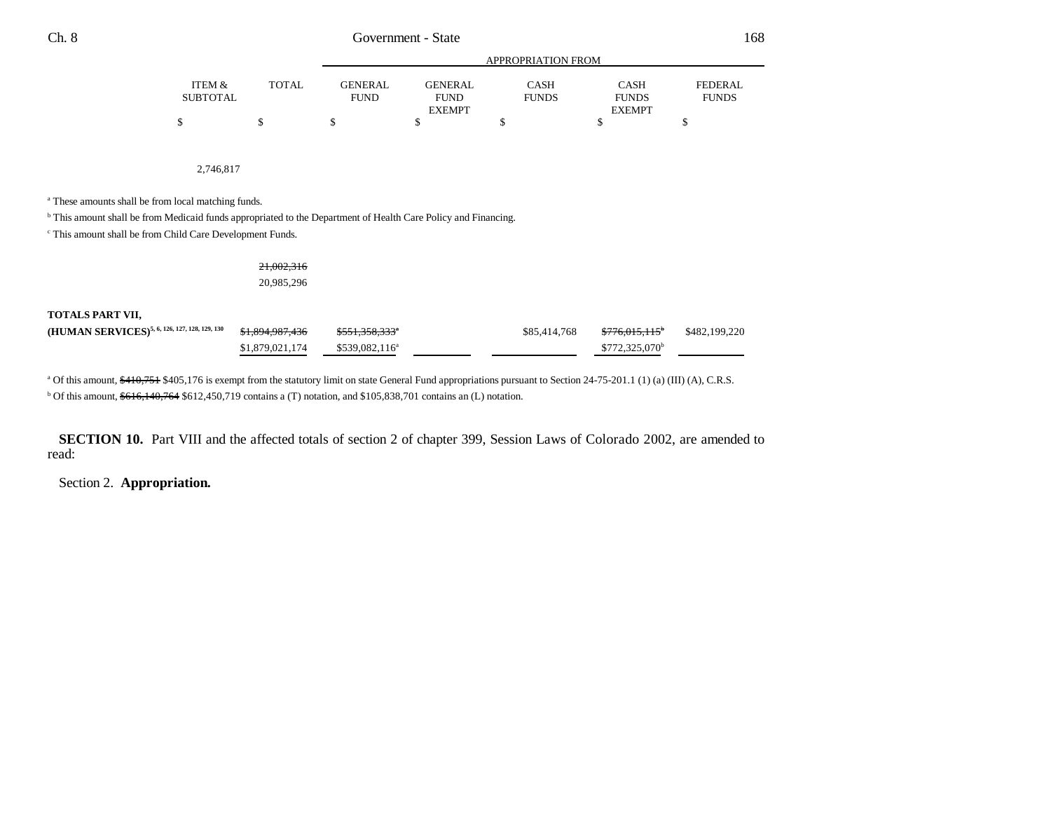|          | APPROPRIATION FROM |             |                |              |               |              |
|----------|--------------------|-------------|----------------|--------------|---------------|--------------|
| ITEM &   | TOTAL              | GENER AL.   | <b>GENERAL</b> | CASH         | <b>CASH</b>   | FEDERAL      |
| SUBTOTAL |                    | <b>FUND</b> | <b>FUND</b>    | <b>FUNDS</b> | <b>FUNDS</b>  | <b>FUNDS</b> |
|          |                    |             | <b>EXEMPT</b>  |              | <b>EXEMPT</b> |              |
|          |                    |             |                |              |               |              |

2,746,817

a These amounts shall be from local matching funds.

<sup>b</sup> This amount shall be from Medicaid funds appropriated to the Department of Health Care Policy and Financing.

c This amount shall be from Child Care Development Funds.

### 21,002,316 20,985,296

#### **TOTALS PART VII,**

| (HUMAN SERVICES) <sup>5, 6, 126, 127, 128, 129, 130</sup> \$1,894,987,436 |                 | \$551,358,333 <sup>*</sup> | \$85,414,768 | <del>\$776.015.115</del> * | \$482,199,220 |
|---------------------------------------------------------------------------|-----------------|----------------------------|--------------|----------------------------|---------------|
|                                                                           | \$1,879,021,174 | \$539,082,116 <sup>a</sup> |              | \$772,325,070 <sup>b</sup> |               |

<sup>a</sup> Of this amount, \$410,751 \$405,176 is exempt from the statutory limit on state General Fund appropriations pursuant to Section 24-75-201.1 (1) (a) (III) (A), C.R.S.  $b$  Of this amount,  $616,140,764$  \$612,450,719 contains a (T) notation, and \$105,838,701 contains an (L) notation.

**SECTION 10.** Part VIII and the affected totals of section 2 of chapter 399, Session Laws of Colorado 2002, are amended to read:

## Section 2. **Appropriation.**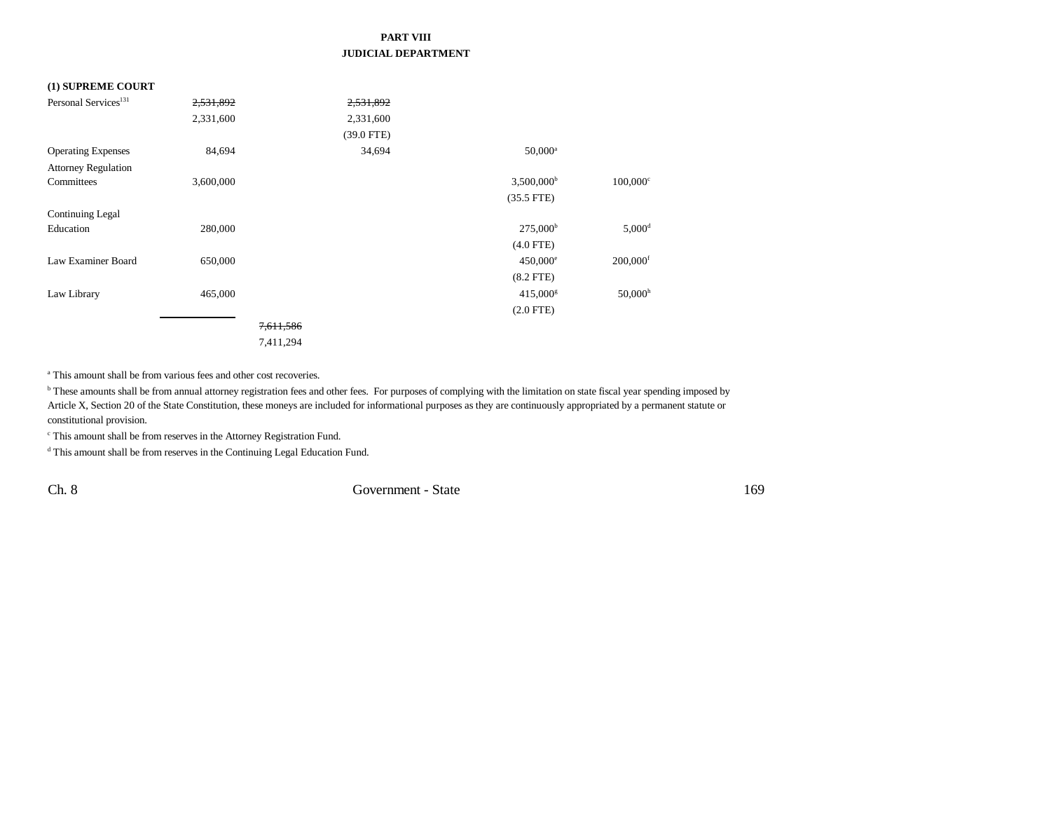## **PART VIII JUDICIAL DEPARTMENT**

#### **(1) SUPREME COURT**

| Personal Services <sup>131</sup> | 2,531,892 |           | 2,531,892    |                          |                        |
|----------------------------------|-----------|-----------|--------------|--------------------------|------------------------|
|                                  | 2,331,600 |           | 2,331,600    |                          |                        |
|                                  |           |           | $(39.0$ FTE) |                          |                        |
| <b>Operating Expenses</b>        | 84,694    |           | 34,694       | $50,000^{\rm a}$         |                        |
| <b>Attorney Regulation</b>       |           |           |              |                          |                        |
| Committees                       | 3,600,000 |           |              | $3,500,000$ <sup>b</sup> | $100,000$ <sup>c</sup> |
|                                  |           |           |              | $(35.5$ FTE)             |                        |
| Continuing Legal                 |           |           |              |                          |                        |
| Education                        | 280,000   |           |              | $275,000^{\rm b}$        | $5,000^d$              |
|                                  |           |           |              | $(4.0$ FTE)              |                        |
| Law Examiner Board               | 650,000   |           |              | $450,000^{\circ}$        | $200,000$ <sup>f</sup> |
|                                  |           |           |              | $(8.2$ FTE)              |                        |
| Law Library                      | 465,000   |           |              | $415,000$ <sup>g</sup>   | $50,000$ <sup>h</sup>  |
|                                  |           |           |              | $(2.0$ FTE)              |                        |
|                                  |           | 7,611,586 |              |                          |                        |
|                                  |           | 7,411,294 |              |                          |                        |

a This amount shall be from various fees and other cost recoveries.

**b** These amounts shall be from annual attorney registration fees and other fees. For purposes of complying with the limitation on state fiscal year spending imposed by Article X, Section 20 of the State Constitution, these moneys are included for informational purposes as they are continuously appropriated by a permanent statute or constitutional provision.

 $^{\mathrm{c}}$  This amount shall be from reserves in the Attorney Registration Fund.

d This amount shall be from reserves in the Continuing Legal Education Fund.

Ch. 8 Government - State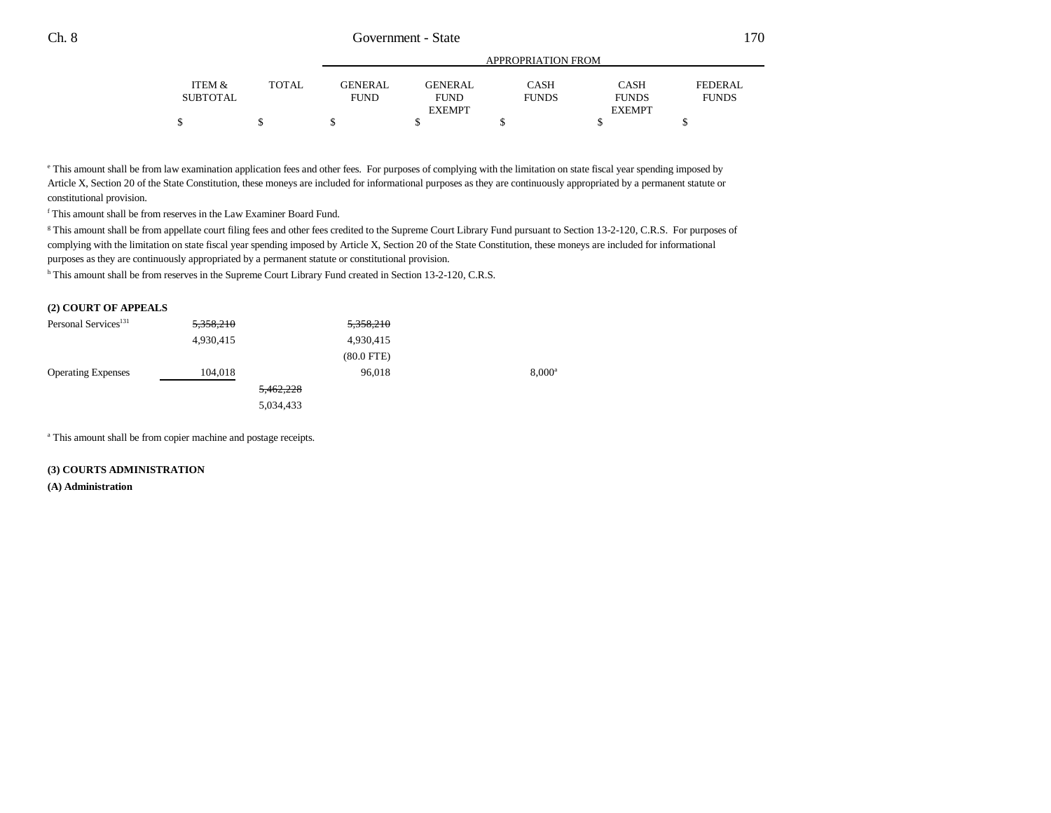|                 |              | APPROPRIATION FROM |                              |              |                               |              |
|-----------------|--------------|--------------------|------------------------------|--------------|-------------------------------|--------------|
| ITEM &          | <b>TOTAL</b> | <b>GENERAL</b>     | GENERAL                      | <b>CASH</b>  | CASH                          | FEDERAL      |
| <b>SUBTOTAL</b> |              | <b>FUND</b>        | <b>FUND</b><br><b>EXEMPT</b> | <b>FUNDS</b> | <b>FUNDS</b><br><b>EXEMPT</b> | <b>FUNDS</b> |
|                 |              |                    |                              |              |                               |              |

e This amount shall be from law examination application fees and other fees. For purposes of complying with the limitation on state fiscal year spending imposed by Article X, Section 20 of the State Constitution, these moneys are included for informational purposes as they are continuously appropriated by a permanent statute or constitutional provision.

f This amount shall be from reserves in the Law Examiner Board Fund.

<sup>g</sup> This amount shall be from appellate court filing fees and other fees credited to the Supreme Court Library Fund pursuant to Section 13-2-120, C.R.S. For purposes of complying with the limitation on state fiscal year spending imposed by Article X, Section 20 of the State Constitution, these moneys are included for informational purposes as they are continuously appropriated by a permanent statute or constitutional provision.

h This amount shall be from reserves in the Supreme Court Library Fund created in Section 13-2-120, C.R.S.

#### **(2) COURT OF APPEALS**

| Personal Services <sup>131</sup> | 5,358,210 | 5,358,210       |                 |
|----------------------------------|-----------|-----------------|-----------------|
|                                  | 4,930,415 | 4,930,415       |                 |
|                                  |           | $(80.0$ FTE $)$ |                 |
| <b>Operating Expenses</b>        | 104,018   | 96,018          | $8,000^{\circ}$ |
|                                  |           | 5,462,228       |                 |
|                                  |           | 5,034,433       |                 |

a This amount shall be from copier machine and postage receipts.

#### **(3) COURTS ADMINISTRATION**

**(A) Administration**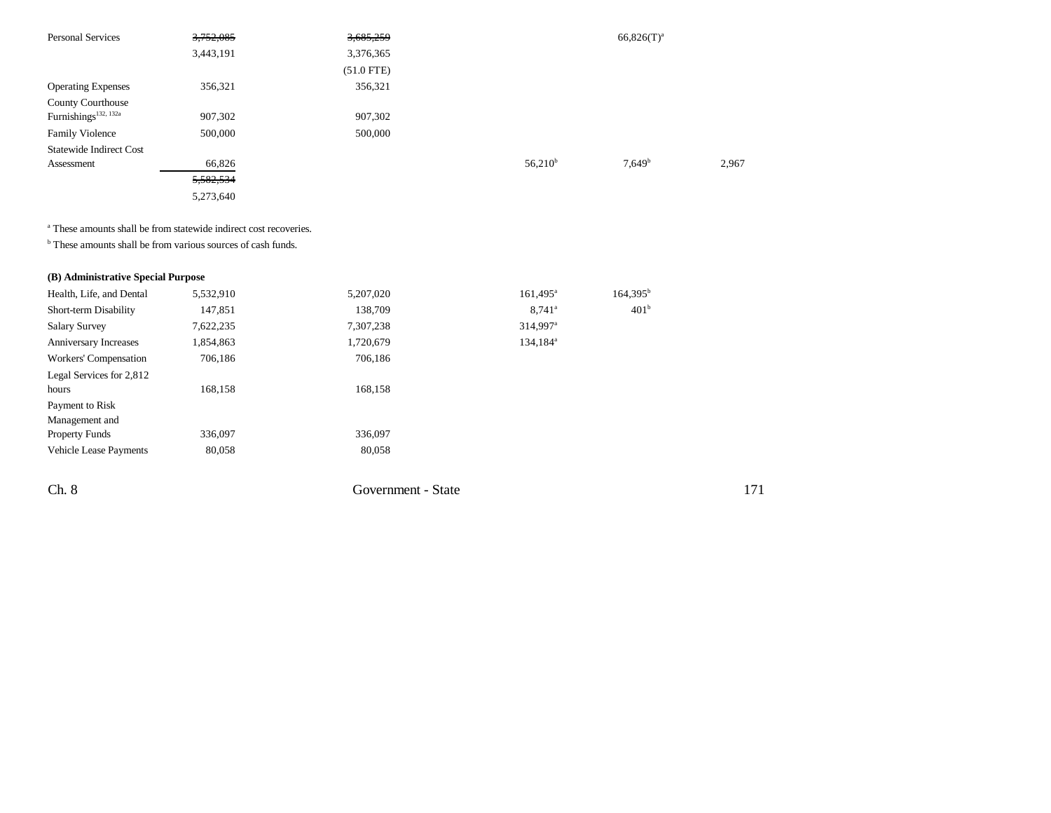| <b>Personal Services</b>         | 3,752,085 | 3,685,259    |              | $66,826(T)^a$ |       |
|----------------------------------|-----------|--------------|--------------|---------------|-------|
|                                  | 3,443,191 | 3,376,365    |              |               |       |
|                                  |           | $(51.0$ FTE) |              |               |       |
| <b>Operating Expenses</b>        | 356,321   | 356,321      |              |               |       |
| <b>County Courthouse</b>         |           |              |              |               |       |
| Furnishings <sup>132, 132a</sup> | 907,302   | 907,302      |              |               |       |
| <b>Family Violence</b>           | 500,000   | 500,000      |              |               |       |
| <b>Statewide Indirect Cost</b>   |           |              |              |               |       |
| Assessment                       | 66,826    |              | $56,210^{b}$ | $7,649^b$     | 2,967 |
|                                  | 5,582,534 |              |              |               |       |
|                                  | 5,273,640 |              |              |               |       |

<sup>a</sup> These amounts shall be from statewide indirect cost recoveries.

<sup>b</sup> These amounts shall be from various sources of cash funds.

### **(B) Administrative Special Purpose**

| Health, Life, and Dental     | 5,532,910 | 5,207,020 | $161,495^a$          | $164,395^b$      |
|------------------------------|-----------|-----------|----------------------|------------------|
| Short-term Disability        | 147,851   | 138,709   | $8,741^{\circ}$      | 401 <sup>b</sup> |
| <b>Salary Survey</b>         | 7,622,235 | 7,307,238 | 314,997 <sup>a</sup> |                  |
| <b>Anniversary Increases</b> | 1,854,863 | 1,720,679 | 134,184 <sup>a</sup> |                  |
| Workers' Compensation        | 706.186   | 706.186   |                      |                  |
| Legal Services for 2,812     |           |           |                      |                  |
| hours                        | 168,158   | 168,158   |                      |                  |
| Payment to Risk              |           |           |                      |                  |
| Management and               |           |           |                      |                  |
| <b>Property Funds</b>        | 336,097   | 336,097   |                      |                  |
| Vehicle Lease Payments       | 80,058    | 80,058    |                      |                  |
|                              |           |           |                      |                  |

Ch. 8 Government - State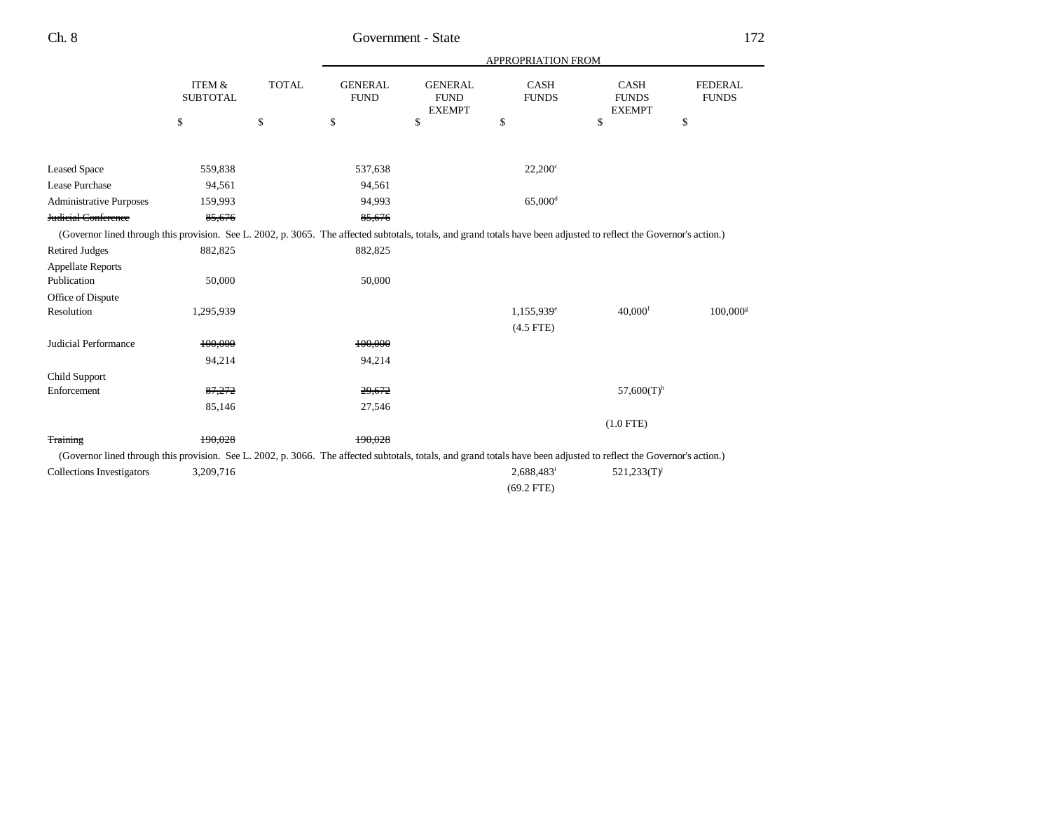|                                                                                                                                                                      |                           |              |                               |                                                | APPROPRIATION FROM       |                                              |                                |
|----------------------------------------------------------------------------------------------------------------------------------------------------------------------|---------------------------|--------------|-------------------------------|------------------------------------------------|--------------------------|----------------------------------------------|--------------------------------|
|                                                                                                                                                                      | ITEM &<br><b>SUBTOTAL</b> | <b>TOTAL</b> | <b>GENERAL</b><br><b>FUND</b> | <b>GENERAL</b><br><b>FUND</b><br><b>EXEMPT</b> | CASH<br><b>FUNDS</b>     | <b>CASH</b><br><b>FUNDS</b><br><b>EXEMPT</b> | <b>FEDERAL</b><br><b>FUNDS</b> |
|                                                                                                                                                                      | \$                        | \$           | \$                            | \$                                             | \$                       | \$                                           | \$                             |
|                                                                                                                                                                      |                           |              |                               |                                                |                          |                                              |                                |
| <b>Leased Space</b>                                                                                                                                                  | 559,838                   |              | 537,638                       |                                                | $22,200^{\circ}$         |                                              |                                |
| Lease Purchase                                                                                                                                                       | 94,561                    |              | 94,561                        |                                                |                          |                                              |                                |
| <b>Administrative Purposes</b>                                                                                                                                       | 159,993                   |              | 94,993                        |                                                | $65,000$ <sup>d</sup>    |                                              |                                |
| <b>Judicial Conference</b>                                                                                                                                           | 85,676                    |              | 85,676                        |                                                |                          |                                              |                                |
| (Governor lined through this provision. See L. 2002, p. 3065. The affected subtotals, totals, and grand totals have been adjusted to reflect the Governor's action.) |                           |              |                               |                                                |                          |                                              |                                |
| <b>Retired Judges</b>                                                                                                                                                | 882,825                   |              | 882,825                       |                                                |                          |                                              |                                |
| <b>Appellate Reports</b>                                                                                                                                             |                           |              |                               |                                                |                          |                                              |                                |
| Publication                                                                                                                                                          | 50,000                    |              | 50,000                        |                                                |                          |                                              |                                |
| Office of Dispute                                                                                                                                                    |                           |              |                               |                                                |                          |                                              |                                |
| Resolution                                                                                                                                                           | 1,295,939                 |              |                               |                                                | 1,155,939 <sup>e</sup>   | $40,000$ <sup>f</sup>                        | $100,000$ <sup>s</sup>         |
|                                                                                                                                                                      |                           |              |                               |                                                | $(4.5$ FTE)              |                                              |                                |
| Judicial Performance                                                                                                                                                 | 100.000                   |              | 100.000                       |                                                |                          |                                              |                                |
|                                                                                                                                                                      | 94,214                    |              | 94,214                        |                                                |                          |                                              |                                |
| Child Support                                                                                                                                                        |                           |              |                               |                                                |                          |                                              |                                |
| Enforcement                                                                                                                                                          | 87,272                    |              | 29,672                        |                                                |                          | $57,600(T)$ <sup>h</sup>                     |                                |
|                                                                                                                                                                      | 85,146                    |              | 27,546                        |                                                |                          |                                              |                                |
|                                                                                                                                                                      |                           |              |                               |                                                |                          | $(1.0$ FTE)                                  |                                |
| <b>Training</b>                                                                                                                                                      | 190,028                   |              | 190.028                       |                                                |                          |                                              |                                |
| (Governor lined through this provision. See L. 2002, p. 3066. The affected subtotals, totals, and grand totals have been adjusted to reflect the Governor's action.) |                           |              |                               |                                                |                          |                                              |                                |
| <b>Collections Investigators</b>                                                                                                                                     | 3,209,716                 |              |                               |                                                | $2,688,483$ <sup>i</sup> | $521,233(T)^{j}$                             |                                |
|                                                                                                                                                                      |                           |              |                               |                                                | $(69.2$ FTE)             |                                              |                                |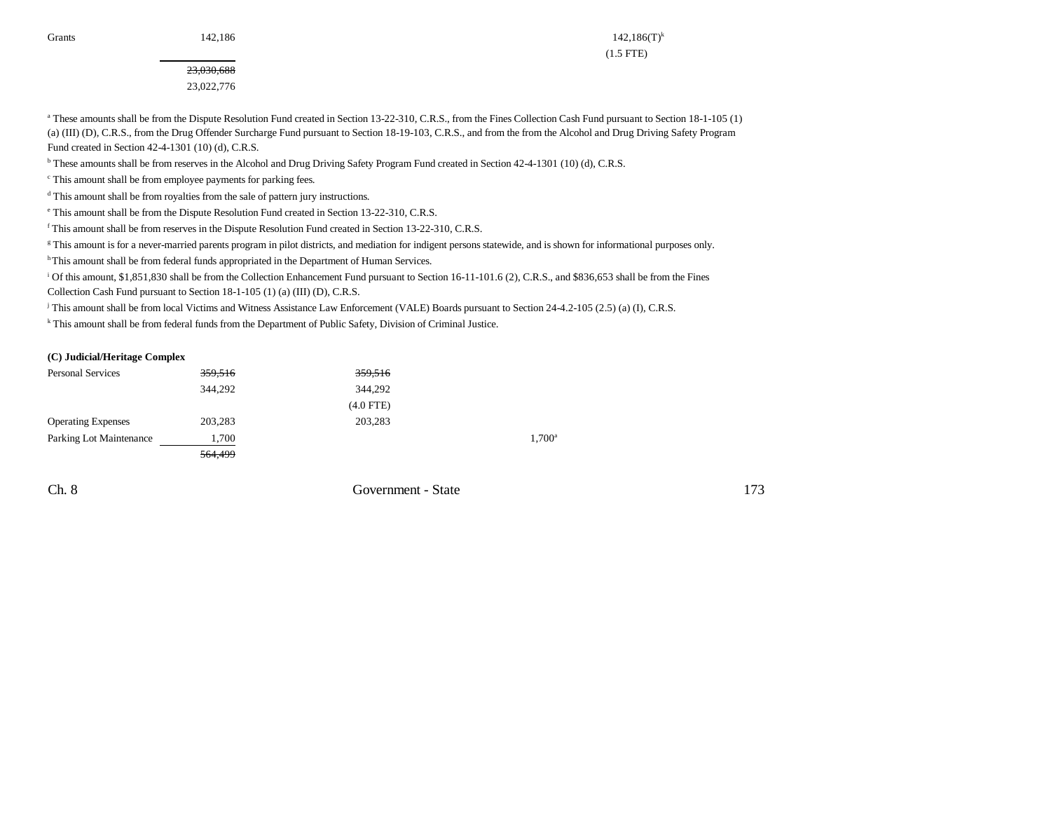23,030,688 23,022,776

Grants 142,186 142,186 142,186 142,186 142,186 142,186 142,186 142,186 142,186 142,186 142,186 142,186 15 (1.5 FTE)

<sup>a</sup> These amounts shall be from the Dispute Resolution Fund created in Section 13-22-310, C.R.S., from the Fines Collection Cash Fund pursuant to Section 18-1-105 (1) (a) (III) (D), C.R.S., from the Drug Offender Surcharge Fund pursuant to Section 18-19-103, C.R.S., and from the from the Alcohol and Drug Driving Safety Program Fund created in Section 42-4-1301 (10) (d), C.R.S.

b These amounts shall be from reserves in the Alcohol and Drug Driving Safety Program Fund created in Section 42-4-1301 (10) (d), C.R.S.

c This amount shall be from employee payments for parking fees.

d This amount shall be from royalties from the sale of pattern jury instructions.

e This amount shall be from the Dispute Resolution Fund created in Section 13-22-310, C.R.S.

f This amount shall be from reserves in the Dispute Resolution Fund created in Section 13-22-310, C.R.S.

g This amount is for a never-married parents program in pilot districts, and mediation for indigent persons statewide, and is shown for informational purposes only.

h This amount shall be from federal funds appropriated in the Department of Human Services.

<sup>i</sup> Of this amount, \$1,851,830 shall be from the Collection Enhancement Fund pursuant to Section 16-11-101.6 (2), C.R.S., and \$836,653 shall be from the Fines Collection Cash Fund pursuant to Section 18-1-105 (1) (a) (III) (D), C.R.S.

j This amount shall be from local Victims and Witness Assistance Law Enforcement (VALE) Boards pursuant to Section 24-4.2-105 (2.5) (a) (I), C.R.S.

<sup>k</sup> This amount shall be from federal funds from the Department of Public Safety, Division of Criminal Justice.

#### **(C) Judicial/Heritage Complex**

| <b>Personal Services</b>  | 359,516 | 359,516     |                 |
|---------------------------|---------|-------------|-----------------|
|                           | 344,292 | 344,292     |                 |
|                           |         | $(4.0$ FTE) |                 |
| <b>Operating Expenses</b> | 203,283 | 203,283     |                 |
| Parking Lot Maintenance   | 1,700   |             | $1.700^{\circ}$ |
|                           | 564,499 |             |                 |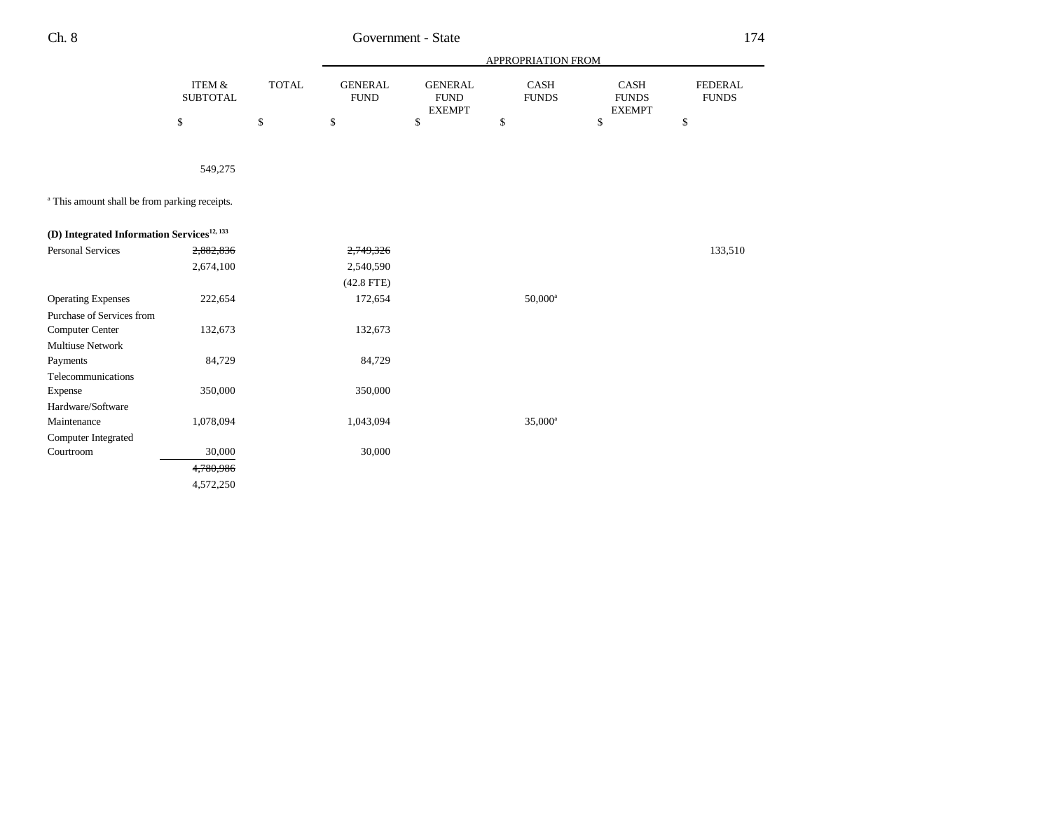|                                                          |                           |              |                               |                                                | APPROPRIATION FROM          |                                              |                                |
|----------------------------------------------------------|---------------------------|--------------|-------------------------------|------------------------------------------------|-----------------------------|----------------------------------------------|--------------------------------|
|                                                          | ITEM &<br><b>SUBTOTAL</b> | <b>TOTAL</b> | <b>GENERAL</b><br><b>FUND</b> | <b>GENERAL</b><br><b>FUND</b><br><b>EXEMPT</b> | <b>CASH</b><br><b>FUNDS</b> | <b>CASH</b><br><b>FUNDS</b><br><b>EXEMPT</b> | <b>FEDERAL</b><br><b>FUNDS</b> |
|                                                          | \$                        | \$           | \$                            | \$                                             | \$                          | \$                                           | \$                             |
|                                                          |                           |              |                               |                                                |                             |                                              |                                |
|                                                          | 549,275                   |              |                               |                                                |                             |                                              |                                |
| <sup>a</sup> This amount shall be from parking receipts. |                           |              |                               |                                                |                             |                                              |                                |
| (D) Integrated Information Services <sup>12, 133</sup>   |                           |              |                               |                                                |                             |                                              |                                |
| <b>Personal Services</b>                                 | 2,882,836                 |              | 2,749,326                     |                                                |                             |                                              | 133,510                        |
|                                                          | 2,674,100                 |              | 2,540,590                     |                                                |                             |                                              |                                |
|                                                          |                           |              | $(42.8$ FTE)                  |                                                |                             |                                              |                                |
| <b>Operating Expenses</b>                                | 222,654                   |              | 172,654                       |                                                | $50,000^{\rm a}$            |                                              |                                |
| Purchase of Services from                                |                           |              |                               |                                                |                             |                                              |                                |
| Computer Center                                          | 132,673                   |              | 132,673                       |                                                |                             |                                              |                                |
| <b>Multiuse Network</b>                                  |                           |              |                               |                                                |                             |                                              |                                |
| Payments                                                 | 84,729                    |              | 84,729                        |                                                |                             |                                              |                                |
| Telecommunications                                       |                           |              |                               |                                                |                             |                                              |                                |
| Expense                                                  | 350,000                   |              | 350,000                       |                                                |                             |                                              |                                |
| Hardware/Software                                        |                           |              |                               |                                                |                             |                                              |                                |
| Maintenance                                              | 1,078,094                 |              | 1,043,094                     |                                                | $35,000^a$                  |                                              |                                |
| Computer Integrated                                      |                           |              |                               |                                                |                             |                                              |                                |
| Courtroom                                                | 30,000                    |              | 30,000                        |                                                |                             |                                              |                                |
|                                                          | 4,780,986                 |              |                               |                                                |                             |                                              |                                |
|                                                          | 4,572,250                 |              |                               |                                                |                             |                                              |                                |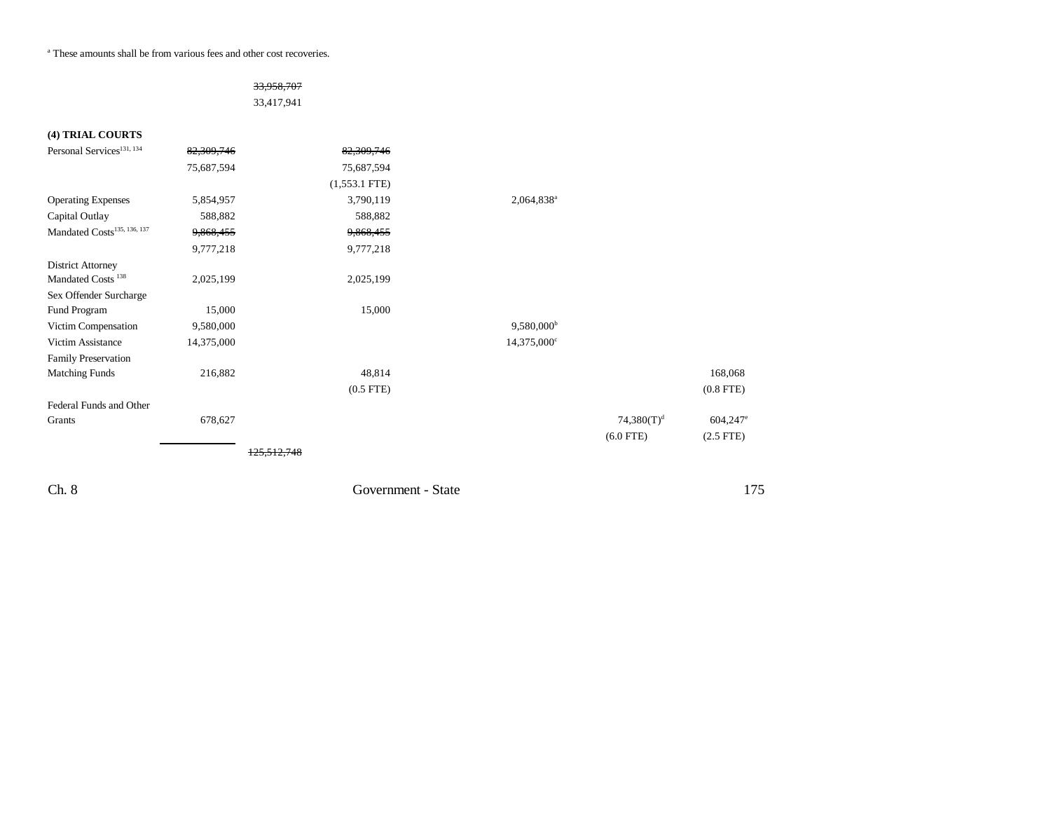a These amounts shall be from various fees and other cost recoveries.

### 33,958,707

33,417,941

| (4) TRIAL COURTS                        |            |                 |                         |                |                |
|-----------------------------------------|------------|-----------------|-------------------------|----------------|----------------|
| Personal Services <sup>131, 134</sup>   | 82,309,746 | 82,309,746      |                         |                |                |
|                                         | 75,687,594 | 75,687,594      |                         |                |                |
|                                         |            | $(1,553.1$ FTE) |                         |                |                |
| <b>Operating Expenses</b>               | 5,854,957  | 3,790,119       | 2,064,838 <sup>a</sup>  |                |                |
| Capital Outlay                          | 588,882    | 588,882         |                         |                |                |
| Mandated Costs <sup>135, 136, 137</sup> | 9,868,455  | 9,868,455       |                         |                |                |
|                                         | 9,777,218  | 9,777,218       |                         |                |                |
| <b>District Attorney</b>                |            |                 |                         |                |                |
| Mandated Costs <sup>138</sup>           | 2,025,199  | 2,025,199       |                         |                |                |
| Sex Offender Surcharge                  |            |                 |                         |                |                |
| Fund Program                            | 15,000     | 15,000          |                         |                |                |
| Victim Compensation                     | 9,580,000  |                 | $9,580,000^{\rm b}$     |                |                |
| Victim Assistance                       | 14,375,000 |                 | 14,375,000 <sup>c</sup> |                |                |
| <b>Family Preservation</b>              |            |                 |                         |                |                |
| <b>Matching Funds</b>                   | 216,882    | 48,814          |                         |                | 168,068        |
|                                         |            | $(0.5$ FTE)     |                         |                | $(0.8$ FTE $)$ |
| Federal Funds and Other                 |            |                 |                         |                |                |
| Grants                                  | 678,627    |                 |                         | 74,380 $(T)^d$ | 604,247        |
|                                         |            |                 |                         | $(6.0$ FTE)    | $(2.5$ FTE)    |
|                                         |            |                 |                         |                |                |
|                                         |            |                 |                         |                |                |

Ch. 8 Government - State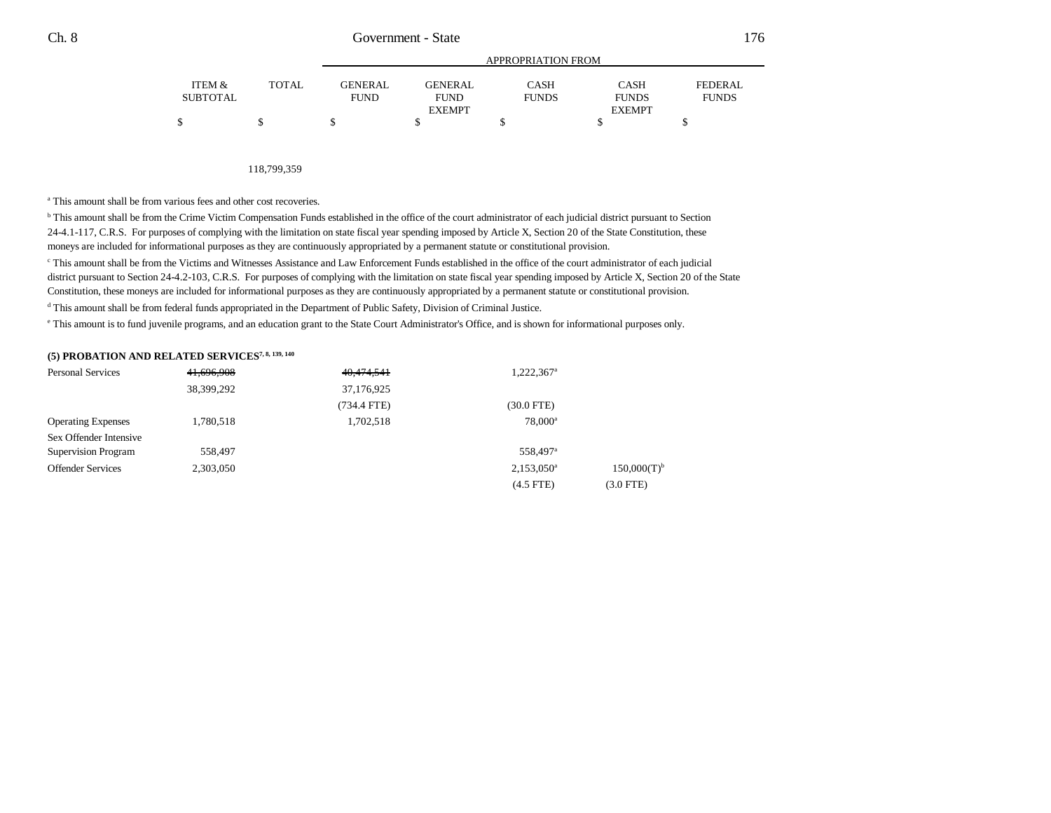|                 |              |                | APPROPRIATION FROM |              |               |              |  |
|-----------------|--------------|----------------|--------------------|--------------|---------------|--------------|--|
| ITEM &          | <b>TOTAL</b> | <b>GENERAL</b> | <b>GENERAL</b>     | CASH         | CASH          | FEDERAL      |  |
| <b>SUBTOTAL</b> |              | <b>FUND</b>    | <b>FUND</b>        | <b>FUNDS</b> | <b>FUNDS</b>  | <b>FUNDS</b> |  |
|                 |              |                | <b>EXEMPT</b>      |              | <b>EXEMPT</b> |              |  |
|                 |              |                |                    |              |               |              |  |

118,799,359

a This amount shall be from various fees and other cost recoveries.

<sup>b</sup> This amount shall be from the Crime Victim Compensation Funds established in the office of the court administrator of each judicial district pursuant to Section 24-4.1-117, C.R.S. For purposes of complying with the limitation on state fiscal year spending imposed by Article X, Section 20 of the State Constitution, these moneys are included for informational purposes as they are continuously appropriated by a permanent statute or constitutional provision.

c This amount shall be from the Victims and Witnesses Assistance and Law Enforcement Funds established in the office of the court administrator of each judicial district pursuant to Section 24-4.2-103, C.R.S. For purposes of complying with the limitation on state fiscal year spending imposed by Article X, Section 20 of the State Constitution, these moneys are included for informational purposes as they are continuously appropriated by a permanent statute or constitutional provision.

d This amount shall be from federal funds appropriated in the Department of Public Safety, Division of Criminal Justice.

e This amount is to fund juvenile programs, and an education grant to the State Court Administrator's Office, and is shown for informational purposes only.

### **(5) PROBATION AND RELATED SERVICES7, 8, 139, 140**

| <b>Personal Services</b>   | 41,696,908 | 40,474,541  | 1,222,367 <sup>a</sup> |                  |
|----------------------------|------------|-------------|------------------------|------------------|
|                            | 38,399,292 | 37,176,925  |                        |                  |
|                            |            | (734.4 FTE) | (30.0 FTE)             |                  |
| <b>Operating Expenses</b>  | 1,780,518  | 1,702,518   | $78,000^{\rm a}$       |                  |
| Sex Offender Intensive     |            |             |                        |                  |
| <b>Supervision Program</b> | 558,497    |             | 558,497 <sup>a</sup>   |                  |
| <b>Offender Services</b>   | 2,303,050  |             | $2,153,050^{\circ}$    | $150,000(T)^{b}$ |
|                            |            |             | $(4.5$ FTE)            | $(3.0$ FTE $)$   |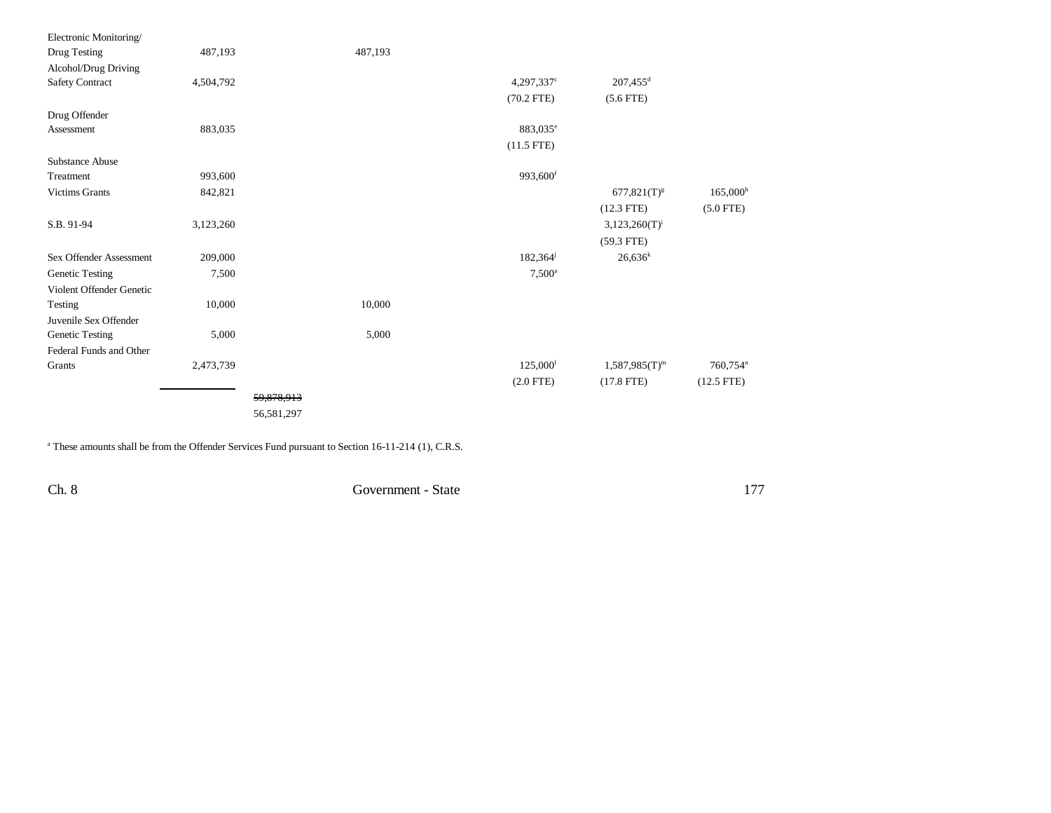| Electronic Monitoring/<br>Drug Testing | 487,193   |            | 487,193 |                          |                        |                      |
|----------------------------------------|-----------|------------|---------|--------------------------|------------------------|----------------------|
| Alcohol/Drug Driving                   |           |            |         |                          |                        |                      |
| Safety Contract                        | 4,504,792 |            |         | $4,297,337$ <sup>c</sup> | $207,455$ <sup>d</sup> |                      |
|                                        |           |            |         | $(70.2$ FTE)             | $(5.6$ FTE)            |                      |
| Drug Offender                          |           |            |         |                          |                        |                      |
| Assessment                             | 883,035   |            |         | 883,035 <sup>e</sup>     |                        |                      |
|                                        |           |            |         | $(11.5$ FTE)             |                        |                      |
| Substance Abuse                        |           |            |         |                          |                        |                      |
| Treatment                              | 993,600   |            |         | 993,600 <sup>f</sup>     |                        |                      |
| <b>Victims Grants</b>                  | 842,821   |            |         |                          | $677,821(T)^{g}$       | $165,000^{\rm h}$    |
|                                        |           |            |         |                          | $(12.3$ FTE)           | $(5.0$ FTE)          |
| S.B. 91-94                             | 3,123,260 |            |         |                          | $3,123,260(T)^{i}$     |                      |
|                                        |           |            |         |                          | $(59.3$ FTE)           |                      |
| Sex Offender Assessment                | 209,000   |            |         | 182,364 <sup>j</sup>     | $26,636^k$             |                      |
| Genetic Testing                        | 7,500     |            |         | $7,500^{\circ}$          |                        |                      |
| Violent Offender Genetic               |           |            |         |                          |                        |                      |
| Testing                                | 10,000    |            | 10,000  |                          |                        |                      |
| Juvenile Sex Offender                  |           |            |         |                          |                        |                      |
| Genetic Testing                        | 5,000     |            | 5,000   |                          |                        |                      |
| Federal Funds and Other                |           |            |         |                          |                        |                      |
| Grants                                 | 2,473,739 |            |         | 125,000                  | $1,587,985(T)^m$       | 760,754 <sup>n</sup> |
|                                        |           |            |         | $(2.0$ FTE)              | $(17.8$ FTE)           | $(12.5$ FTE)         |
|                                        |           | 59,878,913 |         |                          |                        |                      |
|                                        |           | 56,581,297 |         |                          |                        |                      |
|                                        |           |            |         |                          |                        |                      |

<sup>a</sup> These amounts shall be from the Offender Services Fund pursuant to Section 16-11-214 (1), C.R.S.

Ch. 8 Government - State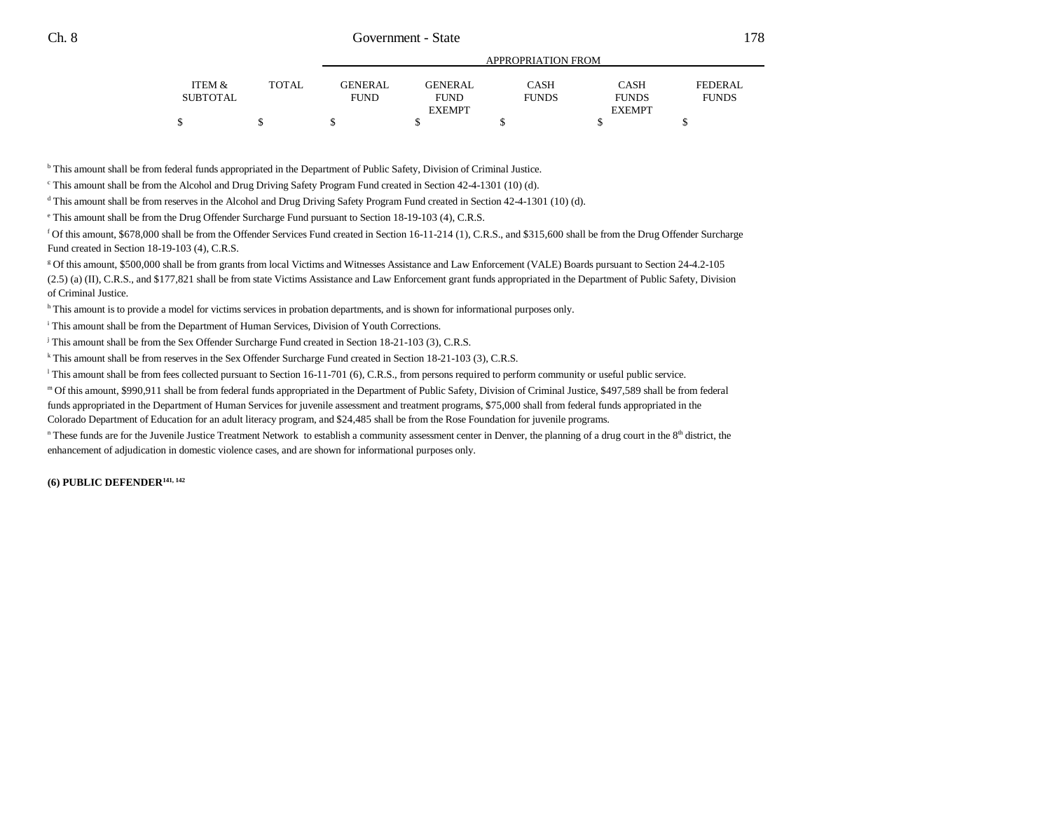|          |       |                |                | APPROPRIATION FROM |               |                |
|----------|-------|----------------|----------------|--------------------|---------------|----------------|
| ITEM &   | TOTAL | <b>GENERAL</b> | <b>GENERAL</b> | <b>CASH</b>        | <b>CASH</b>   | <b>FEDERAL</b> |
| SUBTOTAL |       | <b>FUND</b>    | <b>FUND</b>    | <b>FUNDS</b>       | <b>FUNDS</b>  | <b>FUNDS</b>   |
|          |       |                | <b>EXEMPT</b>  |                    | <b>EXEMPT</b> |                |
|          |       |                |                |                    |               |                |

b This amount shall be from federal funds appropriated in the Department of Public Safety, Division of Criminal Justice.

 $\degree$  This amount shall be from the Alcohol and Drug Driving Safety Program Fund created in Section 42-4-1301 (10) (d).

d This amount shall be from reserves in the Alcohol and Drug Driving Safety Program Fund created in Section 42-4-1301 (10) (d).

e This amount shall be from the Drug Offender Surcharge Fund pursuant to Section 18-19-103 (4), C.R.S.

f Of this amount, \$678,000 shall be from the Offender Services Fund created in Section 16-11-214 (1), C.R.S., and \$315,600 shall be from the Drug Offender Surcharge Fund created in Section 18-19-103 (4), C.R.S.

g Of this amount, \$500,000 shall be from grants from local Victims and Witnesses Assistance and Law Enforcement (VALE) Boards pursuant to Section 24-4.2-105 (2.5) (a) (II), C.R.S., and \$177,821 shall be from state Victims Assistance and Law Enforcement grant funds appropriated in the Department of Public Safety, Division

of Criminal Justice.

h This amount is to provide a model for victims services in probation departments, and is shown for informational purposes only.

i This amount shall be from the Department of Human Services, Division of Youth Corrections.

j This amount shall be from the Sex Offender Surcharge Fund created in Section 18-21-103 (3), C.R.S.

k This amount shall be from reserves in the Sex Offender Surcharge Fund created in Section 18-21-103 (3), C.R.S.

<sup>1</sup> This amount shall be from fees collected pursuant to Section 16-11-701 (6), C.R.S., from persons required to perform community or useful public service.

m Of this amount, \$990,911 shall be from federal funds appropriated in the Department of Public Safety, Division of Criminal Justice, \$497,589 shall be from federal

funds appropriated in the Department of Human Services for juvenile assessment and treatment programs, \$75,000 shall from federal funds appropriated in the Colorado Department of Education for an adult literacy program, and \$24,485 shall be from the Rose Foundation for juvenile programs.

<sup>n</sup> These funds are for the Juvenile Justice Treatment Network to establish a community assessment center in Denver, the planning of a drug court in the 8<sup>th</sup> district, the enhancement of adjudication in domestic violence cases, and are shown for informational purposes only.

**(6) PUBLIC DEFENDER141, 142**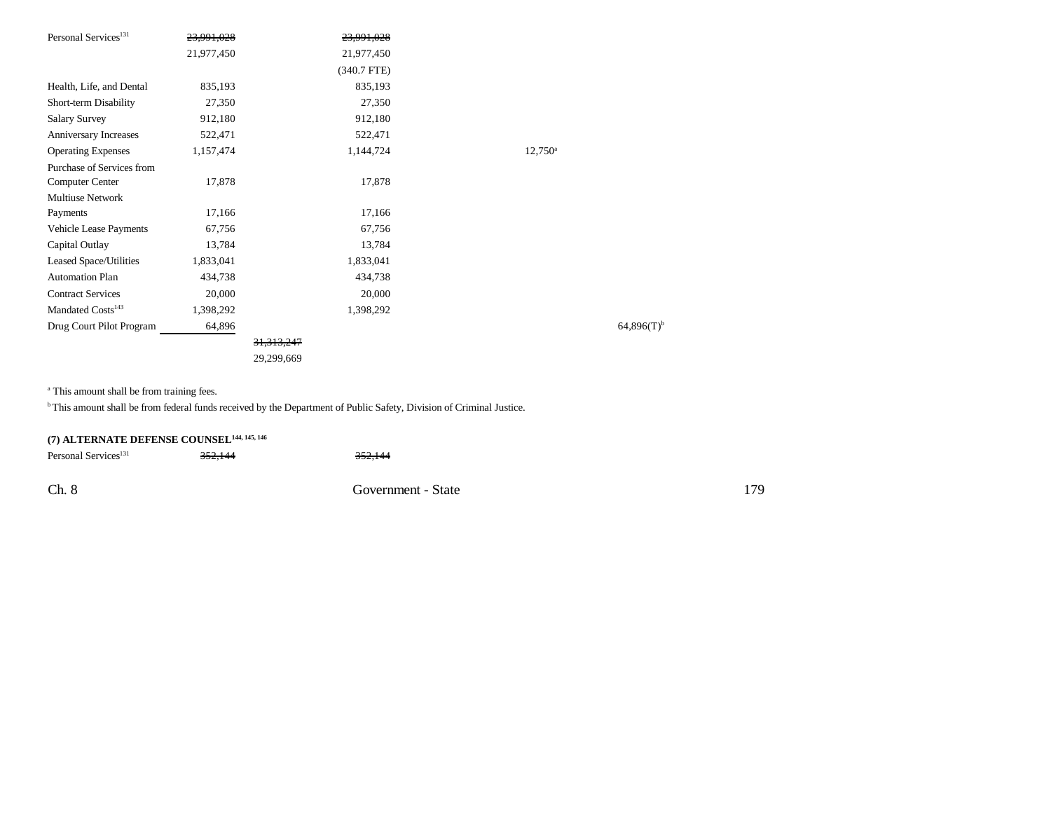| Personal Services <sup>131</sup> | 23.991.028 |              | 23.991.028    |                          |
|----------------------------------|------------|--------------|---------------|--------------------------|
|                                  | 21,977,450 |              | 21,977,450    |                          |
|                                  |            |              | $(340.7$ FTE) |                          |
| Health, Life, and Dental         | 835,193    |              | 835,193       |                          |
| Short-term Disability            | 27,350     |              | 27,350        |                          |
| <b>Salary Survey</b>             | 912,180    |              | 912,180       |                          |
| Anniversary Increases            | 522,471    |              | 522,471       |                          |
| <b>Operating Expenses</b>        | 1,157,474  |              | 1,144,724     | $12,750^{\circ}$         |
| Purchase of Services from        |            |              |               |                          |
| <b>Computer Center</b>           | 17,878     |              | 17,878        |                          |
| <b>Multiuse Network</b>          |            |              |               |                          |
| Payments                         | 17,166     |              | 17,166        |                          |
| Vehicle Lease Payments           | 67,756     |              | 67,756        |                          |
| Capital Outlay                   | 13,784     |              | 13,784        |                          |
| Leased Space/Utilities           | 1,833,041  |              | 1,833,041     |                          |
| <b>Automation Plan</b>           | 434,738    |              | 434,738       |                          |
| <b>Contract Services</b>         | 20,000     |              | 20,000        |                          |
| Mandated Costs <sup>143</sup>    | 1,398,292  |              | 1,398,292     |                          |
| Drug Court Pilot Program         | 64,896     |              |               | $64,896(T)$ <sup>t</sup> |
|                                  |            | 31, 313, 247 |               |                          |
|                                  |            | 29,299,669   |               |                          |

<sup>a</sup> This amount shall be from training fees.

b This amount shall be from federal funds received by the Department of Public Safety, Division of Criminal Justice.

| (7) ALTERNATE DEFENSE COUNSEL <sup>144, 145, 146</sup> |         |                    |     |
|--------------------------------------------------------|---------|--------------------|-----|
| Personal Services <sup>131</sup>                       | 352.144 | 352.144            |     |
| Ch. 8                                                  |         | Government - State | 179 |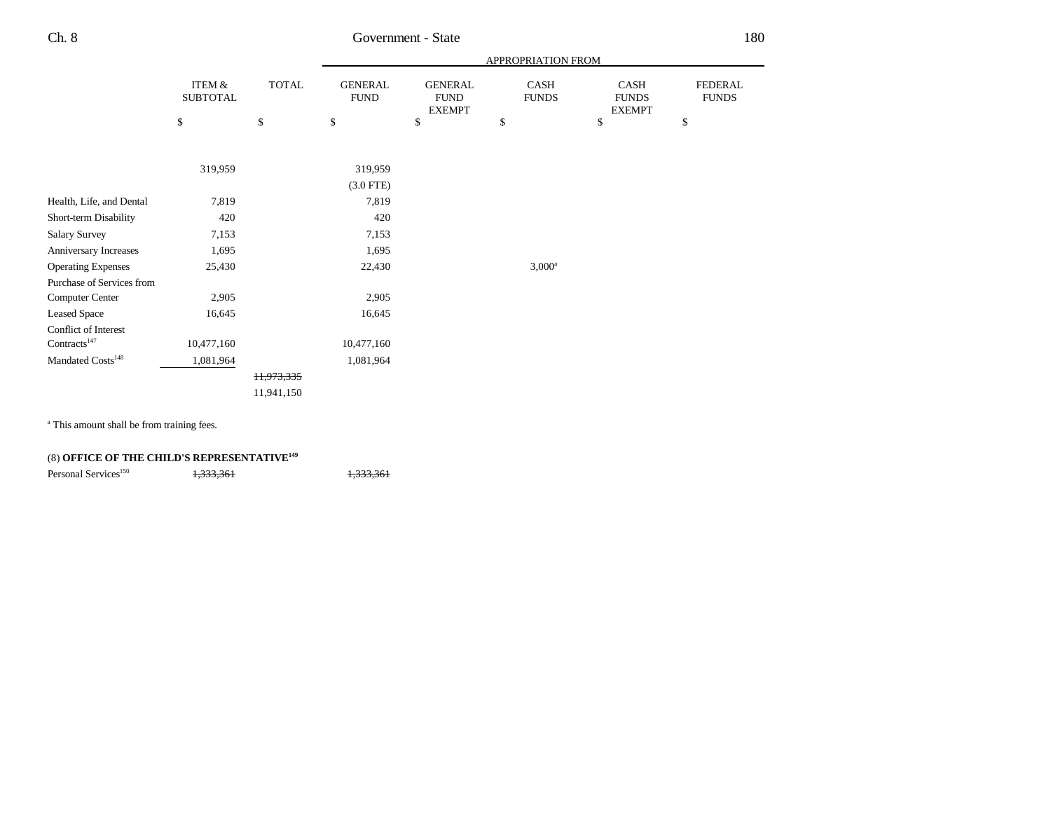|                               |                           |              |                               |                                                | APPROPRIATION FROM   |                                       |                                |
|-------------------------------|---------------------------|--------------|-------------------------------|------------------------------------------------|----------------------|---------------------------------------|--------------------------------|
|                               | ITEM &<br><b>SUBTOTAL</b> | <b>TOTAL</b> | <b>GENERAL</b><br><b>FUND</b> | <b>GENERAL</b><br><b>FUND</b><br><b>EXEMPT</b> | CASH<br><b>FUNDS</b> | CASH<br><b>FUNDS</b><br><b>EXEMPT</b> | <b>FEDERAL</b><br><b>FUNDS</b> |
|                               | \$                        | $\mathbb{S}$ | \$                            | \$                                             | \$                   | \$                                    | \$                             |
|                               |                           |              |                               |                                                |                      |                                       |                                |
|                               | 319,959                   |              | 319,959                       |                                                |                      |                                       |                                |
|                               |                           |              | $(3.0$ FTE)                   |                                                |                      |                                       |                                |
| Health, Life, and Dental      | 7,819                     |              | 7,819                         |                                                |                      |                                       |                                |
| Short-term Disability         | 420                       |              | 420                           |                                                |                      |                                       |                                |
| <b>Salary Survey</b>          | 7,153                     |              | 7,153                         |                                                |                      |                                       |                                |
| Anniversary Increases         | 1,695                     |              | 1,695                         |                                                |                      |                                       |                                |
| <b>Operating Expenses</b>     | 25,430                    |              | 22,430                        |                                                | $3,000^a$            |                                       |                                |
| Purchase of Services from     |                           |              |                               |                                                |                      |                                       |                                |
| Computer Center               | 2,905                     |              | 2,905                         |                                                |                      |                                       |                                |
| <b>Leased Space</b>           | 16,645                    |              | 16,645                        |                                                |                      |                                       |                                |
| Conflict of Interest          |                           |              |                               |                                                |                      |                                       |                                |
| Contracts <sup>147</sup>      | 10,477,160                |              | 10,477,160                    |                                                |                      |                                       |                                |
| Mandated Costs <sup>148</sup> | 1,081,964                 |              | 1,081,964                     |                                                |                      |                                       |                                |
|                               |                           | 11,973,335   |                               |                                                |                      |                                       |                                |
|                               |                           | 11,941,150   |                               |                                                |                      |                                       |                                |

<sup>a</sup> This amount shall be from training fees.

## (8) **OFFICE OF THE CHILD'S REPRESENTATIVE<sup>149</sup>**

| Personal Services <sup>150</sup> | 1, 222, 261<br>1,555,501 | 1, 222, 261<br>1,555,501 |
|----------------------------------|--------------------------|--------------------------|
|                                  |                          |                          |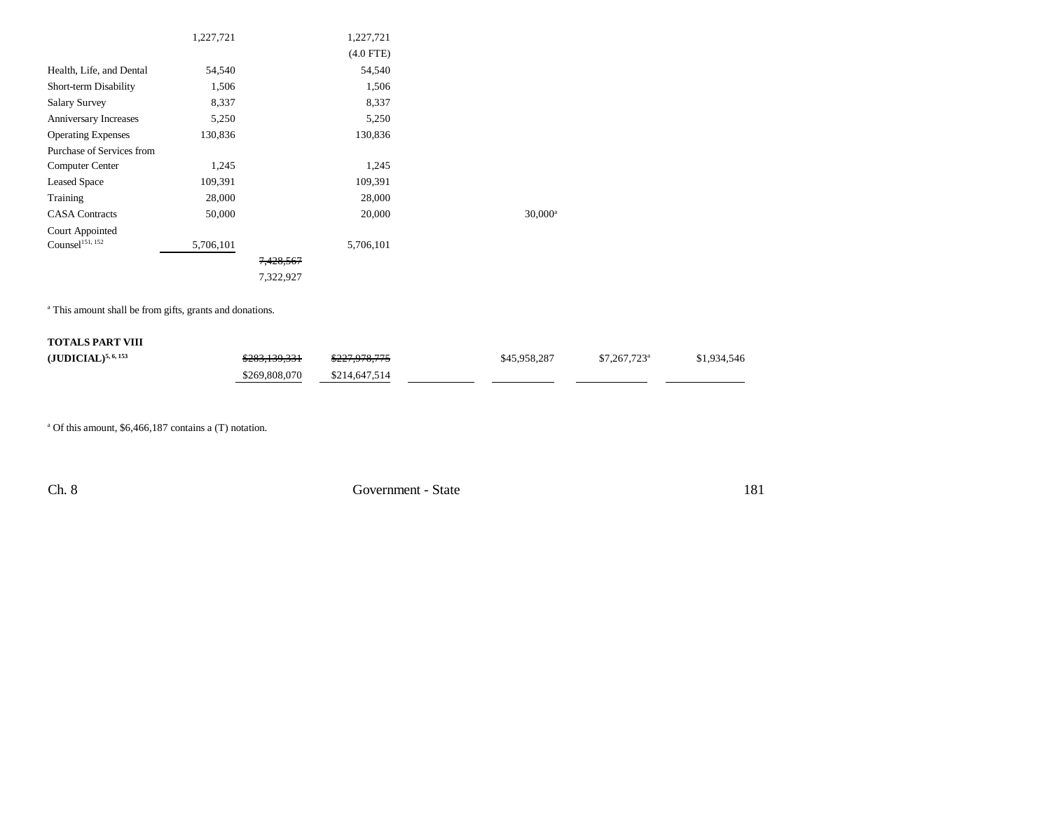|                                | 1,227,721 |           | 1,227,721   |            |
|--------------------------------|-----------|-----------|-------------|------------|
|                                |           |           | $(4.0$ FTE) |            |
|                                |           |           |             |            |
| Health, Life, and Dental       | 54,540    |           | 54,540      |            |
| Short-term Disability          | 1,506     |           | 1,506       |            |
| <b>Salary Survey</b>           | 8,337     |           | 8,337       |            |
| Anniversary Increases          | 5,250     |           | 5,250       |            |
| <b>Operating Expenses</b>      | 130,836   |           | 130,836     |            |
| Purchase of Services from      |           |           |             |            |
| <b>Computer Center</b>         | 1,245     |           | 1,245       |            |
| <b>Leased Space</b>            | 109,391   |           | 109,391     |            |
| Training                       | 28,000    |           | 28,000      |            |
| <b>CASA</b> Contracts          | 50,000    |           | 20,000      | $30,000^a$ |
| <b>Court Appointed</b>         |           |           |             |            |
| $\mathrm{Counsel}^{151,\,152}$ | 5,706,101 |           | 5,706,101   |            |
|                                |           | 7,428,567 |             |            |
|                                |           | 7,322,927 |             |            |

<sup>a</sup> This amount shall be from gifts, grants and donations.

## **TOTALS PART VIII (JUDICIAL)<sup>5, 6, 153</sup>** \$283,139,331 \$227,978,775 \$45,958,287 \$7,267,723<sup>a</sup> \$1,934,546 \$269,808,070 \$214,647,514

a Of this amount, \$6,466,187 contains a (T) notation.

Ch. 8 Government - State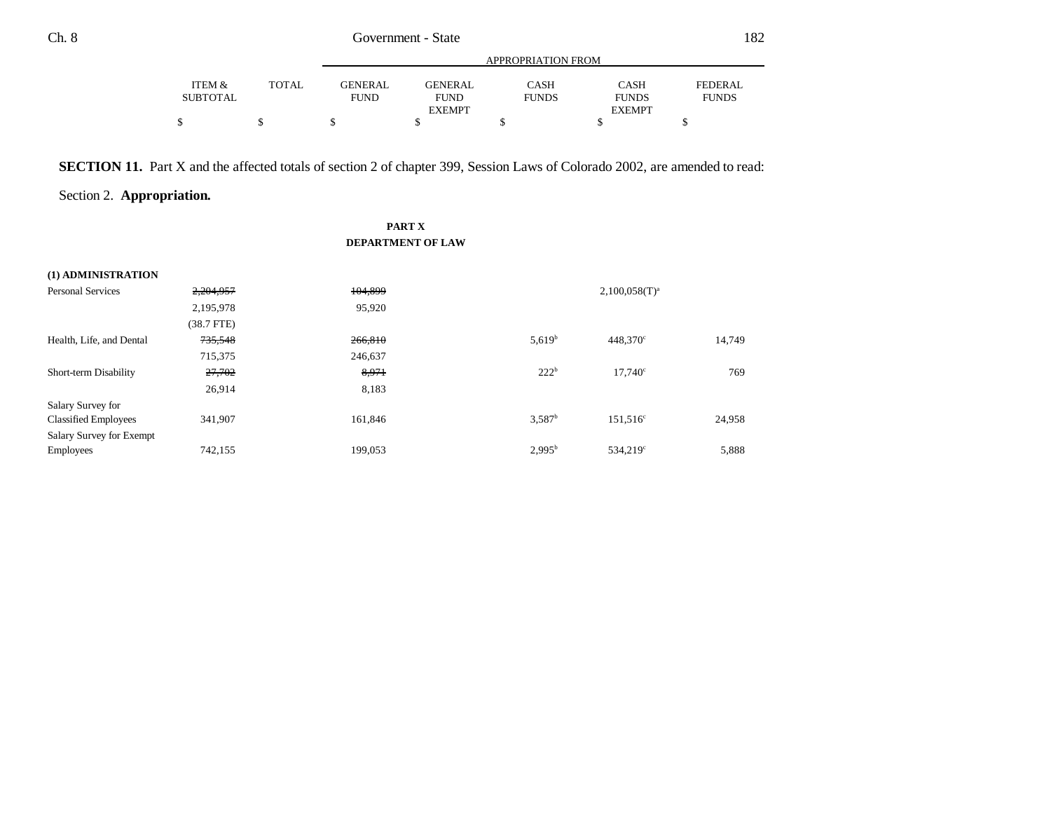|          |       | APPROPRIATION FROM |               |              |               |              |  |  |
|----------|-------|--------------------|---------------|--------------|---------------|--------------|--|--|
| ITEM &   | TOTAL | <b>GENERAL</b>     | GENERAL       | CASH         | <b>CASH</b>   | FEDERAL      |  |  |
| SUBTOTAL |       | <b>FUND</b>        | <b>FUND</b>   | <b>FUNDS</b> | <b>FUNDS</b>  | <b>FUNDS</b> |  |  |
|          |       |                    | <b>EXEMPT</b> |              | <b>EXEMPT</b> |              |  |  |
| Φ        |       |                    |               |              |               |              |  |  |

**SECTION 11.** Part X and the affected totals of section 2 of chapter 399, Session Laws of Colorado 2002, are amended to read:

Section 2. **Appropriation.**

### **PART X DEPARTMENT OF LAW**

| (1) ADMINISTRATION          |              |         |                 |                      |        |  |
|-----------------------------|--------------|---------|-----------------|----------------------|--------|--|
| <b>Personal Services</b>    | 2,204,957    | 104,899 |                 | $2,100,058(T)^{a}$   |        |  |
|                             | 2,195,978    | 95,920  |                 |                      |        |  |
|                             | $(38.7$ FTE) |         |                 |                      |        |  |
| Health, Life, and Dental    | 735,548      | 266,810 | $5,619^{b}$     | $448,370^{\circ}$    | 14,749 |  |
|                             | 715,375      | 246,637 |                 |                      |        |  |
| Short-term Disability       | 27,702       | 8,971   | $222^b$         | 17,740°              | 769    |  |
|                             | 26,914       | 8,183   |                 |                      |        |  |
| Salary Survey for           |              |         |                 |                      |        |  |
| <b>Classified Employees</b> | 341,907      | 161,846 | $3,587^b$       | $151,516^c$          | 24,958 |  |
| Salary Survey for Exempt    |              |         |                 |                      |        |  |
| <b>Employees</b>            | 742,155      | 199,053 | $2,995^{\rm b}$ | 534.219 <sup>c</sup> | 5,888  |  |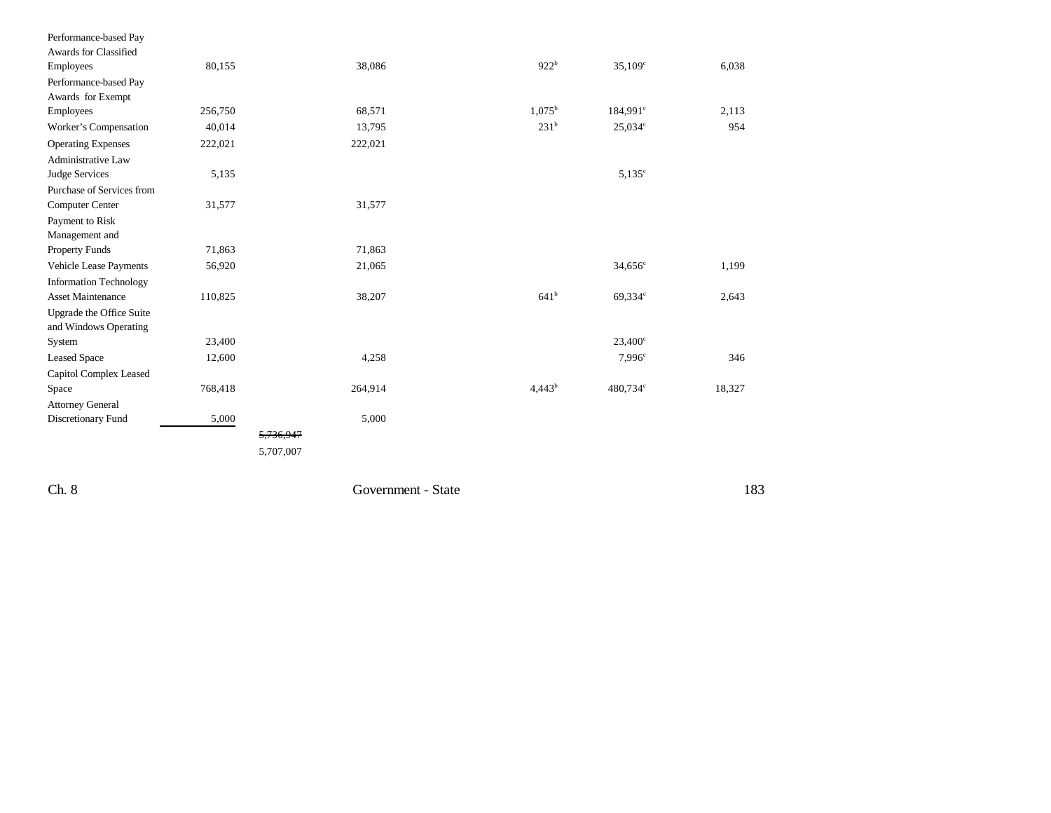| Performance-based Pay         |         |           |                  |                     |        |
|-------------------------------|---------|-----------|------------------|---------------------|--------|
| Awards for Classified         |         |           |                  |                     |        |
| Employees                     | 80,155  | 38,086    | $922^{b}$        | $35,109^{\circ}$    | 6,038  |
| Performance-based Pay         |         |           |                  |                     |        |
| Awards for Exempt             |         |           |                  |                     |        |
| Employees                     | 256,750 | 68,571    | $1,075^{\rm b}$  | $184,991^{\circ}$   | 2,113  |
| Worker's Compensation         | 40,014  | 13,795    | 231 <sup>b</sup> | 25,034c             | 954    |
| <b>Operating Expenses</b>     | 222,021 | 222,021   |                  |                     |        |
| <b>Administrative Law</b>     |         |           |                  |                     |        |
| Judge Services                | 5,135   |           |                  | $5,135^{\circ}$     |        |
| Purchase of Services from     |         |           |                  |                     |        |
| <b>Computer Center</b>        | 31,577  | 31,577    |                  |                     |        |
| Payment to Risk               |         |           |                  |                     |        |
| Management and                |         |           |                  |                     |        |
| <b>Property Funds</b>         | 71,863  | 71,863    |                  |                     |        |
| Vehicle Lease Payments        | 56,920  | 21,065    |                  | 34,656 <sup>c</sup> | 1,199  |
| <b>Information Technology</b> |         |           |                  |                     |        |
| <b>Asset Maintenance</b>      | 110,825 | 38,207    | 641 <sup>b</sup> | 69,334°             | 2,643  |
| Upgrade the Office Suite      |         |           |                  |                     |        |
| and Windows Operating         |         |           |                  |                     |        |
| System                        | 23,400  |           |                  | $23,400^{\circ}$    |        |
| <b>Leased Space</b>           | 12,600  | 4,258     |                  | 7.996 <sup>c</sup>  | 346    |
| Capitol Complex Leased        |         |           |                  |                     |        |
| Space                         | 768,418 | 264,914   | $4,443^b$        | 480,734°            | 18,327 |
| <b>Attorney General</b>       |         |           |                  |                     |        |
| Discretionary Fund            | 5,000   | 5,000     |                  |                     |        |
|                               |         | 5,736,947 |                  |                     |        |
|                               |         | 5,707,007 |                  |                     |        |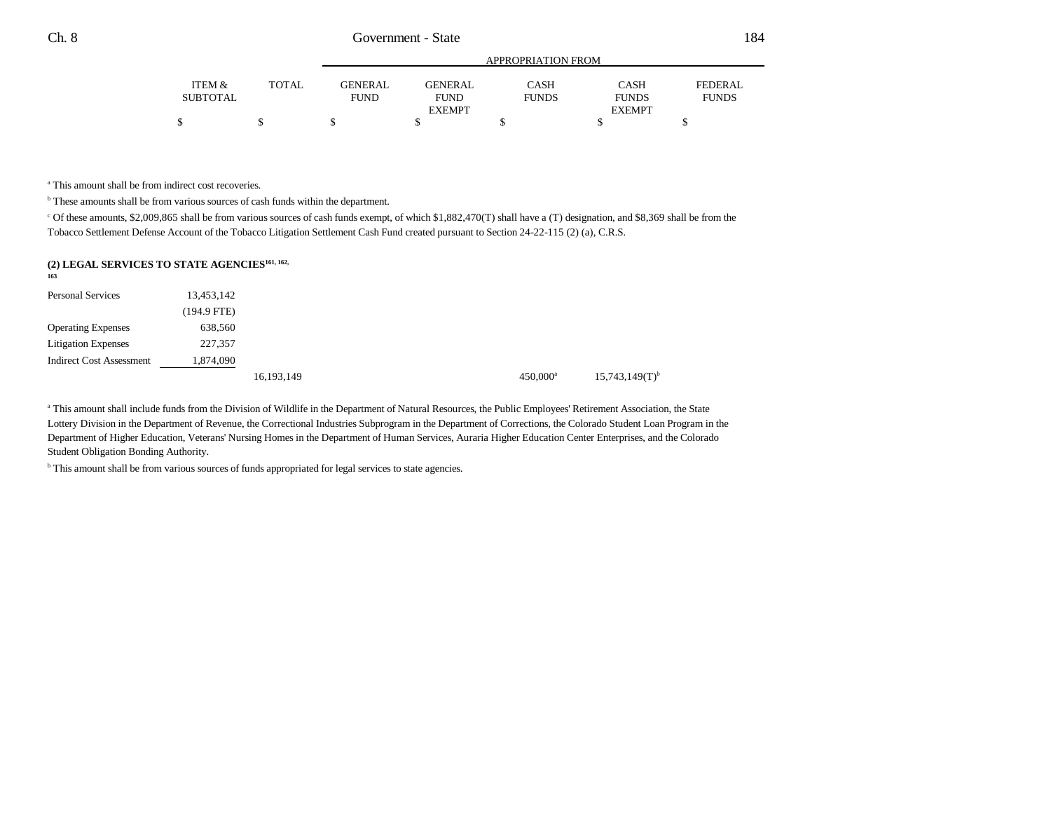|                 |              |             | APPROPRIATION FROM |              |               |              |  |  |
|-----------------|--------------|-------------|--------------------|--------------|---------------|--------------|--|--|
| ITEM &          | <b>TOTAL</b> | GENERAL     | <b>GENERAL</b>     | CASH         | CASH          | FEDERAL      |  |  |
| <b>SUBTOTAL</b> |              | <b>FUND</b> | <b>FUND</b>        | <b>FUNDS</b> | <b>FUNDS</b>  | <b>FUNDS</b> |  |  |
|                 |              |             | <b>EXEMPT</b>      |              | <b>EXEMPT</b> |              |  |  |
|                 |              |             |                    |              |               |              |  |  |

<sup>a</sup> This amount shall be from indirect cost recoveries.

b These amounts shall be from various sources of cash funds within the department.

c Of these amounts, \$2,009,865 shall be from various sources of cash funds exempt, of which \$1,882,470(T) shall have a (T) designation, and \$8,369 shall be from the Tobacco Settlement Defense Account of the Tobacco Litigation Settlement Cash Fund created pursuant to Section 24-22-115 (2) (a), C.R.S.

## **(2) LEGAL SERVICES TO STATE AGENCIES161, 162,**

| .<br>163                        |             |            |                   |                              |
|---------------------------------|-------------|------------|-------------------|------------------------------|
| <b>Personal Services</b>        | 13,453,142  |            |                   |                              |
|                                 | (194.9 FTE) |            |                   |                              |
| <b>Operating Expenses</b>       | 638,560     |            |                   |                              |
| <b>Litigation Expenses</b>      | 227,357     |            |                   |                              |
| <b>Indirect Cost Assessment</b> | 1,874,090   |            |                   |                              |
|                                 |             | 16,193,149 | $450,000^{\rm a}$ | $15,743,149(T)$ <sup>b</sup> |

<sup>a</sup> This amount shall include funds from the Division of Wildlife in the Department of Natural Resources, the Public Employees' Retirement Association, the State Lottery Division in the Department of Revenue, the Correctional Industries Subprogram in the Department of Corrections, the Colorado Student Loan Program in the Department of Higher Education, Veterans' Nursing Homes in the Department of Human Services, Auraria Higher Education Center Enterprises, and the Colorado Student Obligation Bonding Authority.

b This amount shall be from various sources of funds appropriated for legal services to state agencies.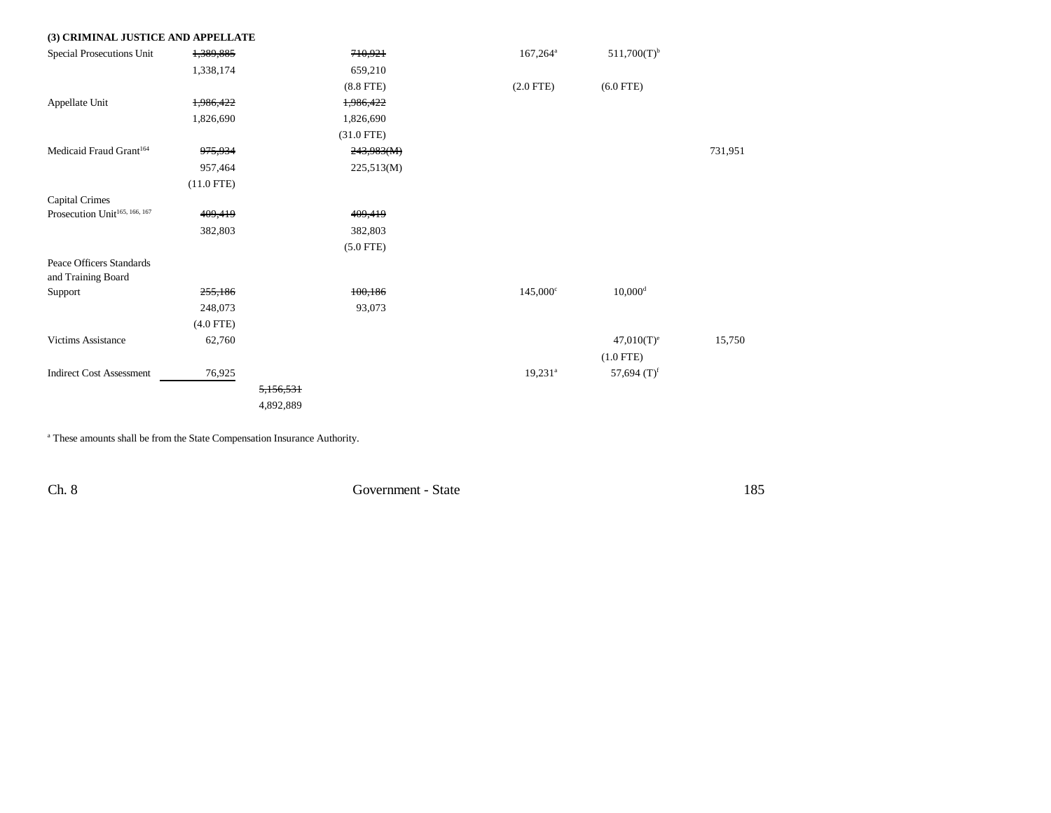| (3) CRIMINAL JUSTICE AND APPELLATE             |                    |           |              |                   |                       |         |
|------------------------------------------------|--------------------|-----------|--------------|-------------------|-----------------------|---------|
| Special Prosecutions Unit                      | 1,389,885          |           | 710,921      | $167,264^{\circ}$ | $511,700(T)^{b}$      |         |
|                                                | 1,338,174          |           | 659,210      |                   |                       |         |
|                                                |                    |           | $(8.8$ FTE)  | $(2.0$ FTE $)$    | $(6.0$ FTE)           |         |
| Appellate Unit                                 | 1,986,422          |           | 1,986,422    |                   |                       |         |
|                                                | 1,826,690          |           | 1,826,690    |                   |                       |         |
|                                                |                    |           | $(31.0$ FTE) |                   |                       |         |
| Medicaid Fraud Grant <sup>164</sup>            | <del>975,934</del> |           | 243,983(M)   |                   |                       | 731,951 |
|                                                | 957,464            |           | 225,513(M)   |                   |                       |         |
|                                                | $(11.0$ FTE)       |           |              |                   |                       |         |
| Capital Crimes                                 |                    |           |              |                   |                       |         |
| Prosecution Unit <sup>165, 166, 167</sup>      | 409,419            |           | 409,419      |                   |                       |         |
|                                                | 382,803            |           | 382,803      |                   |                       |         |
|                                                |                    |           | $(5.0$ FTE)  |                   |                       |         |
| Peace Officers Standards<br>and Training Board |                    |           |              |                   |                       |         |
| Support                                        | 255,186            |           | 100,186      | $145,000^{\circ}$ | $10,000$ <sup>d</sup> |         |
|                                                | 248,073            |           | 93,073       |                   |                       |         |
|                                                | $(4.0$ FTE)        |           |              |                   |                       |         |
| <b>Victims Assistance</b>                      | 62,760             |           |              |                   | $47,010(T)^e$         | 15,750  |
|                                                |                    |           |              |                   | $(1.0$ FTE)           |         |
| <b>Indirect Cost Assessment</b>                | 76,925             |           |              | $19,231^a$        | 57,694 $(T)^f$        |         |
|                                                |                    | 5,156,531 |              |                   |                       |         |
|                                                |                    | 4,892,889 |              |                   |                       |         |

a These amounts shall be from the State Compensation Insurance Authority.

Ch. 8 Government - State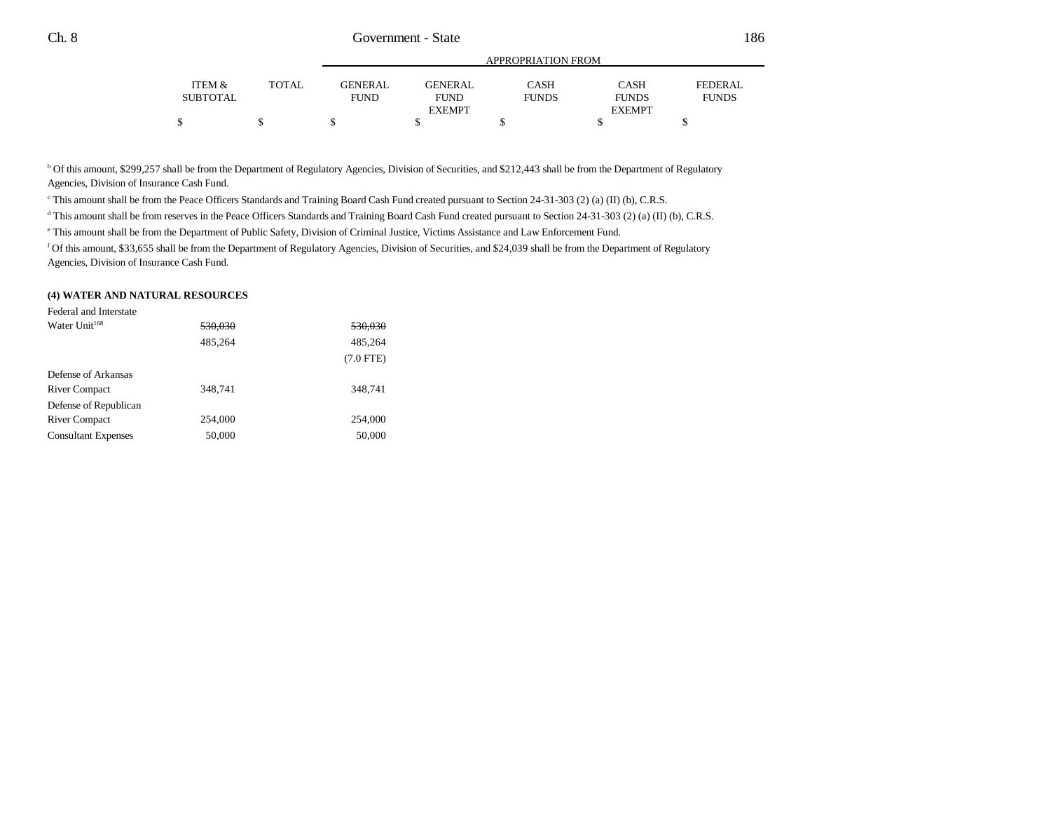|                           |              |                        | APPROPRIATION FROM            |                      |                      |                         |  |  |  |  |
|---------------------------|--------------|------------------------|-------------------------------|----------------------|----------------------|-------------------------|--|--|--|--|
| ITEM &<br><b>SUBTOTAL</b> | <b>TOTAL</b> | GENERAL<br><b>FUND</b> | <b>GENERAL</b><br><b>FUND</b> | CASH<br><b>FUNDS</b> | CASH<br><b>FUNDS</b> | FEDERAL<br><b>FUNDS</b> |  |  |  |  |
|                           |              |                        | <b>EXEMPT</b>                 |                      | <b>EXEMPT</b>        |                         |  |  |  |  |
|                           |              |                        |                               |                      |                      |                         |  |  |  |  |

<sup>b</sup> Of this amount, \$299,257 shall be from the Department of Regulatory Agencies, Division of Securities, and \$212,443 shall be from the Department of Regulatory Agencies, Division of Insurance Cash Fund.

c This amount shall be from the Peace Officers Standards and Training Board Cash Fund created pursuant to Section 24-31-303 (2) (a) (II) (b), C.R.S.

<sup>d</sup> This amount shall be from reserves in the Peace Officers Standards and Training Board Cash Fund created pursuant to Section 24-31-303 (2) (a) (II) (b), C.R.S.

e This amount shall be from the Department of Public Safety, Division of Criminal Justice, Victims Assistance and Law Enforcement Fund.

f Of this amount, \$33,655 shall be from the Department of Regulatory Agencies, Division of Securities, and \$24,039 shall be from the Department of Regulatory Agencies, Division of Insurance Cash Fund.

#### **(4) WATER AND NATURAL RESOURCES**

| <del>530.030</del> |
|--------------------|
| 485,264            |
| $(7.0$ FTE)        |
|                    |
| 348,741            |
|                    |
| 254,000            |
| 50,000             |
|                    |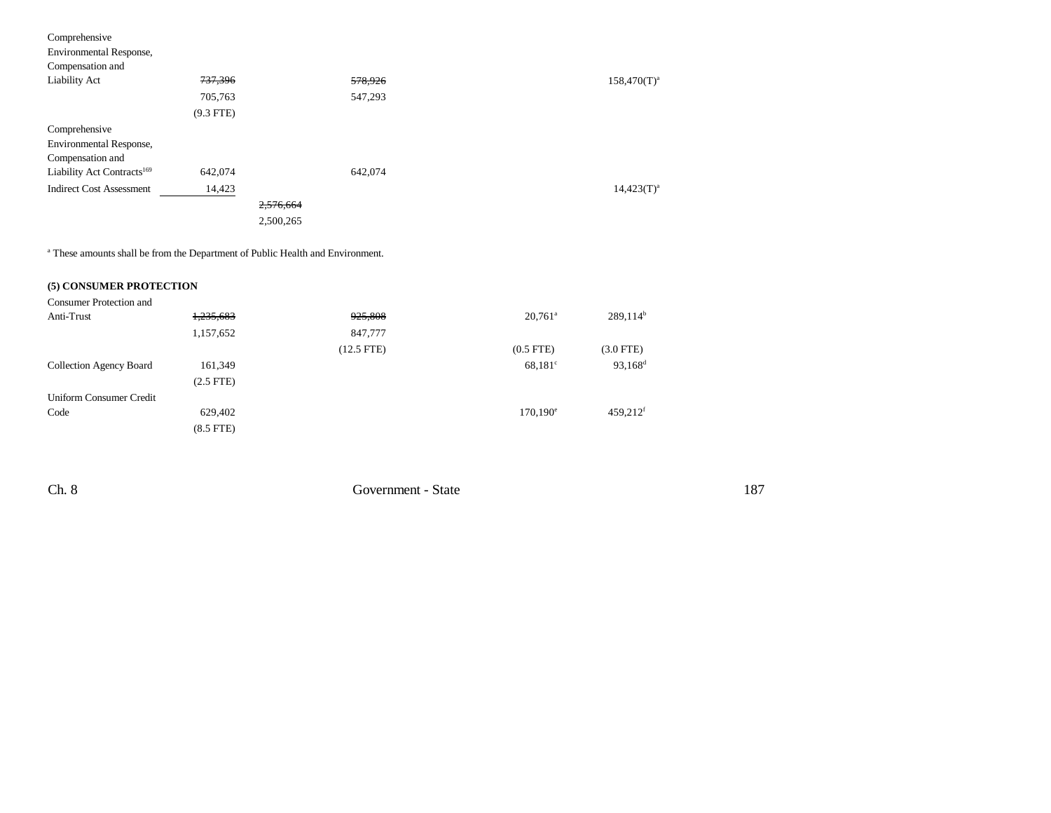| Comprehensive<br>Environmental Response,<br>Compensation and |             |           |         |                |
|--------------------------------------------------------------|-------------|-----------|---------|----------------|
| Liability Act                                                | 737,396     |           | 578,926 | $158,470(T)^a$ |
|                                                              | 705,763     |           | 547,293 |                |
|                                                              | $(9.3$ FTE) |           |         |                |
| Comprehensive                                                |             |           |         |                |
| Environmental Response,                                      |             |           |         |                |
| Compensation and                                             |             |           |         |                |
| Liability Act Contracts <sup>169</sup>                       | 642,074     |           | 642,074 |                |
| <b>Indirect Cost Assessment</b>                              | 14,423      |           |         | $14,423(T)^a$  |
|                                                              |             | 2,576,664 |         |                |
|                                                              |             | 2.500.265 |         |                |

a These amounts shall be from the Department of Public Health and Environment.

#### **(5) CONSUMER PROTECTION**

| Consumer Protection and |                |              |                       |                     |
|-------------------------|----------------|--------------|-----------------------|---------------------|
| Anti-Trust              | 1,235,683      | 925,808      | $20,761$ <sup>a</sup> | $289,114^b$         |
|                         | 1,157,652      | 847,777      |                       |                     |
|                         |                | $(12.5$ FTE) | $(0.5$ FTE $)$        | $(3.0$ FTE)         |
| Collection Agency Board | 161,349        |              | $68,181^{\circ}$      | 93,168 <sup>d</sup> |
|                         | $(2.5$ FTE)    |              |                       |                     |
| Uniform Consumer Credit |                |              |                       |                     |
| Code                    | 629,402        |              | $170,190^e$           | 459,212f            |
|                         | $(8.5$ FTE $)$ |              |                       |                     |

Ch. 8 Government - State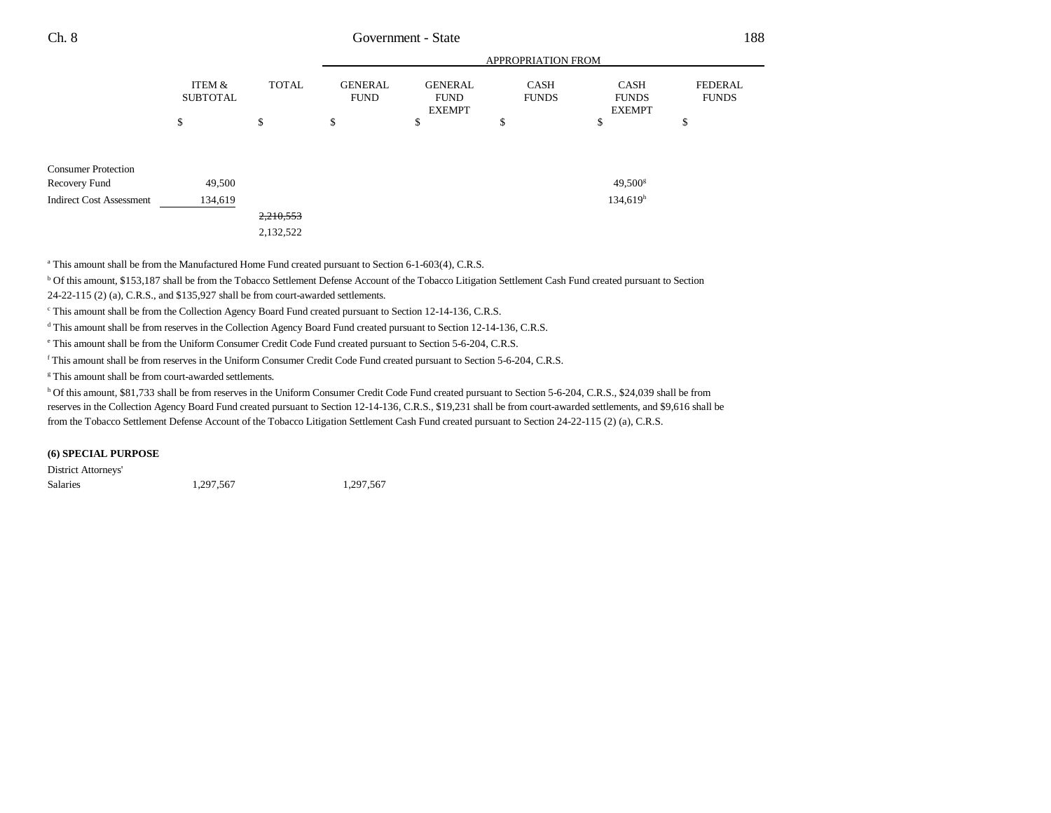|                                 | APPROPRIATION FROM        |              |                               |                                                |                             |                                              |                                |
|---------------------------------|---------------------------|--------------|-------------------------------|------------------------------------------------|-----------------------------|----------------------------------------------|--------------------------------|
|                                 | ITEM &<br><b>SUBTOTAL</b> | <b>TOTAL</b> | <b>GENERAL</b><br><b>FUND</b> | <b>GENERAL</b><br><b>FUND</b><br><b>EXEMPT</b> | <b>CASH</b><br><b>FUNDS</b> | <b>CASH</b><br><b>FUNDS</b><br><b>EXEMPT</b> | <b>FEDERAL</b><br><b>FUNDS</b> |
|                                 | \$                        | \$           | \$                            | \$                                             | \$                          | \$                                           | \$                             |
|                                 |                           |              |                               |                                                |                             |                                              |                                |
| <b>Consumer Protection</b>      |                           |              |                               |                                                |                             |                                              |                                |
| Recovery Fund                   | 49,500                    |              |                               |                                                |                             | $49,500^{\rm g}$                             |                                |
| <b>Indirect Cost Assessment</b> | 134,619                   |              |                               |                                                |                             | 134,619 <sup>h</sup>                         |                                |
|                                 |                           | 2,210,553    |                               |                                                |                             |                                              |                                |
|                                 |                           | 2,132,522    |                               |                                                |                             |                                              |                                |

<sup>a</sup> This amount shall be from the Manufactured Home Fund created pursuant to Section 6-1-603(4), C.R.S.

b Of this amount, \$153,187 shall be from the Tobacco Settlement Defense Account of the Tobacco Litigation Settlement Cash Fund created pursuant to Section 24-22-115 (2) (a), C.R.S., and \$135,927 shall be from court-awarded settlements.

<sup>c</sup> This amount shall be from the Collection Agency Board Fund created pursuant to Section 12-14-136, C.R.S.

<sup>d</sup> This amount shall be from reserves in the Collection Agency Board Fund created pursuant to Section 12-14-136, C.R.S.

e This amount shall be from the Uniform Consumer Credit Code Fund created pursuant to Section 5-6-204, C.R.S.

f This amount shall be from reserves in the Uniform Consumer Credit Code Fund created pursuant to Section 5-6-204, C.R.S.

<sup>g</sup> This amount shall be from court-awarded settlements.

h Of this amount, \$81,733 shall be from reserves in the Uniform Consumer Credit Code Fund created pursuant to Section 5-6-204, C.R.S., \$24,039 shall be from reserves in the Collection Agency Board Fund created pursuant to Section 12-14-136, C.R.S., \$19,231 shall be from court-awarded settlements, and \$9,616 shall be from the Tobacco Settlement Defense Account of the Tobacco Litigation Settlement Cash Fund created pursuant to Section 24-22-115 (2) (a), C.R.S.

#### **(6) SPECIAL PURPOSE**

District Attorneys' Salaries 1,297,567 1,297,567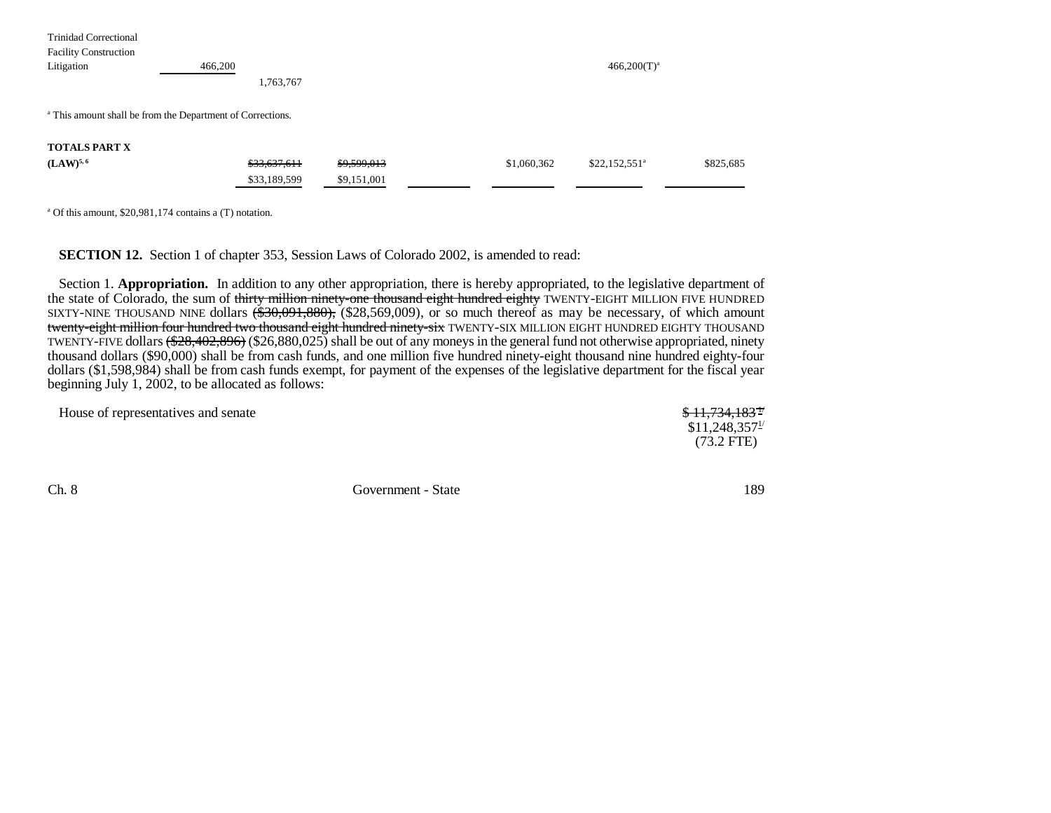| <b>Trinidad Correctional</b> |                                                                       |             |             |                 |           |
|------------------------------|-----------------------------------------------------------------------|-------------|-------------|-----------------|-----------|
| <b>Facility Construction</b> |                                                                       |             |             |                 |           |
| Litigation                   | 466,200                                                               |             |             | $466,200(T)^a$  |           |
|                              | 1,763,767                                                             |             |             |                 |           |
|                              |                                                                       |             |             |                 |           |
|                              | <sup>a</sup> This amount shall be from the Department of Corrections. |             |             |                 |           |
|                              |                                                                       |             |             |                 |           |
| <b>TOTALS PART X</b>         |                                                                       |             |             |                 |           |
| $(LAW)^{5,6}$                | \$33,637,611                                                          | \$9,599,013 | \$1,060,362 | $$22,152,551^a$ | \$825,685 |
|                              | \$33,189,599                                                          | \$9,151,001 |             |                 |           |
|                              |                                                                       |             |             |                 |           |

a Of this amount, \$20,981,174 contains a (T) notation.

**SECTION 12.** Section 1 of chapter 353, Session Laws of Colorado 2002, is amended to read:

Section 1. **Appropriation.** In addition to any other appropriation, there is hereby appropriated, to the legislative department of the state of Colorado, the sum of thirty million ninety-one thousand eight hundred eighty TWENTY-EIGHT MILLION FIVE HUNDRED SIXTY-NINE THOUSAND NINE dollars <del>(\$30,091,880),</del> (\$28,569,009), or so much thereof as may be necessary, of which amount <del>twenty-eight million four hundred two thousand eight hundred ninety-six</del> TWENTY-SIX MILLION EIGHT HUNDRED EIGHTY THOUSAND TWENTY-FIVE dollars (\$28,402,896) (\$26,880,025) shall be out of any moneys in the general fund not otherwise appropriated, ninety thousand dollars (\$90,000) shall be from cash funds, and one million five hundred ninety-eight thousand nine hundred eighty-four dollars (\$1,598,984) shall be from cash funds exempt, for payment of the expenses of the legislative department for the fiscal year beginning July 1, 2002, to be allocated as follows:

| House of representatives and senate | \$11,734,183 <sup>+</sup> |
|-------------------------------------|---------------------------|
|                                     | \$11,248,357 <sup>1</sup> |
|                                     | $(73.2 \text{ FTE})$      |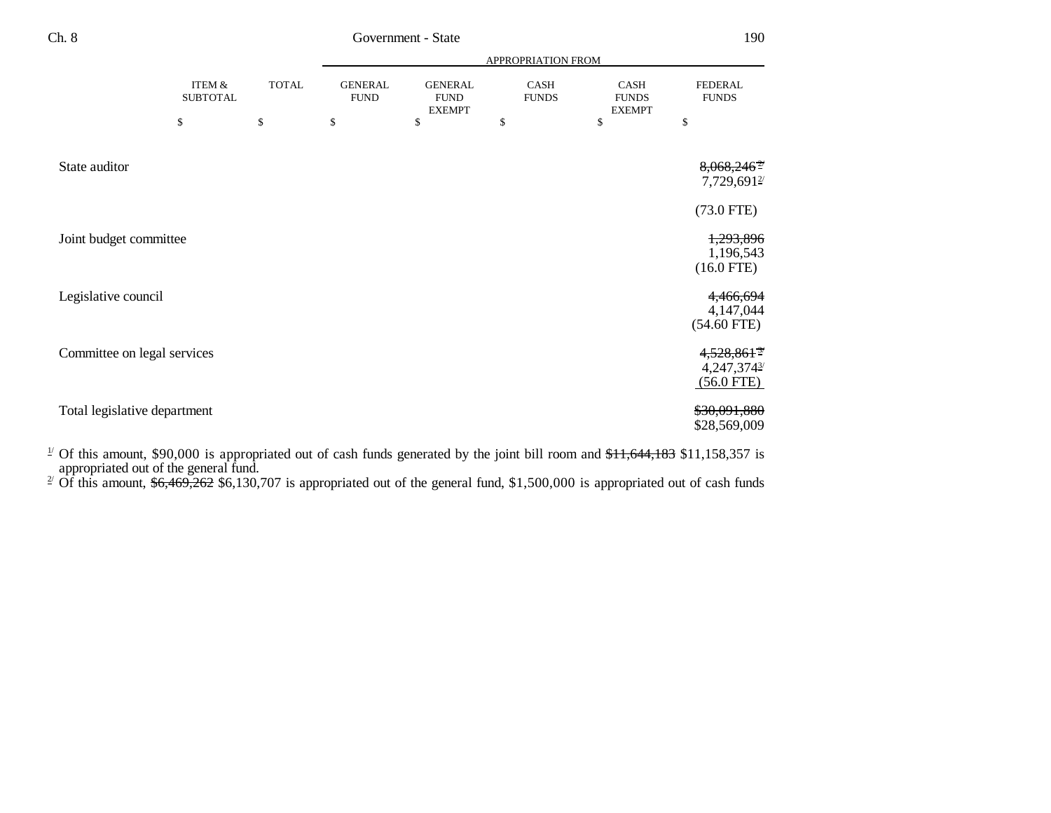|                              |                           |              | APPROPRIATION FROM            |                                                |                             |                                       |                                                          |
|------------------------------|---------------------------|--------------|-------------------------------|------------------------------------------------|-----------------------------|---------------------------------------|----------------------------------------------------------|
|                              | ITEM &<br><b>SUBTOTAL</b> | <b>TOTAL</b> | <b>GENERAL</b><br><b>FUND</b> | <b>GENERAL</b><br><b>FUND</b><br><b>EXEMPT</b> | <b>CASH</b><br><b>FUNDS</b> | CASH<br><b>FUNDS</b><br><b>EXEMPT</b> | <b>FEDERAL</b><br><b>FUNDS</b>                           |
|                              | \$                        | \$           | \$                            | \$                                             | \$                          | \$                                    | \$                                                       |
| State auditor                |                           |              |                               |                                                |                             |                                       | $8,068,246^2$<br>7,729,6912                              |
|                              |                           |              |                               |                                                |                             |                                       | $(73.0$ FTE)                                             |
| Joint budget committee       |                           |              |                               |                                                |                             |                                       | 1,293,896<br>1,196,543<br>$(16.0$ FTE)                   |
| Legislative council          |                           |              |                               |                                                |                             |                                       | 4,466,694<br>4,147,044<br>$(54.60$ FTE)                  |
| Committee on legal services  |                           |              |                               |                                                |                             |                                       | $4,528,861$ <sup>37</sup><br>4,247,3743/<br>$(56.0$ FTE) |
| Total legislative department |                           |              |                               |                                                |                             |                                       | \$30,091,880<br>\$28,569,009                             |

 $1/2$  Of this amount, \$90,000 is appropriated out of cash funds generated by the joint bill room and  $11,644,183$  \$11,158,357 is

appropriated out of the general fund.<br><sup>2/</sup> Of this amount,  $\frac{6,469,262}{6,130,707}$  is appropriated out of the general fund, \$1,500,000 is appropriated out of cash funds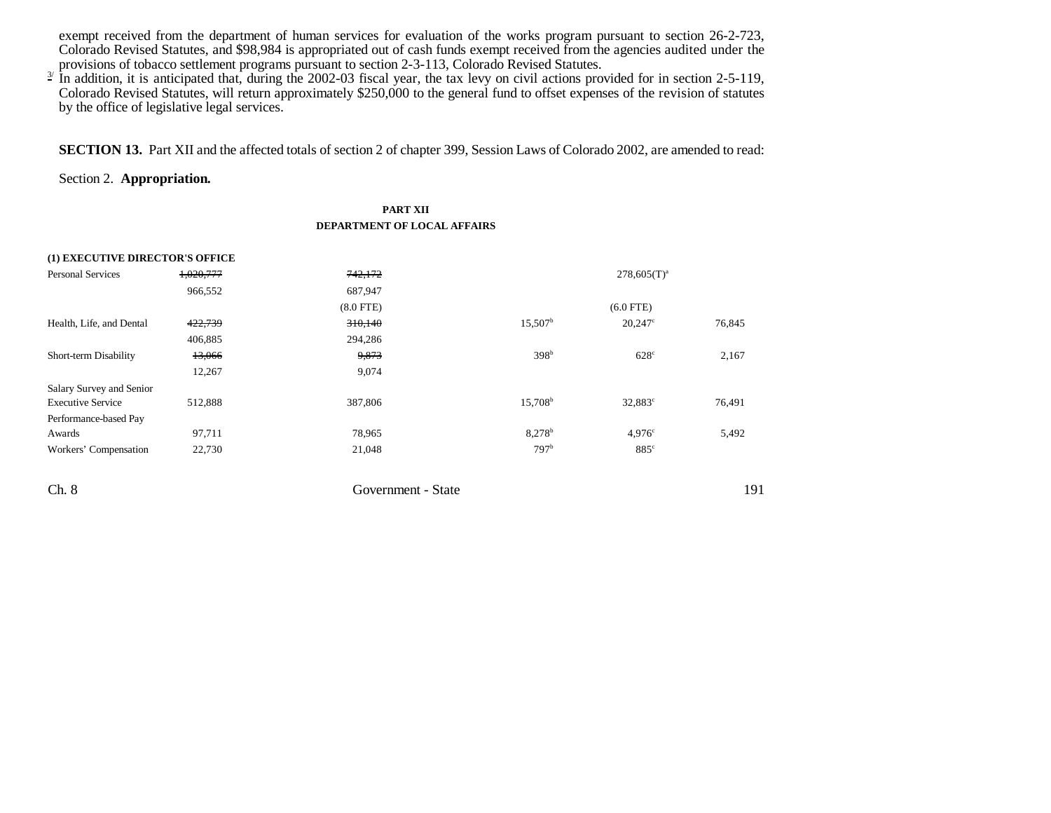exempt received from the department of human services for evaluation of the works program pursuant to section 26-2-723, Colorado Revised Statutes, and \$98,984 is appropriated out of cash funds exempt received from the agencies audited under the provisions of tobacco settlement programs pursuant to section 2-3-113, Colorado Revised Statutes.

 $\frac{3}{2}$  In addition, it is anticipated that, during the 2002-03 fiscal year, the tax levy on civil actions provided for in section 2-5-119, Colorado Revised Statutes, will return approximately \$250,000 to the general fund to offset expenses of the revision of statutes by the office of legislative legal services.

**SECTION 13.** Part XII and the affected totals of section 2 of chapter 399, Session Laws of Colorado 2002, are amended to read:

## Section 2. **Appropriation.**

#### **PART XII DEPARTMENT OF LOCAL AFFAIRS**

| (1) EXECUTIVE DIRECTOR'S OFFICE |           |                    |                      |                  |        |
|---------------------------------|-----------|--------------------|----------------------|------------------|--------|
| <b>Personal Services</b>        | 1,020,777 | 742,172            |                      | $278,605(T)^{a}$ |        |
|                                 | 966,552   | 687,947            |                      |                  |        |
|                                 |           | $(8.0$ FTE $)$     |                      | $(6.0$ FTE)      |        |
| Health, Life, and Dental        | 422,739   | 310,140            | $15,507^{\rm b}$     | $20,247^{\circ}$ | 76,845 |
|                                 | 406,885   | 294,286            |                      |                  |        |
| Short-term Disability           | 13,066    | 9,873              | 398 <sup>b</sup>     | $628^\circ$      | 2,167  |
|                                 | 12,267    | 9,074              |                      |                  |        |
| Salary Survey and Senior        |           |                    |                      |                  |        |
| <b>Executive Service</b>        | 512,888   | 387,806            | $15,708^{\rm b}$     | $32,883^{\circ}$ | 76,491 |
| Performance-based Pay           |           |                    |                      |                  |        |
| Awards                          | 97,711    | 78,965             | $8,278$ <sup>b</sup> | 4.976c           | 5,492  |
| Workers' Compensation           | 22,730    | 21,048             | 797 <sup>b</sup>     | $885^\circ$      |        |
| Ch. 8                           |           | Government - State |                      |                  | 191    |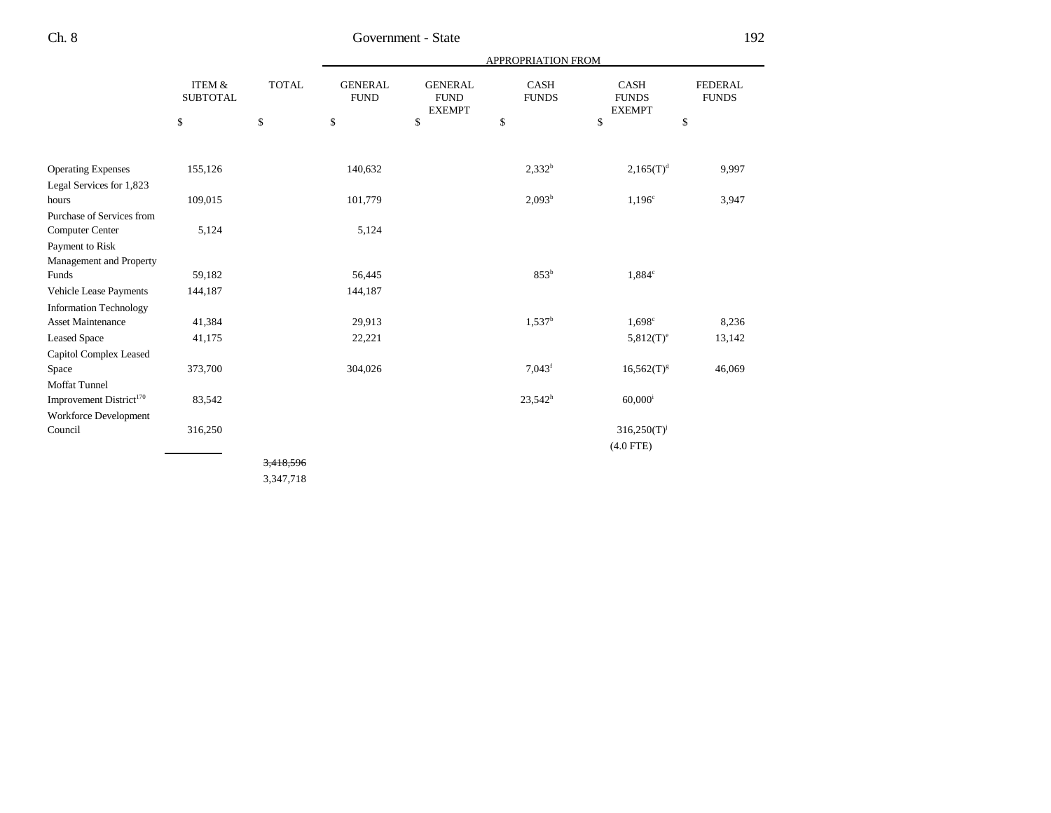|                                     |                                      |              | <b>APPROPRIATION FROM</b>     |                                                |                             |                                              |                                |
|-------------------------------------|--------------------------------------|--------------|-------------------------------|------------------------------------------------|-----------------------------|----------------------------------------------|--------------------------------|
|                                     | <b>ITEM &amp;</b><br><b>SUBTOTAL</b> | <b>TOTAL</b> | <b>GENERAL</b><br><b>FUND</b> | <b>GENERAL</b><br><b>FUND</b><br><b>EXEMPT</b> | <b>CASH</b><br><b>FUNDS</b> | <b>CASH</b><br><b>FUNDS</b><br><b>EXEMPT</b> | <b>FEDERAL</b><br><b>FUNDS</b> |
|                                     | \$                                   | $\mathbb{S}$ | \$                            | \$                                             | \$                          | \$                                           | \$                             |
|                                     |                                      |              |                               |                                                |                             |                                              |                                |
| <b>Operating Expenses</b>           | 155,126                              |              | 140,632                       |                                                | $2,332^b$                   | $2,165(T)^d$                                 | 9,997                          |
| Legal Services for 1,823            |                                      |              |                               |                                                |                             |                                              |                                |
| hours                               | 109,015                              |              | 101,779                       |                                                | $2,093^b$                   | $1,196^\circ$                                | 3,947                          |
| Purchase of Services from           |                                      |              |                               |                                                |                             |                                              |                                |
| Computer Center                     | 5,124                                |              | 5,124                         |                                                |                             |                                              |                                |
| Payment to Risk                     |                                      |              |                               |                                                |                             |                                              |                                |
| Management and Property             |                                      |              |                               |                                                |                             |                                              |                                |
| Funds                               | 59,182                               |              | 56,445                        |                                                | 853 <sup>b</sup>            | $1,884^\circ$                                |                                |
| Vehicle Lease Payments              | 144,187                              |              | 144,187                       |                                                |                             |                                              |                                |
| <b>Information Technology</b>       |                                      |              |                               |                                                |                             |                                              |                                |
| <b>Asset Maintenance</b>            | 41,384                               |              | 29,913                        |                                                | $1,537^b$                   | $1,698^{\circ}$                              | 8,236                          |
| <b>Leased Space</b>                 | 41,175                               |              | 22,221                        |                                                |                             | $5,812(T)^e$                                 | 13,142                         |
| <b>Capitol Complex Leased</b>       |                                      |              |                               |                                                |                             |                                              |                                |
| Space                               | 373,700                              |              | 304,026                       |                                                | $7,043$ <sup>f</sup>        | $16,562(T)^{g}$                              | 46,069                         |
| <b>Moffat Tunnel</b>                |                                      |              |                               |                                                |                             |                                              |                                |
| Improvement District <sup>170</sup> | 83,542                               |              |                               |                                                | $23,542^h$                  | $60,000$ <sup>i</sup>                        |                                |
| Workforce Development               |                                      |              |                               |                                                |                             |                                              |                                |
| Council                             | 316,250                              |              |                               |                                                |                             | $316,250(T)^{j}$                             |                                |
|                                     |                                      |              |                               |                                                |                             | $(4.0$ FTE)                                  |                                |
|                                     |                                      | 3,418,596    |                               |                                                |                             |                                              |                                |

3,347,718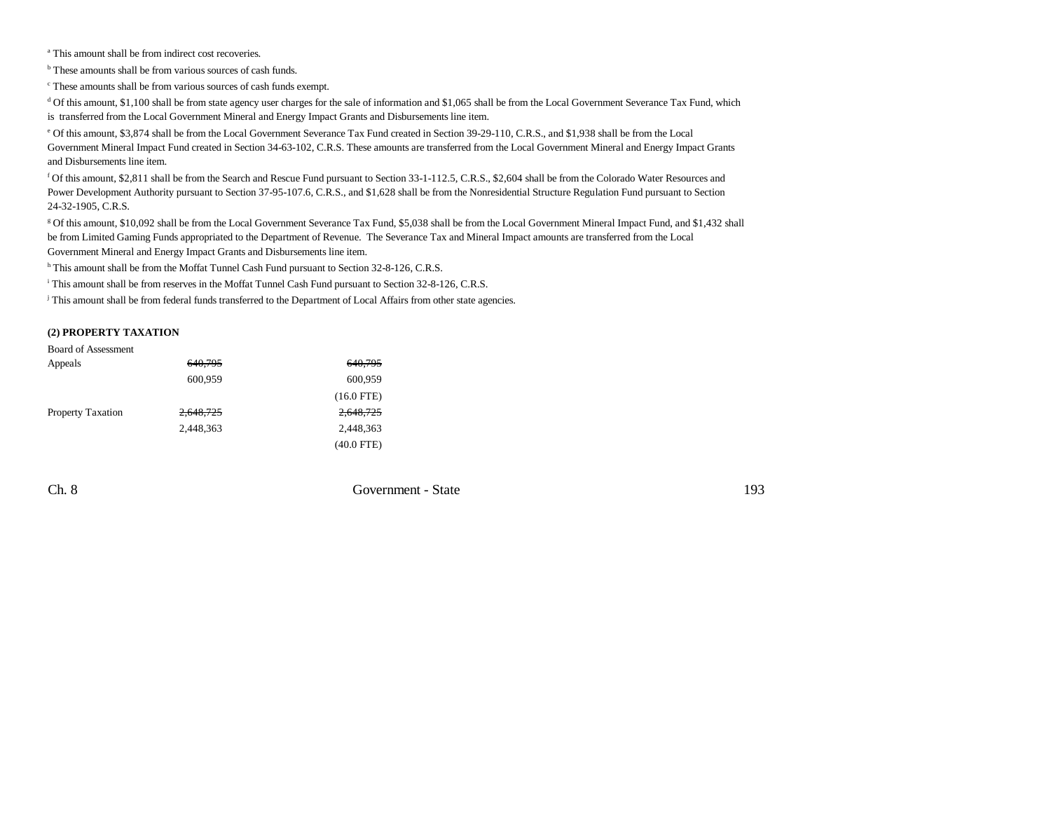a This amount shall be from indirect cost recoveries.

<sup>b</sup> These amounts shall be from various sources of cash funds.

c These amounts shall be from various sources of cash funds exempt.

<sup>d</sup> Of this amount, \$1,100 shall be from state agency user charges for the sale of information and \$1,065 shall be from the Local Government Severance Tax Fund, which is transferred from the Local Government Mineral and Energy Impact Grants and Disbursements line item.

e Of this amount, \$3,874 shall be from the Local Government Severance Tax Fund created in Section 39-29-110, C.R.S., and \$1,938 shall be from the Local Government Mineral Impact Fund created in Section 34-63-102, C.R.S. These amounts are transferred from the Local Government Mineral and Energy Impact Grants and Disbursements line item.

f Of this amount, \$2,811 shall be from the Search and Rescue Fund pursuant to Section 33-1-112.5, C.R.S., \$2,604 shall be from the Colorado Water Resources and Power Development Authority pursuant to Section 37-95-107.6, C.R.S., and \$1,628 shall be from the Nonresidential Structure Regulation Fund pursuant to Section 24-32-1905, C.R.S.

g Of this amount, \$10,092 shall be from the Local Government Severance Tax Fund, \$5,038 shall be from the Local Government Mineral Impact Fund, and \$1,432 shall be from Limited Gaming Funds appropriated to the Department of Revenue. The Severance Tax and Mineral Impact amounts are transferred from the Local Government Mineral and Energy Impact Grants and Disbursements line item.

h This amount shall be from the Moffat Tunnel Cash Fund pursuant to Section 32-8-126, C.R.S.

i This amount shall be from reserves in the Moffat Tunnel Cash Fund pursuant to Section 32-8-126, C.R.S.

<sup>j</sup> This amount shall be from federal funds transferred to the Department of Local Affairs from other state agencies.

#### **(2) PROPERTY TAXATION**

| <b>Board of Assessment</b> |           |              |
|----------------------------|-----------|--------------|
| Appeals                    | 640.795   | 640.795      |
|                            | 600,959   | 600,959      |
|                            |           | $(16.0$ FTE) |
| <b>Property Taxation</b>   | 2,648,725 | 2,648,725    |
|                            | 2.448.363 | 2.448.363    |
|                            |           | $(40.0$ FTE) |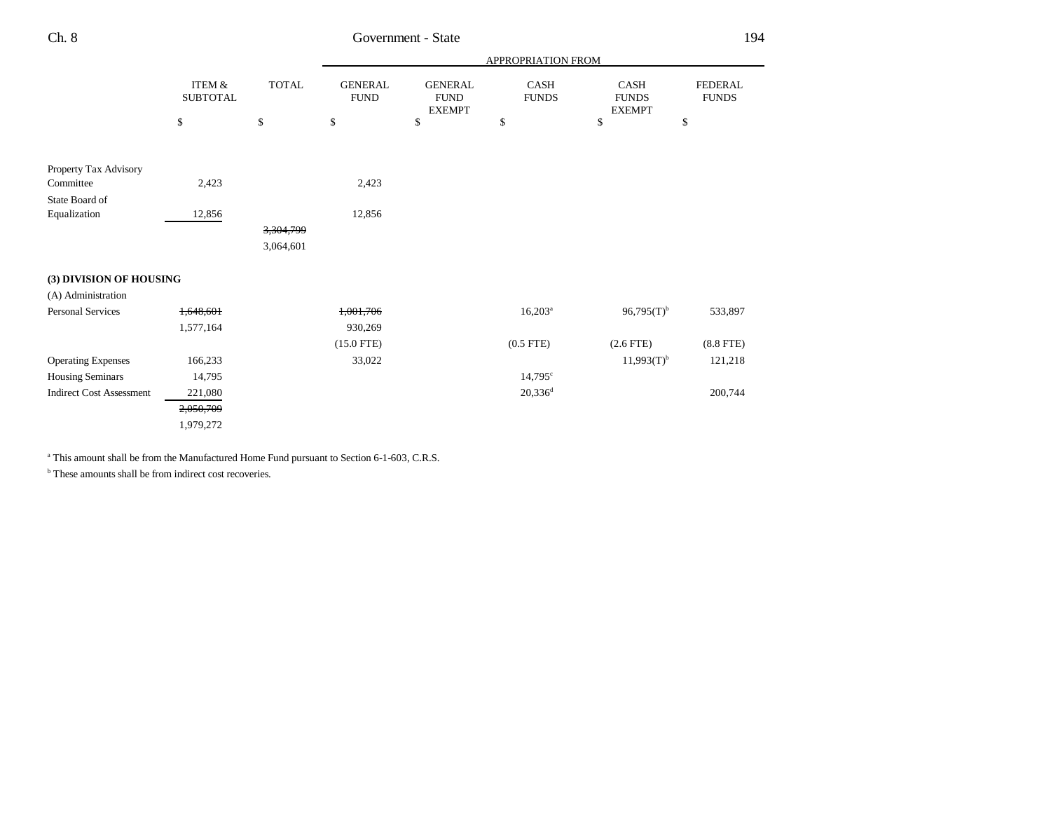|                                 | ITEM &<br><b>SUBTOTAL</b> |              |                               |                                                | APPROPRIATION FROM   |                                       |                                |
|---------------------------------|---------------------------|--------------|-------------------------------|------------------------------------------------|----------------------|---------------------------------------|--------------------------------|
|                                 |                           | <b>TOTAL</b> | <b>GENERAL</b><br><b>FUND</b> | <b>GENERAL</b><br><b>FUND</b><br><b>EXEMPT</b> | CASH<br><b>FUNDS</b> | CASH<br><b>FUNDS</b><br><b>EXEMPT</b> | <b>FEDERAL</b><br><b>FUNDS</b> |
|                                 | \$                        | \$           | \$                            | \$                                             | \$                   | \$                                    | \$                             |
| Property Tax Advisory           |                           |              |                               |                                                |                      |                                       |                                |
| Committee                       | 2,423                     |              | 2,423                         |                                                |                      |                                       |                                |
| State Board of                  |                           |              |                               |                                                |                      |                                       |                                |
| Equalization                    | 12,856                    |              | 12,856                        |                                                |                      |                                       |                                |
|                                 |                           | 3,304,799    |                               |                                                |                      |                                       |                                |
|                                 |                           | 3,064,601    |                               |                                                |                      |                                       |                                |
| (3) DIVISION OF HOUSING         |                           |              |                               |                                                |                      |                                       |                                |
| (A) Administration              |                           |              |                               |                                                |                      |                                       |                                |
| <b>Personal Services</b>        | 1,648,601                 |              | 1,001,706                     |                                                | $16,203^a$           | $96,795(T)^{b}$                       | 533,897                        |
|                                 | 1,577,164                 |              | 930,269                       |                                                |                      |                                       |                                |
|                                 |                           |              | $(15.0$ FTE)                  |                                                | $(0.5$ FTE $)$       | $(2.6$ FTE)                           | $(8.8$ FTE)                    |
| <b>Operating Expenses</b>       | 166,233                   |              | 33,022                        |                                                |                      | $11,993(T)^{b}$                       | 121,218                        |
| <b>Housing Seminars</b>         | 14,795                    |              |                               |                                                | $14,795^{\circ}$     |                                       |                                |
| <b>Indirect Cost Assessment</b> | 221,080                   |              |                               |                                                | $20,336^d$           |                                       | 200,744                        |
|                                 | 2,050,709                 |              |                               |                                                |                      |                                       |                                |
|                                 | 1,979,272                 |              |                               |                                                |                      |                                       |                                |
|                                 |                           |              |                               |                                                |                      |                                       |                                |

<sup>a</sup> This amount shall be from the Manufactured Home Fund pursuant to Section 6-1-603, C.R.S.

b These amounts shall be from indirect cost recoveries.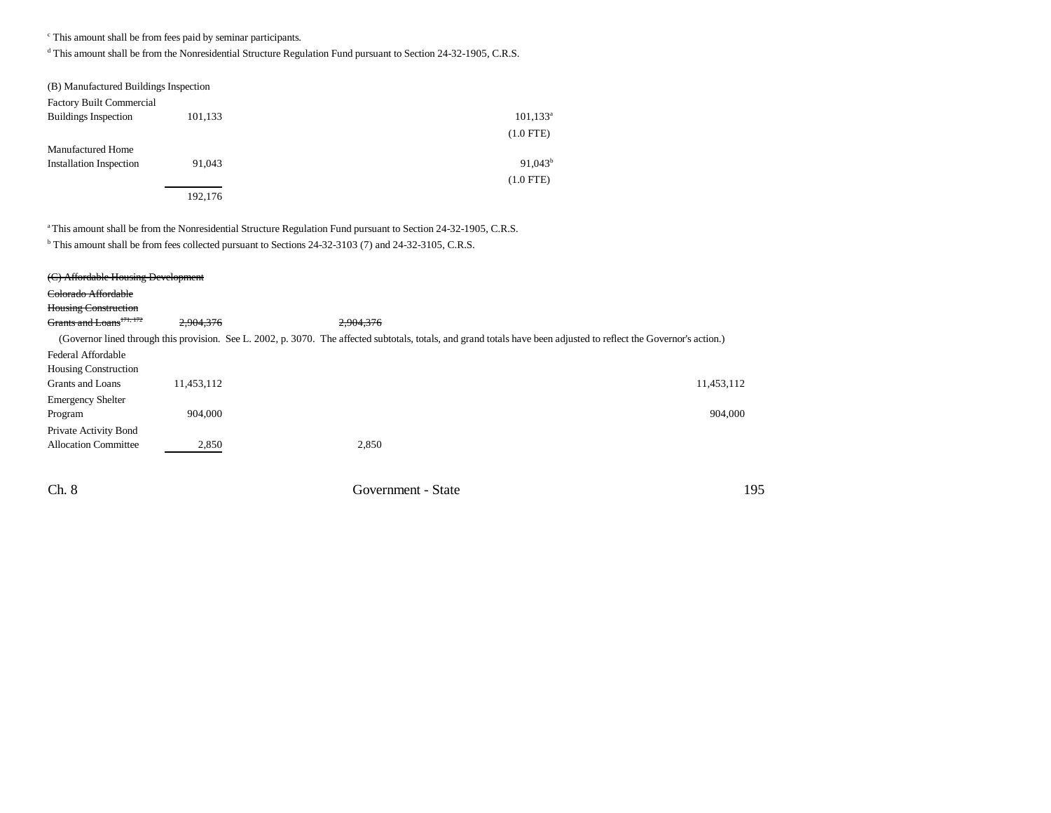c This amount shall be from fees paid by seminar participants.

d This amount shall be from the Nonresidential Structure Regulation Fund pursuant to Section 24-32-1905, C.R.S.

| (B) Manufactured Buildings Inspection |         |              |
|---------------------------------------|---------|--------------|
| <b>Factory Built Commercial</b>       |         |              |
| <b>Buildings Inspection</b>           | 101,133 | $101, 133^a$ |
|                                       |         | $(1.0$ FTE)  |
| <b>Manufactured Home</b>              |         |              |
| <b>Installation Inspection</b>        | 91.043  | $91,043^b$   |
|                                       |         | $(1.0$ FTE)  |
|                                       | 192,176 |              |

a This amount shall be from the Nonresidential Structure Regulation Fund pursuant to Section 24-32-1905, C.R.S.

<sup>b</sup> This amount shall be from fees collected pursuant to Sections 24-32-3103 (7) and 24-32-3105, C.R.S.

| (C) Affordable Housing Development   |            |                                                                                                                                                                      |            |
|--------------------------------------|------------|----------------------------------------------------------------------------------------------------------------------------------------------------------------------|------------|
| Colorado Affordable                  |            |                                                                                                                                                                      |            |
| <b>Housing Construction</b>          |            |                                                                                                                                                                      |            |
| Grants and Loans <sup>171, 172</sup> | 2.904.376  | 2,904,376                                                                                                                                                            |            |
|                                      |            | (Governor lined through this provision. See L. 2002, p. 3070. The affected subtotals, totals, and grand totals have been adjusted to reflect the Governor's action.) |            |
| Federal Affordable                   |            |                                                                                                                                                                      |            |
| <b>Housing Construction</b>          |            |                                                                                                                                                                      |            |
| Grants and Loans                     | 11.453.112 |                                                                                                                                                                      | 11,453,112 |
| <b>Emergency Shelter</b>             |            |                                                                                                                                                                      |            |
| Program                              | 904,000    |                                                                                                                                                                      | 904,000    |
| Private Activity Bond                |            |                                                                                                                                                                      |            |
| <b>Allocation Committee</b>          | 2,850      | 2,850                                                                                                                                                                |            |
|                                      |            |                                                                                                                                                                      |            |

Ch. 8 Government - State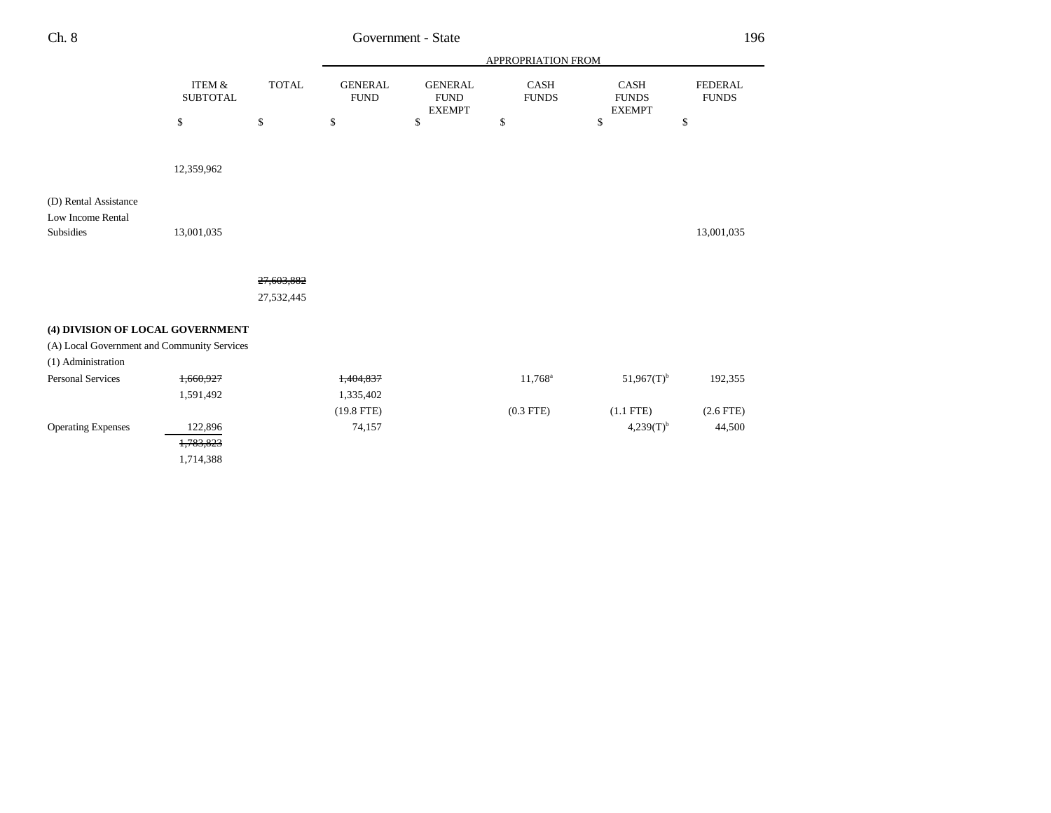| ×<br>×<br>۰, | ٧ |
|--------------|---|
|--------------|---|

# Government - State

|                                                         |                                      |              | APPROPRIATION FROM            |                                                |                      |                                              |                                |
|---------------------------------------------------------|--------------------------------------|--------------|-------------------------------|------------------------------------------------|----------------------|----------------------------------------------|--------------------------------|
|                                                         | <b>ITEM &amp;</b><br><b>SUBTOTAL</b> | <b>TOTAL</b> | <b>GENERAL</b><br><b>FUND</b> | <b>GENERAL</b><br><b>FUND</b><br><b>EXEMPT</b> | CASH<br><b>FUNDS</b> | <b>CASH</b><br><b>FUNDS</b><br><b>EXEMPT</b> | <b>FEDERAL</b><br><b>FUNDS</b> |
|                                                         | $\mathbb{S}$                         | \$           | \$                            | $\mathbf S$                                    | \$                   | $\mathbb S$                                  | \$                             |
|                                                         |                                      |              |                               |                                                |                      |                                              |                                |
|                                                         | 12,359,962                           |              |                               |                                                |                      |                                              |                                |
| (D) Rental Assistance<br>Low Income Rental<br>Subsidies | 13,001,035                           |              |                               |                                                |                      |                                              | 13,001,035                     |
|                                                         |                                      |              |                               |                                                |                      |                                              |                                |
|                                                         |                                      | 27,603,882   |                               |                                                |                      |                                              |                                |
|                                                         |                                      | 27,532,445   |                               |                                                |                      |                                              |                                |
| (4) DIVISION OF LOCAL GOVERNMENT                        |                                      |              |                               |                                                |                      |                                              |                                |
| (A) Local Government and Community Services             |                                      |              |                               |                                                |                      |                                              |                                |
| (1) Administration                                      |                                      |              |                               |                                                |                      |                                              |                                |
| <b>Personal Services</b>                                | 1,660,927                            |              | 1,404,837                     |                                                | $11,768^a$           | $51,967(T)^{b}$                              | 192,355                        |
|                                                         | 1,591,492                            |              | 1,335,402                     |                                                |                      |                                              |                                |
|                                                         |                                      |              | $(19.8$ FTE)                  |                                                | $(0.3$ FTE)          | $(1.1$ FTE)                                  | $(2.6$ FTE)                    |
| <b>Operating Expenses</b>                               | 122,896                              |              | 74,157                        |                                                |                      | $4,239(T)^{b}$                               | 44,500                         |
|                                                         | 1,783,823                            |              |                               |                                                |                      |                                              |                                |
|                                                         | 1,714,388                            |              |                               |                                                |                      |                                              |                                |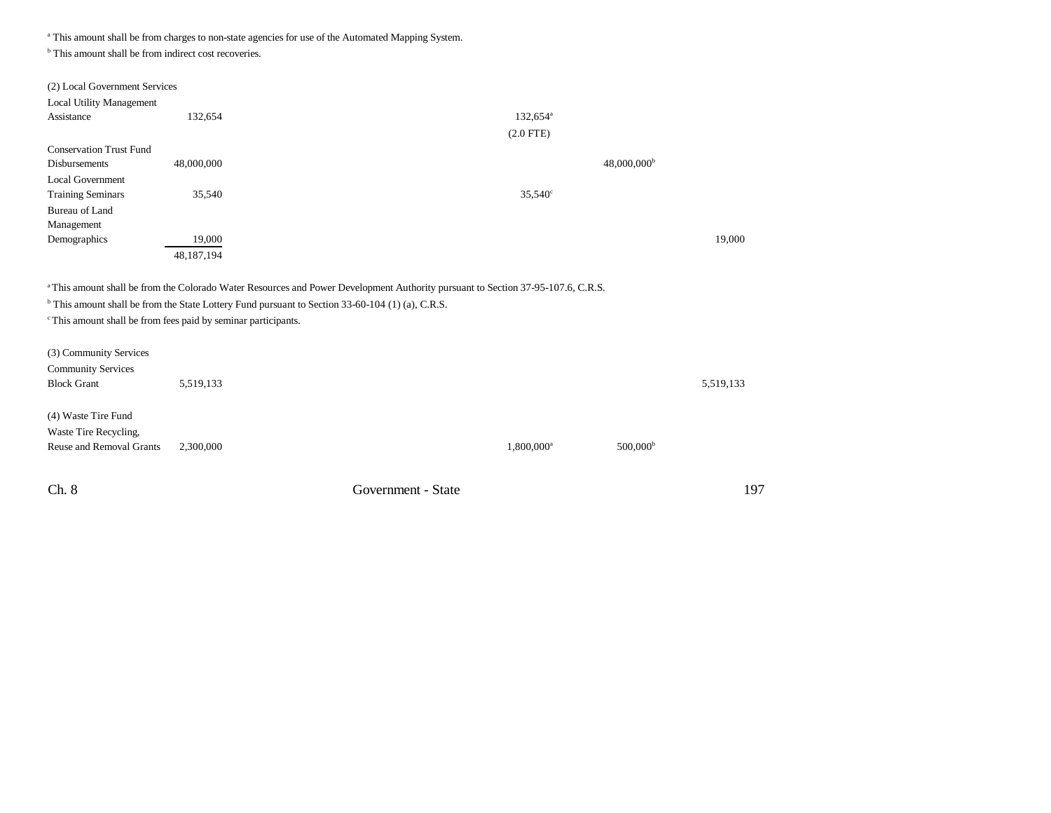<sup>a</sup> This amount shall be from charges to non-state agencies for use of the Automated Mapping System.

<sup>b</sup> This amount shall be from indirect cost recoveries.

| (2) Local Government Services<br><b>Local Utility Management</b>          |            |                                                                                                                                                                                                                                                            |           |
|---------------------------------------------------------------------------|------------|------------------------------------------------------------------------------------------------------------------------------------------------------------------------------------------------------------------------------------------------------------|-----------|
| Assistance                                                                | 132,654    | $132,654^{\circ}$                                                                                                                                                                                                                                          |           |
|                                                                           |            | $(2.0$ FTE)                                                                                                                                                                                                                                                |           |
| <b>Conservation Trust Fund</b>                                            |            |                                                                                                                                                                                                                                                            |           |
| Disbursements                                                             | 48,000,000 | $48,000,000$ <sup>b</sup>                                                                                                                                                                                                                                  |           |
| <b>Local Government</b>                                                   |            |                                                                                                                                                                                                                                                            |           |
| <b>Training Seminars</b>                                                  | 35,540     | $35,540^{\circ}$                                                                                                                                                                                                                                           |           |
| Bureau of Land                                                            |            |                                                                                                                                                                                                                                                            |           |
| Management                                                                |            |                                                                                                                                                                                                                                                            |           |
| Demographics                                                              | 19,000     |                                                                                                                                                                                                                                                            | 19,000    |
|                                                                           | 48,187,194 |                                                                                                                                                                                                                                                            |           |
| <sup>c</sup> This amount shall be from fees paid by seminar participants. |            | <sup>a</sup> This amount shall be from the Colorado Water Resources and Power Development Authority pursuant to Section 37-95-107.6, C.R.S.<br><sup>b</sup> This amount shall be from the State Lottery Fund pursuant to Section 33-60-104 (1) (a), C.R.S. |           |
| (3) Community Services                                                    |            |                                                                                                                                                                                                                                                            |           |
| <b>Community Services</b>                                                 |            |                                                                                                                                                                                                                                                            |           |
| <b>Block Grant</b>                                                        | 5,519,133  |                                                                                                                                                                                                                                                            | 5,519,133 |

(4) Waste Tire Fund Waste Tire Recycling,

| Reuse and Removal Grants 2.300,000 | $0.800 \cdot 000$ <sup>a</sup> | 500.000 <sup>b</sup> |
|------------------------------------|--------------------------------|----------------------|
|                                    |                                |                      |

Ch. 8 Government - State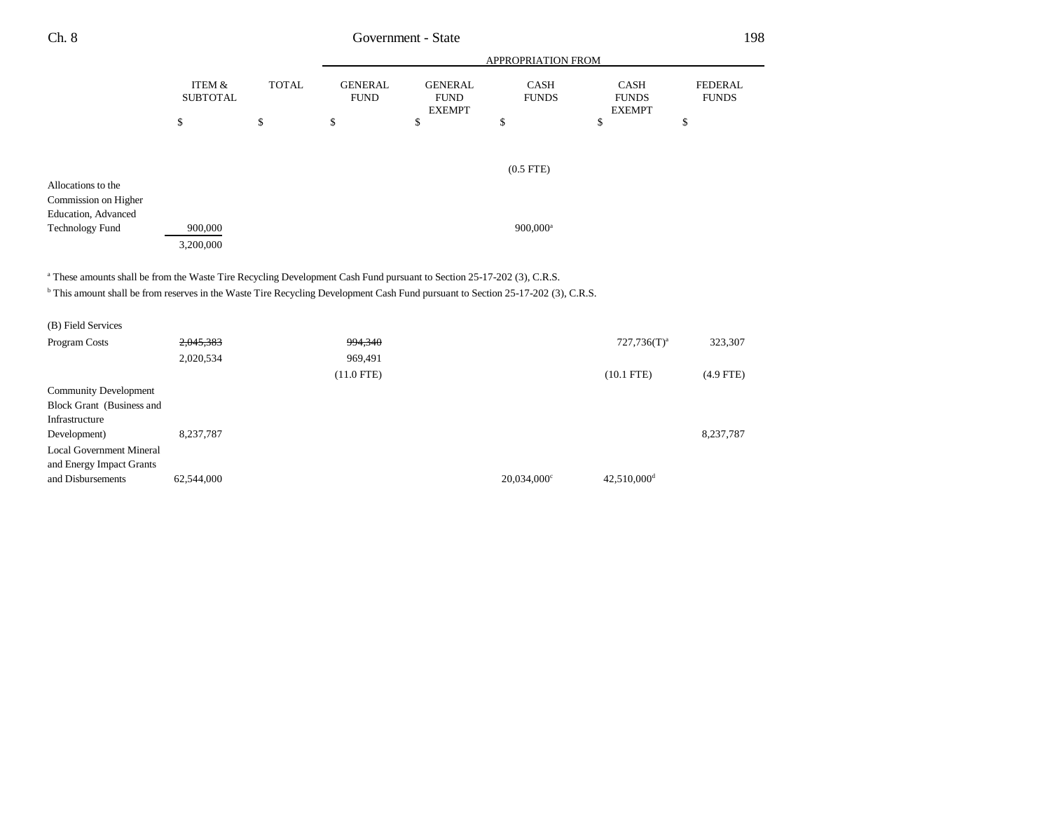| Ch. 8                                                                                                                                                                                                                                                                            |                                      |              |                               | Government - State                             |                             |                                              | 198                            |
|----------------------------------------------------------------------------------------------------------------------------------------------------------------------------------------------------------------------------------------------------------------------------------|--------------------------------------|--------------|-------------------------------|------------------------------------------------|-----------------------------|----------------------------------------------|--------------------------------|
|                                                                                                                                                                                                                                                                                  |                                      |              |                               |                                                | APPROPRIATION FROM          |                                              |                                |
|                                                                                                                                                                                                                                                                                  | <b>ITEM &amp;</b><br><b>SUBTOTAL</b> | <b>TOTAL</b> | <b>GENERAL</b><br><b>FUND</b> | <b>GENERAL</b><br><b>FUND</b><br><b>EXEMPT</b> | <b>CASH</b><br><b>FUNDS</b> | <b>CASH</b><br><b>FUNDS</b><br><b>EXEMPT</b> | <b>FEDERAL</b><br><b>FUNDS</b> |
|                                                                                                                                                                                                                                                                                  | \$                                   | \$           | \$                            | $\mathbb{S}$                                   | \$                          | \$                                           | \$                             |
|                                                                                                                                                                                                                                                                                  |                                      |              |                               |                                                | $(0.5$ FTE)                 |                                              |                                |
| Allocations to the<br>Commission on Higher<br>Education, Advanced                                                                                                                                                                                                                |                                      |              |                               |                                                |                             |                                              |                                |
| <b>Technology Fund</b>                                                                                                                                                                                                                                                           | 900,000<br>3,200,000                 |              |                               |                                                | $900,000$ <sup>a</sup>      |                                              |                                |
| <sup>a</sup> These amounts shall be from the Waste Tire Recycling Development Cash Fund pursuant to Section 25-17-202 (3), C.R.S.<br><sup>b</sup> This amount shall be from reserves in the Waste Tire Recycling Development Cash Fund pursuant to Section 25-17-202 (3), C.R.S. |                                      |              |                               |                                                |                             |                                              |                                |
| (B) Field Services                                                                                                                                                                                                                                                               |                                      |              |                               |                                                |                             |                                              |                                |
| Program Costs                                                                                                                                                                                                                                                                    | 2,045,383                            |              | 994,340                       |                                                |                             | $727,736(T)^a$                               | 323,307                        |
|                                                                                                                                                                                                                                                                                  | 2,020,534                            |              | 969,491                       |                                                |                             |                                              |                                |
|                                                                                                                                                                                                                                                                                  |                                      |              | $(11.0$ FTE)                  |                                                |                             | $(10.1$ FTE)                                 | $(4.9$ FTE)                    |
| <b>Community Development</b><br>Block Grant (Business and<br>Infrastructure                                                                                                                                                                                                      |                                      |              |                               |                                                |                             |                                              |                                |
| Development)<br><b>Local Government Mineral</b><br>and Energy Impact Grants                                                                                                                                                                                                      | 8,237,787                            |              |                               |                                                |                             |                                              | 8,237,787                      |
| and Disbursements                                                                                                                                                                                                                                                                | 62,544,000                           |              |                               |                                                | $20,034,000^{\circ}$        | 42,510,000 <sup>d</sup>                      |                                |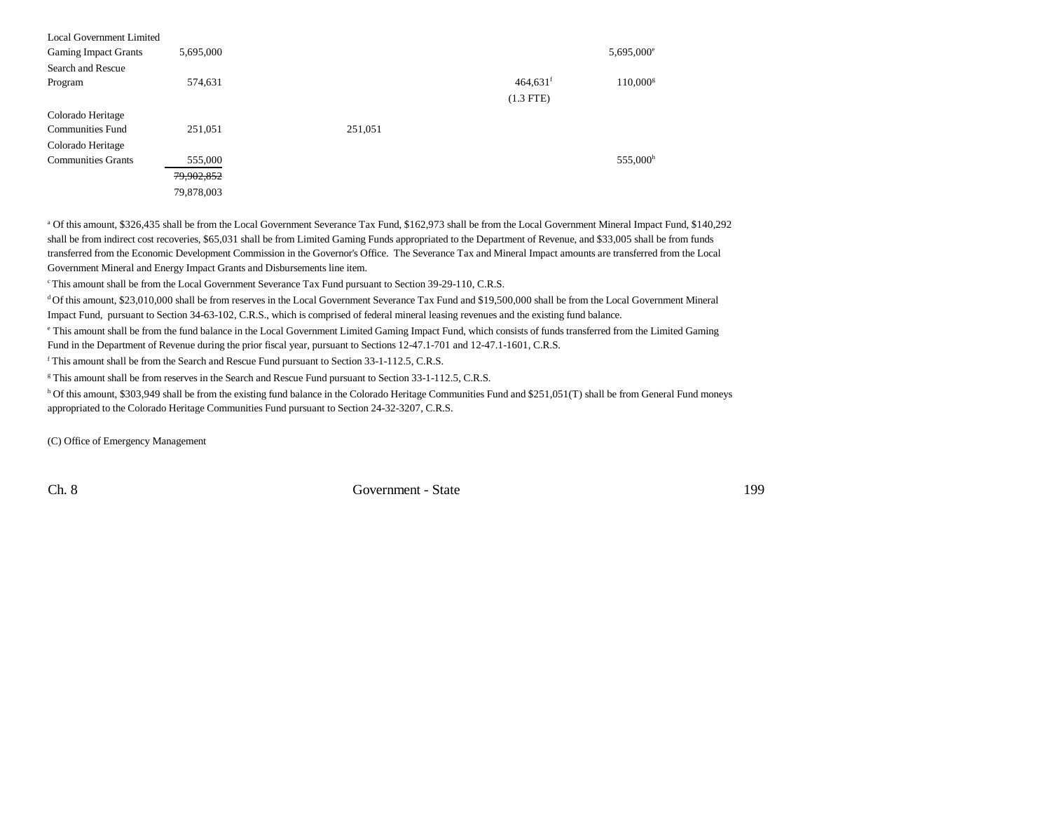| Local Government Limited    |            |         |                        |                     |
|-----------------------------|------------|---------|------------------------|---------------------|
| <b>Gaming Impact Grants</b> | 5,695,000  |         |                        | $5,695,000^{\circ}$ |
| Search and Rescue           |            |         |                        |                     |
| Program                     | 574,631    |         | $464,631$ <sup>f</sup> | $110,000^{\rm g}$   |
|                             |            |         | $(1.3$ FTE)            |                     |
| Colorado Heritage           |            |         |                        |                     |
| <b>Communities Fund</b>     | 251,051    | 251,051 |                        |                     |
| Colorado Heritage           |            |         |                        |                     |
| <b>Communities Grants</b>   | 555,000    |         |                        | 555,000h            |
|                             | 79,902,852 |         |                        |                     |
|                             | 79,878,003 |         |                        |                     |

a Of this amount, \$326,435 shall be from the Local Government Severance Tax Fund, \$162,973 shall be from the Local Government Mineral Impact Fund, \$140,292 shall be from indirect cost recoveries, \$65,031 shall be from Limited Gaming Funds appropriated to the Department of Revenue, and \$33,005 shall be from funds transferred from the Economic Development Commission in the Governor's Office. The Severance Tax and Mineral Impact amounts are transferred from the Local Government Mineral and Energy Impact Grants and Disbursements line item.

c This amount shall be from the Local Government Severance Tax Fund pursuant to Section 39-29-110, C.R.S.

d Of this amount, \$23,010,000 shall be from reserves in the Local Government Severance Tax Fund and \$19,500,000 shall be from the Local Government Mineral Impact Fund, pursuant to Section 34-63-102, C.R.S., which is comprised of federal mineral leasing revenues and the existing fund balance.

e This amount shall be from the fund balance in the Local Government Limited Gaming Impact Fund, which consists of funds transferred from the Limited Gaming Fund in the Department of Revenue during the prior fiscal year, pursuant to Sections 12-47.1-701 and 12-47.1-1601, C.R.S.

f This amount shall be from the Search and Rescue Fund pursuant to Section 33-1-112.5, C.R.S.

<sup>g</sup> This amount shall be from reserves in the Search and Rescue Fund pursuant to Section 33-1-112.5, C.R.S.

h Of this amount, \$303,949 shall be from the existing fund balance in the Colorado Heritage Communities Fund and \$251,051(T) shall be from General Fund moneys appropriated to the Colorado Heritage Communities Fund pursuant to Section 24-32-3207, C.R.S.

(C) Office of Emergency Management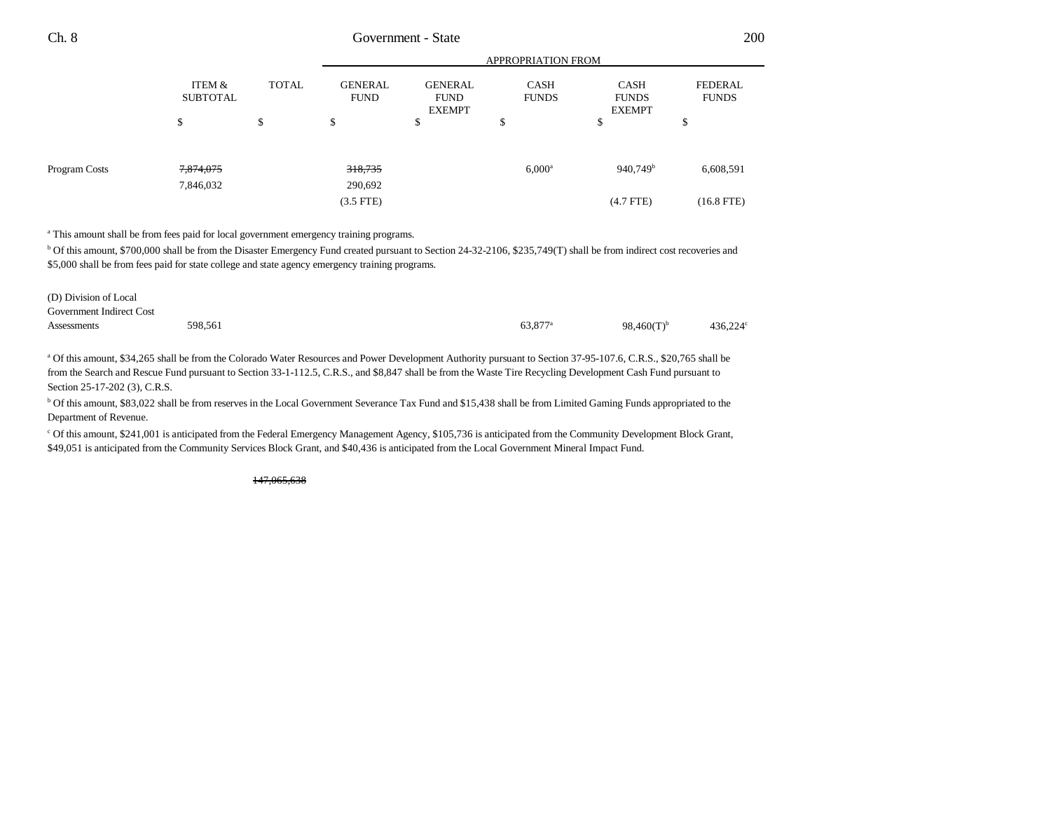APPROPRIATION FROM

|               |                           |              | APPROPRIATION FROM                |                                                |                             |                                              |                                |
|---------------|---------------------------|--------------|-----------------------------------|------------------------------------------------|-----------------------------|----------------------------------------------|--------------------------------|
|               | ITEM &<br><b>SUBTOTAL</b> | <b>TOTAL</b> | <b>GENERAL</b><br><b>FUND</b>     | <b>GENERAL</b><br><b>FUND</b><br><b>EXEMPT</b> | <b>CASH</b><br><b>FUNDS</b> | <b>CASH</b><br><b>FUNDS</b><br><b>EXEMPT</b> | <b>FEDERAL</b><br><b>FUNDS</b> |
|               | \$                        | \$           | \$                                | ¢<br>Ф                                         | \$                          | ¢<br>Ф                                       | \$                             |
| Program Costs | 7,874,075<br>7,846,032    |              | 318,735<br>290,692<br>$(3.5$ FTE) |                                                | $6,000^{\rm a}$             | 940,749 <sup>b</sup><br>$(4.7$ FTE $)$       | 6,608,591<br>$(16.8$ FTE)      |

a This amount shall be from fees paid for local government emergency training programs.

b Of this amount, \$700,000 shall be from the Disaster Emergency Fund created pursuant to Section 24-32-2106, \$235,749(T) shall be from indirect cost recoveries and \$5,000 shall be from fees paid for state college and state agency emergency training programs.

| (D) Division of Local    |         |                     |                  |         |
|--------------------------|---------|---------------------|------------------|---------|
| Government Indirect Cost |         |                     |                  |         |
| Assessments              | 598.561 | 63.877 <sup>a</sup> | 98,460 $(T)^{b}$ | 436.224 |

<sup>a</sup> Of this amount, \$34,265 shall be from the Colorado Water Resources and Power Development Authority pursuant to Section 37-95-107.6, C.R.S., \$20,765 shall be from the Search and Rescue Fund pursuant to Section 33-1-112.5, C.R.S., and \$8,847 shall be from the Waste Tire Recycling Development Cash Fund pursuant to Section 25-17-202 (3), C.R.S.

b Of this amount, \$83,022 shall be from reserves in the Local Government Severance Tax Fund and \$15,438 shall be from Limited Gaming Funds appropriated to the Department of Revenue.

c Of this amount, \$241,001 is anticipated from the Federal Emergency Management Agency, \$105,736 is anticipated from the Community Development Block Grant, \$49,051 is anticipated from the Community Services Block Grant, and \$40,436 is anticipated from the Local Government Mineral Impact Fund.

147,065,638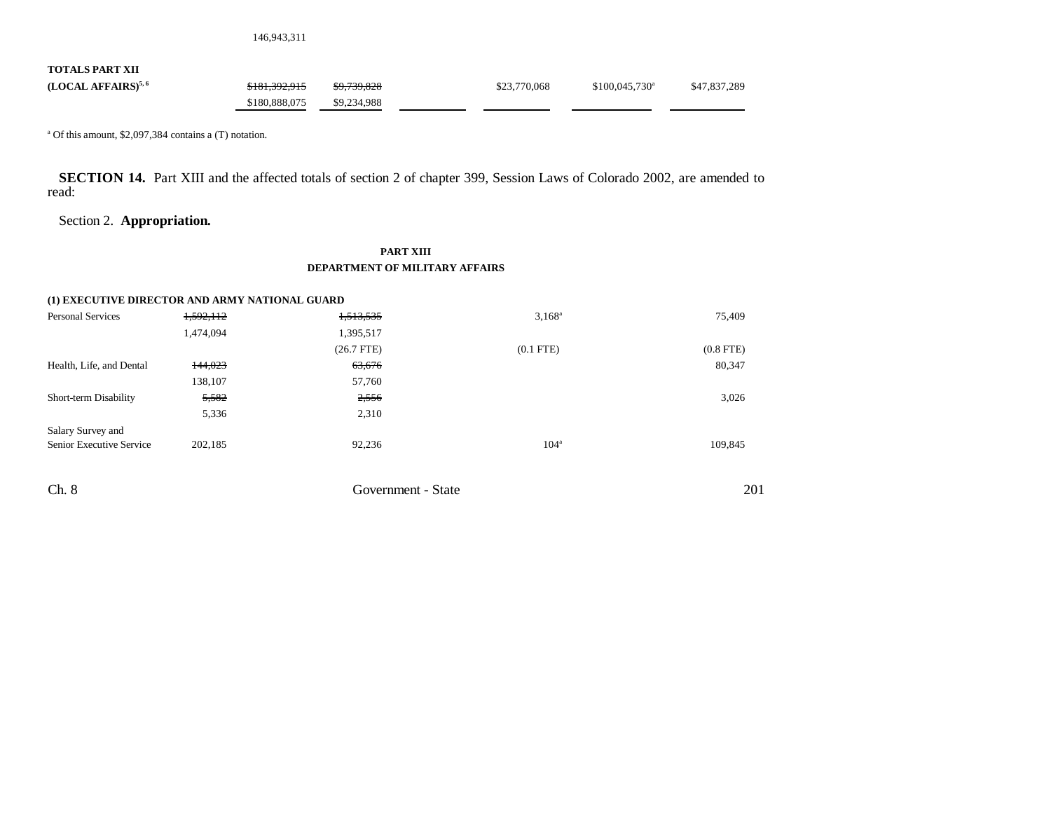146,943,311

**TOTALS PART XII**

**(LOCAL AFFAIRS)<sup>5,6</sup>** \$181,392,915 \$9,739,828 \$23,770,068 \$100,045,730<sup>a</sup> \$47,837,289 \$180,888,075 \$9,234,988

a Of this amount, \$2,097,384 contains a (T) notation.

**SECTION 14.** Part XIII and the affected totals of section 2 of chapter 399, Session Laws of Colorado 2002, are amended to read:

# Section 2. **Appropriation.**

### **PART XIII DEPARTMENT OF MILITARY AFFAIRS**

| (1) EXECUTIVE DIRECTOR AND ARMY NATIONAL GUARD |           |              |                  |                |
|------------------------------------------------|-----------|--------------|------------------|----------------|
| <b>Personal Services</b>                       | 1,592,112 | 1,513,535    | $3,168^a$        | 75.409         |
|                                                | 1,474,094 | 1,395,517    |                  |                |
|                                                |           | $(26.7$ FTE) | $(0.1$ FTE $)$   | $(0.8$ FTE $)$ |
| Health, Life, and Dental                       | 144,023   | 63,676       |                  | 80,347         |
|                                                | 138.107   | 57,760       |                  |                |
| Short-term Disability                          | 5,582     | 2,556        |                  | 3,026          |
|                                                | 5,336     | 2.310        |                  |                |
| Salary Survey and                              |           |              |                  |                |
| Senior Executive Service                       | 202,185   | 92.236       | 104 <sup>a</sup> | 109.845        |
|                                                |           |              |                  |                |
|                                                |           |              |                  |                |

201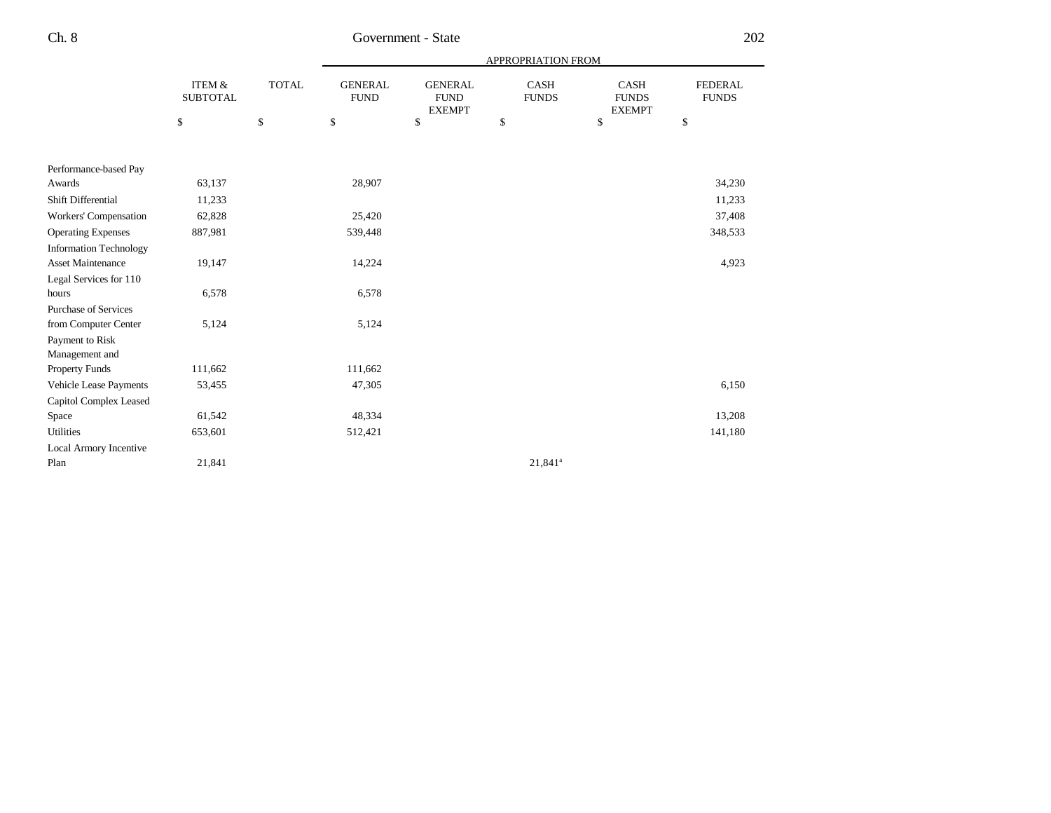|                               |                                      |              |                               |                                                 |                             | <b>APPROPRIATION FROM</b>             |                                |  |  |
|-------------------------------|--------------------------------------|--------------|-------------------------------|-------------------------------------------------|-----------------------------|---------------------------------------|--------------------------------|--|--|
|                               | <b>ITEM &amp;</b><br><b>SUBTOTAL</b> | <b>TOTAL</b> | <b>GENERAL</b><br><b>FUND</b> | <b>GENERAL</b><br>${\rm FUND}$<br><b>EXEMPT</b> | <b>CASH</b><br><b>FUNDS</b> | CASH<br><b>FUNDS</b><br><b>EXEMPT</b> | <b>FEDERAL</b><br><b>FUNDS</b> |  |  |
|                               | \$                                   | $\$$         | \$                            | \$                                              | \$                          | \$                                    | \$                             |  |  |
|                               |                                      |              |                               |                                                 |                             |                                       |                                |  |  |
| Performance-based Pay         |                                      |              |                               |                                                 |                             |                                       |                                |  |  |
| Awards                        | 63,137                               |              | 28,907                        |                                                 |                             |                                       | 34,230                         |  |  |
| Shift Differential            | 11,233                               |              |                               |                                                 |                             |                                       | 11,233                         |  |  |
| Workers' Compensation         | 62,828                               |              | 25,420                        |                                                 |                             |                                       | 37,408                         |  |  |
| <b>Operating Expenses</b>     | 887,981                              |              | 539,448                       |                                                 |                             |                                       | 348,533                        |  |  |
| <b>Information Technology</b> |                                      |              |                               |                                                 |                             |                                       |                                |  |  |
| <b>Asset Maintenance</b>      | 19,147                               |              | 14,224                        |                                                 |                             |                                       | 4,923                          |  |  |
| Legal Services for 110        |                                      |              |                               |                                                 |                             |                                       |                                |  |  |
| hours                         | 6,578                                |              | 6,578                         |                                                 |                             |                                       |                                |  |  |
| <b>Purchase of Services</b>   |                                      |              |                               |                                                 |                             |                                       |                                |  |  |
| from Computer Center          | 5,124                                |              | 5,124                         |                                                 |                             |                                       |                                |  |  |
| Payment to Risk               |                                      |              |                               |                                                 |                             |                                       |                                |  |  |
| Management and                |                                      |              |                               |                                                 |                             |                                       |                                |  |  |
| <b>Property Funds</b>         | 111,662                              |              | 111,662                       |                                                 |                             |                                       |                                |  |  |
| Vehicle Lease Payments        | 53,455                               |              | 47,305                        |                                                 |                             |                                       | 6,150                          |  |  |
| Capitol Complex Leased        |                                      |              |                               |                                                 |                             |                                       |                                |  |  |
| Space                         | 61,542                               |              | 48,334                        |                                                 |                             |                                       | 13,208                         |  |  |
| Utilities                     | 653,601                              |              | 512,421                       |                                                 |                             |                                       | 141,180                        |  |  |
| Local Armory Incentive        |                                      |              |                               |                                                 |                             |                                       |                                |  |  |
| Plan                          | 21,841                               |              |                               |                                                 | $21,841^a$                  |                                       |                                |  |  |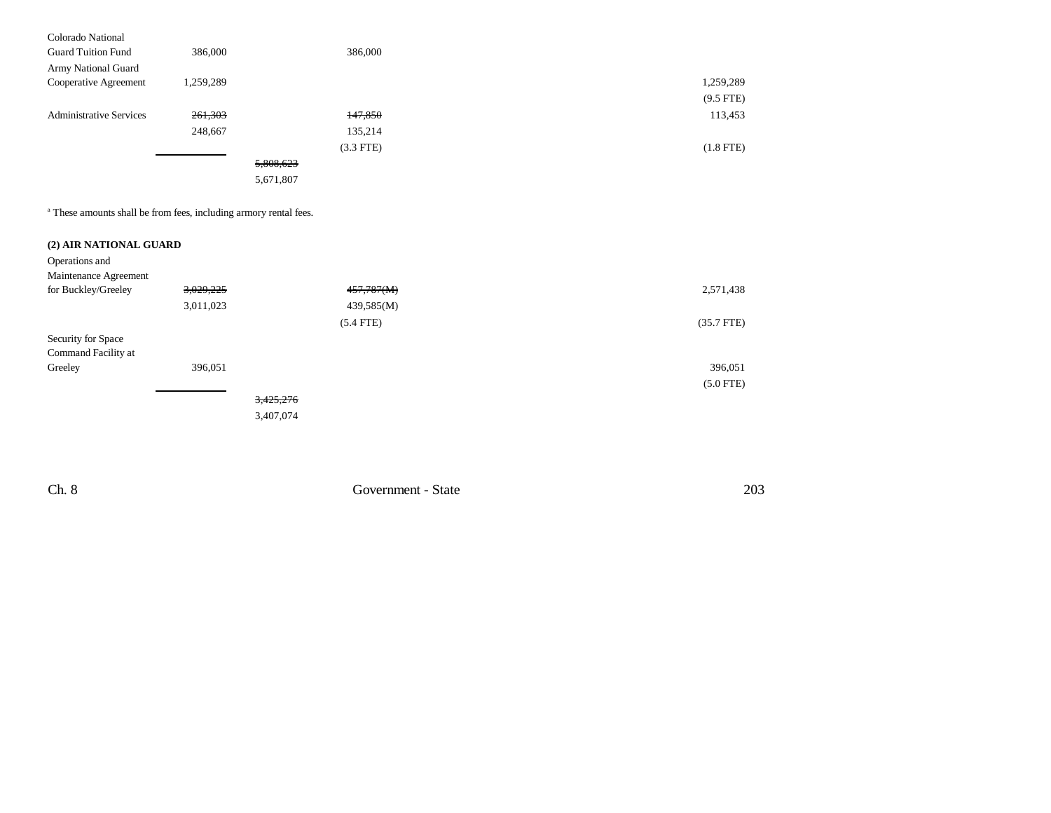| Colorado National              |           |             |             |
|--------------------------------|-----------|-------------|-------------|
| <b>Guard Tuition Fund</b>      | 386,000   | 386,000     |             |
| Army National Guard            |           |             |             |
| Cooperative Agreement          | 1,259,289 |             | 1,259,289   |
|                                |           |             | $(9.5$ FTE) |
| <b>Administrative Services</b> | 261,303   | 147,850     | 113,453     |
|                                | 248,667   | 135,214     |             |
|                                |           | $(3.3$ FTE) | $(1.8$ FTE) |
|                                |           | 5,808,623   |             |
|                                |           | 5,671,807   |             |

a These amounts shall be from fees, including armory rental fees.

# **(2) AIR NATIONAL GUARD**

| Operations and        |           |             |              |
|-----------------------|-----------|-------------|--------------|
| Maintenance Agreement |           |             |              |
| for Buckley/Greeley   | 3,029,225 | 457,787(M)  | 2,571,438    |
|                       | 3,011,023 | 439,585(M)  |              |
|                       |           | $(5.4$ FTE) | $(35.7$ FTE) |
| Security for Space    |           |             |              |
| Command Facility at   |           |             |              |
| Greeley               | 396,051   |             | 396,051      |
|                       |           |             | $(5.0$ FTE)  |
|                       |           | 3,425,276   |              |

3,407,074

Ch. 8 Government - State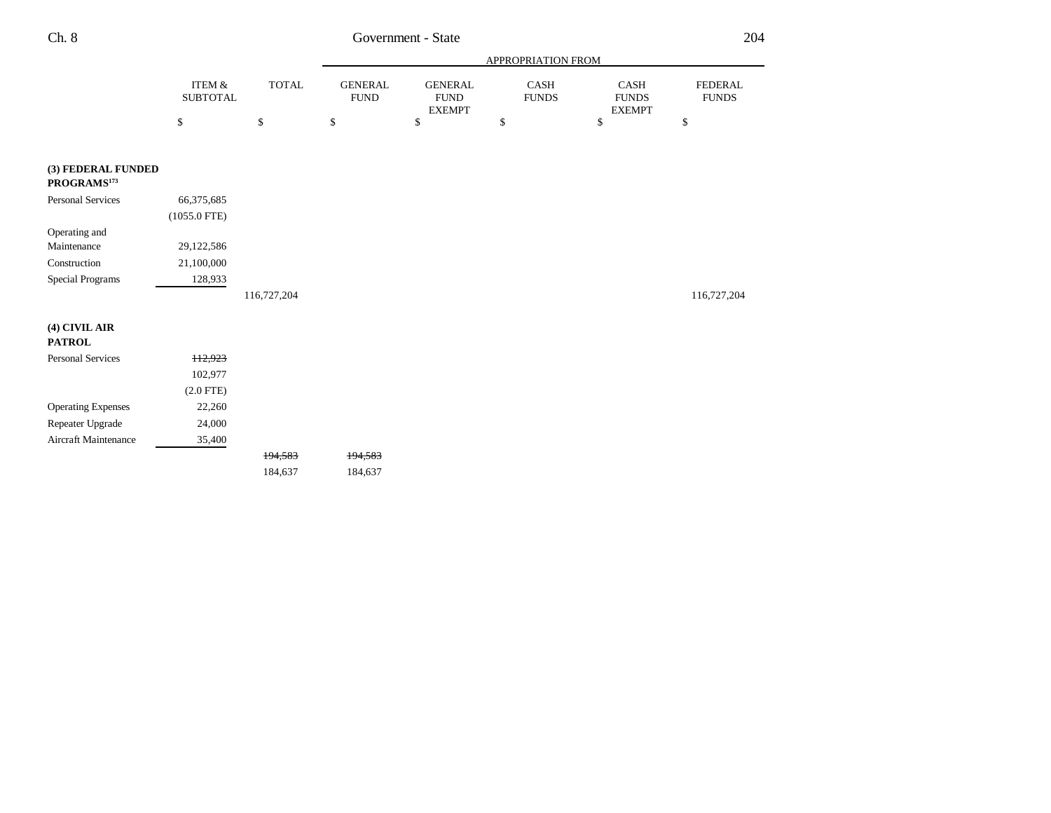|                                               |                              |              |                               |                                                | APPROPRIATION FROM   |                                       |                                |
|-----------------------------------------------|------------------------------|--------------|-------------------------------|------------------------------------------------|----------------------|---------------------------------------|--------------------------------|
|                                               | ITEM $\&$<br><b>SUBTOTAL</b> | <b>TOTAL</b> | <b>GENERAL</b><br><b>FUND</b> | <b>GENERAL</b><br><b>FUND</b><br><b>EXEMPT</b> | CASH<br><b>FUNDS</b> | CASH<br><b>FUNDS</b><br><b>EXEMPT</b> | <b>FEDERAL</b><br><b>FUNDS</b> |
|                                               | $\mathbb{S}$                 | $\mathbb{S}$ | $\mathbb{S}$                  | \$                                             | \$                   | $\mathbb{S}$                          | $\$$                           |
|                                               |                              |              |                               |                                                |                      |                                       |                                |
| (3) FEDERAL FUNDED<br>PROGRAMS <sup>173</sup> |                              |              |                               |                                                |                      |                                       |                                |
| <b>Personal Services</b>                      | 66,375,685                   |              |                               |                                                |                      |                                       |                                |
|                                               | $(1055.0$ FTE)               |              |                               |                                                |                      |                                       |                                |
| Operating and                                 |                              |              |                               |                                                |                      |                                       |                                |
| Maintenance                                   | 29,122,586                   |              |                               |                                                |                      |                                       |                                |
| Construction                                  | 21,100,000                   |              |                               |                                                |                      |                                       |                                |
| Special Programs                              | 128,933                      |              |                               |                                                |                      |                                       |                                |
|                                               |                              | 116,727,204  |                               |                                                |                      |                                       | 116,727,204                    |
| $(4)$ CIVIL AIR                               |                              |              |                               |                                                |                      |                                       |                                |
| <b>PATROL</b>                                 |                              |              |                               |                                                |                      |                                       |                                |
| Personal Services                             | 112,923                      |              |                               |                                                |                      |                                       |                                |
|                                               | 102,977                      |              |                               |                                                |                      |                                       |                                |
|                                               | $(2.0$ FTE)                  |              |                               |                                                |                      |                                       |                                |
| <b>Operating Expenses</b>                     | 22,260                       |              |                               |                                                |                      |                                       |                                |
| Repeater Upgrade                              | 24,000                       |              |                               |                                                |                      |                                       |                                |
| Aircraft Maintenance                          | 35,400                       |              |                               |                                                |                      |                                       |                                |
|                                               |                              | 194,583      | 194,583                       |                                                |                      |                                       |                                |
|                                               |                              | 184,637      | 184,637                       |                                                |                      |                                       |                                |
|                                               |                              |              |                               |                                                |                      |                                       |                                |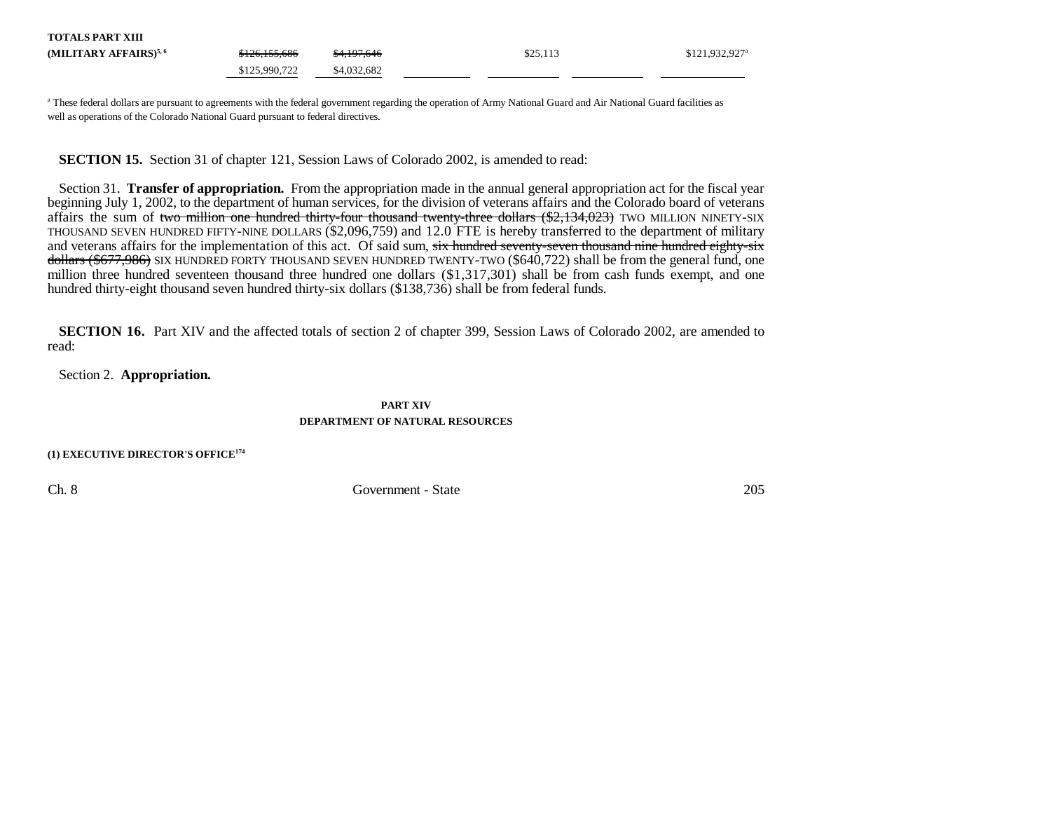| <b>TOTALS PART XIII</b>           |                          |             |          |                             |
|-----------------------------------|--------------------------|-------------|----------|-----------------------------|
| (MILITARY AFFAIRS) <sup>5,6</sup> | <del>\$126,155,686</del> | \$4,197,646 | \$25,113 | $$121.932.927$ <sup>a</sup> |
|                                   | \$125,990,722            | \$4,032,682 |          |                             |

<sup>a</sup> These federal dollars are pursuant to agreements with the federal government regarding the operation of Army National Guard and Air National Guard facilities as well as operations of the Colorado National Guard pursuant to federal directives.

**SECTION 15.** Section 31 of chapter 121, Session Laws of Colorado 2002, is amended to read:

Section 31. **Transfer of appropriation.** From the appropriation made in the annual general appropriation act for the fiscal year beginning July 1, 2002, to the department of human services, for the division of veterans affairs and the Colorado board of veterans affairs the sum of two million one hundred thirty-four thousand twenty-three dollars  $(\$2,134,023)$  TWO MILLION NINETY-SIX THOUSAND SEVEN HUNDRED FIFTY-NINE DOLLARS (\$2,096,759) and 12.0 FTE is hereby transferred to the department of military and veterans affairs for the implementation of this act. Of said sum, six hundred seventy-seven thousand nine hundred eighty-six dollars (\$677,986) SIX HUNDRED FORTY THOUSAND SEVEN HUNDRED TWENTY-TWO (\$640,722) shall be from the general fund, one million three hundred seventeen thousand three hundred one dollars (\$1,317,301) shall be from cash funds exempt, and one hundred thirty-eight thousand seven hundred thirty-six dollars (\$138,736) shall be from federal funds.

**SECTION 16.** Part XIV and the affected totals of section 2 of chapter 399, Session Laws of Colorado 2002, are amended to read:

Section 2. **Appropriation.**

**PART XIVDEPARTMENT OF NATURAL RESOURCES**

**(1) EXECUTIVE DIRECTOR'S OFFICE<sup>174</sup>**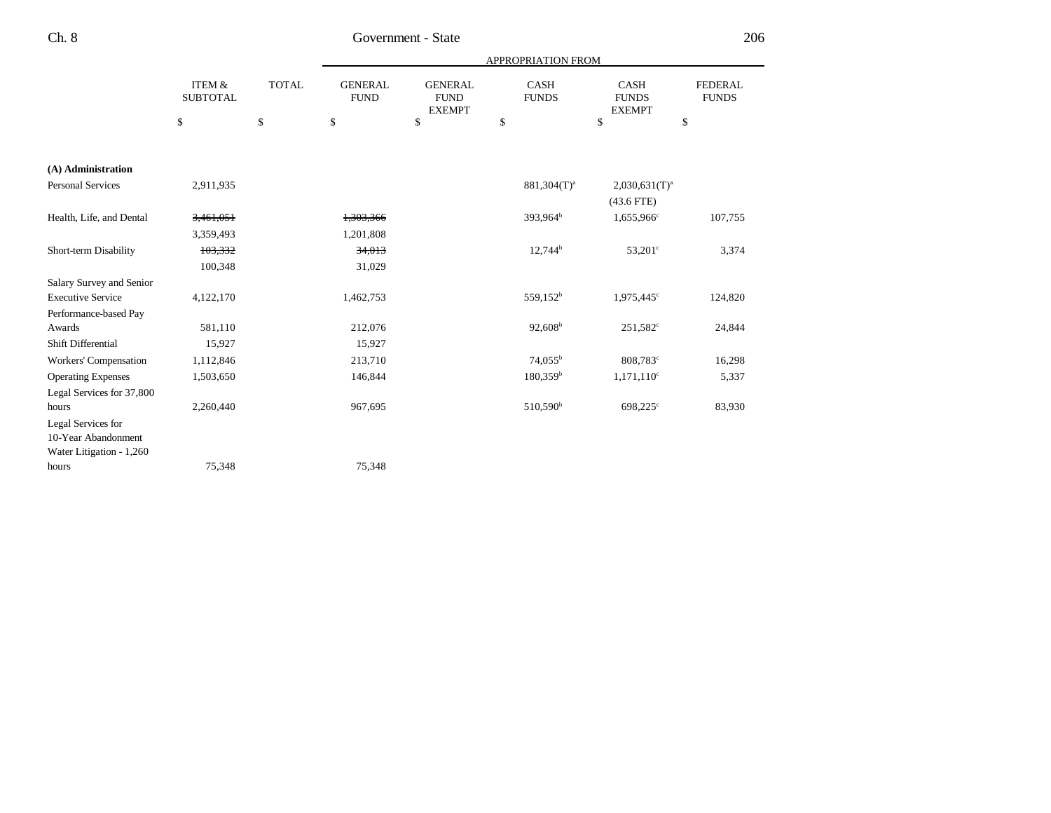|                           |                           |              |                               |                                                | APPROPRIATION FROM          |                                              |                                |
|---------------------------|---------------------------|--------------|-------------------------------|------------------------------------------------|-----------------------------|----------------------------------------------|--------------------------------|
|                           | ITEM &<br><b>SUBTOTAL</b> | <b>TOTAL</b> | <b>GENERAL</b><br><b>FUND</b> | <b>GENERAL</b><br><b>FUND</b><br><b>EXEMPT</b> | <b>CASH</b><br><b>FUNDS</b> | <b>CASH</b><br><b>FUNDS</b><br><b>EXEMPT</b> | <b>FEDERAL</b><br><b>FUNDS</b> |
|                           | \$                        | \$           | \$                            | \$                                             | \$                          | \$                                           | \$                             |
|                           |                           |              |                               |                                                |                             |                                              |                                |
| (A) Administration        |                           |              |                               |                                                |                             |                                              |                                |
| <b>Personal Services</b>  | 2,911,935                 |              |                               |                                                | $881,304(T)^{a}$            | $2,030,631(T)^a$                             |                                |
|                           |                           |              |                               |                                                |                             | $(43.6$ FTE)                                 |                                |
| Health, Life, and Dental  | 3,461,051                 |              | 1,303,366                     |                                                | $393.964^b$                 | 1,655,966 <sup>c</sup>                       | 107,755                        |
|                           | 3,359,493                 |              | 1,201,808                     |                                                |                             |                                              |                                |
| Short-term Disability     | 103,332                   |              | 34,013                        |                                                | $12,744^b$                  | $53,201^{\circ}$                             | 3,374                          |
|                           | 100,348                   |              | 31,029                        |                                                |                             |                                              |                                |
| Salary Survey and Senior  |                           |              |                               |                                                |                             |                                              |                                |
| <b>Executive Service</b>  | 4,122,170                 |              | 1,462,753                     |                                                | 559,152 <sup>b</sup>        | $1,975,445^{\circ}$                          | 124,820                        |
| Performance-based Pay     |                           |              |                               |                                                |                             |                                              |                                |
| Awards                    | 581,110                   |              | 212,076                       |                                                | $92,608^b$                  | $251,582^{\circ}$                            | 24,844                         |
| Shift Differential        | 15,927                    |              | 15,927                        |                                                |                             |                                              |                                |
| Workers' Compensation     | 1,112,846                 |              | 213,710                       |                                                | 74,055 <sup>b</sup>         | 808,783 <sup>c</sup>                         | 16,298                         |
| <b>Operating Expenses</b> | 1,503,650                 |              | 146,844                       |                                                | $180,359^b$                 | $1,171,110^c$                                | 5,337                          |
| Legal Services for 37,800 |                           |              |                               |                                                |                             |                                              |                                |
| hours                     | 2,260,440                 |              | 967,695                       |                                                | 510,590 <sup>b</sup>        | 698,225°                                     | 83,930                         |
| Legal Services for        |                           |              |                               |                                                |                             |                                              |                                |
| 10-Year Abandonment       |                           |              |                               |                                                |                             |                                              |                                |
| Water Litigation - 1,260  |                           |              |                               |                                                |                             |                                              |                                |
| hours                     | 75,348                    |              | 75,348                        |                                                |                             |                                              |                                |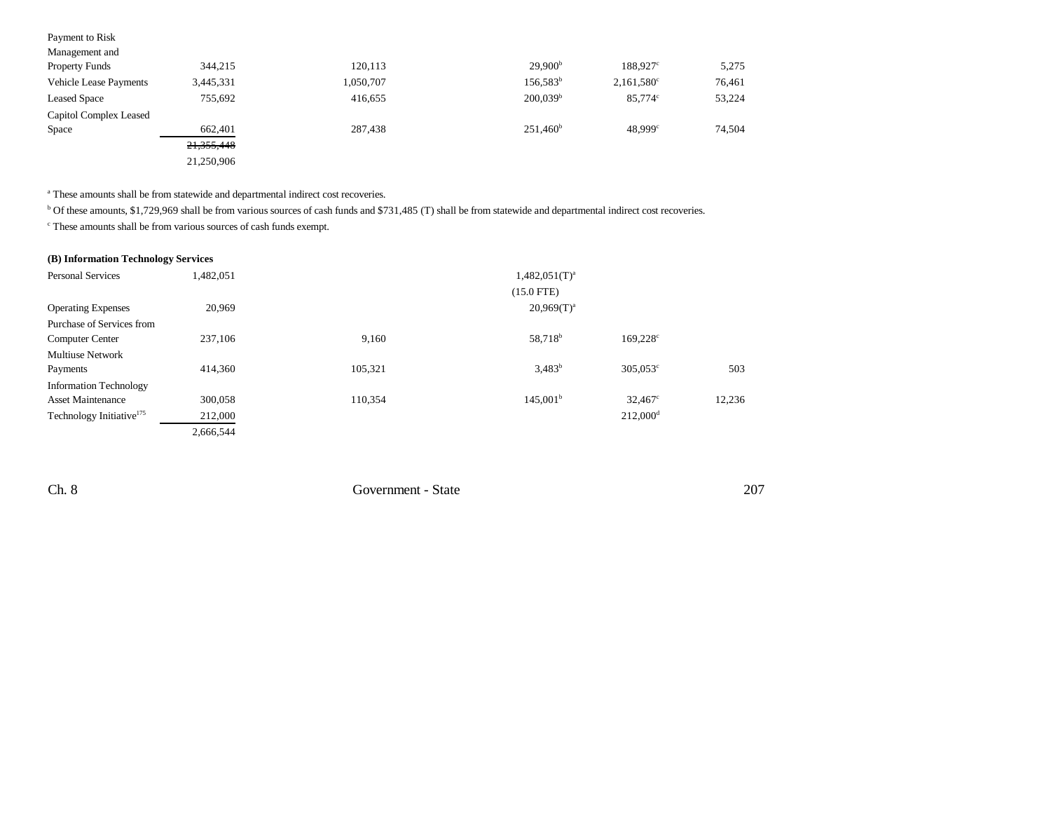| Payment to Risk               |            |           |                     |                     |        |
|-------------------------------|------------|-----------|---------------------|---------------------|--------|
| Management and                |            |           |                     |                     |        |
| <b>Property Funds</b>         | 344,215    | 120,113   | 29,900 <sup>b</sup> | 188.927c            | 5,275  |
| <b>Vehicle Lease Payments</b> | 3,445,331  | 1,050,707 | $156,583^b$         | $2,161,580^{\circ}$ | 76,461 |
| <b>Leased Space</b>           | 755,692    | 416,655   | $200,039^{\rm b}$   | 85,774°             | 53,224 |
| Capitol Complex Leased        |            |           |                     |                     |        |
| Space                         | 662,401    | 287,438   | $251,460^{\rm b}$   | 48,999°             | 74,504 |
|                               | 21,355,448 |           |                     |                     |        |
|                               | 21,250,906 |           |                     |                     |        |
|                               |            |           |                     |                     |        |

a These amounts shall be from statewide and departmental indirect cost recoveries.

b Of these amounts, \$1,729,969 shall be from various sources of cash funds and \$731,485 (T) shall be from statewide and departmental indirect cost recoveries.

c These amounts shall be from various sources of cash funds exempt.

| (B) Information Technology Services |  |  |
|-------------------------------------|--|--|
|-------------------------------------|--|--|

| <b>Personal Services</b>             | 1,482,051 |         | $1,482,051$ (T) <sup>a</sup> |                        |        |
|--------------------------------------|-----------|---------|------------------------------|------------------------|--------|
|                                      |           |         | $(15.0$ FTE)                 |                        |        |
| <b>Operating Expenses</b>            | 20,969    |         | $20,969(T)^a$                |                        |        |
| Purchase of Services from            |           |         |                              |                        |        |
| <b>Computer Center</b>               | 237,106   | 9,160   | 58,718 <sup>b</sup>          | 169.228c               |        |
| <b>Multiuse Network</b>              |           |         |                              |                        |        |
| Payments                             | 414,360   | 105,321 | $3.483^{b}$                  | $305,053^{\circ}$      | 503    |
| <b>Information Technology</b>        |           |         |                              |                        |        |
| <b>Asset Maintenance</b>             | 300,058   | 110,354 | $145,001^{\rm b}$            | $32,467^{\circ}$       | 12,236 |
| Technology Initiative <sup>175</sup> | 212,000   |         |                              | $212,000$ <sup>d</sup> |        |
|                                      | 2,666,544 |         |                              |                        |        |

Ch. 8 Government - State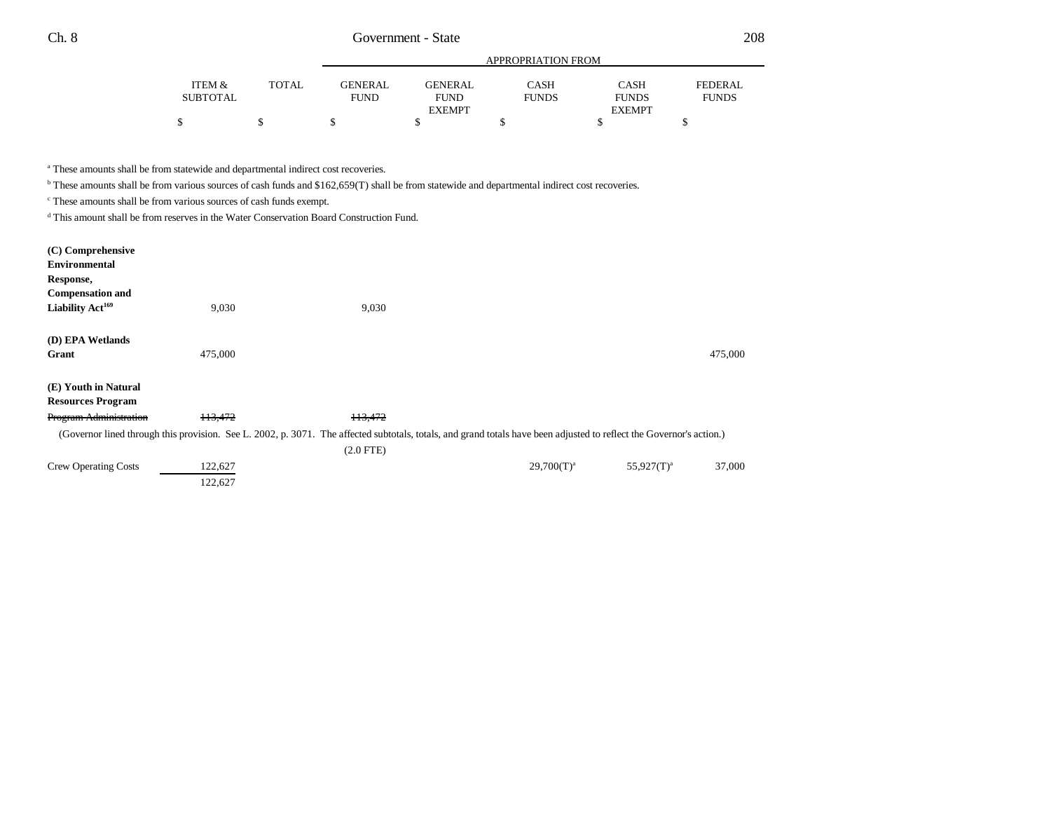|          |              |             | APPROPRIATION FROM |              |               |              |  |
|----------|--------------|-------------|--------------------|--------------|---------------|--------------|--|
| ITEM &   | <b>TOTAL</b> | GENERAL     | <b>GENERAL</b>     | CASH         | <b>CASH</b>   | FEDERAL      |  |
| SUBTOTAL |              | <b>FUND</b> | <b>FUND</b>        | <b>FUNDS</b> | <b>FUNDS</b>  | <b>FUNDS</b> |  |
|          |              |             | <b>EXEMPT</b>      |              | <b>EXEMPT</b> |              |  |
|          |              |             |                    |              |               |              |  |

<sup>a</sup> These amounts shall be from statewide and departmental indirect cost recoveries.

122,627

<sup>b</sup> These amounts shall be from various sources of cash funds and \$162,659(T) shall be from statewide and departmental indirect cost recoveries.

c These amounts shall be from various sources of cash funds exempt.

d This amount shall be from reserves in the Water Conservation Board Construction Fund.

| (C) Comprehensive<br><b>Environmental</b><br>Response,<br><b>Compensation and</b><br>Liability Act <sup>169</sup> | 9,030   | 9,030                                                                                                                                                                |               |               |         |
|-------------------------------------------------------------------------------------------------------------------|---------|----------------------------------------------------------------------------------------------------------------------------------------------------------------------|---------------|---------------|---------|
| (D) EPA Wetlands<br>Grant                                                                                         | 475,000 |                                                                                                                                                                      |               |               | 475,000 |
| (E) Youth in Natural<br><b>Resources Program</b>                                                                  |         |                                                                                                                                                                      |               |               |         |
| <b>Program Administration</b>                                                                                     | 113,472 | 113,472                                                                                                                                                              |               |               |         |
|                                                                                                                   |         | (Governor lined through this provision. See L. 2002, p. 3071. The affected subtotals, totals, and grand totals have been adjusted to reflect the Governor's action.) |               |               |         |
|                                                                                                                   |         | $(2.0$ FTE)                                                                                                                                                          |               |               |         |
| <b>Crew Operating Costs</b>                                                                                       | 122,627 |                                                                                                                                                                      | $29,700(T)^a$ | $55,927(T)^a$ | 37,000  |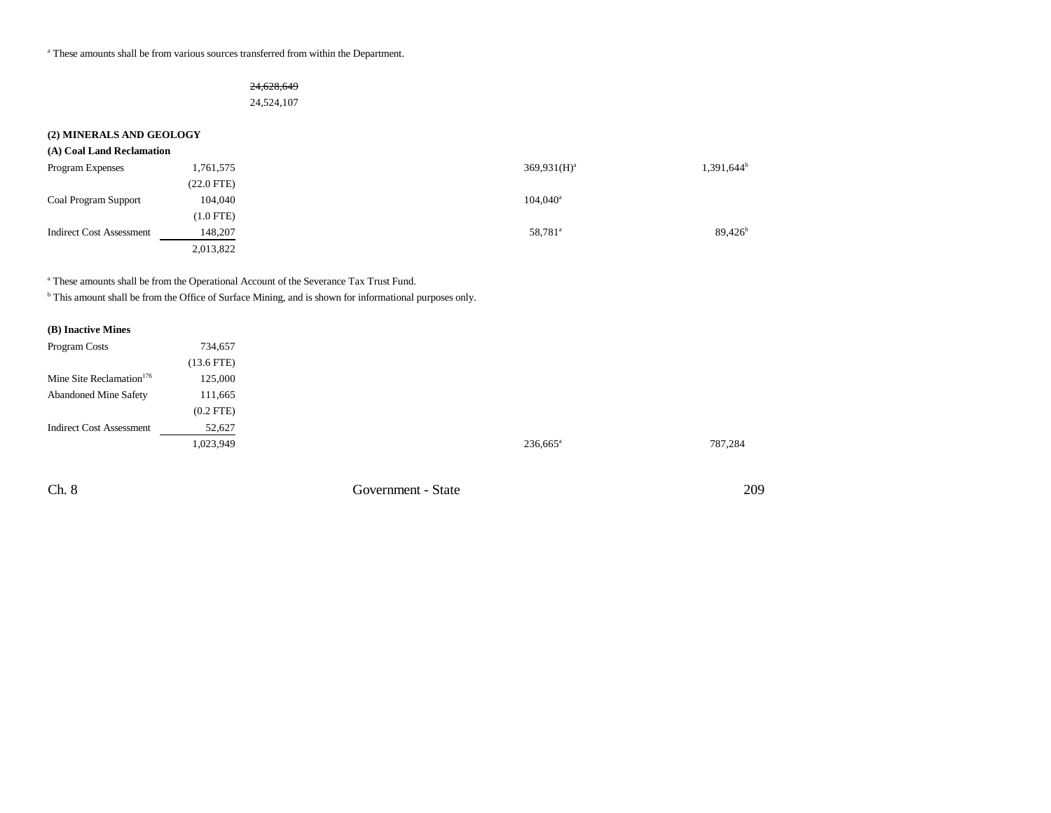$^{\rm a}$  These amounts shall be from various sources transferred from within the Department.

### 24,628,649

24,524,107

## **(2) MINERALS AND GEOLOGY**

| (A) Coal Land Reclamation |  |  |  |  |  |  |
|---------------------------|--|--|--|--|--|--|
|---------------------------|--|--|--|--|--|--|

| <b>Program Expenses</b>         | 1,761,575   | $369.931(H)^a$         | $1,391,644^b$    |
|---------------------------------|-------------|------------------------|------------------|
|                                 | (22.0 FTE)  |                        |                  |
| <b>Coal Program Support</b>     | 104,040     | $104,040$ <sup>a</sup> |                  |
|                                 | $(1.0$ FTE) |                        |                  |
| <b>Indirect Cost Assessment</b> | 148,207     | 58,781 <sup>a</sup>    | $89,426^{\rm b}$ |
|                                 | 2,013,822   |                        |                  |

a These amounts shall be from the Operational Account of the Severance Tax Trust Fund.

b This amount shall be from the Office of Surface Mining, and is shown for informational purposes only.

### **(B) Inactive Mines**

| Program Costs                        | 734,657        |
|--------------------------------------|----------------|
|                                      | $(13.6$ FTE)   |
| Mine Site Reclamation <sup>176</sup> | 125,000        |
| <b>Abandoned Mine Safety</b>         | 111,665        |
|                                      | $(0.2$ FTE $)$ |
| <b>Indirect Cost Assessment</b>      | 52,627         |
|                                      | 1,023,949      |

Ch. 8 Government - State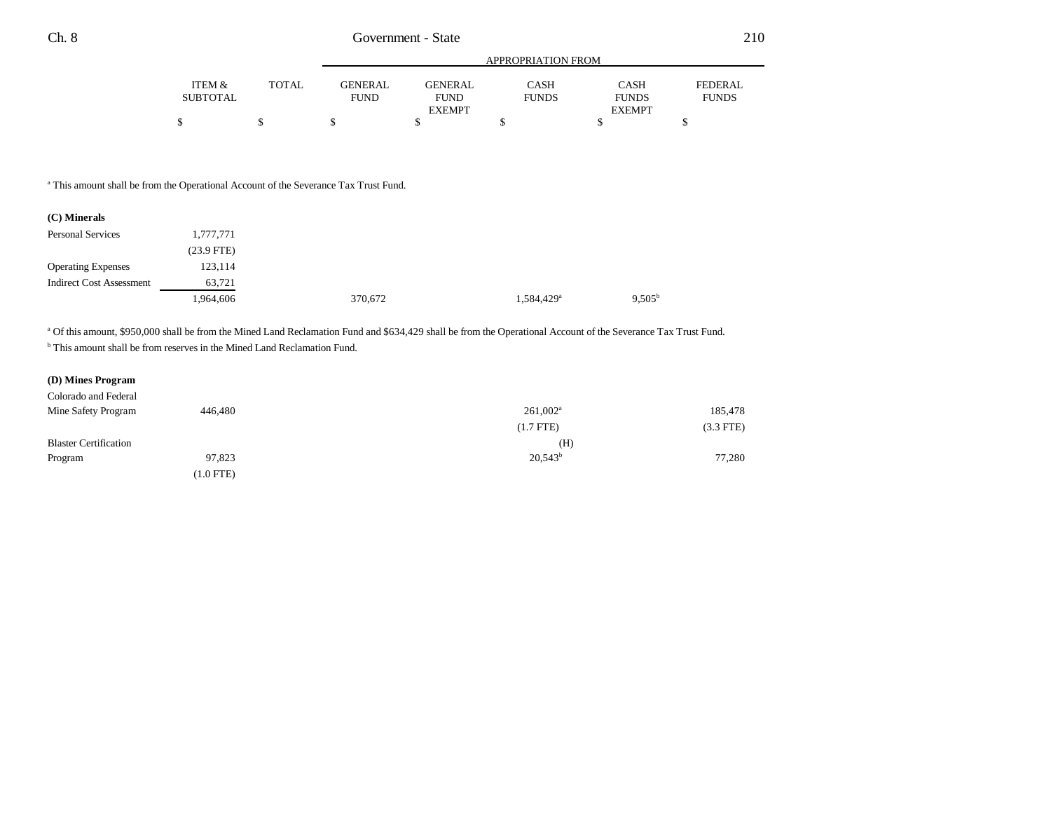|          |       |             | APPROPRIATION FROM |              |               |                |  |
|----------|-------|-------------|--------------------|--------------|---------------|----------------|--|
| ITEM &   | TOTAL | GENERAL     | <b>GENERAL</b>     | CASH         | <b>CASH</b>   | <b>FEDERAL</b> |  |
| SUBTOTAL |       | <b>FUND</b> | <b>FUND</b>        | <b>FUNDS</b> | <b>FUNDS</b>  | <b>FUNDS</b>   |  |
|          |       |             | <b>EXEMPT</b>      |              | <b>EXEMPT</b> |                |  |
|          |       |             |                    |              |               |                |  |

<sup>a</sup> This amount shall be from the Operational Account of the Severance Tax Trust Fund.

| (C) Minerals                    |              |         |                        |                 |
|---------------------------------|--------------|---------|------------------------|-----------------|
| <b>Personal Services</b>        | 1,777,771    |         |                        |                 |
|                                 | $(23.9$ FTE) |         |                        |                 |
| <b>Operating Expenses</b>       | 123,114      |         |                        |                 |
| <b>Indirect Cost Assessment</b> | 63,721       |         |                        |                 |
|                                 | 1,964,606    | 370,672 | 1,584,429 <sup>a</sup> | $9.505^{\rm b}$ |

<sup>a</sup> Of this amount, \$950,000 shall be from the Mined Land Reclamation Fund and \$634,429 shall be from the Operational Account of the Severance Tax Trust Fund.

<sup>b</sup> This amount shall be from reserves in the Mined Land Reclamation Fund.

#### **(D) Mines Program**

| Colorado and Federal         |             |                  |             |
|------------------------------|-------------|------------------|-------------|
| Mine Safety Program          | 446,480     | $261,002^a$      | 185,478     |
|                              |             | $(1.7$ FTE)      | $(3.3$ FTE) |
| <b>Blaster Certification</b> |             | (H)              |             |
| Program                      | 97,823      | $20,543^{\rm b}$ | 77,280      |
|                              | $(1.0$ FTE) |                  |             |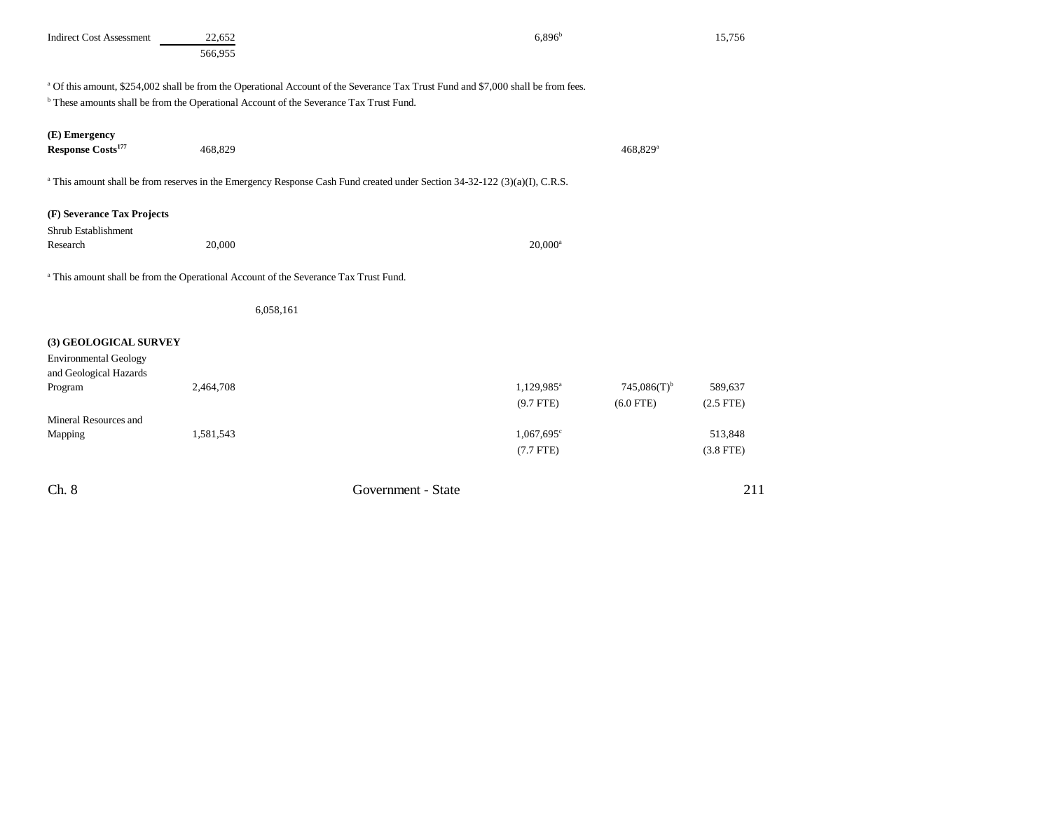| <b>Indirect Cost Assessment</b>                                                            | 22,652<br>566,955                                                                                                                                                                                                                                 | $6,896^{b}$                                            |                           | 15,756                                |
|--------------------------------------------------------------------------------------------|---------------------------------------------------------------------------------------------------------------------------------------------------------------------------------------------------------------------------------------------------|--------------------------------------------------------|---------------------------|---------------------------------------|
|                                                                                            | <sup>a</sup> Of this amount, \$254,002 shall be from the Operational Account of the Severance Tax Trust Fund and \$7,000 shall be from fees.<br><sup>b</sup> These amounts shall be from the Operational Account of the Severance Tax Trust Fund. |                                                        |                           |                                       |
| (E) Emergency<br>Response Costs <sup>177</sup>                                             | 468,829                                                                                                                                                                                                                                           |                                                        | 468,829 <sup>a</sup>      |                                       |
|                                                                                            | <sup>a</sup> This amount shall be from reserves in the Emergency Response Cash Fund created under Section 34-32-122 (3)(a)(I), C.R.S.                                                                                                             |                                                        |                           |                                       |
| (F) Severance Tax Projects<br>Shrub Establishment<br>Research                              | 20,000                                                                                                                                                                                                                                            | $20,000^a$                                             |                           |                                       |
|                                                                                            | <sup>a</sup> This amount shall be from the Operational Account of the Severance Tax Trust Fund.                                                                                                                                                   |                                                        |                           |                                       |
|                                                                                            | 6,058,161                                                                                                                                                                                                                                         |                                                        |                           |                                       |
| (3) GEOLOGICAL SURVEY<br><b>Environmental Geology</b><br>and Geological Hazards<br>Program | 2,464,708                                                                                                                                                                                                                                         | 1,129,985 <sup>a</sup>                                 | $745,086(T)$ <sup>b</sup> | 589,637                               |
| Mineral Resources and<br>Mapping                                                           | 1,581,543                                                                                                                                                                                                                                         | $(9.7$ FTE)<br>$1,067,695$ <sup>c</sup><br>$(7.7$ FTE) | $(6.0$ FTE)               | $(2.5$ FTE)<br>513,848<br>$(3.8$ FTE) |
| Ch. 8                                                                                      | Government - State                                                                                                                                                                                                                                |                                                        |                           | 211                                   |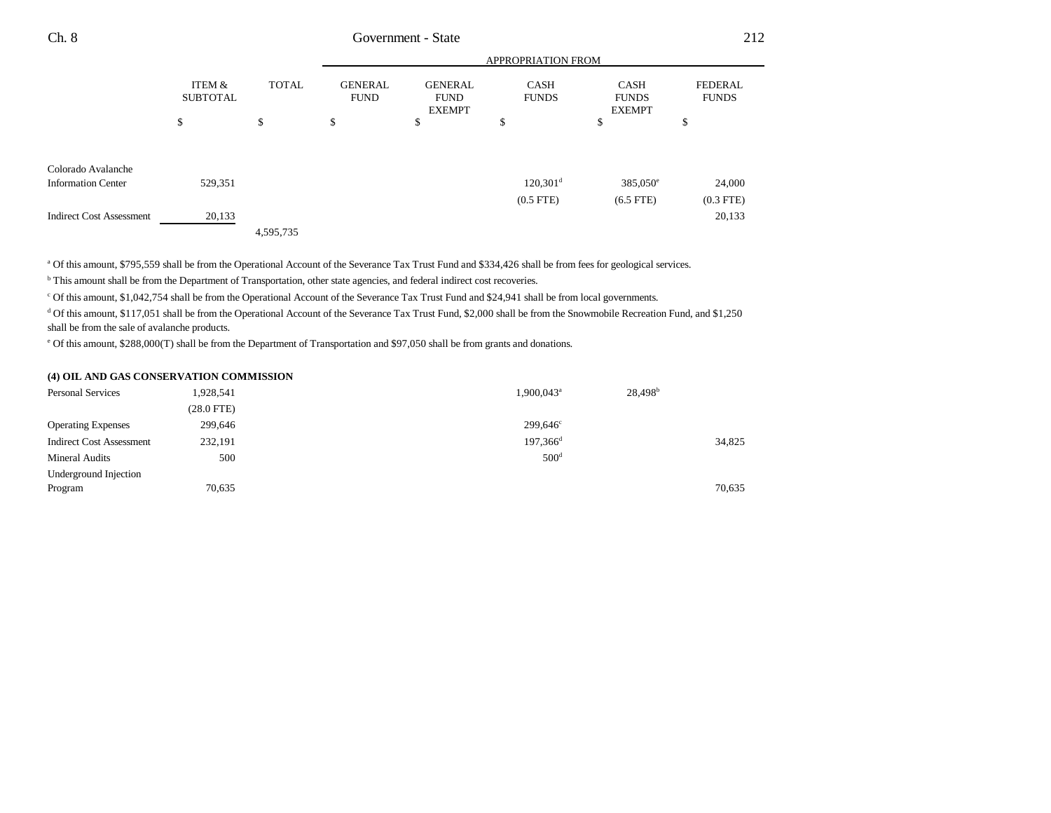| Ch. 8<br>____ | State<br>Government |  |
|---------------|---------------------|--|
|               |                     |  |

|                                                                                    |                           |              | APPROPRIATION FROM            |                                                |                               |                                              |                                 |
|------------------------------------------------------------------------------------|---------------------------|--------------|-------------------------------|------------------------------------------------|-------------------------------|----------------------------------------------|---------------------------------|
|                                                                                    | ITEM &<br><b>SUBTOTAL</b> | <b>TOTAL</b> | <b>GENERAL</b><br><b>FUND</b> | <b>GENERAL</b><br><b>FUND</b><br><b>EXEMPT</b> | <b>CASH</b><br><b>FUNDS</b>   | <b>CASH</b><br><b>FUNDS</b><br><b>EXEMPT</b> | <b>FEDERAL</b><br><b>FUNDS</b>  |
|                                                                                    | \$                        | \$           | \$                            | \$                                             | P                             | \$                                           | \$                              |
| Colorado Avalanche<br><b>Information Center</b><br><b>Indirect Cost Assessment</b> | 529,351<br>20,133         |              |                               |                                                | $120,301^d$<br>$(0.5$ FTE $)$ | $385,050^{\circ}$<br>$(6.5$ FTE)             | 24,000<br>$(0.3$ FTE)<br>20,133 |
|                                                                                    |                           | 4,595,735    |                               |                                                |                               |                                              |                                 |

a Of this amount, \$795,559 shall be from the Operational Account of the Severance Tax Trust Fund and \$334,426 shall be from fees for geological services.

<sup>b</sup> This amount shall be from the Department of Transportation, other state agencies, and federal indirect cost recoveries.

c Of this amount, \$1,042,754 shall be from the Operational Account of the Severance Tax Trust Fund and \$24,941 shall be from local governments.

<sup>d</sup> Of this amount, \$117,051 shall be from the Operational Account of the Severance Tax Trust Fund, \$2,000 shall be from the Snowmobile Recreation Fund, and \$1,250 shall be from the sale of avalanche products.

e Of this amount, \$288,000(T) shall be from the Department of Transportation and \$97,050 shall be from grants and donations.

#### **(4) OIL AND GAS CONSERVATION COMMISSION**

| <b>Personal Services</b>        | 1,928,541    | 1,900,043 <sup>a</sup> | 28,498 <sup>b</sup> |        |
|---------------------------------|--------------|------------------------|---------------------|--------|
|                                 | $(28.0$ FTE) |                        |                     |        |
| <b>Operating Expenses</b>       | 299,646      | 299,646 <sup>c</sup>   |                     |        |
| <b>Indirect Cost Assessment</b> | 232,191      | $197.366^d$            |                     | 34,825 |
| <b>Mineral Audits</b>           | 500          | 500 <sup>d</sup>       |                     |        |
| Underground Injection           |              |                        |                     |        |
| Program                         | 70,635       |                        |                     | 70,635 |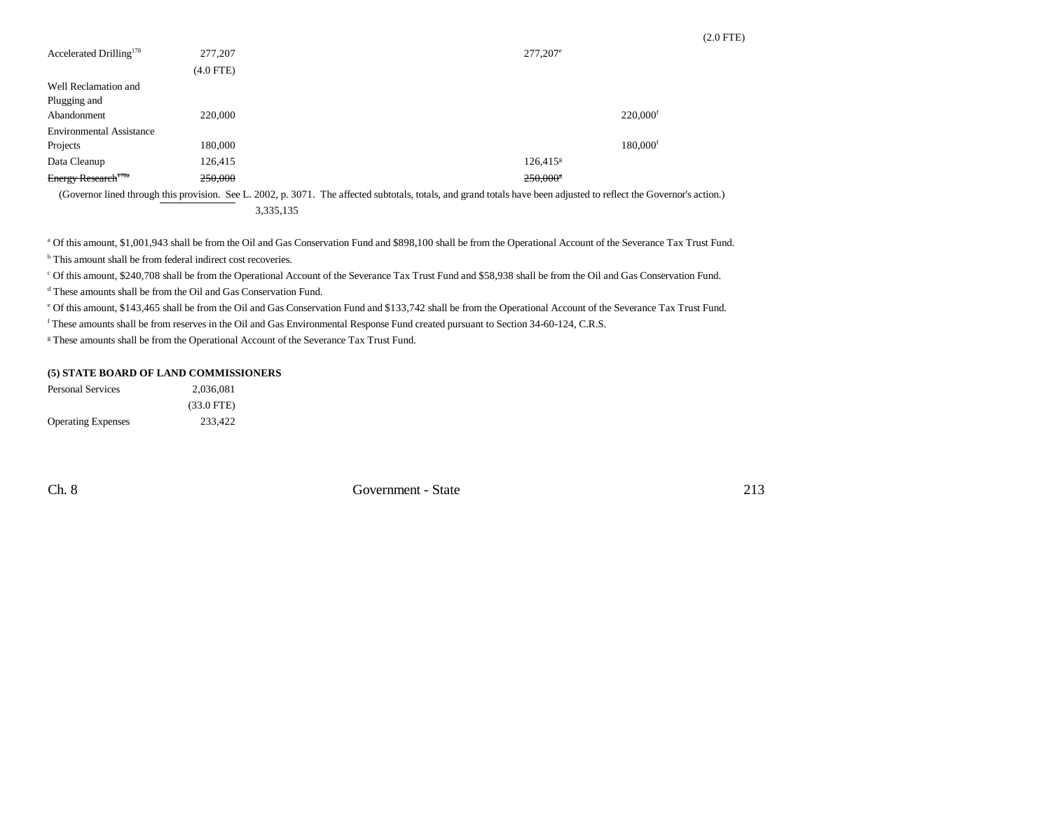|                                     |             |                        | $(2.0$ FTE) |
|-------------------------------------|-------------|------------------------|-------------|
| Accelerated Drilling <sup>178</sup> | 277,207     | $277,207$ <sup>e</sup> |             |
|                                     | $(4.0$ FTE) |                        |             |
| Well Reclamation and                |             |                        |             |
| Plugging and                        |             |                        |             |
| Abandonment                         | 220,000     | $220,000$ <sup>f</sup> |             |
| <b>Environmental Assistance</b>     |             |                        |             |
| Projects                            | 180,000     | $180,000$ <sup>f</sup> |             |
| Data Cleanup                        | 126,415     | $126,415$ <sup>g</sup> |             |
| Energy Research <sup>178a</sup>     | 250,000     | $250,000$ <sup>s</sup> |             |

(Governor lined through this provision. See L. 2002, p. 3071. The affected subtotals, totals, and grand totals have been adjusted to reflect the Governor's action.) 3,335,135

a Of this amount, \$1,001,943 shall be from the Oil and Gas Conservation Fund and \$898,100 shall be from the Operational Account of the Severance Tax Trust Fund.

<sup>b</sup> This amount shall be from federal indirect cost recoveries.

c Of this amount, \$240,708 shall be from the Operational Account of the Severance Tax Trust Fund and \$58,938 shall be from the Oil and Gas Conservation Fund.

d These amounts shall be from the Oil and Gas Conservation Fund.

e Of this amount, \$143,465 shall be from the Oil and Gas Conservation Fund and \$133,742 shall be from the Operational Account of the Severance Tax Trust Fund.

f These amounts shall be from reserves in the Oil and Gas Environmental Response Fund created pursuant to Section 34-60-124, C.R.S.

<sup>g</sup> These amounts shall be from the Operational Account of the Severance Tax Trust Fund.

#### **(5) STATE BOARD OF LAND COMMISSIONERS**

| <b>Personal Services</b>  | 2.036.081    |
|---------------------------|--------------|
|                           | $(33.0$ FTE) |
| <b>Operating Expenses</b> | 233.422      |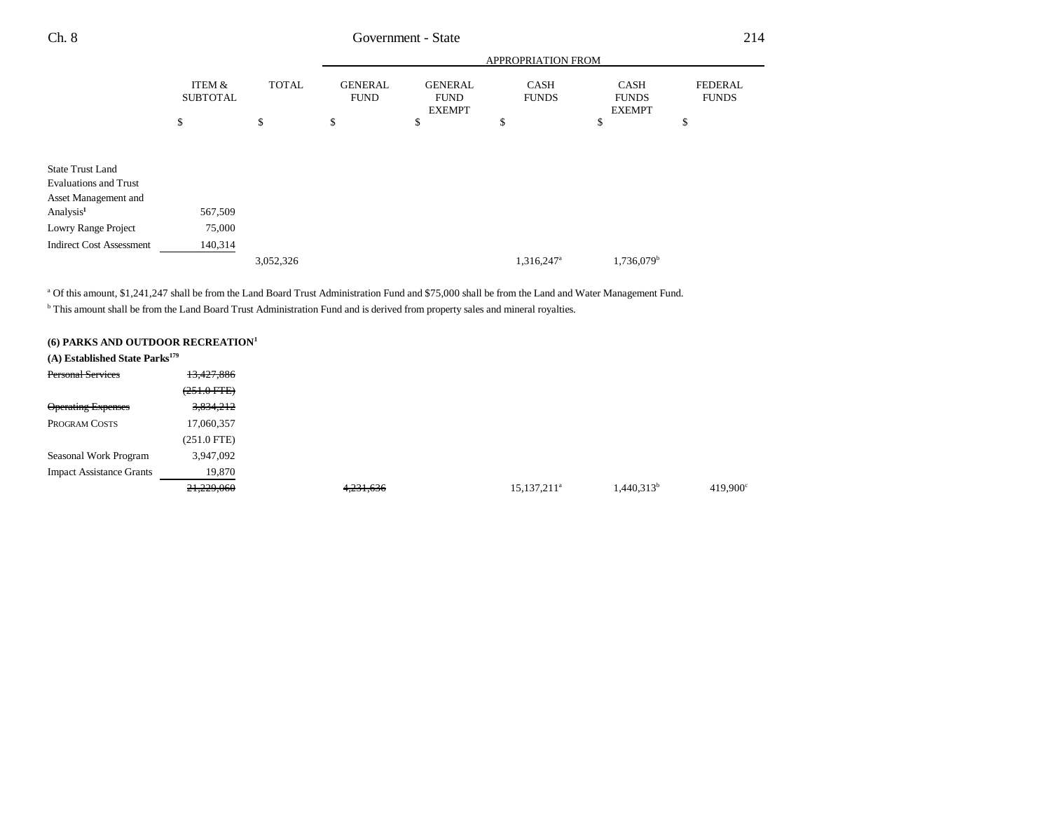| Ch. 8                                                | Government - State        |              |                               |                                                |                             | 214                                          |                                |
|------------------------------------------------------|---------------------------|--------------|-------------------------------|------------------------------------------------|-----------------------------|----------------------------------------------|--------------------------------|
|                                                      |                           |              |                               |                                                | APPROPRIATION FROM          |                                              |                                |
|                                                      | ITEM &<br><b>SUBTOTAL</b> | <b>TOTAL</b> | <b>GENERAL</b><br><b>FUND</b> | <b>GENERAL</b><br><b>FUND</b><br><b>EXEMPT</b> | <b>CASH</b><br><b>FUNDS</b> | <b>CASH</b><br><b>FUNDS</b><br><b>EXEMPT</b> | <b>FEDERAL</b><br><b>FUNDS</b> |
|                                                      | \$                        | \$           | \$                            | \$                                             | \$                          | <sup>\$</sup>                                | \$                             |
| <b>State Trust Land</b>                              |                           |              |                               |                                                |                             |                                              |                                |
| <b>Evaluations and Trust</b><br>Asset Management and |                           |              |                               |                                                |                             |                                              |                                |
| Analysis <sup>1</sup>                                | 567,509                   |              |                               |                                                |                             |                                              |                                |
| Lowry Range Project                                  | 75,000                    |              |                               |                                                |                             |                                              |                                |
| <b>Indirect Cost Assessment</b>                      | 140,314                   |              |                               |                                                |                             |                                              |                                |
|                                                      |                           | 3,052,326    |                               |                                                | 1,316,247 <sup>a</sup>      | 1,736,079 <sup>b</sup>                       |                                |

a Of this amount, \$1,241,247 shall be from the Land Board Trust Administration Fund and \$75,000 shall be from the Land and Water Management Fund.

**b** This amount shall be from the Land Board Trust Administration Fund and is derived from property sales and mineral royalties.

| (6) PARKS AND OUTDOOR RECREATION <sup>1</sup> |                      |           |                |                        |                   |
|-----------------------------------------------|----------------------|-----------|----------------|------------------------|-------------------|
| $(A)$ Established State Parks <sup>179</sup>  |                      |           |                |                        |                   |
| <b>Personal Services</b>                      | 13,427,886           |           |                |                        |                   |
|                                               | $(251.0$ FTE)        |           |                |                        |                   |
| <b>Operating Expenses</b>                     | <del>3,834,212</del> |           |                |                        |                   |
| PROGRAM COSTS                                 | 17,060,357           |           |                |                        |                   |
|                                               | $(251.0$ FTE)        |           |                |                        |                   |
| Seasonal Work Program                         | 3,947,092            |           |                |                        |                   |
| <b>Impact Assistance Grants</b>               | 19,870               |           |                |                        |                   |
|                                               | 21,229,060           | 4,231,636 | $15,137,211^a$ | 1,440,313 <sup>b</sup> | $419,900^{\circ}$ |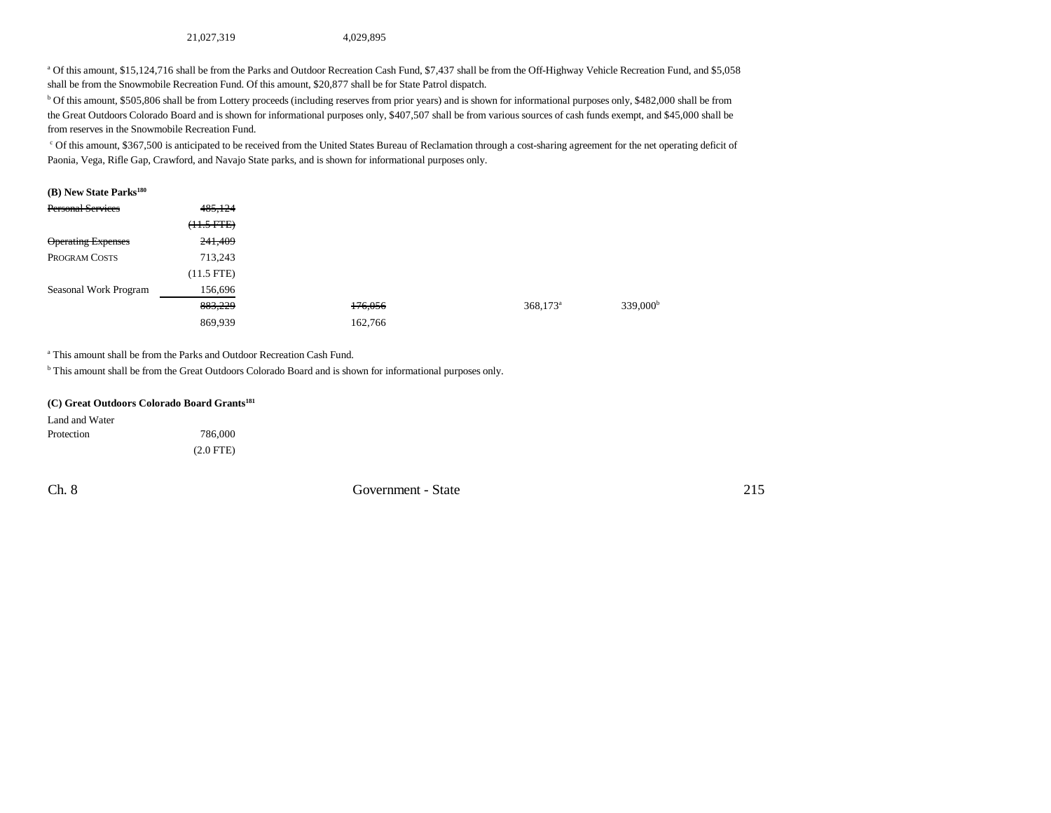21,027,319 4,029,895

a Of this amount, \$15,124,716 shall be from the Parks and Outdoor Recreation Cash Fund, \$7,437 shall be from the Off-Highway Vehicle Recreation Fund, and \$5,058 shall be from the Snowmobile Recreation Fund. Of this amount, \$20,877 shall be for State Patrol dispatch.

b Of this amount, \$505,806 shall be from Lottery proceeds (including reserves from prior years) and is shown for informational purposes only, \$482,000 shall be from the Great Outdoors Colorado Board and is shown for informational purposes only, \$407,507 shall be from various sources of cash funds exempt, and \$45,000 shall be from reserves in the Snowmobile Recreation Fund.

<sup>c</sup> Of this amount, \$367,500 is anticipated to be received from the United States Bureau of Reclamation through a cost-sharing agreement for the net operating deficit of Paonia, Vega, Rifle Gap, Crawford, and Navajo State parks, and is shown for informational purposes only.

#### **(B) New State Parks<sup>180</sup>** Personal Services 485,124  $~~(11.5~~ FTE)$ </del> Operating Expenses 241,409 PROGRAM COSTS 713,243 (11.5 FTE) Seasonal Work Program 156,696

| Seasonal WOIK FIOGIAIL | 190.090 |         |                      |                      |
|------------------------|---------|---------|----------------------|----------------------|
|                        | 883,229 | 176,056 | 368,173 <sup>a</sup> | 339,000 <sup>b</sup> |
|                        | 869.939 | 162,766 |                      |                      |

a This amount shall be from the Parks and Outdoor Recreation Cash Fund.

<sup>b</sup> This amount shall be from the Great Outdoors Colorado Board and is shown for informational purposes only.

|  | (C) Great Outdoors Colorado Board Grants <sup>181</sup> |  |  |
|--|---------------------------------------------------------|--|--|
|  |                                                         |  |  |

| Land and Water |             |
|----------------|-------------|
| Protection     | 786,000     |
|                | $(2.0$ FTE) |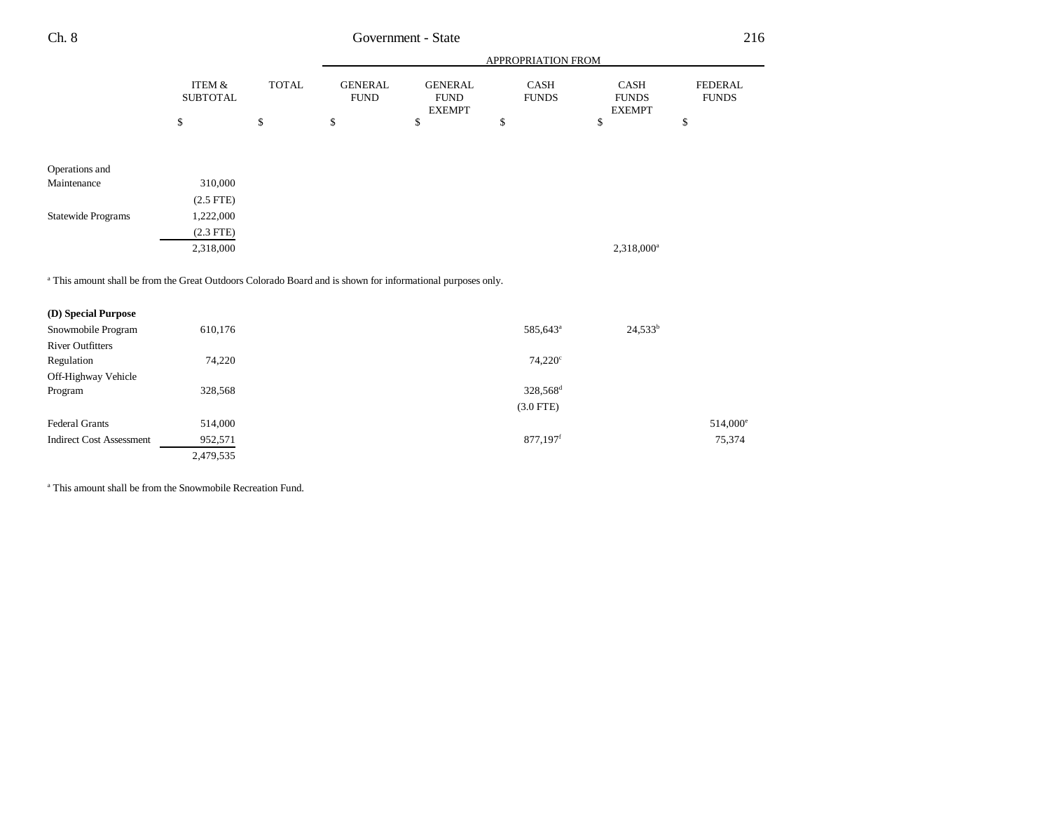| Ch. 8 | Government - State        |              |                        |                                                |                             |                                              | 216                            |
|-------|---------------------------|--------------|------------------------|------------------------------------------------|-----------------------------|----------------------------------------------|--------------------------------|
|       |                           |              |                        |                                                | <b>APPROPRIATION FROM</b>   |                                              |                                |
|       | ITEM &<br><b>SUBTOTAL</b> | <b>TOTAL</b> | GENERAL<br><b>FUND</b> | <b>GENERAL</b><br><b>FUND</b><br><b>EXEMPT</b> | <b>CASH</b><br><b>FUNDS</b> | <b>CASH</b><br><b>FUNDS</b><br><b>EXEMPT</b> | <b>FEDERAL</b><br><b>FUNDS</b> |
|       |                           |              |                        |                                                |                             |                                              |                                |

| Operations and            |             |
|---------------------------|-------------|
| Maintenance               | 310,000     |
|                           | $(2.5$ FTE) |
| <b>Statewide Programs</b> | 1,222,000   |
|                           | $(2.3$ FTE) |
|                           | 2,318,000   |

<sup>a</sup> This amount shall be from the Great Outdoors Colorado Board and is shown for informational purposes only.

| (D) Special Purpose             |           |                                    |                   |
|---------------------------------|-----------|------------------------------------|-------------------|
| Snowmobile Program              | 610,176   | $24,533^b$<br>585,643 <sup>a</sup> |                   |
| <b>River Outfitters</b>         |           |                                    |                   |
| Regulation                      | 74,220    | $74,220^{\circ}$                   |                   |
| Off-Highway Vehicle             |           |                                    |                   |
| Program                         | 328,568   | 328,568 <sup>d</sup>               |                   |
|                                 |           | $(3.0$ FTE)                        |                   |
| <b>Federal Grants</b>           | 514,000   |                                    | $514,000^{\circ}$ |
| <b>Indirect Cost Assessment</b> | 952,571   | 877,197 <sup>f</sup>               | 75,374            |
|                                 | 2,479,535 |                                    |                   |

a This amount shall be from the Snowmobile Recreation Fund.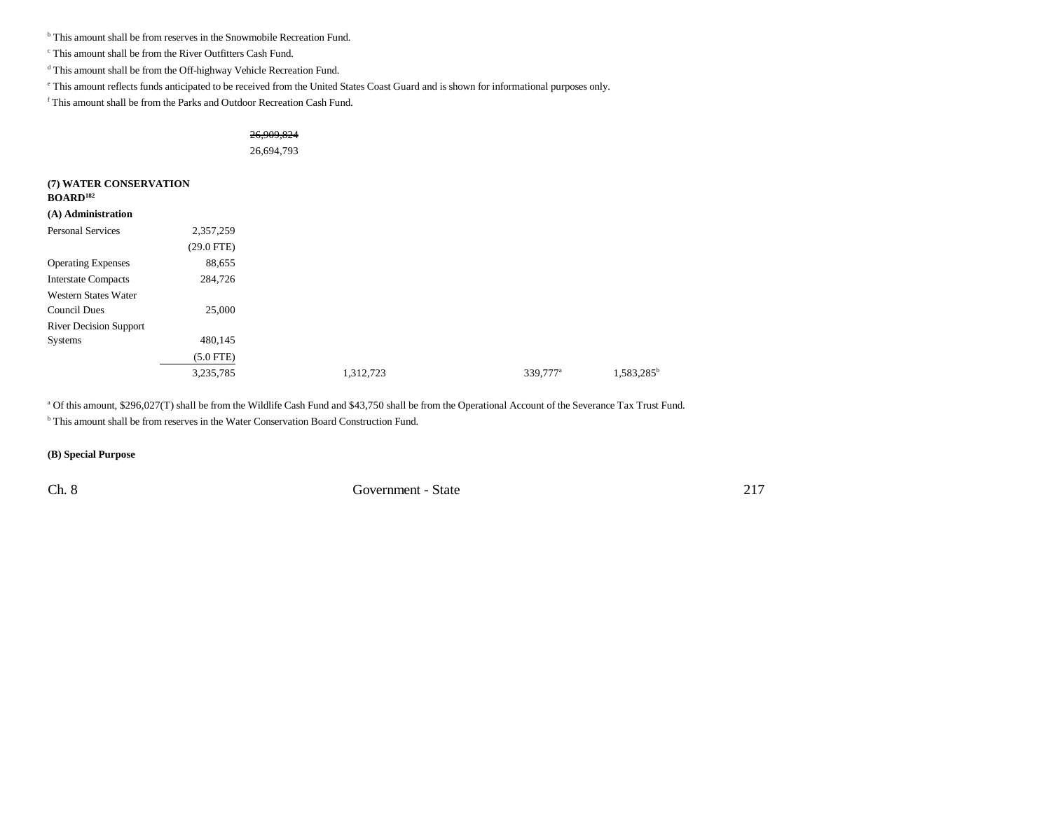<sup>b</sup> This amount shall be from reserves in the Snowmobile Recreation Fund.

c This amount shall be from the River Outfitters Cash Fund.

 $^{\rm d}$  This amount shall be from the Off-highway Vehicle Recreation Fund.

e This amount reflects funds anticipated to be received from the United States Coast Guard and is shown for informational purposes only.

f This amount shall be from the Parks and Outdoor Recreation Cash Fund.

|                               |              | 26,909,824 |                      |               |
|-------------------------------|--------------|------------|----------------------|---------------|
|                               |              | 26,694,793 |                      |               |
|                               |              |            |                      |               |
| (7) WATER CONSERVATION        |              |            |                      |               |
| <b>BOARD</b> <sup>182</sup>   |              |            |                      |               |
| (A) Administration            |              |            |                      |               |
| Personal Services             | 2,357,259    |            |                      |               |
|                               | $(29.0$ FTE) |            |                      |               |
| <b>Operating Expenses</b>     | 88,655       |            |                      |               |
| <b>Interstate Compacts</b>    | 284,726      |            |                      |               |
| <b>Western States Water</b>   |              |            |                      |               |
| <b>Council Dues</b>           | 25,000       |            |                      |               |
| <b>River Decision Support</b> |              |            |                      |               |
| Systems                       | 480,145      |            |                      |               |
|                               | $(5.0$ FTE)  |            |                      |               |
|                               | 3,235,785    | 1,312,723  | 339,777 <sup>a</sup> | $1,583,285^b$ |
|                               |              |            |                      |               |

<sup>a</sup> Of this amount, \$296,027(T) shall be from the Wildlife Cash Fund and \$43,750 shall be from the Operational Account of the Severance Tax Trust Fund.

b This amount shall be from reserves in the Water Conservation Board Construction Fund.

**(B) Special Purpose**

Ch. 8 Government - State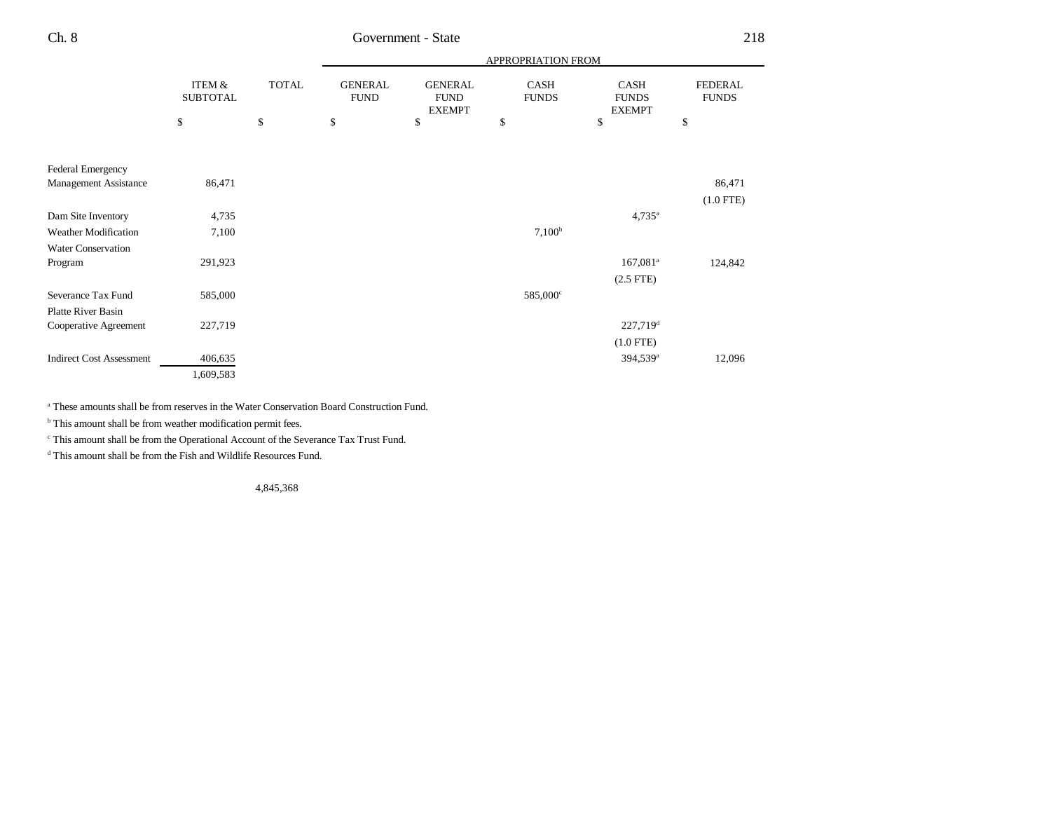|                                 |                           |              | APPROPRIATION FROM            |                                                |                      |                                       |                                |
|---------------------------------|---------------------------|--------------|-------------------------------|------------------------------------------------|----------------------|---------------------------------------|--------------------------------|
|                                 | ITEM &<br><b>SUBTOTAL</b> | <b>TOTAL</b> | <b>GENERAL</b><br><b>FUND</b> | <b>GENERAL</b><br><b>FUND</b><br><b>EXEMPT</b> | CASH<br><b>FUNDS</b> | CASH<br><b>FUNDS</b><br><b>EXEMPT</b> | <b>FEDERAL</b><br><b>FUNDS</b> |
|                                 | \$                        | \$           | \$                            | \$                                             | \$                   | \$                                    | \$                             |
|                                 |                           |              |                               |                                                |                      |                                       |                                |
| <b>Federal Emergency</b>        |                           |              |                               |                                                |                      |                                       |                                |
| Management Assistance           | 86,471                    |              |                               |                                                |                      |                                       | 86,471                         |
|                                 |                           |              |                               |                                                |                      |                                       | $(1.0$ FTE)                    |
| Dam Site Inventory              | 4,735                     |              |                               |                                                |                      | $4,735^{\circ}$                       |                                |
| <b>Weather Modification</b>     | 7,100                     |              |                               |                                                | $7,100^b$            |                                       |                                |
| Water Conservation              |                           |              |                               |                                                |                      |                                       |                                |
| Program                         | 291,923                   |              |                               |                                                |                      | $167,081$ <sup>a</sup>                | 124,842                        |
|                                 |                           |              |                               |                                                |                      | $(2.5$ FTE $)$                        |                                |
| Severance Tax Fund              | 585,000                   |              |                               |                                                | 585,000°             |                                       |                                |
| <b>Platte River Basin</b>       |                           |              |                               |                                                |                      |                                       |                                |
| Cooperative Agreement           | 227,719                   |              |                               |                                                |                      | $227,719^d$                           |                                |
|                                 |                           |              |                               |                                                |                      | $(1.0$ FTE)                           |                                |
| <b>Indirect Cost Assessment</b> | 406,635                   |              |                               |                                                |                      | 394,539 <sup>a</sup>                  | 12,096                         |
|                                 | 1,609,583                 |              |                               |                                                |                      |                                       |                                |

a These amounts shall be from reserves in the Water Conservation Board Construction Fund.

 $<sup>b</sup>$  This amount shall be from weather modification permit fees.</sup>

 $^{\mathrm{c}}$  This amount shall be from the Operational Account of the Severance Tax Trust Fund.

d This amount shall be from the Fish and Wildlife Resources Fund.

4,845,368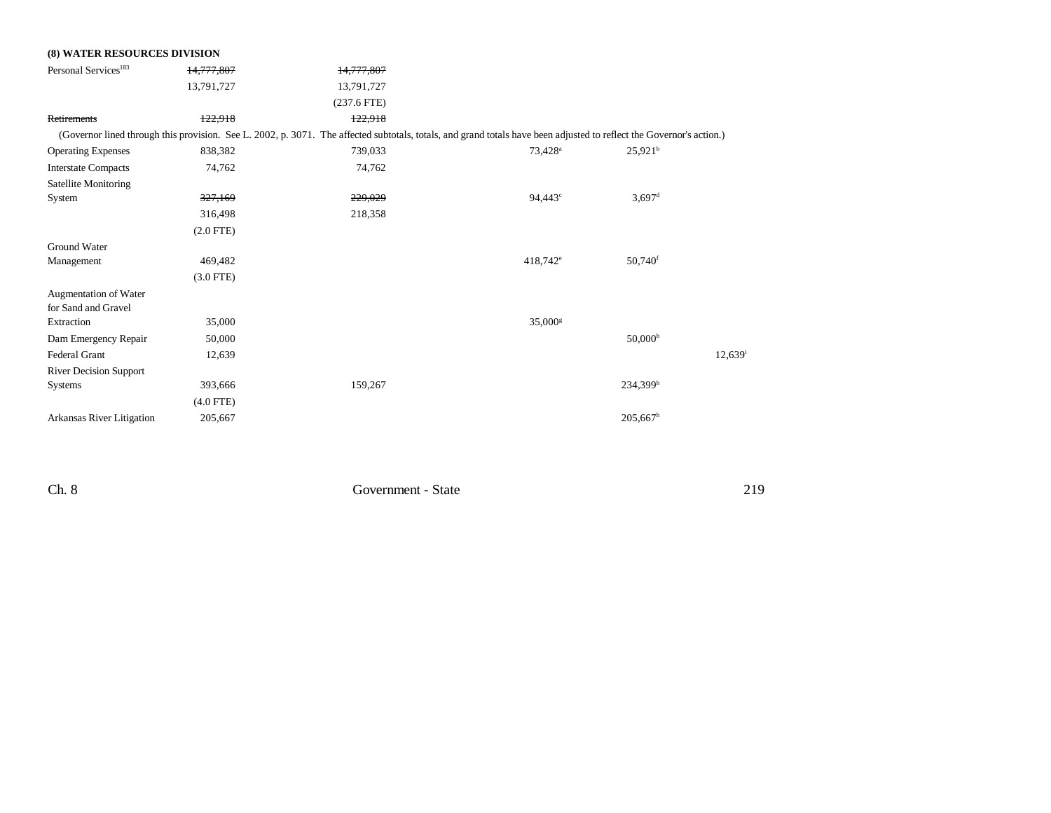| <b>(8) WATER RESOURCES DIVISION</b> |             |                                                                                                                                                                      |                     |                        |        |
|-------------------------------------|-------------|----------------------------------------------------------------------------------------------------------------------------------------------------------------------|---------------------|------------------------|--------|
| Personal Services <sup>183</sup>    | 14,777,807  | 14,777,807                                                                                                                                                           |                     |                        |        |
|                                     | 13,791,727  | 13,791,727                                                                                                                                                           |                     |                        |        |
|                                     |             | $(237.6$ FTE)                                                                                                                                                        |                     |                        |        |
| Retirements                         | 122,918     | 122,918                                                                                                                                                              |                     |                        |        |
|                                     |             | (Governor lined through this provision. See L. 2002, p. 3071. The affected subtotals, totals, and grand totals have been adjusted to reflect the Governor's action.) |                     |                        |        |
| <b>Operating Expenses</b>           | 838,382     | 739,033                                                                                                                                                              | 73,428 <sup>a</sup> | 25.921 <sup>b</sup>    |        |
| <b>Interstate Compacts</b>          | 74,762      | 74,762                                                                                                                                                               |                     |                        |        |
| Satellite Monitoring                |             |                                                                                                                                                                      |                     |                        |        |
| System                              | 327,169     | 229,029                                                                                                                                                              | 94,443 <sup>c</sup> | $3,697$ <sup>d</sup>   |        |
|                                     | 316,498     | 218,358                                                                                                                                                              |                     |                        |        |
|                                     | $(2.0$ FTE) |                                                                                                                                                                      |                     |                        |        |
| Ground Water                        |             |                                                                                                                                                                      |                     |                        |        |
| Management                          | 469,482     |                                                                                                                                                                      | $418,742^e$         | 50,740 <sup>f</sup>    |        |
|                                     | $(3.0$ FTE) |                                                                                                                                                                      |                     |                        |        |
| Augmentation of Water               |             |                                                                                                                                                                      |                     |                        |        |
| for Sand and Gravel                 |             |                                                                                                                                                                      |                     |                        |        |
| Extraction                          | 35,000      |                                                                                                                                                                      | $35,000^{\rm g}$    |                        |        |
| Dam Emergency Repair                | 50,000      |                                                                                                                                                                      |                     | 50,000 <sup>h</sup>    |        |
| <b>Federal Grant</b>                | 12,639      |                                                                                                                                                                      |                     |                        | 12,639 |
| <b>River Decision Support</b>       |             |                                                                                                                                                                      |                     |                        |        |
| <b>Systems</b>                      | 393,666     | 159,267                                                                                                                                                              |                     | $234,399$ <sup>h</sup> |        |
|                                     | $(4.0$ FTE) |                                                                                                                                                                      |                     |                        |        |
| Arkansas River Litigation           | 205,667     |                                                                                                                                                                      |                     | $205,667$ <sup>h</sup> |        |
|                                     |             |                                                                                                                                                                      |                     |                        |        |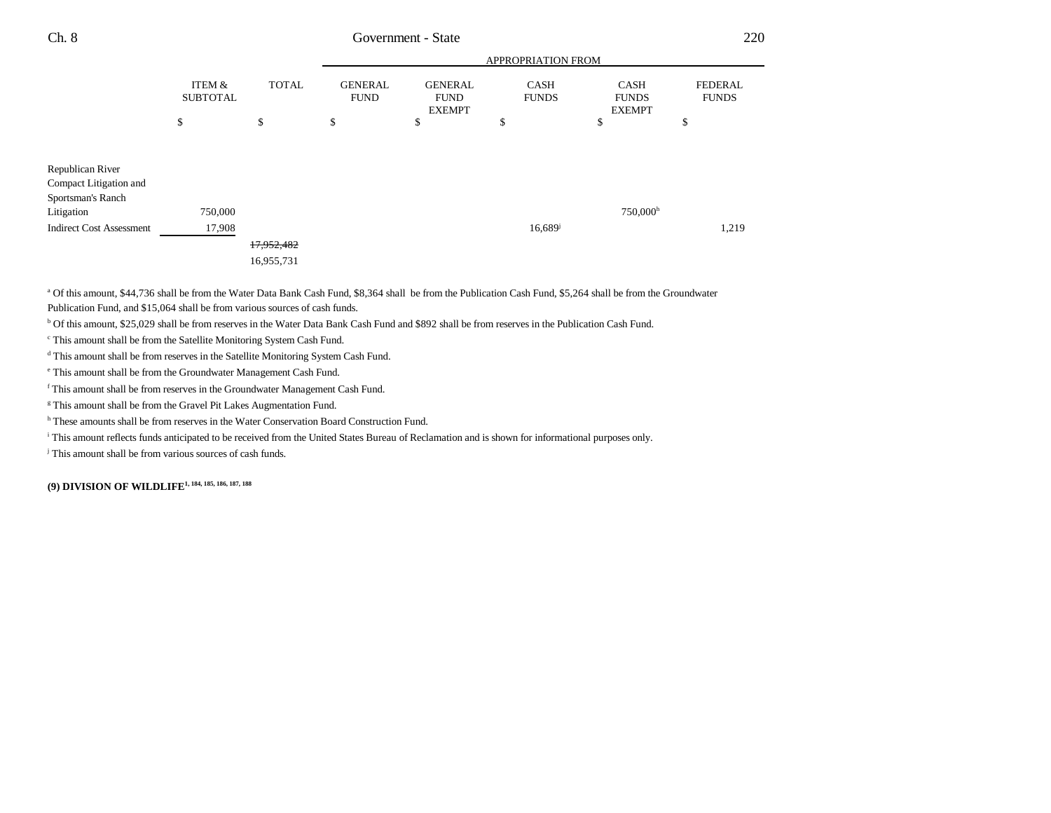| Ch. 8                                      | Government - State                   |              |                               |                                                |                             |                                              | 220                            |  |
|--------------------------------------------|--------------------------------------|--------------|-------------------------------|------------------------------------------------|-----------------------------|----------------------------------------------|--------------------------------|--|
|                                            |                                      |              |                               | APPROPRIATION FROM                             |                             |                                              |                                |  |
|                                            | <b>ITEM &amp;</b><br><b>SUBTOTAL</b> | <b>TOTAL</b> | <b>GENERAL</b><br><b>FUND</b> | <b>GENERAL</b><br><b>FUND</b><br><b>EXEMPT</b> | <b>CASH</b><br><b>FUNDS</b> | <b>CASH</b><br><b>FUNDS</b><br><b>EXEMPT</b> | <b>FEDERAL</b><br><b>FUNDS</b> |  |
|                                            | \$                                   | \$           | \$                            | \$                                             | \$                          | \$                                           | \$                             |  |
| Republican River<br>Compact Litigation and |                                      |              |                               |                                                |                             |                                              |                                |  |
| Sportsman's Ranch<br>Litigation            | 750,000                              |              |                               |                                                |                             | 750,000h                                     |                                |  |
| <b>Indirect Cost Assessment</b>            | 17,908                               |              |                               |                                                | 16,689                      |                                              | 1,219                          |  |
|                                            |                                      | 17,952,482   |                               |                                                |                             |                                              |                                |  |
|                                            |                                      | 16,955,731   |                               |                                                |                             |                                              |                                |  |
|                                            |                                      |              |                               |                                                |                             |                                              |                                |  |

a Of this amount, \$44,736 shall be from the Water Data Bank Cash Fund, \$8,364 shall be from the Publication Cash Fund, \$5,264 shall be from the Groundwater

Publication Fund, and \$15,064 shall be from various sources of cash funds.

b Of this amount, \$25,029 shall be from reserves in the Water Data Bank Cash Fund and \$892 shall be from reserves in the Publication Cash Fund.

c This amount shall be from the Satellite Monitoring System Cash Fund.

d This amount shall be from reserves in the Satellite Monitoring System Cash Fund.

e This amount shall be from the Groundwater Management Cash Fund.

f This amount shall be from reserves in the Groundwater Management Cash Fund.

<sup>g</sup> This amount shall be from the Gravel Pit Lakes Augmentation Fund.

<sup>h</sup> These amounts shall be from reserves in the Water Conservation Board Construction Fund.

i This amount reflects funds anticipated to be received from the United States Bureau of Reclamation and is shown for informational purposes only.

j This amount shall be from various sources of cash funds.

**(9) DIVISION OF WILDLIFE1, 184, 185, 186, 187, 188**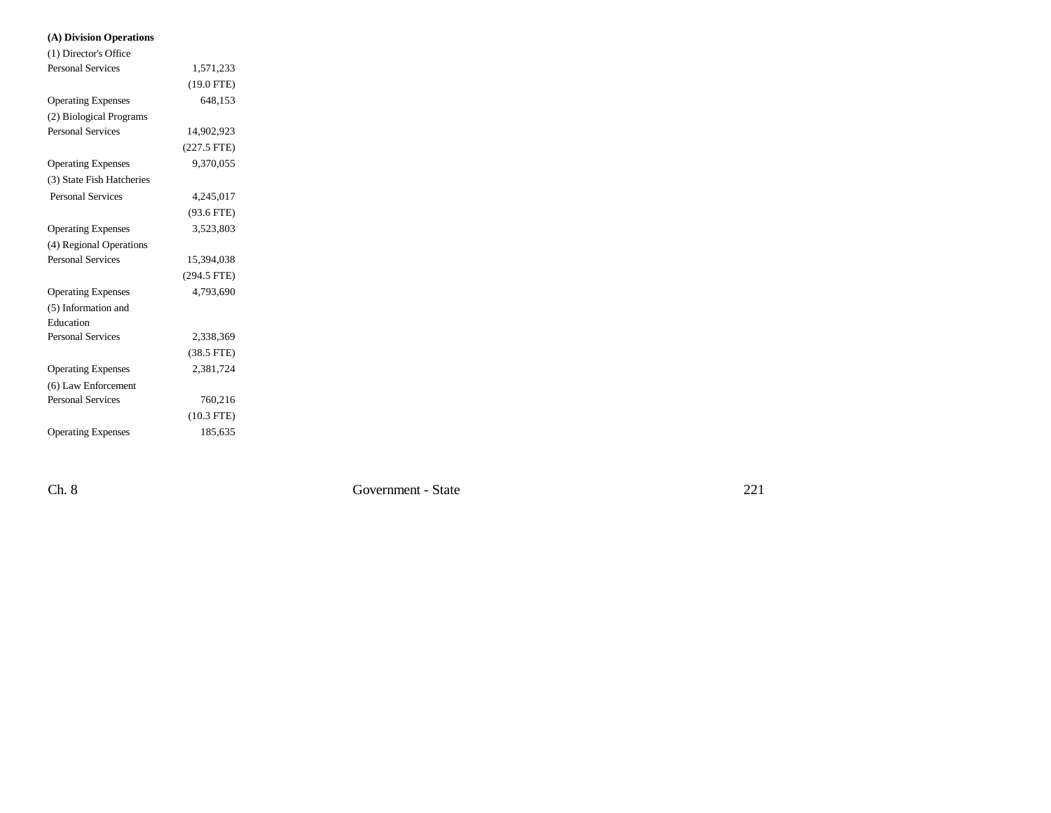## **(A) Division Operations**

| (1) Director's Office     |               |  |
|---------------------------|---------------|--|
| <b>Personal Services</b>  | 1,571,233     |  |
|                           | $(19.0$ FTE)  |  |
| <b>Operating Expenses</b> | 648,153       |  |
| (2) Biological Programs   |               |  |
| <b>Personal Services</b>  | 14,902,923    |  |
|                           | $(227.5$ FTE) |  |
| <b>Operating Expenses</b> | 9.370.055     |  |
| (3) State Fish Hatcheries |               |  |
| <b>Personal Services</b>  | 4,245,017     |  |
|                           | $(93.6$ FTE)  |  |
| <b>Operating Expenses</b> | 3,523,803     |  |
| (4) Regional Operations   |               |  |
| <b>Personal Services</b>  | 15,394,038    |  |
|                           | (294.5 FTE)   |  |
| <b>Operating Expenses</b> | 4,793,690     |  |
| (5) Information and       |               |  |
| Education                 |               |  |
| <b>Personal Services</b>  | 2,338,369     |  |
|                           | $(38.5$ FTE)  |  |
| <b>Operating Expenses</b> | 2,381,724     |  |
| (6) Law Enforcement       |               |  |
| <b>Personal Services</b>  | 760,216       |  |
|                           | $(10.3$ FTE)  |  |
| <b>Operating Expenses</b> | 185,635       |  |
|                           |               |  |

Ch. 8 Government - State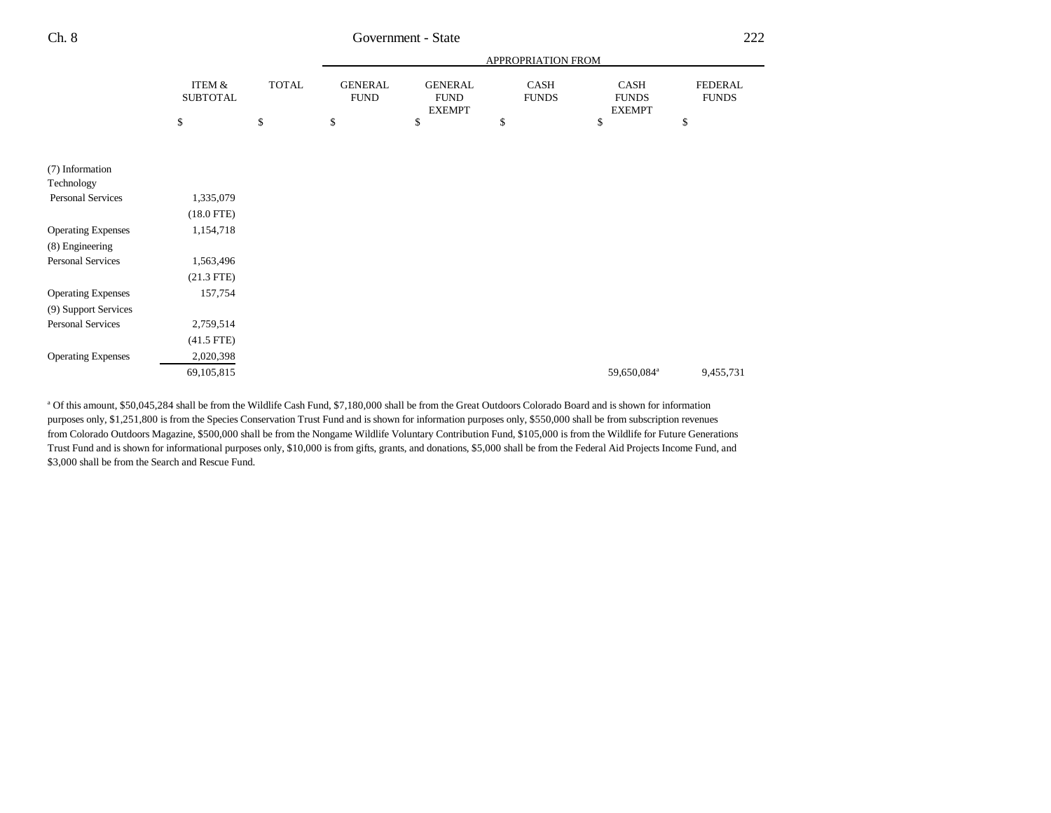|                           |                           |              | APPROPRIATION FROM            |                                                |                             |                                       |                                |
|---------------------------|---------------------------|--------------|-------------------------------|------------------------------------------------|-----------------------------|---------------------------------------|--------------------------------|
|                           | ITEM &<br><b>SUBTOTAL</b> | <b>TOTAL</b> | <b>GENERAL</b><br><b>FUND</b> | <b>GENERAL</b><br><b>FUND</b><br><b>EXEMPT</b> | <b>CASH</b><br><b>FUNDS</b> | CASH<br><b>FUNDS</b><br><b>EXEMPT</b> | <b>FEDERAL</b><br><b>FUNDS</b> |
|                           | \$                        | \$           | \$                            | \$                                             | \$                          | \$                                    | \$                             |
| (7) Information           |                           |              |                               |                                                |                             |                                       |                                |
| Technology                |                           |              |                               |                                                |                             |                                       |                                |
| Personal Services         | 1,335,079                 |              |                               |                                                |                             |                                       |                                |
|                           | $(18.0$ FTE)              |              |                               |                                                |                             |                                       |                                |
| <b>Operating Expenses</b> | 1,154,718                 |              |                               |                                                |                             |                                       |                                |
| (8) Engineering           |                           |              |                               |                                                |                             |                                       |                                |
| Personal Services         | 1,563,496                 |              |                               |                                                |                             |                                       |                                |
|                           | $(21.3$ FTE)              |              |                               |                                                |                             |                                       |                                |
| <b>Operating Expenses</b> | 157,754                   |              |                               |                                                |                             |                                       |                                |
| (9) Support Services      |                           |              |                               |                                                |                             |                                       |                                |
| <b>Personal Services</b>  | 2,759,514                 |              |                               |                                                |                             |                                       |                                |
|                           | $(41.5$ FTE)              |              |                               |                                                |                             |                                       |                                |
| <b>Operating Expenses</b> | 2,020,398                 |              |                               |                                                |                             |                                       |                                |
|                           | 69,105,815                |              |                               |                                                |                             | 59,650,084 <sup>a</sup>               | 9,455,731                      |

a Of this amount, \$50,045,284 shall be from the Wildlife Cash Fund, \$7,180,000 shall be from the Great Outdoors Colorado Board and is shown for information purposes only, \$1,251,800 is from the Species Conservation Trust Fund and is shown for information purposes only, \$550,000 shall be from subscription revenues from Colorado Outdoors Magazine, \$500,000 shall be from the Nongame Wildlife Voluntary Contribution Fund, \$105,000 is from the Wildlife for Future Generations Trust Fund and is shown for informational purposes only, \$10,000 is from gifts, grants, and donations, \$5,000 shall be from the Federal Aid Projects Income Fund, and \$3,000 shall be from the Search and Rescue Fund.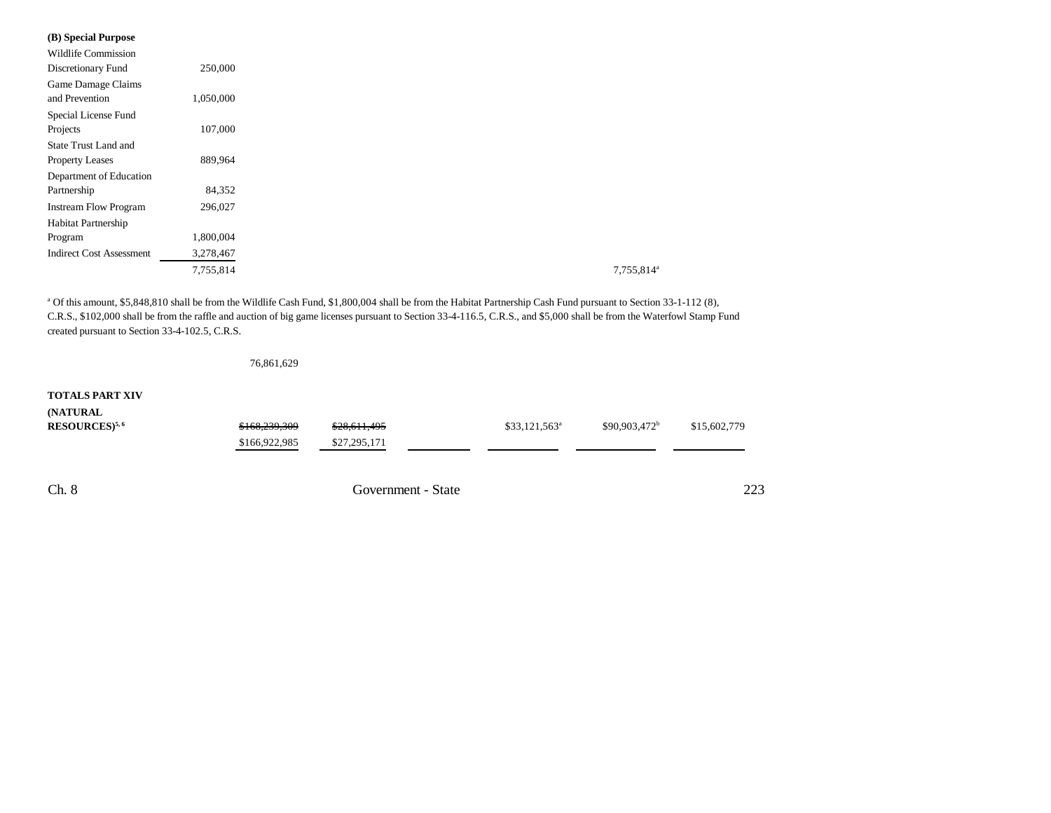| (B) Special Purpose             |           |
|---------------------------------|-----------|
| <b>Wildlife Commission</b>      |           |
| Discretionary Fund              | 250,000   |
| Game Damage Claims              |           |
| and Prevention                  | 1,050,000 |
| Special License Fund            |           |
| Projects                        | 107,000   |
| State Trust Land and            |           |
| <b>Property Leases</b>          | 889,964   |
| Department of Education         |           |
| Partnership                     | 84,352    |
| <b>Instream Flow Program</b>    | 296,027   |
| Habitat Partnership             |           |
| Program                         | 1,800,004 |
| <b>Indirect Cost Assessment</b> | 3,278,467 |
|                                 | 7,755,814 |

a Of this amount, \$5,848,810 shall be from the Wildlife Cash Fund, \$1,800,004 shall be from the Habitat Partnership Cash Fund pursuant to Section 33-1-112 (8), C.R.S., \$102,000 shall be from the raffle and auction of big game licenses pursuant to Section 33-4-116.5, C.R.S., and \$5,000 shall be from the Waterfowl Stamp Fund created pursuant to Section 33-4-102.5, C.R.S.

|                              | 76,861,629    |                    |                 |                           |              |
|------------------------------|---------------|--------------------|-----------------|---------------------------|--------------|
| <b>TOTALS PART XIV</b>       |               |                    |                 |                           |              |
| (NATURAL                     |               |                    |                 |                           |              |
| $RESOURCES)$ <sup>5, 6</sup> | \$168,239,309 | \$28,611,495       | $$33,121,563^a$ | \$90,903,472 <sup>b</sup> | \$15,602,779 |
|                              | \$166,922,985 | \$27,295,171       |                 |                           |              |
|                              |               |                    |                 |                           |              |
| Ch. 8                        |               | Government - State |                 |                           | 223          |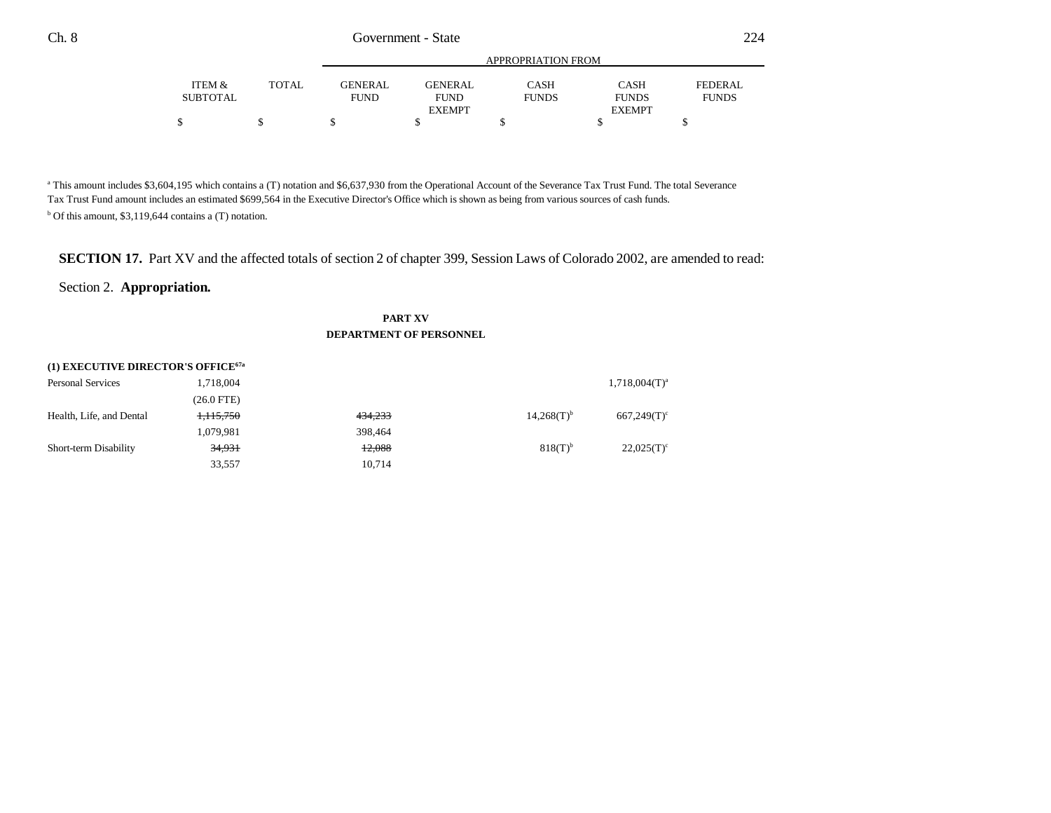|          |       |             |                | APPROPRIATION FROM |               |              |
|----------|-------|-------------|----------------|--------------------|---------------|--------------|
| ITEM &   | TOTAL | GENER AL.   | <b>GENERAL</b> | CASH               | <b>CASH</b>   | FEDERAL      |
| SUBTOTAL |       | <b>FUND</b> | <b>FUND</b>    | <b>FUNDS</b>       | <b>FUNDS</b>  | <b>FUNDS</b> |
|          |       |             | <b>EXEMPT</b>  |                    | <b>EXEMPT</b> |              |
|          |       |             |                |                    |               |              |

<sup>a</sup> This amount includes \$3,604,195 which contains a (T) notation and \$6,637,930 from the Operational Account of the Severance Tax Trust Fund. The total Severance Tax Trust Fund amount includes an estimated \$699,564 in the Executive Director's Office which is shown as being from various sources of cash funds.  $b$  Of this amount, \$3,119,644 contains a (T) notation.

# **SECTION 17.** Part XV and the affected totals of section 2 of chapter 399, Session Laws of Colorado 2002, are amended to read:

## Section 2. **Appropriation.**

### **PART XV DEPARTMENT OF PERSONNEL**

| (1) EXECUTIVE DIRECTOR'S OFFICE <sup>67a</sup> |            |         |                       |                    |  |  |
|------------------------------------------------|------------|---------|-----------------------|--------------------|--|--|
| <b>Personal Services</b>                       | 1,718,004  |         |                       | $1,718,004(T)^{a}$ |  |  |
|                                                | (26.0 FTE) |         |                       |                    |  |  |
| Health, Life, and Dental                       | 1,115,750  | 434,233 | $14,268(T)^{b}$       | $667,249(T)^c$     |  |  |
|                                                | 1,079,981  | 398,464 |                       |                    |  |  |
| Short-term Disability                          | 34,931     | 12.088  | $818(T)$ <sup>b</sup> | $22.025(T)^c$      |  |  |
|                                                | 33,557     | 10.714  |                       |                    |  |  |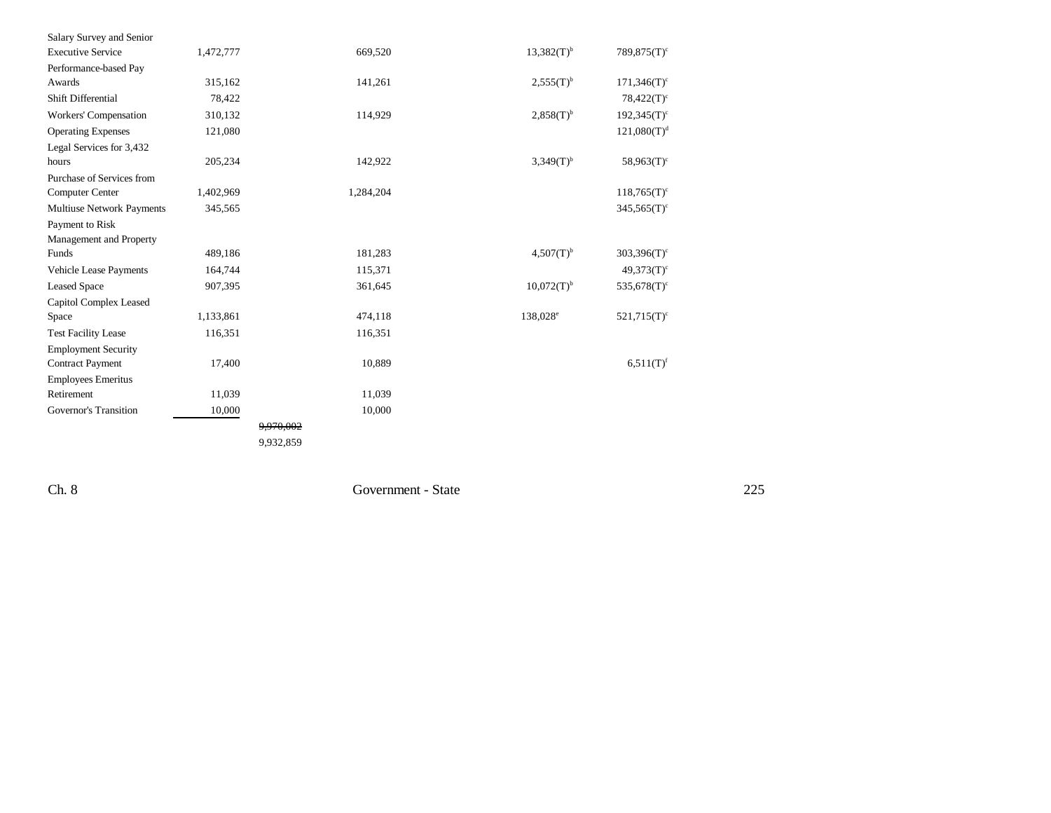| Salary Survey and Senior         |           |           |                          |                           |
|----------------------------------|-----------|-----------|--------------------------|---------------------------|
| <b>Executive Service</b>         | 1,472,777 | 669,520   | $13,382(T)^{b}$          | $789.875(T)^c$            |
| Performance-based Pay            |           |           |                          |                           |
| Awards                           | 315,162   | 141,261   | $2,555(T)^{b}$           | $171,346(T)^c$            |
| Shift Differential               | 78,422    |           |                          | $78,422(T)^c$             |
| Workers' Compensation            | 310,132   | 114,929   | $2,858(T)^{b}$           | $192,345(T)$ <sup>c</sup> |
| <b>Operating Expenses</b>        | 121,080   |           |                          | $121,080(T)^d$            |
| Legal Services for 3,432         |           |           |                          |                           |
| hours                            | 205,234   | 142,922   | $3,349(T)^{b}$           | $58,963(T)^c$             |
| Purchase of Services from        |           |           |                          |                           |
| <b>Computer Center</b>           | 1,402,969 | 1,284,204 |                          | $118,765(T)^c$            |
| <b>Multiuse Network Payments</b> | 345,565   |           |                          | $345,565(T)$ <sup>c</sup> |
| Payment to Risk                  |           |           |                          |                           |
| Management and Property          |           |           |                          |                           |
| Funds                            | 489,186   | 181,283   | $4,507(T)^{b}$           | $303,396(T)^c$            |
| Vehicle Lease Payments           | 164,744   | 115,371   |                          | $49,373(T)$ <sup>c</sup>  |
| <b>Leased Space</b>              | 907,395   | 361,645   | $10,072(T)$ <sup>b</sup> | $535,678(T)^c$            |
| Capitol Complex Leased           |           |           |                          |                           |
| Space                            | 1,133,861 | 474,118   | 138,028 <sup>e</sup>     | $521,715(T)^c$            |
| <b>Test Facility Lease</b>       | 116,351   | 116,351   |                          |                           |
| <b>Employment Security</b>       |           |           |                          |                           |
| <b>Contract Payment</b>          | 17,400    | 10,889    |                          | $6,511(T)^f$              |
| <b>Employees Emeritus</b>        |           |           |                          |                           |
| Retirement                       | 11,039    | 11,039    |                          |                           |
| Governor's Transition            | 10,000    | 10,000    |                          |                           |
|                                  |           | 9,970,002 |                          |                           |
|                                  |           | 9,932,859 |                          |                           |
|                                  |           |           |                          |                           |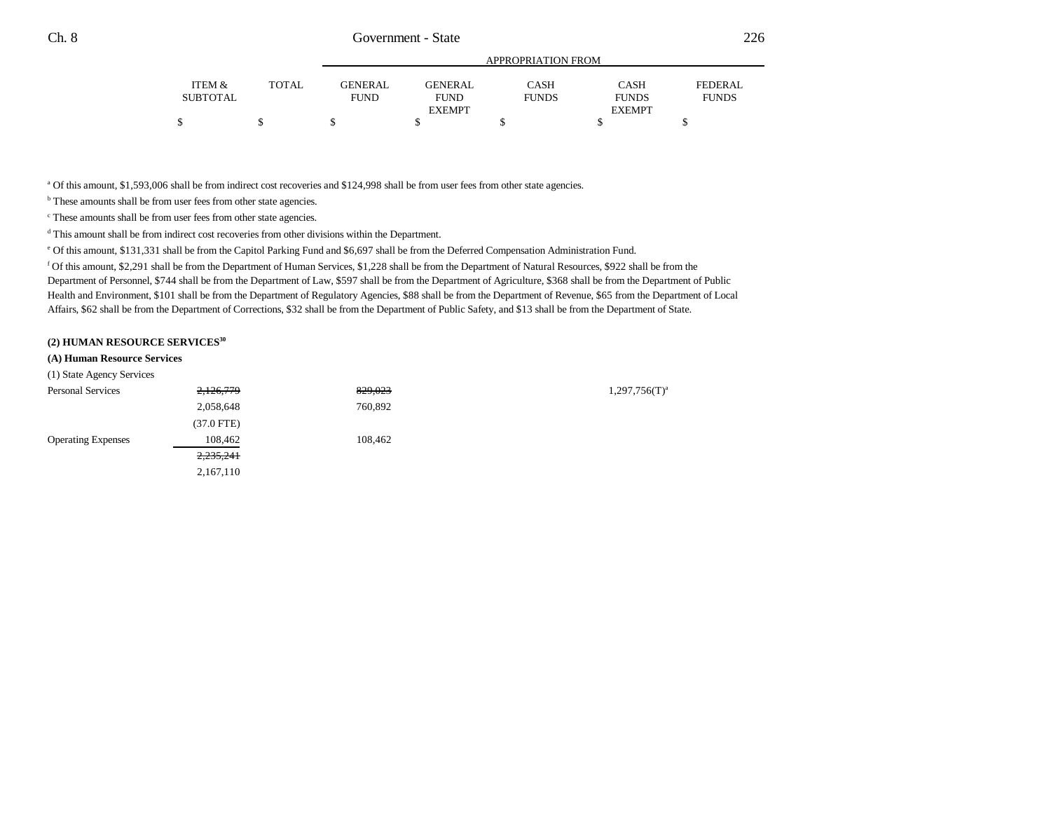|                 |              | APPROPRIATION FROM |                |              |               |              |
|-----------------|--------------|--------------------|----------------|--------------|---------------|--------------|
| ITEM &          | <b>TOTAL</b> | <b>GENERAL</b>     | <b>GENERAL</b> | CASH         | <b>CASH</b>   | FEDERAL      |
| <b>SUBTOTAL</b> |              | <b>FUND</b>        | <b>FUND</b>    | <b>FUNDS</b> | <b>FUNDS</b>  | <b>FUNDS</b> |
|                 |              |                    | <b>EXEMPT</b>  |              | <b>EXEMPT</b> |              |
|                 |              |                    |                |              |               |              |

<sup>a</sup> Of this amount, \$1,593,006 shall be from indirect cost recoveries and \$124,998 shall be from user fees from other state agencies.

 $^{\rm b}$  These amounts shall be from user fees from other state agencies.

c These amounts shall be from user fees from other state agencies.

d This amount shall be from indirect cost recoveries from other divisions within the Department.

e Of this amount, \$131,331 shall be from the Capitol Parking Fund and \$6,697 shall be from the Deferred Compensation Administration Fund.

f Of this amount, \$2,291 shall be from the Department of Human Services, \$1,228 shall be from the Department of Natural Resources, \$922 shall be from the Department of Personnel, \$744 shall be from the Department of Law, \$597 shall be from the Department of Agriculture, \$368 shall be from the Department of Public Health and Environment, \$101 shall be from the Department of Regulatory Agencies, \$88 shall be from the Department of Revenue, \$65 from the Department of Local Affairs, \$62 shall be from the Department of Corrections, \$32 shall be from the Department of Public Safety, and \$13 shall be from the Department of State.

#### **(2) HUMAN RESOURCE SERVICES<sup>30</sup>**

#### **(A) Human Resource Services**

(1) State Agency Services

| <b>Personal Services</b>  | 2,126,779    | 829,023 | $1,297,756(T)^a$ |
|---------------------------|--------------|---------|------------------|
|                           | 2,058,648    | 760,892 |                  |
|                           | $(37.0$ FTE) |         |                  |
| <b>Operating Expenses</b> | 108,462      | 108.462 |                  |
|                           | 2,235,241    |         |                  |
|                           | 2,167,110    |         |                  |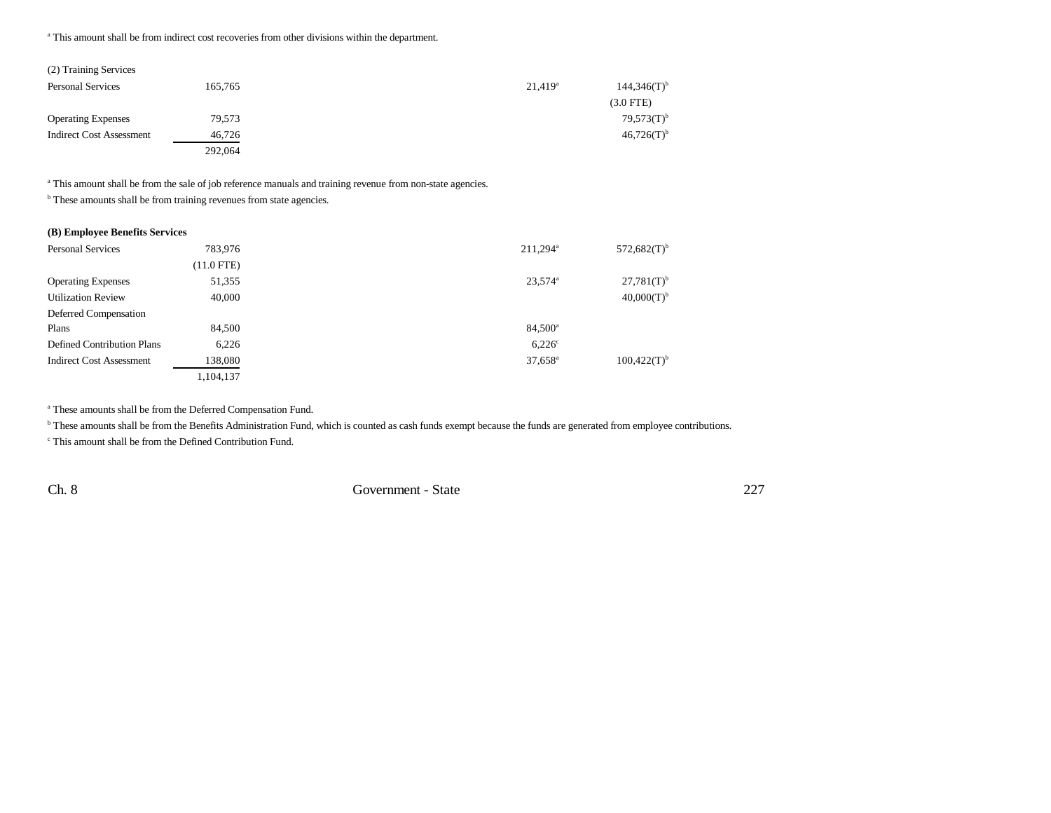<sup>a</sup> This amount shall be from indirect cost recoveries from other divisions within the department.

| (2) Training Services           |         |            |                           |
|---------------------------------|---------|------------|---------------------------|
| <b>Personal Services</b>        | 165,765 | $21,419^a$ | $144,346(T)$ <sup>t</sup> |
|                                 |         |            | $(3.0$ FTE)               |
| <b>Operating Expenses</b>       | 79,573  |            | $79,573(T)^t$             |
| <b>Indirect Cost Assessment</b> | 46.726  |            | $46,726(T)$ <sup>t</sup>  |
|                                 | 292,064 |            |                           |

a This amount shall be from the sale of job reference manuals and training revenue from non-state agencies.

**b** These amounts shall be from training revenues from state agencies.

#### **(B) Employee Benefits Services**

| <b>Personal Services</b>          | 783.976    | $211.294^a$           | $572,682(T)$ <sup>b</sup> |
|-----------------------------------|------------|-----------------------|---------------------------|
|                                   | (11.0 FTE) |                       |                           |
| <b>Operating Expenses</b>         | 51,355     | $23,574$ <sup>a</sup> | $27,781(T)$ <sup>b</sup>  |
| <b>Utilization Review</b>         | 40,000     |                       | $40,000(T)$ <sup>b</sup>  |
| Deferred Compensation             |            |                       |                           |
| Plans                             | 84,500     | 84,500 <sup>a</sup>   |                           |
| <b>Defined Contribution Plans</b> | 6,226      | 6.226c                |                           |
| <b>Indirect Cost Assessment</b>   | 138,080    | $37,658^{\circ}$      | $100,422(T)$ <sup>b</sup> |
|                                   | 1,104,137  |                       |                           |

a These amounts shall be from the Deferred Compensation Fund.

<sup>b</sup> These amounts shall be from the Benefits Administration Fund, which is counted as cash funds exempt because the funds are generated from employee contributions.

c This amount shall be from the Defined Contribution Fund.

Ch. 8 Government - State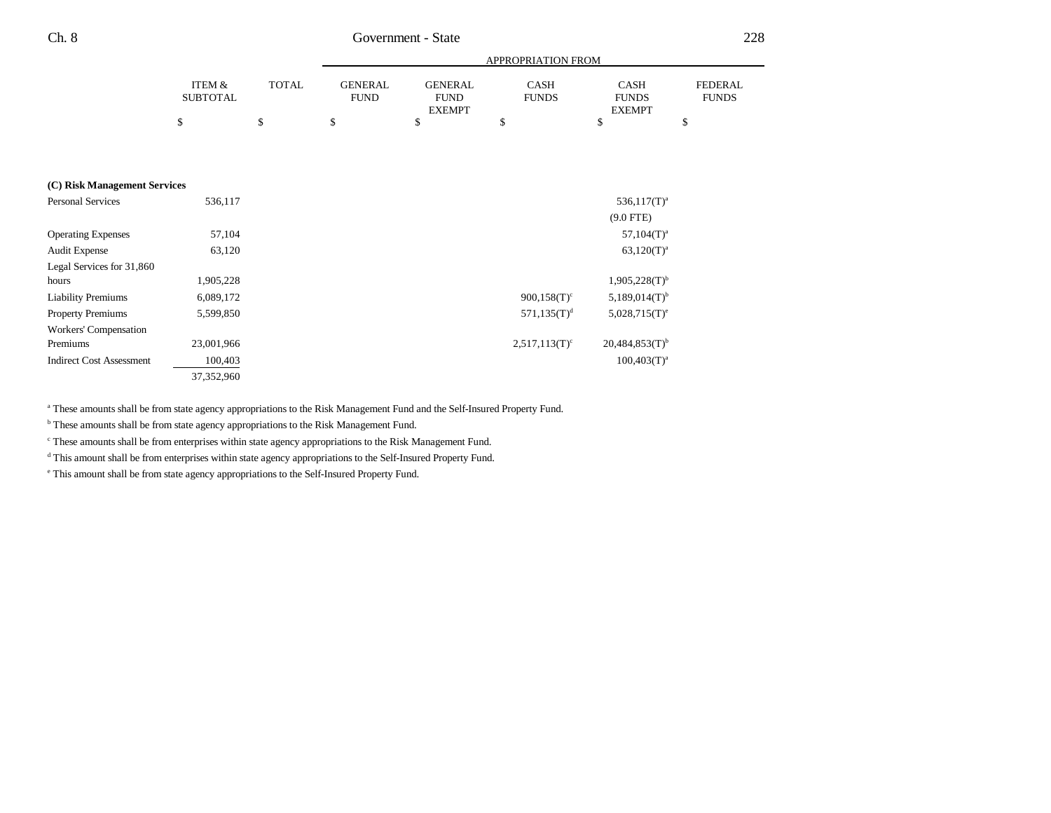|                                 |                           |              |                               |                                                | APPROPRIATION FROM          |                                              |                                |
|---------------------------------|---------------------------|--------------|-------------------------------|------------------------------------------------|-----------------------------|----------------------------------------------|--------------------------------|
|                                 | ITEM &<br><b>SUBTOTAL</b> | <b>TOTAL</b> | <b>GENERAL</b><br><b>FUND</b> | <b>GENERAL</b><br><b>FUND</b><br><b>EXEMPT</b> | <b>CASH</b><br><b>FUNDS</b> | <b>CASH</b><br><b>FUNDS</b><br><b>EXEMPT</b> | <b>FEDERAL</b><br><b>FUNDS</b> |
|                                 | \$                        | \$           | \$                            | \$                                             | \$                          | \$                                           | \$                             |
|                                 |                           |              |                               |                                                |                             |                                              |                                |
| (C) Risk Management Services    |                           |              |                               |                                                |                             |                                              |                                |
| Personal Services               | 536,117                   |              |                               |                                                |                             | $536,117(T)^a$                               |                                |
|                                 |                           |              |                               |                                                |                             | $(9.0$ FTE)                                  |                                |
| <b>Operating Expenses</b>       | 57,104                    |              |                               |                                                |                             | $57,104(T)^a$                                |                                |
| <b>Audit Expense</b>            | 63,120                    |              |                               |                                                |                             | $63,120(T)^{a}$                              |                                |
| Legal Services for 31,860       |                           |              |                               |                                                |                             |                                              |                                |
| hours                           | 1,905,228                 |              |                               |                                                |                             | $1,905,228(T)$ <sup>b</sup>                  |                                |
| <b>Liability Premiums</b>       | 6,089,172                 |              |                               |                                                | $900,158(T)^c$              | $5,189,014(T)$ <sup>b</sup>                  |                                |
| <b>Property Premiums</b>        | 5,599,850                 |              |                               |                                                | $571,135(T)^d$              | $5,028,715(T)^e$                             |                                |
| <b>Workers' Compensation</b>    |                           |              |                               |                                                |                             |                                              |                                |
| Premiums                        | 23,001,966                |              |                               |                                                | $2,517,113(T)^c$            | $20,484,853(T)$ <sup>b</sup>                 |                                |
| <b>Indirect Cost Assessment</b> | 100,403                   |              |                               |                                                |                             | $100,403(T)^{a}$                             |                                |
|                                 | 37,352,960                |              |                               |                                                |                             |                                              |                                |

<sup>a</sup> These amounts shall be from state agency appropriations to the Risk Management Fund and the Self-Insured Property Fund.

**b** These amounts shall be from state agency appropriations to the Risk Management Fund.

c These amounts shall be from enterprises within state agency appropriations to the Risk Management Fund.

d This amount shall be from enterprises within state agency appropriations to the Self-Insured Property Fund.

e This amount shall be from state agency appropriations to the Self-Insured Property Fund.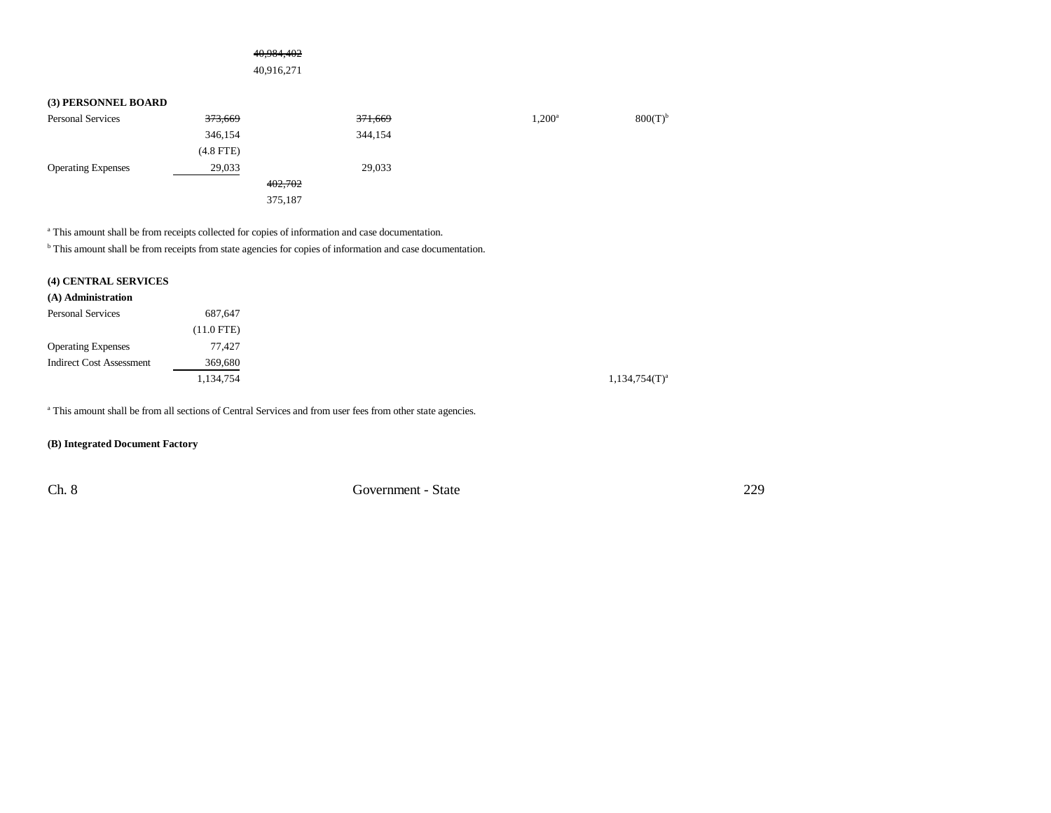### 40,984,402

40,916,271

### **(3) PERSONNEL BOARD**

| <b>Personal Services</b>  | 373,669     | 371,669 | $1,200^{\rm a}$ | $800(T)$ <sup>b</sup> |
|---------------------------|-------------|---------|-----------------|-----------------------|
|                           | 346,154     | 344,154 |                 |                       |
|                           | $(4.8$ FTE) |         |                 |                       |
| <b>Operating Expenses</b> | 29,033      | 29,033  |                 |                       |
|                           | 402,702     |         |                 |                       |
|                           | 375,187     |         |                 |                       |

a This amount shall be from receipts collected for copies of information and case documentation.

<sup>b</sup> This amount shall be from receipts from state agencies for copies of information and case documentation.

## **(4) CENTRAL SERVICES**

| 687,647      |
|--------------|
| $(11.0$ FTE) |
| 77.427       |
| 369,680      |
| 1,134,754    |
|              |

<sup>a</sup> This amount shall be from all sections of Central Services and from user fees from other state agencies.

### **(B) Integrated Document Factory**

Ch. 8 Government - State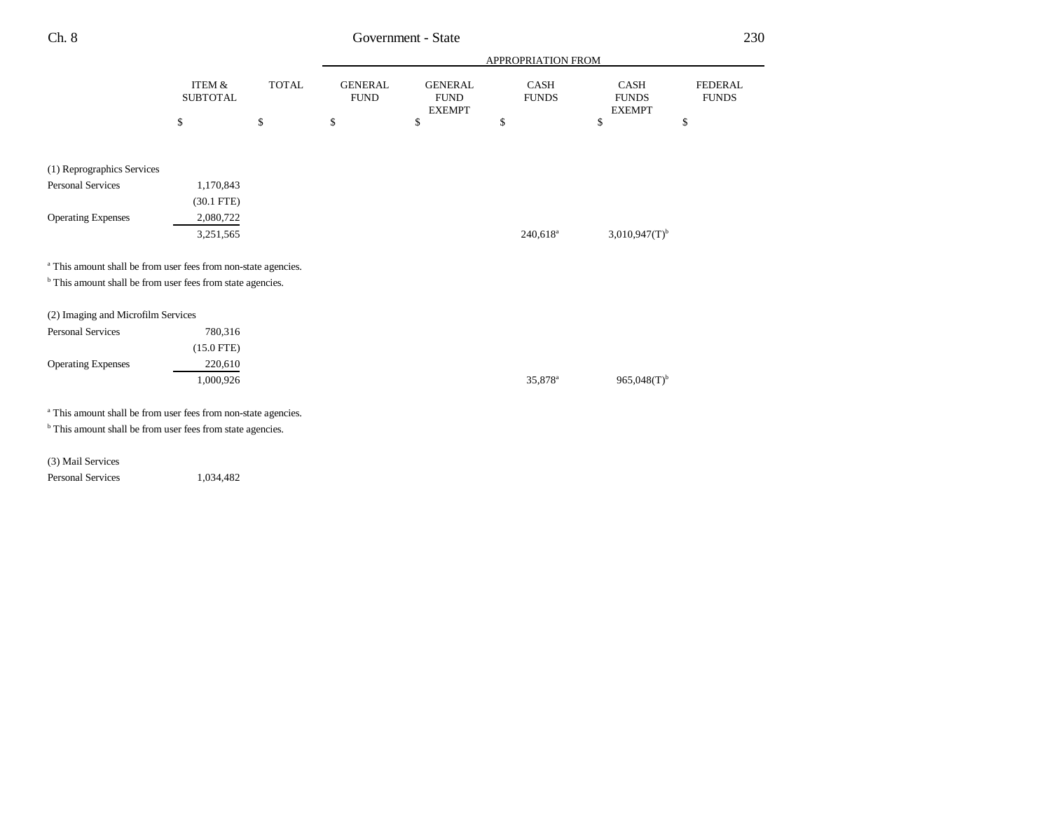| I<br>. .<br>v | ۰.<br>M. |
|---------------|----------|
|---------------|----------|

# Government - State

|                                                                                                                                                    |                                      |              | APPROPRIATION FROM            |                                                |                        |                                       |                                |  |
|----------------------------------------------------------------------------------------------------------------------------------------------------|--------------------------------------|--------------|-------------------------------|------------------------------------------------|------------------------|---------------------------------------|--------------------------------|--|
|                                                                                                                                                    | <b>ITEM &amp;</b><br><b>SUBTOTAL</b> | <b>TOTAL</b> | <b>GENERAL</b><br><b>FUND</b> | <b>GENERAL</b><br><b>FUND</b><br><b>EXEMPT</b> | CASH<br><b>FUNDS</b>   | CASH<br><b>FUNDS</b><br><b>EXEMPT</b> | <b>FEDERAL</b><br><b>FUNDS</b> |  |
|                                                                                                                                                    | \$                                   | \$           | \$                            | \$                                             | \$                     | \$                                    | \$                             |  |
|                                                                                                                                                    |                                      |              |                               |                                                |                        |                                       |                                |  |
| (1) Reprographics Services                                                                                                                         |                                      |              |                               |                                                |                        |                                       |                                |  |
| <b>Personal Services</b>                                                                                                                           | 1,170,843                            |              |                               |                                                |                        |                                       |                                |  |
|                                                                                                                                                    | $(30.1$ FTE)                         |              |                               |                                                |                        |                                       |                                |  |
| <b>Operating Expenses</b>                                                                                                                          | 2,080,722                            |              |                               |                                                |                        |                                       |                                |  |
|                                                                                                                                                    | 3,251,565                            |              |                               |                                                | $240,618$ <sup>a</sup> | $3,010,947(T)$ <sup>b</sup>           |                                |  |
| <sup>a</sup> This amount shall be from user fees from non-state agencies.<br><sup>b</sup> This amount shall be from user fees from state agencies. |                                      |              |                               |                                                |                        |                                       |                                |  |
| (2) Imaging and Microfilm Services                                                                                                                 |                                      |              |                               |                                                |                        |                                       |                                |  |
| <b>Personal Services</b>                                                                                                                           | 780,316                              |              |                               |                                                |                        |                                       |                                |  |
|                                                                                                                                                    | $(15.0$ FTE)                         |              |                               |                                                |                        |                                       |                                |  |
| <b>Operating Expenses</b>                                                                                                                          | 220,610                              |              |                               |                                                |                        |                                       |                                |  |
|                                                                                                                                                    | 1,000,926                            |              |                               |                                                | 35,878 <sup>a</sup>    | $965,048(T)$ <sup>b</sup>             |                                |  |
| <sup>a</sup> This amount shall be from user fees from non-state agencies.<br><sup>b</sup> This amount shall be from user fees from state agencies. |                                      |              |                               |                                                |                        |                                       |                                |  |
|                                                                                                                                                    |                                      |              |                               |                                                |                        |                                       |                                |  |
| (3) Mail Services                                                                                                                                  |                                      |              |                               |                                                |                        |                                       |                                |  |
| <b>Personal Services</b>                                                                                                                           | 1,034,482                            |              |                               |                                                |                        |                                       |                                |  |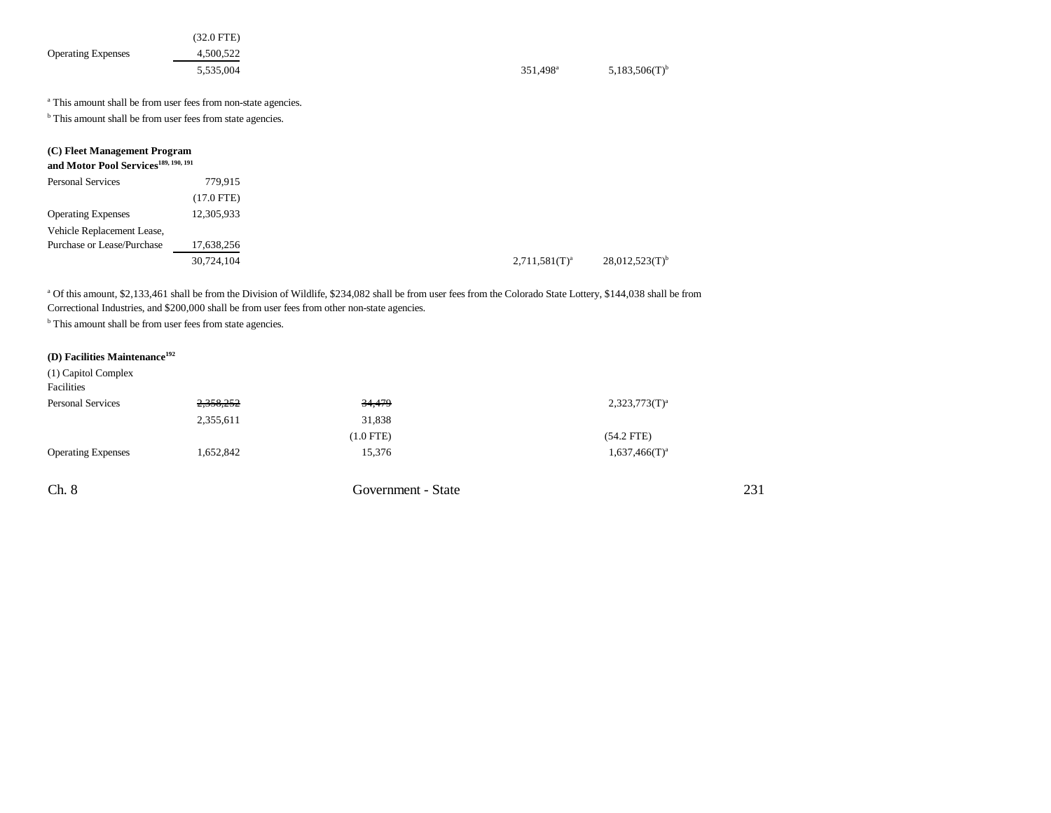| <b>Operating Expenses</b>                                                                                                                                                                                                                                                                                                                             | $(32.0$ FTE)<br>4,500,522<br>5,535,004 | 351,498 <sup>a</sup> | $5,183,506(T)$ <sup>b</sup>  |  |
|-------------------------------------------------------------------------------------------------------------------------------------------------------------------------------------------------------------------------------------------------------------------------------------------------------------------------------------------------------|----------------------------------------|----------------------|------------------------------|--|
| <sup>a</sup> This amount shall be from user fees from non-state agencies.                                                                                                                                                                                                                                                                             |                                        |                      |                              |  |
| <sup>b</sup> This amount shall be from user fees from state agencies.                                                                                                                                                                                                                                                                                 |                                        |                      |                              |  |
| (C) Fleet Management Program<br>and Motor Pool Services <sup>189, 190, 191</sup>                                                                                                                                                                                                                                                                      |                                        |                      |                              |  |
| Personal Services                                                                                                                                                                                                                                                                                                                                     | 779,915                                |                      |                              |  |
|                                                                                                                                                                                                                                                                                                                                                       | $(17.0$ FTE)                           |                      |                              |  |
| <b>Operating Expenses</b>                                                                                                                                                                                                                                                                                                                             | 12,305,933                             |                      |                              |  |
| Vehicle Replacement Lease,                                                                                                                                                                                                                                                                                                                            |                                        |                      |                              |  |
| Purchase or Lease/Purchase                                                                                                                                                                                                                                                                                                                            | 17,638,256                             |                      |                              |  |
|                                                                                                                                                                                                                                                                                                                                                       | 30,724,104                             | $2,711,581(T)^a$     | $28,012,523(T)$ <sup>b</sup> |  |
| <sup>a</sup> Of this amount, \$2,133,461 shall be from the Division of Wildlife, \$234,082 shall be from user fees from the Colorado State Lottery, \$144,038 shall be from<br>Correctional Industries, and \$200,000 shall be from user fees from other non-state agencies.<br><sup>b</sup> This amount shall be from user fees from state agencies. |                                        |                      |                              |  |

## **(D) Facilities Maintenance<sup>192</sup>**

| (1) Capitol Complex<br>Facilities |           |                    |                  |
|-----------------------------------|-----------|--------------------|------------------|
| <b>Personal Services</b>          | 2,358,252 | 34,479             | $2,323,773(T)^a$ |
|                                   | 2,355,611 | 31,838             |                  |
|                                   |           | $(1.0$ FTE $)$     | $(54.2$ FTE)     |
| <b>Operating Expenses</b>         | 1,652,842 | 15,376             | $1,637,466(T)^a$ |
|                                   |           |                    |                  |
| Ch. 8                             |           | Government - State |                  |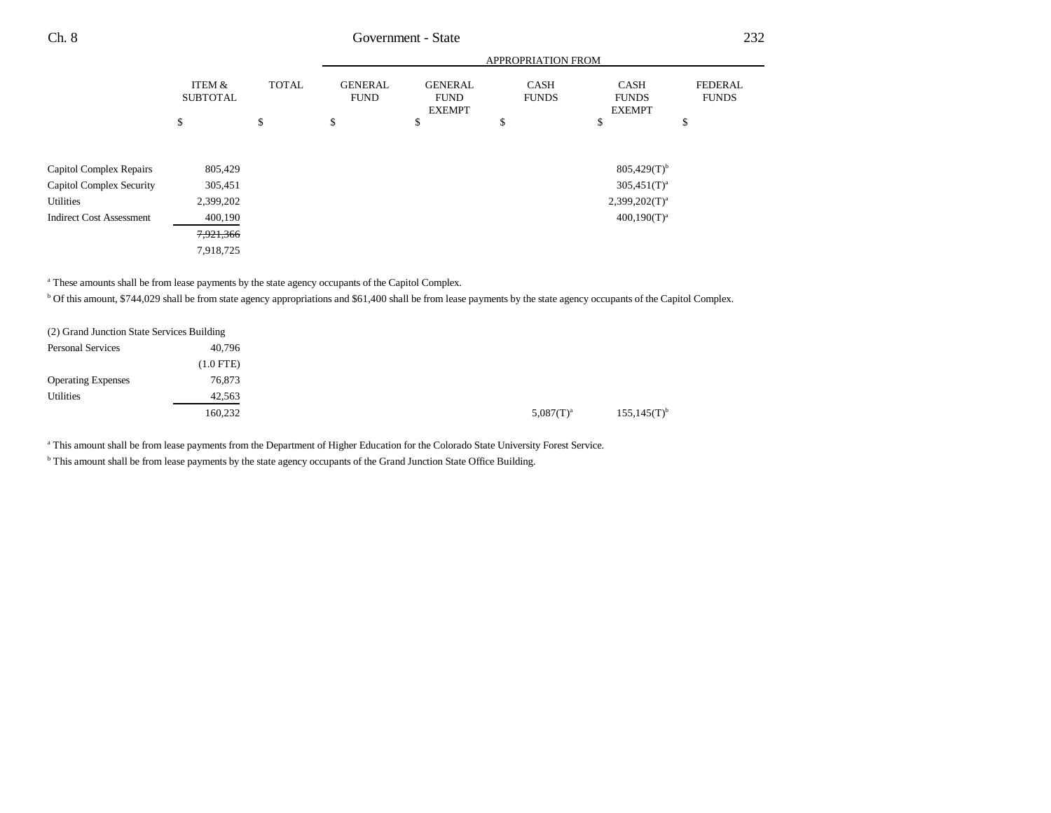|                                 |                           |              |                               |                                                | <b>APPROPRIATION FROM</b>   |                                              |                                |
|---------------------------------|---------------------------|--------------|-------------------------------|------------------------------------------------|-----------------------------|----------------------------------------------|--------------------------------|
|                                 | ITEM &<br><b>SUBTOTAL</b> | <b>TOTAL</b> | <b>GENERAL</b><br><b>FUND</b> | <b>GENERAL</b><br><b>FUND</b><br><b>EXEMPT</b> | <b>CASH</b><br><b>FUNDS</b> | <b>CASH</b><br><b>FUNDS</b><br><b>EXEMPT</b> | <b>FEDERAL</b><br><b>FUNDS</b> |
|                                 | \$                        | \$           | \$                            | \$                                             | \$                          | \$                                           | \$                             |
|                                 |                           |              |                               |                                                |                             |                                              |                                |
| Capitol Complex Repairs         | 805,429                   |              |                               |                                                |                             | $805,429(T)^{b}$                             |                                |
| <b>Capitol Complex Security</b> | 305,451                   |              |                               |                                                |                             | $305,451(T)^{a}$                             |                                |
| Utilities                       | 2,399,202                 |              |                               |                                                |                             | $2,399,202(T)^a$                             |                                |
| <b>Indirect Cost Assessment</b> | 400,190                   |              |                               |                                                |                             | $400,190(T)^{a}$                             |                                |
|                                 | 7,921,366                 |              |                               |                                                |                             |                                              |                                |
|                                 | 7,918,725                 |              |                               |                                                |                             |                                              |                                |

<sup>a</sup> These amounts shall be from lease payments by the state agency occupants of the Capitol Complex.

<sup>b</sup> Of this amount, \$744,029 shall be from state agency appropriations and \$61,400 shall be from lease payments by the state agency occupants of the Capitol Complex.

| (2) Grand Junction State Services Building |             |  |                |                           |
|--------------------------------------------|-------------|--|----------------|---------------------------|
| <b>Personal Services</b>                   | 40,796      |  |                |                           |
|                                            | $(1.0$ FTE) |  |                |                           |
| <b>Operating Expenses</b>                  | 76,873      |  |                |                           |
| <b>Utilities</b>                           | 42,563      |  |                |                           |
|                                            | 160,232     |  | $5.087(T)^{a}$ | $155,145(T)$ <sup>b</sup> |

a This amount shall be from lease payments from the Department of Higher Education for the Colorado State University Forest Service.

<sup>b</sup> This amount shall be from lease payments by the state agency occupants of the Grand Junction State Office Building.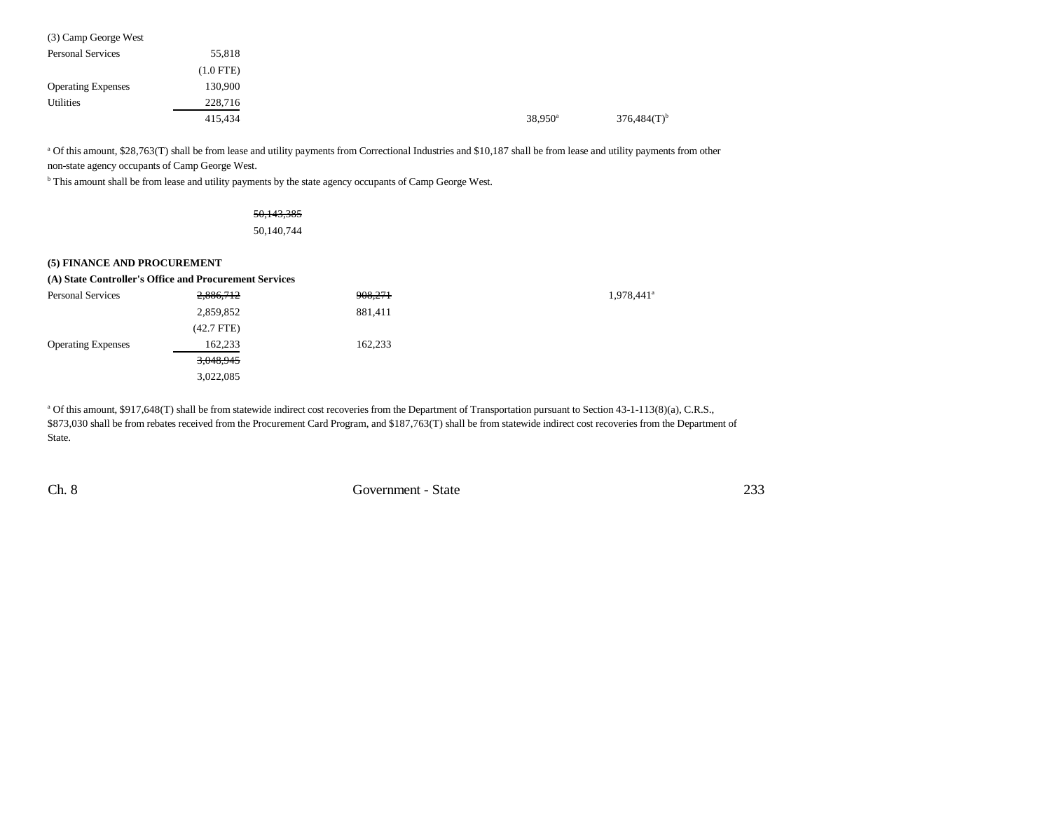| (3) Camp George West      |             |                  |                           |
|---------------------------|-------------|------------------|---------------------------|
| <b>Personal Services</b>  | 55,818      |                  |                           |
|                           | $(1.0$ FTE) |                  |                           |
| <b>Operating Expenses</b> | 130,900     |                  |                           |
| Utilities                 | 228,716     |                  |                           |
|                           | 415,434     | $38,950^{\circ}$ | $376,484(T)$ <sup>b</sup> |

a Of this amount, \$28,763(T) shall be from lease and utility payments from Correctional Industries and \$10,187 shall be from lease and utility payments from other non-state agency occupants of Camp George West.

**b** This amount shall be from lease and utility payments by the state agency occupants of Camp George West.

# 50,143,385

50,140,744

| (5) FINANCE AND PROCUREMENT |                                                        |         |                        |
|-----------------------------|--------------------------------------------------------|---------|------------------------|
|                             | (A) State Controller's Office and Procurement Services |         |                        |
| <b>Personal Services</b>    | 2,886,712                                              | 908,271 | 1,978,441 <sup>a</sup> |
|                             | 2,859,852                                              | 881,411 |                        |
|                             | $(42.7$ FTE)                                           |         |                        |
| <b>Operating Expenses</b>   | 162.233                                                | 162.233 |                        |
|                             | 3,048,945                                              |         |                        |
|                             | 3,022,085                                              |         |                        |

a Of this amount, \$917,648(T) shall be from statewide indirect cost recoveries from the Department of Transportation pursuant to Section 43-1-113(8)(a), C.R.S., \$873,030 shall be from rebates received from the Procurement Card Program, and \$187,763(T) shall be from statewide indirect cost recoveries from the Department of State.

Ch. 8 Government - State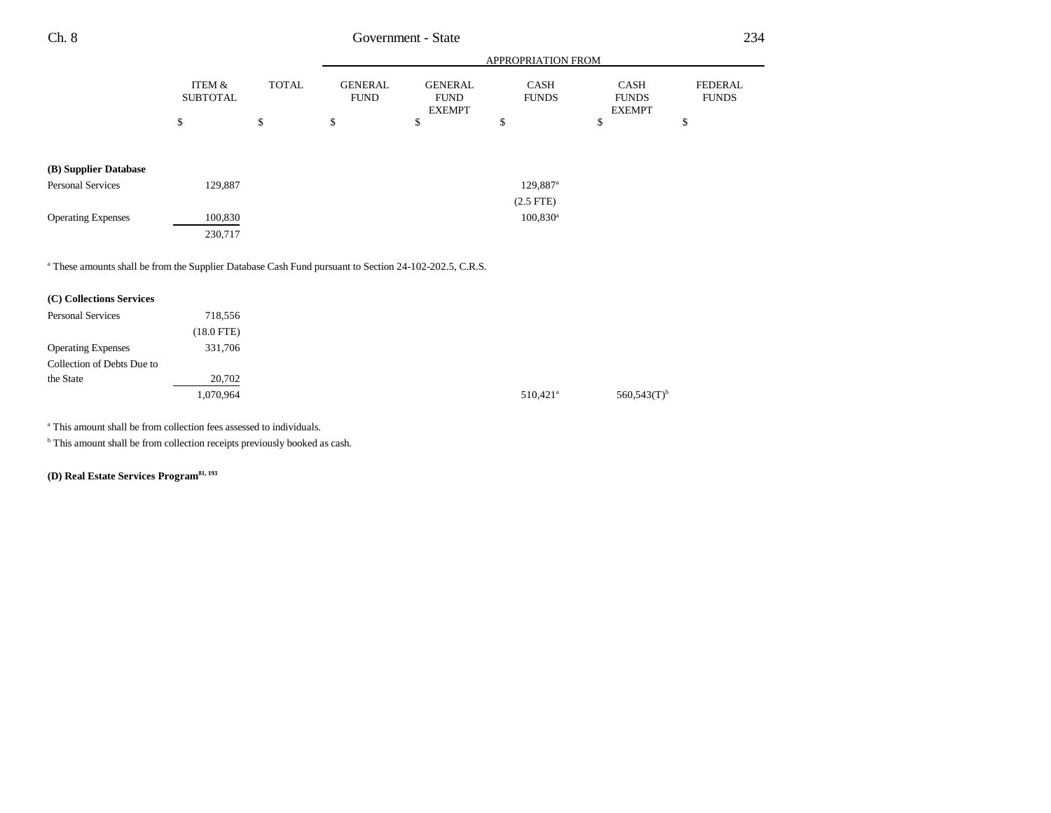|                           |                           |              |                               |                                                | APPROPRIATION FROM          |                                              |                         |
|---------------------------|---------------------------|--------------|-------------------------------|------------------------------------------------|-----------------------------|----------------------------------------------|-------------------------|
|                           | ITEM &<br><b>SUBTOTAL</b> | <b>TOTAL</b> | <b>GENERAL</b><br><b>FUND</b> | <b>GENERAL</b><br><b>FUND</b><br><b>EXEMPT</b> | <b>CASH</b><br><b>FUNDS</b> | <b>CASH</b><br><b>FUNDS</b><br><b>EXEMPT</b> | FEDERAL<br><b>FUNDS</b> |
|                           | \$                        | \$           | \$                            | \$                                             | \$                          | \$                                           | \$                      |
|                           |                           |              |                               |                                                |                             |                                              |                         |
| (B) Supplier Database     |                           |              |                               |                                                |                             |                                              |                         |
| <b>Personal Services</b>  | 129,887                   |              |                               |                                                | 129,887 <sup>a</sup>        |                                              |                         |
|                           |                           |              |                               |                                                | $(2.5$ FTE $)$              |                                              |                         |
| <b>Operating Expenses</b> | 100,830                   |              |                               |                                                | $100,830^{\rm a}$           |                                              |                         |
|                           | 230,717                   |              |                               |                                                |                             |                                              |                         |

<sup>a</sup> These amounts shall be from the Supplier Database Cash Fund pursuant to Section 24-102-202.5, C.R.S.

| (C) Collections Services   |            |
|----------------------------|------------|
| <b>Personal Services</b>   | 718,556    |
|                            | (18.0 FTE) |
| <b>Operating Expenses</b>  | 331,706    |
| Collection of Debts Due to |            |
| the State                  | 20,702     |
|                            | 1,070,964  |

a This amount shall be from collection fees assessed to individuals.

**b** This amount shall be from collection receipts previously booked as cash.

**(D) Real Estate Services Program81, 193**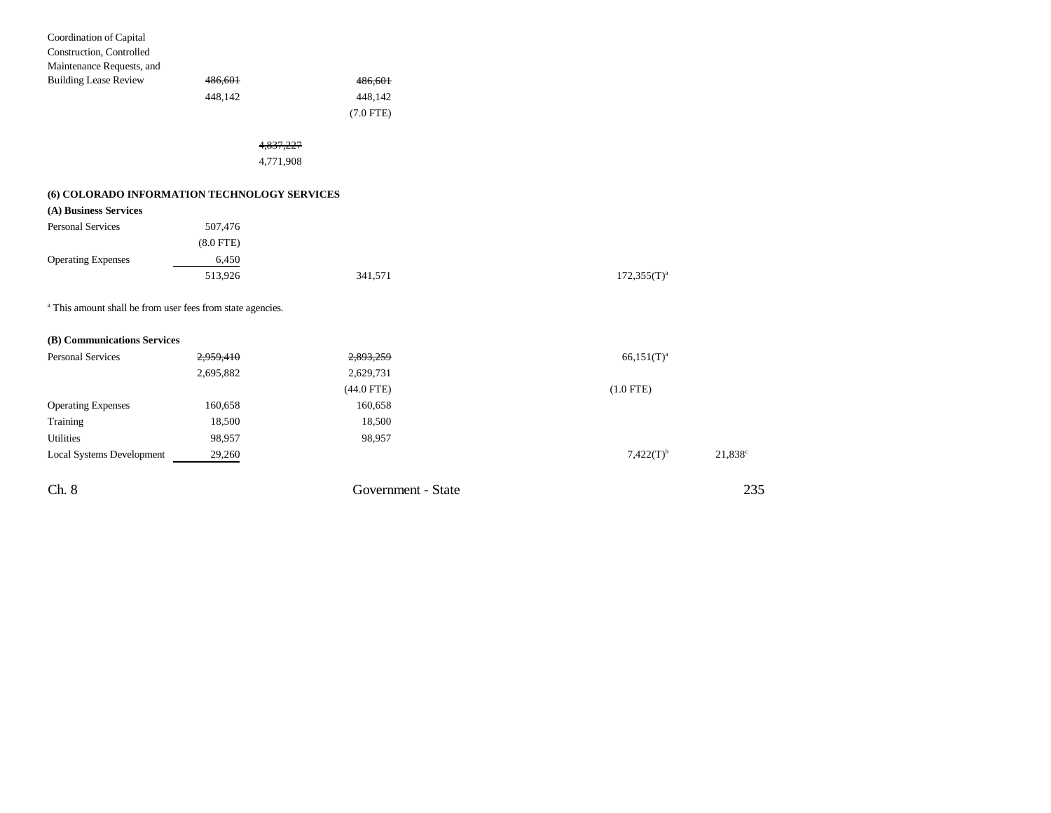| Ch. 8                                                                 |             | Government - State     |                  | $\tilde{ }$ |
|-----------------------------------------------------------------------|-------------|------------------------|------------------|-------------|
| <b>Local Systems Development</b>                                      | 29,260      |                        | $7,422(T)^{b}$   | 21,838      |
| <b>Utilities</b>                                                      | 98,957      | 98,957                 |                  |             |
| Training                                                              | 18,500      | 18,500                 |                  |             |
| <b>Operating Expenses</b>                                             | 160,658     | 160,658                |                  |             |
|                                                                       |             | (44.0 FTE)             | $(1.0$ FTE)      |             |
|                                                                       | 2,695,882   | 2,629,731              |                  |             |
| <b>Personal Services</b>                                              | 2,959,410   | 2,893,259              | $66,151(T)^{a}$  |             |
| (B) Communications Services                                           |             |                        |                  |             |
| <sup>a</sup> This amount shall be from user fees from state agencies. |             |                        |                  |             |
|                                                                       | 513,926     | 341,571                | $172,355(T)^{a}$ |             |
| <b>Operating Expenses</b>                                             | 6,450       |                        |                  |             |
|                                                                       | $(8.0$ FTE) |                        |                  |             |
| <b>Personal Services</b>                                              | 507,476     |                        |                  |             |
| (A) Business Services                                                 |             |                        |                  |             |
| (6) COLORADO INFORMATION TECHNOLOGY SERVICES                          |             |                        |                  |             |
|                                                                       | 4,771,908   |                        |                  |             |
|                                                                       | 4,837,227   |                        |                  |             |
|                                                                       |             |                        |                  |             |
|                                                                       | 448,142     | 448,142<br>$(7.0$ FTE) |                  |             |
| <b>Building Lease Review</b>                                          | 486,601     | 486,601                |                  |             |
| Maintenance Requests, and                                             |             |                        |                  |             |
| Construction, Controlled                                              |             |                        |                  |             |
| Coordination of Capital                                               |             |                        |                  |             |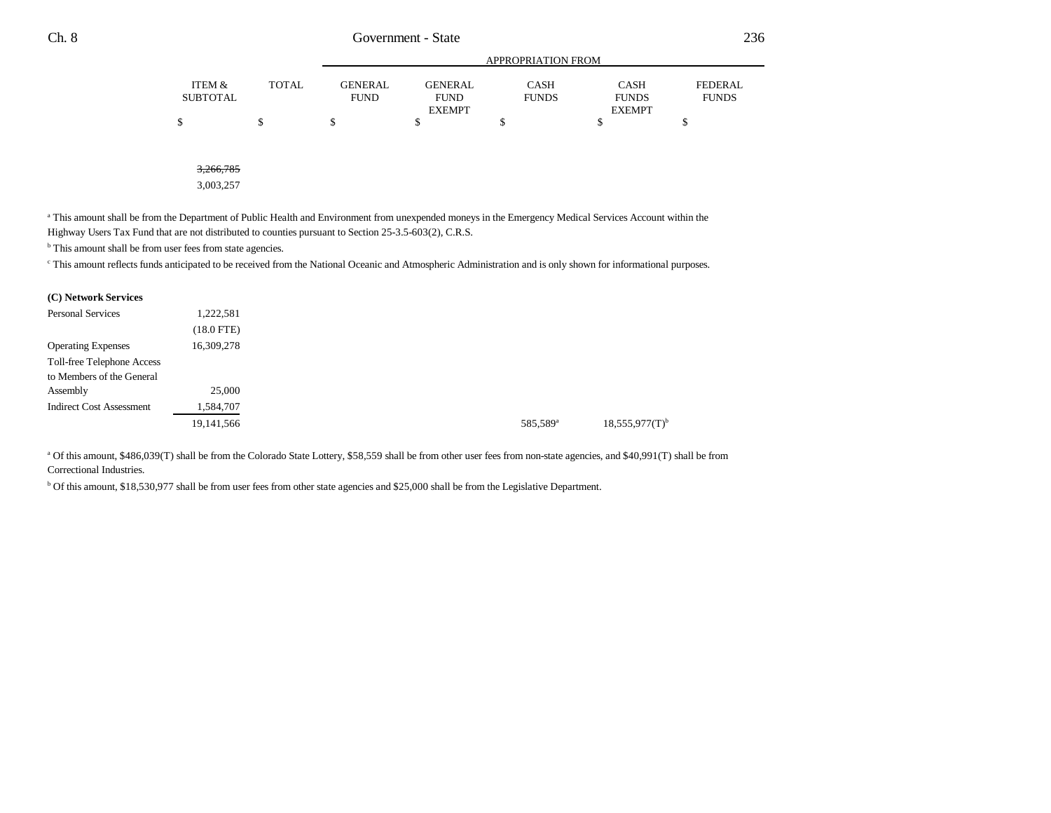|                 |              |                |                | <b>APPROPRIATION FROM</b> |               |                |
|-----------------|--------------|----------------|----------------|---------------------------|---------------|----------------|
| ITEM &          | <b>TOTAL</b> | <b>GENERAL</b> | <b>GENERAL</b> | CASH                      | <b>CASH</b>   | <b>FEDERAL</b> |
| <b>SUBTOTAL</b> |              | <b>FUND</b>    | <b>FUND</b>    | <b>FUNDS</b>              | <b>FUNDS</b>  | <b>FUNDS</b>   |
|                 |              |                | <b>EXEMPT</b>  |                           | <b>EXEMPT</b> |                |
| ሖ               |              |                |                |                           |               |                |
|                 |              |                |                |                           |               |                |

3,266,785

3,003,257

<sup>a</sup> This amount shall be from the Department of Public Health and Environment from unexpended moneys in the Emergency Medical Services Account within the Highway Users Tax Fund that are not distributed to counties pursuant to Section 25-3.5-603(2), C.R.S.

<sup>b</sup> This amount shall be from user fees from state agencies.

<sup>c</sup> This amount reflects funds anticipated to be received from the National Oceanic and Atmospheric Administration and is only shown for informational purposes.

### **(C) Network Services**

| <b>Personal Services</b>        | 1,222,581       |                      |
|---------------------------------|-----------------|----------------------|
|                                 | $(18.0$ FTE $)$ |                      |
| <b>Operating Expenses</b>       | 16,309,278      |                      |
| Toll-free Telephone Access      |                 |                      |
| to Members of the General       |                 |                      |
| Assembly                        | 25,000          |                      |
| <b>Indirect Cost Assessment</b> | 1,584,707       |                      |
|                                 | 19,141,566      | 585,589 <sup>a</sup> |
|                                 |                 |                      |

a Of this amount, \$486,039(T) shall be from the Colorado State Lottery, \$58,559 shall be from other user fees from non-state agencies, and \$40,991(T) shall be from Correctional Industries.

b Of this amount, \$18,530,977 shall be from user fees from other state agencies and \$25,000 shall be from the Legislative Department.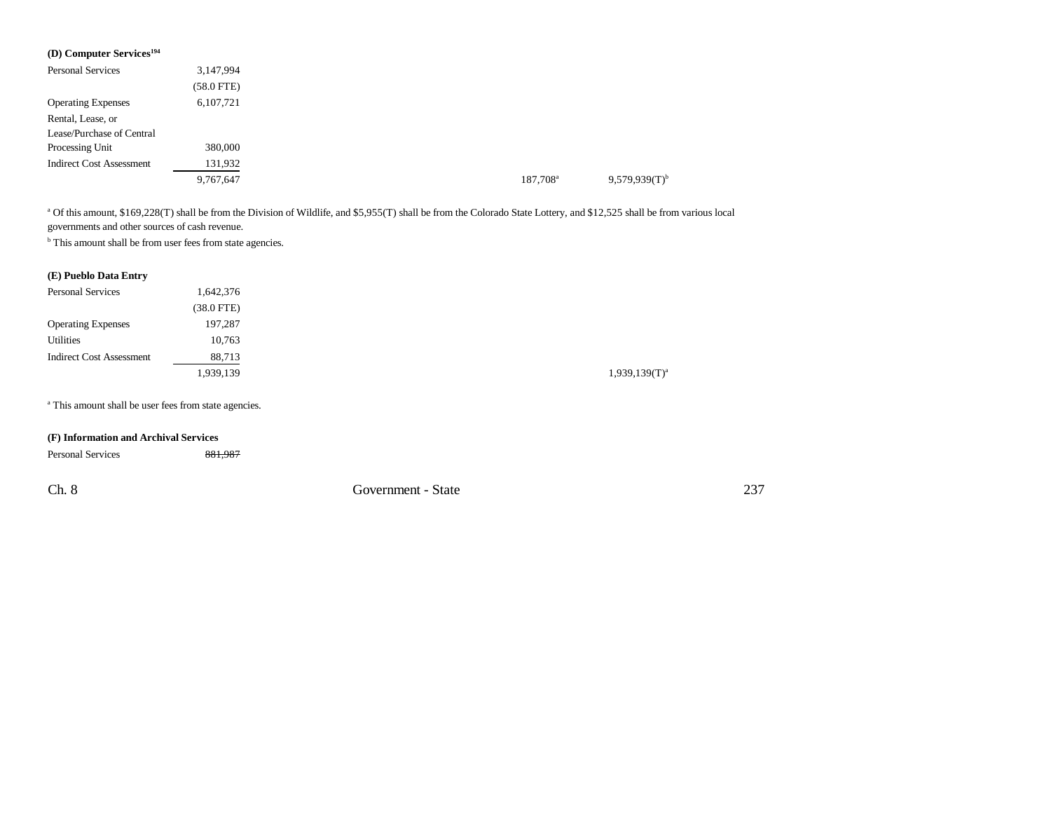| (D) Computer Services <sup>194</sup> |              |
|--------------------------------------|--------------|
| <b>Personal Services</b>             | 3,147,994    |
|                                      | $(58.0$ FTE) |
| <b>Operating Expenses</b>            | 6,107,721    |
| Rental, Lease, or                    |              |
| Lease/Purchase of Central            |              |
| Processing Unit                      | 380,000      |
| <b>Indirect Cost Assessment</b>      | 131,932      |
|                                      | 9,767,647    |

<sup>a</sup> Of this amount, \$169,228(T) shall be from the Division of Wildlife, and \$5,955(T) shall be from the Colorado State Lottery, and \$12,525 shall be from various local governments and other sources of cash revenue.

<sup>b</sup> This amount shall be from user fees from state agencies.

### **(E) Pueblo Data Entry**

| <b>Personal Services</b>        | 1,642,376    |
|---------------------------------|--------------|
|                                 | $(38.0$ FTE) |
| <b>Operating Expenses</b>       | 197,287      |
| Utilities                       | 10,763       |
| <b>Indirect Cost Assessment</b> | 88,713       |
|                                 | 1,939,139    |

<sup>a</sup> This amount shall be user fees from state agencies.

### **(F) Information and Archival Services**

| <b>Personal Services</b> | 881,987 |                    |     |
|--------------------------|---------|--------------------|-----|
| Ch. 8                    |         | Government - State | 237 |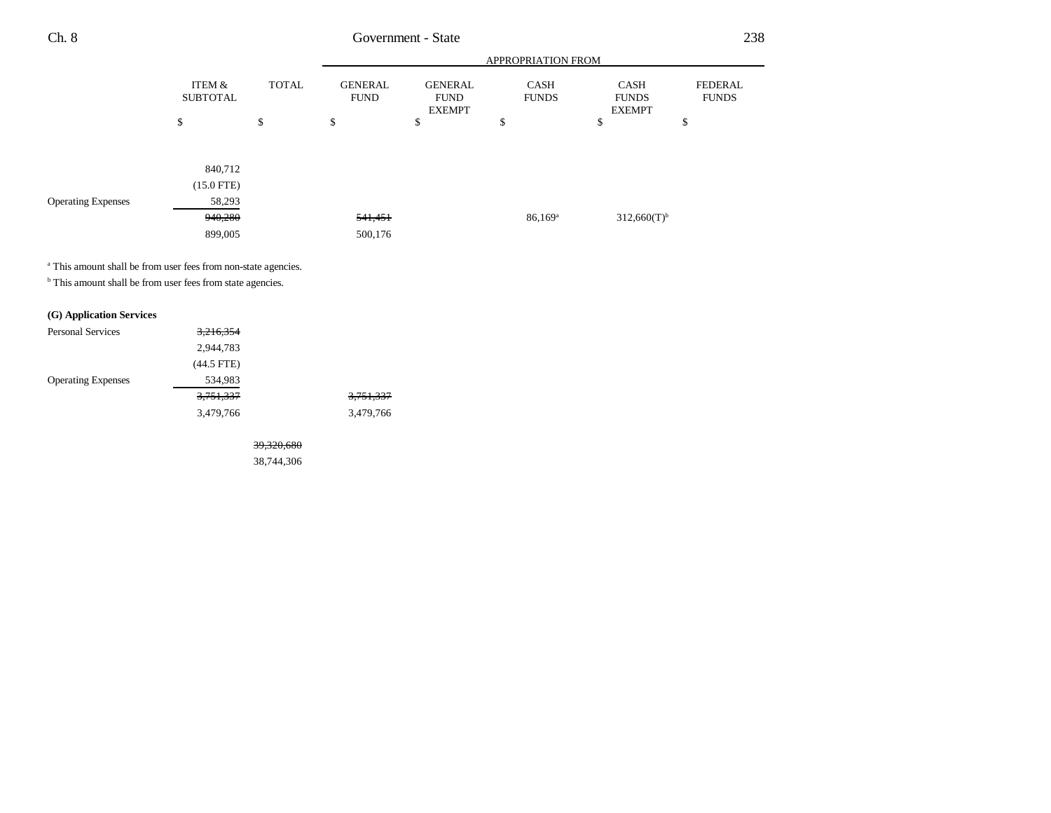|                           |                           |              |                               |                                                | <b>APPROPRIATION FROM</b>   |                                              |                         |
|---------------------------|---------------------------|--------------|-------------------------------|------------------------------------------------|-----------------------------|----------------------------------------------|-------------------------|
|                           | ITEM &<br><b>SUBTOTAL</b> | <b>TOTAL</b> | <b>GENERAL</b><br><b>FUND</b> | <b>GENERAL</b><br><b>FUND</b><br><b>EXEMPT</b> | <b>CASH</b><br><b>FUNDS</b> | <b>CASH</b><br><b>FUNDS</b><br><b>EXEMPT</b> | FEDERAL<br><b>FUNDS</b> |
|                           | \$                        | \$           | \$                            | \$                                             | \$                          | \$                                           | \$                      |
|                           |                           |              |                               |                                                |                             |                                              |                         |
|                           | 840,712                   |              |                               |                                                |                             |                                              |                         |
|                           | $(15.0$ FTE)              |              |                               |                                                |                             |                                              |                         |
| <b>Operating Expenses</b> | 58,293                    |              |                               |                                                |                             |                                              |                         |
|                           | 940,280                   |              | <del>541,451</del>            |                                                | $86,169^{\circ}$            | $312,660(T)$ <sup>b</sup>                    |                         |
|                           | 899,005                   |              | 500,176                       |                                                |                             |                                              |                         |

<sup>a</sup> This amount shall be from user fees from non-state agencies.

 $^{\rm b}$  This amount shall be from user fees from state agencies.

### **(G) Application Services**

| <b>Personal Services</b>  | 3,216,354            |                      |
|---------------------------|----------------------|----------------------|
|                           | 2,944,783            |                      |
|                           | $(44.5$ FTE)         |                      |
| <b>Operating Expenses</b> | 534,983              |                      |
|                           | <del>3,751,337</del> | <del>3,751,337</del> |
|                           | 3,479,766            | 3,479,766            |

39,320,680

38,744,306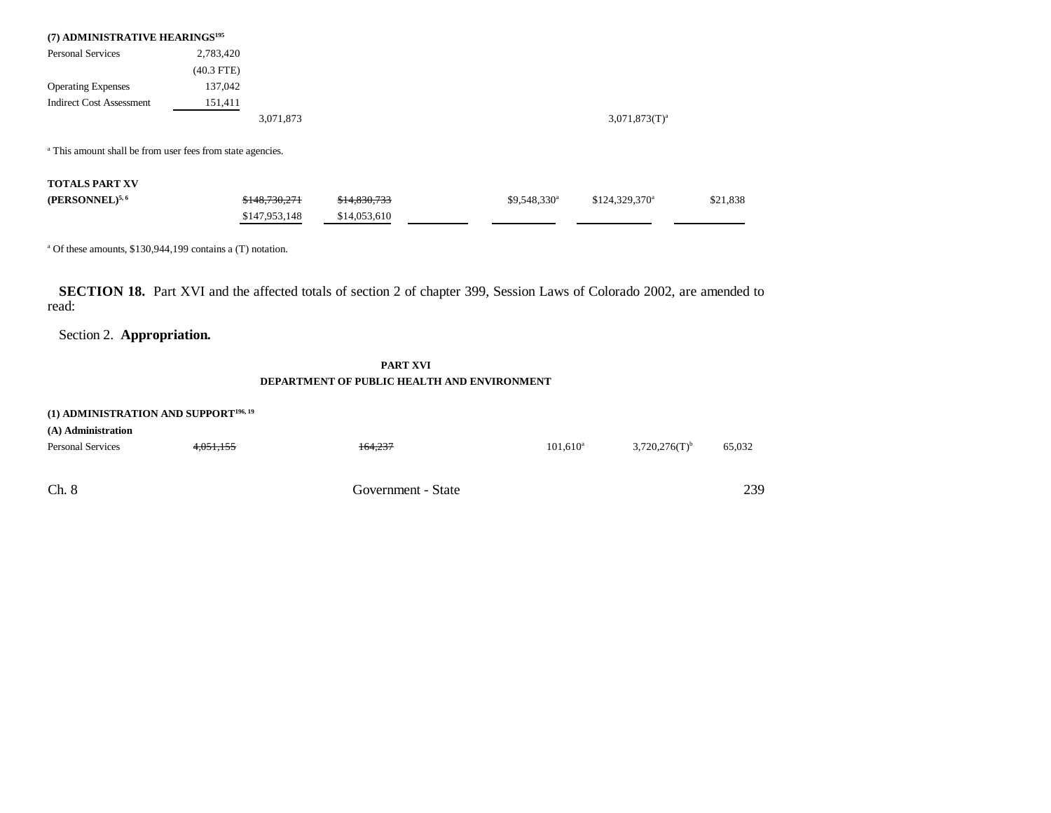| (7) ADMINISTRATIVE HEARINGS <sup>195</sup>                            |              |           |                    |
|-----------------------------------------------------------------------|--------------|-----------|--------------------|
| <b>Personal Services</b>                                              | 2,783,420    |           |                    |
|                                                                       | $(40.3$ FTE) |           |                    |
| <b>Operating Expenses</b>                                             | 137,042      |           |                    |
| <b>Indirect Cost Assessment</b>                                       | 151,411      |           |                    |
|                                                                       |              | 3,071,873 | $3,071,873(T)^{a}$ |
| <sup>a</sup> This amount shall be from user fees from state agencies. |              |           |                    |

**TOTALS PART XV**

| (PERSONNEL) <sup>5,6</sup> | \$148,730,271 | \$14,830,733 | $$9.548.330$ <sup>a</sup> | $$124.329.370$ <sup>a</sup> | \$21,838 |
|----------------------------|---------------|--------------|---------------------------|-----------------------------|----------|
|                            | \$147,953,148 | \$14,053,610 |                           |                             |          |

a Of these amounts, \$130,944,199 contains a (T) notation.

**SECTION 18.** Part XVI and the affected totals of section 2 of chapter 399, Session Laws of Colorado 2002, are amended to read:

Section 2. **Appropriation.**

### **PART XVIDEPARTMENT OF PUBLIC HEALTH AND ENVIRONMENT**

239

# Ch. 8 Government - State **(1) ADMINISTRATION AND SUPPORT196, 19 (A) Administration** Personal Services **4,051,155** 164,237 101,610<sup>a</sup> 3,720,276(T)<sup>b</sup> 65,032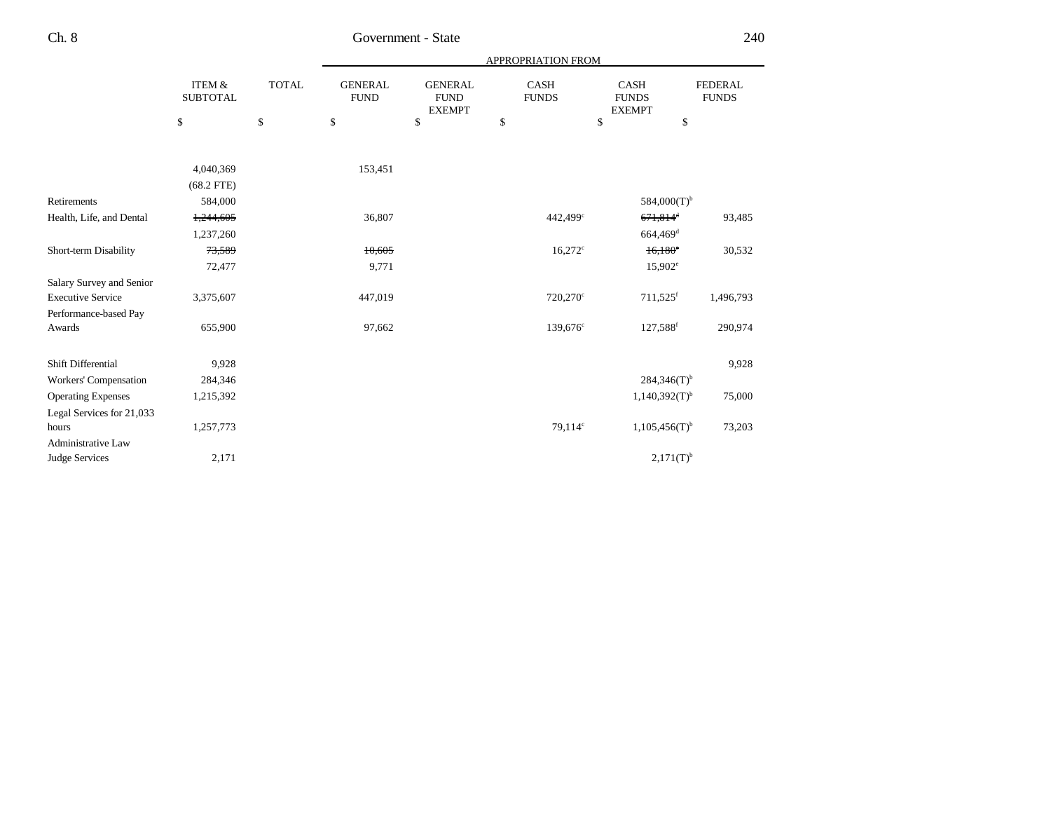|                           |                                      |              | APPROPRIATION FROM            |                                                |                             |                                              |                                |  |  |
|---------------------------|--------------------------------------|--------------|-------------------------------|------------------------------------------------|-----------------------------|----------------------------------------------|--------------------------------|--|--|
|                           | <b>ITEM &amp;</b><br><b>SUBTOTAL</b> | <b>TOTAL</b> | <b>GENERAL</b><br><b>FUND</b> | <b>GENERAL</b><br><b>FUND</b><br><b>EXEMPT</b> | <b>CASH</b><br><b>FUNDS</b> | <b>CASH</b><br><b>FUNDS</b><br><b>EXEMPT</b> | <b>FEDERAL</b><br><b>FUNDS</b> |  |  |
|                           | \$                                   | $\$$         | \$                            | \$                                             | \$                          | \$                                           | \$                             |  |  |
|                           |                                      |              |                               |                                                |                             |                                              |                                |  |  |
|                           | 4,040,369                            |              | 153,451                       |                                                |                             |                                              |                                |  |  |
|                           | $(68.2$ FTE)                         |              |                               |                                                |                             |                                              |                                |  |  |
| Retirements               | 584,000                              |              |                               |                                                |                             | $584,000(T)$ <sup>b</sup>                    |                                |  |  |
| Health, Life, and Dental  | 1,244,605                            |              | 36,807                        |                                                | 442,499 <sup>c</sup>        | $671,814$ <sup>d</sup>                       | 93,485                         |  |  |
|                           | 1,237,260                            |              |                               |                                                |                             | 664,469 <sup>d</sup>                         |                                |  |  |
| Short-term Disability     | 73,589                               |              | 10,605                        |                                                | $16,272$ <sup>c</sup>       | $16,180^{\circ}$                             | 30,532                         |  |  |
|                           | 72,477                               |              | 9,771                         |                                                |                             | $15,902^e$                                   |                                |  |  |
| Salary Survey and Senior  |                                      |              |                               |                                                |                             |                                              |                                |  |  |
| <b>Executive Service</b>  | 3,375,607                            |              | 447,019                       |                                                | 720,270°                    | 711,525 <sup>f</sup>                         | 1,496,793                      |  |  |
| Performance-based Pay     |                                      |              |                               |                                                |                             |                                              |                                |  |  |
| Awards                    | 655,900                              |              | 97,662                        |                                                | $139,676^{\circ}$           | 127,588 <sup>f</sup>                         | 290,974                        |  |  |
| Shift Differential        | 9,928                                |              |                               |                                                |                             |                                              | 9,928                          |  |  |
| Workers' Compensation     | 284,346                              |              |                               |                                                |                             | $284,346(T)$ <sup>b</sup>                    |                                |  |  |
| <b>Operating Expenses</b> | 1,215,392                            |              |                               |                                                |                             | $1,140,392(T)$ <sup>b</sup>                  | 75,000                         |  |  |
| Legal Services for 21,033 |                                      |              |                               |                                                |                             |                                              |                                |  |  |
| hours                     | 1,257,773                            |              |                               |                                                | 79,114 <sup>c</sup>         | $1,105,456(T)$ <sup>b</sup>                  | 73,203                         |  |  |
| <b>Administrative Law</b> |                                      |              |                               |                                                |                             |                                              |                                |  |  |
| <b>Judge Services</b>     | 2,171                                |              |                               |                                                |                             | $2,171(T)^{b}$                               |                                |  |  |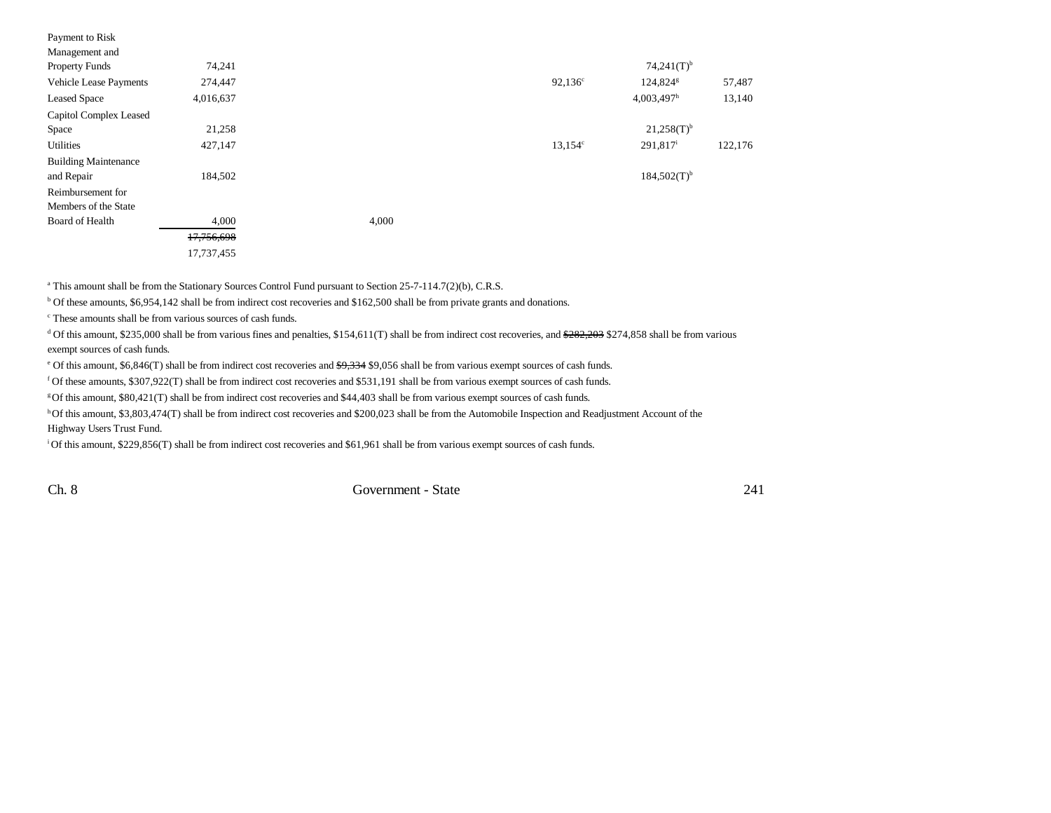| Payment to Risk             |            |       |                  |                           |         |
|-----------------------------|------------|-------|------------------|---------------------------|---------|
| Management and              |            |       |                  |                           |         |
| <b>Property Funds</b>       | 74,241     |       |                  | $74,241(T)$ <sup>b</sup>  |         |
| Vehicle Lease Payments      | 274,447    |       | $92,136^{\circ}$ | 124,824 <sup>g</sup>      | 57,487  |
| <b>Leased Space</b>         | 4,016,637  |       |                  | $4,003,497$ <sup>h</sup>  | 13,140  |
| Capitol Complex Leased      |            |       |                  |                           |         |
| Space                       | 21,258     |       |                  | $21,258(T)$ <sup>b</sup>  |         |
| Utilities                   | 427,147    |       | $13,154^c$       | $291,817^i$               | 122,176 |
| <b>Building Maintenance</b> |            |       |                  |                           |         |
| and Repair                  | 184,502    |       |                  | $184,502(T)$ <sup>b</sup> |         |
| Reimbursement for           |            |       |                  |                           |         |
| Members of the State        |            |       |                  |                           |         |
| Board of Health             | 4,000      | 4,000 |                  |                           |         |
|                             | 17,756,698 |       |                  |                           |         |
|                             | 17,737,455 |       |                  |                           |         |

<sup>a</sup> This amount shall be from the Stationary Sources Control Fund pursuant to Section 25-7-114.7(2)(b), C.R.S.

b Of these amounts, \$6,954,142 shall be from indirect cost recoveries and \$162,500 shall be from private grants and donations.

c These amounts shall be from various sources of cash funds.

<sup>d</sup> Of this amount, \$235,000 shall be from various fines and penalties, \$154,611(T) shall be from indirect cost recoveries, and <del>\$282,203</del> \$274,858 shall be from various exempt sources of cash funds.

e Of this amount, \$6,846(T) shall be from indirect cost recoveries and \$9,334 \$9,056 shall be from various exempt sources of cash funds.

f Of these amounts, \$307,922(T) shall be from indirect cost recoveries and \$531,191 shall be from various exempt sources of cash funds.

g Of this amount, \$80,421(T) shall be from indirect cost recoveries and \$44,403 shall be from various exempt sources of cash funds.

h Of this amount, \$3,803,474(T) shall be from indirect cost recoveries and \$200,023 shall be from the Automobile Inspection and Readjustment Account of the Highway Users Trust Fund.

i Of this amount, \$229,856(T) shall be from indirect cost recoveries and \$61,961 shall be from various exempt sources of cash funds.

Ch. 8 Government - State 241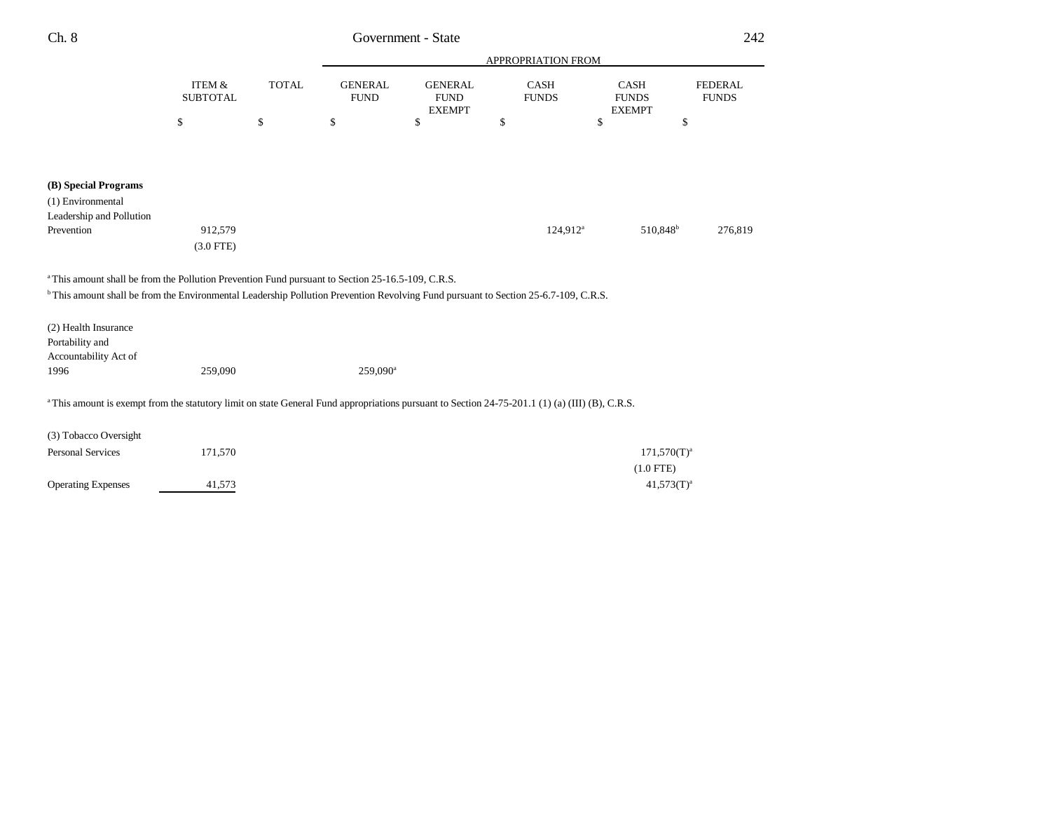| Ch. 8                                                                                                                                          | Government - State                   |              |                               |                                                |                      |    |                                              | 242                            |  |
|------------------------------------------------------------------------------------------------------------------------------------------------|--------------------------------------|--------------|-------------------------------|------------------------------------------------|----------------------|----|----------------------------------------------|--------------------------------|--|
|                                                                                                                                                |                                      |              |                               | APPROPRIATION FROM                             |                      |    |                                              |                                |  |
|                                                                                                                                                | <b>ITEM &amp;</b><br><b>SUBTOTAL</b> | <b>TOTAL</b> | <b>GENERAL</b><br><b>FUND</b> | <b>GENERAL</b><br><b>FUND</b><br><b>EXEMPT</b> | CASH<br><b>FUNDS</b> |    | <b>CASH</b><br><b>FUNDS</b><br><b>EXEMPT</b> | <b>FEDERAL</b><br><b>FUNDS</b> |  |
|                                                                                                                                                | \$                                   | \$           | \$                            | \$                                             | \$                   | \$ | \$                                           |                                |  |
| (B) Special Programs                                                                                                                           |                                      |              |                               |                                                |                      |    |                                              |                                |  |
| (1) Environmental                                                                                                                              |                                      |              |                               |                                                |                      |    |                                              |                                |  |
| Leadership and Pollution                                                                                                                       |                                      |              |                               |                                                |                      |    |                                              |                                |  |
| Prevention                                                                                                                                     | 912,579                              |              |                               |                                                | $124,912^a$          |    | 510,848 <sup>b</sup>                         | 276,819                        |  |
|                                                                                                                                                | $(3.0$ FTE)                          |              |                               |                                                |                      |    |                                              |                                |  |
| <sup>a</sup> This amount shall be from the Pollution Prevention Fund pursuant to Section 25-16.5-109, C.R.S.                                   |                                      |              |                               |                                                |                      |    |                                              |                                |  |
| <sup>b</sup> This amount shall be from the Environmental Leadership Pollution Prevention Revolving Fund pursuant to Section 25-6.7-109, C.R.S. |                                      |              |                               |                                                |                      |    |                                              |                                |  |
| (2) Health Insurance<br>Portability and<br>Accountability Act of                                                                               |                                      |              |                               |                                                |                      |    |                                              |                                |  |
| 1996                                                                                                                                           | 259,090                              |              | 259,090 <sup>a</sup>          |                                                |                      |    |                                              |                                |  |
| This amount is exempt from the statutory limit on state General Fund appropriations pursuant to Section 24-75-201.1 (1) (a) (III) (B), C.R.S.  |                                      |              |                               |                                                |                      |    |                                              |                                |  |
| (3) Tobacco Oversight                                                                                                                          |                                      |              |                               |                                                |                      |    |                                              |                                |  |
| Personal Services                                                                                                                              | 171,570                              |              |                               |                                                |                      |    | $171,570(T)^{a}$                             |                                |  |
|                                                                                                                                                |                                      |              |                               |                                                |                      |    | $(1.0$ FTE)                                  |                                |  |
| <b>Operating Expenses</b>                                                                                                                      | 41,573                               |              |                               |                                                |                      |    | $41,573(T)^{a}$                              |                                |  |
|                                                                                                                                                |                                      |              |                               |                                                |                      |    |                                              |                                |  |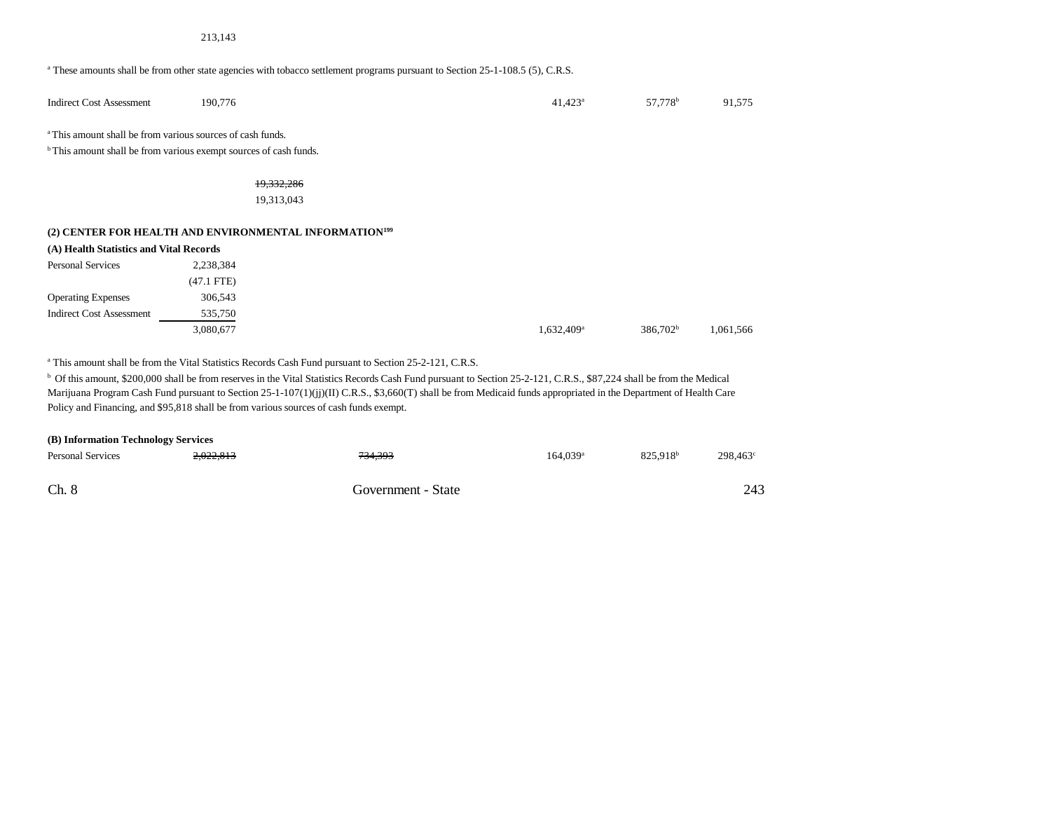#### 213,143

#### a These amounts shall be from other state agencies with tobacco settlement programs pursuant to Section 25-1-108.5 (5), C.R.S.

| <b>Indirect Cost Assessment</b> | 190.776 | 1.423<br>4 | 57.778 <sup>b</sup> | 1,575<br>л. |
|---------------------------------|---------|------------|---------------------|-------------|
|                                 |         |            |                     |             |

a This amount shall be from various sources of cash funds.

 $^{\rm b}$  This amount shall be from various exempt sources of cash funds.

19,332,286

19,313,043

### **(2) CENTER FOR HEALTH AND ENVIRONMENTAL INFORMATION<sup>199</sup>**

| (A) Health Statistics and Vital Records |              |                          |                      |           |
|-----------------------------------------|--------------|--------------------------|----------------------|-----------|
| <b>Personal Services</b>                | 2,238,384    |                          |                      |           |
|                                         | $(47.1$ FTE) |                          |                      |           |
| <b>Operating Expenses</b>               | 306,543      |                          |                      |           |
| <b>Indirect Cost Assessment</b>         | 535.750      |                          |                      |           |
|                                         | 3,080,677    | $1,632,409$ <sup>a</sup> | 386.702 <sup>b</sup> | 1,061,566 |

a This amount shall be from the Vital Statistics Records Cash Fund pursuant to Section 25-2-121, C.R.S.

<sup>b</sup> Of this amount, \$200,000 shall be from reserves in the Vital Statistics Records Cash Fund pursuant to Section 25-2-121, C.R.S., \$87,224 shall be from the Medical Marijuana Program Cash Fund pursuant to Section 25-1-107(1)(jj)(II) C.R.S., \$3,660(T) shall be from Medicaid funds appropriated in the Department of Health Care Policy and Financing, and \$95,818 shall be from various sources of cash funds exempt.

| (B) Information Technology Services |           |                    |                        |                      |                   |  |  |  |  |
|-------------------------------------|-----------|--------------------|------------------------|----------------------|-------------------|--|--|--|--|
| <b>Personal Services</b>            | 2,022,813 | <del>734,393</del> | $164.039$ <sup>a</sup> | 825.918 <sup>b</sup> | $298.463^{\circ}$ |  |  |  |  |
| Ch. 8                               |           | Government - State |                        |                      | 243               |  |  |  |  |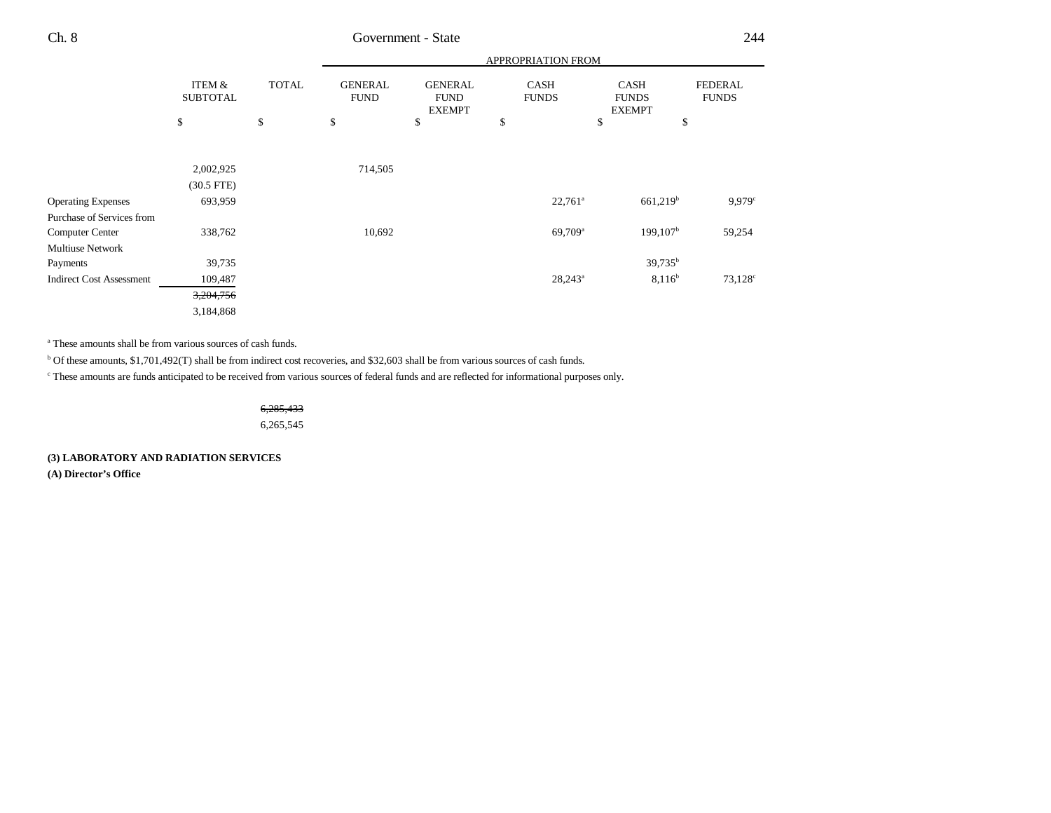|                           |              | APPROPRIATION FROM            |                                                |                             |                                              |                                |  |  |
|---------------------------|--------------|-------------------------------|------------------------------------------------|-----------------------------|----------------------------------------------|--------------------------------|--|--|
| ITEM &<br><b>SUBTOTAL</b> | <b>TOTAL</b> | <b>GENERAL</b><br><b>FUND</b> | <b>GENERAL</b><br><b>FUND</b><br><b>EXEMPT</b> | <b>CASH</b><br><b>FUNDS</b> | <b>CASH</b><br><b>FUNDS</b><br><b>EXEMPT</b> | <b>FEDERAL</b><br><b>FUNDS</b> |  |  |
| \$                        | \$           | \$                            | \$                                             | \$                          | \$                                           | \$                             |  |  |
|                           |              |                               |                                                |                             |                                              |                                |  |  |
| 2,002,925                 |              | 714,505                       |                                                |                             |                                              |                                |  |  |
| $(30.5$ FTE)              |              |                               |                                                |                             |                                              |                                |  |  |
| 693,959                   |              |                               |                                                | $22,761^a$                  | $661,219$ <sup>b</sup>                       | $9,979$ <sup>c</sup>           |  |  |
|                           |              |                               |                                                |                             |                                              |                                |  |  |
| 338,762                   |              | 10,692                        |                                                | 69,709 <sup>a</sup>         | $199, 107^{\rm b}$                           | 59,254                         |  |  |
|                           |              |                               |                                                |                             |                                              |                                |  |  |
| 39,735                    |              |                               |                                                |                             | 39,735 <sup>b</sup>                          |                                |  |  |
| 109,487                   |              |                               |                                                | $28,243^a$                  | $8,116^b$                                    | $73,128^{\circ}$               |  |  |
| 3,204,756                 |              |                               |                                                |                             |                                              |                                |  |  |
| 3,184,868                 |              |                               |                                                |                             |                                              |                                |  |  |
|                           |              |                               |                                                |                             |                                              |                                |  |  |

a These amounts shall be from various sources of cash funds.

b Of these amounts, \$1,701,492(T) shall be from indirect cost recoveries, and \$32,603 shall be from various sources of cash funds.

c These amounts are funds anticipated to be received from various sources of federal funds and are reflected for informational purposes only.

6,285,433

6,265,545

**(3) LABORATORY AND RADIATION SERVICES**

**(A) Director's Office**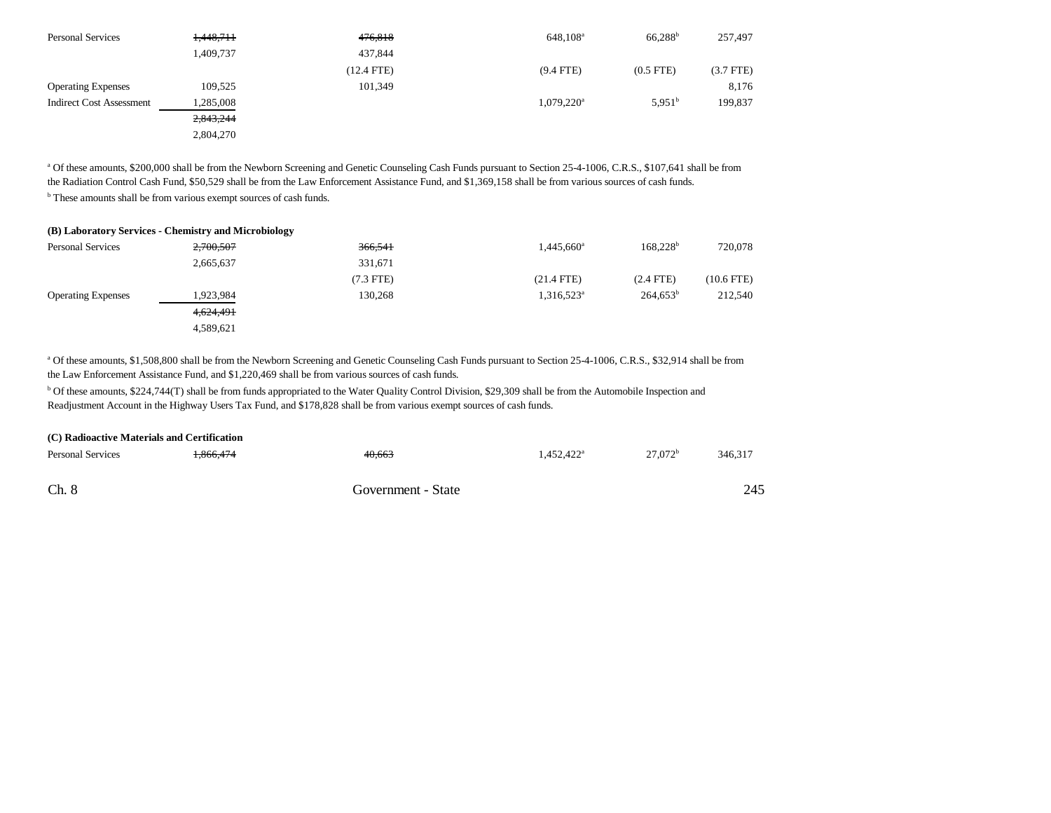| <b>Personal Services</b>        | 1,448,711 | 476,818      | $648,108^{\rm a}$        | $66.288^{b}$       | 257,497     |
|---------------------------------|-----------|--------------|--------------------------|--------------------|-------------|
|                                 | 1,409,737 | 437.844      |                          |                    |             |
|                                 |           | $(12.4$ FTE) | $(9.4$ FTE)              | $(0.5$ FTE $)$     | $(3.7$ FTE) |
| <b>Operating Expenses</b>       | 109,525   | 101,349      |                          |                    | 8,176       |
| <b>Indirect Cost Assessment</b> | 1,285,008 |              | $1,079,220$ <sup>a</sup> | 5.951 <sup>b</sup> | 199,837     |
|                                 | 2,843,244 |              |                          |                    |             |
|                                 | 2.804.270 |              |                          |                    |             |

a Of these amounts, \$200,000 shall be from the Newborn Screening and Genetic Counseling Cash Funds pursuant to Section 25-4-1006, C.R.S., \$107,641 shall be from the Radiation Control Cash Fund, \$50,529 shall be from the Law Enforcement Assistance Fund, and \$1,369,158 shall be from various sources of cash funds.

b These amounts shall be from various exempt sources of cash funds.

#### **(B) Laboratory Services - Chemistry and Microbiology**

| <b>Personal Services</b>  | 2,700,507 | 366,541     | 1,445,660 <sup>a</sup> | 168.228 <sup>b</sup> | 720,078      |
|---------------------------|-----------|-------------|------------------------|----------------------|--------------|
|                           | 2,665,637 | 331,671     |                        |                      |              |
|                           |           | $(7.3$ FTE) | $(21.4$ FTE)           | $(2.4$ FTE)          | $(10.6$ FTE) |
| <b>Operating Expenses</b> | 1,923,984 | 130,268     | 1,316,523 <sup>a</sup> | 264.653 <sup>b</sup> | 212,540      |
|                           | 4,624,491 |             |                        |                      |              |
|                           | 4,589,621 |             |                        |                      |              |

<sup>a</sup> Of these amounts, \$1,508,800 shall be from the Newborn Screening and Genetic Counseling Cash Funds pursuant to Section 25-4-1006, C.R.S., \$32,914 shall be from the Law Enforcement Assistance Fund, and \$1,220,469 shall be from various sources of cash funds.

<sup>b</sup> Of these amounts, \$224,744(T) shall be from funds appropriated to the Water Quality Control Division, \$29,309 shall be from the Automobile Inspection and Readjustment Account in the Highway Users Tax Fund, and \$178,828 shall be from various exempt sources of cash funds.

| (C) Radioactive Materials and Certification |           |        |                        |            |         |  |
|---------------------------------------------|-----------|--------|------------------------|------------|---------|--|
| <b>Personal Services</b>                    | 1,866,474 | 40.663 | $1.452.422^{\text{a}}$ | $27.072^b$ | 346,317 |  |
| Ch. 8<br>Government - State                 |           |        |                        |            | 245     |  |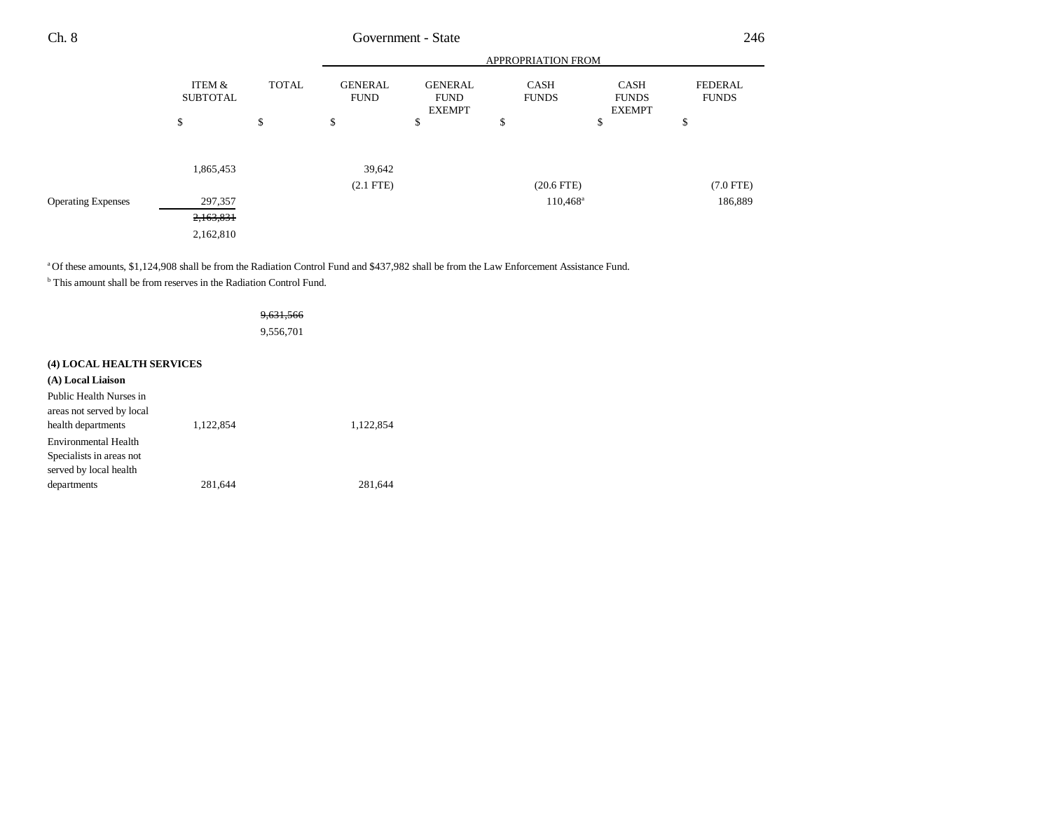|                           |                           |              | <b>APPROPRIATION FROM</b>     |                                                |                             |                                              |                                |
|---------------------------|---------------------------|--------------|-------------------------------|------------------------------------------------|-----------------------------|----------------------------------------------|--------------------------------|
|                           | ITEM &<br><b>SUBTOTAL</b> | <b>TOTAL</b> | <b>GENERAL</b><br><b>FUND</b> | <b>GENERAL</b><br><b>FUND</b><br><b>EXEMPT</b> | <b>CASH</b><br><b>FUNDS</b> | <b>CASH</b><br><b>FUNDS</b><br><b>EXEMPT</b> | <b>FEDERAL</b><br><b>FUNDS</b> |
|                           | ¢<br>Ф                    | \$           | \$                            | \$                                             | Φ                           | \$                                           | ¢<br>⊅                         |
|                           | 1,865,453                 |              | 39,642                        |                                                |                             |                                              |                                |
|                           |                           |              | $(2.1$ FTE $)$                |                                                | $(20.6$ FTE)                |                                              | $(7.0$ FTE)                    |
| <b>Operating Expenses</b> | 297,357                   |              |                               |                                                | $110,468^{\circ}$           |                                              | 186,889                        |
|                           | 2,163,831                 |              |                               |                                                |                             |                                              |                                |
|                           | 2,162,810                 |              |                               |                                                |                             |                                              |                                |

a Of these amounts, \$1,124,908 shall be from the Radiation Control Fund and \$437,982 shall be from the Law Enforcement Assistance Fund.

<sup>b</sup> This amount shall be from reserves in the Radiation Control Fund.

#### 9,631,566

9,556,701

### **(4) LOCAL HEALTH SERVICES**

| (A) Local Liaison           |           |           |
|-----------------------------|-----------|-----------|
| Public Health Nurses in     |           |           |
| areas not served by local   |           |           |
| health departments          | 1.122.854 | 1,122,854 |
| <b>Environmental Health</b> |           |           |
| Specialists in areas not    |           |           |
| served by local health      |           |           |
| departments                 | 281.644   | 281.644   |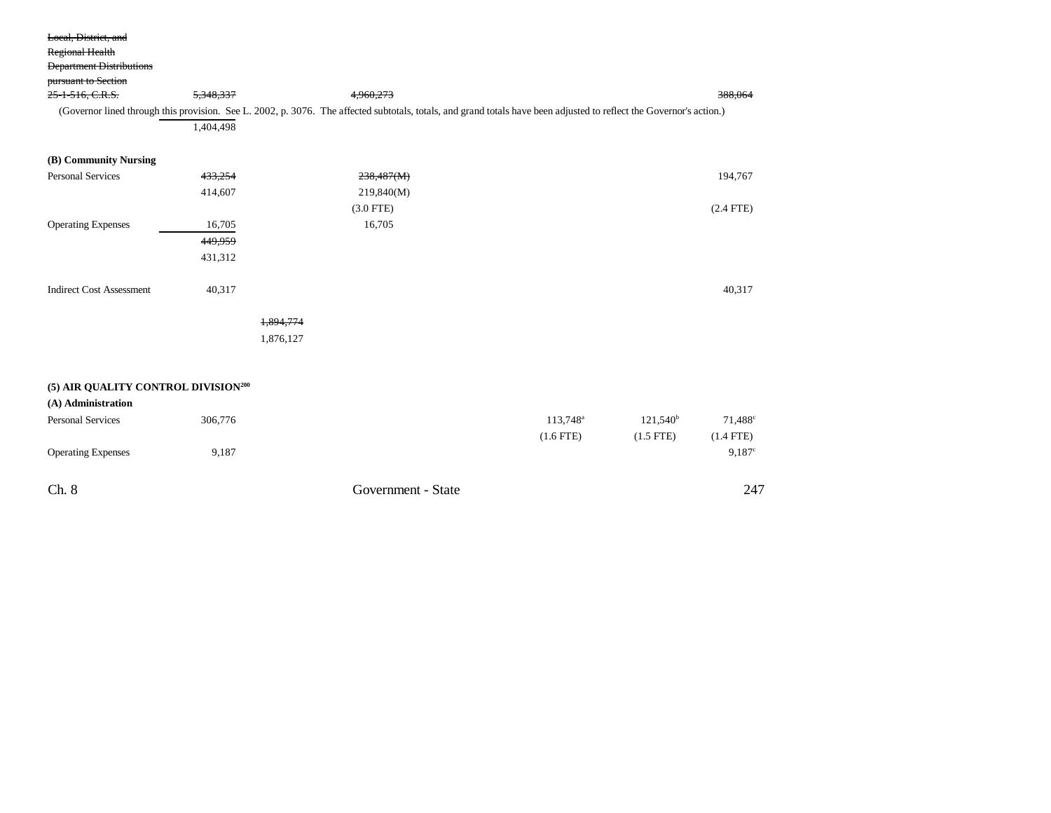| Local, District, and<br><b>Regional Health</b><br><b>Department Distributions</b><br>pursuant to Section<br>25-1-516, C.R.S. | 5,348,337<br>1,404,498 | 4,960,273<br>(Governor lined through this provision. See L. 2002, p. 3076. The affected subtotals, totals, and grand totals have been adjusted to reflect the Governor's action.) | 388,064     |
|------------------------------------------------------------------------------------------------------------------------------|------------------------|-----------------------------------------------------------------------------------------------------------------------------------------------------------------------------------|-------------|
| (B) Community Nursing                                                                                                        |                        |                                                                                                                                                                                   |             |
| <b>Personal Services</b>                                                                                                     | 433,254                | 238,487(M)                                                                                                                                                                        | 194,767     |
|                                                                                                                              | 414,607                | 219,840(M)                                                                                                                                                                        |             |
|                                                                                                                              |                        | $(3.0$ FTE)                                                                                                                                                                       | $(2.4$ FTE) |
| <b>Operating Expenses</b>                                                                                                    | 16,705                 | 16,705                                                                                                                                                                            |             |
|                                                                                                                              | 449,959                |                                                                                                                                                                                   |             |
|                                                                                                                              | 431,312                |                                                                                                                                                                                   |             |
|                                                                                                                              |                        |                                                                                                                                                                                   |             |
| <b>Indirect Cost Assessment</b>                                                                                              | 40,317                 |                                                                                                                                                                                   | 40,317      |
|                                                                                                                              |                        |                                                                                                                                                                                   |             |
|                                                                                                                              |                        | 1,894,774                                                                                                                                                                         |             |
|                                                                                                                              |                        | 1,876,127                                                                                                                                                                         |             |
|                                                                                                                              |                        |                                                                                                                                                                                   |             |
|                                                                                                                              |                        |                                                                                                                                                                                   |             |

### **(5) AIR QUALITY CONTROL DIVISION200**

| (A) Administration        |         |                    |                      |                |                  |
|---------------------------|---------|--------------------|----------------------|----------------|------------------|
| <b>Personal Services</b>  | 306,776 |                    | 113,748 <sup>a</sup> | $121,540^b$    | $71,488^{\circ}$ |
|                           |         |                    | $(1.6$ FTE)          | $(1.5$ FTE $)$ | $(1.4$ FTE)      |
| <b>Operating Expenses</b> | 9,187   |                    |                      |                | 9.187c           |
| Ch. 8                     |         | Government - State |                      |                | 247              |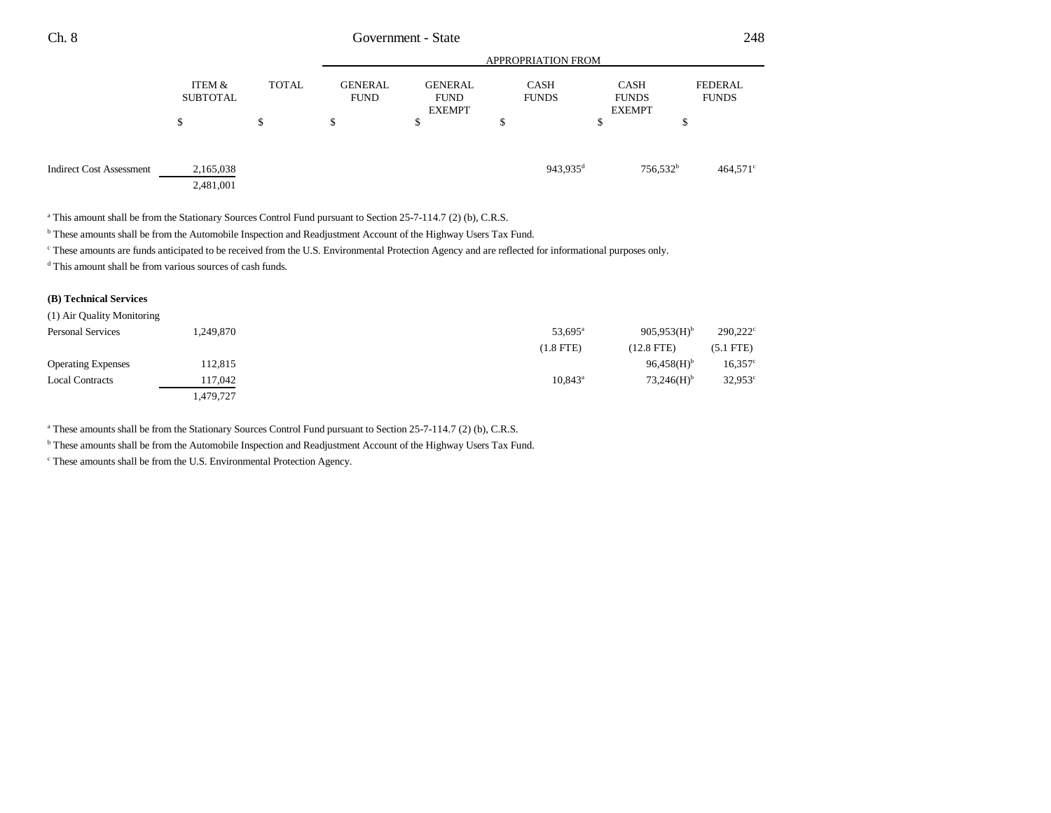| Ch. 8 | 248<br><b>State</b><br>dovernment - |
|-------|-------------------------------------|
|-------|-------------------------------------|

|                                 | <b>APPROPRIATION FROM</b> |              |                               |                                                |                             |                                              |                         |
|---------------------------------|---------------------------|--------------|-------------------------------|------------------------------------------------|-----------------------------|----------------------------------------------|-------------------------|
|                                 | ITEM &<br><b>SUBTOTAL</b> | <b>TOTAL</b> | <b>GENERAL</b><br><b>FUND</b> | <b>GENERAL</b><br><b>FUND</b><br><b>EXEMPT</b> | <b>CASH</b><br><b>FUNDS</b> | <b>CASH</b><br><b>FUNDS</b><br><b>EXEMPT</b> | FEDERAL<br><b>FUNDS</b> |
|                                 | \$                        | \$           | \$                            | \$                                             | ¢<br>D                      | P                                            | \$                      |
| <b>Indirect Cost Assessment</b> | 2,165,038<br>2,481,001    |              |                               |                                                | 943,935 <sup>d</sup>        | 756,532 <sup>b</sup>                         | $464,571$ °             |

<sup>a</sup> This amount shall be from the Stationary Sources Control Fund pursuant to Section 25-7-114.7 (2) (b), C.R.S.

b These amounts shall be from the Automobile Inspection and Readjustment Account of the Highway Users Tax Fund.

<sup>c</sup> These amounts are funds anticipated to be received from the U.S. Environmental Protection Agency and are reflected for informational purposes only.

d This amount shall be from various sources of cash funds.

### **(B) Technical Services**

| (1) Air Quality Monitoring |           |                                               |                     |
|----------------------------|-----------|-----------------------------------------------|---------------------|
| <b>Personal Services</b>   | 1,249,870 | $905.953(H)$ <sup>b</sup><br>$53,695^{\circ}$ | $290,222^{\circ}$   |
|                            |           | $(1.8$ FTE)<br>(12.8 FTE)                     | $(5.1$ FTE)         |
| <b>Operating Expenses</b>  | 112,815   | $96,458(H)$ <sup>b</sup>                      | $16,357^{\circ}$    |
| <b>Local Contracts</b>     | 17,042    | $73.246(H)$ <sup>b</sup><br>$10,843^{\circ}$  | 32,953 <sup>c</sup> |
|                            | 1,479,727 |                                               |                     |

<sup>a</sup> These amounts shall be from the Stationary Sources Control Fund pursuant to Section 25-7-114.7 (2) (b), C.R.S.

b These amounts shall be from the Automobile Inspection and Readjustment Account of the Highway Users Tax Fund.

c These amounts shall be from the U.S. Environmental Protection Agency.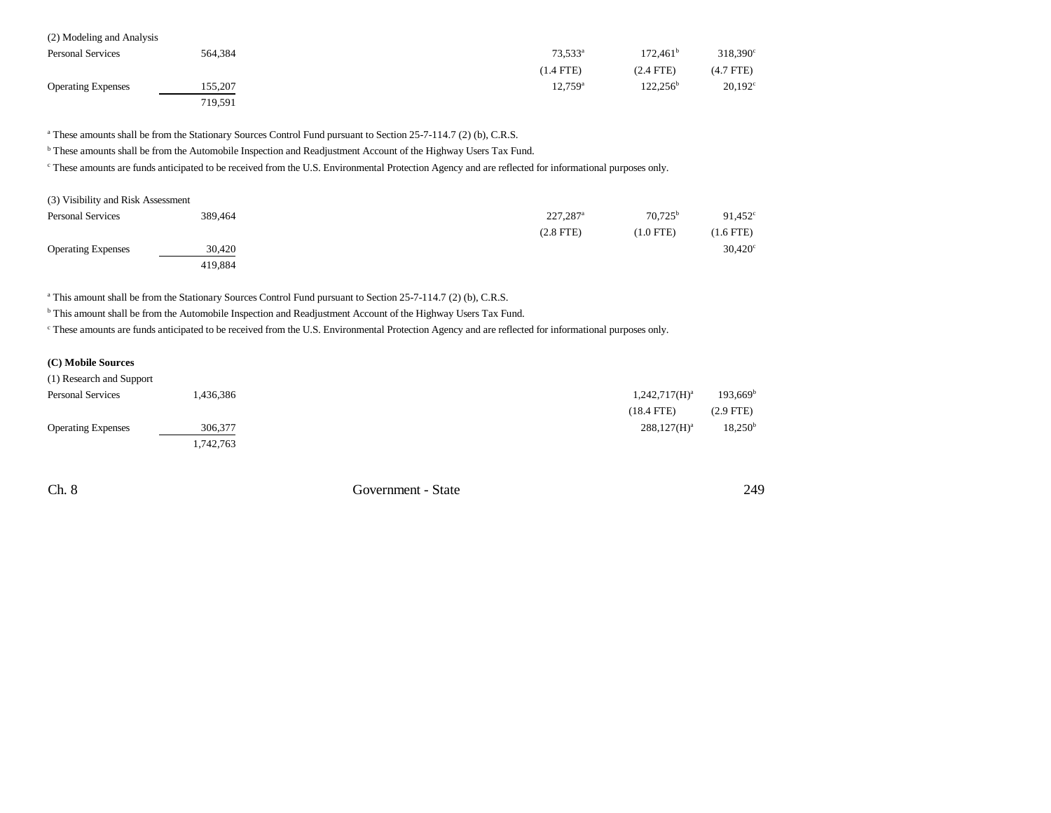| (2) Modeling and Analysis |         |                     |                      |                   |
|---------------------------|---------|---------------------|----------------------|-------------------|
| <b>Personal Services</b>  | 564.384 | $73.533^a$          | 172.461 <sup>b</sup> | $318,390^{\circ}$ |
|                           |         | $(1.4$ FTE)         | $(2.4$ FTE)          | $(4.7$ FTE)       |
| <b>Operating Expenses</b> | 155,207 | 12.759 <sup>a</sup> | $122.256^{\rm b}$    | $20,192^{\circ}$  |
|                           | 719,591 |                     |                      |                   |

<sup>a</sup> These amounts shall be from the Stationary Sources Control Fund pursuant to Section 25-7-114.7 (2) (b), C.R.S.

b These amounts shall be from the Automobile Inspection and Readjustment Account of the Highway Users Tax Fund.

<sup>c</sup> These amounts are funds anticipated to be received from the U.S. Environmental Protection Agency and are reflected for informational purposes only.

| (3) Visibility and Risk Assessment |         |                        |                  |             |
|------------------------------------|---------|------------------------|------------------|-------------|
| <b>Personal Services</b>           | 389.464 | $227.287$ <sup>a</sup> | $70.725^{\rm b}$ | 91,452      |
|                                    |         | $(2.8$ FTE $)$         | (1.0 FTE)        | $(1.6$ FTE) |
| <b>Operating Expenses</b>          | 30,420  |                        |                  | 30,420      |
|                                    | 419.884 |                        |                  |             |

<sup>a</sup> This amount shall be from the Stationary Sources Control Fund pursuant to Section 25-7-114.7 (2) (b), C.R.S.

b This amount shall be from the Automobile Inspection and Readjustment Account of the Highway Users Tax Fund.

c These amounts are funds anticipated to be received from the U.S. Environmental Protection Agency and are reflected for informational purposes only.

### **(C) Mobile Sources**

| (1) Research and Support  |           |                  |                   |
|---------------------------|-----------|------------------|-------------------|
| <b>Personal Services</b>  | 436,386.  | $1,242,717(H)^a$ | $193,669^{\rm b}$ |
|                           |           | $(18.4$ FTE)     | $(2.9$ FTE)       |
| <b>Operating Expenses</b> | 306,377   | $288,127(H)^a$   | $18,250^{\rm b}$  |
|                           | 1,742,763 |                  |                   |

Ch. 8 Government - State 249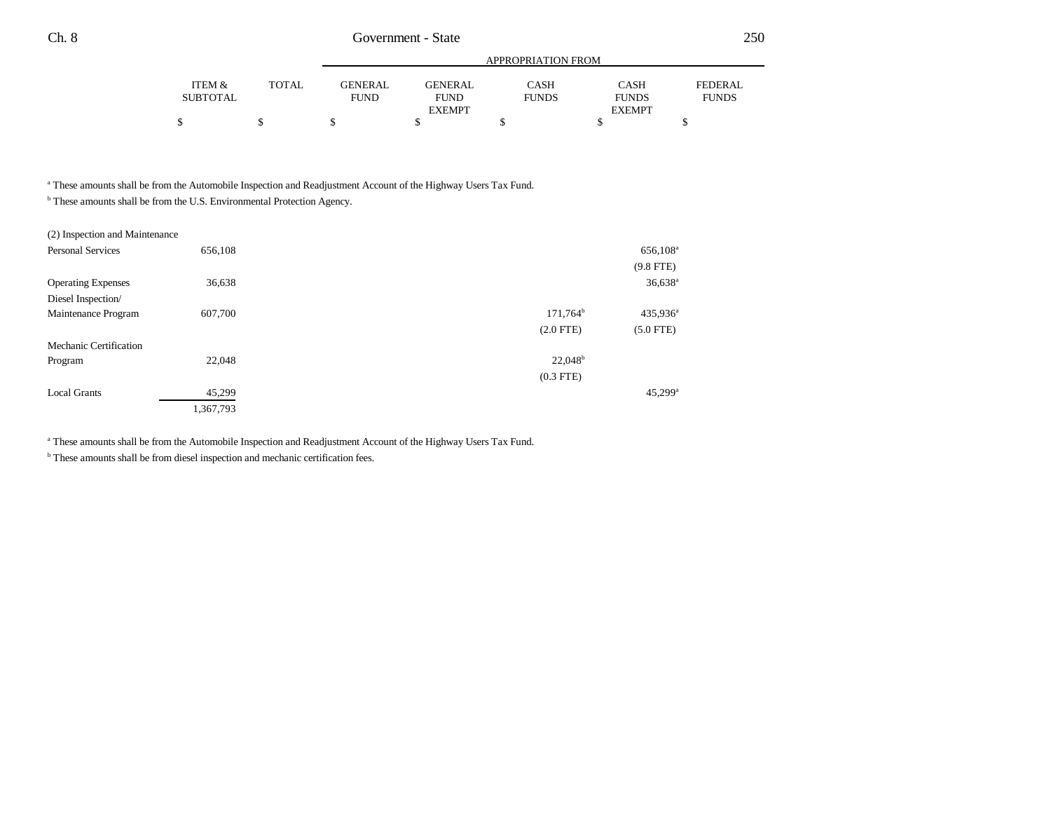|          |              |             |               | APPROPRIATION FROM |               |              |
|----------|--------------|-------------|---------------|--------------------|---------------|--------------|
| ITEM &   | <b>TOTAL</b> | GENERAL     | GENERAL       | CASH               | <b>CASH</b>   | FEDERAL      |
| SUBTOTAL |              | <b>FUND</b> | <b>FUND</b>   | <b>FUNDS</b>       | <b>FUNDS</b>  | <b>FUNDS</b> |
|          |              |             | <b>EXEMPT</b> |                    | <b>EXEMPT</b> |              |
|          |              |             |               |                    |               |              |

a These amounts shall be from the Automobile Inspection and Readjustment Account of the Highway Users Tax Fund.

<sup>b</sup> These amounts shall be from the U.S. Environmental Protection Agency.

| (2) Inspection and Maintenance |           |                     |                       |
|--------------------------------|-----------|---------------------|-----------------------|
| <b>Personal Services</b>       | 656,108   |                     | 656,108 <sup>a</sup>  |
|                                |           |                     | $(9.8$ FTE)           |
| <b>Operating Expenses</b>      | 36,638    |                     | $36,638$ <sup>a</sup> |
| Diesel Inspection/             |           |                     |                       |
| Maintenance Program            | 607,700   | $171,764^b$         | $435,936^{\circ}$     |
|                                |           | $(2.0$ FTE)         | $(5.0$ FTE)           |
| Mechanic Certification         |           |                     |                       |
| Program                        | 22,048    | 22.048 <sup>b</sup> |                       |
|                                |           | $(0.3$ FTE)         |                       |
| <b>Local Grants</b>            | 45,299    |                     | $45,299$ <sup>a</sup> |
|                                | 1,367,793 |                     |                       |

<sup>a</sup> These amounts shall be from the Automobile Inspection and Readjustment Account of the Highway Users Tax Fund.

<sup>b</sup> These amounts shall be from diesel inspection and mechanic certification fees.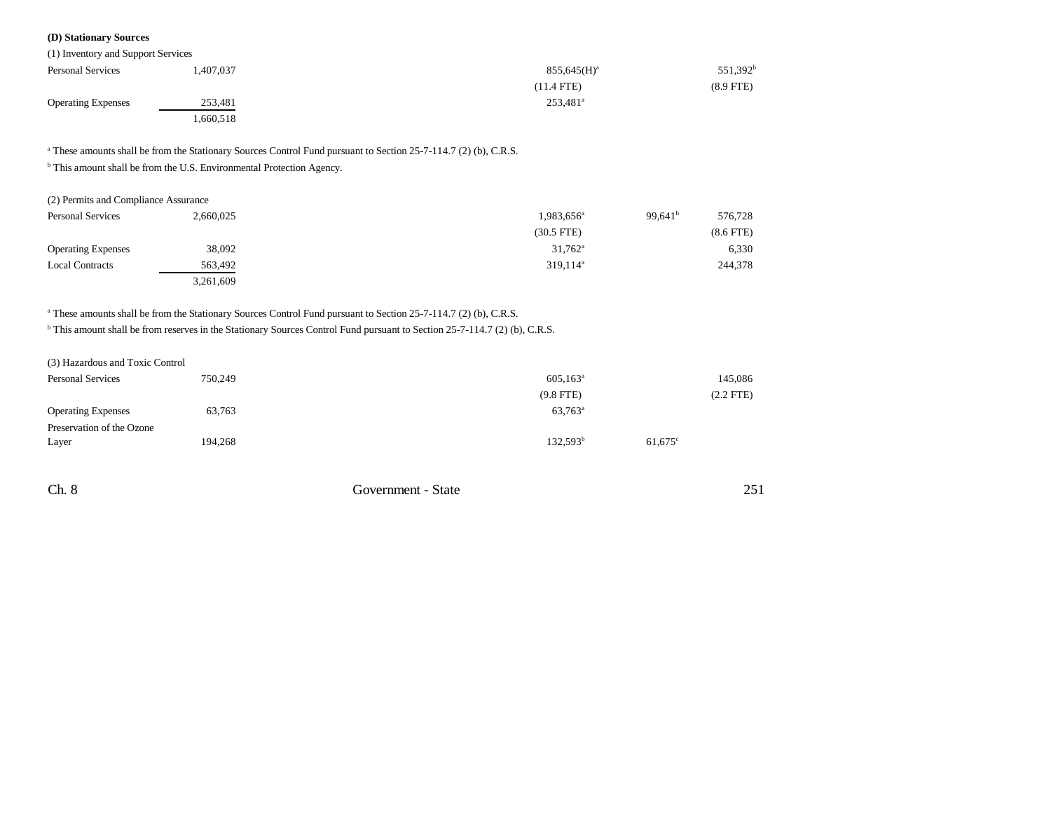### **(D) Stationary Sources**

| (1) Inventory and Support Services |           |                      |             |
|------------------------------------|-----------|----------------------|-------------|
| <b>Personal Services</b>           | 1,407,037 | $855,645(H)^a$       | $551,392^b$ |
|                                    |           | $(11.4$ FTE)         | $(8.9$ FTE) |
| <b>Operating Expenses</b>          | 253,481   | 253,481 <sup>a</sup> |             |
|                                    | 1,660,518 |                      |             |

<sup>a</sup> These amounts shall be from the Stationary Sources Control Fund pursuant to Section 25-7-114.7 (2) (b), C.R.S.

<sup>b</sup> This amount shall be from the U.S. Environmental Protection Agency.

| (2) Permits and Compliance Assurance |           |                        |                     |                |
|--------------------------------------|-----------|------------------------|---------------------|----------------|
| <b>Personal Services</b>             | 2,660,025 | 1,983,656 <sup>a</sup> | 99.641 <sup>b</sup> | 576,728        |
|                                      |           | $(30.5$ FTE)           |                     | $(8.6$ FTE $)$ |
| <b>Operating Expenses</b>            | 38,092    | $31,762^{\rm a}$       |                     | 6,330          |
| <b>Local Contracts</b>               | 563,492   | $319,114^a$            |                     | 244,378        |
|                                      | 3,261,609 |                        |                     |                |

### <sup>a</sup> These amounts shall be from the Stationary Sources Control Fund pursuant to Section 25-7-114.7 (2) (b), C.R.S.

<sup>b</sup> This amount shall be from reserves in the Stationary Sources Control Fund pursuant to Section 25-7-114.7 (2) (b), C.R.S.

| (3) Hazardous and Toxic Control |         |                    |                  |
|---------------------------------|---------|--------------------|------------------|
| <b>Personal Services</b>        | 750,249 | $605, 163^{\circ}$ | 145,086          |
|                                 |         | $(9.8$ FTE)        | (2.2 FTE)        |
| <b>Operating Expenses</b>       | 63,763  | $63,763^{\circ}$   |                  |
| Preservation of the Ozone       |         |                    |                  |
| Layer                           | 194,268 | $132,593^b$        | $61,675^{\circ}$ |
|                                 |         |                    |                  |

Ch. 8 Government - State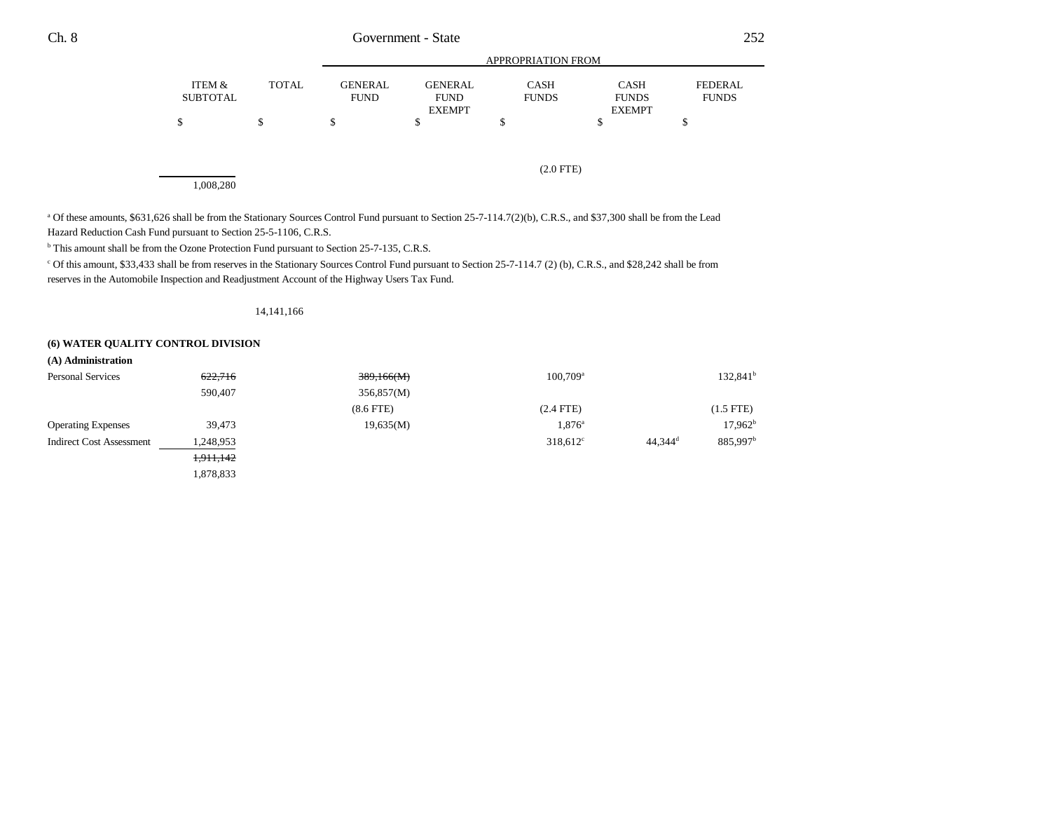|                 |              |                |                | APPROPRIATION FROM |               |                |
|-----------------|--------------|----------------|----------------|--------------------|---------------|----------------|
| ITEM &          | <b>TOTAL</b> | <b>GENERAL</b> | <b>GENERAL</b> | CASH               | <b>CASH</b>   | <b>FEDERAL</b> |
| <b>SUBTOTAL</b> |              | <b>FUND</b>    | <b>FUND</b>    | <b>FUNDS</b>       | <b>FUNDS</b>  | <b>FUNDS</b>   |
|                 |              |                | <b>EXEMPT</b>  |                    | <b>EXEMPT</b> |                |
|                 | S            |                |                |                    |               |                |
|                 |              |                |                |                    |               |                |

(2.0 FTE)

1,008,280

<sup>a</sup> Of these amounts, \$631,626 shall be from the Stationary Sources Control Fund pursuant to Section 25-7-114.7(2)(b), C.R.S., and \$37,300 shall be from the Lead Hazard Reduction Cash Fund pursuant to Section 25-5-1106, C.R.S.

b This amount shall be from the Ozone Protection Fund pursuant to Section 25-7-135, C.R.S.

c Of this amount, \$33,433 shall be from reserves in the Stationary Sources Control Fund pursuant to Section 25-7-114.7 (2) (b), C.R.S., and \$28,242 shall be from reserves in the Automobile Inspection and Readjustment Account of the Highway Users Tax Fund.

#### 14,141,166

#### **(6) WATER QUALITY CONTROL DIVISION**

| (A) Administration              |           |             |                   |                       |                      |
|---------------------------------|-----------|-------------|-------------------|-----------------------|----------------------|
| <b>Personal Services</b>        | 622,716   | 389,166(M)  | $100,709^a$       |                       | $132,841^b$          |
|                                 | 590,407   | 356,857(M)  |                   |                       |                      |
|                                 |           | $(8.6$ FTE) | $(2.4$ FTE)       |                       | $(1.5$ FTE)          |
| <b>Operating Expenses</b>       | 39,473    | 19,635(M)   | $1,876^{\circ}$   |                       | 17,962 <sup>b</sup>  |
| <b>Indirect Cost Assessment</b> | 1,248,953 |             | $318,612^{\circ}$ | $44,344$ <sup>d</sup> | 885,997 <sup>b</sup> |
|                                 | 1,911,142 |             |                   |                       |                      |
|                                 | 1,878,833 |             |                   |                       |                      |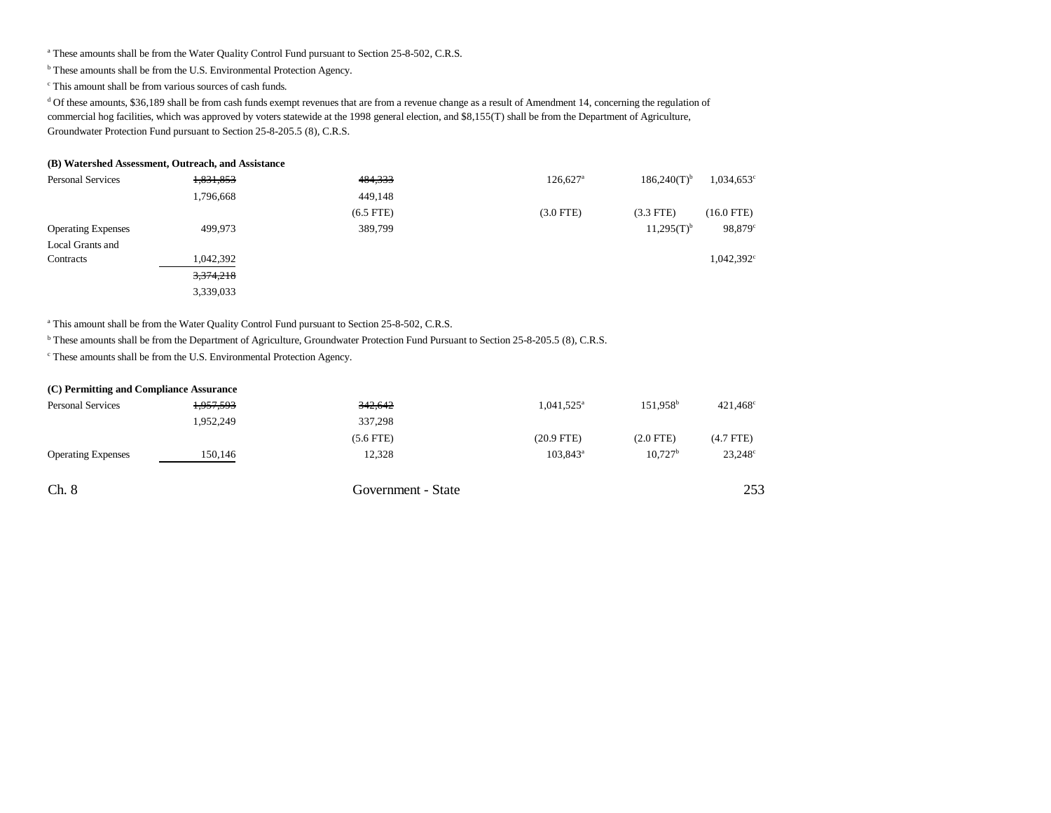<sup>a</sup> These amounts shall be from the Water Quality Control Fund pursuant to Section 25-8-502, C.R.S.

b These amounts shall be from the U.S. Environmental Protection Agency.

c This amount shall be from various sources of cash funds.

<sup>d</sup> Of these amounts, \$36,189 shall be from cash funds exempt revenues that are from a revenue change as a result of Amendment 14, concerning the regulation of commercial hog facilities, which was approved by voters statewide at the 1998 general election, and \$8,155(T) shall be from the Department of Agriculture, Groundwater Protection Fund pursuant to Section 25-8-205.5 (8), C.R.S.

#### **(B) Watershed Assessment, Outreach, and Assistance**

| <b>Personal Services</b>  | 1,831,853 | 484,333        | $126,627$ <sup>a</sup> | $186,240(T)$ <sup>b</sup><br>$1,034,653^{\circ}$ |
|---------------------------|-----------|----------------|------------------------|--------------------------------------------------|
|                           | 1,796,668 | 449.148        |                        |                                                  |
|                           |           | $(6.5$ FTE $)$ | $(3.0$ FTE)            | $(16.0$ FTE)<br>$(3.3$ FTE)                      |
| <b>Operating Expenses</b> | 499,973   | 389,799        |                        | $11,295(T)$ <sup>b</sup><br>98,879°              |
| Local Grants and          |           |                |                        |                                                  |
| Contracts                 | 1,042,392 |                |                        | $1,042,392^{\circ}$                              |
|                           | 3,374,218 |                |                        |                                                  |
|                           | 3,339,033 |                |                        |                                                  |

<sup>a</sup> This amount shall be from the Water Quality Control Fund pursuant to Section 25-8-502, C.R.S.

b These amounts shall be from the Department of Agriculture, Groundwater Protection Fund Pursuant to Section 25-8-205.5 (8), C.R.S.

c These amounts shall be from the U.S. Environmental Protection Agency.

| (C) Permitting and Compliance Assurance |           |                    |                     |                      |                   |
|-----------------------------------------|-----------|--------------------|---------------------|----------------------|-------------------|
| <b>Personal Services</b>                | 1,957,593 | 342,642            | $1,041,525^{\circ}$ | 151.958 <sup>b</sup> | $421,468^{\circ}$ |
|                                         | 1,952,249 | 337,298            |                     |                      |                   |
|                                         |           | $(5.6$ FTE $)$     | $(20.9$ FTE)        | $(2.0$ FTE)          | $(4.7$ FTE)       |
| <b>Operating Expenses</b>               | 150,146   | 12,328             | $103,843^{\circ}$   | $10.727^{\rm b}$     | $23,248^{\circ}$  |
| Ch. 8                                   |           | Government - State |                     |                      | 253               |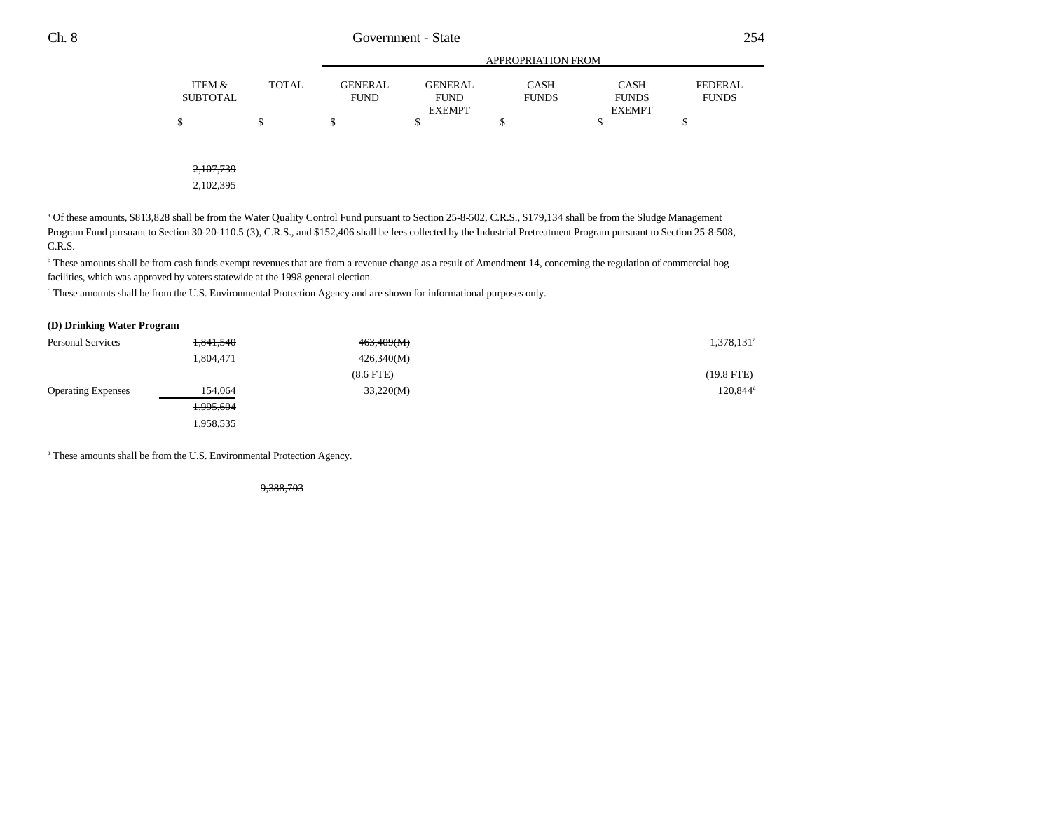|          |       |             |               | APPROPRIATION FROM |               |              |
|----------|-------|-------------|---------------|--------------------|---------------|--------------|
| ITEM &   | TOTAL | GENERAL     | GENERAL       | CASH               | <b>CASH</b>   | FEDERAL      |
| SUBTOTAL |       | <b>FUND</b> | <b>FUND</b>   | <b>FUNDS</b>       | <b>FUNDS</b>  | <b>FUNDS</b> |
|          |       |             | <b>EXEMPT</b> |                    | <b>EXEMPT</b> |              |
| \$       |       |             |               |                    |               |              |

2,107,739

2,102,395

<sup>a</sup> Of these amounts, \$813,828 shall be from the Water Quality Control Fund pursuant to Section 25-8-502, C.R.S., \$179,134 shall be from the Sludge Management Program Fund pursuant to Section 30-20-110.5 (3), C.R.S., and \$152,406 shall be fees collected by the Industrial Pretreatment Program pursuant to Section 25-8-508, C.R.S.

b These amounts shall be from cash funds exempt revenues that are from a revenue change as a result of Amendment 14, concerning the regulation of commercial hog facilities, which was approved by voters statewide at the 1998 general election.

c These amounts shall be from the U.S. Environmental Protection Agency and are shown for informational purposes only.

#### **(D) Drinking Water Program**

| <b>Personal Services</b>  | 1,841,540 | 463,409(M)     | 1,378,131 <sup>a</sup> |
|---------------------------|-----------|----------------|------------------------|
|                           | 1,804,471 | 426,340(M)     |                        |
|                           |           | $(8.6$ FTE $)$ | (19.8 FTE)             |
| <b>Operating Expenses</b> | 154,064   | 33,220(M)      | 120,844 <sup>a</sup>   |
|                           | 1,995,604 |                |                        |
|                           | 1,958,535 |                |                        |

a These amounts shall be from the U.S. Environmental Protection Agency.

9,388,703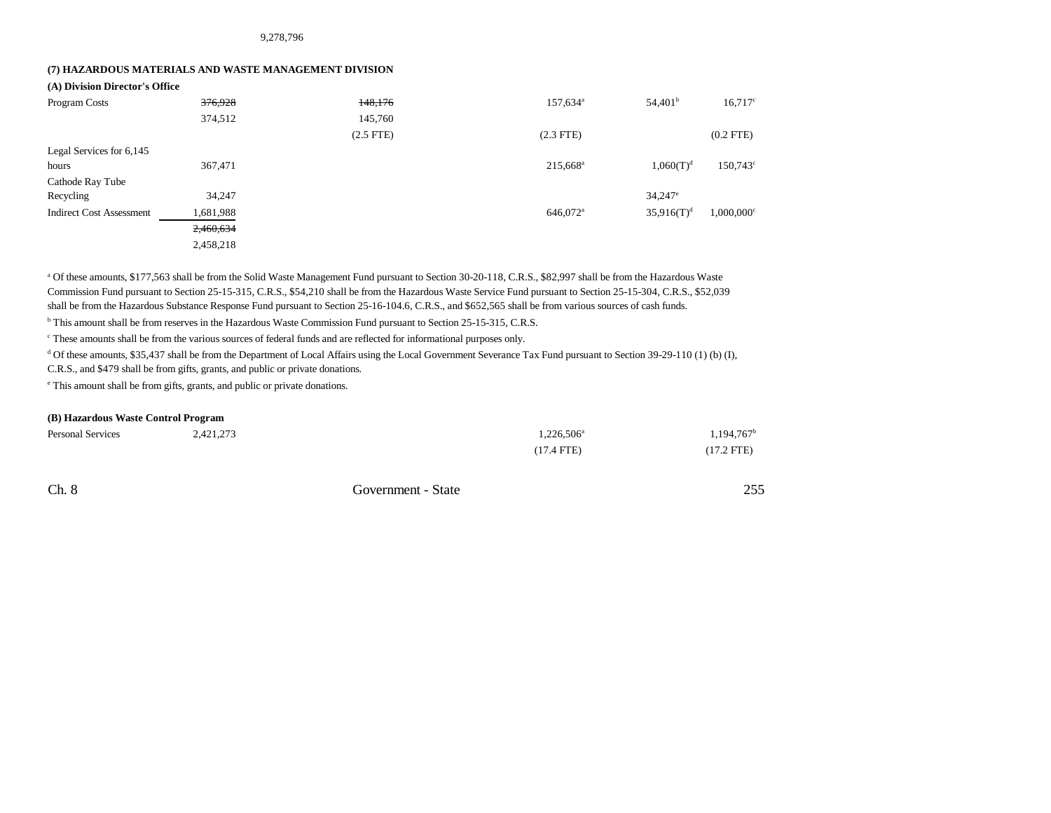9,278,796

### **(7) HAZARDOUS MATERIALS AND WASTE MANAGEMENT DIVISION**

**(A) Division Director's Office**

| Program Costs                   | 376,928   | 148,176     | 157,634 <sup>a</sup> | 54,401 <sup>b</sup>   | $16,717^c$               |
|---------------------------------|-----------|-------------|----------------------|-----------------------|--------------------------|
|                                 | 374,512   | 145,760     |                      |                       |                          |
|                                 |           | $(2.5$ FTE) | $(2.3$ FTE)          |                       | $(0.2$ FTE)              |
| Legal Services for 6,145        |           |             |                      |                       |                          |
| hours                           | 367,471   |             | 215,668 <sup>a</sup> | $1,060(T)^{d}$        | 150,743 <sup>c</sup>     |
| Cathode Ray Tube                |           |             |                      |                       |                          |
| Recycling                       | 34,247    |             |                      | $34,247$ <sup>e</sup> |                          |
| <b>Indirect Cost Assessment</b> | 1,681,988 |             | 646,072 <sup>a</sup> | $35.916(T)^d$         | $1,000,000$ <sup>c</sup> |
|                                 | 2,460,634 |             |                      |                       |                          |
|                                 | 2,458,218 |             |                      |                       |                          |

a Of these amounts, \$177,563 shall be from the Solid Waste Management Fund pursuant to Section 30-20-118, C.R.S., \$82,997 shall be from the Hazardous Waste Commission Fund pursuant to Section 25-15-315, C.R.S., \$54,210 shall be from the Hazardous Waste Service Fund pursuant to Section 25-15-304, C.R.S., \$52,039 shall be from the Hazardous Substance Response Fund pursuant to Section 25-16-104.6, C.R.S., and \$652,565 shall be from various sources of cash funds.

b This amount shall be from reserves in the Hazardous Waste Commission Fund pursuant to Section 25-15-315, C.R.S.

c These amounts shall be from the various sources of federal funds and are reflected for informational purposes only.

<sup>d</sup> Of these amounts, \$35,437 shall be from the Department of Local Affairs using the Local Government Severance Tax Fund pursuant to Section 39-29-110 (1) (b) (I), C.R.S., and \$479 shall be from gifts, grants, and public or private donations.

e This amount shall be from gifts, grants, and public or private donations.

#### **(B) Hazardous Waste Control Program**

| <b>Personal Services</b><br>. | 2,421,273 | 1,226,506 <sup>a</sup> | 1,194,767    |
|-------------------------------|-----------|------------------------|--------------|
|                               |           | $(17.4$ FTE)           | $(17.2$ FTE) |

Ch. 8 Government - State 255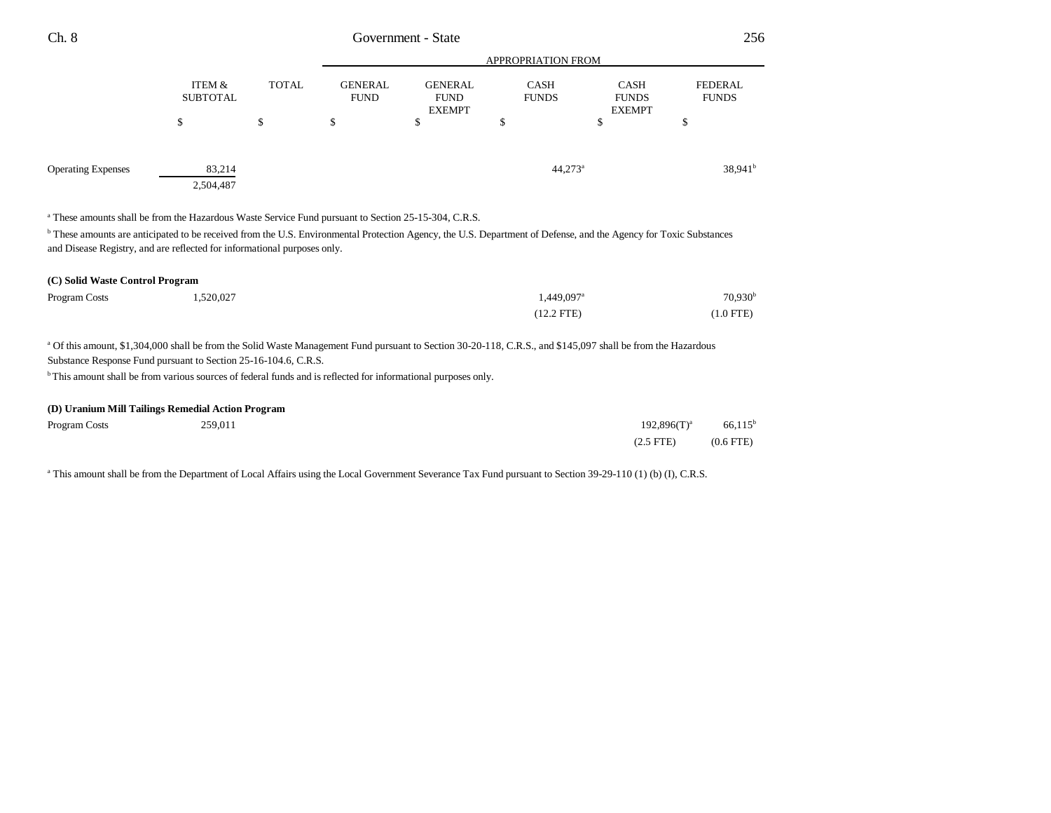| Ch. 8                                                                                                                                                                                                                                                    | Government - State        |              |                               |                                                |                             | 256                                          |                                |
|----------------------------------------------------------------------------------------------------------------------------------------------------------------------------------------------------------------------------------------------------------|---------------------------|--------------|-------------------------------|------------------------------------------------|-----------------------------|----------------------------------------------|--------------------------------|
|                                                                                                                                                                                                                                                          |                           |              | APPROPRIATION FROM            |                                                |                             |                                              |                                |
|                                                                                                                                                                                                                                                          | ITEM &<br><b>SUBTOTAL</b> | <b>TOTAL</b> | <b>GENERAL</b><br><b>FUND</b> | <b>GENERAL</b><br><b>FUND</b><br><b>EXEMPT</b> | <b>CASH</b><br><b>FUNDS</b> | <b>CASH</b><br><b>FUNDS</b><br><b>EXEMPT</b> | <b>FEDERAL</b><br><b>FUNDS</b> |
|                                                                                                                                                                                                                                                          | \$                        | \$           | \$                            | \$                                             | \$                          | \$                                           | \$                             |
| <b>Operating Expenses</b>                                                                                                                                                                                                                                | 83,214<br>2,504,487       |              |                               |                                                | $44,273^a$                  |                                              | 38,941 <sup>b</sup>            |
|                                                                                                                                                                                                                                                          |                           |              |                               |                                                |                             |                                              |                                |
| <sup>a</sup> These amounts shall be from the Hazardous Waste Service Fund pursuant to Section 25-15-304, C.R.S.                                                                                                                                          |                           |              |                               |                                                |                             |                                              |                                |
| <sup>b</sup> These amounts are anticipated to be received from the U.S. Environmental Protection Agency, the U.S. Department of Defense, and the Agency for Toxic Substances<br>and Disease Registry, and are reflected for informational purposes only. |                           |              |                               |                                                |                             |                                              |                                |
| (C) Solid Waste Control Program                                                                                                                                                                                                                          |                           |              |                               |                                                |                             |                                              |                                |
| Program Costs                                                                                                                                                                                                                                            | 1,520,027                 |              |                               |                                                | 1,449,097 <sup>a</sup>      |                                              | 70,930 <sup>b</sup>            |

Of this amount, \$1,304,000 shall be from the Solid Waste Management Fund pursuant to Section 30-20-118, C.R.S., and \$145,097 shall be from the Hazardous Substance Response Fund pursuant to Section 25-16-104.6, C.R.S.

<sup>b</sup> This amount shall be from various sources of federal funds and is reflected for informational purposes only.

### **(D) Uranium Mill Tailings Remedial Action Program**

| Program Costs | 259,011 | $192,896(T)^{a}$ | $66,115$ <sup>t</sup> |
|---------------|---------|------------------|-----------------------|
|               |         | $(2.5$ FTE)      | $(0.6$ FTE)           |

a This amount shall be from the Department of Local Affairs using the Local Government Severance Tax Fund pursuant to Section 39-29-110 (1) (b) (I), C.R.S.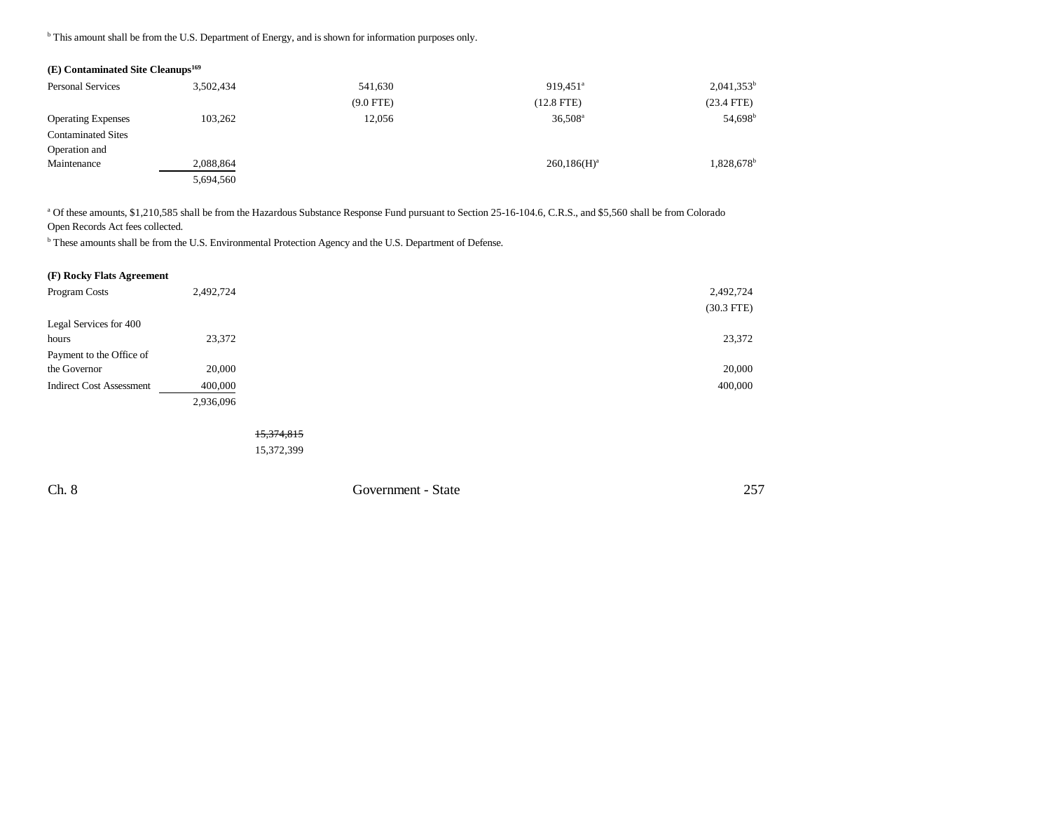<sup>b</sup> This amount shall be from the U.S. Department of Energy, and is shown for information purposes only.

### **(E) Contaminated Site Cleanups169**

| <b>Personal Services</b>  | 3,502,434 | 541,630     | 919,451 <sup>a</sup> | $2,041,353^b$          |
|---------------------------|-----------|-------------|----------------------|------------------------|
|                           |           | $(9.0$ FTE) | $(12.8$ FTE)         | $(23.4$ FTE)           |
| <b>Operating Expenses</b> | 103,262   | 12,056      | $36,508^{\rm a}$     | 54,698 <sup>b</sup>    |
| <b>Contaminated Sites</b> |           |             |                      |                        |
| Operation and             |           |             |                      |                        |
| Maintenance               | 2,088,864 |             | $260,186(H)^a$       | 1,828,678 <sup>b</sup> |
|                           | 5,694,560 |             |                      |                        |

<sup>a</sup> Of these amounts, \$1,210,585 shall be from the Hazardous Substance Response Fund pursuant to Section 25-16-104.6, C.R.S., and \$5,560 shall be from Colorado Open Records Act fees collected.

b These amounts shall be from the U.S. Environmental Protection Agency and the U.S. Department of Defense.

### **(F) Rocky Flats Agreement**

| Program Costs                   | 2,492,724 | 2,492,724    |
|---------------------------------|-----------|--------------|
|                                 |           | $(30.3$ FTE) |
| Legal Services for 400          |           |              |
| hours                           | 23,372    | 23,372       |
| Payment to the Office of        |           |              |
| the Governor                    | 20,000    | 20,000       |
| <b>Indirect Cost Assessment</b> | 400,000   | 400,000      |
|                                 | 2,936,096 |              |

15,374,815 15,372,399

Ch. 8 Government - State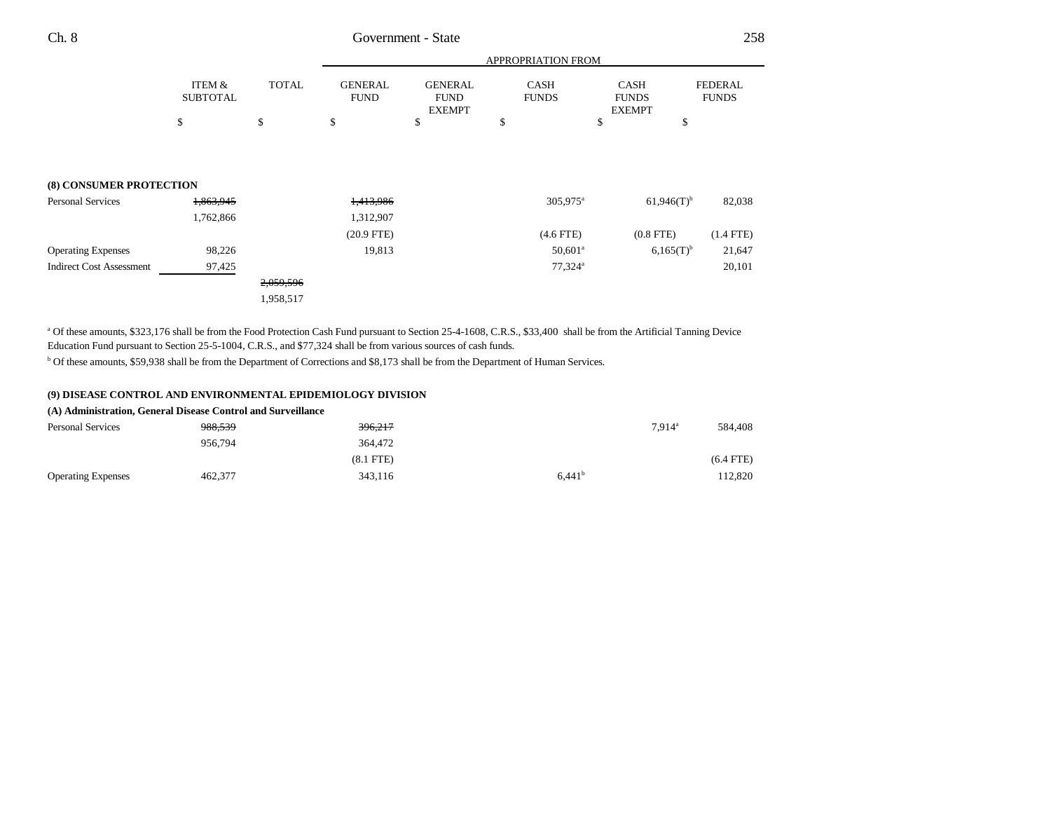|                                 |                           |              | APPROPRIATION FROM            |                                                |                             |                                              |                                |
|---------------------------------|---------------------------|--------------|-------------------------------|------------------------------------------------|-----------------------------|----------------------------------------------|--------------------------------|
|                                 | ITEM &<br><b>SUBTOTAL</b> | <b>TOTAL</b> | <b>GENERAL</b><br><b>FUND</b> | <b>GENERAL</b><br><b>FUND</b><br><b>EXEMPT</b> | <b>CASH</b><br><b>FUNDS</b> | <b>CASH</b><br><b>FUNDS</b><br><b>EXEMPT</b> | <b>FEDERAL</b><br><b>FUNDS</b> |
|                                 | \$                        | \$           | \$                            | \$                                             | \$                          | \$<br>\$                                     |                                |
|                                 |                           |              |                               |                                                |                             |                                              |                                |
| (8) CONSUMER PROTECTION         |                           |              |                               |                                                |                             |                                              |                                |
| <b>Personal Services</b>        | 1,863,945                 |              | <del>1,413,986</del>          |                                                | 305,975 <sup>a</sup>        | $61,946(T)$ <sup>b</sup>                     | 82,038                         |
|                                 | 1,762,866                 |              | 1,312,907                     |                                                |                             |                                              |                                |
|                                 |                           |              | $(20.9$ FTE)                  |                                                | $(4.6$ FTE)                 | $(0.8$ FTE $)$                               | $(1.4$ FTE)                    |
| <b>Operating Expenses</b>       | 98,226                    |              | 19,813                        |                                                | $50,601$ <sup>a</sup>       | $6,165(T)^{b}$                               | 21,647                         |
| <b>Indirect Cost Assessment</b> | 97,425                    |              |                               |                                                | $77,324$ <sup>a</sup>       |                                              | 20,101                         |
|                                 |                           | 2,059,596    |                               |                                                |                             |                                              |                                |
|                                 |                           | 1,958,517    |                               |                                                |                             |                                              |                                |

<sup>a</sup> Of these amounts, \$323,176 shall be from the Food Protection Cash Fund pursuant to Section 25-4-1608, C.R.S., \$33,400 shall be from the Artificial Tanning Device Education Fund pursuant to Section 25-5-1004, C.R.S., and \$77,324 shall be from various sources of cash funds.

b Of these amounts, \$59,938 shall be from the Department of Corrections and \$8,173 shall be from the Department of Human Services.

#### **(9) DISEASE CONTROL AND ENVIRONMENTAL EPIDEMIOLOGY DIVISION**

### **(A) Administration, General Disease Control and Surveillance**

| <b>Personal Services</b>  | 988,539 | 396,217        |                    | $7.914$ <sup>a</sup> | 584.408     |
|---------------------------|---------|----------------|--------------------|----------------------|-------------|
|                           | 956.794 | 364,472        |                    |                      |             |
|                           |         | $(8.1$ FTE $)$ |                    |                      | $(6.4$ FTE) |
| <b>Operating Expenses</b> | 462,377 | 343,116        | 6.441 <sup>b</sup> |                      | 112.820     |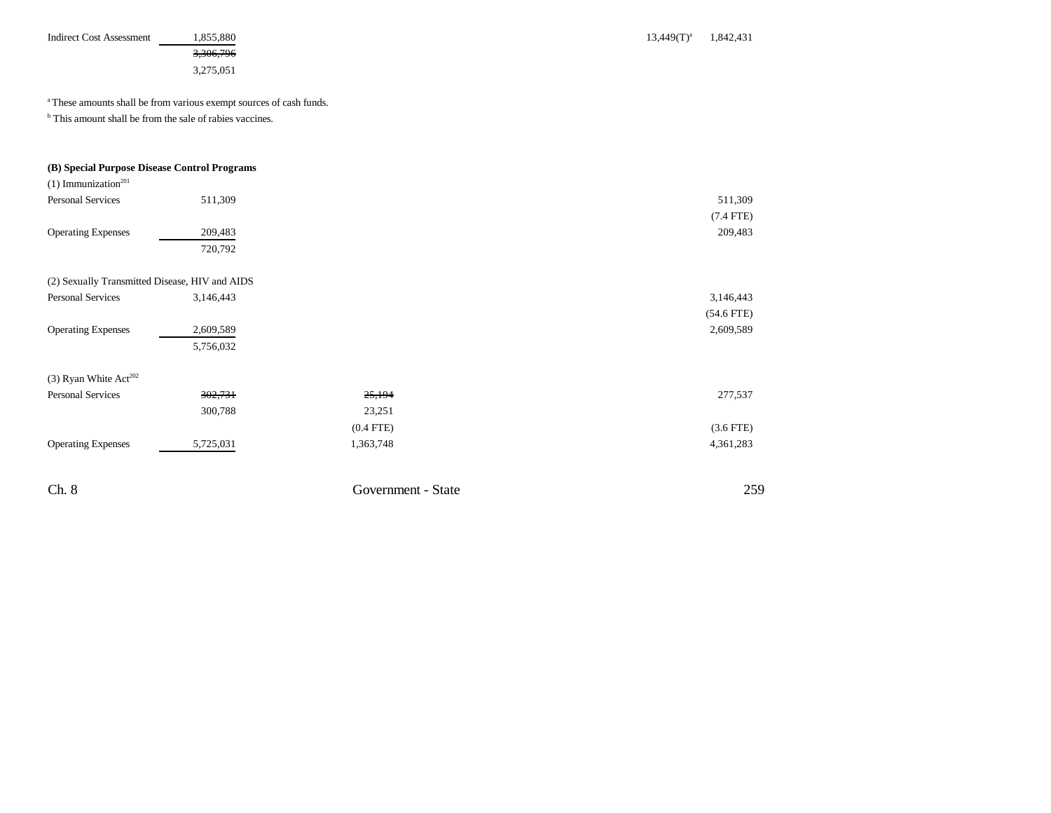| <b>Indirect Cost Assessment</b>                                     | 1,855,880<br>3,306,796<br>3,275,051                                            |                    | $13,449(T)^{a}$ | 1,842,431    |
|---------------------------------------------------------------------|--------------------------------------------------------------------------------|--------------------|-----------------|--------------|
|                                                                     | <sup>a</sup> These amounts shall be from various exempt sources of cash funds. |                    |                 |              |
| <sup>b</sup> This amount shall be from the sale of rabies vaccines. |                                                                                |                    |                 |              |
| (B) Special Purpose Disease Control Programs                        |                                                                                |                    |                 |              |
| $(1)$ Immunization <sup>201</sup>                                   |                                                                                |                    |                 |              |
| <b>Personal Services</b>                                            | 511,309                                                                        |                    |                 | 511,309      |
|                                                                     |                                                                                |                    |                 | $(7.4$ FTE)  |
| <b>Operating Expenses</b>                                           | 209,483                                                                        |                    |                 | 209,483      |
|                                                                     | 720,792                                                                        |                    |                 |              |
| (2) Sexually Transmitted Disease, HIV and AIDS                      |                                                                                |                    |                 |              |
| <b>Personal Services</b>                                            | 3,146,443                                                                      |                    |                 | 3,146,443    |
|                                                                     |                                                                                |                    |                 | $(54.6$ FTE) |
| <b>Operating Expenses</b>                                           | 2,609,589                                                                      |                    |                 | 2,609,589    |
|                                                                     | 5,756,032                                                                      |                    |                 |              |
| (3) Ryan White Act <sup>202</sup>                                   |                                                                                |                    |                 |              |
| <b>Personal Services</b>                                            | 302,731                                                                        | 25,194             |                 | 277,537      |
|                                                                     | 300,788                                                                        | 23,251             |                 |              |
|                                                                     |                                                                                | $(0.4$ FTE)        |                 | $(3.6$ FTE)  |
| <b>Operating Expenses</b>                                           | 5,725,031                                                                      | 1,363,748          |                 | 4,361,283    |
|                                                                     |                                                                                |                    |                 |              |
| Ch. 8                                                               |                                                                                | Government - State |                 | 259          |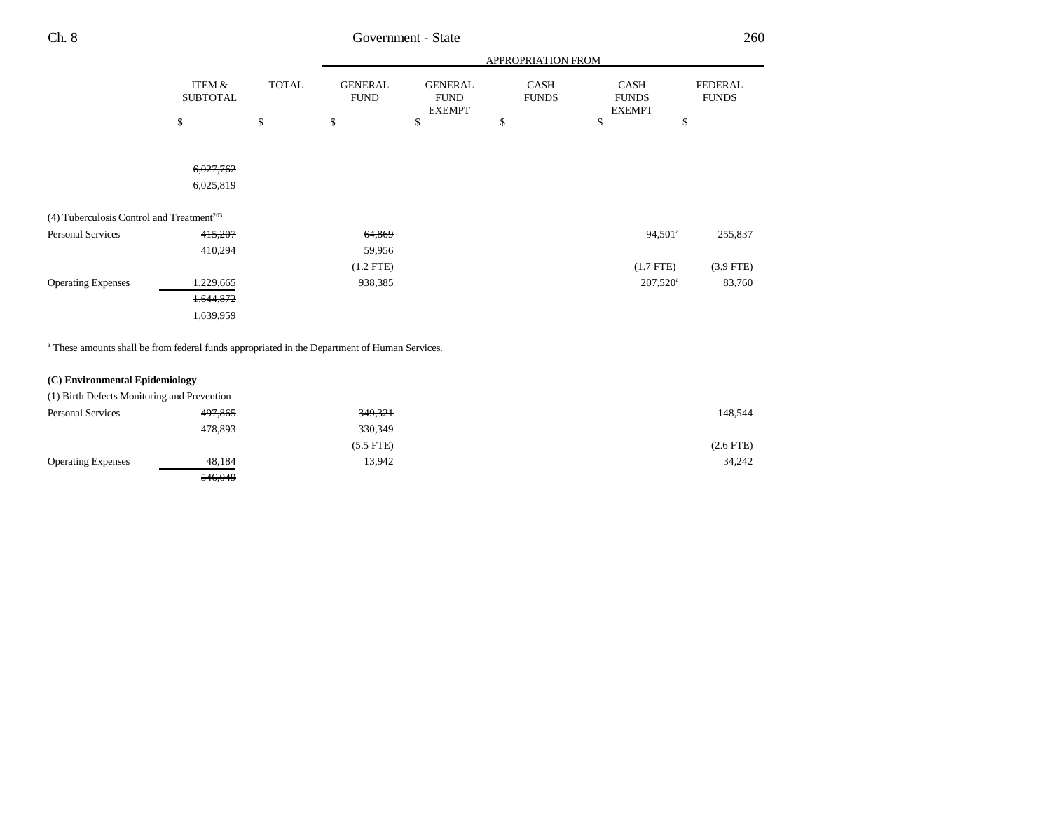|                                                       |                           |              | APPROPRIATION FROM            |                                                |                             |                                       |                                |
|-------------------------------------------------------|---------------------------|--------------|-------------------------------|------------------------------------------------|-----------------------------|---------------------------------------|--------------------------------|
|                                                       | ITEM &<br><b>SUBTOTAL</b> | <b>TOTAL</b> | <b>GENERAL</b><br><b>FUND</b> | <b>GENERAL</b><br><b>FUND</b><br><b>EXEMPT</b> | <b>CASH</b><br><b>FUNDS</b> | CASH<br><b>FUNDS</b><br><b>EXEMPT</b> | <b>FEDERAL</b><br><b>FUNDS</b> |
|                                                       | \$                        | \$           | \$                            | \$                                             | \$                          | \$                                    | \$                             |
|                                                       |                           |              |                               |                                                |                             |                                       |                                |
|                                                       | 6,027,762                 |              |                               |                                                |                             |                                       |                                |
|                                                       | 6,025,819                 |              |                               |                                                |                             |                                       |                                |
| (4) Tuberculosis Control and Treatment <sup>203</sup> |                           |              |                               |                                                |                             |                                       |                                |
| Personal Services                                     | 415,207                   |              | 64,869                        |                                                |                             | 94,501 <sup>a</sup>                   | 255,837                        |
|                                                       | 410,294                   |              | 59,956                        |                                                |                             |                                       |                                |
|                                                       |                           |              | $(1.2$ FTE $)$                |                                                |                             | $(1.7$ FTE $)$                        | $(3.9$ FTE)                    |
| <b>Operating Expenses</b>                             | 1,229,665                 |              | 938,385                       |                                                |                             | $207,520^{\rm a}$                     | 83,760                         |
|                                                       | 1,644,872                 |              |                               |                                                |                             |                                       |                                |
|                                                       | 1,639,959                 |              |                               |                                                |                             |                                       |                                |
|                                                       |                           |              |                               |                                                |                             |                                       |                                |

<sup>a</sup> These amounts shall be from federal funds appropriated in the Department of Human Services.

### **(C) Environmental Epidemiology**

| (1) Birth Defects Monitoring and Prevention |         |             |                |
|---------------------------------------------|---------|-------------|----------------|
| <b>Personal Services</b>                    | 497,865 | 349,321     | 148,544        |
|                                             | 478,893 | 330,349     |                |
|                                             |         | $(5.5$ FTE) | $(2.6$ FTE $)$ |
| <b>Operating Expenses</b>                   | 48.184  | 13.942      | 34,242         |
|                                             | 546,049 |             |                |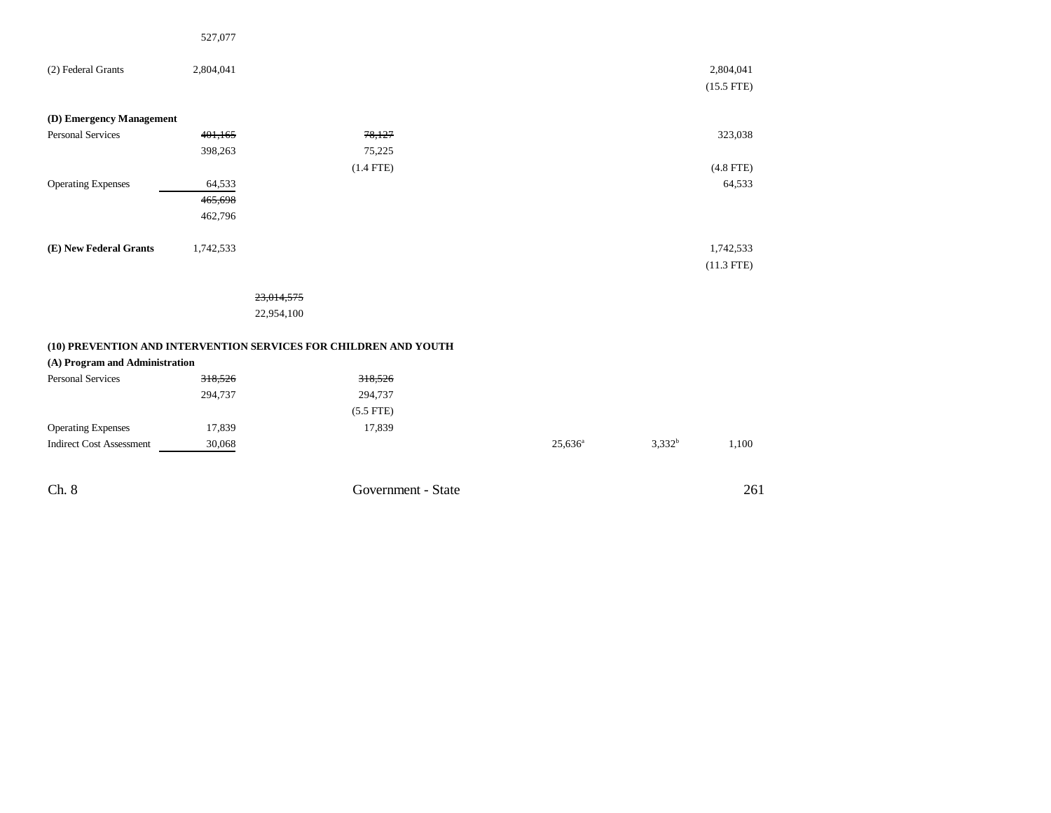|                                 | 527,077   |                                                                  |            |           |                           |
|---------------------------------|-----------|------------------------------------------------------------------|------------|-----------|---------------------------|
| (2) Federal Grants              | 2,804,041 |                                                                  |            |           | 2,804,041<br>$(15.5$ FTE) |
| (D) Emergency Management        |           |                                                                  |            |           |                           |
| Personal Services               | 401,165   | 78,127                                                           |            |           | 323,038                   |
|                                 | 398,263   | 75,225                                                           |            |           |                           |
|                                 |           | $(1.4$ FTE)                                                      |            |           | $(4.8$ FTE)               |
| <b>Operating Expenses</b>       | 64,533    |                                                                  |            |           | 64,533                    |
|                                 | 465,698   |                                                                  |            |           |                           |
|                                 | 462,796   |                                                                  |            |           |                           |
| (E) New Federal Grants          | 1,742,533 |                                                                  |            |           | 1,742,533<br>$(11.3$ FTE) |
|                                 |           | 23,014,575                                                       |            |           |                           |
|                                 |           | 22,954,100                                                       |            |           |                           |
| (A) Program and Administration  |           | (10) PREVENTION AND INTERVENTION SERVICES FOR CHILDREN AND YOUTH |            |           |                           |
| <b>Personal Services</b>        | 318,526   | 318,526                                                          |            |           |                           |
|                                 | 294,737   | 294,737                                                          |            |           |                           |
|                                 |           | $(5.5$ FTE)                                                      |            |           |                           |
| <b>Operating Expenses</b>       | 17,839    | 17,839                                                           |            |           |                           |
| <b>Indirect Cost Assessment</b> | 30,068    |                                                                  | $25,636^a$ | $3,332^b$ | 1,100                     |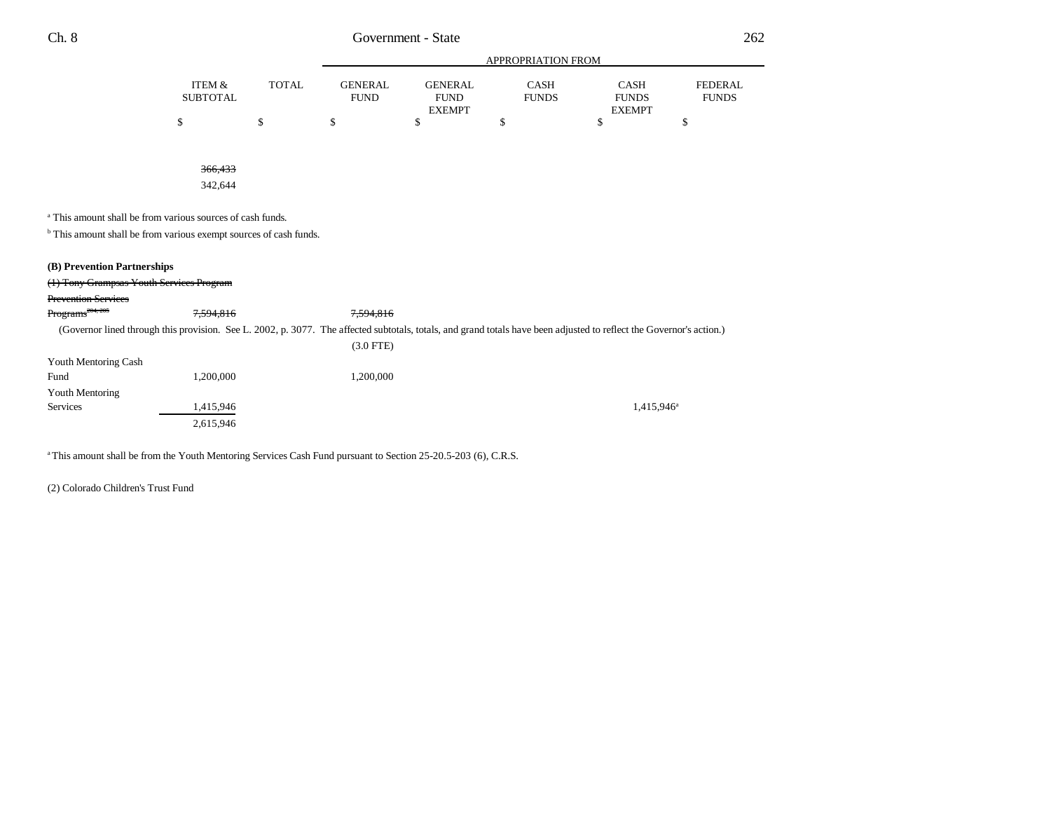|          |       |             |                | APPROPRIATION FROM |               |              |
|----------|-------|-------------|----------------|--------------------|---------------|--------------|
| ITEM &   | TOTAL | GENERAL     | <b>GENERAL</b> | CASH               | <b>CASH</b>   | FEDERAL.     |
| SUBTOTAL |       | <b>FUND</b> | <b>FUND</b>    | <b>FUNDS</b>       | <b>FUNDS</b>  | <b>FUNDS</b> |
|          |       |             | <b>EXEMPT</b>  |                    | <b>EXEMPT</b> |              |
|          |       |             |                |                    |               |              |

366,433

342,644

a This amount shall be from various sources of cash funds.

 $^{\rm b}$  This amount shall be from various exempt sources of cash funds.

### **(B) Prevention Partnerships**

| (1) Tony Grampsas Youth Services Program |           |                                                                                                                                                                      |               |
|------------------------------------------|-----------|----------------------------------------------------------------------------------------------------------------------------------------------------------------------|---------------|
| <b>Prevention Services</b>               |           |                                                                                                                                                                      |               |
| Programs <sup>204, 205</sup>             | 7.594.816 | 7.594.816                                                                                                                                                            |               |
|                                          |           | (Governor lined through this provision. See L. 2002, p. 3077. The affected subtotals, totals, and grand totals have been adjusted to reflect the Governor's action.) |               |
|                                          |           | $(3.0$ FTE)                                                                                                                                                          |               |
| Youth Mentoring Cash                     |           |                                                                                                                                                                      |               |
| Fund                                     | 1.200.000 | 1.200.000                                                                                                                                                            |               |
| Youth Mentoring                          |           |                                                                                                                                                                      |               |
| Services                                 | 1,415,946 |                                                                                                                                                                      | $1.415.946^a$ |
|                                          | 2,615,946 |                                                                                                                                                                      |               |

<sup>a</sup> This amount shall be from the Youth Mentoring Services Cash Fund pursuant to Section 25-20.5-203 (6), C.R.S.

(2) Colorado Children's Trust Fund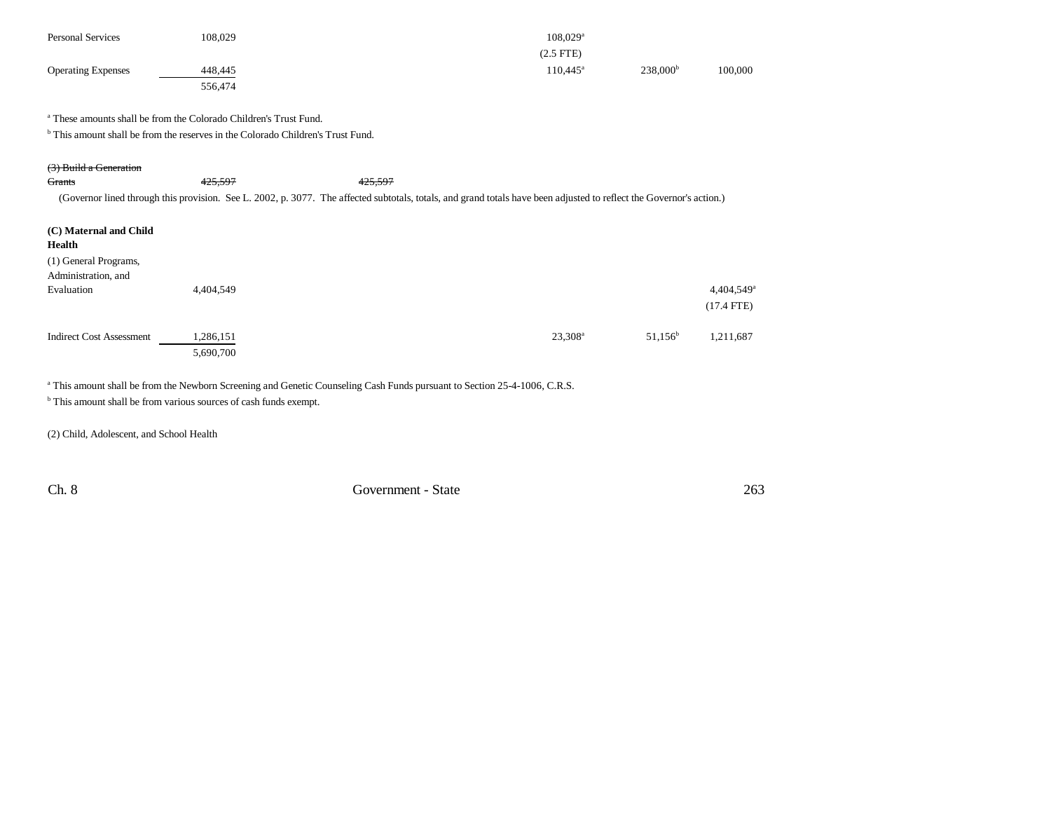| <b>Personal Services</b>  | 108,029 | $108.029$ <sup>a</sup> |                      |         |
|---------------------------|---------|------------------------|----------------------|---------|
|                           |         | $(2.5$ FTE)            |                      |         |
| <b>Operating Expenses</b> | 448.445 | $110.445^{\circ}$      | 238,000 <sup>b</sup> | 100,000 |
|                           | 556,474 |                        |                      |         |

a These amounts shall be from the Colorado Children's Trust Fund.

<sup>b</sup> This amount shall be from the reserves in the Colorado Children's Trust Fund.

|  | $(2)$ Duild a Consuming |
|--|-------------------------|
|  | (3) Dung a Generation   |

| Grants                                       | 425,597                | 425,597                                                                                                                                                              |                  |                  |                        |
|----------------------------------------------|------------------------|----------------------------------------------------------------------------------------------------------------------------------------------------------------------|------------------|------------------|------------------------|
|                                              |                        | (Governor lined through this provision. See L. 2002, p. 3077. The affected subtotals, totals, and grand totals have been adjusted to reflect the Governor's action.) |                  |                  |                        |
| (C) Maternal and Child<br>Health             |                        |                                                                                                                                                                      |                  |                  |                        |
| (1) General Programs,<br>Administration, and |                        |                                                                                                                                                                      |                  |                  |                        |
| Evaluation                                   | 4.404.549              |                                                                                                                                                                      |                  |                  | 4,404,549 <sup>a</sup> |
|                                              |                        |                                                                                                                                                                      |                  |                  | $(17.4$ FTE)           |
| <b>Indirect Cost Assessment</b>              | 1,286,151<br>5,690,700 |                                                                                                                                                                      | $23,308^{\rm a}$ | $51,156^{\rm b}$ | 1.211.687              |

<sup>a</sup> This amount shall be from the Newborn Screening and Genetic Counseling Cash Funds pursuant to Section 25-4-1006, C.R.S.

b This amount shall be from various sources of cash funds exempt.

(2) Child, Adolescent, and School Health

Ch. 8 Government - State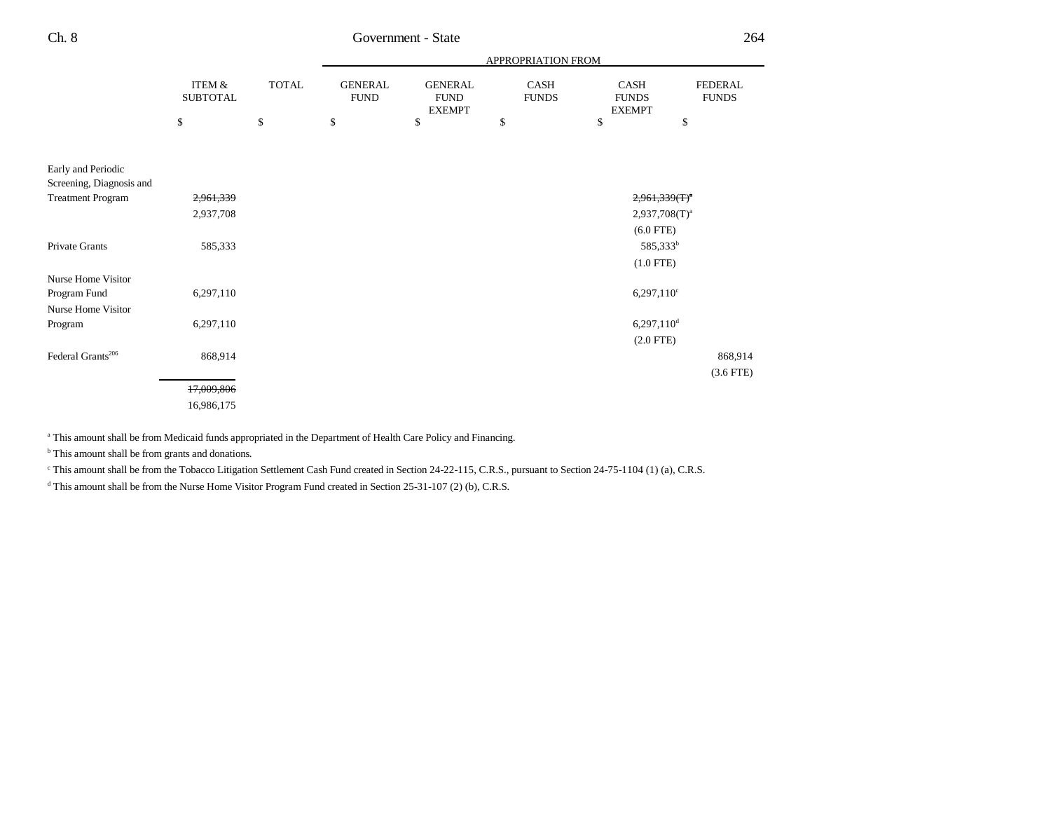|                               |                                      |              |                               |                                                | APPROPRIATION FROM   |                                       |                                |
|-------------------------------|--------------------------------------|--------------|-------------------------------|------------------------------------------------|----------------------|---------------------------------------|--------------------------------|
|                               | <b>ITEM &amp;</b><br><b>SUBTOTAL</b> | <b>TOTAL</b> | <b>GENERAL</b><br><b>FUND</b> | <b>GENERAL</b><br><b>FUND</b><br><b>EXEMPT</b> | CASH<br><b>FUNDS</b> | CASH<br><b>FUNDS</b><br><b>EXEMPT</b> | <b>FEDERAL</b><br><b>FUNDS</b> |
|                               | \$                                   | \$           | \$                            | \$                                             | \$                   | \$                                    | \$                             |
|                               |                                      |              |                               |                                                |                      |                                       |                                |
| Early and Periodic            |                                      |              |                               |                                                |                      |                                       |                                |
| Screening, Diagnosis and      |                                      |              |                               |                                                |                      |                                       |                                |
| <b>Treatment Program</b>      | 2,961,339                            |              |                               |                                                |                      | $2,961,339(T)^{a}$                    |                                |
|                               | 2,937,708                            |              |                               |                                                |                      | $2,937,708(T)^{a}$                    |                                |
|                               |                                      |              |                               |                                                |                      | $(6.0$ FTE)                           |                                |
| Private Grants                | 585,333                              |              |                               |                                                |                      | 585,333 <sup>b</sup>                  |                                |
|                               |                                      |              |                               |                                                |                      | $(1.0$ FTE)                           |                                |
| Nurse Home Visitor            |                                      |              |                               |                                                |                      |                                       |                                |
| Program Fund                  | 6,297,110                            |              |                               |                                                |                      | $6,297,110^{\circ}$                   |                                |
| Nurse Home Visitor            |                                      |              |                               |                                                |                      |                                       |                                |
| Program                       | 6,297,110                            |              |                               |                                                |                      | $6,297,110$ <sup>d</sup>              |                                |
|                               |                                      |              |                               |                                                |                      | $(2.0$ FTE)                           |                                |
| Federal Grants <sup>206</sup> | 868,914                              |              |                               |                                                |                      |                                       | 868,914                        |
|                               |                                      |              |                               |                                                |                      |                                       | $(3.6$ FTE)                    |
|                               | 17,009,806                           |              |                               |                                                |                      |                                       |                                |
|                               | 16,986,175                           |              |                               |                                                |                      |                                       |                                |
|                               |                                      |              |                               |                                                |                      |                                       |                                |

<sup>a</sup> This amount shall be from Medicaid funds appropriated in the Department of Health Care Policy and Financing.

<sup>b</sup> This amount shall be from grants and donations.

c This amount shall be from the Tobacco Litigation Settlement Cash Fund created in Section 24-22-115, C.R.S., pursuant to Section 24-75-1104 (1) (a), C.R.S.

<sup>d</sup> This amount shall be from the Nurse Home Visitor Program Fund created in Section 25-31-107 (2) (b), C.R.S.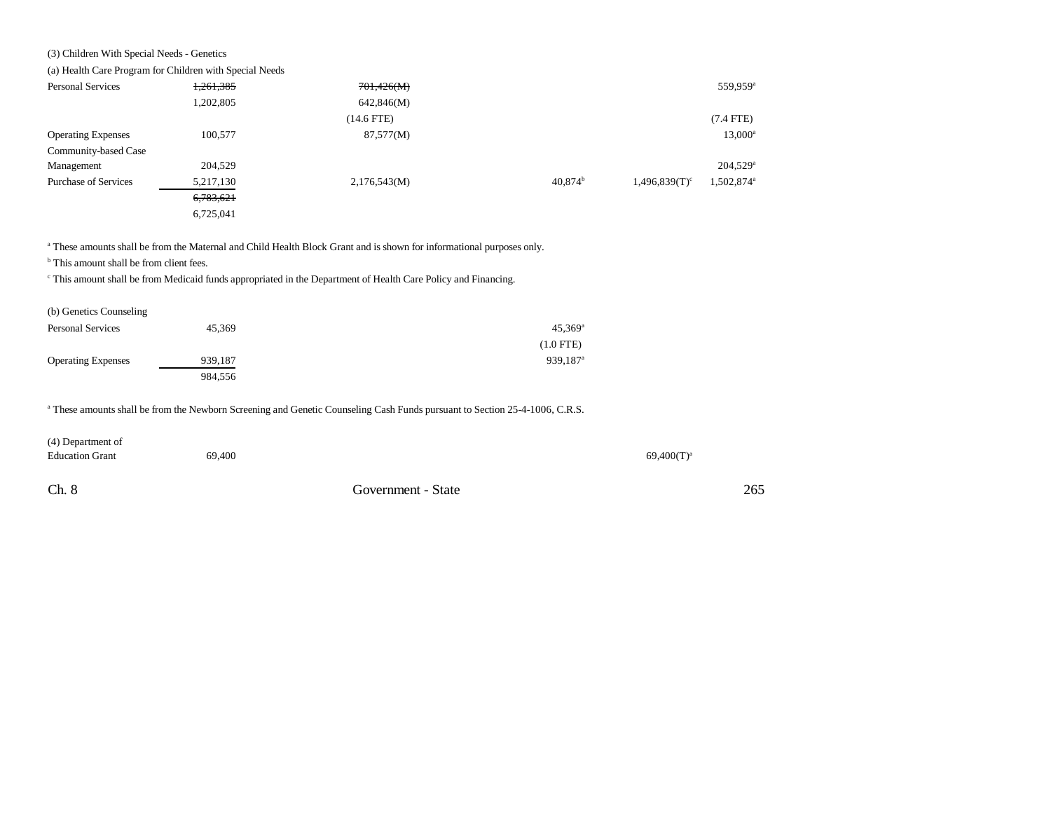### (3) Children With Special Needs - Genetics

(a) Health Care Program for Children with Special Needs

| <b>Personal Services</b>    | 1,261,385 | 701,426(M)   |                  |                  | 559,959 <sup>a</sup>   |
|-----------------------------|-----------|--------------|------------------|------------------|------------------------|
|                             | 1,202,805 | 642,846(M)   |                  |                  |                        |
|                             |           | $(14.6$ FTE) |                  |                  | $(7.4$ FTE)            |
| <b>Operating Expenses</b>   | 100,577   | 87,577(M)    |                  |                  | 13,000 <sup>a</sup>    |
| Community-based Case        |           |              |                  |                  |                        |
| Management                  | 204,529   |              |                  |                  | $204,529$ <sup>a</sup> |
| <b>Purchase of Services</b> | 5,217,130 | 2,176,543(M) | $40,874^{\rm b}$ | $1,496,839(T)^c$ | 1,502,874 <sup>a</sup> |
|                             | 6,783,621 |              |                  |                  |                        |
|                             | 6,725,041 |              |                  |                  |                        |

a These amounts shall be from the Maternal and Child Health Block Grant and is shown for informational purposes only.

<sup>b</sup> This amount shall be from client fees.

c This amount shall be from Medicaid funds appropriated in the Department of Health Care Policy and Financing.

| (b) Genetics Counseling   |         |                        |
|---------------------------|---------|------------------------|
| <b>Personal Services</b>  | 45.369  | $45.369$ <sup>a</sup>  |
|                           |         | $(1.0$ FTE)            |
| <b>Operating Expenses</b> | 939,187 | $939.187$ <sup>a</sup> |
|                           | 984.556 |                        |

a These amounts shall be from the Newborn Screening and Genetic Counseling Cash Funds pursuant to Section 25-4-1006, C.R.S.

| (4) Department of      |        |                    |                 |
|------------------------|--------|--------------------|-----------------|
| <b>Education Grant</b> | 69,400 |                    | $69,400(T)^{a}$ |
|                        |        |                    |                 |
| Ch. 8                  |        | Government - State |                 |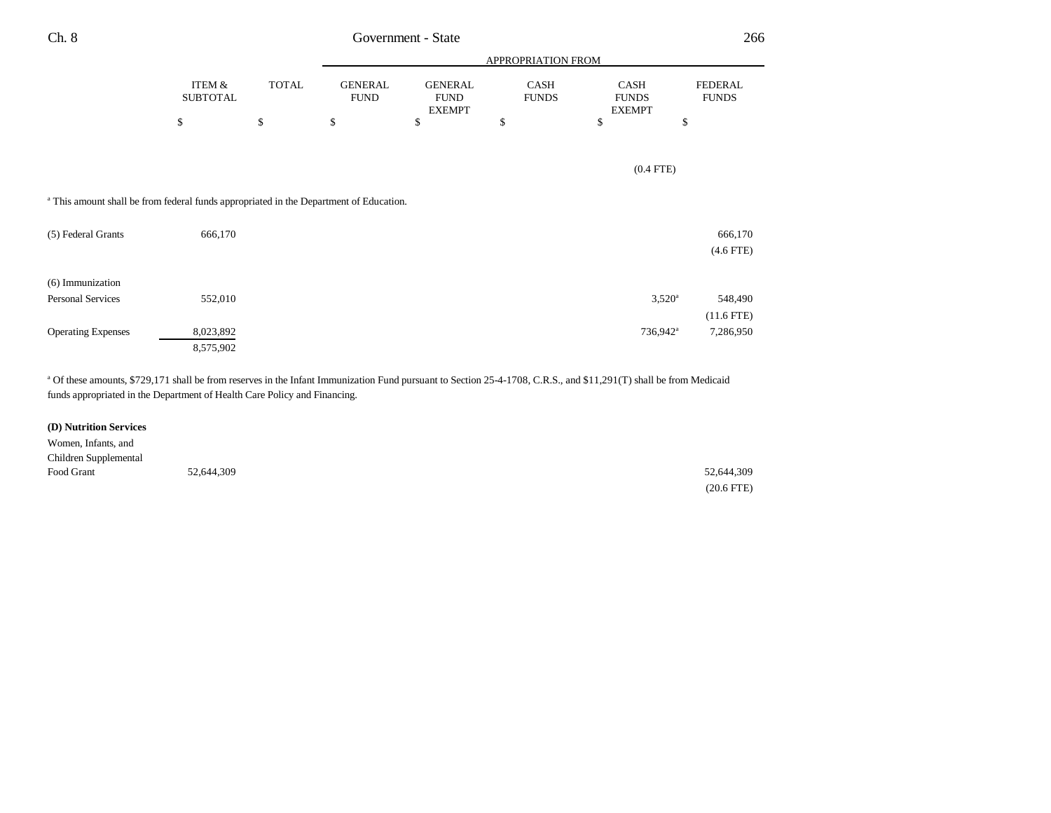| Ch. 8                                                                                             |                           |              |                               | Government - State                             |                      |                                              | 266                            |
|---------------------------------------------------------------------------------------------------|---------------------------|--------------|-------------------------------|------------------------------------------------|----------------------|----------------------------------------------|--------------------------------|
|                                                                                                   |                           |              |                               | APPROPRIATION FROM                             |                      |                                              |                                |
|                                                                                                   | ITEM &<br><b>SUBTOTAL</b> | <b>TOTAL</b> | <b>GENERAL</b><br><b>FUND</b> | <b>GENERAL</b><br><b>FUND</b><br><b>EXEMPT</b> | CASH<br><b>FUNDS</b> | <b>CASH</b><br><b>FUNDS</b><br><b>EXEMPT</b> | <b>FEDERAL</b><br><b>FUNDS</b> |
|                                                                                                   | \$                        | \$           | \$                            | \$                                             | \$                   | \$                                           | \$                             |
|                                                                                                   |                           |              |                               |                                                |                      |                                              |                                |
|                                                                                                   |                           |              |                               |                                                |                      | $(0.4$ FTE)                                  |                                |
| <sup>a</sup> This amount shall be from federal funds appropriated in the Department of Education. |                           |              |                               |                                                |                      |                                              |                                |
| (5) Federal Grants                                                                                | 666,170                   |              |                               |                                                |                      |                                              | 666,170                        |
|                                                                                                   |                           |              |                               |                                                |                      |                                              | $(4.6$ FTE)                    |
| (6) Immunization                                                                                  |                           |              |                               |                                                |                      |                                              |                                |
| Personal Services                                                                                 | 552,010                   |              |                               |                                                |                      | $3,520^{\circ}$                              | 548,490                        |

<sup>a</sup> Of these amounts, \$729,171 shall be from reserves in the Infant Immunization Fund pursuant to Section 25-4-1708, C.R.S., and \$11,291(T) shall be from Medicaid funds appropriated in the Department of Health Care Policy and Financing.

Operating Expenses 8,023,892 8,023,892 736,942<sup>a</sup> 7,286,950

(11.6 FTE)

### **(D) Nutrition Services**

8,575,902

| Women, Infants, and   |            |              |
|-----------------------|------------|--------------|
| Children Supplemental |            |              |
| Food Grant            | 52,644,309 | 52,644,309   |
|                       |            | $(20.6$ FTE) |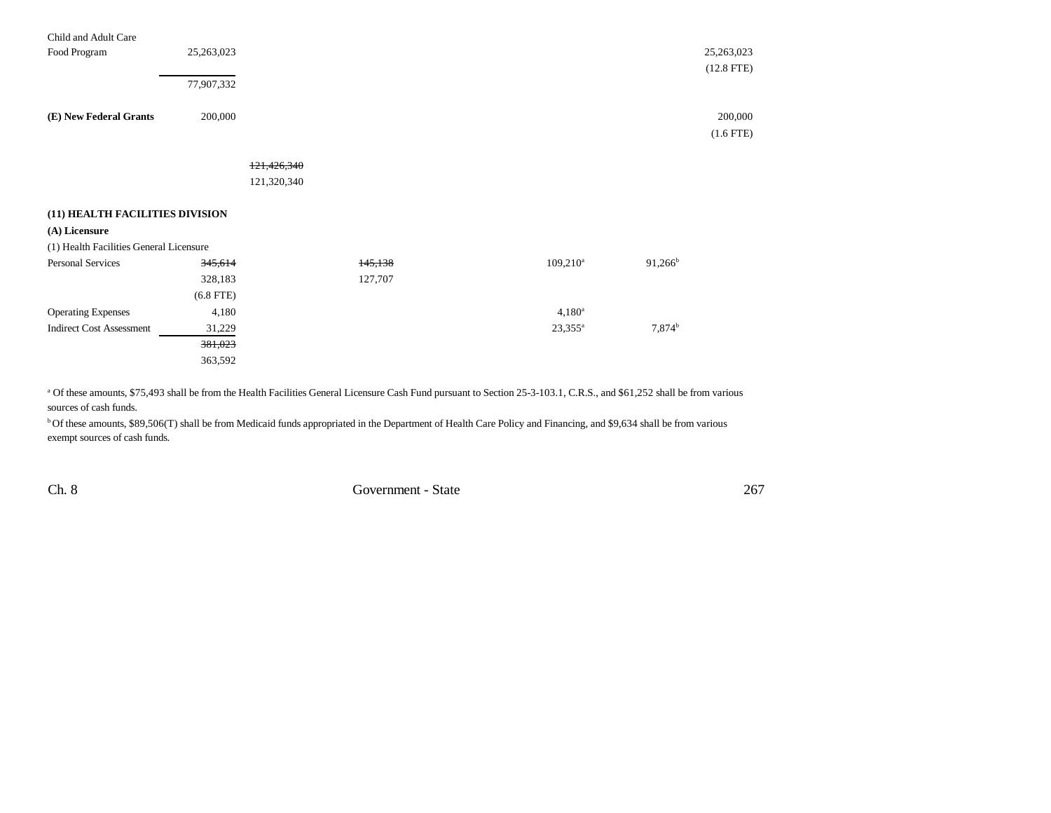| Child and Adult Care                    |             |             |         |             |            |              |
|-----------------------------------------|-------------|-------------|---------|-------------|------------|--------------|
| Food Program                            | 25,263,023  |             |         |             |            | 25,263,023   |
|                                         |             |             |         |             |            | $(12.8$ FTE) |
|                                         | 77,907,332  |             |         |             |            |              |
|                                         |             |             |         |             |            |              |
| (E) New Federal Grants                  | 200,000     |             |         |             |            | 200,000      |
|                                         |             |             |         |             |            | $(1.6$ FTE)  |
|                                         |             |             |         |             |            |              |
|                                         |             | 121,426,340 |         |             |            |              |
|                                         |             | 121,320,340 |         |             |            |              |
|                                         |             |             |         |             |            |              |
| (11) HEALTH FACILITIES DIVISION         |             |             |         |             |            |              |
| (A) Licensure                           |             |             |         |             |            |              |
| (1) Health Facilities General Licensure |             |             |         |             |            |              |
| <b>Personal Services</b>                | 345,614     |             | 145,138 | $109,210^a$ | $91,266^b$ |              |
|                                         | 328,183     |             | 127,707 |             |            |              |
|                                         | $(6.8$ FTE) |             |         |             |            |              |
| <b>Operating Expenses</b>               | 4,180       |             |         | $4,180^a$   |            |              |
| <b>Indirect Cost Assessment</b>         | 31,229      |             |         | $23,355^a$  | $7,874^b$  |              |
|                                         | 381,023     |             |         |             |            |              |
|                                         | 363,592     |             |         |             |            |              |
|                                         |             |             |         |             |            |              |

<sup>a</sup> Of these amounts, \$75,493 shall be from the Health Facilities General Licensure Cash Fund pursuant to Section 25-3-103.1, C.R.S., and \$61,252 shall be from various sources of cash funds.

<sup>b</sup> Of these amounts, \$89,506(T) shall be from Medicaid funds appropriated in the Department of Health Care Policy and Financing, and \$9,634 shall be from various exempt sources of cash funds.

Ch. 8 Government - State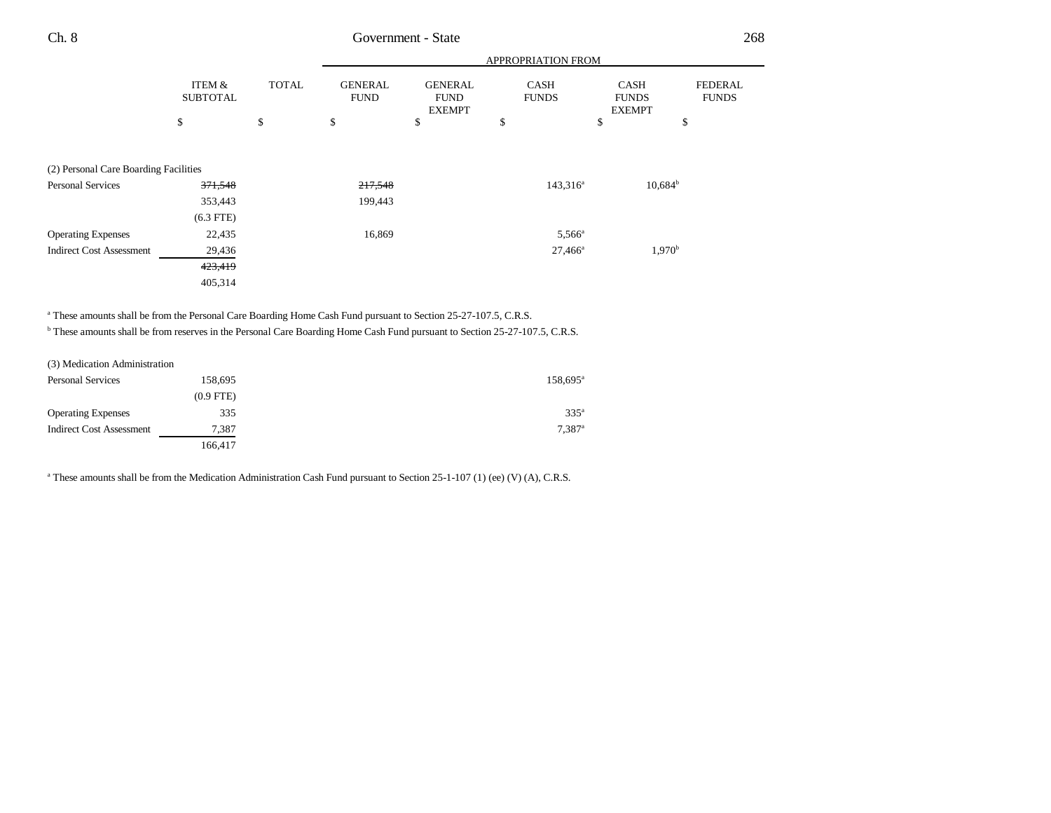|  | Ch. 8 |  |  | Government - State |  |  | 268 |
|--|-------|--|--|--------------------|--|--|-----|
|--|-------|--|--|--------------------|--|--|-----|

|                                       |                           |              |                               |                                                | <b>APPROPRIATION FROM</b>   |                                       |                                |
|---------------------------------------|---------------------------|--------------|-------------------------------|------------------------------------------------|-----------------------------|---------------------------------------|--------------------------------|
|                                       | ITEM &<br><b>SUBTOTAL</b> | <b>TOTAL</b> | <b>GENERAL</b><br><b>FUND</b> | <b>GENERAL</b><br><b>FUND</b><br><b>EXEMPT</b> | <b>CASH</b><br><b>FUNDS</b> | CASH<br><b>FUNDS</b><br><b>EXEMPT</b> | <b>FEDERAL</b><br><b>FUNDS</b> |
|                                       | \$                        | \$           | \$                            | \$                                             | \$                          | \$                                    | \$                             |
| (2) Personal Care Boarding Facilities |                           |              |                               |                                                |                             |                                       |                                |
| <b>Personal Services</b>              | 371,548                   |              | 217,548                       |                                                | $143,316^a$                 | $10,684^{\rm b}$                      |                                |
|                                       | 353,443                   |              | 199,443                       |                                                |                             |                                       |                                |
|                                       | $(6.3$ FTE)               |              |                               |                                                |                             |                                       |                                |
| <b>Operating Expenses</b>             | 22,435                    |              | 16,869                        |                                                | $5,566^{\circ}$             |                                       |                                |
| <b>Indirect Cost Assessment</b>       | 29,436                    |              |                               |                                                | $27,466^{\circ}$            | $1,970^{\rm b}$                       |                                |
|                                       | 423,419                   |              |                               |                                                |                             |                                       |                                |
|                                       | 405,314                   |              |                               |                                                |                             |                                       |                                |

<sup>a</sup> These amounts shall be from the Personal Care Boarding Home Cash Fund pursuant to Section 25-27-107.5, C.R.S.

b These amounts shall be from reserves in the Personal Care Boarding Home Cash Fund pursuant to Section 25-27-107.5, C.R.S.

| (3) Medication Administration   |             |                      |
|---------------------------------|-------------|----------------------|
| <b>Personal Services</b>        | 158,695     | 158,695 <sup>a</sup> |
|                                 | $(0.9$ FTE) |                      |
| <b>Operating Expenses</b>       | 335         | $335^{\circ}$        |
| <b>Indirect Cost Assessment</b> | 7,387       | $7.387$ <sup>a</sup> |
|                                 | 166.417     |                      |

<sup>a</sup> These amounts shall be from the Medication Administration Cash Fund pursuant to Section 25-1-107 (1) (ee) (V) (A), C.R.S.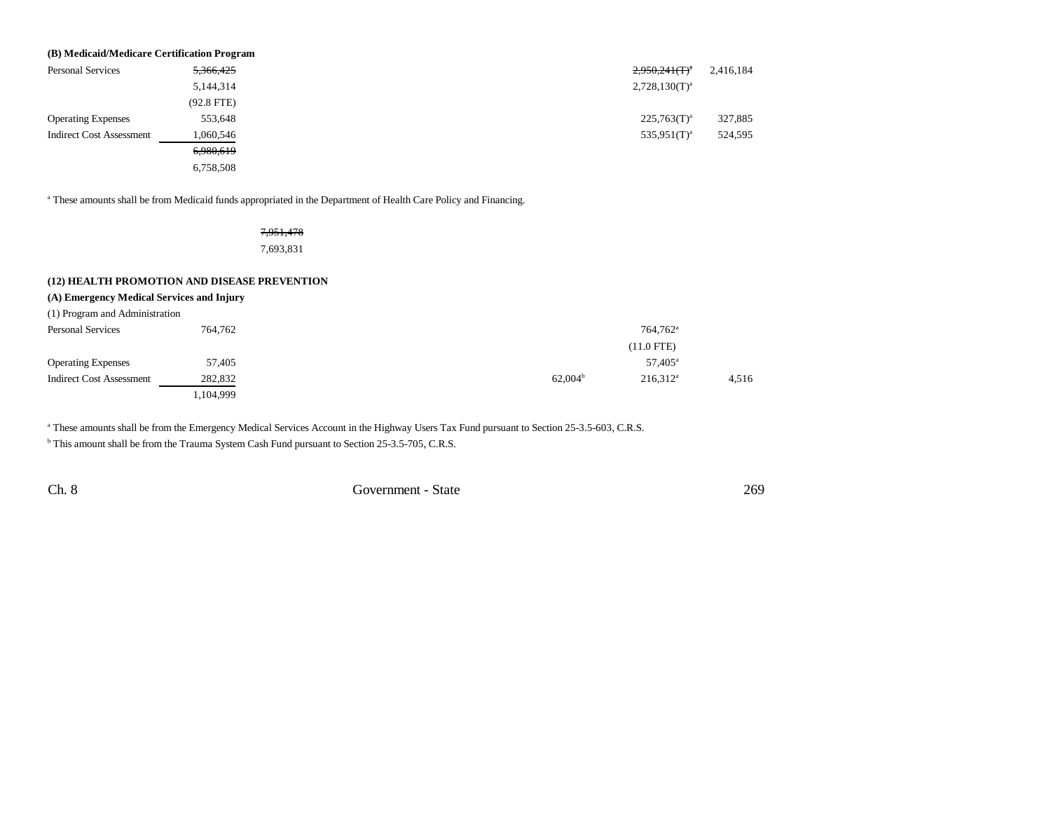| (B) Medicaid/Medicare Certification Program |              |                              |           |  |  |  |
|---------------------------------------------|--------------|------------------------------|-----------|--|--|--|
| <b>Personal Services</b>                    | 5,366,425    | $2,950,241$ (T) <sup>a</sup> | 2,416,184 |  |  |  |
|                                             | 5,144,314    | $2,728,130(T)^a$             |           |  |  |  |
|                                             | $(92.8$ FTE) |                              |           |  |  |  |
| <b>Operating Expenses</b>                   | 553,648      | $225,763(T)^{a}$             | 327,885   |  |  |  |
| <b>Indirect Cost Assessment</b>             | 1,060,546    | $535.951(T)^a$               | 524,595   |  |  |  |
|                                             | 6,980,619    |                              |           |  |  |  |
|                                             | 6,758,508    |                              |           |  |  |  |

<sup>a</sup> These amounts shall be from Medicaid funds appropriated in the Department of Health Care Policy and Financing.

## 7,951,478

7,693,831

#### **(12) HEALTH PROMOTION AND DISEASE PREVENTION**

#### **(A) Emergency Medical Services and Injury**

| (1) Program and Administration  |           |                     |                      |       |
|---------------------------------|-----------|---------------------|----------------------|-------|
| <b>Personal Services</b>        | 764,762   |                     | 764.762 <sup>a</sup> |       |
|                                 |           |                     | $(11.0$ FTE)         |       |
| <b>Operating Expenses</b>       | 57,405    |                     | 57,405 <sup>a</sup>  |       |
| <b>Indirect Cost Assessment</b> | 282,832   | 62.004 <sup>b</sup> | $216.312^a$          | 4.516 |
|                                 | 1,104,999 |                     |                      |       |

<sup>a</sup> These amounts shall be from the Emergency Medical Services Account in the Highway Users Tax Fund pursuant to Section 25-3.5-603, C.R.S.

<sup>b</sup> This amount shall be from the Trauma System Cash Fund pursuant to Section 25-3.5-705, C.R.S.

Ch. 8 Government - State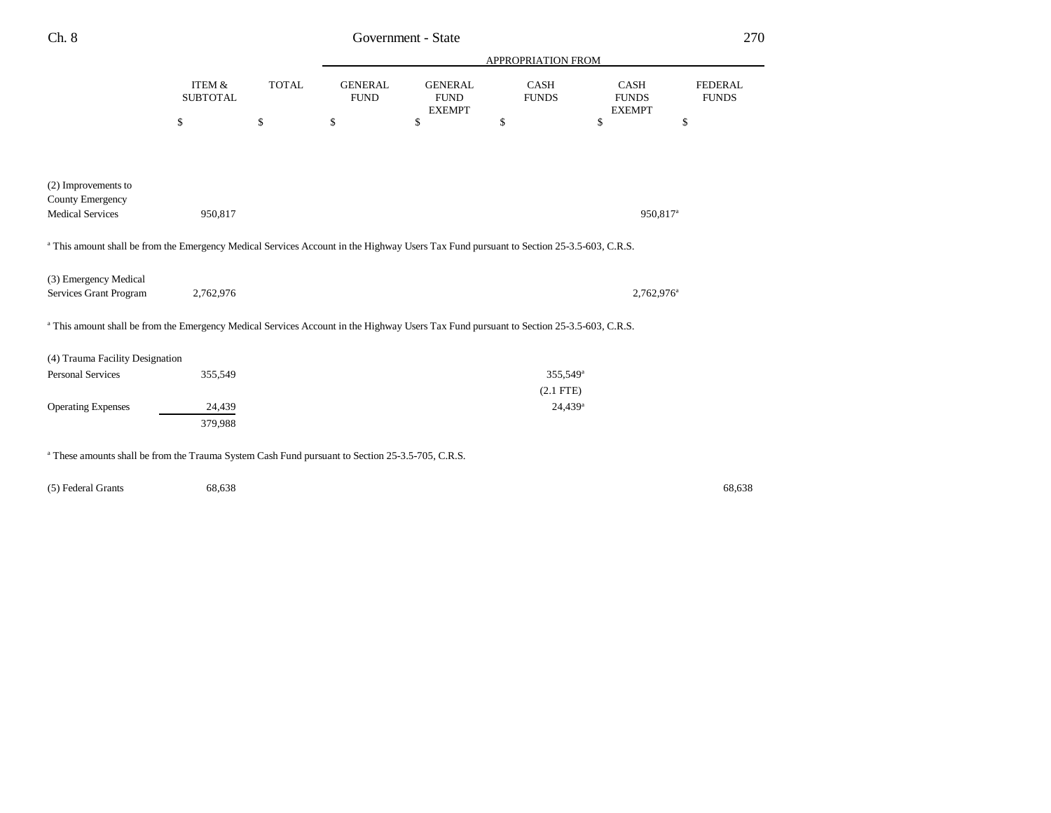| Ch. 8                                                                                                                                              |                                      |              |                               | Government - State                             |                             |                                              | 270                            |
|----------------------------------------------------------------------------------------------------------------------------------------------------|--------------------------------------|--------------|-------------------------------|------------------------------------------------|-----------------------------|----------------------------------------------|--------------------------------|
|                                                                                                                                                    |                                      |              |                               |                                                | APPROPRIATION FROM          |                                              |                                |
|                                                                                                                                                    | <b>ITEM &amp;</b><br><b>SUBTOTAL</b> | <b>TOTAL</b> | <b>GENERAL</b><br><b>FUND</b> | <b>GENERAL</b><br><b>FUND</b><br><b>EXEMPT</b> | <b>CASH</b><br><b>FUNDS</b> | <b>CASH</b><br><b>FUNDS</b><br><b>EXEMPT</b> | <b>FEDERAL</b><br><b>FUNDS</b> |
|                                                                                                                                                    | \$                                   | \$           | \$                            | \$                                             | \$                          | \$                                           | \$                             |
|                                                                                                                                                    |                                      |              |                               |                                                |                             |                                              |                                |
| (2) Improvements to                                                                                                                                |                                      |              |                               |                                                |                             |                                              |                                |
| County Emergency<br><b>Medical Services</b>                                                                                                        | 950,817                              |              |                               |                                                |                             | 950,817 <sup>a</sup>                         |                                |
| <sup>a</sup> This amount shall be from the Emergency Medical Services Account in the Highway Users Tax Fund pursuant to Section 25-3.5-603, C.R.S. |                                      |              |                               |                                                |                             |                                              |                                |
| (3) Emergency Medical<br>Services Grant Program                                                                                                    | 2,762,976                            |              |                               |                                                |                             | 2,762,976 <sup>a</sup>                       |                                |
| <sup>a</sup> This amount shall be from the Emergency Medical Services Account in the Highway Users Tax Fund pursuant to Section 25-3.5-603, C.R.S. |                                      |              |                               |                                                |                             |                                              |                                |
| (4) Trauma Facility Designation                                                                                                                    |                                      |              |                               |                                                |                             |                                              |                                |
| <b>Personal Services</b>                                                                                                                           | 355,549                              |              |                               |                                                | 355,549 <sup>a</sup>        |                                              |                                |
|                                                                                                                                                    |                                      |              |                               |                                                | $(2.1$ FTE)                 |                                              |                                |
| <b>Operating Expenses</b>                                                                                                                          | 24,439                               |              |                               |                                                | 24,439 <sup>a</sup>         |                                              |                                |
|                                                                                                                                                    | 379,988                              |              |                               |                                                |                             |                                              |                                |
| <sup>a</sup> These amounts shall be from the Trauma System Cash Fund pursuant to Section 25-3.5-705, C.R.S.                                        |                                      |              |                               |                                                |                             |                                              |                                |

(5) Federal Grants 68,638 68,638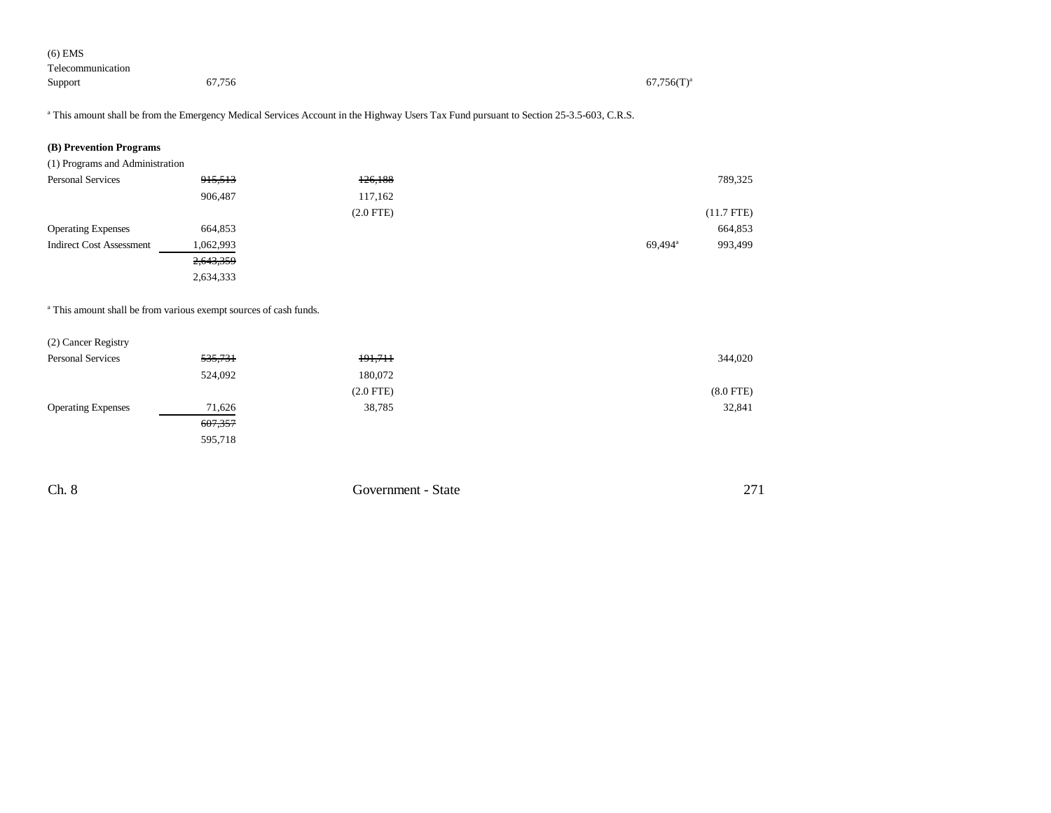| $(6)$ EMS         |        |                 |
|-------------------|--------|-----------------|
| Telecommunication |        |                 |
| Support           | 67,756 | $67,756(T)^{a}$ |

<sup>a</sup> This amount shall be from the Emergency Medical Services Account in the Highway Users Tax Fund pursuant to Section 25-3.5-603, C.R.S.

## **(B) Prevention Programs**

(1) Programs and Administration

| <b>Personal Services</b>        | 915,513   | 126,188     | 789,325                        |
|---------------------------------|-----------|-------------|--------------------------------|
|                                 | 906,487   | 117,162     |                                |
|                                 |           | $(2.0$ FTE) | $(11.7$ FTE)                   |
| <b>Operating Expenses</b>       | 664,853   |             | 664,853                        |
| <b>Indirect Cost Assessment</b> | 1,062,993 |             | 69,494 <sup>a</sup><br>993,499 |
|                                 | 2,643,359 |             |                                |
|                                 | 2,634,333 |             |                                |

a This amount shall be from various exempt sources of cash funds.

| (2) Cancer Registry       |         |             |             |
|---------------------------|---------|-------------|-------------|
| <b>Personal Services</b>  | 535,731 | 191,711     | 344,020     |
|                           | 524,092 | 180,072     |             |
|                           |         | $(2.0$ FTE) | $(8.0$ FTE) |
| <b>Operating Expenses</b> | 71,626  | 38,785      | 32,841      |
|                           | 607,357 |             |             |
|                           | 595,718 |             |             |
|                           |         |             |             |

| Ch. 8 | Government - State<br>. | $\sim$ |
|-------|-------------------------|--------|
|       |                         |        |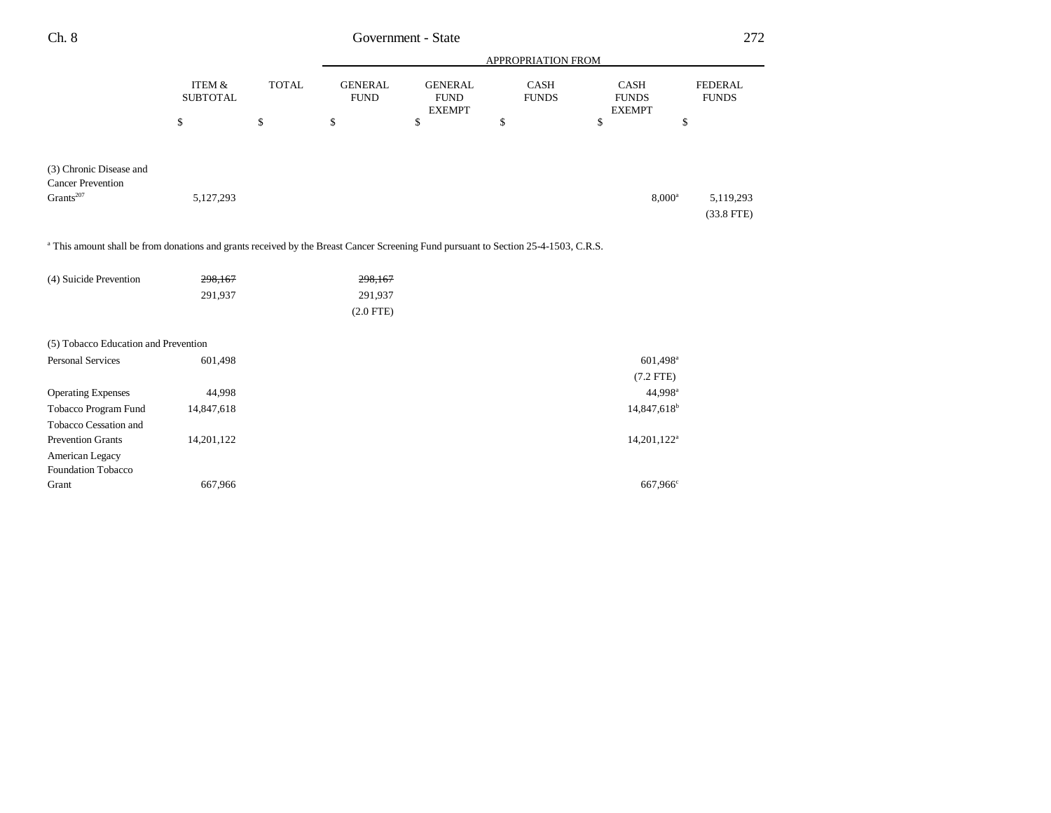| Ch. 8                                                                                                                                          | Government - State        |              |                                      |                                                |                      |                                       | 272                            |
|------------------------------------------------------------------------------------------------------------------------------------------------|---------------------------|--------------|--------------------------------------|------------------------------------------------|----------------------|---------------------------------------|--------------------------------|
|                                                                                                                                                |                           |              | APPROPRIATION FROM                   |                                                |                      |                                       |                                |
|                                                                                                                                                | ITEM &<br><b>SUBTOTAL</b> | <b>TOTAL</b> | <b>GENERAL</b><br><b>FUND</b>        | <b>GENERAL</b><br><b>FUND</b><br><b>EXEMPT</b> | CASH<br><b>FUNDS</b> | CASH<br><b>FUNDS</b><br><b>EXEMPT</b> | <b>FEDERAL</b><br><b>FUNDS</b> |
|                                                                                                                                                | \$                        | \$           | \$                                   | \$                                             | \$                   | \$                                    | \$                             |
| (3) Chronic Disease and<br><b>Cancer Prevention</b><br>Grants <sup>207</sup>                                                                   | 5,127,293                 |              |                                      |                                                |                      | $8,000^{\rm a}$                       | 5,119,293<br>$(33.8$ FTE)      |
| <sup>a</sup> This amount shall be from donations and grants received by the Breast Cancer Screening Fund pursuant to Section 25-4-1503, C.R.S. |                           |              |                                      |                                                |                      |                                       |                                |
| (4) Suicide Prevention                                                                                                                         | 298,167<br>291,937        |              | 298,167<br>291,937<br>$(2.0$ FTE $)$ |                                                |                      |                                       |                                |
| (5) Tobacco Education and Prevention                                                                                                           |                           |              |                                      |                                                |                      |                                       |                                |
| <b>Personal Services</b>                                                                                                                       | 601,498                   |              |                                      |                                                |                      | 601,498 <sup>a</sup>                  |                                |

Operating Expenses 44,998 44,998a Tobacco Program Fund 14,847,618 14,847,618

Prevention Grants 14,201,122<sup>a</sup> 14,201,122<sup>a</sup>

Grant 667,966 667,966 667,966 667,966 667,966 667,966 667,966 667,966 667,966 667,966

Tobacco Cessation and

American Legacy Foundation Tobacco (7.2 FTE)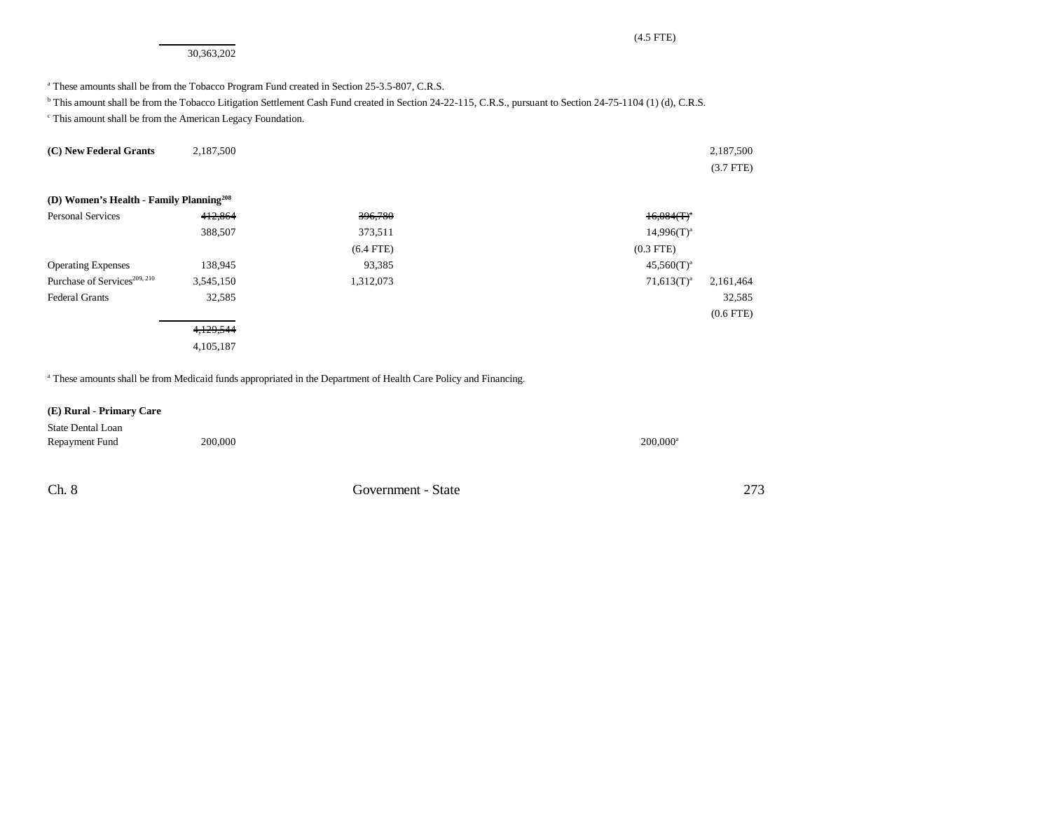30,363,202

#### <sup>a</sup> These amounts shall be from the Tobacco Program Fund created in Section 25-3.5-807, C.R.S.

<sup>b</sup> This amount shall be from the Tobacco Litigation Settlement Cash Fund created in Section 24-22-115, C.R.S., pursuant to Section 24-75-1104 (1) (d), C.R.S.

c This amount shall be from the American Legacy Foundation.

| (C) New Federal Grants                              | 2,187,500 |             | 2,187,500                  |
|-----------------------------------------------------|-----------|-------------|----------------------------|
|                                                     |           |             | $(3.7$ FTE)                |
|                                                     |           |             |                            |
| (D) Women's Health - Family Planning <sup>208</sup> |           |             |                            |
| <b>Personal Services</b>                            | 412,864   | 396,780     | $16,084$ (T) <sup>a</sup>  |
|                                                     | 388,507   | 373,511     | $14,996(T)^{a}$            |
|                                                     |           | $(6.4$ FTE) | $(0.3$ FTE)                |
| <b>Operating Expenses</b>                           | 138,945   | 93,385      | $45,560(T)^{a}$            |
| Purchase of Services <sup>209, 210</sup>            | 3,545,150 | 1,312,073   | $71,613(T)^a$<br>2,161,464 |
| <b>Federal Grants</b>                               | 32,585    |             | 32,585                     |
|                                                     |           |             | $(0.6$ FTE $)$             |
|                                                     | 4,129,544 |             |                            |
|                                                     | 4,105,187 |             |                            |

<sup>a</sup> These amounts shall be from Medicaid funds appropriated in the Department of Health Care Policy and Financing.

#### **(E) Rural - Primary Care**

| State Dental Loan |         |                        |
|-------------------|---------|------------------------|
| Repayment Fund    | 200,000 | $200.000$ <sup>a</sup> |

Ch. 8 Government - State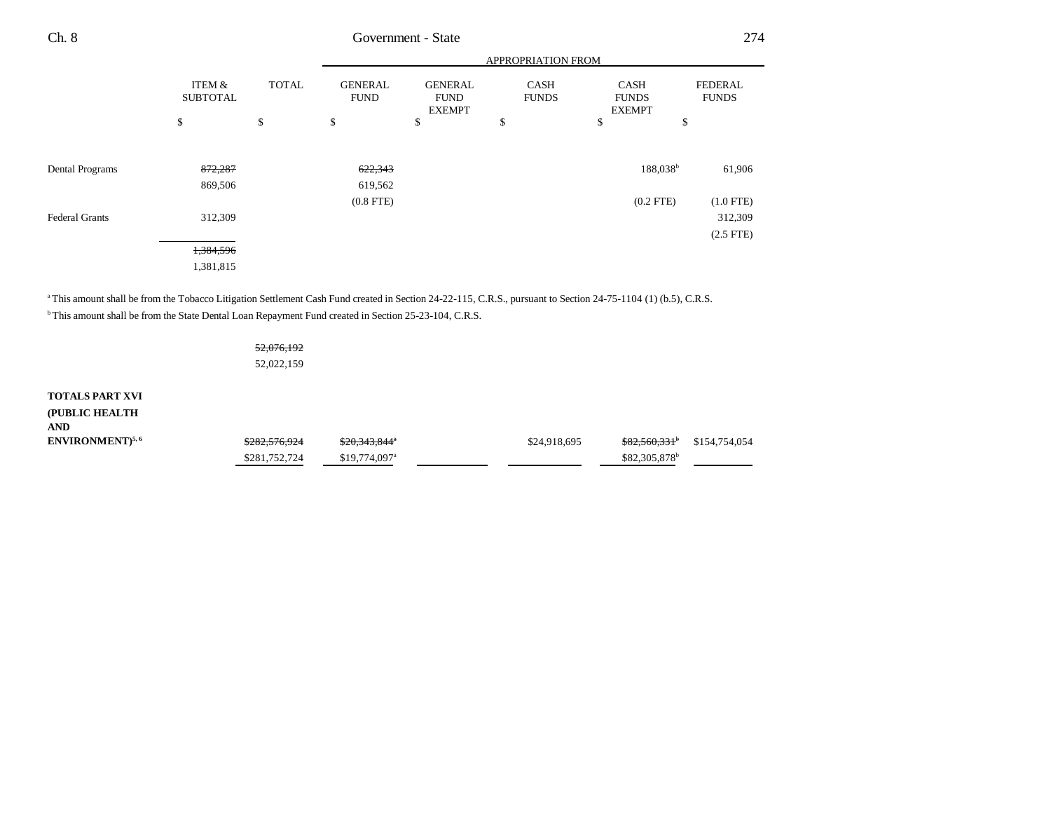| Ch. 8                 |                           | Government - State |                               |                                                |                             |                                              |                                |  |  |
|-----------------------|---------------------------|--------------------|-------------------------------|------------------------------------------------|-----------------------------|----------------------------------------------|--------------------------------|--|--|
|                       |                           |                    |                               | APPROPRIATION FROM                             |                             |                                              |                                |  |  |
|                       | ITEM &<br><b>SUBTOTAL</b> | <b>TOTAL</b>       | <b>GENERAL</b><br><b>FUND</b> | <b>GENERAL</b><br><b>FUND</b><br><b>EXEMPT</b> | <b>CASH</b><br><b>FUNDS</b> | <b>CASH</b><br><b>FUNDS</b><br><b>EXEMPT</b> | <b>FEDERAL</b><br><b>FUNDS</b> |  |  |
|                       | \$                        | \$                 | \$                            | \$                                             | \$                          | \$                                           | \$                             |  |  |
| Dental Programs       | 872,287                   |                    | 622,343                       |                                                |                             | 188,038 <sup>b</sup>                         | 61,906                         |  |  |
|                       | 869,506                   |                    | 619,562                       |                                                |                             |                                              |                                |  |  |
| <b>Federal Grants</b> | 312,309                   |                    | $(0.8$ FTE $)$                |                                                |                             | $(0.2$ FTE)                                  | $(1.0$ FTE)<br>312,309         |  |  |
|                       | 1,384,596                 |                    |                               |                                                |                             |                                              | $(2.5$ FTE)                    |  |  |
|                       | 1,381,815                 |                    |                               |                                                |                             |                                              |                                |  |  |

<sup>a</sup> This amount shall be from the Tobacco Litigation Settlement Cash Fund created in Section 24-22-115, C.R.S., pursuant to Section 24-75-1104 (1) (b.5), C.R.S.

<sup>b</sup> This amount shall be from the State Dental Loan Repayment Fund created in Section 25-23-104, C.R.S.

52,076,192 52,022,159

**TOTALS PART XVI (PUBLIC HEALTH AND**

| -----                       |                          |                            |              |                                       |  |
|-----------------------------|--------------------------|----------------------------|--------------|---------------------------------------|--|
| ENVIRONMENT) <sup>5,6</sup> | <del>\$282.576.924</del> | \$20.343.844°              | \$24,918,695 | <del>\$82,560,331</del> \$154,754,054 |  |
|                             | \$281,752,724            | $$19.774.097$ <sup>a</sup> |              | \$82,305,878 <sup>b</sup>             |  |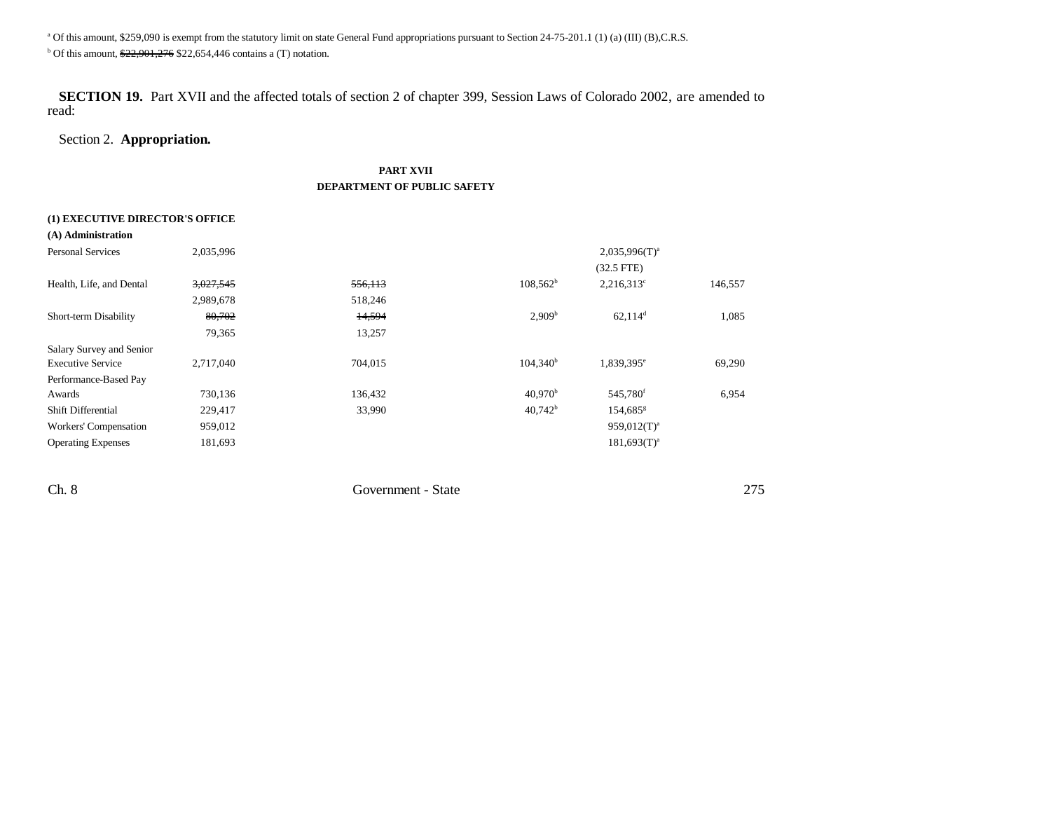<sup>a</sup> Of this amount, \$259,090 is exempt from the statutory limit on state General Fund appropriations pursuant to Section 24-75-201.1 (1) (a) (III) (B),C.R.S.

 $b$  Of this amount,  $22,901,276$  \$22,654,446 contains a (T) notation.

**SECTION 19.** Part XVII and the affected totals of section 2 of chapter 399, Session Laws of Colorado 2002, are amended to read:

# Section 2. **Appropriation.**

## **PART XVII DEPARTMENT OF PUBLIC SAFETY**

#### **(1) EXECUTIVE DIRECTOR'S OFFICE**

| (A) Administration        |           |         |                     |                        |         |
|---------------------------|-----------|---------|---------------------|------------------------|---------|
| <b>Personal Services</b>  | 2,035,996 |         |                     | $2,035,996(T)^{a}$     |         |
|                           |           |         |                     | $(32.5$ FTE)           |         |
| Health, Life, and Dental  | 3,027,545 | 556,113 | $108,562^b$         | $2,216,313^c$          | 146,557 |
|                           | 2,989,678 | 518,246 |                     |                        |         |
| Short-term Disability     | 80,702    | 14,594  | 2,909 <sup>b</sup>  | $62,114$ <sup>d</sup>  | 1,085   |
|                           | 79,365    | 13,257  |                     |                        |         |
| Salary Survey and Senior  |           |         |                     |                        |         |
| <b>Executive Service</b>  | 2,717,040 | 704,015 | $104,340^{\rm b}$   | 1,839,395 <sup>e</sup> | 69,290  |
| Performance-Based Pay     |           |         |                     |                        |         |
| Awards                    | 730,136   | 136,432 | 40.970 <sup>b</sup> | 545,780 <sup>f</sup>   | 6,954   |
| <b>Shift Differential</b> | 229,417   | 33,990  | $40.742^b$          | 154,685 <sup>g</sup>   |         |
| Workers' Compensation     | 959,012   |         |                     | $959.012(T)^{a}$       |         |
| <b>Operating Expenses</b> | 181,693   |         |                     | $181.693(T)^{a}$       |         |
|                           |           |         |                     |                        |         |

Ch. 8 Government - State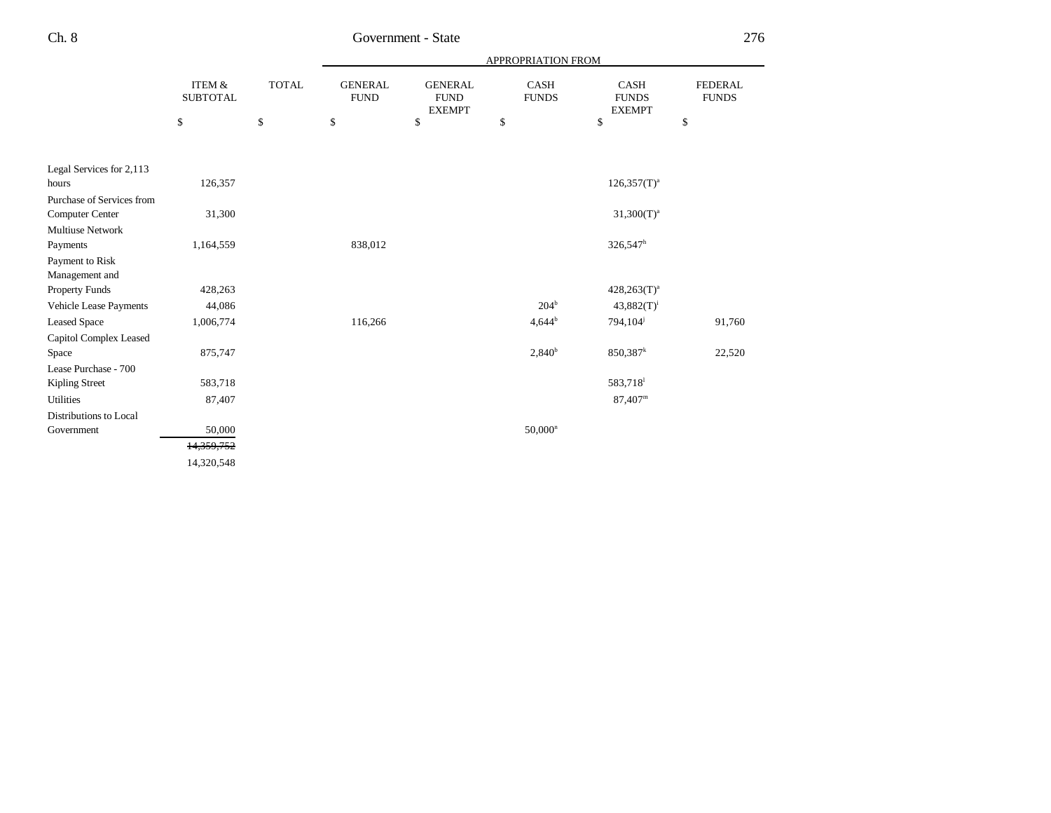|                           |                                      |              | APPROPRIATION FROM            |                                                |                      |                                              |                                |  |
|---------------------------|--------------------------------------|--------------|-------------------------------|------------------------------------------------|----------------------|----------------------------------------------|--------------------------------|--|
|                           | <b>ITEM &amp;</b><br><b>SUBTOTAL</b> | <b>TOTAL</b> | <b>GENERAL</b><br><b>FUND</b> | <b>GENERAL</b><br><b>FUND</b><br><b>EXEMPT</b> | CASH<br><b>FUNDS</b> | <b>CASH</b><br><b>FUNDS</b><br><b>EXEMPT</b> | <b>FEDERAL</b><br><b>FUNDS</b> |  |
|                           | \$                                   | $\mathbb{S}$ | $\mathbb{S}$                  | $\$$                                           | \$                   | $\$$                                         | \$                             |  |
|                           |                                      |              |                               |                                                |                      |                                              |                                |  |
| Legal Services for 2,113  |                                      |              |                               |                                                |                      |                                              |                                |  |
| hours                     | 126,357                              |              |                               |                                                |                      | $126,357(T)^{a}$                             |                                |  |
| Purchase of Services from |                                      |              |                               |                                                |                      |                                              |                                |  |
| Computer Center           | 31,300                               |              |                               |                                                |                      | $31,300(T)^{a}$                              |                                |  |
| <b>Multiuse Network</b>   |                                      |              |                               |                                                |                      |                                              |                                |  |
| Payments                  | 1,164,559                            |              | 838,012                       |                                                |                      | $326,547^h$                                  |                                |  |
| Payment to Risk           |                                      |              |                               |                                                |                      |                                              |                                |  |
| Management and            |                                      |              |                               |                                                |                      |                                              |                                |  |
| <b>Property Funds</b>     | 428,263                              |              |                               |                                                |                      | $428,263(T)^{a}$                             |                                |  |
| Vehicle Lease Payments    | 44,086                               |              |                               |                                                | 204 <sup>b</sup>     | $43,882(T)^{i}$                              |                                |  |
| <b>Leased Space</b>       | 1,006,774                            |              | 116,266                       |                                                | $4,644^{b}$          | 794,104 <sup>j</sup>                         | 91,760                         |  |
| Capitol Complex Leased    |                                      |              |                               |                                                |                      |                                              |                                |  |
| Space                     | 875,747                              |              |                               |                                                | $2,840^b$            | $850,387$ <sup>k</sup>                       | 22,520                         |  |
| Lease Purchase - 700      |                                      |              |                               |                                                |                      |                                              |                                |  |
| Kipling Street            | 583,718                              |              |                               |                                                |                      | 583,718                                      |                                |  |
| <b>Utilities</b>          | 87,407                               |              |                               |                                                |                      | $87,407^m$                                   |                                |  |
| Distributions to Local    |                                      |              |                               |                                                |                      |                                              |                                |  |
| Government                | 50,000                               |              |                               |                                                | $50,000^n$           |                                              |                                |  |
|                           | 14,359,752                           |              |                               |                                                |                      |                                              |                                |  |
|                           | 14,320,548                           |              |                               |                                                |                      |                                              |                                |  |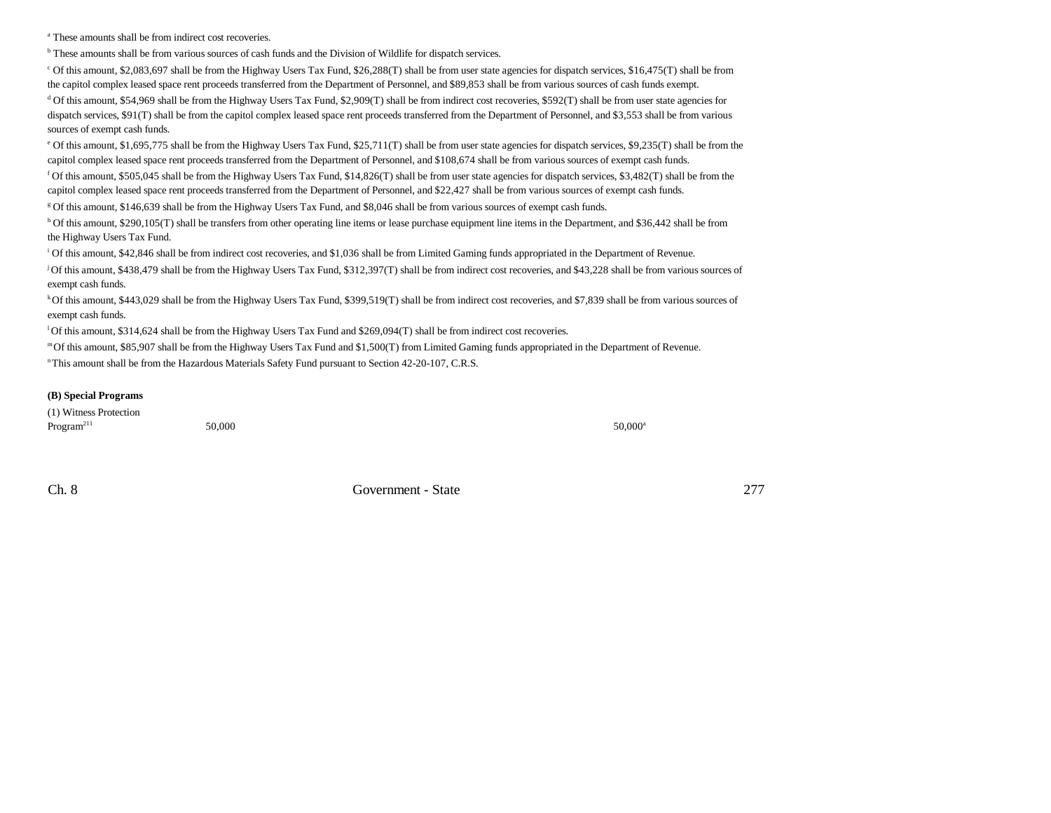<sup>a</sup> These amounts shall be from indirect cost recoveries.

**b** These amounts shall be from various sources of cash funds and the Division of Wildlife for dispatch services.

c Of this amount, \$2,083,697 shall be from the Highway Users Tax Fund, \$26,288(T) shall be from user state agencies for dispatch services, \$16,475(T) shall be from the capitol complex leased space rent proceeds transferred from the Department of Personnel, and \$89,853 shall be from various sources of cash funds exempt.

d Of this amount, \$54,969 shall be from the Highway Users Tax Fund, \$2,909(T) shall be from indirect cost recoveries, \$592(T) shall be from user state agencies for dispatch services, \$91(T) shall be from the capitol complex leased space rent proceeds transferred from the Department of Personnel, and \$3,553 shall be from various sources of exempt cash funds.

e Of this amount, \$1,695,775 shall be from the Highway Users Tax Fund, \$25,711(T) shall be from user state agencies for dispatch services, \$9,235(T) shall be from the capitol complex leased space rent proceeds transferred from the Department of Personnel, and \$108,674 shall be from various sources of exempt cash funds.

<sup>f</sup> Of this amount, \$505,045 shall be from the Highway Users Tax Fund, \$14,826(T) shall be from user state agencies for dispatch services, \$3,482(T) shall be from the capitol complex leased space rent proceeds transferred from the Department of Personnel, and \$22,427 shall be from various sources of exempt cash funds.

g Of this amount, \$146,639 shall be from the Highway Users Tax Fund, and \$8,046 shall be from various sources of exempt cash funds.

h Of this amount, \$290,105(T) shall be transfers from other operating line items or lease purchase equipment line items in the Department, and \$36,442 shall be from the Highway Users Tax Fund.

i Of this amount, \$42,846 shall be from indirect cost recoveries, and \$1,036 shall be from Limited Gaming funds appropriated in the Department of Revenue.

j Of this amount, \$438,479 shall be from the Highway Users Tax Fund, \$312,397(T) shall be from indirect cost recoveries, and \$43,228 shall be from various sources of exempt cash funds.

<sup>k</sup>Of this amount, \$443,029 shall be from the Highway Users Tax Fund, \$399,519(T) shall be from indirect cost recoveries, and \$7,839 shall be from various sources of exempt cash funds.

l Of this amount, \$314,624 shall be from the Highway Users Tax Fund and \$269,094(T) shall be from indirect cost recoveries.

m Of this amount, \$85,907 shall be from the Highway Users Tax Fund and \$1,500(T) from Limited Gaming funds appropriated in the Department of Revenue.

n This amount shall be from the Hazardous Materials Safety Fund pursuant to Section 42-20-107, C.R.S.

#### **(B) Special Programs**

(1) Witness Protection  $\text{Program}^{211}$  50,000 50,000 50,000 50,000 50,000 50,000 50,000 50,000 50,000 50,000 50,000 50,000 50,000 50,000 50,000 50,000 50,000 50,000 50,000 50,000 50,000 50,000 50,000 50,000 50,000 50,000 50,000 50,000 50,000 50,00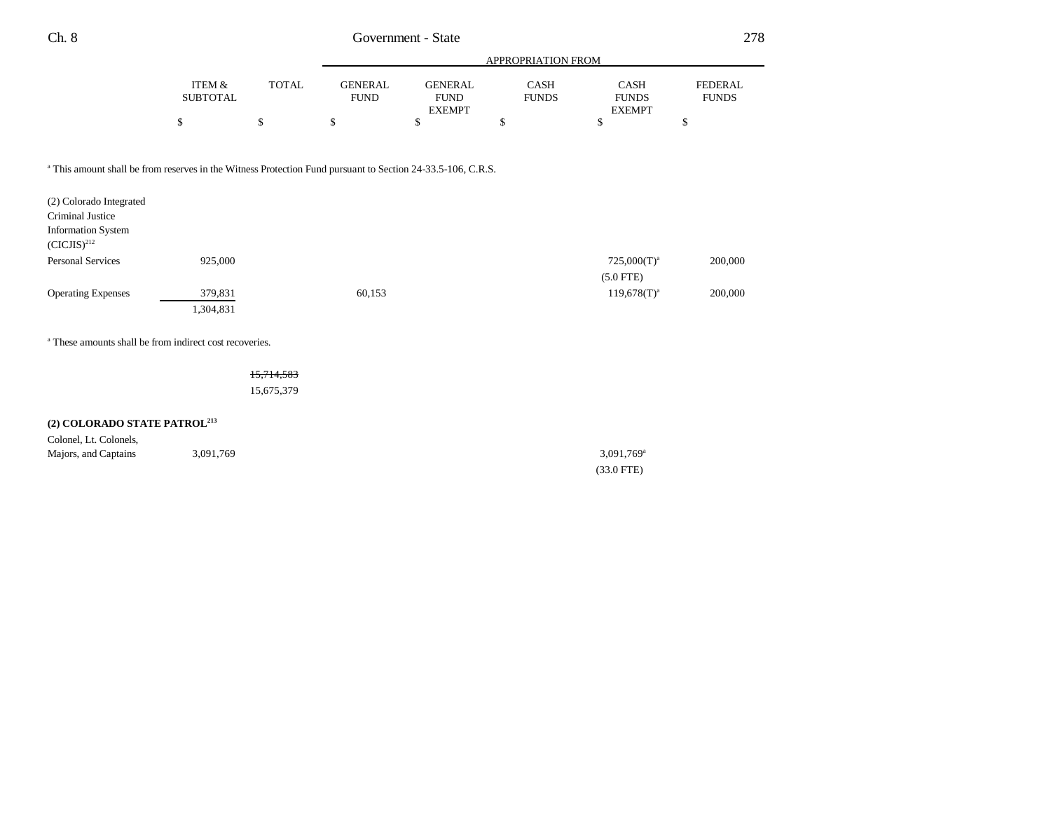|          |              |                |               | APPROPRIATION FROM |               |              |
|----------|--------------|----------------|---------------|--------------------|---------------|--------------|
| ITEM &   | <b>TOTAL</b> | <b>GENERAL</b> | GENERAL       | CASH               | CASH          | FEDERAL      |
| SUBTOTAL |              | <b>FUND</b>    | <b>FUND</b>   | <b>FUNDS</b>       | <b>FUNDS</b>  | <b>FUNDS</b> |
|          |              |                | <b>EXEMPT</b> |                    | <b>EXEMPT</b> |              |
|          |              |                |               |                    |               |              |

<sup>a</sup> This amount shall be from reserves in the Witness Protection Fund pursuant to Section 24-33.5-106, C.R.S.

| (2) Colorado Integrated                       |           |        |                  |         |
|-----------------------------------------------|-----------|--------|------------------|---------|
| Criminal Justice                              |           |        |                  |         |
| <b>Information System</b><br>$(CICJIS)^{212}$ |           |        |                  |         |
| <b>Personal Services</b>                      | 925,000   |        | $725,000(T)^{a}$ | 200,000 |
|                                               |           |        | $(5.0$ FTE)      |         |
| <b>Operating Expenses</b>                     | 379,831   | 60,153 | $119,678(T)^{a}$ | 200,000 |
|                                               | 1,304,831 |        |                  |         |

a These amounts shall be from indirect cost recoveries.

15,714,583 15,675,379

# **(2) COLORADO STATE PATROL<sup>213</sup>**

| Colonel, Lt. Colonels, |           |                          |
|------------------------|-----------|--------------------------|
| Majors, and Captains   | 3,091,769 | $3,091,769$ <sup>a</sup> |
|                        |           | $(33.0$ FTE)             |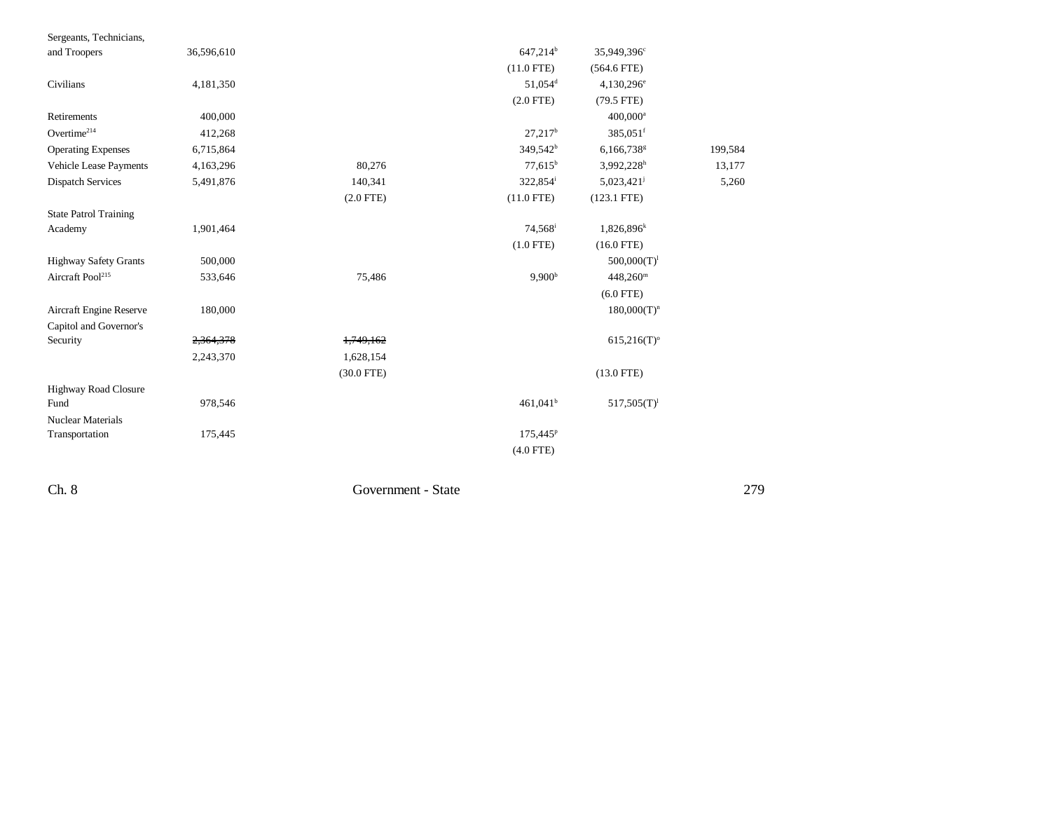| Sergeants, Technicians,      |            |              |                       |                           |         |
|------------------------------|------------|--------------|-----------------------|---------------------------|---------|
| and Troopers                 | 36,596,610 |              | 647,214 <sup>b</sup>  | 35,949,396°               |         |
|                              |            |              | $(11.0$ FTE)          | $(564.6$ FTE)             |         |
| Civilians                    | 4,181,350  |              | $51.054$ <sup>d</sup> | $4,130,296^e$             |         |
|                              |            |              | $(2.0$ FTE)           | $(79.5$ FTE)              |         |
| Retirements                  | 400,000    |              |                       | $400,000$ <sup>a</sup>    |         |
| $Overtime^{214}$             | 412,268    |              | $27,217^b$            | 385,051 <sup>f</sup>      |         |
| <b>Operating Expenses</b>    | 6,715,864  |              | 349,542 <sup>b</sup>  | 6,166,738 <sup>g</sup>    | 199,584 |
| Vehicle Lease Payments       | 4,163,296  | 80,276       | $77,615^b$            | $3,992,228$ <sup>h</sup>  | 13,177  |
| <b>Dispatch Services</b>     | 5,491,876  | 140,341      | 322,854 <sup>i</sup>  | $5,023,421$ <sup>j</sup>  | 5,260   |
|                              |            | $(2.0$ FTE)  | $(11.0$ FTE)          | $(123.1$ FTE)             |         |
| <b>State Patrol Training</b> |            |              |                       |                           |         |
| Academy                      | 1,901,464  |              | 74,568 <sup>i</sup>   | $1,826,896^k$             |         |
|                              |            |              | $(1.0$ FTE)           | $(16.0$ FTE)              |         |
| <b>Highway Safety Grants</b> | 500,000    |              |                       | $500,000(T)^1$            |         |
| Aircraft Pool <sup>215</sup> | 533,646    | 75,486       | 9.900 <sup>b</sup>    | $448,260^{\rm m}$         |         |
|                              |            |              |                       | $(6.0$ FTE)               |         |
| Aircraft Engine Reserve      | 180,000    |              |                       | $180,000(T)^n$            |         |
| Capitol and Governor's       |            |              |                       |                           |         |
| Security                     | 2,364,378  | 1,749,162    |                       | $615,216(T)$ <sup>o</sup> |         |
|                              | 2,243,370  | 1,628,154    |                       |                           |         |
|                              |            | $(30.0$ FTE) |                       | $(13.0$ FTE)              |         |
| Highway Road Closure         |            |              |                       |                           |         |
| Fund                         | 978,546    |              | $461,041^b$           | $517,505(T)^1$            |         |
| <b>Nuclear Materials</b>     |            |              |                       |                           |         |
| Transportation               | 175,445    |              | 175,445 <sup>P</sup>  |                           |         |
|                              |            |              | $(4.0$ FTE)           |                           |         |

Ch. 8 Government - State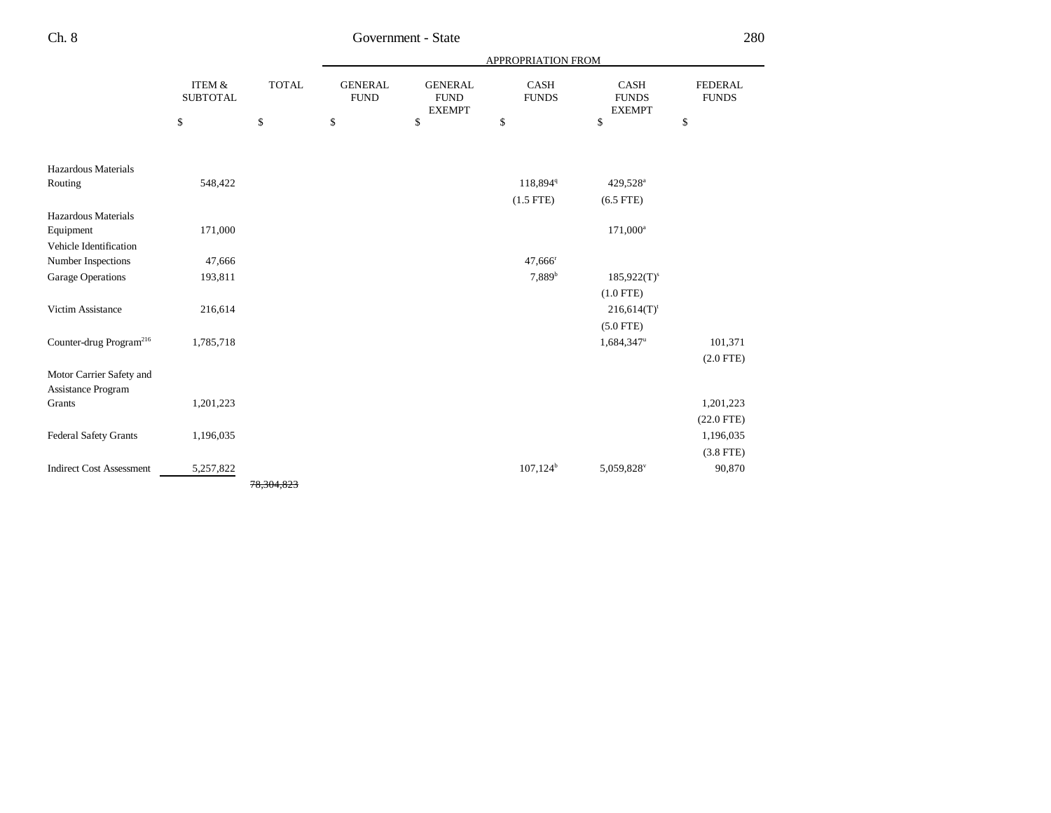|                                     |                                      |              |                               |                                                | APPROPRIATION FROM          |                                              |                                |
|-------------------------------------|--------------------------------------|--------------|-------------------------------|------------------------------------------------|-----------------------------|----------------------------------------------|--------------------------------|
|                                     | <b>ITEM &amp;</b><br><b>SUBTOTAL</b> | <b>TOTAL</b> | <b>GENERAL</b><br><b>FUND</b> | <b>GENERAL</b><br><b>FUND</b><br><b>EXEMPT</b> | <b>CASH</b><br><b>FUNDS</b> | <b>CASH</b><br><b>FUNDS</b><br><b>EXEMPT</b> | <b>FEDERAL</b><br><b>FUNDS</b> |
|                                     | \$                                   | \$           | \$                            | \$                                             | \$                          | \$                                           | \$                             |
|                                     |                                      |              |                               |                                                |                             |                                              |                                |
| Hazardous Materials                 |                                      |              |                               |                                                |                             |                                              |                                |
| Routing                             | 548,422                              |              |                               |                                                | 118,894 <sup>q</sup>        | 429,528 <sup>a</sup>                         |                                |
|                                     |                                      |              |                               |                                                | $(1.5$ FTE)                 | $(6.5$ FTE)                                  |                                |
| Hazardous Materials                 |                                      |              |                               |                                                |                             |                                              |                                |
| Equipment                           | 171,000                              |              |                               |                                                |                             | $171,000^a$                                  |                                |
| Vehicle Identification              |                                      |              |                               |                                                |                             |                                              |                                |
| Number Inspections                  | 47,666                               |              |                               |                                                | $47,666$ <sup>r</sup>       |                                              |                                |
| <b>Garage Operations</b>            | 193,811                              |              |                               |                                                | 7,889 <sup>b</sup>          | $185,922(T)^s$                               |                                |
|                                     |                                      |              |                               |                                                |                             | $(1.0$ FTE)                                  |                                |
| Victim Assistance                   | 216,614                              |              |                               |                                                |                             | $216,614(T)$ <sup>t</sup>                    |                                |
|                                     |                                      |              |                               |                                                |                             | $(5.0$ FTE)                                  |                                |
| Counter-drug Program <sup>216</sup> | 1,785,718                            |              |                               |                                                |                             | 1,684,347 <sup>u</sup>                       | 101,371                        |
|                                     |                                      |              |                               |                                                |                             |                                              | $(2.0$ FTE)                    |
| Motor Carrier Safety and            |                                      |              |                               |                                                |                             |                                              |                                |
| Assistance Program                  |                                      |              |                               |                                                |                             |                                              |                                |
| Grants                              | 1,201,223                            |              |                               |                                                |                             |                                              | 1,201,223                      |
|                                     |                                      |              |                               |                                                |                             |                                              | $(22.0$ FTE)                   |
| <b>Federal Safety Grants</b>        | 1,196,035                            |              |                               |                                                |                             |                                              | 1,196,035                      |
|                                     |                                      |              |                               |                                                |                             |                                              | $(3.8$ FTE)                    |
| <b>Indirect Cost Assessment</b>     | 5,257,822                            |              |                               |                                                | $107,124^b$                 | 5,059,828                                    | 90,870                         |
|                                     |                                      | 78,304,823   |                               |                                                |                             |                                              |                                |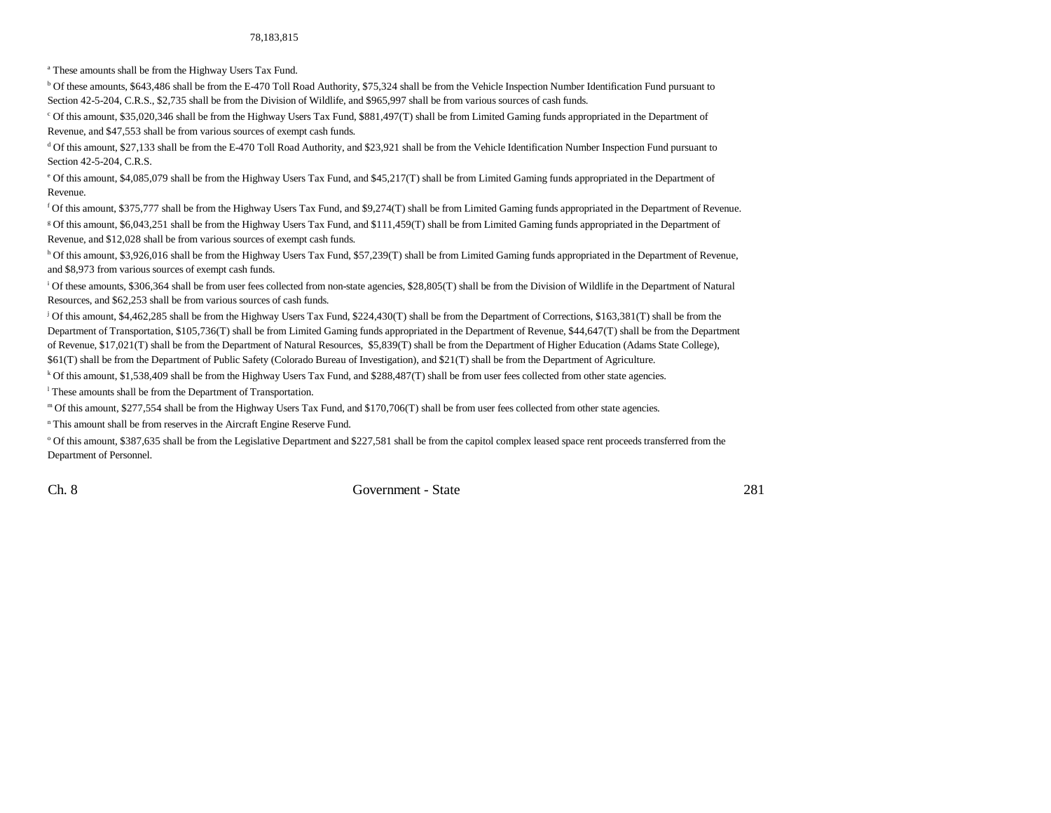#### 78,183,815

a These amounts shall be from the Highway Users Tax Fund.

b Of these amounts, \$643,486 shall be from the E-470 Toll Road Authority, \$75,324 shall be from the Vehicle Inspection Number Identification Fund pursuant to Section 42-5-204, C.R.S., \$2,735 shall be from the Division of Wildlife, and \$965,997 shall be from various sources of cash funds.

c Of this amount, \$35,020,346 shall be from the Highway Users Tax Fund, \$881,497(T) shall be from Limited Gaming funds appropriated in the Department of Revenue, and \$47,553 shall be from various sources of exempt cash funds.

d Of this amount, \$27,133 shall be from the E-470 Toll Road Authority, and \$23,921 shall be from the Vehicle Identification Number Inspection Fund pursuant to Section 42-5-204, C.R.S.

e Of this amount, \$4,085,079 shall be from the Highway Users Tax Fund, and \$45,217(T) shall be from Limited Gaming funds appropriated in the Department of Revenue.

f Of this amount, \$375,777 shall be from the Highway Users Tax Fund, and \$9,274(T) shall be from Limited Gaming funds appropriated in the Department of Revenue. g Of this amount, \$6,043,251 shall be from the Highway Users Tax Fund, and \$111,459(T) shall be from Limited Gaming funds appropriated in the Department of Revenue, and \$12,028 shall be from various sources of exempt cash funds.

h Of this amount, \$3,926,016 shall be from the Highway Users Tax Fund, \$57,239(T) shall be from Limited Gaming funds appropriated in the Department of Revenue, and \$8,973 from various sources of exempt cash funds.

<sup>i</sup> Of these amounts, \$306,364 shall be from user fees collected from non-state agencies, \$28,805(T) shall be from the Division of Wildlife in the Department of Natural Resources, and \$62,253 shall be from various sources of cash funds.

j Of this amount, \$4,462,285 shall be from the Highway Users Tax Fund, \$224,430(T) shall be from the Department of Corrections, \$163,381(T) shall be from the Department of Transportation, \$105,736(T) shall be from Limited Gaming funds appropriated in the Department of Revenue, \$44,647(T) shall be from the Department of Revenue, \$17,021(T) shall be from the Department of Natural Resources, \$5,839(T) shall be from the Department of Higher Education (Adams State College), \$61(T) shall be from the Department of Public Safety (Colorado Bureau of Investigation), and \$21(T) shall be from the Department of Agriculture.

k Of this amount, \$1,538,409 shall be from the Highway Users Tax Fund, and \$288,487(T) shall be from user fees collected from other state agencies.

<sup>1</sup> These amounts shall be from the Department of Transportation.

m Of this amount, \$277,554 shall be from the Highway Users Tax Fund, and \$170,706(T) shall be from user fees collected from other state agencies.

n This amount shall be from reserves in the Aircraft Engine Reserve Fund.

<sup>o</sup> Of this amount, \$387,635 shall be from the Legislative Department and \$227,581 shall be from the capitol complex leased space rent proceeds transferred from the Department of Personnel.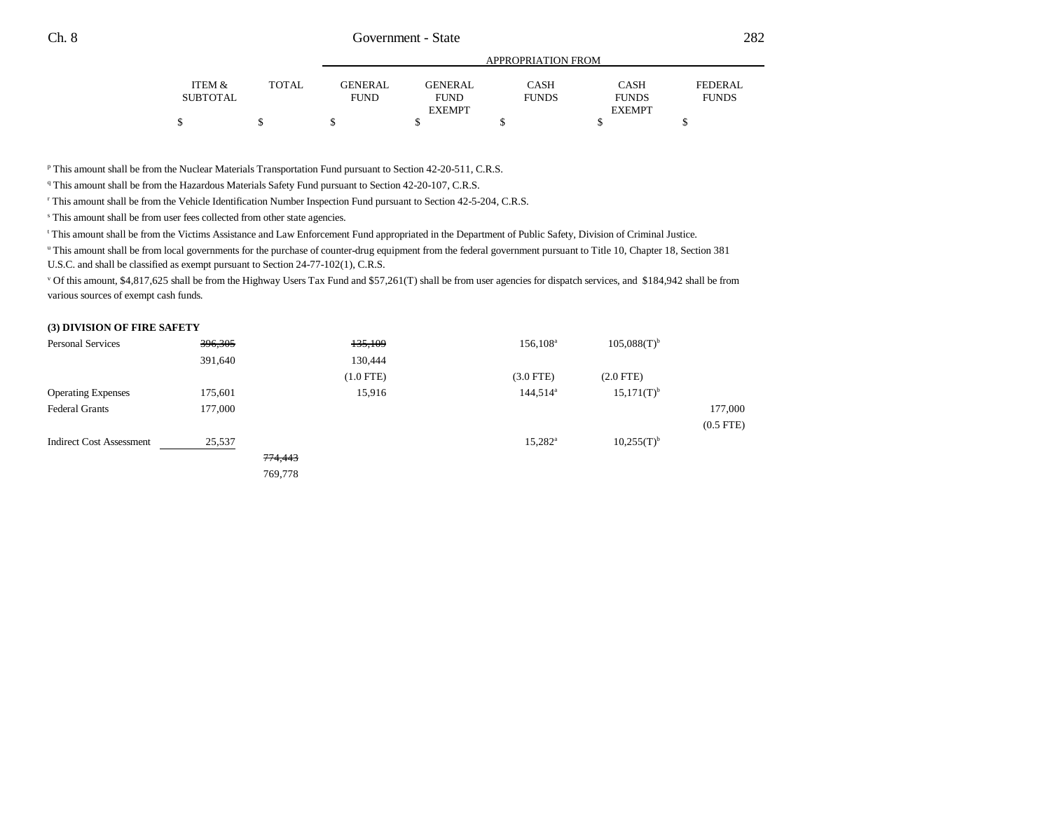|                 |              | APPROPRIATION FROM |                |              |               |              |  |  |
|-----------------|--------------|--------------------|----------------|--------------|---------------|--------------|--|--|
| ITEM &          | <b>TOTAL</b> | <b>GENERAL</b>     | <b>GENERAL</b> | CASH         | CASH          | FEDERAL.     |  |  |
| <b>SUBTOTAL</b> |              | <b>FUND</b>        | <b>FUND</b>    | <b>FUNDS</b> | <b>FUNDS</b>  | <b>FUNDS</b> |  |  |
|                 |              |                    | <b>EXEMPT</b>  |              | <b>EXEMPT</b> |              |  |  |
|                 |              |                    |                |              |               |              |  |  |

p This amount shall be from the Nuclear Materials Transportation Fund pursuant to Section 42-20-511, C.R.S.

<sup>q</sup> This amount shall be from the Hazardous Materials Safety Fund pursuant to Section 42-20-107, C.R.S.

r This amount shall be from the Vehicle Identification Number Inspection Fund pursuant to Section 42-5-204, C.R.S.

s This amount shall be from user fees collected from other state agencies.

t This amount shall be from the Victims Assistance and Law Enforcement Fund appropriated in the Department of Public Safety, Division of Criminal Justice.

u This amount shall be from local governments for the purchase of counter-drug equipment from the federal government pursuant to Title 10, Chapter 18, Section 381

U.S.C. and shall be classified as exempt pursuant to Section 24-77-102(1), C.R.S.

v Of this amount, \$4,817,625 shall be from the Highway Users Tax Fund and \$57,261(T) shall be from user agencies for dispatch services, and \$184,942 shall be from various sources of exempt cash funds.

#### **(3) DIVISION OF FIRE SAFETY**

| <b>Personal Services</b>        | 396,305 |         | 135,109     | $156, 108^{\circ}$ | $105,088(T)^{b}$ |             |
|---------------------------------|---------|---------|-------------|--------------------|------------------|-------------|
|                                 | 391,640 |         | 130,444     |                    |                  |             |
|                                 |         |         | $(1.0$ FTE) | $(3.0$ FTE $)$     | $(2.0$ FTE)      |             |
| <b>Operating Expenses</b>       | 175,601 |         | 15,916      | $144,514^a$        | $15,171(T)^{b}$  |             |
| <b>Federal Grants</b>           | 177,000 |         |             |                    |                  | 177,000     |
|                                 |         |         |             |                    |                  | $(0.5$ FTE) |
| <b>Indirect Cost Assessment</b> | 25,537  |         |             | $15,282^{\rm a}$   | $10,255(T)^{b}$  |             |
|                                 |         | 774,443 |             |                    |                  |             |
|                                 |         | 769,778 |             |                    |                  |             |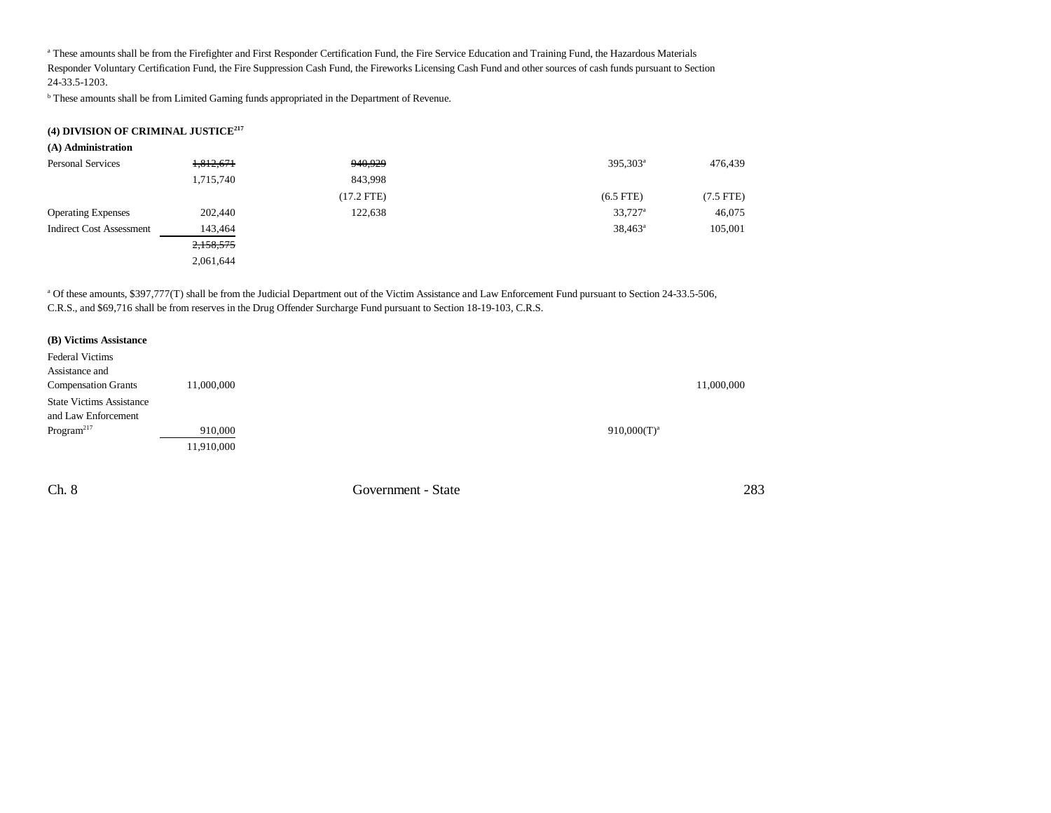a These amounts shall be from the Firefighter and First Responder Certification Fund, the Fire Service Education and Training Fund, the Hazardous Materials Responder Voluntary Certification Fund, the Fire Suppression Cash Fund, the Fireworks Licensing Cash Fund and other sources of cash funds pursuant to Section 24-33.5-1203.

**b** These amounts shall be from Limited Gaming funds appropriated in the Department of Revenue.

#### **(4) DIVISION OF CRIMINAL JUSTICE<sup>217</sup>**

| (A) Administration              |           |              |                       |             |
|---------------------------------|-----------|--------------|-----------------------|-------------|
| <b>Personal Services</b>        | 1,812,671 | 940,929      | 395,303 <sup>a</sup>  | 476,439     |
|                                 | 1,715,740 | 843,998      |                       |             |
|                                 |           | $(17.2$ FTE) | $(6.5$ FTE)           | $(7.5$ FTE) |
| <b>Operating Expenses</b>       | 202,440   | 122,638      | $33,727$ <sup>a</sup> | 46,075      |
| <b>Indirect Cost Assessment</b> | 143,464   |              | $38,463^{\rm a}$      | 105,001     |
|                                 | 2,158,575 |              |                       |             |
|                                 | 2,061,644 |              |                       |             |

a Of these amounts, \$397,777(T) shall be from the Judicial Department out of the Victim Assistance and Law Enforcement Fund pursuant to Section 24-33.5-506, C.R.S., and \$69,716 shall be from reserves in the Drug Offender Surcharge Fund pursuant to Section 18-19-103, C.R.S.

| (B) Victims Assistance          |            |  |                |            |
|---------------------------------|------------|--|----------------|------------|
| <b>Federal Victims</b>          |            |  |                |            |
| Assistance and                  |            |  |                |            |
| <b>Compensation Grants</b>      | 11,000,000 |  |                | 11,000,000 |
| <b>State Victims Assistance</b> |            |  |                |            |
| and Law Enforcement             |            |  |                |            |
| Program <sup>217</sup>          | 910,000    |  | $910,000(T)^a$ |            |
|                                 | 11,910,000 |  |                |            |

Ch. 8 Government - State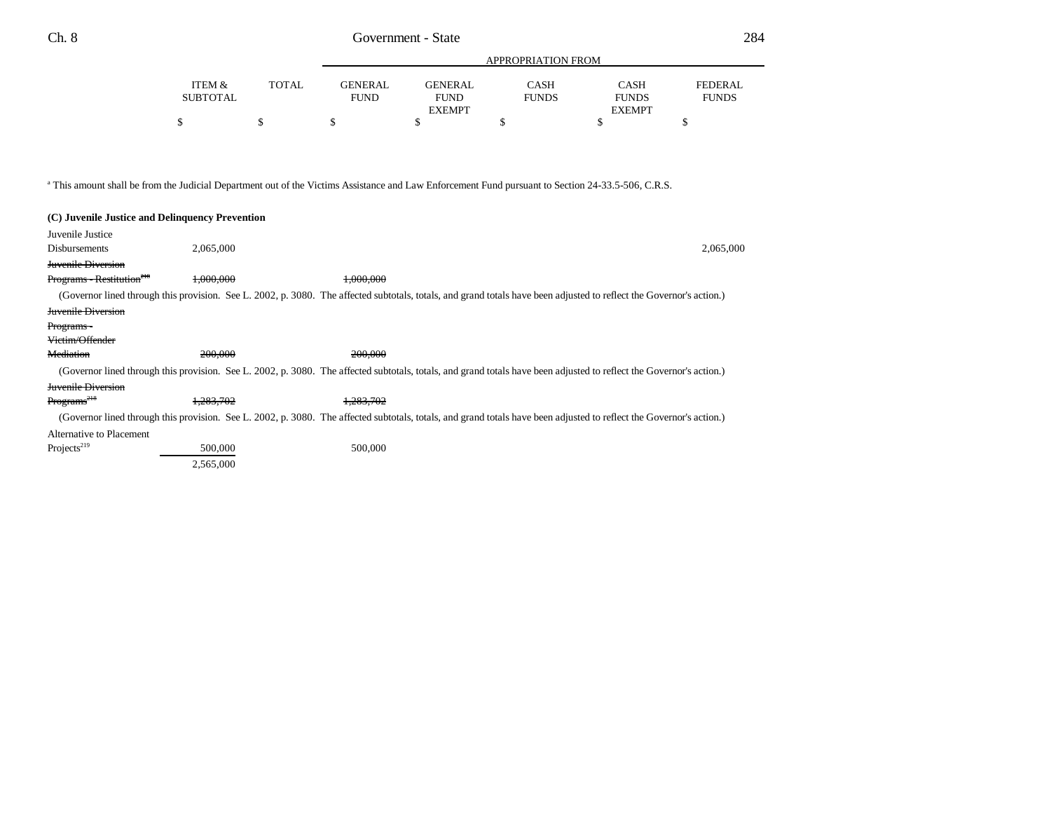|                    |              |                               | APPROPRIATION FROM     |                      |                             |                                |  |
|--------------------|--------------|-------------------------------|------------------------|----------------------|-----------------------------|--------------------------------|--|
| ITEM &<br>SUBTOTAL | <b>TOTAL</b> | <b>GENERAL</b><br><b>FUND</b> | GENERAL<br><b>FUND</b> | CASH<br><b>FUNDS</b> | <b>CASH</b><br><b>FUNDS</b> | <b>FEDERAL</b><br><b>FUNDS</b> |  |
|                    |              |                               | <b>EXEMPT</b>          |                      | <b>EXEMPT</b>               |                                |  |

a This amount shall be from the Judicial Department out of the Victims Assistance and Law Enforcement Fund pursuant to Section 24-33.5-506, C.R.S.

| (C) Juvenile Justice and Delinquency Prevention |           |                                                                                                                                                                      |           |
|-------------------------------------------------|-----------|----------------------------------------------------------------------------------------------------------------------------------------------------------------------|-----------|
| Juvenile Justice                                |           |                                                                                                                                                                      |           |
| Disbursements                                   | 2,065,000 |                                                                                                                                                                      | 2,065,000 |
| <b>Juvenile Diversion</b>                       |           |                                                                                                                                                                      |           |
| Programs - Restitution <sup>218</sup>           | 1.000.000 | 1,000,000                                                                                                                                                            |           |
|                                                 |           | (Governor lined through this provision. See L. 2002, p. 3080. The affected subtotals, totals, and grand totals have been adjusted to reflect the Governor's action.) |           |
| <b>Juvenile Diversion</b>                       |           |                                                                                                                                                                      |           |
| Programs-                                       |           |                                                                                                                                                                      |           |
| <del>Victim/Offender</del>                      |           |                                                                                                                                                                      |           |
| <b>Mediation</b>                                | 200,000   | 200,000                                                                                                                                                              |           |
|                                                 |           | (Governor lined through this provision. See L. 2002, p. 3080. The affected subtotals, totals, and grand totals have been adjusted to reflect the Governor's action.) |           |
| <b>Juvenile Diversion</b>                       |           |                                                                                                                                                                      |           |
| Programs <sup>218</sup>                         | 1.283.702 | 1.283.702                                                                                                                                                            |           |
|                                                 |           | (Governor lined through this provision. See L. 2002, p. 3080. The affected subtotals, totals, and grand totals have been adjusted to reflect the Governor's action.) |           |
| Alternative to Placement                        |           |                                                                                                                                                                      |           |
| Projects <sup>219</sup>                         | 500,000   | 500,000                                                                                                                                                              |           |
|                                                 | 2,565,000 |                                                                                                                                                                      |           |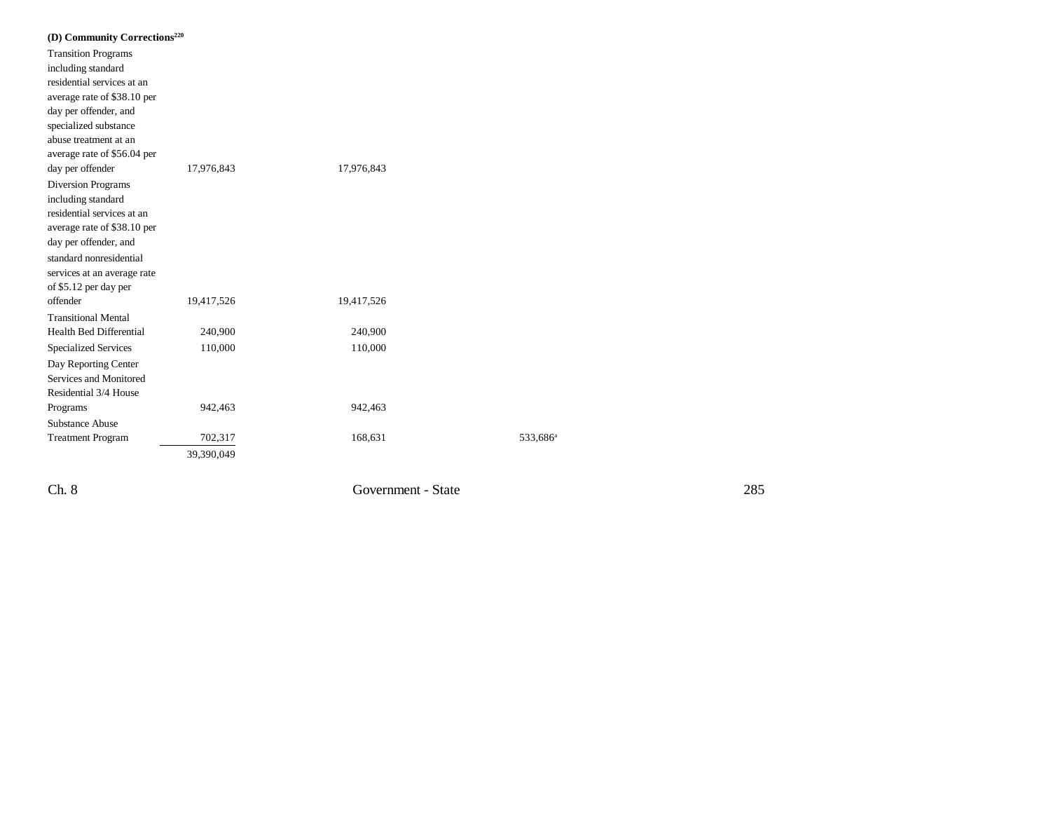| (D) Community Corrections <sup>220</sup> |            |            |                      |
|------------------------------------------|------------|------------|----------------------|
| <b>Transition Programs</b>               |            |            |                      |
| including standard                       |            |            |                      |
| residential services at an               |            |            |                      |
| average rate of \$38.10 per              |            |            |                      |
| day per offender, and                    |            |            |                      |
| specialized substance                    |            |            |                      |
| abuse treatment at an                    |            |            |                      |
| average rate of \$56.04 per              |            |            |                      |
| day per offender                         | 17,976,843 | 17,976,843 |                      |
| <b>Diversion Programs</b>                |            |            |                      |
| including standard                       |            |            |                      |
| residential services at an               |            |            |                      |
| average rate of \$38.10 per              |            |            |                      |
| day per offender, and                    |            |            |                      |
| standard nonresidential                  |            |            |                      |
| services at an average rate              |            |            |                      |
| of \$5.12 per day per                    |            |            |                      |
| offender                                 | 19,417,526 | 19,417,526 |                      |
| <b>Transitional Mental</b>               |            |            |                      |
| Health Bed Differential                  | 240,900    | 240,900    |                      |
| <b>Specialized Services</b>              | 110,000    | 110,000    |                      |
| Day Reporting Center                     |            |            |                      |
| Services and Monitored                   |            |            |                      |
| Residential 3/4 House                    |            |            |                      |
| Programs                                 | 942,463    | 942,463    |                      |
| <b>Substance Abuse</b>                   |            |            |                      |
| <b>Treatment Program</b>                 | 702,317    | 168,631    | 533,686 <sup>a</sup> |
|                                          | 39,390,049 |            |                      |
|                                          |            |            |                      |

Ch. 8 Government - State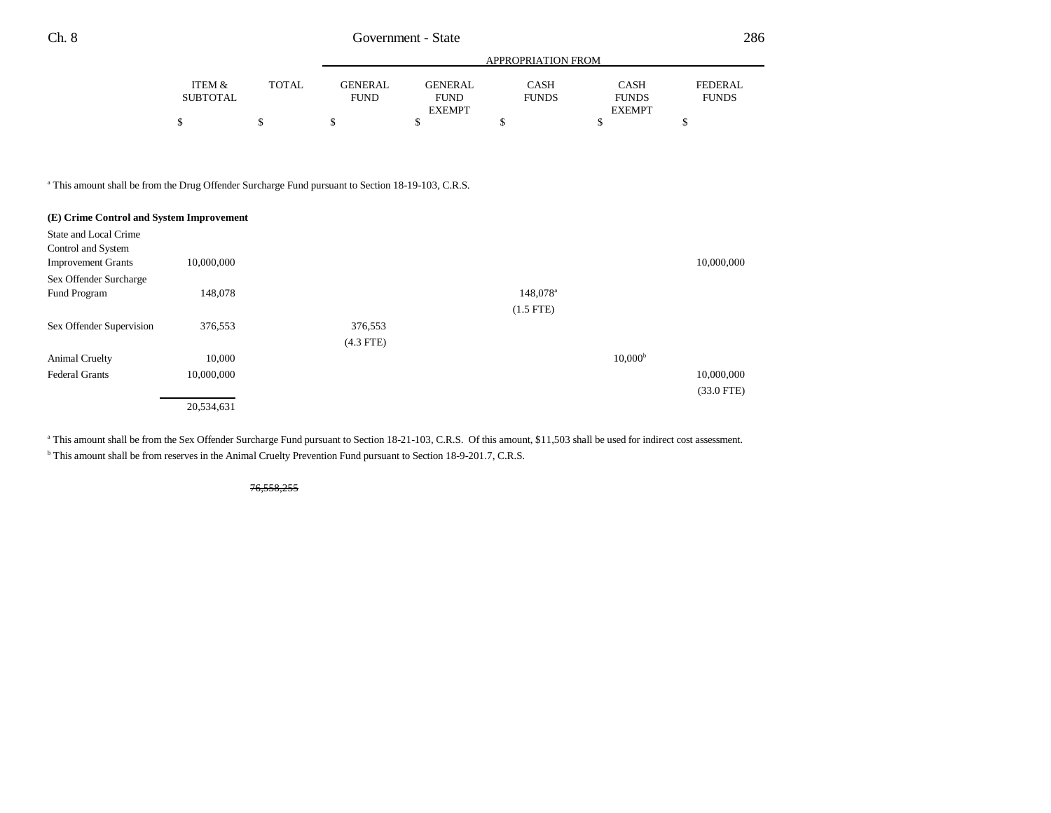|          |       | APPROPRIATION FROM |                |              |               |                |
|----------|-------|--------------------|----------------|--------------|---------------|----------------|
| ITEM &   | TOTAL | GENERAL            | <b>GENERAL</b> | CASH         | <b>CASH</b>   | <b>FEDERAL</b> |
| SUBTOTAL |       | <b>FUND</b>        | <b>FUND</b>    | <b>FUNDS</b> | <b>FUNDS</b>  | <b>FUNDS</b>   |
|          |       |                    | <b>EXEMPT</b>  |              | <b>EXEMPT</b> |                |
|          |       |                    |                |              |               |                |

<sup>a</sup> This amount shall be from the Drug Offender Surcharge Fund pursuant to Section 18-19-103, C.R.S.

| (E) Crime Control and System Improvement |            |             |                      |                     |              |
|------------------------------------------|------------|-------------|----------------------|---------------------|--------------|
| State and Local Crime                    |            |             |                      |                     |              |
| Control and System                       |            |             |                      |                     |              |
| <b>Improvement Grants</b>                | 10,000,000 |             |                      |                     | 10,000,000   |
| Sex Offender Surcharge                   |            |             |                      |                     |              |
| Fund Program                             | 148,078    |             | 148,078 <sup>a</sup> |                     |              |
|                                          |            |             | $(1.5$ FTE)          |                     |              |
| Sex Offender Supervision                 | 376,553    | 376,553     |                      |                     |              |
|                                          |            | $(4.3$ FTE) |                      |                     |              |
| Animal Cruelty                           | 10,000     |             |                      | 10.000 <sup>b</sup> |              |
| <b>Federal Grants</b>                    | 10,000,000 |             |                      |                     | 10,000,000   |
|                                          |            |             |                      |                     | $(33.0$ FTE) |
|                                          | 20,534,631 |             |                      |                     |              |

<sup>a</sup> This amount shall be from the Sex Offender Surcharge Fund pursuant to Section 18-21-103, C.R.S. Of this amount, \$11,503 shall be used for indirect cost assessment.

<sup>b</sup> This amount shall be from reserves in the Animal Cruelty Prevention Fund pursuant to Section 18-9-201.7, C.R.S.

76,558,255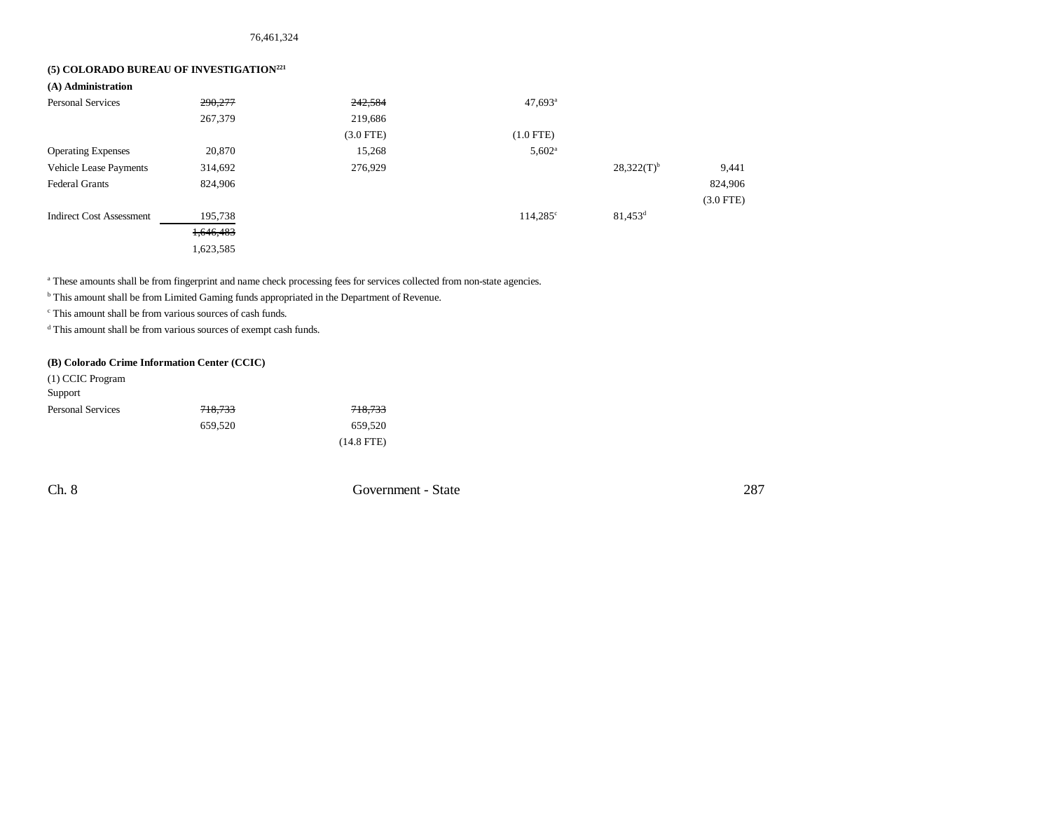## **(5) COLORADO BUREAU OF INVESTIGATION<sup>221</sup>**

| (A) Administration              |           |             |                       |                 |             |
|---------------------------------|-----------|-------------|-----------------------|-----------------|-------------|
| <b>Personal Services</b>        | 290,277   | 242,584     | $47,693$ <sup>a</sup> |                 |             |
|                                 | 267,379   | 219,686     |                       |                 |             |
|                                 |           | $(3.0$ FTE) | $(1.0$ FTE)           |                 |             |
| <b>Operating Expenses</b>       | 20,870    | 15,268      | $5,602^{\rm a}$       |                 |             |
| Vehicle Lease Payments          | 314,692   | 276,929     |                       | $28,322(T)^{b}$ | 9,441       |
| <b>Federal Grants</b>           | 824,906   |             |                       |                 | 824,906     |
|                                 |           |             |                       |                 | $(3.0$ FTE) |
| <b>Indirect Cost Assessment</b> | 195,738   |             | $114.285^{\circ}$     | $81,453^d$      |             |
|                                 | 1,646,483 |             |                       |                 |             |
|                                 | 1,623,585 |             |                       |                 |             |

a These amounts shall be from fingerprint and name check processing fees for services collected from non-state agencies.

**b** This amount shall be from Limited Gaming funds appropriated in the Department of Revenue.

c This amount shall be from various sources of cash funds.

d This amount shall be from various sources of exempt cash funds.

## **(B) Colorado Crime Information Center (CCIC)**

| (1) CCIC Program         |         |              |
|--------------------------|---------|--------------|
| Support                  |         |              |
| <b>Personal Services</b> | 718,733 | 718,733      |
|                          | 659.520 | 659,520      |
|                          |         | $(14.8$ FTE) |

Ch. 8 Government - State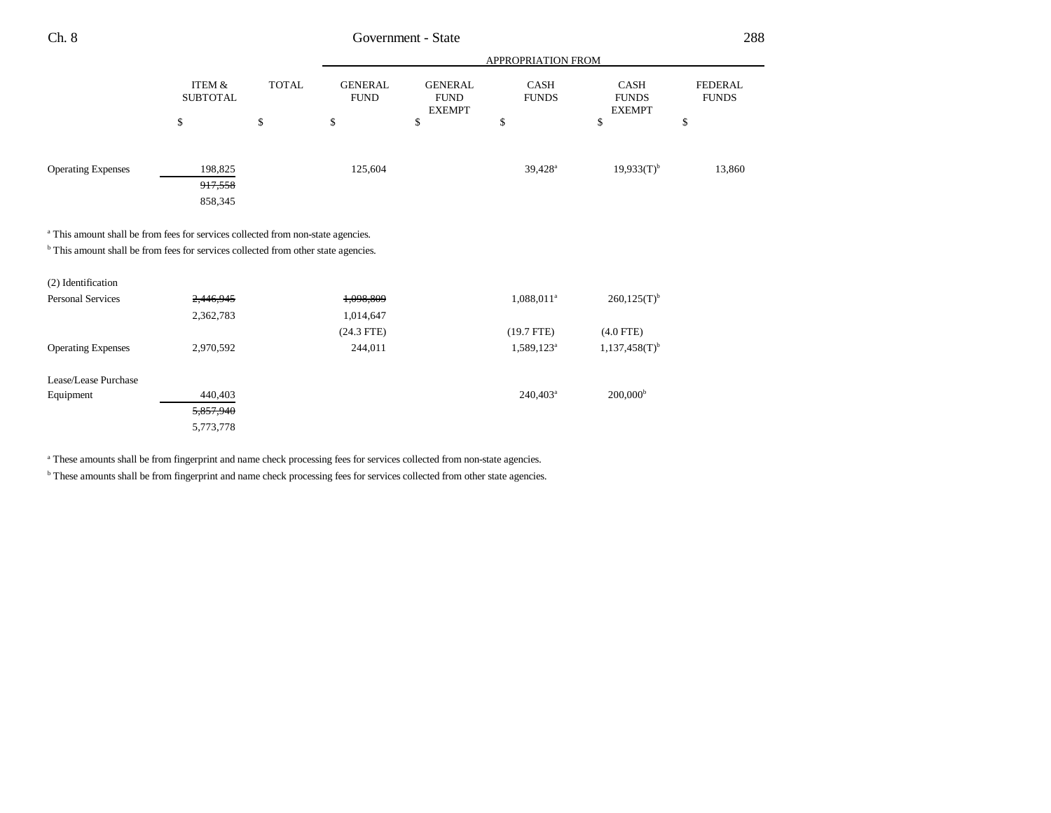| Ch. 8<br>_____ | <b>State</b><br>Government - ' | 288 |
|----------------|--------------------------------|-----|
|                |                                |     |

|                                                                                               |                                      |              |                               |                                                | APPROPRIATION FROM   |                                       |                                |
|-----------------------------------------------------------------------------------------------|--------------------------------------|--------------|-------------------------------|------------------------------------------------|----------------------|---------------------------------------|--------------------------------|
|                                                                                               | <b>ITEM &amp;</b><br><b>SUBTOTAL</b> | <b>TOTAL</b> | <b>GENERAL</b><br><b>FUND</b> | <b>GENERAL</b><br><b>FUND</b><br><b>EXEMPT</b> | CASH<br><b>FUNDS</b> | CASH<br><b>FUNDS</b><br><b>EXEMPT</b> | <b>FEDERAL</b><br><b>FUNDS</b> |
|                                                                                               | \$                                   | \$           | \$                            | \$                                             | \$                   | \$                                    | \$                             |
|                                                                                               |                                      |              |                               |                                                |                      |                                       |                                |
| <b>Operating Expenses</b>                                                                     | 198,825                              |              | 125,604                       |                                                | 39,428 <sup>a</sup>  | $19,933(T)^{b}$                       | 13,860                         |
|                                                                                               | 917,558                              |              |                               |                                                |                      |                                       |                                |
|                                                                                               | 858,345                              |              |                               |                                                |                      |                                       |                                |
|                                                                                               |                                      |              |                               |                                                |                      |                                       |                                |
| <sup>a</sup> This amount shall be from fees for services collected from non-state agencies.   |                                      |              |                               |                                                |                      |                                       |                                |
| <sup>b</sup> This amount shall be from fees for services collected from other state agencies. |                                      |              |                               |                                                |                      |                                       |                                |
| (2) Identification                                                                            |                                      |              |                               |                                                |                      |                                       |                                |
| <b>Personal Services</b>                                                                      | 2,446,945                            |              | 1,098,809                     |                                                | $1,088,011^a$        | $260,125(T)^{b}$                      |                                |
|                                                                                               | 2,362,783                            |              | 1,014,647                     |                                                |                      |                                       |                                |
|                                                                                               |                                      |              | $(24.3$ FTE)                  |                                                | $(19.7$ FTE)         | $(4.0$ FTE)                           |                                |
| <b>Operating Expenses</b>                                                                     | 2,970,592                            |              | 244,011                       |                                                | $1,589,123^a$        | $1,137,458(T)^{b}$                    |                                |
|                                                                                               |                                      |              |                               |                                                |                      |                                       |                                |
| Lease/Lease Purchase                                                                          |                                      |              |                               |                                                |                      |                                       |                                |
| Equipment                                                                                     | 440,403                              |              |                               |                                                | $240,403^a$          | $200,000^{\rm b}$                     |                                |
|                                                                                               | 5,857,940                            |              |                               |                                                |                      |                                       |                                |
|                                                                                               | 5,773,778                            |              |                               |                                                |                      |                                       |                                |

<sup>a</sup> These amounts shall be from fingerprint and name check processing fees for services collected from non-state agencies.

**b** These amounts shall be from fingerprint and name check processing fees for services collected from other state agencies.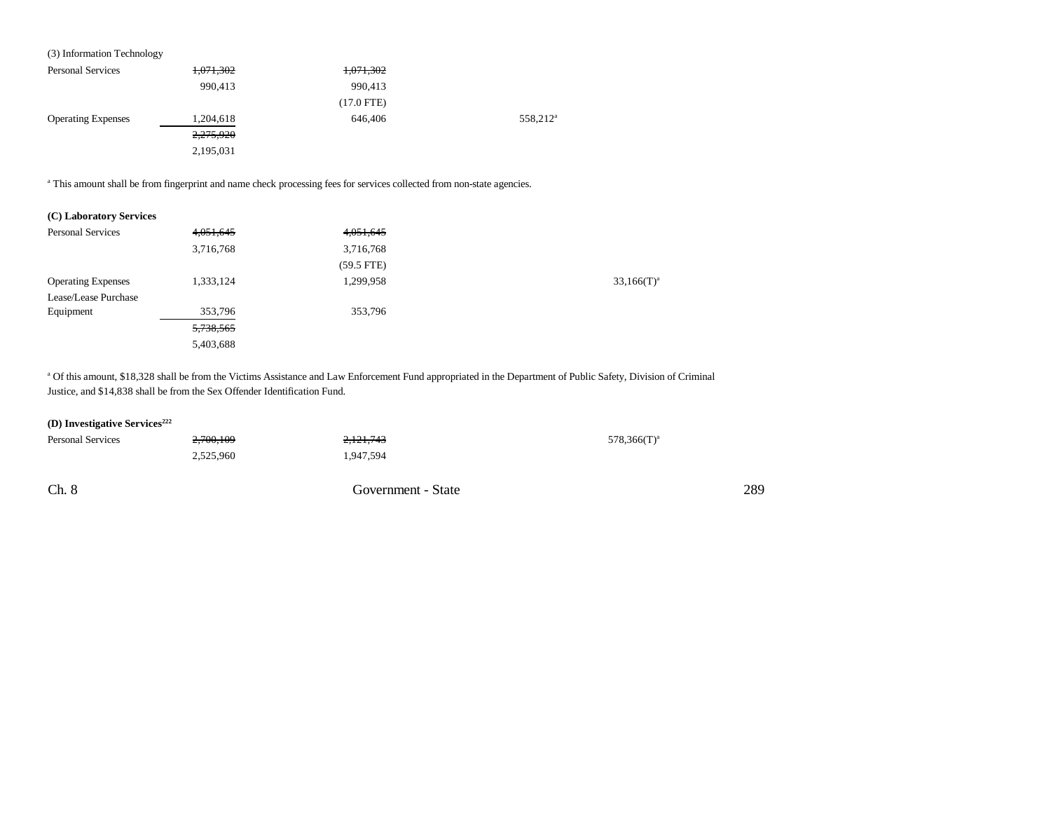| (3) Information Technology |           |              |                      |
|----------------------------|-----------|--------------|----------------------|
| <b>Personal Services</b>   | 1,071,302 | 1,071,302    |                      |
|                            | 990,413   | 990,413      |                      |
|                            |           | $(17.0$ FTE) |                      |
| <b>Operating Expenses</b>  | 1,204,618 | 646,406      | 558,212 <sup>a</sup> |
|                            | 2,275,920 |              |                      |
|                            | 2,195,031 |              |                      |
|                            |           |              |                      |

<sup>a</sup> This amount shall be from fingerprint and name check processing fees for services collected from non-state agencies.

|  | (C) Laboratory Services |  |
|--|-------------------------|--|
|--|-------------------------|--|

| <b>Personal Services</b>  | 4,051,645 | 4,051,645    |               |
|---------------------------|-----------|--------------|---------------|
|                           | 3,716,768 | 3,716,768    |               |
|                           |           | $(59.5$ FTE) |               |
| <b>Operating Expenses</b> | 1,333,124 | 1,299,958    | $33,166(T)^a$ |
| Lease/Lease Purchase      |           |              |               |
| Equipment                 | 353,796   | 353,796      |               |
|                           | 5,738,565 |              |               |
|                           | 5,403,688 |              |               |

<sup>a</sup> Of this amount, \$18,328 shall be from the Victims Assistance and Law Enforcement Fund appropriated in the Department of Public Safety, Division of Criminal Justice, and \$14,838 shall be from the Sex Offender Identification Fund.

## **(D) Investigative Services**<sup>222</sup>

| <b>Personal Services</b> | 2,700,109 | 2,121,743          | $578,366(T)^a$ |
|--------------------------|-----------|--------------------|----------------|
|                          | 2,525,960 | 1,947,594          |                |
|                          |           |                    |                |
| Ch. 8                    |           | Government - State |                |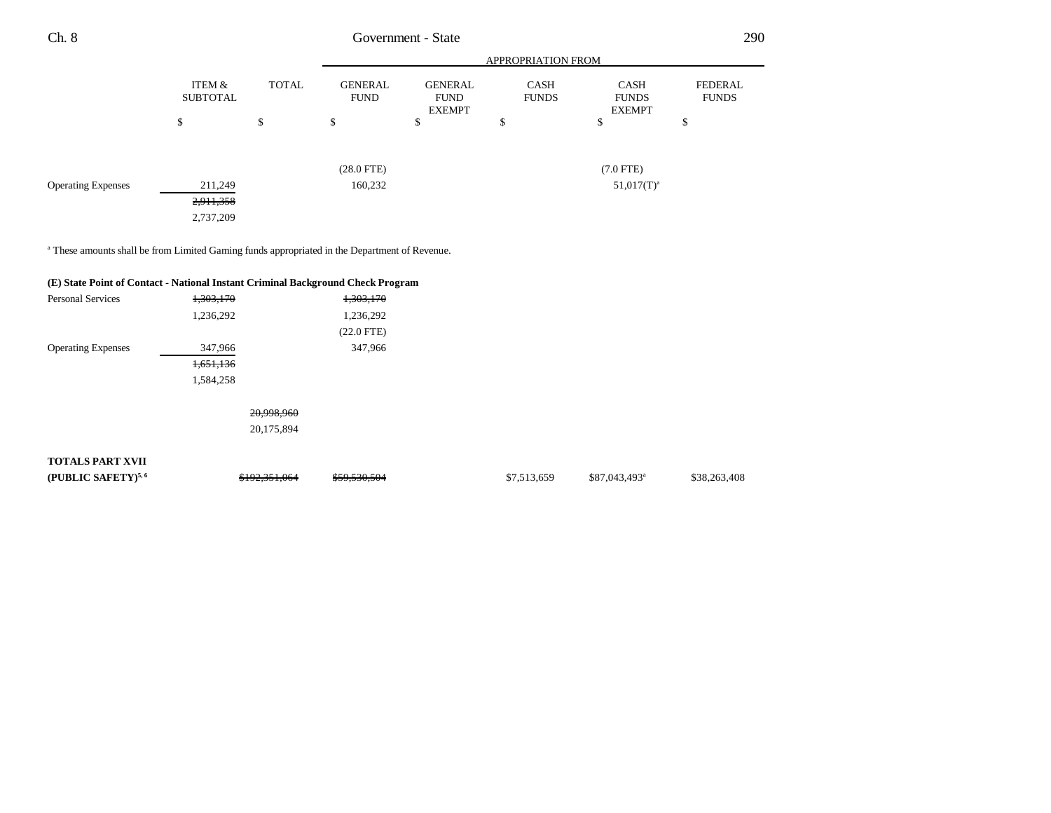| Ch. 8                     |                           |       | 290<br>Government - State<br><b>APPROPRIATION FROM</b><br><b>GENERAL</b><br>GENERAL<br>FEDERAL<br><b>CASH</b><br><b>CASH</b><br><b>FUND</b><br><b>FUNDS</b><br><b>FUNDS</b><br><b>FUNDS</b><br><b>FUND</b> |               |                |   |
|---------------------------|---------------------------|-------|------------------------------------------------------------------------------------------------------------------------------------------------------------------------------------------------------------|---------------|----------------|---|
|                           |                           |       |                                                                                                                                                                                                            |               |                |   |
|                           | ITEM &<br><b>SUBTOTAL</b> | TOTAL |                                                                                                                                                                                                            | <b>EXEMPT</b> | <b>EXEMPT</b>  |   |
|                           | \$                        | ъ     | \$                                                                                                                                                                                                         | D             | \$<br>D        | Ф |
|                           |                           |       | $(28.0$ FTE $)$                                                                                                                                                                                            |               | $(7.0$ FTE $)$ |   |
| <b>Operating Expenses</b> | 211,249                   |       | 160,232                                                                                                                                                                                                    |               | $51,017(T)^a$  |   |

a These amounts shall be from Limited Gaming funds appropriated in the Department of Revenue.

2,911,358 2,737,209

|                                |               | (E) State Point of Contact - National Instant Criminal Background Check Program |             |                           |              |
|--------------------------------|---------------|---------------------------------------------------------------------------------|-------------|---------------------------|--------------|
| <b>Personal Services</b>       | 1,303,170     | 1,303,170                                                                       |             |                           |              |
|                                | 1,236,292     | 1,236,292                                                                       |             |                           |              |
|                                |               | $(22.0$ FTE)                                                                    |             |                           |              |
| <b>Operating Expenses</b>      | 347,966       | 347,966                                                                         |             |                           |              |
|                                | 1,651,136     |                                                                                 |             |                           |              |
|                                | 1,584,258     |                                                                                 |             |                           |              |
|                                | 20,998,960    |                                                                                 |             |                           |              |
|                                | 20,175,894    |                                                                                 |             |                           |              |
| <b>TOTALS PART XVII</b>        |               |                                                                                 |             |                           |              |
| (PUBLIC SAFETY) <sup>5,6</sup> | \$192,351,064 | \$59,530,504                                                                    | \$7,513,659 | \$87,043,493 <sup>a</sup> | \$38,263,408 |
|                                |               |                                                                                 |             |                           |              |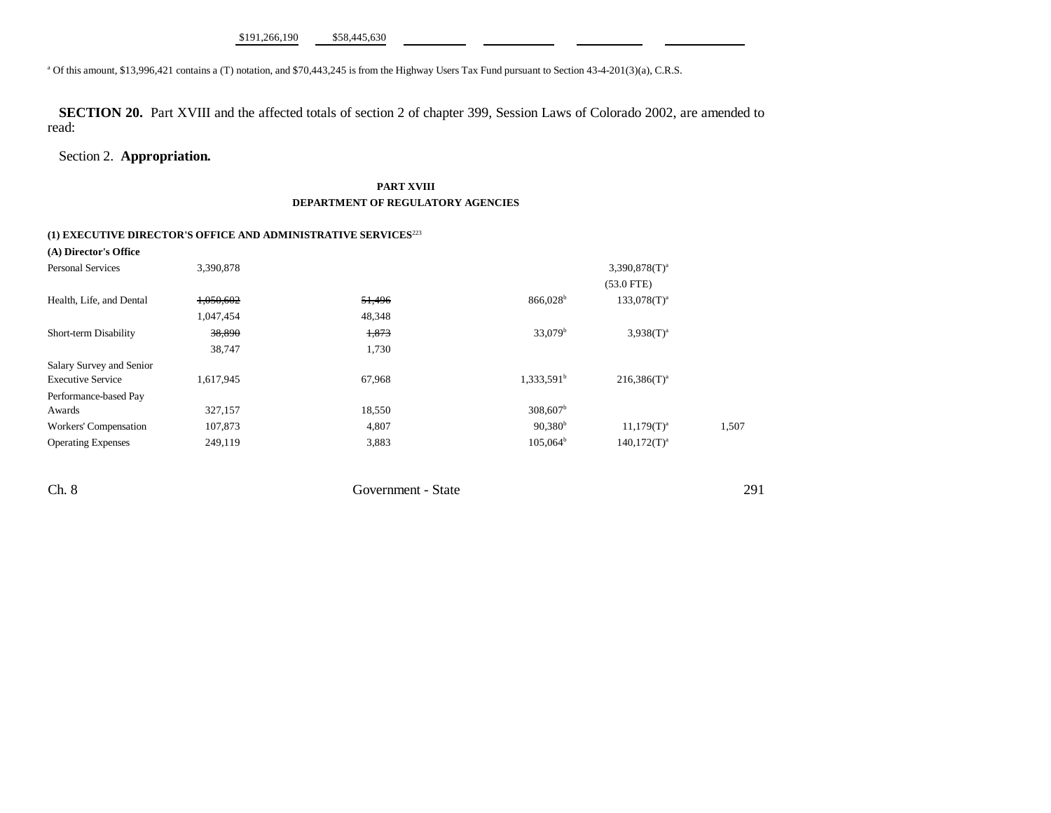<sup>a</sup> Of this amount, \$13,996,421 contains a (T) notation, and \$70,443,245 is from the Highway Users Tax Fund pursuant to Section 43-4-201(3)(a), C.R.S.

**SECTION 20.** Part XVIII and the affected totals of section 2 of chapter 399, Session Laws of Colorado 2002, are amended to read:

## Section 2. **Appropriation.**

## **PART XVIII DEPARTMENT OF REGULATORY AGENCIES**

# **(1) EXECUTIVE DIRECTOR'S OFFICE AND ADMINISTRATIVE SERVICES**<sup>223</sup>

| (A) Director's Office     |           |        |                        |                              |       |
|---------------------------|-----------|--------|------------------------|------------------------------|-------|
| <b>Personal Services</b>  | 3,390,878 |        |                        | $3,390,878$ (T) <sup>a</sup> |       |
|                           |           |        |                        | $(53.0$ FTE)                 |       |
| Health, Life, and Dental  | 1,050,602 | 51,496 | $866,028$ <sup>b</sup> | $133,078(T)^{a}$             |       |
|                           | 1,047,454 | 48,348 |                        |                              |       |
| Short-term Disability     | 38,890    | 1,873  | $33,079^{\rm b}$       | $3.938(T)^{a}$               |       |
|                           | 38,747    | 1,730  |                        |                              |       |
| Salary Survey and Senior  |           |        |                        |                              |       |
| <b>Executive Service</b>  | 1,617,945 | 67,968 | 1,333,591 <sup>b</sup> | $216,386(T)^a$               |       |
| Performance-based Pay     |           |        |                        |                              |       |
| Awards                    | 327,157   | 18,550 | 308,607 <sup>b</sup>   |                              |       |
| Workers' Compensation     | 107,873   | 4,807  | $90,380^{b}$           | $11,179(T)^{a}$              | 1,507 |
| <b>Operating Expenses</b> | 249,119   | 3,883  | $105,064^{\rm b}$      | $140.172(T)^{a}$             |       |

Ch. 8 Government - State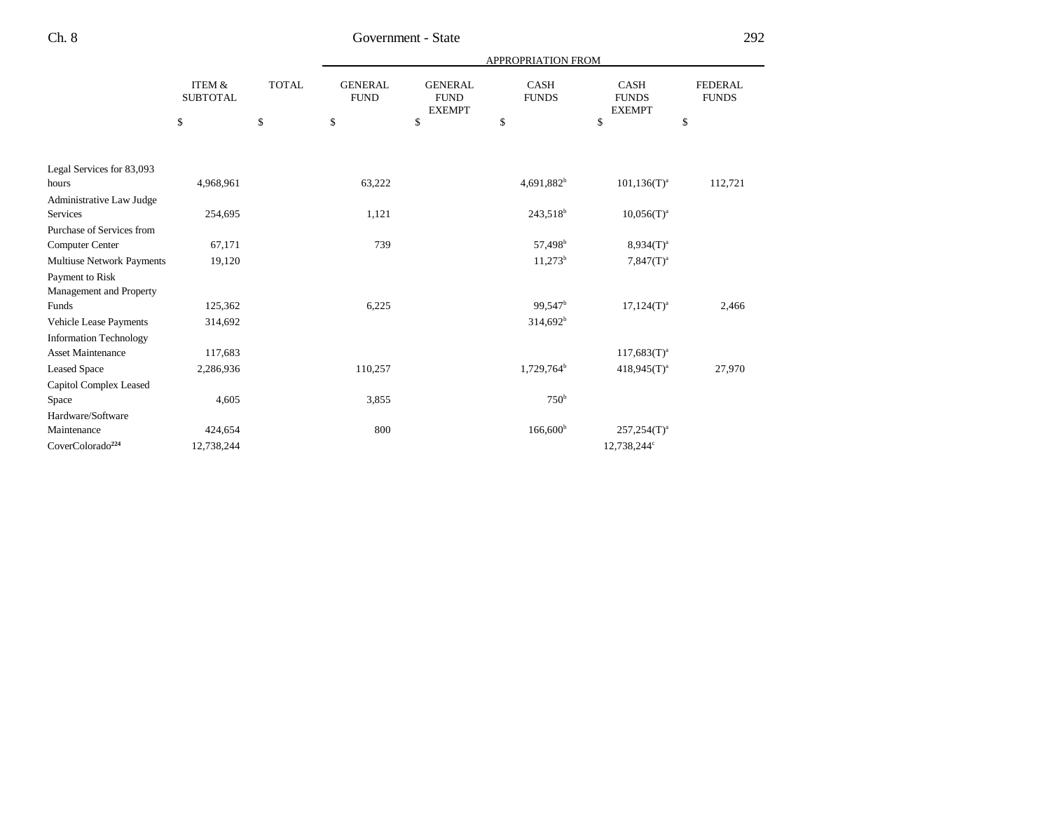|                                  |                                      |              |                               |                                                | APPROPRIATION FROM          |                                              |                                |
|----------------------------------|--------------------------------------|--------------|-------------------------------|------------------------------------------------|-----------------------------|----------------------------------------------|--------------------------------|
|                                  | <b>ITEM &amp;</b><br><b>SUBTOTAL</b> | <b>TOTAL</b> | <b>GENERAL</b><br><b>FUND</b> | <b>GENERAL</b><br><b>FUND</b><br><b>EXEMPT</b> | <b>CASH</b><br><b>FUNDS</b> | <b>CASH</b><br><b>FUNDS</b><br><b>EXEMPT</b> | <b>FEDERAL</b><br><b>FUNDS</b> |
|                                  | \$                                   | $\mathbb{S}$ | \$                            | \$                                             | \$                          | \$                                           | \$                             |
|                                  |                                      |              |                               |                                                |                             |                                              |                                |
| Legal Services for 83,093        |                                      |              |                               |                                                |                             |                                              |                                |
| hours                            | 4,968,961                            |              | 63,222                        |                                                | $4,691,882^b$               | $101, 136(T)^{a}$                            | 112,721                        |
| Administrative Law Judge         |                                      |              |                               |                                                |                             |                                              |                                |
| Services                         | 254,695                              |              | 1,121                         |                                                | $243,518^b$                 | $10,056(T)^{a}$                              |                                |
| Purchase of Services from        |                                      |              |                               |                                                |                             |                                              |                                |
| Computer Center                  | 67,171                               |              | 739                           |                                                | 57,498 <sup>b</sup>         | $8,934(T)^{a}$                               |                                |
| <b>Multiuse Network Payments</b> | 19,120                               |              |                               |                                                | $11,273^b$                  | $7,847(T)^a$                                 |                                |
| Payment to Risk                  |                                      |              |                               |                                                |                             |                                              |                                |
| Management and Property          |                                      |              |                               |                                                |                             |                                              |                                |
| Funds                            | 125,362                              |              | 6,225                         |                                                | 99,547 <sup>b</sup>         | $17,124(T)^a$                                | 2,466                          |
| Vehicle Lease Payments           | 314,692                              |              |                               |                                                | $314,692^b$                 |                                              |                                |
| <b>Information Technology</b>    |                                      |              |                               |                                                |                             |                                              |                                |
| <b>Asset Maintenance</b>         | 117,683                              |              |                               |                                                |                             | $117,683(T)^{a}$                             |                                |
| <b>Leased Space</b>              | 2,286,936                            |              | 110,257                       |                                                | 1,729,764 <sup>b</sup>      | $418,945(T)^{a}$                             | 27,970                         |
| Capitol Complex Leased           |                                      |              |                               |                                                |                             |                                              |                                |
| Space                            | 4,605                                |              | 3,855                         |                                                | 750 <sup>b</sup>            |                                              |                                |
| Hardware/Software                |                                      |              |                               |                                                |                             |                                              |                                |
| Maintenance                      | 424,654                              |              | 800                           |                                                | $166,600^{\rm b}$           | $257,254(T)^a$                               |                                |
| CoverColorado <sup>224</sup>     | 12,738,244                           |              |                               |                                                |                             | 12,738,244 <sup>c</sup>                      |                                |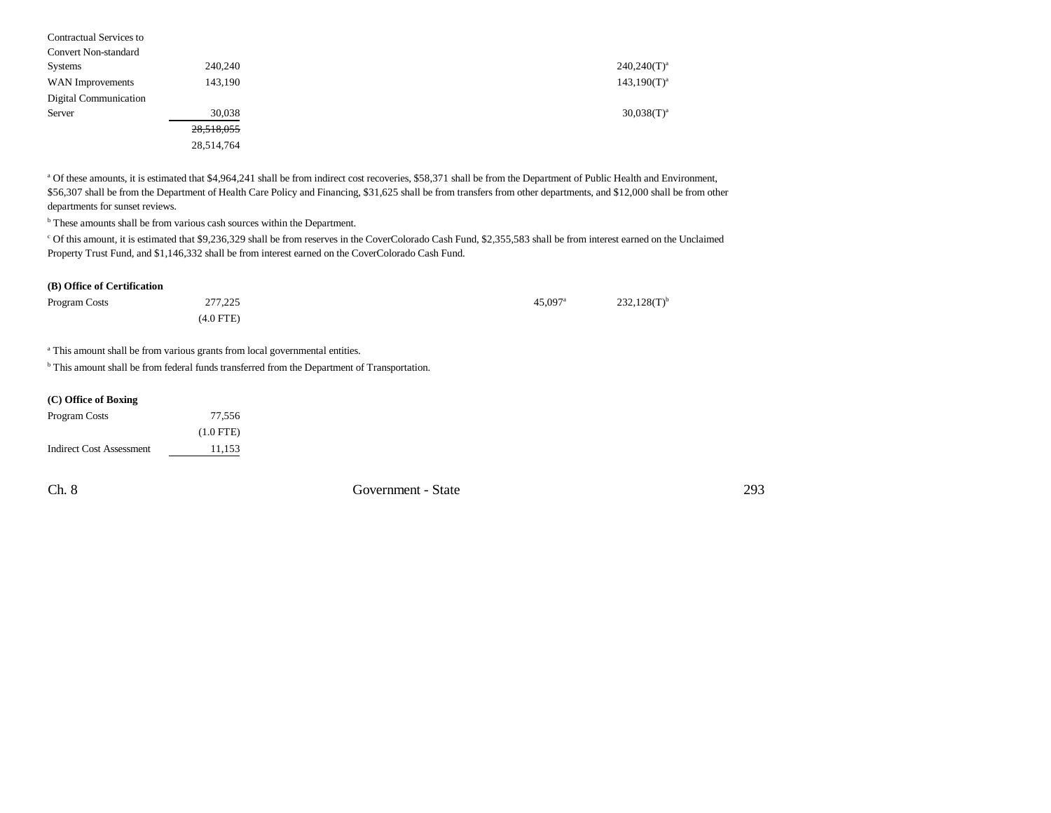| Contractual Services to     |            |                  |
|-----------------------------|------------|------------------|
| <b>Convert Non-standard</b> |            |                  |
| Systems                     | 240.240    | $240,240(T)^a$   |
| WAN Improvements            | 143,190    | $143.190(T)^{a}$ |
| Digital Communication       |            |                  |
| Server                      | 30,038     | $30.038(T)^{a}$  |
|                             | 28,518,055 |                  |
|                             | 28,514,764 |                  |

<sup>a</sup> Of these amounts, it is estimated that \$4,964,241 shall be from indirect cost recoveries, \$58,371 shall be from the Department of Public Health and Environment, \$56,307 shall be from the Department of Health Care Policy and Financing, \$31,625 shall be from transfers from other departments, and \$12,000 shall be from other departments for sunset reviews.

 $^{\rm b}$  These amounts shall be from various cash sources within the Department.

c Of this amount, it is estimated that \$9,236,329 shall be from reserves in the CoverColorado Cash Fund, \$2,355,583 shall be from interest earned on the Unclaimed Property Trust Fund, and \$1,146,332 shall be from interest earned on the CoverColorado Cash Fund.

#### **(B) Office of Certification**

| Program Costs | 277,225   | $45.097$ <sup>a</sup> | $232,128(T)^{b}$ |  |
|---------------|-----------|-----------------------|------------------|--|
|               | (4.0 FTE) |                       |                  |  |

<sup>a</sup> This amount shall be from various grants from local governmental entities.

<sup>b</sup> This amount shall be from federal funds transferred from the Department of Transportation.

| (C) Office of Boxing            |             |
|---------------------------------|-------------|
| Program Costs                   | 77.556      |
|                                 | $(1.0$ FTE) |
| <b>Indirect Cost Assessment</b> | 11,153      |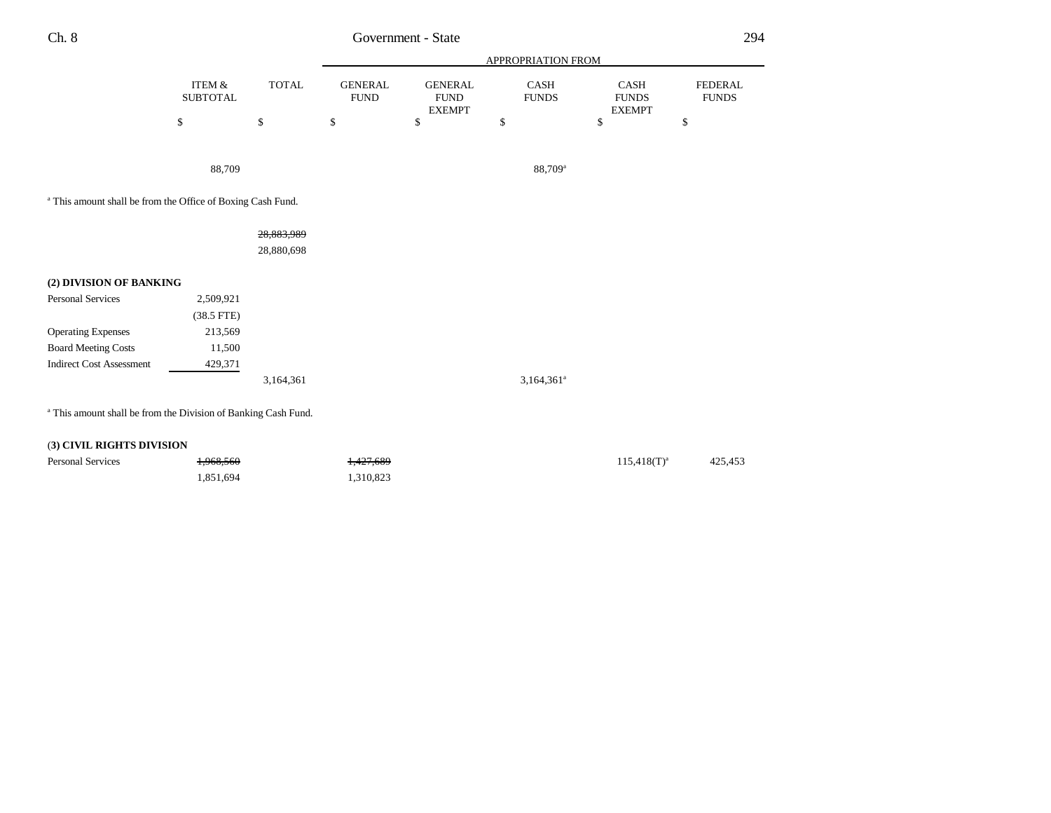| Ch. 8<br>___ | State<br>Government | ∩QΔ |
|--------------|---------------------|-----|
|              |                     |     |

|                                                                           |                           |              | APPROPRIATION FROM            |                                                |                      |                                       |                                |
|---------------------------------------------------------------------------|---------------------------|--------------|-------------------------------|------------------------------------------------|----------------------|---------------------------------------|--------------------------------|
|                                                                           | ITEM &<br><b>SUBTOTAL</b> | <b>TOTAL</b> | <b>GENERAL</b><br><b>FUND</b> | <b>GENERAL</b><br><b>FUND</b><br><b>EXEMPT</b> | CASH<br><b>FUNDS</b> | CASH<br><b>FUNDS</b><br><b>EXEMPT</b> | <b>FEDERAL</b><br><b>FUNDS</b> |
|                                                                           | \$                        | \$           | \$                            | \$                                             | \$                   | \$                                    | \$                             |
|                                                                           |                           |              |                               |                                                |                      |                                       |                                |
|                                                                           | 88,709                    |              |                               |                                                | 88,709 <sup>a</sup>  |                                       |                                |
| <sup>a</sup> This amount shall be from the Office of Boxing Cash Fund.    |                           |              |                               |                                                |                      |                                       |                                |
|                                                                           |                           | 28,883,989   |                               |                                                |                      |                                       |                                |
|                                                                           |                           | 28,880,698   |                               |                                                |                      |                                       |                                |
| (2) DIVISION OF BANKING                                                   |                           |              |                               |                                                |                      |                                       |                                |
| Personal Services                                                         | 2,509,921                 |              |                               |                                                |                      |                                       |                                |
|                                                                           | $(38.5$ FTE)              |              |                               |                                                |                      |                                       |                                |
| <b>Operating Expenses</b>                                                 | 213,569                   |              |                               |                                                |                      |                                       |                                |
| <b>Board Meeting Costs</b>                                                | 11,500                    |              |                               |                                                |                      |                                       |                                |
| <b>Indirect Cost Assessment</b>                                           | 429,371                   |              |                               |                                                |                      |                                       |                                |
|                                                                           |                           | 3,164,361    |                               |                                                | $3,164,361^a$        |                                       |                                |
| <sup>a</sup> This amount shall be from the Division of Banking Cash Fund. |                           |              |                               |                                                |                      |                                       |                                |
|                                                                           |                           |              |                               |                                                |                      |                                       |                                |
| (3) CIVIL RIGHTS DIVISION                                                 |                           |              |                               |                                                |                      |                                       |                                |

| <b>Personal Services</b> | <del>1,968,560</del> | 1,427,689 | $115.418(T)^{a}$ | 425.453 |
|--------------------------|----------------------|-----------|------------------|---------|
|                          | 1,851,694            | 1,310,823 |                  |         |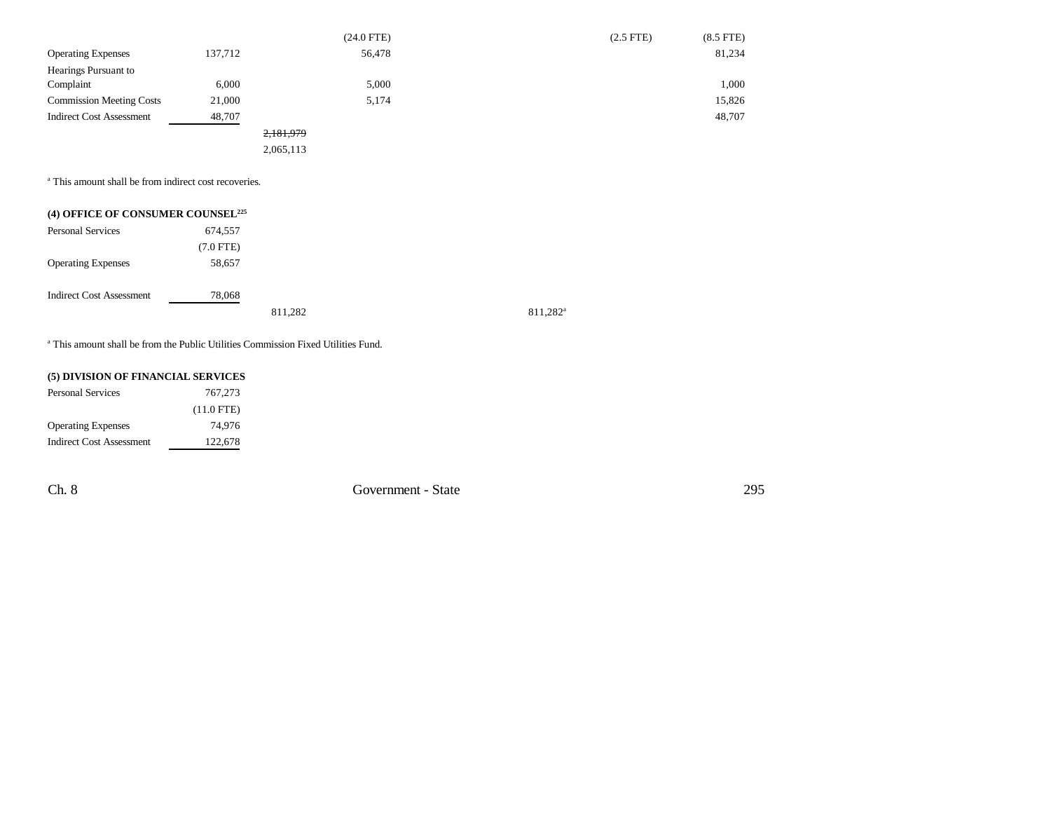|                                 |         | $(24.0$ FTE) | $(2.5$ FTE) | $(8.5$ FTE) |
|---------------------------------|---------|--------------|-------------|-------------|
| <b>Operating Expenses</b>       | 137,712 | 56,478       |             | 81,234      |
| Hearings Pursuant to            |         |              |             |             |
| Complaint                       | 6,000   | 5,000        |             | 1,000       |
| <b>Commission Meeting Costs</b> | 21,000  | 5,174        |             | 15,826      |
| <b>Indirect Cost Assessment</b> | 48,707  |              |             | 48,707      |
|                                 |         | 2,181,979    |             |             |
|                                 |         | 2,065,113    |             |             |

<sup>a</sup> This amount shall be from indirect cost recoveries.

| (4) OFFICE OF CONSUMER COUNSEL <sup>225</sup> |                |         |
|-----------------------------------------------|----------------|---------|
| <b>Personal Services</b>                      | 674,557        |         |
|                                               | $(7.0$ FTE $)$ |         |
| <b>Operating Expenses</b>                     | 58,657         |         |
| <b>Indirect Cost Assessment</b>               | 78,068         |         |
|                                               |                | 811,282 |

a This amount shall be from the Public Utilities Commission Fixed Utilities Fund.

## **(5) DIVISION OF FINANCIAL SERVICES**

| <b>Personal Services</b>        | 767,273      |
|---------------------------------|--------------|
|                                 | $(11.0$ FTE) |
| <b>Operating Expenses</b>       | 74.976       |
| <b>Indirect Cost Assessment</b> | 122,678      |

Ch. 8 Government - State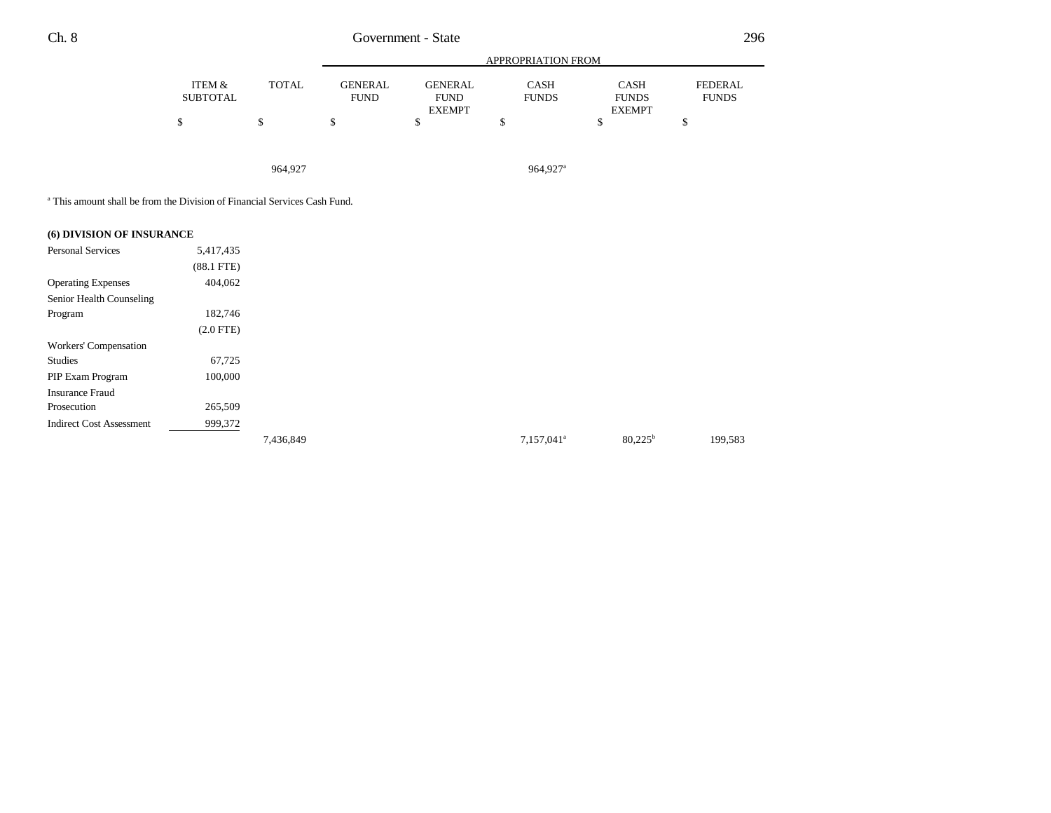|                           |              |                        |                               | APPROPRIATION FROM          |                             |                                |
|---------------------------|--------------|------------------------|-------------------------------|-----------------------------|-----------------------------|--------------------------------|
| ITEM &<br><b>SUBTOTAL</b> | <b>TOTAL</b> | GENERAL<br><b>FUND</b> | <b>GENERAL</b><br><b>FUND</b> | <b>CASH</b><br><b>FUNDS</b> | <b>CASH</b><br><b>FUNDS</b> | <b>FEDERAL</b><br><b>FUNDS</b> |
|                           |              |                        | <b>EXEMPT</b>                 |                             | <b>EXEMPT</b>               |                                |
|                           | ъ            |                        |                               |                             |                             |                                |

964,927 964,927a

a This amount shall be from the Division of Financial Services Cash Fund.

# **(6) DIVISION OF INSURANCE** Personal Services 5,417,435 (88.1 FTE) Operating Expenses 404,062 Senior Health Counseling Program 182,746 (2.0 FTE) Workers' Compensation Studies 67,725 PIP Exam Program 100,000 Insurance Fraud Prosecution 265,509 Indirect Cost Assessment 999,372 7,157,041<sup>a</sup> 80,225<sup>b</sup> 199,583<br>
199,583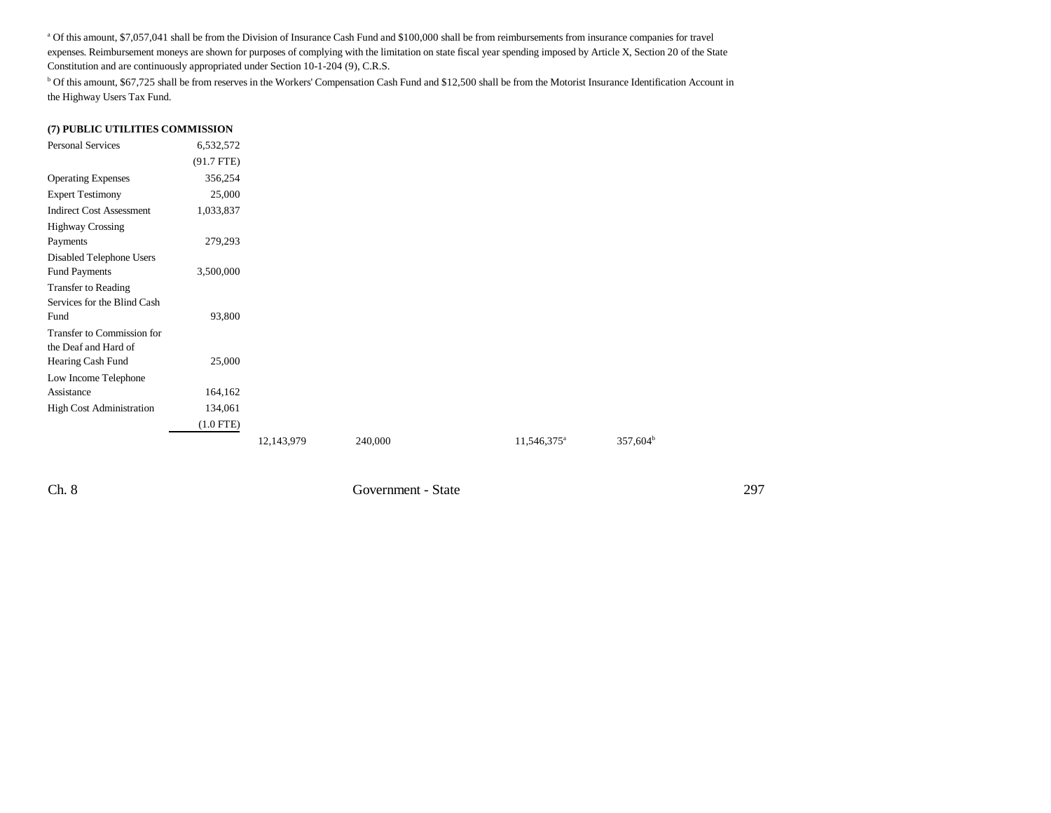<sup>a</sup> Of this amount, \$7,057,041 shall be from the Division of Insurance Cash Fund and \$100,000 shall be from reimbursements from insurance companies for travel expenses. Reimbursement moneys are shown for purposes of complying with the limitation on state fiscal year spending imposed by Article X, Section 20 of the State Constitution and are continuously appropriated under Section 10-1-204 (9), C.R.S.

b Of this amount, \$67,725 shall be from reserves in the Workers' Compensation Cash Fund and \$12,500 shall be from the Motorist Insurance Identification Account in the Highway Users Tax Fund.

#### **(7) PUBLIC UTILITIES COMMISSION**

| Personal Services                                         | 6,532,572    |            |         |                         |             |
|-----------------------------------------------------------|--------------|------------|---------|-------------------------|-------------|
|                                                           | $(91.7$ FTE) |            |         |                         |             |
| <b>Operating Expenses</b>                                 | 356,254      |            |         |                         |             |
| <b>Expert Testimony</b>                                   | 25,000       |            |         |                         |             |
| <b>Indirect Cost Assessment</b>                           | 1,033,837    |            |         |                         |             |
| <b>Highway Crossing</b>                                   |              |            |         |                         |             |
| Payments                                                  | 279,293      |            |         |                         |             |
| Disabled Telephone Users                                  |              |            |         |                         |             |
| <b>Fund Payments</b>                                      | 3,500,000    |            |         |                         |             |
| <b>Transfer to Reading</b><br>Services for the Blind Cash |              |            |         |                         |             |
| Fund                                                      | 93,800       |            |         |                         |             |
| Transfer to Commission for<br>the Deaf and Hard of        |              |            |         |                         |             |
| Hearing Cash Fund                                         | 25,000       |            |         |                         |             |
| Low Income Telephone                                      |              |            |         |                         |             |
| Assistance                                                | 164,162      |            |         |                         |             |
| <b>High Cost Administration</b>                           | 134,061      |            |         |                         |             |
|                                                           | $(1.0$ FTE)  |            |         |                         |             |
|                                                           |              | 12,143,979 | 240,000 | 11,546,375 <sup>a</sup> | $357,604^b$ |

Ch. 8 Government - State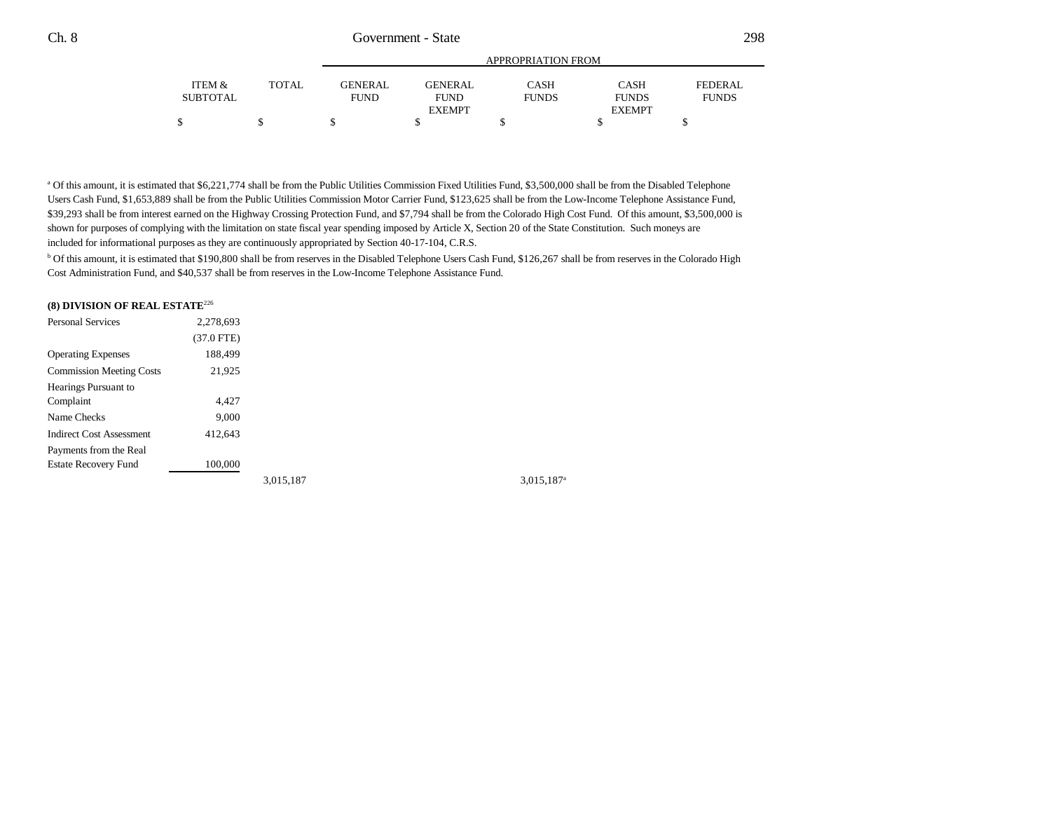|          |              | APPROPRIATION FROM |                |              |               |              |  |
|----------|--------------|--------------------|----------------|--------------|---------------|--------------|--|
| ITEM &   | <b>TOTAL</b> | GENERAL            | <b>GENERAL</b> | CASH         | <b>CASH</b>   | FEDERAL      |  |
| SUBTOTAL |              | <b>FUND</b>        | <b>FUND</b>    | <b>FUNDS</b> | <b>FUNDS</b>  | <b>FUNDS</b> |  |
|          |              |                    | <b>EXEMPT</b>  |              | <b>EXEMPT</b> |              |  |
|          |              |                    |                |              |               |              |  |

<sup>a</sup> Of this amount, it is estimated that \$6,221,774 shall be from the Public Utilities Commission Fixed Utilities Fund, \$3,500,000 shall be from the Disabled Telephone Users Cash Fund, \$1,653,889 shall be from the Public Utilities Commission Motor Carrier Fund, \$123,625 shall be from the Low-Income Telephone Assistance Fund, \$39,293 shall be from interest earned on the Highway Crossing Protection Fund, and \$7,794 shall be from the Colorado High Cost Fund. Of this amount, \$3,500,000 is shown for purposes of complying with the limitation on state fiscal year spending imposed by Article X, Section 20 of the State Constitution. Such moneys are included for informational purposes as they are continuously appropriated by Section 40-17-104, C.R.S.

<sup>b</sup> Of this amount, it is estimated that \$190,800 shall be from reserves in the Disabled Telephone Users Cash Fund, \$126,267 shall be from reserves in the Colorado High Cost Administration Fund, and \$40,537 shall be from reserves in the Low-Income Telephone Assistance Fund.

| (8) DIVISION OF REAL ESTATE <sup>226</sup> |              |           |
|--------------------------------------------|--------------|-----------|
| <b>Personal Services</b>                   | 2,278,693    |           |
|                                            | $(37.0$ FTE) |           |
| <b>Operating Expenses</b>                  | 188,499      |           |
| <b>Commission Meeting Costs</b>            | 21,925       |           |
| Hearings Pursuant to                       |              |           |
| Complaint                                  | 4.427        |           |
| Name Checks                                | 9.000        |           |
| <b>Indirect Cost Assessment</b>            | 412,643      |           |
| Payments from the Real                     |              |           |
| <b>Estate Recovery Fund</b>                | 100,000      |           |
|                                            |              | 3,015,187 |

 $3,015,187$ <sup>a</sup>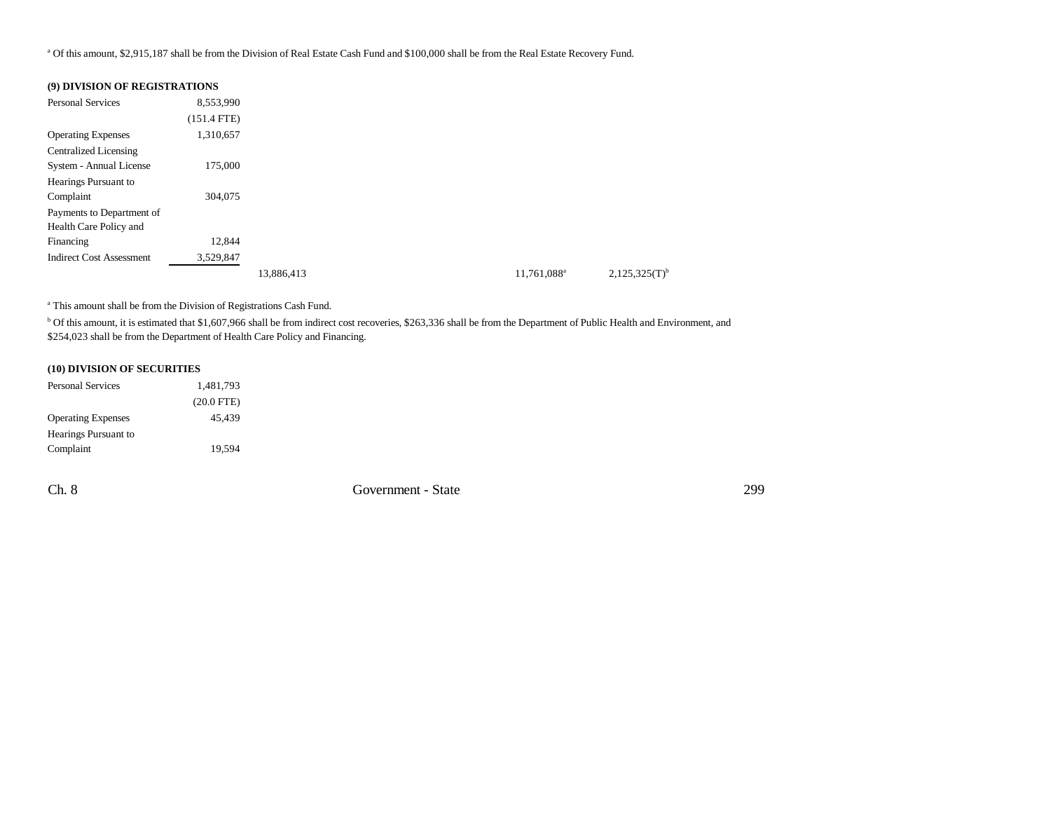a Of this amount, \$2,915,187 shall be from the Division of Real Estate Cash Fund and \$100,000 shall be from the Real Estate Recovery Fund.

## **(9) DIVISION OF REGISTRATIONS**

| <b>Personal Services</b>        | 8,553,990     |            |                         |                    |
|---------------------------------|---------------|------------|-------------------------|--------------------|
|                                 | $(151.4$ FTE) |            |                         |                    |
| <b>Operating Expenses</b>       | 1,310,657     |            |                         |                    |
| <b>Centralized Licensing</b>    |               |            |                         |                    |
| System - Annual License         | 175,000       |            |                         |                    |
| Hearings Pursuant to            |               |            |                         |                    |
| Complaint                       | 304,075       |            |                         |                    |
| Payments to Department of       |               |            |                         |                    |
| Health Care Policy and          |               |            |                         |                    |
| Financing                       | 12,844        |            |                         |                    |
| <b>Indirect Cost Assessment</b> | 3,529,847     |            |                         |                    |
|                                 |               | 13,886,413 | 11,761,088 <sup>a</sup> | $2,125,325(T)^{b}$ |

a This amount shall be from the Division of Registrations Cash Fund.

<sup>b</sup> Of this amount, it is estimated that \$1,607,966 shall be from indirect cost recoveries, \$263,336 shall be from the Department of Public Health and Environment, and \$254,023 shall be from the Department of Health Care Policy and Financing.

#### **(10) DIVISION OF SECURITIES**

| <b>Personal Services</b>  | 1,481,793    |
|---------------------------|--------------|
|                           | $(20.0$ FTE) |
| <b>Operating Expenses</b> | 45.439       |
| Hearings Pursuant to      |              |
| Complaint                 | 19.594       |

Ch. 8 Government - State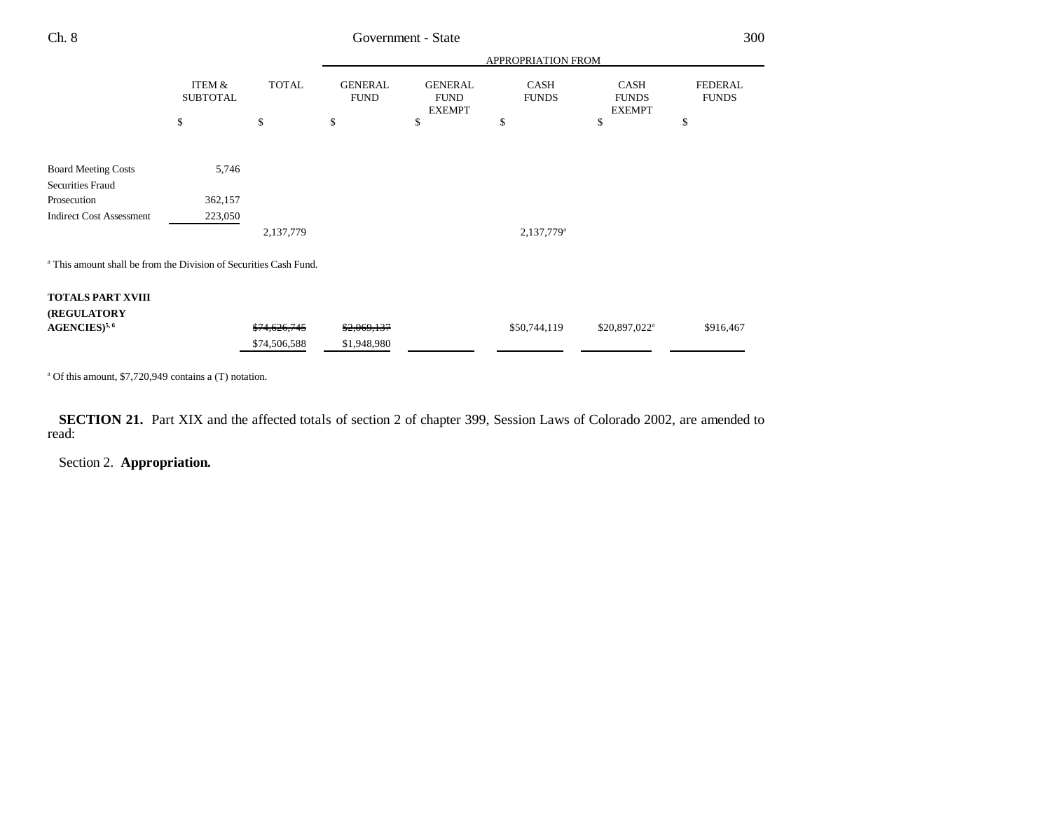| Ch. 8                                                                        |                           |              |                               | Government - State                             |                             |                                       | 300                            |
|------------------------------------------------------------------------------|---------------------------|--------------|-------------------------------|------------------------------------------------|-----------------------------|---------------------------------------|--------------------------------|
|                                                                              |                           |              |                               |                                                | APPROPRIATION FROM          |                                       |                                |
|                                                                              | ITEM &<br><b>SUBTOTAL</b> | <b>TOTAL</b> | <b>GENERAL</b><br><b>FUND</b> | <b>GENERAL</b><br><b>FUND</b><br><b>EXEMPT</b> | <b>CASH</b><br><b>FUNDS</b> | CASH<br><b>FUNDS</b><br><b>EXEMPT</b> | <b>FEDERAL</b><br><b>FUNDS</b> |
|                                                                              | \$                        | \$           | \$                            | \$                                             | \$                          | \$                                    | \$                             |
| <b>Board Meeting Costs</b>                                                   | 5,746                     |              |                               |                                                |                             |                                       |                                |
| <b>Securities Fraud</b>                                                      |                           |              |                               |                                                |                             |                                       |                                |
| Prosecution                                                                  | 362,157                   |              |                               |                                                |                             |                                       |                                |
| <b>Indirect Cost Assessment</b>                                              | 223,050                   |              |                               |                                                |                             |                                       |                                |
|                                                                              |                           | 2,137,779    |                               |                                                | 2,137,779 <sup>a</sup>      |                                       |                                |
| <sup>a</sup> This amount shall be from the Division of Securities Cash Fund. |                           |              |                               |                                                |                             |                                       |                                |
| <b>TOTALS PART XVIII</b>                                                     |                           |              |                               |                                                |                             |                                       |                                |
| (REGULATORY                                                                  |                           |              |                               |                                                |                             |                                       |                                |
| $AGENCIES)^{5,6}$                                                            |                           | \$74,626,745 | \$2,069,137                   |                                                | \$50,744,119                | \$20,897,022 <sup>a</sup>             | \$916,467                      |
|                                                                              |                           | \$74,506,588 | \$1,948,980                   |                                                |                             |                                       |                                |
|                                                                              |                           |              |                               |                                                |                             |                                       |                                |

a Of this amount, \$7,720,949 contains a (T) notation.

**SECTION 21.** Part XIX and the affected totals of section 2 of chapter 399, Session Laws of Colorado 2002, are amended to read:

Section 2. **Appropriation.**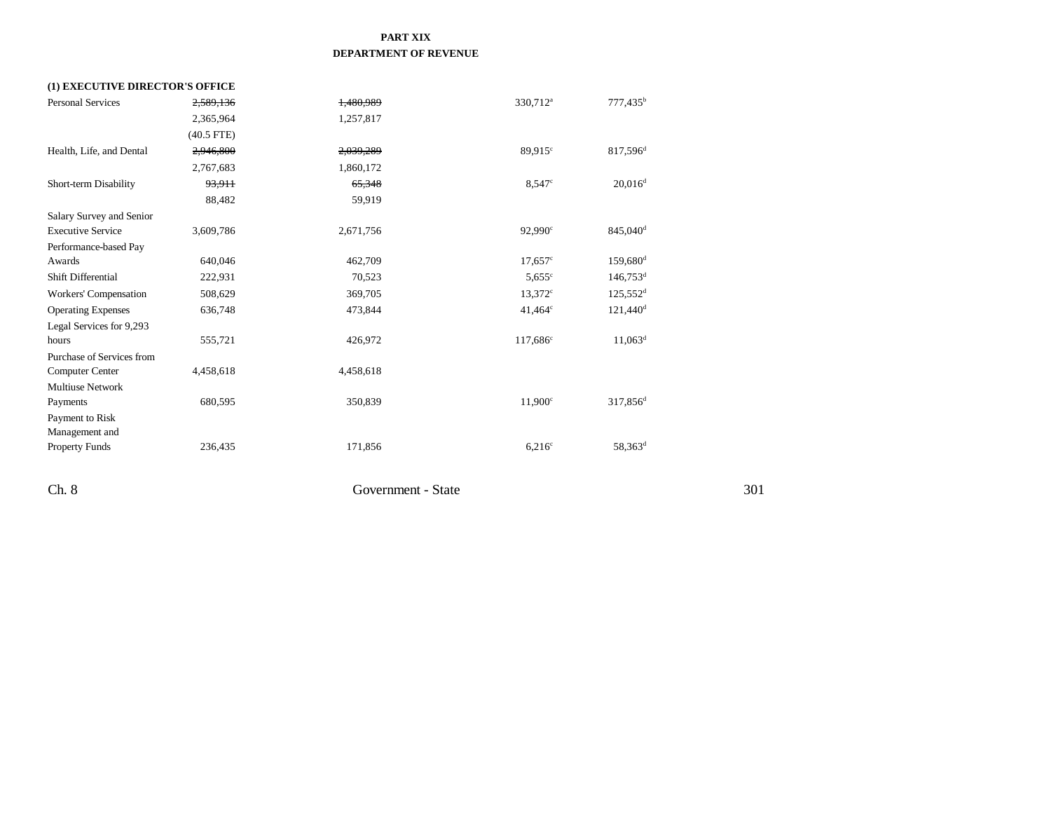## **PART XIX DEPARTMENT OF REVENUE**

| (1) EXECUTIVE DIRECTOR'S OFFICE |              |           |                      |                        |
|---------------------------------|--------------|-----------|----------------------|------------------------|
| <b>Personal Services</b>        | 2,589,136    | 1,480,989 | 330,712 <sup>a</sup> | $777,435^b$            |
|                                 | 2,365,964    | 1,257,817 |                      |                        |
|                                 | $(40.5$ FTE) |           |                      |                        |
| Health, Life, and Dental        | 2,946,800    | 2,039,289 | $89.915^{\circ}$     | 817,596 <sup>d</sup>   |
|                                 | 2,767,683    | 1,860,172 |                      |                        |
| Short-term Disability           | 93,911       | 65,348    | 8.547c               | $20,016^d$             |
|                                 | 88,482       | 59,919    |                      |                        |
| Salary Survey and Senior        |              |           |                      |                        |
| <b>Executive Service</b>        | 3,609,786    | 2,671,756 | 92,990 <sup>c</sup>  | 845,040 <sup>d</sup>   |
| Performance-based Pay           |              |           |                      |                        |
| Awards                          | 640,046      | 462,709   | $17,657^{\circ}$     | $159,680$ <sup>d</sup> |
| Shift Differential              | 222,931      | 70,523    | 5.655c               | $146,753$ <sup>d</sup> |
| Workers' Compensation           | 508,629      | 369,705   | $13.372^{\circ}$     | $125,552$ <sup>d</sup> |
| <b>Operating Expenses</b>       | 636,748      | 473,844   | $41,464^{\circ}$     | $121,440$ <sup>d</sup> |
| Legal Services for 9,293        |              |           |                      |                        |
| hours                           | 555,721      | 426,972   | 117,686 <sup>c</sup> | $11,063^d$             |
| Purchase of Services from       |              |           |                      |                        |
| <b>Computer Center</b>          | 4,458,618    | 4,458,618 |                      |                        |
| <b>Multiuse Network</b>         |              |           |                      |                        |
| Payments                        | 680,595      | 350,839   | $11,900^{\circ}$     | 317,856 <sup>d</sup>   |
| Payment to Risk                 |              |           |                      |                        |
| Management and                  |              |           |                      |                        |
| <b>Property Funds</b>           | 236,435      | 171,856   | $6,216^{\circ}$      | $58,363^d$             |
|                                 |              |           |                      |                        |
|                                 |              |           |                      |                        |

Ch. 8 Government - State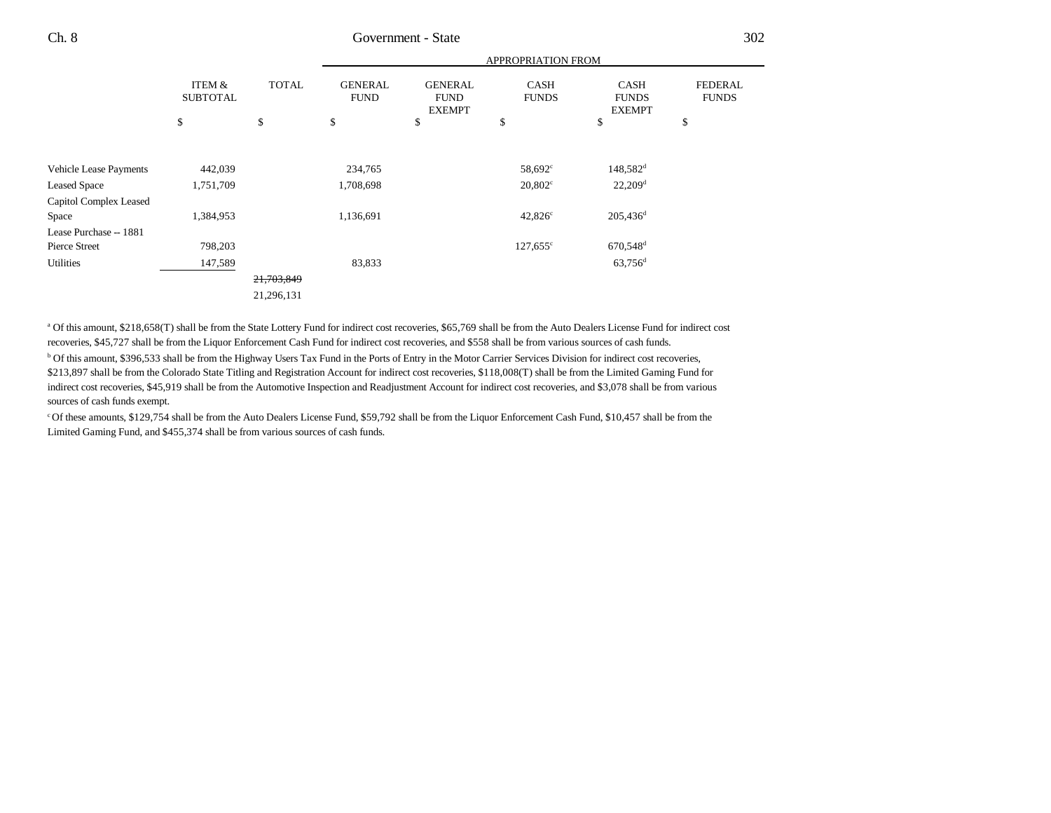Ch. 8 Government - State

|                                                                         |                                   |              | <b>APPROPRIATION FROM</b>         |                                                |                                                             |                                                                         |                                |
|-------------------------------------------------------------------------|-----------------------------------|--------------|-----------------------------------|------------------------------------------------|-------------------------------------------------------------|-------------------------------------------------------------------------|--------------------------------|
|                                                                         | ITEM &<br><b>SUBTOTAL</b>         | <b>TOTAL</b> | <b>GENERAL</b><br><b>FUND</b>     | <b>GENERAL</b><br><b>FUND</b><br><b>EXEMPT</b> | <b>CASH</b><br><b>FUNDS</b>                                 | <b>CASH</b><br><b>FUNDS</b><br><b>EXEMPT</b>                            | <b>FEDERAL</b><br><b>FUNDS</b> |
|                                                                         | \$                                | \$           | \$                                | \$                                             | \$                                                          | \$                                                                      | \$                             |
| Vehicle Lease Payments<br><b>Leased Space</b><br>Capitol Complex Leased | 442,039<br>1,751,709<br>1,384,953 |              | 234,765<br>1,708,698<br>1,136,691 |                                                | 58,692 <sup>c</sup><br>$20,802^{\circ}$<br>$42,826^{\circ}$ | 148,582 <sup>d</sup><br>$22,209$ <sup>d</sup><br>$205,436$ <sup>d</sup> |                                |
| Space<br>Lease Purchase -- 1881                                         |                                   |              |                                   |                                                |                                                             |                                                                         |                                |
| Pierce Street                                                           | 798,203                           |              |                                   |                                                | $127,655^{\circ}$                                           | 670,548 <sup>d</sup>                                                    |                                |
| Utilities                                                               | 147,589                           |              | 83,833                            |                                                |                                                             | $63,756$ <sup>d</sup>                                                   |                                |
|                                                                         |                                   | 21,703,849   |                                   |                                                |                                                             |                                                                         |                                |
|                                                                         |                                   | 21,296,131   |                                   |                                                |                                                             |                                                                         |                                |

a Of this amount, \$218,658(T) shall be from the State Lottery Fund for indirect cost recoveries, \$65,769 shall be from the Auto Dealers License Fund for indirect cost recoveries, \$45,727 shall be from the Liquor Enforcement Cash Fund for indirect cost recoveries, and \$558 shall be from various sources of cash funds.

b Of this amount, \$396,533 shall be from the Highway Users Tax Fund in the Ports of Entry in the Motor Carrier Services Division for indirect cost recoveries, \$213,897 shall be from the Colorado State Titling and Registration Account for indirect cost recoveries, \$118,008(T) shall be from the Limited Gaming Fund for indirect cost recoveries, \$45,919 shall be from the Automotive Inspection and Readjustment Account for indirect cost recoveries, and \$3,078 shall be from various sources of cash funds exempt.

c Of these amounts, \$129,754 shall be from the Auto Dealers License Fund, \$59,792 shall be from the Liquor Enforcement Cash Fund, \$10,457 shall be from the Limited Gaming Fund, and \$455,374 shall be from various sources of cash funds.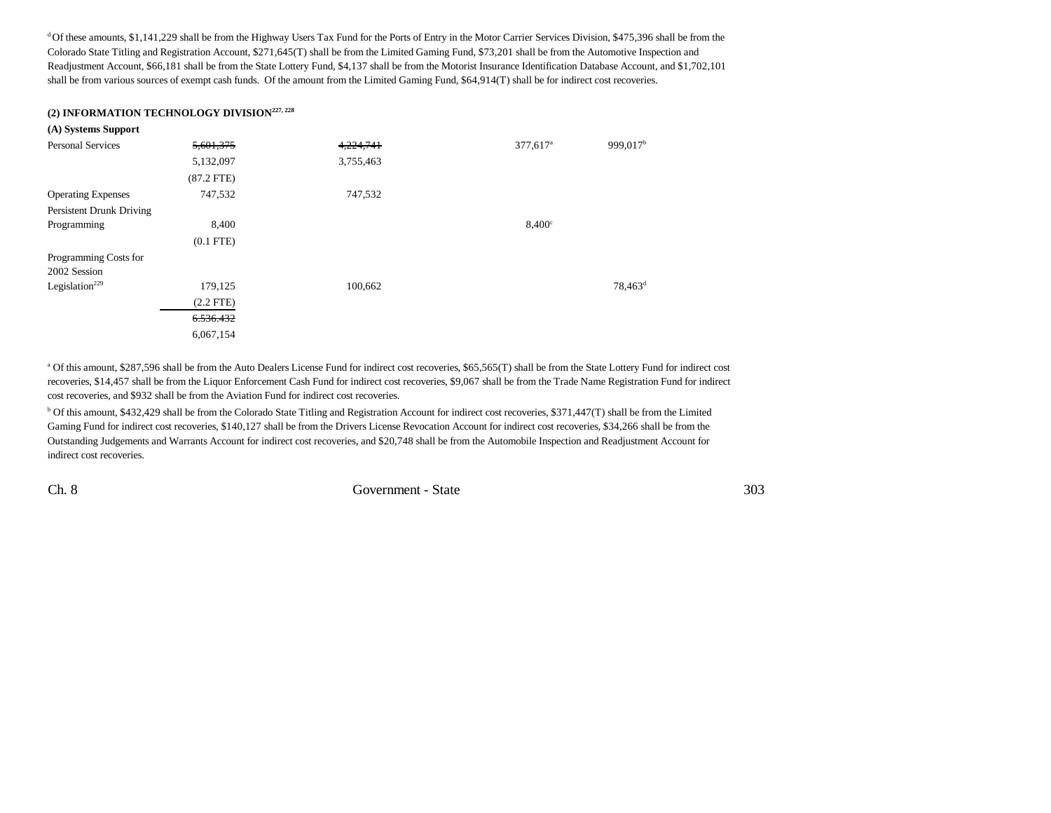<sup>d</sup> Of these amounts, \$1,141,229 shall be from the Highway Users Tax Fund for the Ports of Entry in the Motor Carrier Services Division, \$475,396 shall be from the Colorado State Titling and Registration Account, \$271,645(T) shall be from the Limited Gaming Fund, \$73,201 shall be from the Automotive Inspection and Readjustment Account, \$66,181 shall be from the State Lottery Fund, \$4,137 shall be from the Motorist Insurance Identification Database Account, and \$1,702,101 shall be from various sources of exempt cash funds. Of the amount from the Limited Gaming Fund, \$64,914(T) shall be for indirect cost recoveries.

#### **(2) INFORMATION TECHNOLOGY DIVISION227, 228**

| (A) Systems Support        |                |           |                        |                      |
|----------------------------|----------------|-----------|------------------------|----------------------|
| <b>Personal Services</b>   | 5,601,375      | 4,224,741 | $377,617$ <sup>a</sup> | 999,017 <sup>b</sup> |
|                            | 5,132,097      | 3,755,463 |                        |                      |
|                            | $(87.2$ FTE)   |           |                        |                      |
| <b>Operating Expenses</b>  | 747,532        | 747,532   |                        |                      |
| Persistent Drunk Driving   |                |           |                        |                      |
| Programming                | 8,400          |           | $8,400^\circ$          |                      |
|                            | $(0.1$ FTE $)$ |           |                        |                      |
| Programming Costs for      |                |           |                        |                      |
| 2002 Session               |                |           |                        |                      |
| Legislation <sup>229</sup> | 179,125        | 100,662   |                        | $78,463^{\rm d}$     |
|                            | $(2.2$ FTE)    |           |                        |                      |
|                            | 6.536.432      |           |                        |                      |
|                            | 6,067,154      |           |                        |                      |

<sup>a</sup> Of this amount, \$287,596 shall be from the Auto Dealers License Fund for indirect cost recoveries, \$65,565(T) shall be from the State Lottery Fund for indirect cost recoveries, \$14,457 shall be from the Liquor Enforcement Cash Fund for indirect cost recoveries, \$9,067 shall be from the Trade Name Registration Fund for indirect cost recoveries, and \$932 shall be from the Aviation Fund for indirect cost recoveries.

b Of this amount, \$432,429 shall be from the Colorado State Titling and Registration Account for indirect cost recoveries, \$371,447(T) shall be from the Limited Gaming Fund for indirect cost recoveries, \$140,127 shall be from the Drivers License Revocation Account for indirect cost recoveries, \$34,266 shall be from the Outstanding Judgements and Warrants Account for indirect cost recoveries, and \$20,748 shall be from the Automobile Inspection and Readjustment Account for indirect cost recoveries.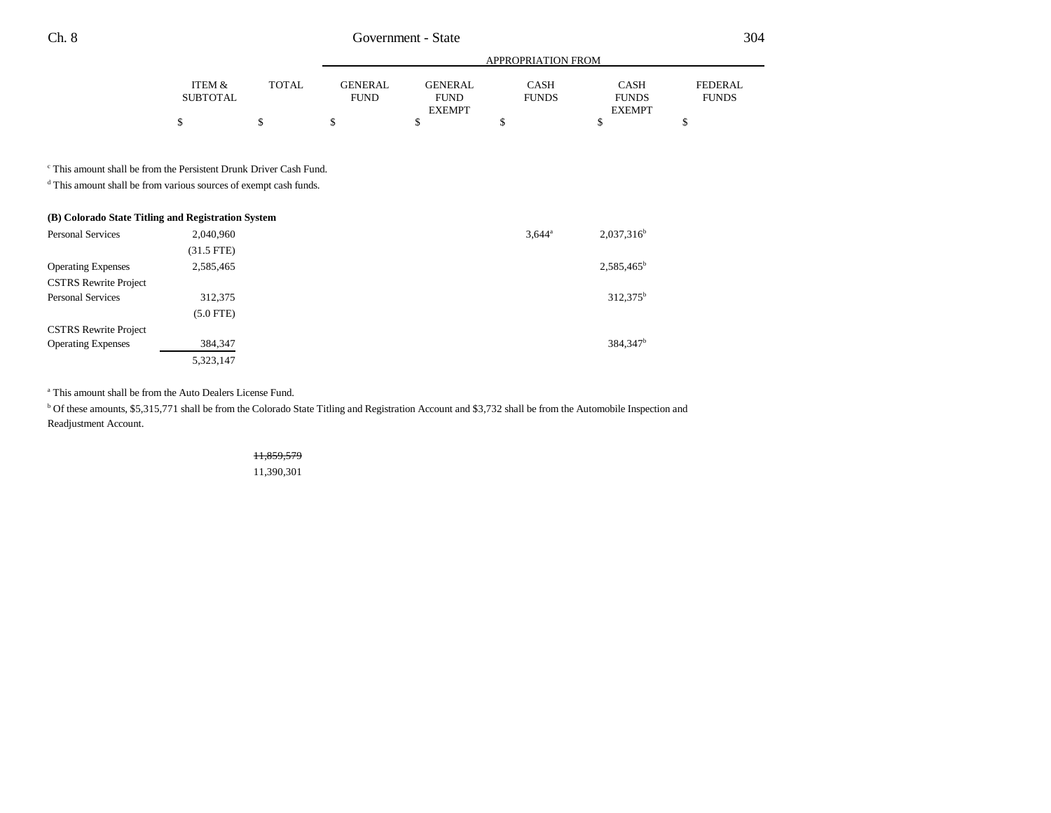|                 |       |             |                | APPROPRIATION FROM |               |              |
|-----------------|-------|-------------|----------------|--------------------|---------------|--------------|
| ITEM &          | TOTAL | GENERAL     | <b>GENERAL</b> | CASH               | <b>CASH</b>   | FEDERAL.     |
| <b>SUBTOTAL</b> |       | <b>FUND</b> | <b>FUND</b>    | <b>FUNDS</b>       | <b>FUNDS</b>  | <b>FUNDS</b> |
|                 |       |             | <b>EXEMPT</b>  |                    | <b>EXEMPT</b> |              |
| Φ               |       |             |                |                    |               |              |

c This amount shall be from the Persistent Drunk Driver Cash Fund.

d This amount shall be from various sources of exempt cash funds.

| (B) Colorado State Titling and Registration System |             |                            |  |  |
|----------------------------------------------------|-------------|----------------------------|--|--|
| <b>Personal Services</b>                           | 2,040,960   | $2,037,316^b$<br>$3.644^a$ |  |  |
|                                                    | (31.5 FTE)  |                            |  |  |
| <b>Operating Expenses</b>                          | 2,585,465   | $2,585,465^b$              |  |  |
| <b>CSTRS Rewrite Project</b>                       |             |                            |  |  |
| <b>Personal Services</b>                           | 312,375     | 312,375 <sup>b</sup>       |  |  |
|                                                    | $(5.0$ FTE) |                            |  |  |
| <b>CSTRS Rewrite Project</b>                       |             |                            |  |  |
| <b>Operating Expenses</b>                          | 384,347     | 384.347 <sup>b</sup>       |  |  |
|                                                    | 5,323,147   |                            |  |  |

a This amount shall be from the Auto Dealers License Fund.

<sup>b</sup> Of these amounts, \$5,315,771 shall be from the Colorado State Titling and Registration Account and \$3,732 shall be from the Automobile Inspection and Readjustment Account.

> 11,859,579 11,390,301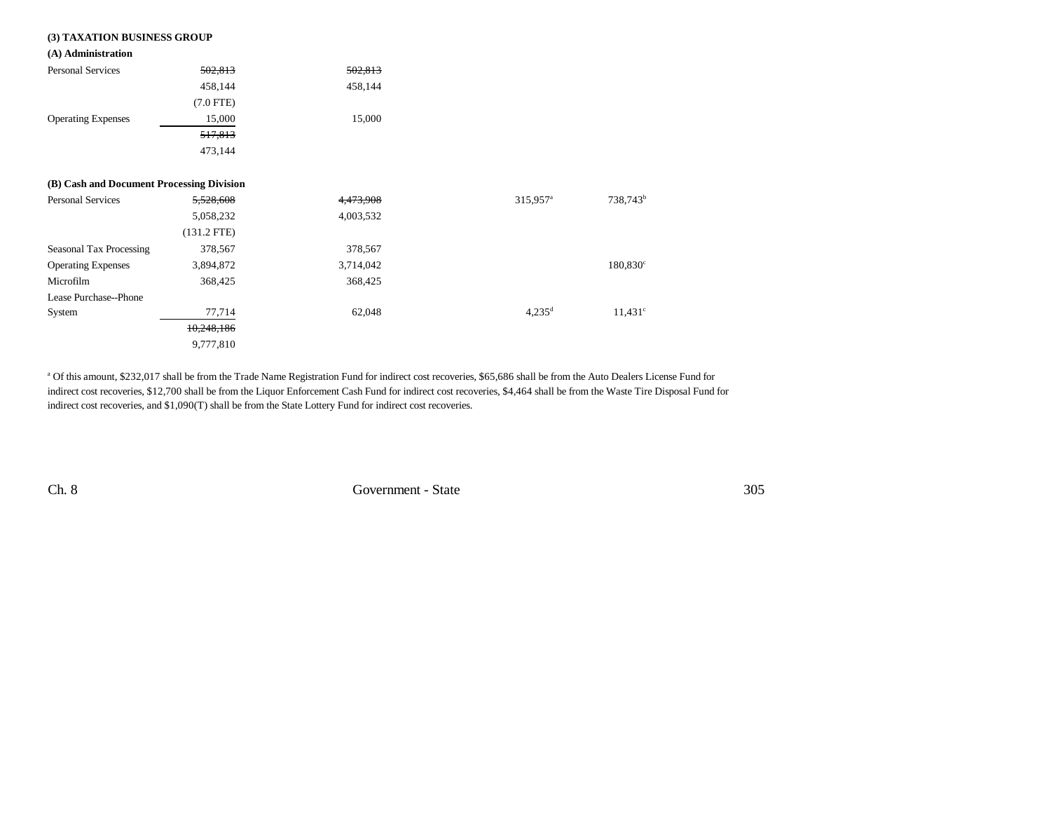| (3) TAXATION BUSINESS GROUP               |               |           |                      |                      |
|-------------------------------------------|---------------|-----------|----------------------|----------------------|
| (A) Administration                        |               |           |                      |                      |
| Personal Services                         | 502,813       | 502,813   |                      |                      |
|                                           | 458,144       | 458,144   |                      |                      |
|                                           | $(7.0$ FTE)   |           |                      |                      |
| <b>Operating Expenses</b>                 | 15,000        | 15,000    |                      |                      |
|                                           | 517,813       |           |                      |                      |
|                                           | 473,144       |           |                      |                      |
| (B) Cash and Document Processing Division |               |           |                      |                      |
| <b>Personal Services</b>                  | 5,528,608     | 4,473,908 | 315,957 <sup>a</sup> | 738,743 <sup>b</sup> |
|                                           | 5,058,232     | 4,003,532 |                      |                      |
|                                           | $(131.2$ FTE) |           |                      |                      |
| Seasonal Tax Processing                   | 378,567       | 378,567   |                      |                      |
| <b>Operating Expenses</b>                 | 3,894,872     | 3,714,042 |                      | $180,830^{\circ}$    |
| Microfilm                                 | 368,425       | 368,425   |                      |                      |
| Lease Purchase--Phone                     |               |           |                      |                      |
| System                                    | 77,714        | 62,048    | $4,235^{\rm d}$      | $11,431^c$           |
|                                           | 10,248,186    |           |                      |                      |
|                                           | 9,777,810     |           |                      |                      |

a Of this amount, \$232,017 shall be from the Trade Name Registration Fund for indirect cost recoveries, \$65,686 shall be from the Auto Dealers License Fund for indirect cost recoveries, \$12,700 shall be from the Liquor Enforcement Cash Fund for indirect cost recoveries, \$4,464 shall be from the Waste Tire Disposal Fund for indirect cost recoveries, and \$1,090(T) shall be from the State Lottery Fund for indirect cost recoveries.

Ch. 8 Government - State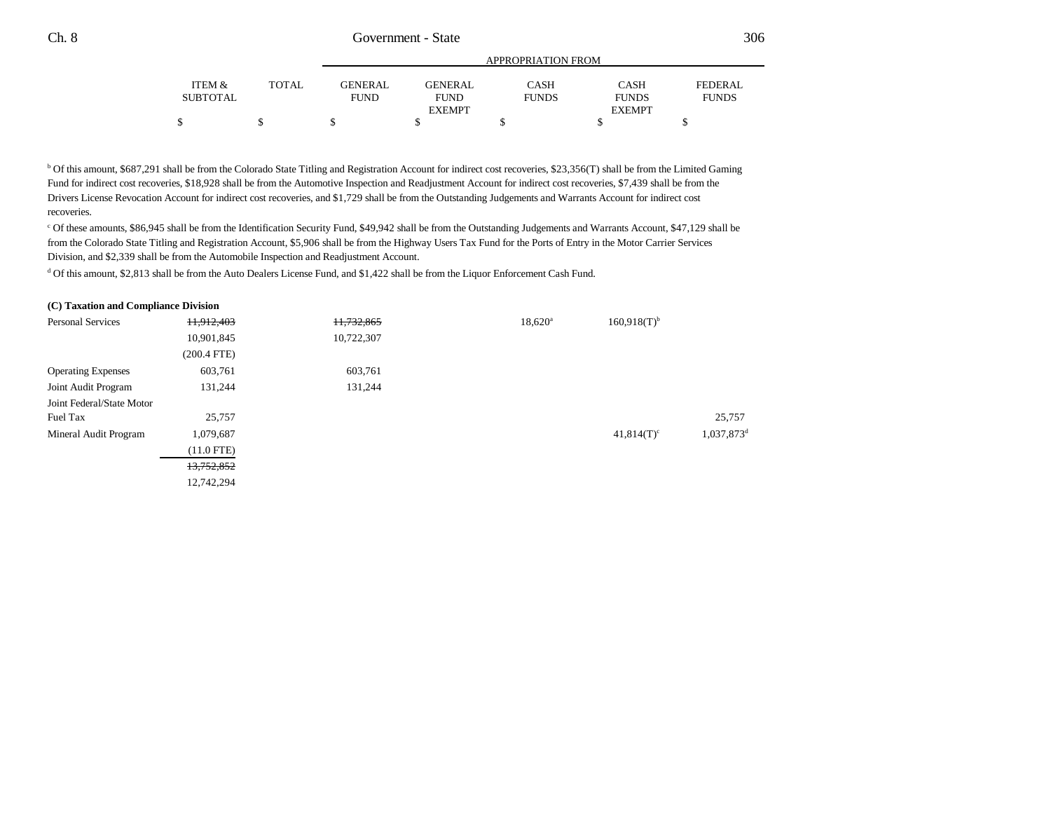|          |              |                |                | APPROPRIATION FROM |               |                |
|----------|--------------|----------------|----------------|--------------------|---------------|----------------|
| ITEM &   | <b>TOTAL</b> | <b>GENERAL</b> | <b>GENERAL</b> | CASH               | <b>CASH</b>   | <b>FEDERAL</b> |
| SUBTOTAL |              | <b>FUND</b>    | <b>FUND</b>    | <b>FUNDS</b>       | <b>FUNDS</b>  | <b>FUNDS</b>   |
|          |              |                | <b>EXEMPT</b>  |                    | <b>EXEMPT</b> |                |
|          |              |                |                |                    |               |                |

b Of this amount, \$687,291 shall be from the Colorado State Titling and Registration Account for indirect cost recoveries, \$23,356(T) shall be from the Limited Gaming Fund for indirect cost recoveries, \$18,928 shall be from the Automotive Inspection and Readjustment Account for indirect cost recoveries, \$7,439 shall be from the Drivers License Revocation Account for indirect cost recoveries, and \$1,729 shall be from the Outstanding Judgements and Warrants Account for indirect cost recoveries.

c Of these amounts, \$86,945 shall be from the Identification Security Fund, \$49,942 shall be from the Outstanding Judgements and Warrants Account, \$47,129 shall be from the Colorado State Titling and Registration Account, \$5,906 shall be from the Highway Users Tax Fund for the Ports of Entry in the Motor Carrier Services Division, and \$2,339 shall be from the Automobile Inspection and Readjustment Account.

d Of this amount, \$2,813 shall be from the Auto Dealers License Fund, and \$1,422 shall be from the Liquor Enforcement Cash Fund.

#### **(C) Taxation and Compliance Division**

| 11,912,403    | 11,732,865 | $18,620^{\rm a}$ | $160,918(T)^{b}$ |                          |
|---------------|------------|------------------|------------------|--------------------------|
| 10,901,845    | 10,722,307 |                  |                  |                          |
| $(200.4$ FTE) |            |                  |                  |                          |
| 603,761       | 603,761    |                  |                  |                          |
| 131,244       | 131,244    |                  |                  |                          |
|               |            |                  |                  |                          |
| 25,757        |            |                  |                  | 25,757                   |
| 1,079,687     |            |                  | $41,814(T)^c$    | $1,037,873$ <sup>c</sup> |
| $(11.0$ FTE)  |            |                  |                  |                          |
| 13,752,852    |            |                  |                  |                          |
| 12,742,294    |            |                  |                  |                          |
|               |            |                  |                  |                          |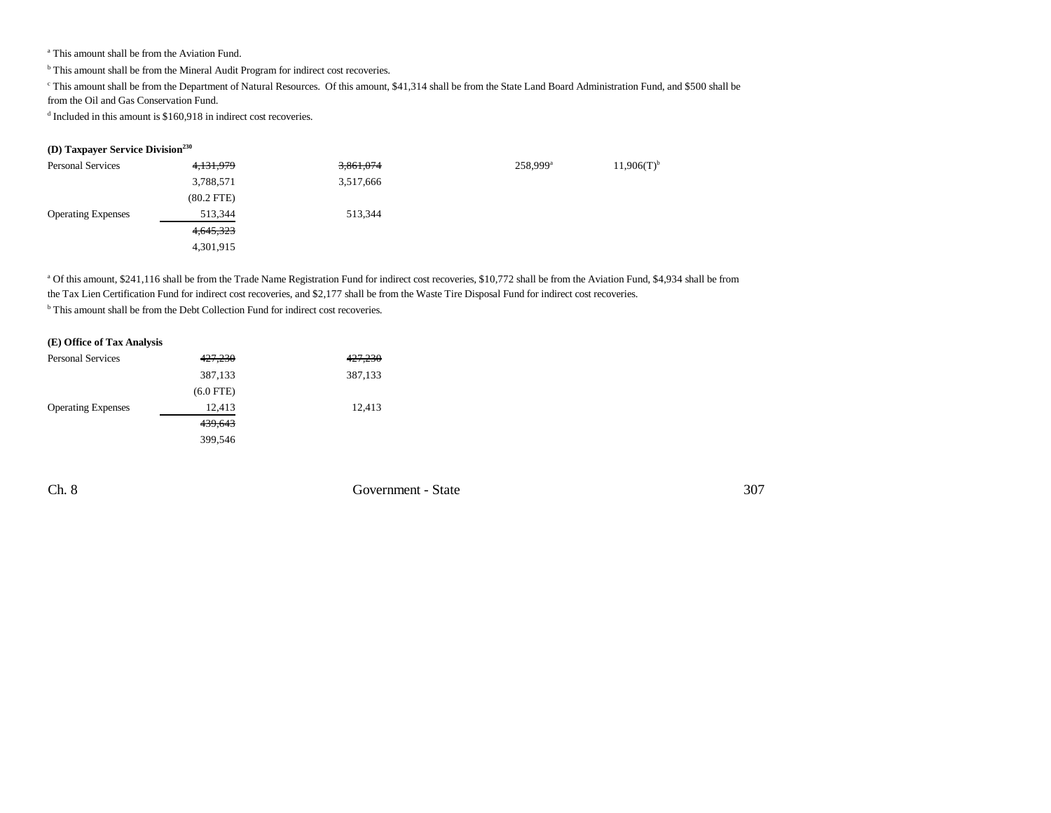a This amount shall be from the Aviation Fund.

<sup>b</sup> This amount shall be from the Mineral Audit Program for indirect cost recoveries.

c This amount shall be from the Department of Natural Resources. Of this amount, \$41,314 shall be from the State Land Board Administration Fund, and \$500 shall be

from the Oil and Gas Conservation Fund.

<sup>d</sup> Included in this amount is \$160,918 in indirect cost recoveries.

## **(D) Taxpayer Service Division230**

| <b>Personal Services</b>  | 4,131,979    | 3,861,074 | 258,999 <sup>a</sup> | $11,906(T)$ <sup>b</sup> |
|---------------------------|--------------|-----------|----------------------|--------------------------|
|                           | 3,788,571    | 3,517,666 |                      |                          |
|                           | $(80.2$ FTE) |           |                      |                          |
| <b>Operating Expenses</b> | 513,344      | 513,344   |                      |                          |
|                           | 4,645,323    |           |                      |                          |
|                           | 4,301,915    |           |                      |                          |

a Of this amount, \$241,116 shall be from the Trade Name Registration Fund for indirect cost recoveries, \$10,772 shall be from the Aviation Fund, \$4,934 shall be from the Tax Lien Certification Fund for indirect cost recoveries, and \$2,177 shall be from the Waste Tire Disposal Fund for indirect cost recoveries.

<sup>b</sup> This amount shall be from the Debt Collection Fund for indirect cost recoveries.

### **(E) Office of Tax Analysis**

| <b>Personal Services</b>  | <del>427,230</del> | 427,230 |
|---------------------------|--------------------|---------|
|                           | 387,133            | 387,133 |
|                           | $(6.0$ FTE)        |         |
| <b>Operating Expenses</b> | 12,413             | 12,413  |
|                           | 439,643            |         |
|                           | 399,546            |         |

Ch. 8 Government - State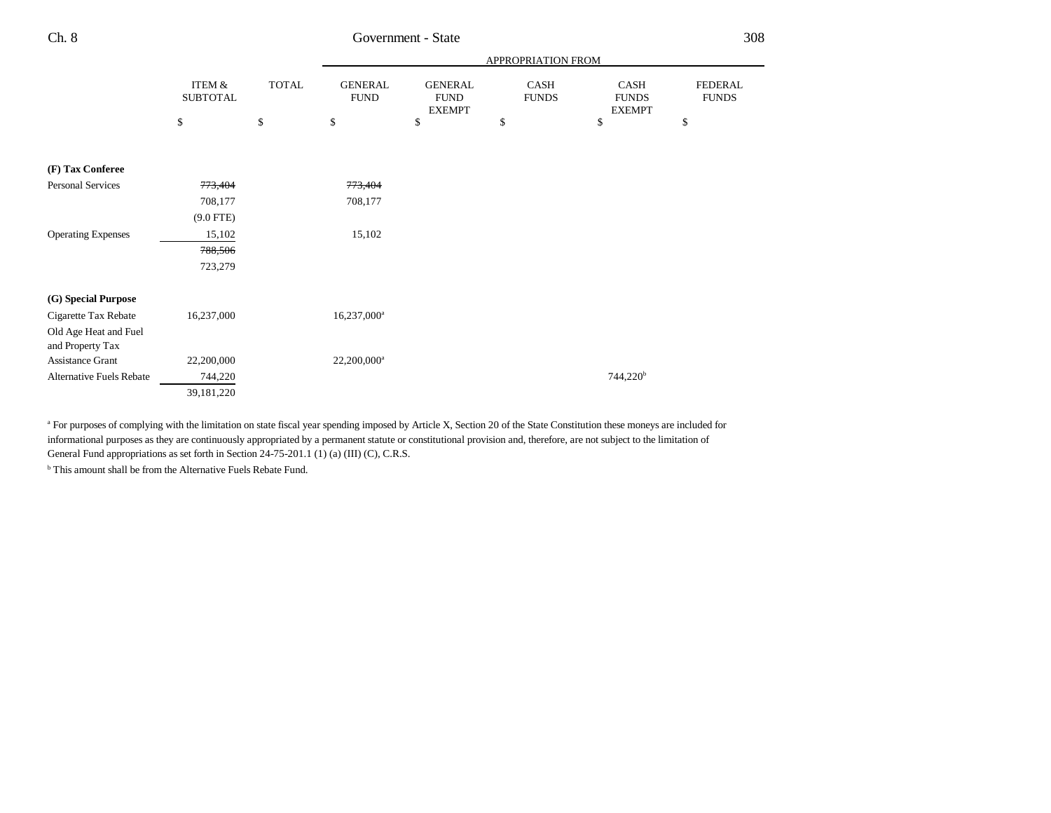| ×<br>×<br>v | ×<br>٧ |
|-------------|--------|
|-------------|--------|

# Government - State

|                                 |                           |              |                               |                                                | APPROPRIATION FROM          |                                              |                                |
|---------------------------------|---------------------------|--------------|-------------------------------|------------------------------------------------|-----------------------------|----------------------------------------------|--------------------------------|
|                                 | ITEM &<br><b>SUBTOTAL</b> | <b>TOTAL</b> | <b>GENERAL</b><br><b>FUND</b> | <b>GENERAL</b><br><b>FUND</b><br><b>EXEMPT</b> | <b>CASH</b><br><b>FUNDS</b> | <b>CASH</b><br><b>FUNDS</b><br><b>EXEMPT</b> | <b>FEDERAL</b><br><b>FUNDS</b> |
|                                 | \$                        | \$           | \$                            | \$                                             | \$                          | \$                                           | \$                             |
| (F) Tax Conferee                |                           |              |                               |                                                |                             |                                              |                                |
| <b>Personal Services</b>        | <del>773,404</del>        |              | 773,404                       |                                                |                             |                                              |                                |
|                                 | 708,177                   |              | 708,177                       |                                                |                             |                                              |                                |
|                                 | $(9.0$ FTE)               |              |                               |                                                |                             |                                              |                                |
| <b>Operating Expenses</b>       | 15,102                    |              | 15,102                        |                                                |                             |                                              |                                |
|                                 | 788,506                   |              |                               |                                                |                             |                                              |                                |
|                                 | 723,279                   |              |                               |                                                |                             |                                              |                                |
| (G) Special Purpose             |                           |              |                               |                                                |                             |                                              |                                |
| Cigarette Tax Rebate            | 16,237,000                |              | 16,237,000 <sup>a</sup>       |                                                |                             |                                              |                                |
| Old Age Heat and Fuel           |                           |              |                               |                                                |                             |                                              |                                |
| and Property Tax                |                           |              |                               |                                                |                             |                                              |                                |
| <b>Assistance Grant</b>         | 22,200,000                |              | 22,200,000 <sup>a</sup>       |                                                |                             |                                              |                                |
| <b>Alternative Fuels Rebate</b> | 744,220                   |              |                               |                                                |                             | $744,220^b$                                  |                                |
|                                 | 39,181,220                |              |                               |                                                |                             |                                              |                                |

<sup>a</sup> For purposes of complying with the limitation on state fiscal year spending imposed by Article X, Section 20 of the State Constitution these moneys are included for informational purposes as they are continuously appropriated by a permanent statute or constitutional provision and, therefore, are not subject to the limitation of General Fund appropriations as set forth in Section 24-75-201.1 (1) (a) (III) (C), C.R.S.

**b** This amount shall be from the Alternative Fuels Rebate Fund.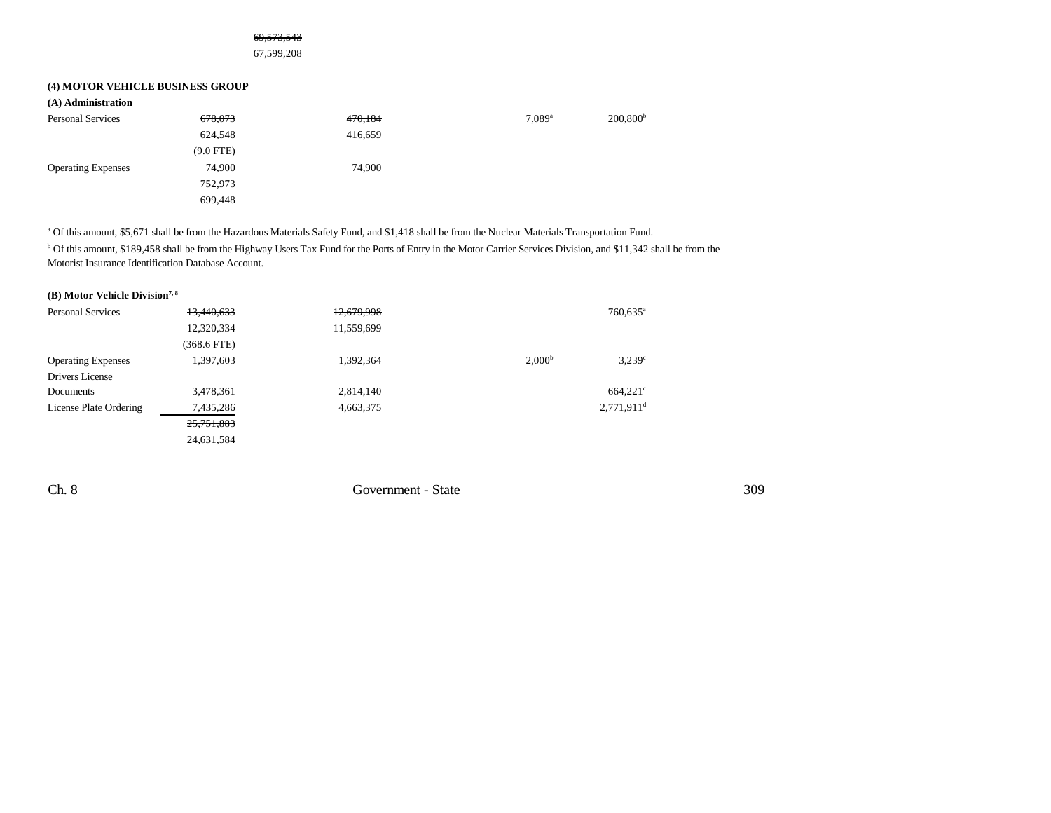#### 69,573,543

67,599,208

## **(4) MOTOR VEHICLE BUSINESS GROUP**

| (A) Administration        |             |         |                      |                   |
|---------------------------|-------------|---------|----------------------|-------------------|
| <b>Personal Services</b>  | 678,073     | 470,184 | $7.089$ <sup>a</sup> | $200,800^{\rm b}$ |
|                           | 624,548     | 416,659 |                      |                   |
|                           | $(9.0$ FTE) |         |                      |                   |
| <b>Operating Expenses</b> | 74,900      | 74,900  |                      |                   |
|                           | 752,973     |         |                      |                   |
|                           | 699.448     |         |                      |                   |

a Of this amount, \$5,671 shall be from the Hazardous Materials Safety Fund, and \$1,418 shall be from the Nuclear Materials Transportation Fund.

<sup>b</sup> Of this amount, \$189,458 shall be from the Highway Users Tax Fund for the Ports of Entry in the Motor Carrier Services Division, and \$11,342 shall be from the Motorist Insurance Identification Database Account.

## **(B) Motor Vehicle Division7, 8**

| <b>Personal Services</b>  | 13,440,633  | 12,679,998 |                    | $760,635$ <sup>a</sup>   |
|---------------------------|-------------|------------|--------------------|--------------------------|
|                           | 12,320,334  | 11,559,699 |                    |                          |
|                           | (368.6 FTE) |            |                    |                          |
| <b>Operating Expenses</b> | 1,397,603   | 1,392,364  | 2.000 <sup>b</sup> | $3.239$ <sup>c</sup>     |
| Drivers License           |             |            |                    |                          |
| Documents                 | 3,478,361   | 2,814,140  |                    | $664.221$ °              |
| License Plate Ordering    | 7,435,286   | 4,663,375  |                    | $2,771,911$ <sup>d</sup> |
|                           | 25,751,883  |            |                    |                          |
|                           | 24,631,584  |            |                    |                          |

Ch. 8 Government - State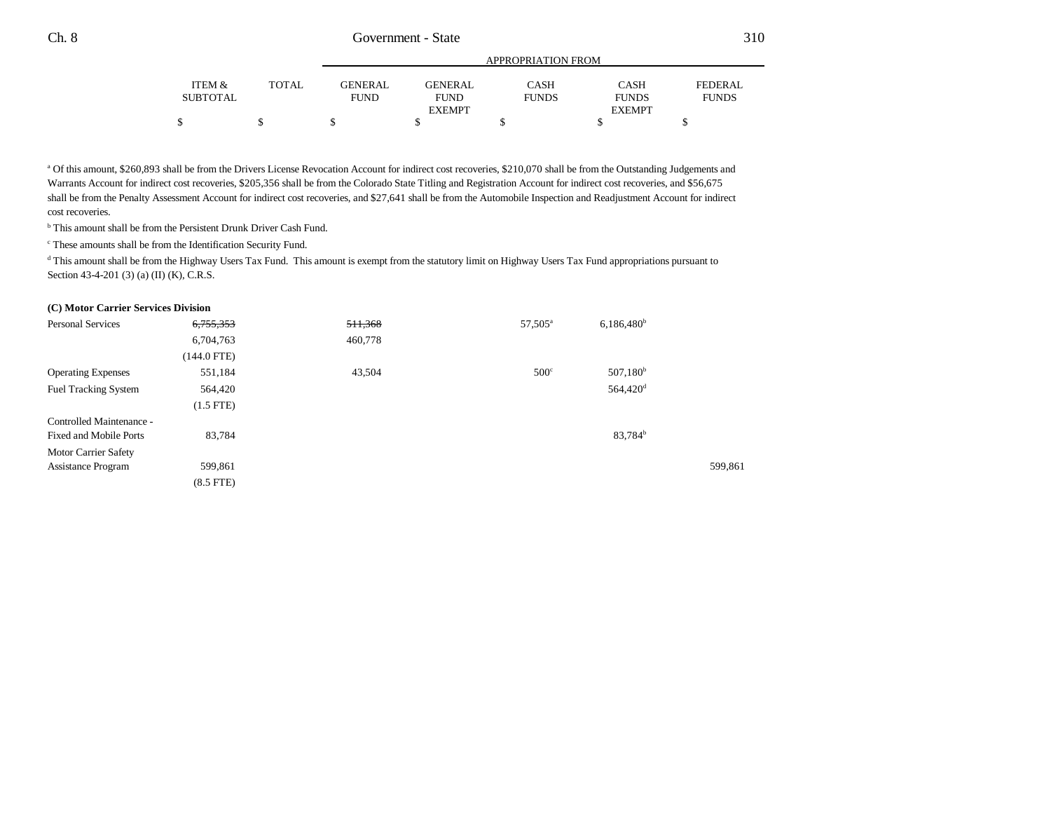|                 |       |             |                | APPROPRIATION FROM |               |              |  |
|-----------------|-------|-------------|----------------|--------------------|---------------|--------------|--|
| ITEM &          | TOTAL | GENERAL     | <b>GENERAL</b> | CASH               | <b>CASH</b>   | FEDERAL      |  |
| <b>SUBTOTAL</b> |       | <b>FUND</b> | <b>FUND</b>    | <b>FUNDS</b>       | <b>FUNDS</b>  | <b>FUNDS</b> |  |
|                 |       |             | <b>EXEMPT</b>  |                    | <b>EXEMPT</b> |              |  |
|                 |       |             |                |                    |               |              |  |

<sup>a</sup> Of this amount, \$260,893 shall be from the Drivers License Revocation Account for indirect cost recoveries, \$210,070 shall be from the Outstanding Judgements and Warrants Account for indirect cost recoveries, \$205,356 shall be from the Colorado State Titling and Registration Account for indirect cost recoveries, and \$56,675 shall be from the Penalty Assessment Account for indirect cost recoveries, and \$27,641 shall be from the Automobile Inspection and Readjustment Account for indirect cost recoveries.

b This amount shall be from the Persistent Drunk Driver Cash Fund.

c These amounts shall be from the Identification Security Fund.

<sup>d</sup> This amount shall be from the Highway Users Tax Fund. This amount is exempt from the statutory limit on Highway Users Tax Fund appropriations pursuant to Section 43-4-201 (3) (a) (II) (K), C.R.S.

#### **(C) Motor Carrier Services Division**

| Personal Services             | 6,755,353     | 511,368 | 57,505 <sup>a</sup> | $6,186,480^b$        |         |
|-------------------------------|---------------|---------|---------------------|----------------------|---------|
|                               | 6,704,763     | 460,778 |                     |                      |         |
|                               | $(144.0$ FTE) |         |                     |                      |         |
| <b>Operating Expenses</b>     | 551,184       | 43,504  | $500^\circ$         | 507,180 <sup>b</sup> |         |
| <b>Fuel Tracking System</b>   | 564,420       |         |                     | 564,420 <sup>d</sup> |         |
|                               | $(1.5$ FTE)   |         |                     |                      |         |
| Controlled Maintenance -      |               |         |                     |                      |         |
| <b>Fixed and Mobile Ports</b> | 83,784        |         |                     | 83,784 <sup>b</sup>  |         |
| Motor Carrier Safety          |               |         |                     |                      |         |
| <b>Assistance Program</b>     | 599,861       |         |                     |                      | 599,861 |
|                               | $(8.5$ FTE)   |         |                     |                      |         |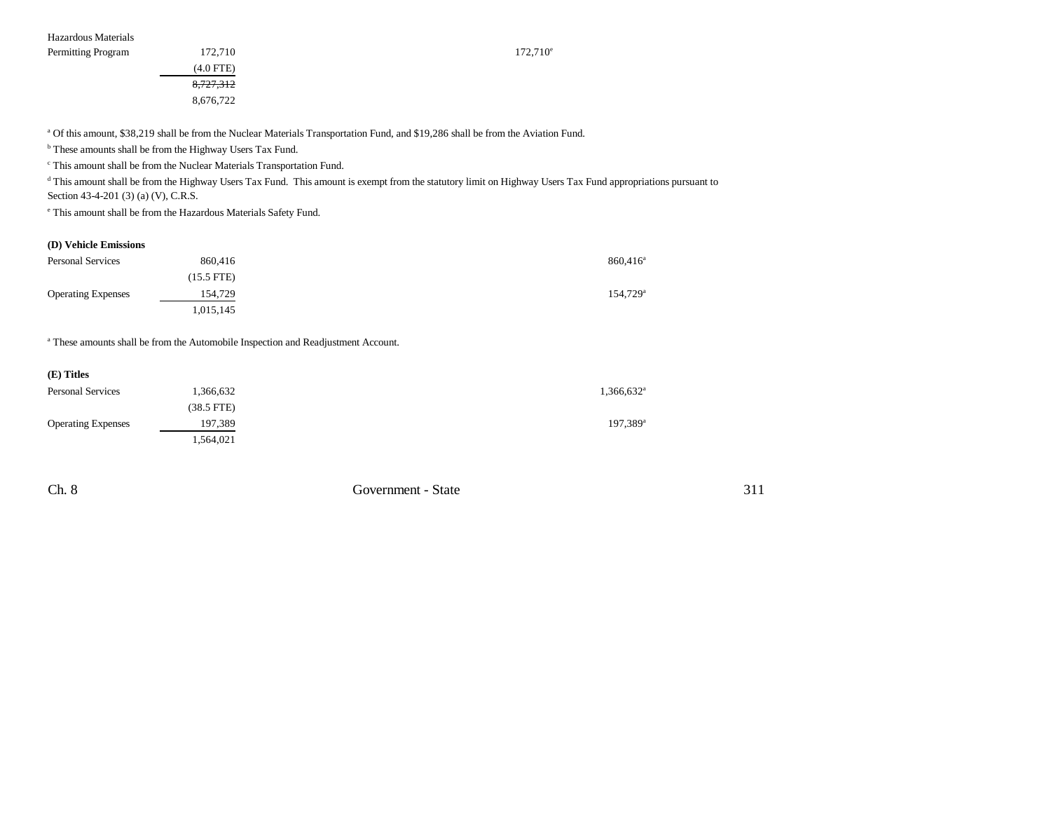8,727,312 8,676,722

a Of this amount, \$38,219 shall be from the Nuclear Materials Transportation Fund, and \$19,286 shall be from the Aviation Fund.

 $^{\rm b}$  These amounts shall be from the Highway Users Tax Fund.

c This amount shall be from the Nuclear Materials Transportation Fund.

<sup>d</sup> This amount shall be from the Highway Users Tax Fund. This amount is exempt from the statutory limit on Highway Users Tax Fund appropriations pursuant to Section 43-4-201 (3) (a) (V), C.R.S.

e This amount shall be from the Hazardous Materials Safety Fund.

### **(D) Vehicle Emissions**

| <b>Personal Services</b>  | 860,416    | $860.416^{\circ}$      |
|---------------------------|------------|------------------------|
|                           | (15.5 FTE) |                        |
| <b>Operating Expenses</b> | 154,729    | $154,729$ <sup>a</sup> |
|                           | .015,145   |                        |

a These amounts shall be from the Automobile Inspection and Readjustment Account.

| (E) Titles                |              |                          |
|---------------------------|--------------|--------------------------|
| <b>Personal Services</b>  | 1,366,632    | $1,366,632$ <sup>a</sup> |
|                           | $(38.5$ FTE) |                          |
| <b>Operating Expenses</b> | 197,389      | 197,389 <sup>a</sup>     |
|                           | 1,564,021    |                          |

Ch. 8 Government - State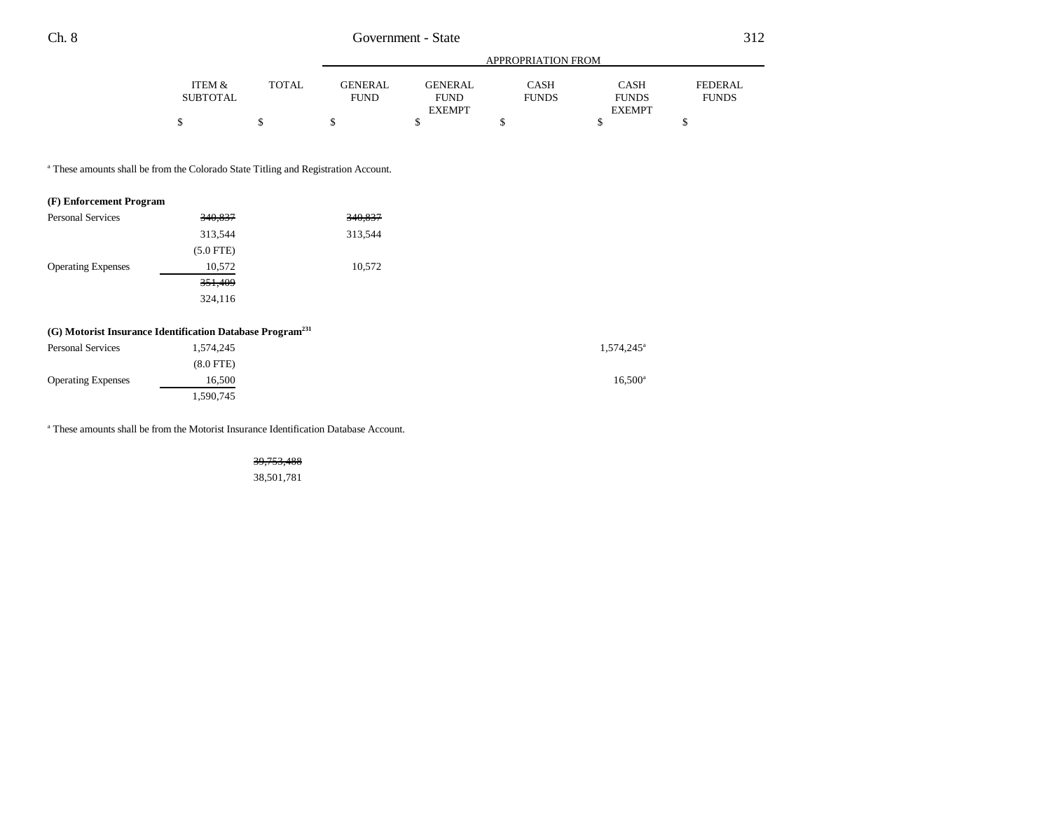|          |              | APPROPRIATION FROM |                |              |               |              |  |  |
|----------|--------------|--------------------|----------------|--------------|---------------|--------------|--|--|
| ITEM &   | <b>TOTAL</b> | GENERAL            | <b>GENERAL</b> | CASH         | <b>CASH</b>   | FEDERAL      |  |  |
| SUBTOTAL |              | <b>FUND</b>        | <b>FUND</b>    | <b>FUNDS</b> | <b>FUNDS</b>  | <b>FUNDS</b> |  |  |
|          |              |                    | <b>EXEMPT</b>  |              | <b>EXEMPT</b> |              |  |  |
|          |              |                    |                |              |               |              |  |  |

<sup>a</sup> These amounts shall be from the Colorado State Titling and Registration Account.

### **(F) Enforcement Program**

| <b>Personal Services</b>  | 340,837     | 340,837 |
|---------------------------|-------------|---------|
|                           | 313,544     | 313,544 |
|                           | $(5.0$ FTE) |         |
| <b>Operating Expenses</b> | 10,572      | 10,572  |
|                           | 351,409     |         |
|                           | 324,116     |         |

## **(G) Motorist Insurance Identification Database Program231**

| <b>Personal Services</b>  | 1,574,245      | 1,574,245 <sup>a</sup> |
|---------------------------|----------------|------------------------|
|                           | $(8.0$ FTE $)$ |                        |
| <b>Operating Expenses</b> | 16.500         | $16.500^{\rm a}$       |
|                           | .590,745       |                        |

a These amounts shall be from the Motorist Insurance Identification Database Account.

39,753,488 38,501,781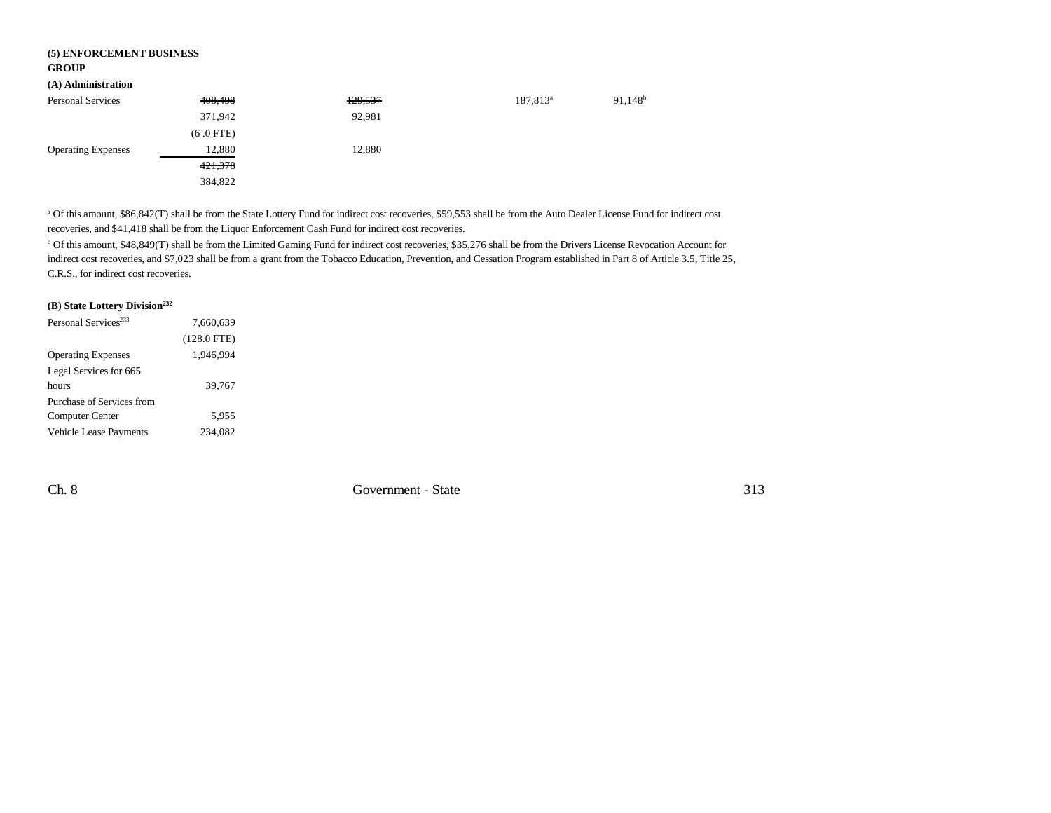### **(5) ENFORCEMENT BUSINESS GROUP**

## **(A) Administration**

| (A) Administration        |             |         |                      |            |
|---------------------------|-------------|---------|----------------------|------------|
| <b>Personal Services</b>  | 408,498     | 129,537 | 187,813 <sup>a</sup> | $91,148^b$ |
|                           | 371,942     | 92,981  |                      |            |
|                           | $(6.0$ FTE) |         |                      |            |
| <b>Operating Expenses</b> | 12,880      | 12,880  |                      |            |
|                           | 421,378     |         |                      |            |
|                           | 384,822     |         |                      |            |

a Of this amount, \$86,842(T) shall be from the State Lottery Fund for indirect cost recoveries, \$59,553 shall be from the Auto Dealer License Fund for indirect cost recoveries, and \$41,418 shall be from the Liquor Enforcement Cash Fund for indirect cost recoveries.

b Of this amount, \$48,849(T) shall be from the Limited Gaming Fund for indirect cost recoveries, \$35,276 shall be from the Drivers License Revocation Account for indirect cost recoveries, and \$7,023 shall be from a grant from the Tobacco Education, Prevention, and Cessation Program established in Part 8 of Article 3.5, Title 25, C.R.S., for indirect cost recoveries.

# **(B) State Lottery Division232**

| Personal Services <sup>233</sup> | 7,660,639     |  |
|----------------------------------|---------------|--|
|                                  | $(128.0$ FTE) |  |
| <b>Operating Expenses</b>        | 1,946,994     |  |
| Legal Services for 665           |               |  |
| hours                            | 39,767        |  |
| Purchase of Services from        |               |  |
| <b>Computer Center</b>           | 5,955         |  |
| Vehicle Lease Payments           | 234.082       |  |

Ch. 8 Government - State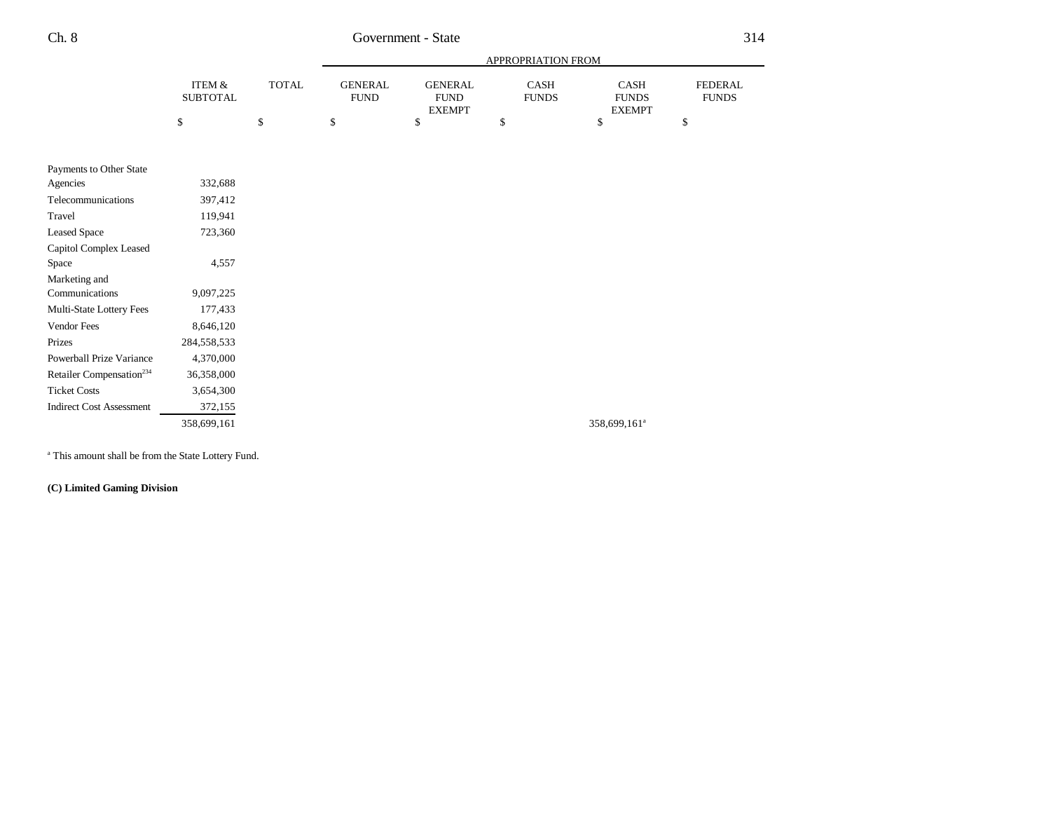# Ch. 8 Government - State

|                                      |                           |              | <b>APPROPRIATION FROM</b>     |                                                |                      |                                       |                                |
|--------------------------------------|---------------------------|--------------|-------------------------------|------------------------------------------------|----------------------|---------------------------------------|--------------------------------|
|                                      | ITEM &<br><b>SUBTOTAL</b> | <b>TOTAL</b> | <b>GENERAL</b><br><b>FUND</b> | <b>GENERAL</b><br><b>FUND</b><br><b>EXEMPT</b> | CASH<br><b>FUNDS</b> | CASH<br><b>FUNDS</b><br><b>EXEMPT</b> | <b>FEDERAL</b><br><b>FUNDS</b> |
|                                      | \$                        | \$           | \$                            | \$                                             | \$                   | \$                                    | \$                             |
| Payments to Other State              |                           |              |                               |                                                |                      |                                       |                                |
| Agencies                             | 332,688                   |              |                               |                                                |                      |                                       |                                |
| Telecommunications                   | 397,412                   |              |                               |                                                |                      |                                       |                                |
| Travel                               | 119,941                   |              |                               |                                                |                      |                                       |                                |
| <b>Leased Space</b>                  | 723,360                   |              |                               |                                                |                      |                                       |                                |
| Capitol Complex Leased               |                           |              |                               |                                                |                      |                                       |                                |
| Space                                | 4,557                     |              |                               |                                                |                      |                                       |                                |
| Marketing and                        |                           |              |                               |                                                |                      |                                       |                                |
| Communications                       | 9,097,225                 |              |                               |                                                |                      |                                       |                                |
| Multi-State Lottery Fees             | 177,433                   |              |                               |                                                |                      |                                       |                                |
| Vendor Fees                          | 8,646,120                 |              |                               |                                                |                      |                                       |                                |
| Prizes                               | 284,558,533               |              |                               |                                                |                      |                                       |                                |
| Powerball Prize Variance             | 4,370,000                 |              |                               |                                                |                      |                                       |                                |
| Retailer Compensation <sup>234</sup> | 36,358,000                |              |                               |                                                |                      |                                       |                                |
| <b>Ticket Costs</b>                  | 3,654,300                 |              |                               |                                                |                      |                                       |                                |
| <b>Indirect Cost Assessment</b>      | 372,155                   |              |                               |                                                |                      |                                       |                                |
|                                      | 358,699,161               |              |                               |                                                |                      | 358,699,161 <sup>a</sup>              |                                |
|                                      |                           |              |                               |                                                |                      |                                       |                                |

a This amount shall be from the State Lottery Fund.

**(C) Limited Gaming Division**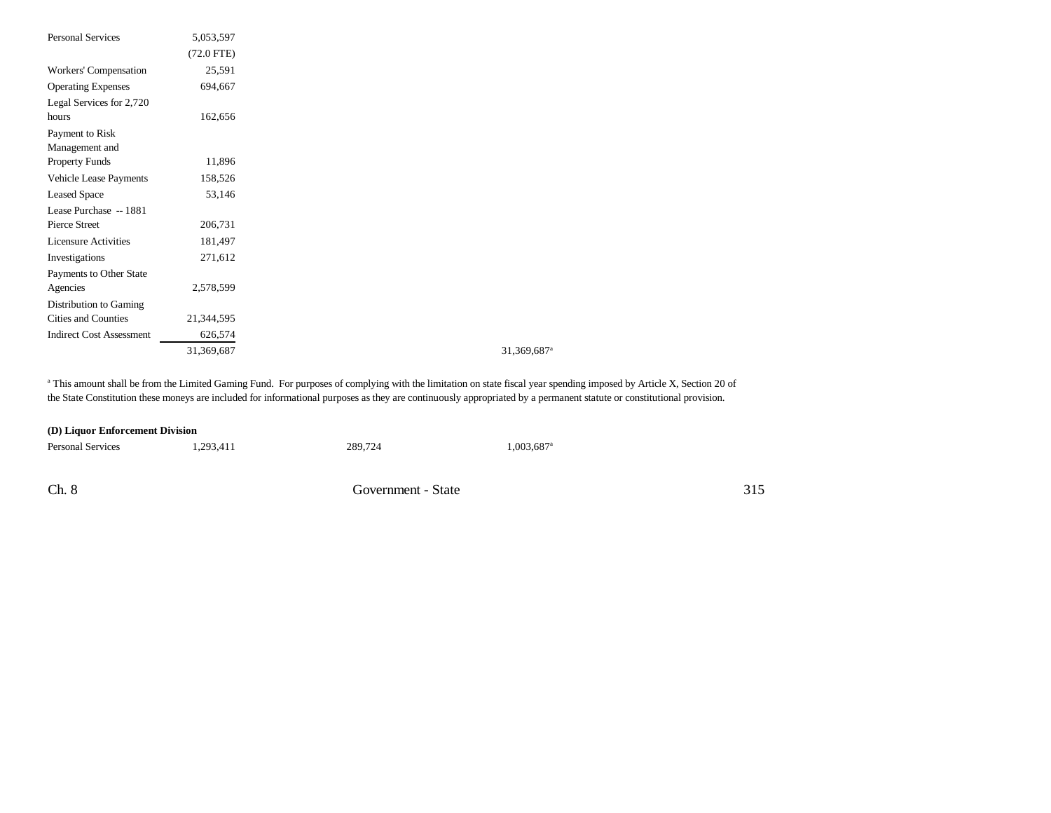| <b>Personal Services</b>        | 5,053,597    |
|---------------------------------|--------------|
|                                 | $(72.0$ FTE) |
| Workers' Compensation           | 25,591       |
| <b>Operating Expenses</b>       | 694,667      |
| Legal Services for 2,720        |              |
| hours                           | 162,656      |
| Payment to Risk                 |              |
| Management and                  |              |
| Property Funds                  | 11,896       |
| Vehicle Lease Payments          | 158,526      |
| <b>Leased Space</b>             | 53,146       |
| Lease Purchase -- 1881          |              |
| Pierce Street                   | 206,731      |
| <b>Licensure Activities</b>     | 181,497      |
| Investigations                  | 271,612      |
| Payments to Other State         |              |
| Agencies                        | 2,578,599    |
| Distribution to Gaming          |              |
| Cities and Counties             | 21,344,595   |
| <b>Indirect Cost Assessment</b> | 626,574      |
|                                 | 31,369,687   |

### 31,369,687<sup>a</sup>

<sup>a</sup> This amount shall be from the Limited Gaming Fund. For purposes of complying with the limitation on state fiscal year spending imposed by Article X, Section 20 of the State Constitution these moneys are included for informational purposes as they are continuously appropriated by a permanent statute or constitutional provision.

| (D) Liquor Enforcement Division |           |         |                          |  |  |  |
|---------------------------------|-----------|---------|--------------------------|--|--|--|
| <b>Personal Services</b>        | 1.293.411 | 289,724 | $1,003,687$ <sup>a</sup> |  |  |  |
|                                 |           |         |                          |  |  |  |

Ch. 8 Government - State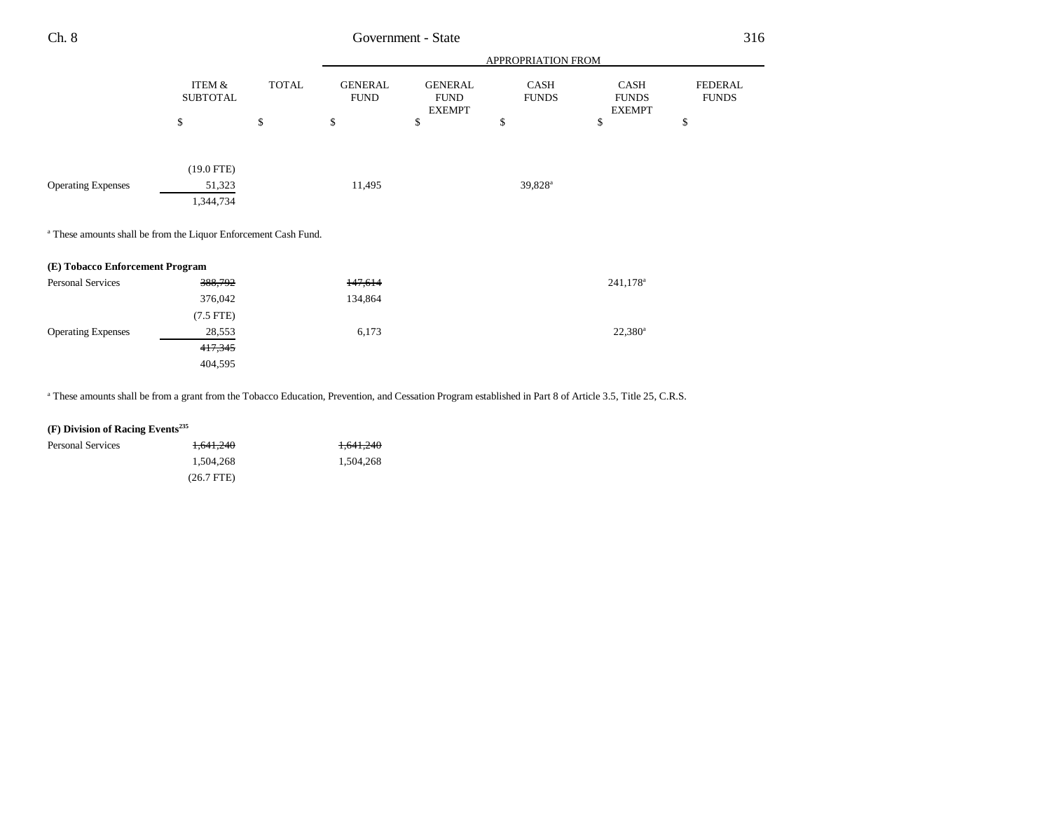|                           |                                                 |                               |                                                                            |                      |                                       | 316                            |
|---------------------------|-------------------------------------------------|-------------------------------|----------------------------------------------------------------------------|----------------------|---------------------------------------|--------------------------------|
|                           |                                                 |                               | APPROPRIATION FROM                                                         |                      |                                       |                                |
| ITEM &<br><b>SUBTOTAL</b> | <b>TOTAL</b>                                    | <b>GENERAL</b><br><b>FUND</b> | <b>GENERAL</b><br><b>FUND</b><br><b>EXEMPT</b>                             | CASH<br><b>FUNDS</b> | CASH<br><b>FUNDS</b><br><b>EXEMPT</b> | <b>FEDERAL</b><br><b>FUNDS</b> |
| \$                        | \$                                              | \$                            | \$                                                                         | \$                   | \$                                    | \$                             |
|                           |                                                 |                               |                                                                            |                      |                                       |                                |
| 51,323<br>1,344,734       |                                                 | 11,495                        |                                                                            | 39,828 <sup>a</sup>  |                                       |                                |
|                           |                                                 |                               |                                                                            |                      |                                       |                                |
|                           |                                                 |                               |                                                                            |                      |                                       |                                |
| 388,792                   |                                                 | 147,614                       |                                                                            |                      | 241,178 <sup>a</sup>                  |                                |
| 376,042                   |                                                 | 134,864                       |                                                                            |                      |                                       |                                |
| $(7.5$ FTE)               |                                                 |                               |                                                                            |                      |                                       |                                |
| 28,553                    |                                                 | 6,173                         |                                                                            |                      | $22,380^a$                            |                                |
| 417,345                   |                                                 |                               |                                                                            |                      |                                       |                                |
|                           | $(19.0$ FTE)<br>(E) Tobacco Enforcement Program |                               | <sup>a</sup> These amounts shall be from the Liquor Enforcement Cash Fund. | Government - State   |                                       |                                |

a These amounts shall be from a grant from the Tobacco Education, Prevention, and Cessation Program established in Part 8 of Article 3.5, Title 25, C.R.S.

## **(F) Division of Racing Events235**

| <b>Personal Services</b> | 1.641.240    | 1,641,240 |
|--------------------------|--------------|-----------|
|                          | 1.504.268    | 1.504.268 |
|                          | $(26.7$ FTE) |           |

404,595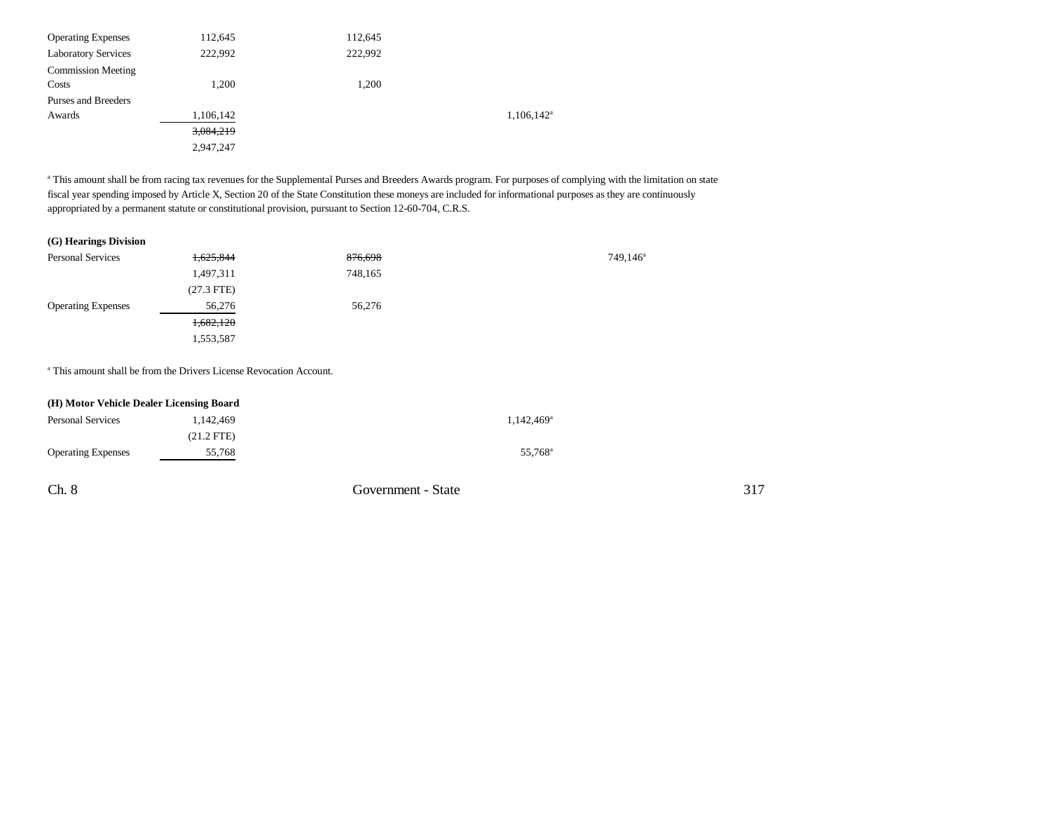| 112,645   | 112,645   |                        |
|-----------|-----------|------------------------|
| 222,992   | 222.992   |                        |
|           |           |                        |
| 1.200     | 1.200     |                        |
|           |           |                        |
| 1,106,142 |           | $1,106,142^{\text{a}}$ |
| 3,084,219 |           |                        |
|           |           |                        |
|           | 2,947,247 |                        |

<sup>a</sup> This amount shall be from racing tax revenues for the Supplemental Purses and Breeders Awards program. For purposes of complying with the limitation on state fiscal year spending imposed by Article X, Section 20 of the State Constitution these moneys are included for informational purposes as they are continuously appropriated by a permanent statute or constitutional provision, pursuant to Section 12-60-704, C.R.S.

## **(G) Hearings Division**

| <b>Personal Services</b>  | <del>1,625,844</del> | 876,698 | $749,146^a$ |
|---------------------------|----------------------|---------|-------------|
|                           | 1,497,311            | 748,165 |             |
|                           | $(27.3$ FTE)         |         |             |
| <b>Operating Expenses</b> | 56,276               | 56,276  |             |
|                           | <del>1,682,120</del> |         |             |
|                           | 1,553,587            |         |             |

a This amount shall be from the Drivers License Revocation Account.

| (H) Motor Vehicle Dealer Licensing Board |              |                     |  |  |
|------------------------------------------|--------------|---------------------|--|--|
| <b>Personal Services</b>                 | 1.142.469    | $1,142,469^{\circ}$ |  |  |
|                                          | $(21.2$ FTE) |                     |  |  |
| <b>Operating Expenses</b>                | 55.768       | 55.768 <sup>a</sup> |  |  |

Ch. 8 Government - State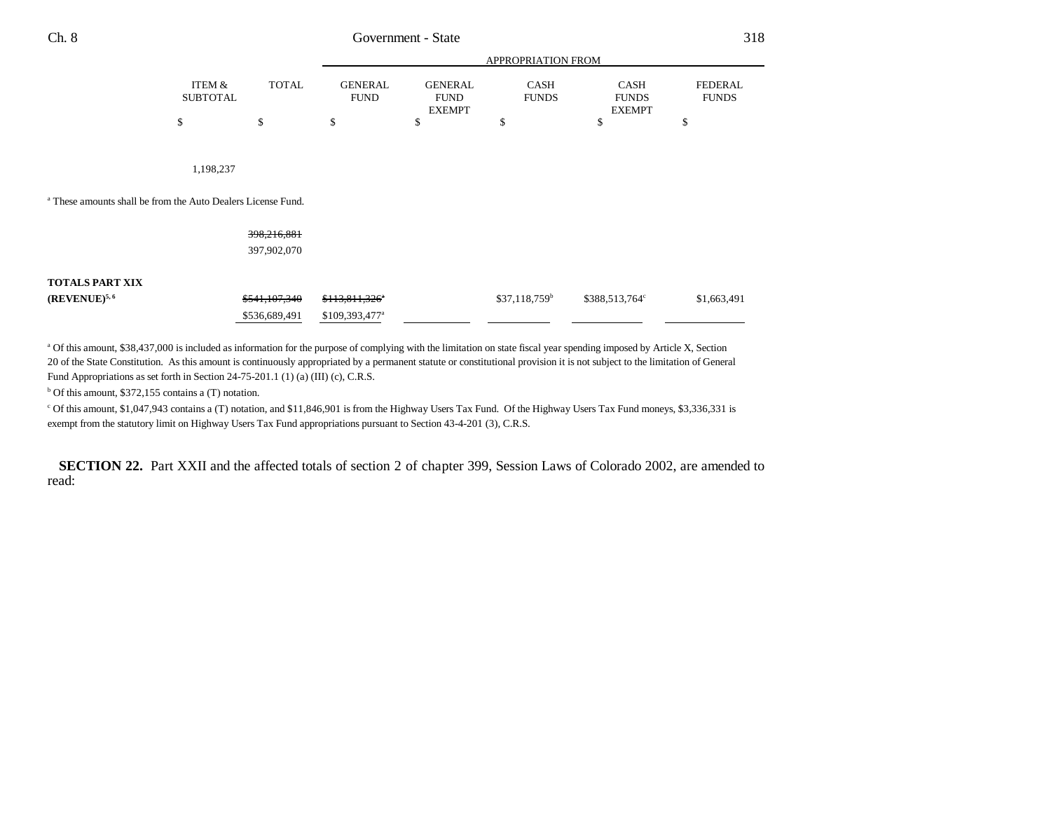|                                                                         |                           |               | <b>APPROPRIATION FROM</b>     |                                                |                             |                                              |                                |
|-------------------------------------------------------------------------|---------------------------|---------------|-------------------------------|------------------------------------------------|-----------------------------|----------------------------------------------|--------------------------------|
|                                                                         | ITEM &<br><b>SUBTOTAL</b> | <b>TOTAL</b>  | <b>GENERAL</b><br><b>FUND</b> | <b>GENERAL</b><br><b>FUND</b><br><b>EXEMPT</b> | <b>CASH</b><br><b>FUNDS</b> | <b>CASH</b><br><b>FUNDS</b><br><b>EXEMPT</b> | <b>FEDERAL</b><br><b>FUNDS</b> |
|                                                                         | \$                        | \$            | \$                            | \$                                             | \$                          | \$                                           | \$                             |
| <sup>a</sup> These amounts shall be from the Auto Dealers License Fund. | 1,198,237                 |               |                               |                                                |                             |                                              |                                |
|                                                                         |                           |               |                               |                                                |                             |                                              |                                |
|                                                                         |                           | 398,216,881   |                               |                                                |                             |                                              |                                |
|                                                                         |                           | 397,902,070   |                               |                                                |                             |                                              |                                |
| <b>TOTALS PART XIX</b>                                                  |                           |               |                               |                                                |                             |                                              |                                |
| $(REVENUE)^{5,6}$                                                       |                           | \$541,107,340 | \$113,811,326"                |                                                | $$37,118,759^b$             | \$388,513,764°                               | \$1,663,491                    |
|                                                                         |                           | \$536,689,491 | $$109,393,477^{\circ}$        |                                                |                             |                                              |                                |

a Of this amount, \$38,437,000 is included as information for the purpose of complying with the limitation on state fiscal year spending imposed by Article X, Section 20 of the State Constitution. As this amount is continuously appropriated by a permanent statute or constitutional provision it is not subject to the limitation of General Fund Appropriations as set forth in Section 24-75-201.1 (1) (a) (III) (c), C.R.S.

 $b$  Of this amount, \$372,155 contains a (T) notation.

c Of this amount, \$1,047,943 contains a (T) notation, and \$11,846,901 is from the Highway Users Tax Fund. Of the Highway Users Tax Fund moneys, \$3,336,331 is exempt from the statutory limit on Highway Users Tax Fund appropriations pursuant to Section 43-4-201 (3), C.R.S.

**SECTION 22.** Part XXII and the affected totals of section 2 of chapter 399, Session Laws of Colorado 2002, are amended to read: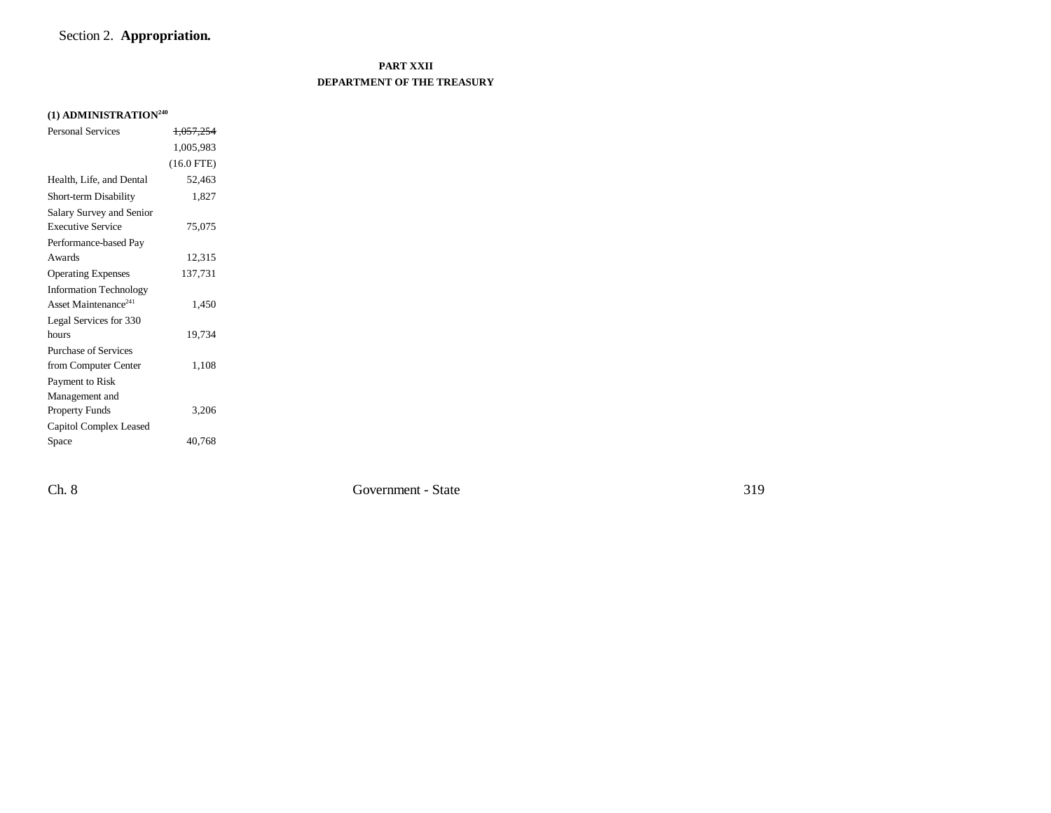# Section 2. **Appropriation.**

# **PART XXII DEPARTMENT OF THE TREASURY**

# **(1) ADMINISTRATION<sup>240</sup>**

| <b>Personal Services</b>         | 1.057.254    |  |
|----------------------------------|--------------|--|
|                                  | 1,005,983    |  |
|                                  | $(16.0$ FTE) |  |
| Health, Life, and Dental         | 52,463       |  |
| Short-term Disability            | 1,827        |  |
| Salary Survey and Senior         |              |  |
| <b>Executive Service</b>         | 75,075       |  |
| Performance-based Pay            |              |  |
| Awards                           | 12,315       |  |
| <b>Operating Expenses</b>        | 137,731      |  |
| <b>Information Technology</b>    |              |  |
| Asset Maintenance <sup>241</sup> | 1,450        |  |
| Legal Services for 330           |              |  |
| hours                            | 19,734       |  |
| <b>Purchase of Services</b>      |              |  |
| from Computer Center             | 1,108        |  |
| Payment to Risk                  |              |  |
| Management and                   |              |  |
| <b>Property Funds</b>            | 3,206        |  |
| Capitol Complex Leased           |              |  |
| Space                            | 40,768       |  |

Ch. 8 Government - State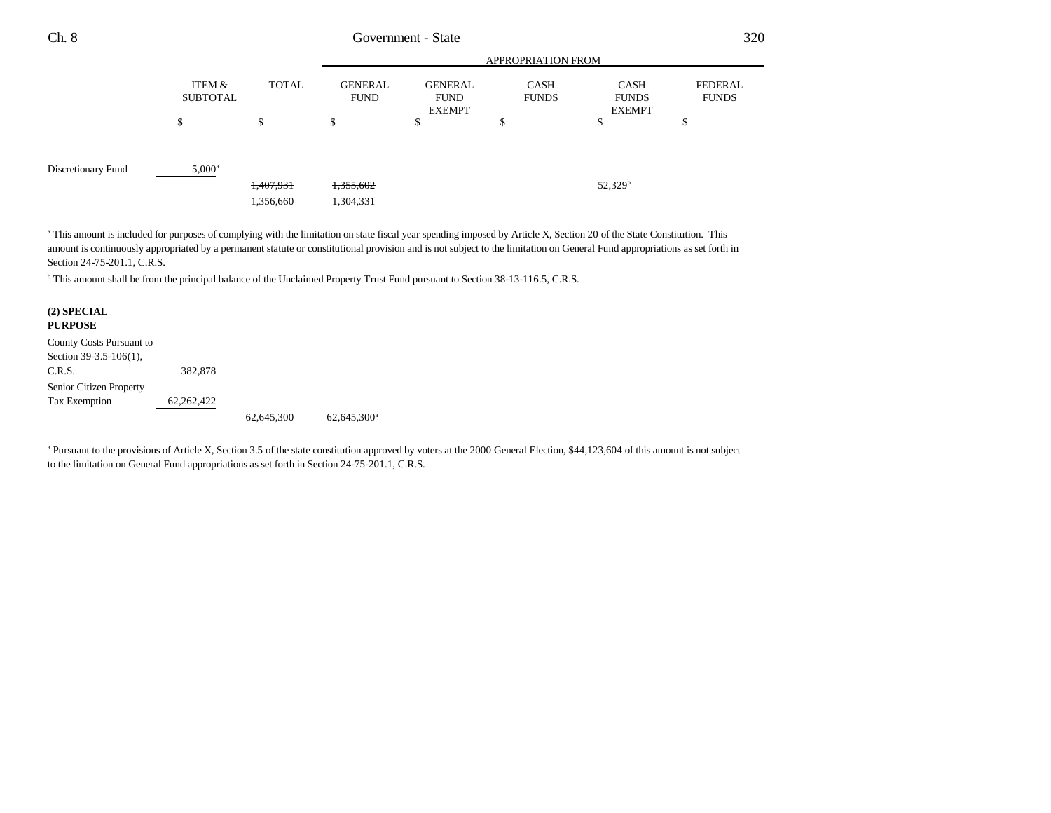| Ch. 8              | Government - State |              |                               |                                                |                             | 320                                   |                                |
|--------------------|--------------------|--------------|-------------------------------|------------------------------------------------|-----------------------------|---------------------------------------|--------------------------------|
|                    |                    |              | APPROPRIATION FROM            |                                                |                             |                                       |                                |
|                    | ITEM &<br>SUBTOTAL | <b>TOTAL</b> | <b>GENERAL</b><br><b>FUND</b> | <b>GENERAL</b><br><b>FUND</b><br><b>EXEMPT</b> | <b>CASH</b><br><b>FUNDS</b> | CASH<br><b>FUNDS</b><br><b>EXEMPT</b> | <b>FEDERAL</b><br><b>FUNDS</b> |
|                    | \$                 | \$           | \$                            | \$                                             | Φ                           | \$                                    | Φ                              |
| Discretionary Fund | $5,000^{\rm a}$    |              |                               |                                                |                             |                                       |                                |
|                    |                    | 1,407,931    | 1,355,602                     |                                                |                             | $52,329^b$                            |                                |
|                    |                    | 1,356,660    | 1,304,331                     |                                                |                             |                                       |                                |

<sup>a</sup> This amount is included for purposes of complying with the limitation on state fiscal year spending imposed by Article X, Section 20 of the State Constitution. This amount is continuously appropriated by a permanent statute or constitutional provision and is not subject to the limitation on General Fund appropriations as set forth in Section 24-75-201.1, C.R.S.

b This amount shall be from the principal balance of the Unclaimed Property Trust Fund pursuant to Section 38-13-116.5, C.R.S.

## **(2) SPECIAL PURPOSE** County Costs Pursuant to Section 39-3.5-106(1),

C.R.S. 382,878 Senior Citizen Property Tax Exemption 62,262,422

62,645,300 62,645,300a

<sup>a</sup> Pursuant to the provisions of Article X, Section 3.5 of the state constitution approved by voters at the 2000 General Election, \$44,123,604 of this amount is not subject to the limitation on General Fund appropriations as set forth in Section 24-75-201.1, C.R.S.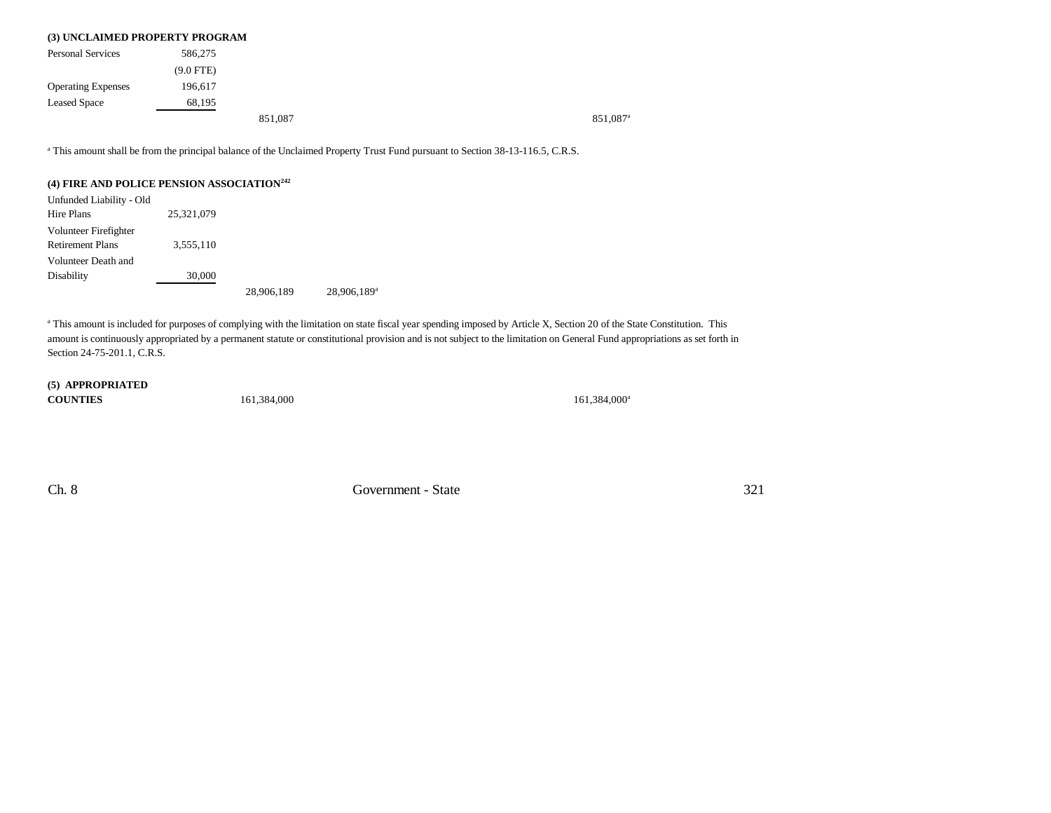| (3) UNCLAIMED PROPERTY PROGRAM |             |         |                      |
|--------------------------------|-------------|---------|----------------------|
| <b>Personal Services</b>       | 586,275     |         |                      |
|                                | $(9.0$ FTE) |         |                      |
| <b>Operating Expenses</b>      | 196,617     |         |                      |
| <b>Leased Space</b>            | 68,195      |         |                      |
|                                |             | 851.087 | 851.087 <sup>a</sup> |

a This amount shall be from the principal balance of the Unclaimed Property Trust Fund pursuant to Section 38-13-116.5, C.R.S.

## **(4) FIRE AND POLICE PENSION ASSOCIATION<sup>242</sup>**

| Unfunded Liability - Old |            |            |                         |
|--------------------------|------------|------------|-------------------------|
| Hire Plans               | 25.321.079 |            |                         |
| Volunteer Firefighter    |            |            |                         |
| <b>Retirement Plans</b>  | 3.555.110  |            |                         |
| Volunteer Death and      |            |            |                         |
| Disability               | 30,000     |            |                         |
|                          |            | 28,906,189 | 28,906,189 <sup>a</sup> |

<sup>a</sup> This amount is included for purposes of complying with the limitation on state fiscal year spending imposed by Article X, Section 20 of the State Constitution. This amount is continuously appropriated by a permanent statute or constitutional provision and is not subject to the limitation on General Fund appropriations as set forth in Section 24-75-201.1, C.R.S.

### **(5) APPROPRIATED COUNTIES**

161,384,000<sup>a</sup> 161,384,000<sup>a</sup>

Ch. 8 Government - State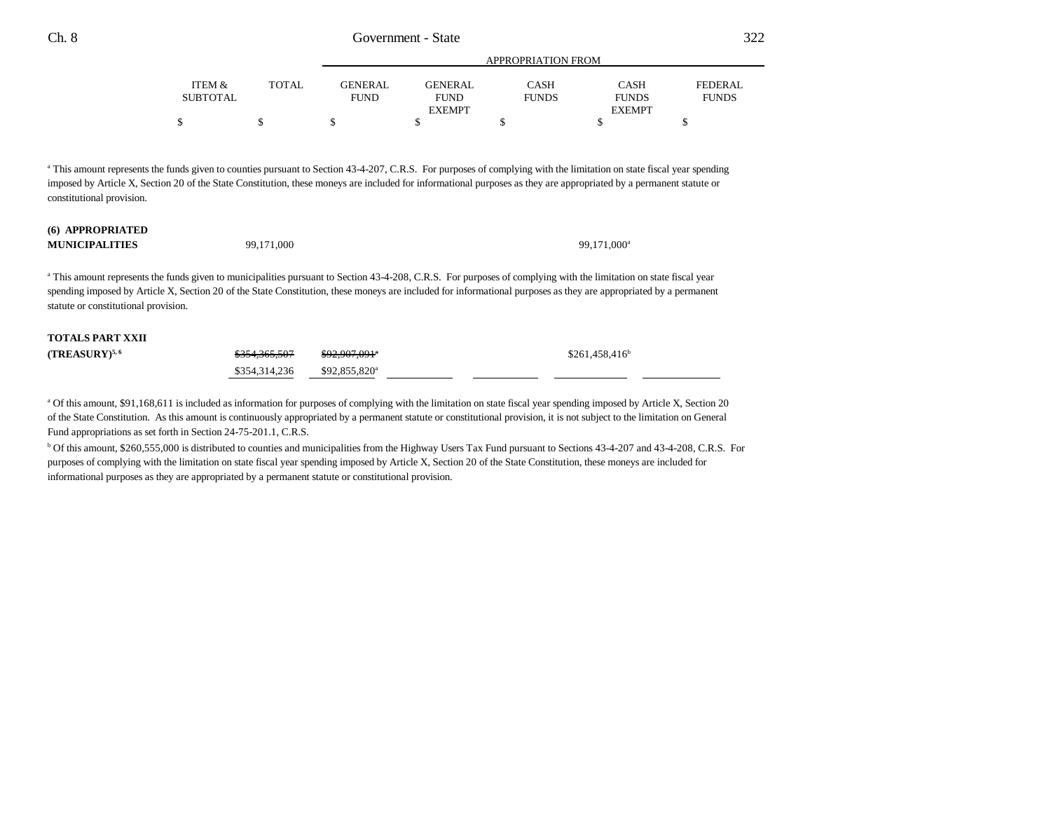|                 |              | APPROPRIATION FROM |                |              |               |              |
|-----------------|--------------|--------------------|----------------|--------------|---------------|--------------|
| ITEM &          | <b>TOTAL</b> | GENERAL            | <b>GENERAL</b> | <b>CASH</b>  | <b>CASH</b>   | FEDERAL      |
| <b>SUBTOTAL</b> |              | <b>FUND</b>        | <b>FUND</b>    | <b>FUNDS</b> | <b>FUNDS</b>  | <b>FUNDS</b> |
|                 |              |                    | <b>EXEMPT</b>  |              | <b>EXEMPT</b> |              |
|                 |              |                    |                |              |               |              |

APPROPRIATION FROM

<sup>a</sup> This amount represents the funds given to counties pursuant to Section 43-4-207, C.R.S. For purposes of complying with the limitation on state fiscal year spending imposed by Article X, Section 20 of the State Constitution, these moneys are included for informational purposes as they are appropriated by a permanent statute or constitutional provision.

### **(6) APPROPRIATED MUNICIPALITIES**

 $S \qquad \qquad 99,171,000$ 

<sup>a</sup> This amount represents the funds given to municipalities pursuant to Section 43-4-208, C.R.S. For purposes of complying with the limitation on state fiscal year spending imposed by Article X, Section 20 of the State Constitution, these moneys are included for informational purposes as they are appropriated by a permanent statute or constitutional provision.

# **TOTALS PART XXII(TREASURY)<sup>5,6</sup>** \$251,458,416<sup>b</sup> \$354,365,507 \$92,907,091<sup>a</sup> \$261,458,416<sup>b</sup> \$354,314,236 \$92,855,820<sup>a</sup>

a Of this amount, \$91,168,611 is included as information for purposes of complying with the limitation on state fiscal year spending imposed by Article X, Section 20 of the State Constitution. As this amount is continuously appropriated by a permanent statute or constitutional provision, it is not subject to the limitation on General Fund appropriations as set forth in Section 24-75-201.1, C.R.S.

<sup>b</sup> Of this amount, \$260,555,000 is distributed to counties and municipalities from the Highway Users Tax Fund pursuant to Sections 43-4-207 and 43-4-208, C.R.S. For purposes of complying with the limitation on state fiscal year spending imposed by Article X, Section 20 of the State Constitution, these moneys are included for informational purposes as they are appropriated by a permanent statute or constitutional provision.